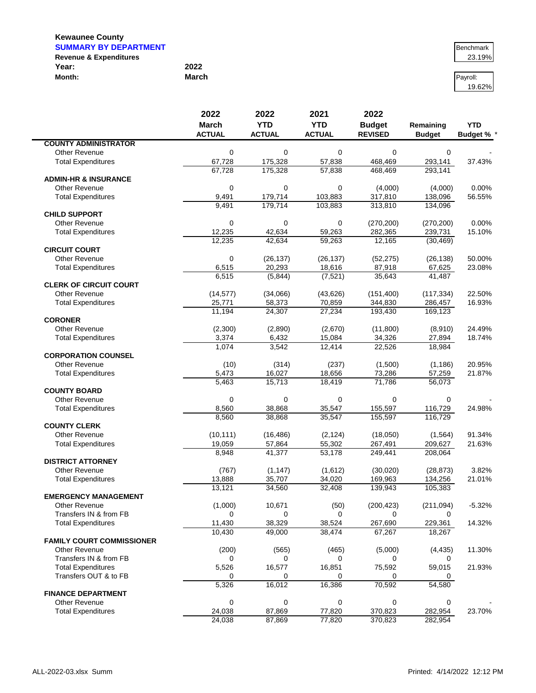$\blacksquare$ 

#### **SUMMARY BY DEPARTMENT Benchmark Benchmark Benchmark Revenue & Expenditures** 23.19% **Year: 2022**

| Year:  | 2022         |          |
|--------|--------------|----------|
| Month: | <b>March</b> | Pavroll: |

|                                                    | 2022            | 2022               | 2021               | 2022                |                               |                   |
|----------------------------------------------------|-----------------|--------------------|--------------------|---------------------|-------------------------------|-------------------|
|                                                    | <b>March</b>    | <b>YTD</b>         | <b>YTD</b>         | <b>Budget</b>       | Remaining                     | <b>YTD</b>        |
|                                                    | <b>ACTUAL</b>   | <b>ACTUAL</b>      | <b>ACTUAL</b>      | <b>REVISED</b>      | <b>Budget</b>                 | <b>Budget % *</b> |
| <b>COUNTY ADMINISTRATOR</b>                        |                 |                    |                    |                     |                               |                   |
| <b>Other Revenue</b>                               | $\mathbf 0$     | 0                  | 0                  | 0                   | 0                             |                   |
| <b>Total Expenditures</b>                          | 67,728          | 175,328            | 57,838             | 468,469             | 293,141                       | 37.43%            |
| <b>ADMIN-HR &amp; INSURANCE</b>                    | 67,728          | 175,328            | 57,838             | 468.469             | 293,141                       |                   |
| Other Revenue                                      | $\mathbf 0$     | 0                  | $\mathbf 0$        | (4,000)             | (4,000)                       | 0.00%             |
| <b>Total Expenditures</b>                          | 9,491           | 179,714            | 103,883            | 317,810             | 138,096                       | 56.55%            |
|                                                    | 9,491           | 179,714            | 103,883            | 313,810             | 134,096                       |                   |
| <b>CHILD SUPPORT</b>                               |                 |                    |                    |                     |                               |                   |
| <b>Other Revenue</b>                               | $\mathbf 0$     | 0                  | $\mathbf 0$        | (270, 200)          | (270, 200)                    | 0.00%             |
| <b>Total Expenditures</b>                          | 12,235          | 42,634             | 59,263             | 282,365             | 239,731                       | 15.10%            |
|                                                    | 12,235          | 42,634             | 59,263             | 12,165              | (30, 469)                     |                   |
| <b>CIRCUIT COURT</b>                               |                 |                    |                    |                     |                               |                   |
| Other Revenue                                      | $\mathbf 0$     | (26, 137)          | (26, 137)          | (52, 275)           | (26, 138)                     | 50.00%            |
| <b>Total Expenditures</b>                          | 6,515<br>6,515  | 20,293<br>(5,844)  | 18,616<br>(7, 521) | 87,918<br>35,643    | 67,625<br>41,487              | 23.08%            |
| <b>CLERK OF CIRCUIT COURT</b>                      |                 |                    |                    |                     |                               |                   |
| Other Revenue                                      | (14, 577)       | (34,066)           | (43, 626)          | (151, 400)          | (117, 334)                    | 22.50%            |
| <b>Total Expenditures</b>                          | 25,771          | 58,373             | 70,859             | 344,830             | 286,457                       | 16.93%            |
|                                                    | 11.194          | 24,307             | 27,234             | 193,430             | 169.123                       |                   |
| <b>CORONER</b>                                     |                 |                    |                    |                     |                               |                   |
| <b>Other Revenue</b>                               | (2,300)         | (2,890)            | (2,670)            | (11,800)            | (8,910)                       | 24.49%            |
| <b>Total Expenditures</b>                          | 3,374           | 6,432              | 15,084             | 34.326              | 27,894                        | 18.74%            |
|                                                    | 1,074           | 3,542              | 12,414             | 22,526              | 18,984                        |                   |
| <b>CORPORATION COUNSEL</b>                         |                 |                    |                    |                     |                               |                   |
| Other Revenue                                      | (10)            | (314)              | (237)              | (1,500)             | (1, 186)                      | 20.95%<br>21.87%  |
| <b>Total Expenditures</b>                          | 5,473<br>5,463  | 16,027<br>15,713   | 18,656<br>18,419   | 73,286<br>71,786    | 57,259<br>$\overline{56,073}$ |                   |
| <b>COUNTY BOARD</b>                                |                 |                    |                    |                     |                               |                   |
| Other Revenue                                      | $\mathbf 0$     | 0                  | 0                  | 0                   | 0                             |                   |
| <b>Total Expenditures</b>                          | 8,560           | 38,868             | 35,547             | 155,597             | 116,729                       | 24.98%            |
|                                                    | 8,560           | 38,868             | 35,547             | 155,597             | 116,729                       |                   |
| <b>COUNTY CLERK</b>                                |                 |                    |                    |                     |                               |                   |
| Other Revenue                                      | (10, 111)       | (16, 486)          | (2, 124)           | (18,050)            | (1, 564)                      | 91.34%            |
| <b>Total Expenditures</b>                          | 19,059          | 57,864             | 55,302             | 267,491             | 209,627                       | 21.63%            |
|                                                    | 8,948           | 41,377             | 53,178             | 249,441             | 208,064                       |                   |
| <b>DISTRICT ATTORNEY</b>                           |                 |                    |                    |                     |                               |                   |
| <b>Other Revenue</b><br><b>Total Expenditures</b>  | (767)<br>13,888 | (1, 147)<br>35,707 | (1,612)<br>34,020  | (30,020)<br>169,963 | (28, 873)<br>134,256          | 3.82%<br>21.01%   |
|                                                    | 13,121          | 34,560             | 32,408             | 139,943             | 105,383                       |                   |
| <b>EMERGENCY MANAGEMENT</b>                        |                 |                    |                    |                     |                               |                   |
| Other Revenue                                      | (1,000)         | 10,671             | (50)               | (200, 423)          | (211, 094)                    | $-5.32%$          |
| Transfers IN & from FB                             | 0               | 0                  | 0                  | 0                   | 0                             |                   |
| <b>Total Expenditures</b>                          | 11,430          | 38,329             | 38,524             | 267,690             | 229,361                       | 14.32%            |
|                                                    | 10,430          | 49,000             | 38,474             | 67,267              | 18,267                        |                   |
| <b>FAMILY COURT COMMISSIONER</b>                   |                 |                    |                    |                     |                               |                   |
| <b>Other Revenue</b>                               | (200)           | (565)              | (465)              | (5,000)             | (4, 435)                      | 11.30%            |
| Transfers IN & from FB                             | 0               | 0                  | 0                  | 0                   | 0                             |                   |
| <b>Total Expenditures</b><br>Transfers OUT & to FB | 5,526           | 16,577             | 16,851             | 75,592              | 59,015                        | 21.93%            |
|                                                    | 0<br>5,326      | 0<br>16,012        | 0<br>16,386        | 0<br>70,592         | 54,580                        |                   |
| <b>FINANCE DEPARTMENT</b>                          |                 |                    |                    |                     |                               |                   |
| <b>Other Revenue</b>                               | $\mathbf 0$     | 0                  | $\mathbf 0$        | 0                   | $\mathbf 0$                   |                   |
| <b>Total Expenditures</b>                          | 24,038          | 87,869             | 77,820             | 370,823             | 282,954                       | 23.70%            |
|                                                    | 24,038          | 87,869             | 77,820             | 370,823             | 282,954                       |                   |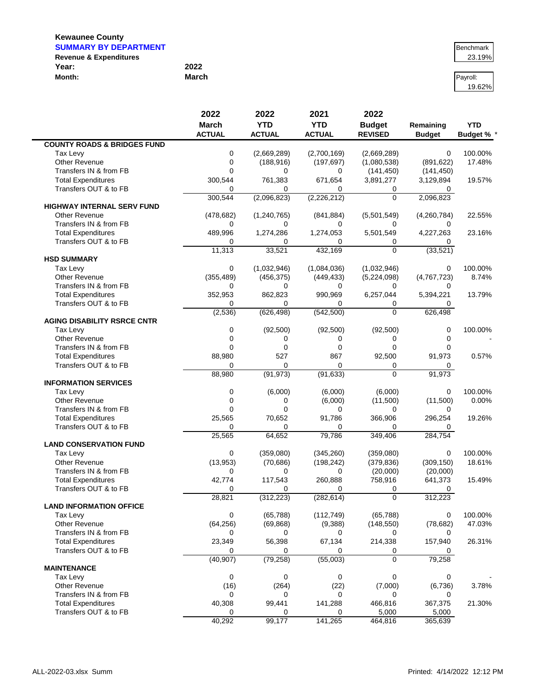| <b>SUMMARY BY DEPARTMENT</b>      | Benchmark |          |
|-----------------------------------|-----------|----------|
| <b>Revenue &amp; Expenditures</b> |           | 23.19%   |
| Year:                             | 2022      |          |
| Month:                            | March     | Pavroll: |

# 19.62%

|                                        | 2022           | 2022          | 2021          | 2022           |               |                 |
|----------------------------------------|----------------|---------------|---------------|----------------|---------------|-----------------|
|                                        | <b>March</b>   | <b>YTD</b>    | <b>YTD</b>    | <b>Budget</b>  | Remaining     | <b>YTD</b>      |
|                                        | <b>ACTUAL</b>  | <b>ACTUAL</b> | <b>ACTUAL</b> | <b>REVISED</b> | <b>Budget</b> | <b>Budget %</b> |
| <b>COUNTY ROADS &amp; BRIDGES FUND</b> |                |               |               |                |               |                 |
| Tax Levy                               | 0              | (2,669,289)   | (2,700,169)   | (2,669,289)    | 0             | 100.00%         |
| <b>Other Revenue</b>                   | 0              | (188, 916)    | (197, 697)    | (1,080,538)    | (891, 622)    | 17.48%          |
| Transfers IN & from FB                 | $\overline{0}$ | $\Omega$      | 0             | (141, 450)     | (141, 450)    |                 |
| <b>Total Expenditures</b>              | 300,544        | 761,383       | 671,654       | 3,891,277      | 3,129,894     | 19.57%          |
| Transfers OUT & to FB                  | 0              | 0             | 0             | 0              | 0             |                 |
|                                        | 300,544        | (2,096,823)   | (2,226,212)   | $\Omega$       | 2,096,823     |                 |
| <b>HIGHWAY INTERNAL SERV FUND</b>      |                |               |               |                |               |                 |
| <b>Other Revenue</b>                   | (478, 682)     | (1, 240, 765) | (841, 884)    | (5,501,549)    | (4,260,784)   | 22.55%          |
| Transfers IN & from FB                 | 0              | 0             | $\Omega$      | 0              | 0             |                 |
| <b>Total Expenditures</b>              | 489,996        | 1,274,286     | 1,274,053     | 5,501,549      | 4,227,263     | 23.16%          |
| Transfers OUT & to FB                  | 0              | 0             | 0             | 0              | 0             |                 |
|                                        | 11,313         | 33,521        | 432,169       | $\Omega$       | (33, 521)     |                 |
| <b>HSD SUMMARY</b>                     |                |               |               |                |               |                 |
| Tax Levy                               | 0              | (1,032,946)   | (1,084,036)   | (1,032,946)    | 0             | 100.00%         |
| <b>Other Revenue</b>                   | (355, 489)     | (456, 375)    | (449, 433)    | (5,224,098)    | (4,767,723)   | 8.74%           |
| Transfers IN & from FB                 | 0              | 0             | $\Omega$      | 0              | $\Omega$      |                 |
| <b>Total Expenditures</b>              | 352,953        | 862,823       | 990,969       | 6,257,044      | 5,394,221     | 13.79%          |
| Transfers OUT & to FB                  | 0              | 0             | 0             | 0              | 0             |                 |
|                                        | (2, 536)       | (626, 498)    | (542, 500)    | $\Omega$       | 626,498       |                 |
| <b>AGING DISABILITY RSRCE CNTR</b>     |                |               |               |                |               |                 |
| Tax Levy                               | 0              | (92, 500)     | (92, 500)     | (92, 500)      | 0             | 100.00%         |
| <b>Other Revenue</b>                   | 0              | 0             | 0             | 0              | 0             |                 |
| Transfers IN & from FB                 | $\Omega$       | $\Omega$      | $\mathbf 0$   | 0              | 0             |                 |
| <b>Total Expenditures</b>              | 88,980         | 527           | 867           | 92,500         | 91,973        | 0.57%           |
| Transfers OUT & to FB                  | 0              | $\Omega$      | $\mathbf 0$   | 0              | 0             |                 |
|                                        | 88,980         | (91, 973)     | (91, 633)     | $\overline{0}$ | 91,973        |                 |
| <b>INFORMATION SERVICES</b>            |                |               |               |                |               |                 |
| Tax Levy                               | 0              | (6,000)       | (6,000)       | (6,000)        | $\mathbf 0$   | 100.00%         |
| Other Revenue                          | 0              | 0             | (6,000)       | (11,500)       | (11,500)      | 0.00%           |
| Transfers IN & from FB                 | $\Omega$       | $\Omega$      | 0             | 0              | 0             |                 |
| <b>Total Expenditures</b>              | 25,565         | 70,652        | 91,786        | 366,906        | 296,254       | 19.26%          |
| Transfers OUT & to FB                  | 0              | 0             | 0             | 0              | 0             |                 |
|                                        | 25,565         | 64,652        | 79,786        | 349,406        | 284,754       |                 |
| <b>LAND CONSERVATION FUND</b>          |                |               |               |                |               |                 |
| Tax Levy                               | 0              | (359,080)     | (345, 260)    | (359,080)      | $\mathbf 0$   | 100.00%         |
| <b>Other Revenue</b>                   | (13, 953)      | (70, 686)     | (198, 242)    | (379, 836)     | (309, 150)    | 18.61%          |
| Transfers IN & from FB                 | 0              | $\Omega$      | 0             | (20,000)       | (20,000)      |                 |
| <b>Total Expenditures</b>              | 42,774         | 117,543       | 260,888       | 758,916        | 641,373       | 15.49%          |
| Transfers OUT & to FB                  | 0              | $\Omega$      | 0             | 0              | 0             |                 |
|                                        | 28,821         | (312, 223)    | (282, 614)    | 0              | 312,223       |                 |
| <b>LAND INFORMATION OFFICE</b>         |                |               |               |                |               |                 |
| Tax Levy                               | 0              | (65, 788)     | (112, 749)    | (65, 788)      | 0             | 100.00%         |
| Other Revenue                          | (64, 256)      | (69, 868)     | (9,388)       | (148, 550)     | (78, 682)     | 47.03%          |
| Transfers IN & from FB                 | 0              | 0             | 0             | 0              | 0             |                 |
| <b>Total Expenditures</b>              | 23,349         | 56,398        | 67,134        | 214,338        | 157,940       | 26.31%          |
| Transfers OUT & to FB                  | 0              | 0             | 0             | 0              | 0             |                 |
|                                        | (40, 907)      | (79, 258)     | (55,003)      | 0              | 79,258        |                 |
| <b>MAINTENANCE</b>                     |                |               |               |                |               |                 |
| Tax Levy                               | 0              | 0             | $\mathbf 0$   | 0              | 0             |                 |
| <b>Other Revenue</b>                   | (16)           | (264)         | (22)          | (7,000)        | (6,736)       | 3.78%           |
| Transfers IN & from FB                 | 0              | 0             | 0             | 0              | 0             |                 |
| <b>Total Expenditures</b>              | 40,308         | 99,441        | 141,288       | 466,816        | 367,375       | 21.30%          |
| Transfers OUT & to FB                  | 0              | $\Omega$      | 0             | 5,000          | 5,000         |                 |
|                                        | 40,292         | 99,177        | 141,265       | 464,816        | 365,639       |                 |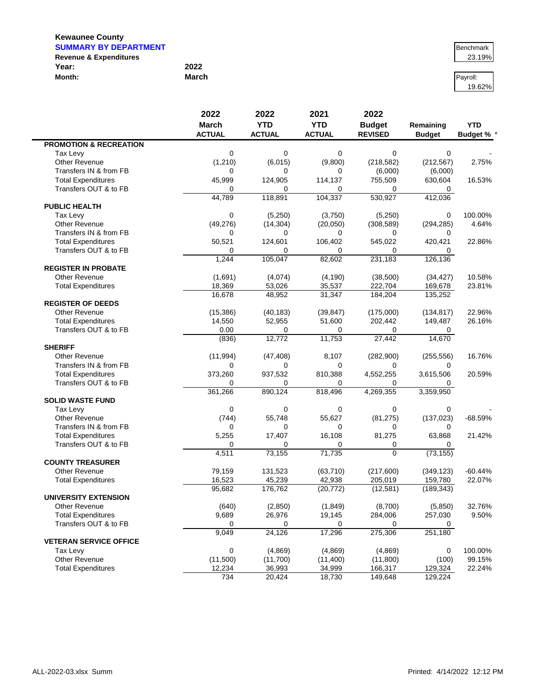| <b>SUMMARY BY DEPARTMENT</b>      | Benchmark |          |
|-----------------------------------|-----------|----------|
| <b>Revenue &amp; Expenditures</b> |           | 23.19%   |
| Year:                             | 2022      |          |
| Month:                            | March     | Pavroll: |

# 19.62%

|                                   | 2022          | 2022          | 2021          | 2022           |               |                   |
|-----------------------------------|---------------|---------------|---------------|----------------|---------------|-------------------|
|                                   | <b>March</b>  | <b>YTD</b>    | <b>YTD</b>    | <b>Budget</b>  | Remaining     | <b>YTD</b>        |
|                                   | <b>ACTUAL</b> | <b>ACTUAL</b> | <b>ACTUAL</b> | <b>REVISED</b> | <b>Budget</b> | <b>Budget % *</b> |
| <b>PROMOTION &amp; RECREATION</b> |               |               |               |                |               |                   |
| Tax Levy                          | 0             | $\Omega$      | 0             | 0              | 0             |                   |
| Other Revenue                     | (1,210)       | (6,015)       | (9,800)       | (218, 582)     | (212, 567)    | 2.75%             |
| Transfers IN & from FB            | 0             | 0             | 0             | (6,000)        | (6,000)       |                   |
| <b>Total Expenditures</b>         | 45,999        | 124,905       | 114,137       | 755,509        | 630,604       | 16.53%            |
| Transfers OUT & to FB             | 0             | 0             | $\Omega$      | 0              | 0             |                   |
|                                   | 44,789        | 118,891       | 104,337       | 530,927        | 412,036       |                   |
| <b>PUBLIC HEALTH</b>              |               |               |               |                |               |                   |
| Tax Levy                          | 0             | (5, 250)      | (3,750)       | (5,250)        | 0             | 100.00%           |
| Other Revenue                     | (49, 276)     | (14, 304)     | (20,050)      | (308, 589)     | (294, 285)    | 4.64%             |
| Transfers IN & from FB            | 0             | 0             | $\Omega$      | 0              | 0             |                   |
| <b>Total Expenditures</b>         | 50,521        | 124,601       | 106,402       | 545,022        | 420,421       | 22.86%            |
| Transfers OUT & to FB             | 0             | 0             | 0             | $\Omega$       | 0             |                   |
|                                   | 1,244         | 105,047       | 82,602        | 231,183        | 126,136       |                   |
| <b>REGISTER IN PROBATE</b>        |               |               |               |                |               |                   |
| <b>Other Revenue</b>              | (1,691)       | (4,074)       | (4, 190)      | (38,500)       | (34, 427)     | 10.58%            |
| <b>Total Expenditures</b>         | 18,369        | 53,026        | 35,537        | 222,704        | 169,678       | 23.81%            |
|                                   | 16,678        | 48,952        | 31,347        | 184,204        | 135,252       |                   |
| <b>REGISTER OF DEEDS</b>          |               |               |               |                |               |                   |
| Other Revenue                     | (15, 386)     | (40, 183)     | (39, 847)     | (175,000)      | (134, 817)    | 22.96%            |
| <b>Total Expenditures</b>         | 14,550        | 52,955        | 51,600        | 202,442        | 149,487       | 26.16%            |
| Transfers OUT & to FB             | 0.00          | $\Omega$      | 0             | 0              | 0             |                   |
|                                   | (836)         | 12,772        | 11,753        | 27,442         | 14,670        |                   |
| <b>SHERIFF</b>                    |               |               |               |                |               |                   |
| Other Revenue                     | (11, 994)     | (47, 408)     | 8,107         | (282,900)      | (255, 556)    | 16.76%            |
| Transfers IN & from FB            | 0             | 0             | $\mathbf 0$   | 0              | 0             |                   |
| <b>Total Expenditures</b>         | 373,260       | 937,532       | 810,388       | 4,552,255      | 3,615,506     | 20.59%            |
| Transfers OUT & to FB             | 0             | 0             | $\Omega$      | 0              | 0             |                   |
|                                   | 361,266       | 890,124       | 818,496       | 4,269,355      | 3,359,950     |                   |
| <b>SOLID WASTE FUND</b>           |               |               |               |                |               |                   |
| Tax Levy                          | 0             | 0             | $\mathbf 0$   | 0              | 0             |                   |
| Other Revenue                     | (744)         | 55,748        | 55,627        | (81, 275)      | (137, 023)    | $-68.59%$         |
| Transfers IN & from FB            | 0             | $\Omega$      | $\mathbf 0$   | 0              | 0             |                   |
| <b>Total Expenditures</b>         | 5,255         | 17,407        | 16,108        | 81,275         | 63,868        | 21.42%            |
| Transfers OUT & to FB             | 0             | 0             | 0             | 0              | 0             |                   |
|                                   | 4,511         | 73,155        | 71,735        | 0              | (73, 155)     |                   |
| <b>COUNTY TREASURER</b>           |               |               |               |                |               |                   |
| <b>Other Revenue</b>              | 79,159        | 131,523       | (63, 710)     | (217,600)      | (349, 123)    | $-60.44%$         |
| <b>Total Expenditures</b>         | 16,523        | 45,239        | 42,938        | 205,019        | 159,780       | 22.07%            |
|                                   | 95,682        | 176,762       | (20, 772)     | (12, 581)      | (189, 343)    |                   |
| <b>UNIVERSITY EXTENSION</b>       |               |               |               |                |               |                   |
| <b>Other Revenue</b>              | (640)         | (2,850)       | (1,849)       | (8,700)        | (5,850)       | 32.76%            |
| <b>Total Expenditures</b>         | 9,689         | 26,976        | 19,145        | 284,006        | 257,030       | 9.50%             |
| Transfers OUT & to FB             | 0             | 0             | 0             | 0              | 0             |                   |
|                                   | 9,049         | 24,126        | 17,296        | 275,306        | 251,180       |                   |
| <b>VETERAN SERVICE OFFICE</b>     |               |               |               |                |               |                   |
| Tax Levy                          | 0             | (4,869)       | (4,869)       | (4,869)        | 0             | 100.00%           |
| Other Revenue                     | (11,500)      | (11,700)      | (11, 400)     | (11,800)       | (100)         | 99.15%            |
| <b>Total Expenditures</b>         | 12,234        | 36,993        | 34,999        | 166,317        | 129,324       | 22.24%            |
|                                   | 734           | 20,424        | 18,730        | 149,648        | 129,224       |                   |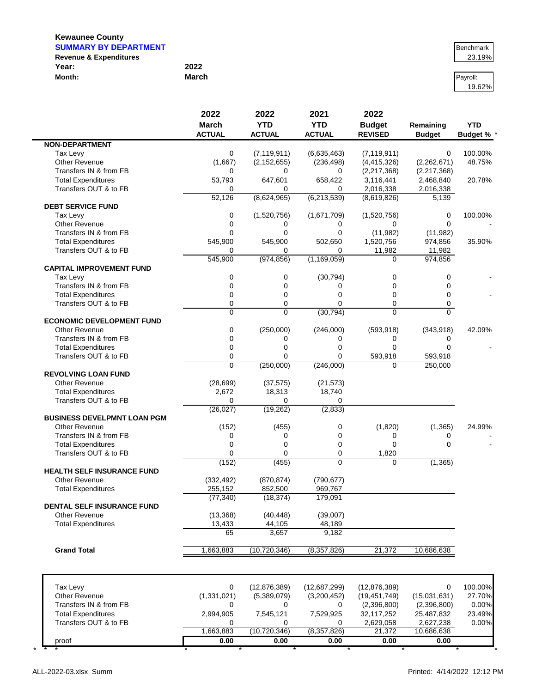| <b>SUMMARY BY DEPARTMENT</b>      | Benchmark |          |
|-----------------------------------|-----------|----------|
| <b>Revenue &amp; Expenditures</b> |           | 23.19%   |
| Year:                             | 2022      |          |
| Month:                            | March     | Pavroll: |

# 19.62%

|                                    | 2022           | 2022           | 2021          | 2022           |               |                 |
|------------------------------------|----------------|----------------|---------------|----------------|---------------|-----------------|
|                                    | <b>March</b>   | <b>YTD</b>     | <b>YTD</b>    | <b>Budget</b>  | Remaining     | <b>YTD</b>      |
|                                    | <b>ACTUAL</b>  | <b>ACTUAL</b>  | <b>ACTUAL</b> | <b>REVISED</b> | <b>Budget</b> | <b>Budget %</b> |
| <b>NON-DEPARTMENT</b>              |                |                |               |                |               |                 |
| Tax Levy                           | 0              | (7, 119, 911)  | (6,635,463)   | (7, 119, 911)  | 0             | 100.00%         |
| <b>Other Revenue</b>               | (1,667)        | (2, 152, 655)  | (236, 498)    | (4, 415, 326)  | (2,262,671)   | 48.75%          |
| Transfers IN & from FB             | 0              | $\Omega$       | 0             | (2, 217, 368)  | (2,217,368)   |                 |
| <b>Total Expenditures</b>          | 53,793         | 647,601        | 658,422       | 3,116,441      | 2,468,840     | 20.78%          |
| Transfers OUT & to FB              | 0              | 0              | 0             | 2,016,338      | 2,016,338     |                 |
|                                    | 52,126         | (8,624,965)    | (6,213,539)   | (8,619,826)    | 5,139         |                 |
| <b>DEBT SERVICE FUND</b>           |                |                |               |                |               |                 |
| Tax Levy                           | 0              | (1,520,756)    | (1,671,709)   | (1,520,756)    | 0             | 100.00%         |
| <b>Other Revenue</b>               | 0              | 0              | 0             | 0              | $\Omega$      |                 |
| Transfers IN & from FB             | 0              | $\Omega$       | $\mathbf 0$   | (11, 982)      | (11,982)      |                 |
| <b>Total Expenditures</b>          | 545,900        | 545,900        | 502,650       | 1,520,756      | 974,856       | 35.90%          |
| Transfers OUT & to FB              | 0              | 0              | $\Omega$      | 11,982         | 11,982        |                 |
|                                    | 545,900        | (974, 856)     | (1, 169, 059) | $\Omega$       | 974,856       |                 |
| <b>CAPITAL IMPROVEMENT FUND</b>    |                |                |               |                |               |                 |
| Tax Levy                           | 0              | 0              | (30, 794)     | 0              | 0             |                 |
| Transfers IN & from FB             | 0              | $\mathbf 0$    | 0             | $\mathbf 0$    | 0             |                 |
| <b>Total Expenditures</b>          | 0              | $\mathbf 0$    | $\mathbf 0$   | 0              | 0             |                 |
| Transfers OUT & to FB              | 0              | $\mathbf 0$    | $\mathbf 0$   | 0              | 0             |                 |
|                                    | 0              | $\Omega$       | (30, 794)     | $\Omega$       | $\Omega$      |                 |
| <b>ECONOMIC DEVELOPMENT FUND</b>   |                |                |               |                |               |                 |
| <b>Other Revenue</b>               | 0              | (250,000)      | (246,000)     | (593, 918)     | (343,918)     | 42.09%          |
| Transfers IN & from FB             | 0              | 0              | 0             | 0              | 0             |                 |
| <b>Total Expenditures</b>          | 0              | $\Omega$       | $\mathbf 0$   | $\mathbf 0$    | $\Omega$      |                 |
| Transfers OUT & to FB              | 0              | $\Omega$       | 0             | 593,918        | 593,918       |                 |
|                                    | $\overline{0}$ | (250,000)      | (246,000)     | $\Omega$       | 250,000       |                 |
| <b>REVOLVING LOAN FUND</b>         |                |                |               |                |               |                 |
| <b>Other Revenue</b>               | (28, 699)      | (37, 575)      | (21, 573)     |                |               |                 |
| <b>Total Expenditures</b>          | 2,672          | 18,313         | 18,740        |                |               |                 |
| Transfers OUT & to FB              | 0              | $\Omega$       | 0             |                |               |                 |
|                                    | (26, 027)      | (19, 262)      | (2,833)       |                |               |                 |
| <b>BUSINESS DEVELPMNT LOAN PGM</b> |                |                |               |                |               |                 |
| <b>Other Revenue</b>               | (152)          | (455)          | 0             | (1,820)        | (1, 365)      | 24.99%          |
| Transfers IN & from FB             | 0              | 0              | 0             | 0              | 0             |                 |
| <b>Total Expenditures</b>          | 0              | $\mathbf 0$    | 0             | $\mathbf 0$    | 0             |                 |
| Transfers OUT & to FB              | 0              | $\Omega$       | $\mathbf 0$   | 1,820          |               |                 |
|                                    | (152)          | (455)          | $\Omega$      | $\mathbf 0$    | (1, 365)      |                 |
| <b>HEALTH SELF INSURANCE FUND</b>  |                |                |               |                |               |                 |
| Other Revenue                      | (332, 492)     | (870, 874)     | (790, 677)    |                |               |                 |
| <b>Total Expenditures</b>          | 255,152        | 852,500        | 969,767       |                |               |                 |
|                                    | (77, 340)      | (18, 374)      | 179,091       |                |               |                 |
| <b>DENTAL SELF INSURANCE FUND</b>  |                |                |               |                |               |                 |
| <b>Other Revenue</b>               | (13, 368)      | (40, 448)      | (39,007)      |                |               |                 |
| <b>Total Expenditures</b>          | 13,433         | 44,105         | 48,189        |                |               |                 |
|                                    | 65             | 3,657          | 9,182         |                |               |                 |
|                                    |                |                |               |                |               |                 |
| <b>Grand Total</b>                 | 1,663,883      | (10, 720, 346) | (8,357,826)   | 21,372         | 10,686,638    |                 |
|                                    |                |                |               |                |               |                 |
|                                    |                |                |               |                |               |                 |
| Tax Levy                           | 0              | (12, 876, 389) | (12,687,299)  | (12, 876, 389) | 0             | 100.00%         |
| Other Revenue                      | (1, 331, 021)  | (5,389,079)    | (3,200,452)   | (19, 451, 749) | (15,031,631)  | 27.70%          |
| Transfers IN & from FB             | 0              | 0              | 0             | (2,396,800)    | (2,396,800)   | 0.00%           |
| <b>Total Expenditures</b>          | 2,994,905      | 7,545,121      | 7,529,925     | 32,117,252     | 25,487,832    | 23.49%          |
| Transfers OUT & to FB              | 0              | 0              | 0             | 2,629,058      | 2,627,238     | 0.00%           |
|                                    | 1,663,883      | (10, 720, 346) | (8,357,826)   | 21,372         | 10,686,638    |                 |

proof **0.00 0.00 0.00 0.00 0.00** \* \* \* \* \* \* \* \* \* \*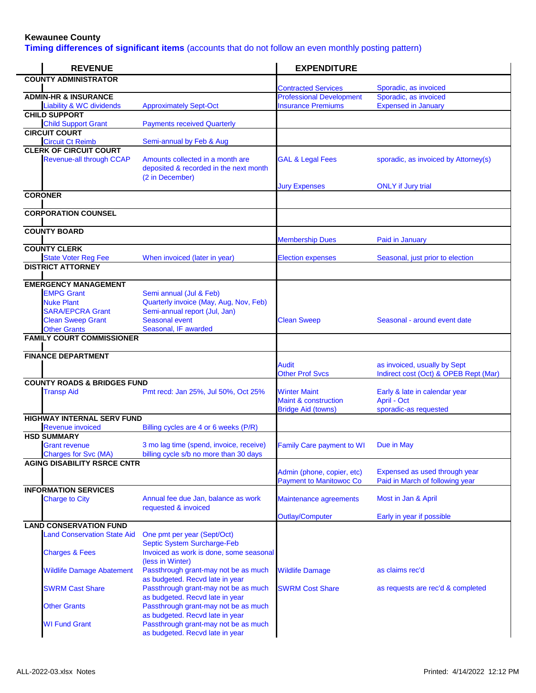**Timing differences of significant items** (accounts that do not follow an even monthly posting pattern)

| <b>REVENUE</b>                                       |                                                                                               | <b>EXPENDITURE</b>                                                                  |                                                                       |
|------------------------------------------------------|-----------------------------------------------------------------------------------------------|-------------------------------------------------------------------------------------|-----------------------------------------------------------------------|
| <b>COUNTY ADMINISTRATOR</b>                          |                                                                                               |                                                                                     |                                                                       |
| <b>ADMIN-HR &amp; INSURANCE</b>                      |                                                                                               | <b>Contracted Services</b><br><b>Professional Development</b>                       | Sporadic, as invoiced<br>Sporadic, as invoiced                        |
| <b>Liability &amp; WC dividends</b>                  | <b>Approximately Sept-Oct</b>                                                                 | <b>Insurance Premiums</b>                                                           | <b>Expensed in January</b>                                            |
| <b>CHILD SUPPORT</b>                                 |                                                                                               |                                                                                     |                                                                       |
| <b>Child Support Grant</b>                           | <b>Payments received Quarterly</b>                                                            |                                                                                     |                                                                       |
| <b>CIRCUIT COURT</b><br><b>Circuit Ct Reimb</b>      | Semi-annual by Feb & Aug                                                                      |                                                                                     |                                                                       |
| <b>CLERK OF CIRCUIT COURT</b>                        |                                                                                               |                                                                                     |                                                                       |
| <b>Revenue-all through CCAP</b>                      | Amounts collected in a month are<br>deposited & recorded in the next month<br>(2 in December) | <b>GAL &amp; Legal Fees</b>                                                         | sporadic, as invoiced by Attorney(s)                                  |
| <b>CORONER</b>                                       |                                                                                               | <b>Jury Expenses</b>                                                                | <b>ONLY</b> if Jury trial                                             |
|                                                      |                                                                                               |                                                                                     |                                                                       |
| <b>CORPORATION COUNSEL</b>                           |                                                                                               |                                                                                     |                                                                       |
| <b>COUNTY BOARD</b>                                  |                                                                                               | <b>Membership Dues</b>                                                              | Paid in January                                                       |
| <b>COUNTY CLERK</b>                                  |                                                                                               |                                                                                     |                                                                       |
| <b>State Voter Reg Fee</b>                           | When invoiced (later in year)                                                                 | <b>Election expenses</b>                                                            | Seasonal, just prior to election                                      |
| <b>DISTRICT ATTORNEY</b>                             |                                                                                               |                                                                                     |                                                                       |
| <b>EMERGENCY MANAGEMENT</b>                          |                                                                                               |                                                                                     |                                                                       |
| <b>EMPG Grant</b>                                    | Semi annual (Jul & Feb)                                                                       |                                                                                     |                                                                       |
| <b>Nuke Plant</b>                                    | Quarterly invoice (May, Aug, Nov, Feb)                                                        |                                                                                     |                                                                       |
| <b>SARA/EPCRA Grant</b><br><b>Clean Sweep Grant</b>  | Semi-annual report (Jul, Jan)<br><b>Seasonal event</b>                                        | <b>Clean Sweep</b>                                                                  | Seasonal - around event date                                          |
| <b>Other Grants</b>                                  | Seasonal, IF awarded                                                                          |                                                                                     |                                                                       |
| <b>FAMILY COURT COMMISSIONER</b>                     |                                                                                               |                                                                                     |                                                                       |
| <b>FINANCE DEPARTMENT</b>                            |                                                                                               |                                                                                     |                                                                       |
|                                                      |                                                                                               | <b>Audit</b><br><b>Other Prof Svcs</b>                                              | as invoiced, usually by Sept<br>Indirect cost (Oct) & OPEB Rept (Mar) |
| <b>COUNTY ROADS &amp; BRIDGES FUND</b>               |                                                                                               |                                                                                     |                                                                       |
| <b>Transp Aid</b>                                    | Pmt recd: Jan 25%, Jul 50%, Oct 25%                                                           | <b>Winter Maint</b><br><b>Maint &amp; construction</b><br><b>Bridge Aid (towns)</b> | Early & late in calendar year<br>April - Oct<br>sporadic-as requested |
| <b>HIGHWAY INTERNAL SERV FUND</b>                    |                                                                                               |                                                                                     |                                                                       |
| <b>Revenue invoiced</b>                              | Billing cycles are 4 or 6 weeks (P/R)                                                         |                                                                                     |                                                                       |
| <b>HSD SUMMARY</b>                                   |                                                                                               |                                                                                     |                                                                       |
| <b>Grant revenue</b><br><b>Charges for Svc (MA)</b>  | 3 mo lag time (spend, invoice, receive)<br>billing cycle s/b no more than 30 days             | <b>Family Care payment to WI</b>                                                    | Due in May                                                            |
| <b>AGING DISABILITY RSRCE CNTR</b>                   |                                                                                               |                                                                                     |                                                                       |
|                                                      |                                                                                               | Admin (phone, copier, etc)<br><b>Payment to Manitowoc Co</b>                        | Expensed as used through year<br>Paid in March of following year      |
| <b>INFORMATION SERVICES</b><br><b>Charge to City</b> | Annual fee due Jan, balance as work                                                           | Maintenance agreements                                                              | Most in Jan & April                                                   |
|                                                      | requested & invoiced                                                                          | <b>Outlay/Computer</b>                                                              | Early in year if possible                                             |
| <b>LAND CONSERVATION FUND</b>                        |                                                                                               |                                                                                     |                                                                       |
| <b>Land Conservation State Aid</b>                   | One pmt per year (Sept/Oct)<br>Septic System Surcharge-Feb                                    |                                                                                     |                                                                       |
| <b>Charges &amp; Fees</b>                            | Invoiced as work is done, some seasonal<br>(less in Winter)                                   |                                                                                     |                                                                       |
| <b>Wildlife Damage Abatement</b>                     | Passthrough grant-may not be as much<br>as budgeted. Recvd late in year                       | <b>Wildlife Damage</b>                                                              | as claims rec'd                                                       |
| <b>SWRM Cast Share</b>                               | Passthrough grant-may not be as much<br>as budgeted. Recvd late in year                       | <b>SWRM Cost Share</b>                                                              | as requests are rec'd & completed                                     |
| <b>Other Grants</b>                                  | Passthrough grant-may not be as much<br>as budgeted. Recvd late in year                       |                                                                                     |                                                                       |
| <b>WI Fund Grant</b>                                 | Passthrough grant-may not be as much<br>as budgeted. Recvd late in year                       |                                                                                     |                                                                       |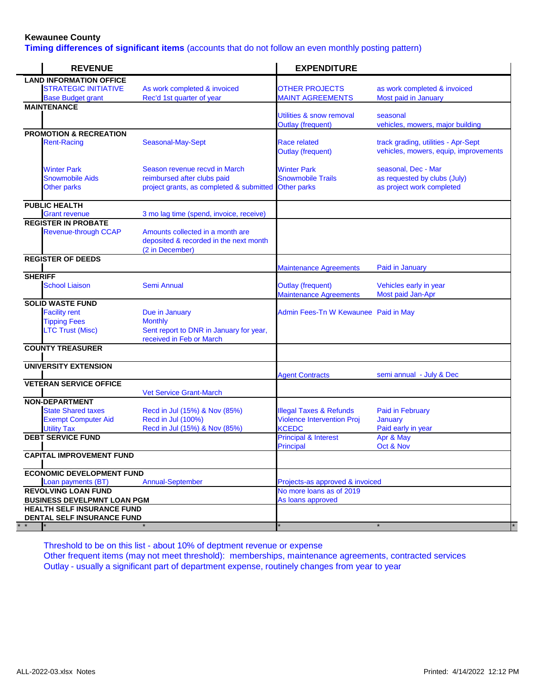**Timing differences of significant items** (accounts that do not follow an even monthly posting pattern)

| <b>REVENUE</b>                                   |                                                                                               | <b>EXPENDITURE</b>                                          |                                                                              |
|--------------------------------------------------|-----------------------------------------------------------------------------------------------|-------------------------------------------------------------|------------------------------------------------------------------------------|
| <b>LAND INFORMATION OFFICE</b>                   |                                                                                               |                                                             |                                                                              |
| <b>STRATEGIC INITIATIVE</b>                      | As work completed & invoiced                                                                  | <b>OTHER PROJECTS</b>                                       | as work completed & invoiced                                                 |
| <b>Base Budget grant</b>                         | Rec'd 1st quarter of year                                                                     | <b>MAINT AGREEMENTS</b>                                     | Most paid in January                                                         |
| <b>MAINTENANCE</b>                               |                                                                                               |                                                             |                                                                              |
|                                                  |                                                                                               | Utilities & snow removal                                    | seasonal                                                                     |
|                                                  |                                                                                               | <b>Outlay (frequent)</b>                                    | vehicles, mowers, major building                                             |
| <b>PROMOTION &amp; RECREATION</b>                |                                                                                               |                                                             |                                                                              |
| <b>Rent-Racing</b>                               | Seasonal-May-Sept                                                                             | Race related<br><b>Outlay (frequent)</b>                    | track grading, utilities - Apr-Sept<br>vehicles, mowers, equip, improvements |
| <b>Winter Park</b>                               | Season revenue recvd in March                                                                 | <b>Winter Park</b>                                          | seasonal, Dec - Mar                                                          |
| <b>Snowmobile Aids</b>                           | reimbursed after clubs paid                                                                   | <b>Snowmobile Trails</b>                                    | as requested by clubs (July)                                                 |
| <b>Other parks</b>                               | project grants, as completed & submitted Other parks                                          |                                                             | as project work completed                                                    |
| <b>PUBLIC HEALTH</b>                             |                                                                                               |                                                             |                                                                              |
| <b>Grant revenue</b>                             | 3 mo lag time (spend, invoice, receive)                                                       |                                                             |                                                                              |
| <b>REGISTER IN PROBATE</b>                       |                                                                                               |                                                             |                                                                              |
| <b>Revenue-through CCAP</b>                      | Amounts collected in a month are<br>deposited & recorded in the next month<br>(2 in December) |                                                             |                                                                              |
| <b>REGISTER OF DEEDS</b>                         |                                                                                               |                                                             |                                                                              |
|                                                  |                                                                                               | <b>Maintenance Agreements</b>                               | Paid in January                                                              |
| <b>SHERIFF</b><br><b>School Liaison</b>          | <b>Semi Annual</b>                                                                            | <b>Outlay (frequent)</b><br><b>Maintenance Agreements</b>   | Vehicles early in year<br>Most paid Jan-Apr                                  |
| <b>SOLID WASTE FUND</b>                          |                                                                                               |                                                             |                                                                              |
| <b>Facility rent</b>                             | Due in January                                                                                | Admin Fees-Tn W Kewaunee Paid in May                        |                                                                              |
| <b>Tipping Fees</b>                              | <b>Monthly</b>                                                                                |                                                             |                                                                              |
| <b>LTC Trust (Misc)</b>                          | Sent report to DNR in January for year,<br>received in Feb or March                           |                                                             |                                                                              |
| <b>COUNTY TREASURER</b>                          |                                                                                               |                                                             |                                                                              |
| <b>UNIVERSITY EXTENSION</b>                      |                                                                                               |                                                             |                                                                              |
|                                                  |                                                                                               | <b>Agent Contracts</b>                                      | semi annual - July & Dec                                                     |
| <b>VETERAN SERVICE OFFICE</b>                    | <b>Vet Service Grant-March</b>                                                                |                                                             |                                                                              |
| <b>NON-DEPARTMENT</b>                            |                                                                                               |                                                             |                                                                              |
| <b>State Shared taxes</b>                        | Recd in Jul (15%) & Nov (85%)                                                                 | <b>Illegal Taxes &amp; Refunds</b>                          | <b>Paid in February</b>                                                      |
| <b>Exempt Computer Aid</b>                       | Recd in Jul (100%)                                                                            | <b>Violence Intervention Proj</b>                           | <b>January</b>                                                               |
| <b>Utility Tax</b>                               | Recd in Jul (15%) & Nov (85%)                                                                 | <b>KCEDC</b>                                                | Paid early in year                                                           |
| <b>DEBT SERVICE FUND</b>                         |                                                                                               | <b>Principal &amp; Interest</b>                             | Apr & May                                                                    |
|                                                  |                                                                                               | <b>Principal</b>                                            | Oct & Nov                                                                    |
| <b>CAPITAL IMPROVEMENT FUND</b>                  |                                                                                               |                                                             |                                                                              |
| <b>ECONOMIC DEVELOPMENT FUND</b>                 |                                                                                               |                                                             |                                                                              |
|                                                  |                                                                                               |                                                             |                                                                              |
| Loan payments (BT)<br><b>REVOLVING LOAN FUND</b> | <b>Annual-September</b>                                                                       | Projects-as approved & invoiced<br>No more loans as of 2019 |                                                                              |
| <b>BUSINESS DEVELPMNT LOAN PGM</b>               |                                                                                               | As loans approved                                           |                                                                              |
| <b>HEALTH SELF INSURANCE FUND</b>                |                                                                                               |                                                             |                                                                              |
| DENTAL SELF INSURANCE FUND                       |                                                                                               |                                                             |                                                                              |
|                                                  |                                                                                               |                                                             |                                                                              |

Threshold to be on this list - about 10% of deptment revenue or expense Other frequent items (may not meet threshold): memberships, maintenance agreements, contracted services Outlay - usually a significant part of department expense, routinely changes from year to year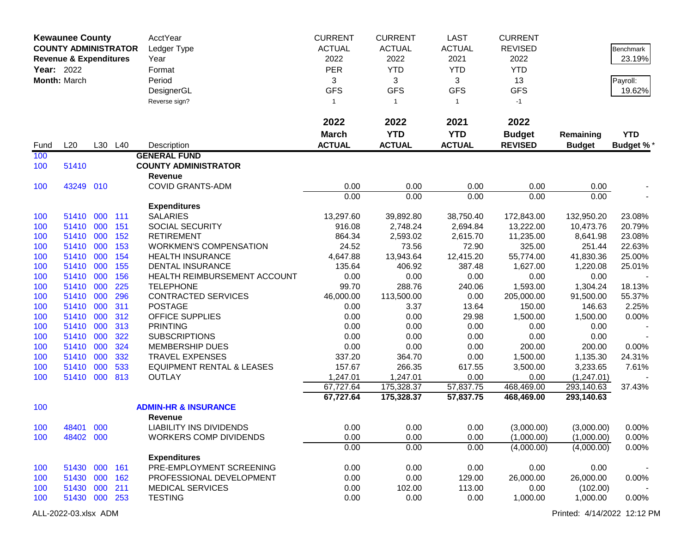|      | <b>Kewaunee County</b>            |     |         | AcctYear                             | <b>CURRENT</b> | <b>CURRENT</b> | LAST          | <b>CURRENT</b> |               |                  |
|------|-----------------------------------|-----|---------|--------------------------------------|----------------|----------------|---------------|----------------|---------------|------------------|
|      | <b>COUNTY ADMINISTRATOR</b>       |     |         | Ledger Type                          | <b>ACTUAL</b>  | <b>ACTUAL</b>  | <b>ACTUAL</b> | <b>REVISED</b> |               | <b>Benchmark</b> |
|      | <b>Revenue &amp; Expenditures</b> |     |         | Year                                 | 2022           | 2022           | 2021          | 2022           |               | 23.19%           |
|      | <b>Year: 2022</b>                 |     |         | Format                               | <b>PER</b>     | <b>YTD</b>     | <b>YTD</b>    | <b>YTD</b>     |               |                  |
|      | Month: March                      |     |         | Period                               | 3              | 3              | 3             | 13             |               | Payroll:         |
|      |                                   |     |         | DesignerGL                           | <b>GFS</b>     | <b>GFS</b>     | <b>GFS</b>    | <b>GFS</b>     |               | 19.62%           |
|      |                                   |     |         |                                      |                |                |               |                |               |                  |
|      |                                   |     |         | Reverse sign?                        | $\mathbf{1}$   | $\mathbf{1}$   | $\mathbf{1}$  | $-1$           |               |                  |
|      |                                   |     |         |                                      | 2022           | 2022           | 2021          | 2022           |               |                  |
|      |                                   |     |         |                                      | <b>March</b>   | <b>YTD</b>     | <b>YTD</b>    | <b>Budget</b>  | Remaining     | <b>YTD</b>       |
| Fund | L20                               |     | L30 L40 | Description                          | <b>ACTUAL</b>  | <b>ACTUAL</b>  | <b>ACTUAL</b> | <b>REVISED</b> | <b>Budget</b> | Budget %*        |
| 100  |                                   |     |         | <b>GENERAL FUND</b>                  |                |                |               |                |               |                  |
| 100  | 51410                             |     |         | <b>COUNTY ADMINISTRATOR</b>          |                |                |               |                |               |                  |
|      |                                   |     |         | Revenue                              |                |                |               |                |               |                  |
| 100  | 43249 010                         |     |         | <b>COVID GRANTS-ADM</b>              | 0.00           | 0.00           | 0.00          | 0.00           | 0.00          |                  |
|      |                                   |     |         |                                      | 0.00           | 0.00           | 0.00          | 0.00           | 0.00          |                  |
|      |                                   |     |         | <b>Expenditures</b>                  |                |                |               |                |               |                  |
| 100  | 51410                             | 000 | 111     | <b>SALARIES</b>                      | 13,297.60      | 39,892.80      | 38,750.40     | 172,843.00     | 132,950.20    | 23.08%           |
| 100  | 51410 000                         |     | 151     | SOCIAL SECURITY                      | 916.08         | 2,748.24       | 2,694.84      | 13,222.00      | 10,473.76     | 20.79%           |
| 100  | 51410 000                         |     | 152     | <b>RETIREMENT</b>                    | 864.34         | 2,593.02       | 2,615.70      | 11,235.00      | 8,641.98      | 23.08%           |
| 100  | 51410                             | 000 | 153     | <b>WORKMEN'S COMPENSATION</b>        | 24.52          | 73.56          | 72.90         | 325.00         | 251.44        | 22.63%           |
| 100  | 51410                             | 000 | 154     | <b>HEALTH INSURANCE</b>              | 4,647.88       | 13,943.64      | 12,415.20     | 55,774.00      | 41,830.36     | 25.00%           |
| 100  | 51410                             | 000 | 155     | <b>DENTAL INSURANCE</b>              | 135.64         | 406.92         | 387.48        | 1,627.00       | 1,220.08      | 25.01%           |
| 100  | 51410                             | 000 | 156     | HEALTH REIMBURSEMENT ACCOUNT         | 0.00           | 0.00           | 0.00          | 0.00           | 0.00          |                  |
| 100  | 51410 000                         |     | 225     | <b>TELEPHONE</b>                     | 99.70          | 288.76         | 240.06        | 1,593.00       | 1,304.24      | 18.13%           |
| 100  | 51410                             | 000 | 296     | <b>CONTRACTED SERVICES</b>           | 46,000.00      | 113,500.00     | 0.00          | 205,000.00     | 91,500.00     | 55.37%           |
| 100  | 51410                             | 000 | 311     | <b>POSTAGE</b>                       | 0.00           | 3.37           | 13.64         | 150.00         | 146.63        | 2.25%            |
| 100  | 51410                             | 000 | 312     | OFFICE SUPPLIES                      | 0.00           | 0.00           | 29.98         | 1,500.00       | 1,500.00      | 0.00%            |
| 100  | 51410                             | 000 | 313     | <b>PRINTING</b>                      | 0.00           | 0.00           | 0.00          | 0.00           | 0.00          |                  |
| 100  | 51410                             | 000 | 322     | <b>SUBSCRIPTIONS</b>                 | 0.00           | 0.00           | 0.00          | 0.00           | 0.00          |                  |
| 100  | 51410                             | 000 | 324     | <b>MEMBERSHIP DUES</b>               | 0.00           | 0.00           | 0.00          | 200.00         | 200.00        | 0.00%            |
| 100  | 51410                             | 000 | 332     | <b>TRAVEL EXPENSES</b>               | 337.20         | 364.70         | 0.00          | 1,500.00       | 1,135.30      | 24.31%           |
| 100  | 51410                             | 000 | 533     | <b>EQUIPMENT RENTAL &amp; LEASES</b> | 157.67         | 266.35         | 617.55        | 3,500.00       | 3,233.65      | 7.61%            |
| 100  | 51410                             | 000 | 813     | <b>OUTLAY</b>                        | 1,247.01       | 1,247.01       | 0.00          | 0.00           | (1,247.01)    |                  |
|      |                                   |     |         |                                      | 67,727.64      | 175,328.37     | 57,837.75     | 468,469.00     | 293,140.63    | 37.43%           |
|      |                                   |     |         |                                      | 67,727.64      | 175,328.37     | 57,837.75     | 468,469.00     | 293,140.63    |                  |
| 100  |                                   |     |         | <b>ADMIN-HR &amp; INSURANCE</b>      |                |                |               |                |               |                  |
|      |                                   |     |         | <b>Revenue</b>                       |                |                |               |                |               |                  |
| 100  | 48401 000                         |     |         | <b>LIABILITY INS DIVIDENDS</b>       | 0.00           | 0.00           | 0.00          | (3,000.00)     | (3,000.00)    | 0.00%            |
| 100  | 48402 000                         |     |         | <b>WORKERS COMP DIVIDENDS</b>        | 0.00           | 0.00           | 0.00          | (1,000.00)     | (1,000.00)    | 0.00%            |
|      |                                   |     |         |                                      | 0.00           | 0.00           | 0.00          | (4,000.00)     | (4,000.00)    | 0.00%            |
|      |                                   |     |         | <b>Expenditures</b>                  |                |                |               |                |               |                  |
| 100  | 51430 000 161                     |     |         | PRE-EMPLOYMENT SCREENING             | 0.00           | 0.00           | 0.00          | 0.00           | 0.00          |                  |
| 100  | 51430 000 162                     |     |         | PROFESSIONAL DEVELOPMENT             | 0.00           | 0.00           | 129.00        | 26,000.00      | 26,000.00     | 0.00%            |
| 100  | 51430 000                         |     | 211     | <b>MEDICAL SERVICES</b>              | 0.00           | 102.00         | 113.00        | 0.00           | (102.00)      |                  |
| 100  | 51430 000 253                     |     |         | <b>TESTING</b>                       | 0.00           | 0.00           | 0.00          | 1,000.00       | 1,000.00      | 0.00%            |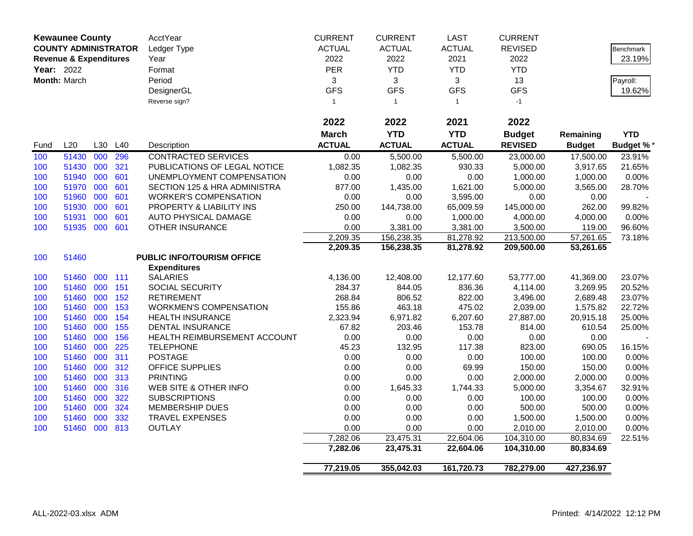|            | <b>Kewaunee County</b>            |            |            | AcctYear                                                | <b>CURRENT</b>    | <b>CURRENT</b>     | <b>LAST</b>        | <b>CURRENT</b>      |                     |                  |
|------------|-----------------------------------|------------|------------|---------------------------------------------------------|-------------------|--------------------|--------------------|---------------------|---------------------|------------------|
|            | <b>COUNTY ADMINISTRATOR</b>       |            |            | Ledger Type                                             | <b>ACTUAL</b>     | <b>ACTUAL</b>      | <b>ACTUAL</b>      | <b>REVISED</b>      |                     | Benchmark        |
|            | <b>Revenue &amp; Expenditures</b> |            |            | Year                                                    | 2022              | 2022               | 2021               | 2022                |                     | 23.19%           |
| Year: 2022 |                                   |            |            | Format                                                  | PER               | <b>YTD</b>         | <b>YTD</b>         | <b>YTD</b>          |                     |                  |
|            | Month: March                      |            |            | Period                                                  | 3                 | 3                  | 3                  | 13                  |                     | Payroll:         |
|            |                                   |            |            | DesignerGL                                              | <b>GFS</b>        | <b>GFS</b>         | <b>GFS</b>         | <b>GFS</b>          |                     | 19.62%           |
|            |                                   |            |            | Reverse sign?                                           | $\mathbf{1}$      | $\mathbf{1}$       | $\mathbf{1}$       | $-1$                |                     |                  |
|            |                                   |            |            |                                                         |                   |                    |                    |                     |                     |                  |
|            |                                   |            |            |                                                         | 2022              | 2022               | 2021               | 2022                |                     |                  |
|            |                                   |            |            |                                                         | <b>March</b>      | <b>YTD</b>         | <b>YTD</b>         | <b>Budget</b>       | Remaining           | <b>YTD</b>       |
| Fund       | L20                               | L30        | L40        | Description                                             | <b>ACTUAL</b>     | <b>ACTUAL</b>      | <b>ACTUAL</b>      | <b>REVISED</b>      | <b>Budget</b>       | <b>Budget %</b>  |
| 100        | 51430                             | 000        | 296        | <b>CONTRACTED SERVICES</b>                              | 0.00              | 5,500.00           | 5,500.00           | 23,000.00           | 17,500.00           | 23.91%           |
| 100        | 51430                             | 000        | 321        | PUBLICATIONS OF LEGAL NOTICE                            | 1,082.35          | 1,082.35           | 930.33             | 5,000.00            | 3,917.65            | 21.65%           |
| 100        | 51940                             | 000        | 601        | UNEMPLOYMENT COMPENSATION                               | 0.00              | 0.00               | 0.00               | 1,000.00            | 1,000.00            | 0.00%            |
| 100        | 51970                             | 000        | 601        | SECTION 125 & HRA ADMINISTRA                            | 877.00            | 1,435.00           | 1,621.00           | 5,000.00            | 3,565.00            | 28.70%           |
| 100        | 51960                             | 000        | 601        | <b>WORKER'S COMPENSATION</b>                            | 0.00              | 0.00               | 3,595.00           | 0.00                | 0.00                |                  |
| 100        | 51930                             | 000        | 601        | PROPERTY & LIABILITY INS                                | 250.00            | 144,738.00         | 65,009.59          | 145,000.00          | 262.00              | 99.82%           |
| 100        | 51931                             | 000        | 601        | AUTO PHYSICAL DAMAGE                                    | 0.00              | 0.00               | 1,000.00           | 4,000.00            | 4,000.00            | 0.00%            |
| 100        | 51935 000 601                     |            |            | OTHER INSURANCE                                         | 0.00              | 3,381.00           | 3,381.00           | 3,500.00            | 119.00              | 96.60%           |
|            |                                   |            |            |                                                         | 2,209.35          | 156,238.35         | 81,278.92          | 213,500.00          | 57,261.65           | 73.18%           |
|            |                                   |            |            |                                                         | 2,209.35          | 156,238.35         | 81,278.92          | 209,500.00          | 53,261.65           |                  |
| 100        | 51460                             |            |            | PUBLIC INFO/TOURISM OFFICE                              |                   |                    |                    |                     |                     |                  |
|            |                                   |            |            | <b>Expenditures</b>                                     |                   |                    |                    |                     |                     |                  |
| 100        | 51460                             | 000 111    |            | <b>SALARIES</b>                                         | 4,136.00          | 12,408.00          | 12,177.60          | 53,777.00           | 41,369.00           | 23.07%           |
| 100        | 51460 000                         |            | 151        | SOCIAL SECURITY                                         | 284.37            | 844.05             | 836.36             | 4,114.00            | 3,269.95            | 20.52%           |
| 100        | 51460                             | 000        | 152        | <b>RETIREMENT</b>                                       | 268.84            | 806.52             | 822.00             | 3,496.00            | 2,689.48            | 23.07%           |
| 100        | 51460                             | 000        | 153        | <b>WORKMEN'S COMPENSATION</b>                           | 155.86            | 463.18             | 475.02             | 2,039.00            | 1,575.82            | 22.72%           |
| 100        | 51460<br>51460                    | 000<br>000 | 154<br>155 | <b>HEALTH INSURANCE</b>                                 | 2,323.94<br>67.82 | 6,971.82<br>203.46 | 6,207.60<br>153.78 | 27,887.00<br>814.00 | 20,915.18<br>610.54 | 25.00%<br>25.00% |
| 100<br>100 | 51460                             | 000        | 156        | <b>DENTAL INSURANCE</b><br>HEALTH REIMBURSEMENT ACCOUNT | 0.00              | 0.00               | 0.00               | 0.00                | 0.00                |                  |
| 100        | 51460                             | 000        | 225        | <b>TELEPHONE</b>                                        | 45.23             | 132.95             | 117.38             | 823.00              | 690.05              | 16.15%           |
| 100        | 51460                             | 000        | 311        | <b>POSTAGE</b>                                          | 0.00              | 0.00               | 0.00               | 100.00              | 100.00              | 0.00%            |
| 100        | 51460                             | 000        | 312        | <b>OFFICE SUPPLIES</b>                                  | 0.00              | 0.00               | 69.99              | 150.00              | 150.00              | 0.00%            |
| 100        | 51460                             | 000        | 313        | <b>PRINTING</b>                                         | 0.00              | 0.00               | 0.00               | 2,000.00            | 2,000.00            | 0.00%            |
| 100        | 51460                             | 000        | 316        | WEB SITE & OTHER INFO                                   | 0.00              | 1,645.33           | 1,744.33           | 5,000.00            | 3,354.67            | 32.91%           |
| 100        | 51460                             | 000        | 322        | <b>SUBSCRIPTIONS</b>                                    | 0.00              | 0.00               | 0.00               | 100.00              | 100.00              | 0.00%            |
| 100        | 51460                             | 000        | 324        | MEMBERSHIP DUES                                         | 0.00              | 0.00               | 0.00               | 500.00              | 500.00              | 0.00%            |
| 100        | 51460                             | 000        | 332        | <b>TRAVEL EXPENSES</b>                                  | 0.00              | 0.00               | 0.00               | 1,500.00            | 1,500.00            | 0.00%            |
| 100        | 51460                             | 000        | 813        | <b>OUTLAY</b>                                           | 0.00              | 0.00               | 0.00               | 2,010.00            | 2,010.00            | 0.00%            |
|            |                                   |            |            |                                                         | 7,282.06          | 23,475.31          | 22,604.06          | 104,310.00          | 80,834.69           | 22.51%           |
|            |                                   |            |            |                                                         | 7,282.06          | 23,475.31          | 22,604.06          | 104,310.00          | 80,834.69           |                  |
|            |                                   |            |            |                                                         |                   |                    |                    |                     |                     |                  |
|            |                                   |            |            |                                                         | 77,219.05         | 355,042.03         | 161,720.73         | 782,279.00          | 427,236.97          |                  |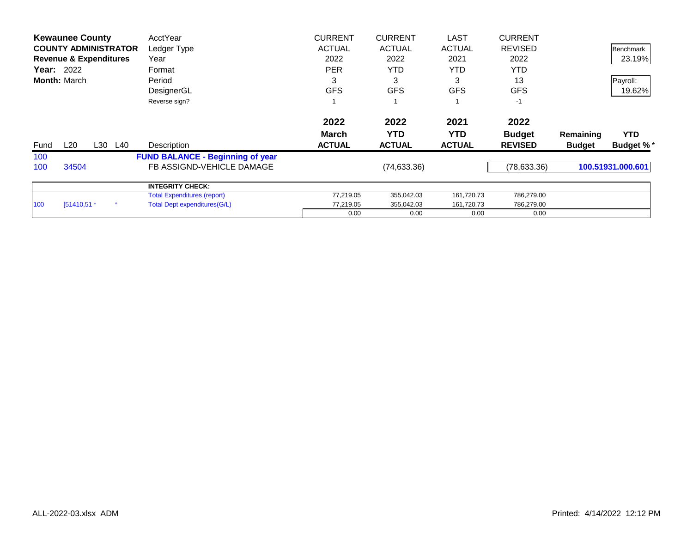|      | <b>Kewaunee County</b>            |         | AcctYear                                | <b>CURRENT</b> | <b>CURRENT</b> | <b>LAST</b>   | <b>CURRENT</b> |               |                   |
|------|-----------------------------------|---------|-----------------------------------------|----------------|----------------|---------------|----------------|---------------|-------------------|
|      | <b>COUNTY ADMINISTRATOR</b>       |         | Ledger Type                             | <b>ACTUAL</b>  | <b>ACTUAL</b>  | <b>ACTUAL</b> | <b>REVISED</b> |               | <b>Benchmark</b>  |
|      | <b>Revenue &amp; Expenditures</b> |         | Year                                    | 2022           | 2022           | 2021          | 2022           |               | 23.19%            |
|      | Year: 2022                        |         | Format                                  | <b>PER</b>     | <b>YTD</b>     | YTD.          | <b>YTD</b>     |               |                   |
|      | <b>Month: March</b>               |         | Period                                  | 3              | 3              | 3             | 13             |               | Payroll:          |
|      |                                   |         | DesignerGL                              | <b>GFS</b>     | <b>GFS</b>     | <b>GFS</b>    | <b>GFS</b>     |               | 19.62%            |
|      |                                   |         | Reverse sign?                           |                |                |               | $-1$           |               |                   |
|      |                                   |         |                                         | 2022           | 2022           | 2021          | 2022           |               |                   |
|      |                                   |         |                                         | <b>March</b>   | <b>YTD</b>     | <b>YTD</b>    | <b>Budget</b>  | Remaining     | <b>YTD</b>        |
| Fund | L20                               | L30 L40 | Description                             | <b>ACTUAL</b>  | <b>ACTUAL</b>  | <b>ACTUAL</b> | <b>REVISED</b> | <b>Budget</b> | <b>Budget %*</b>  |
| 100  |                                   |         | <b>FUND BALANCE - Beginning of year</b> |                |                |               |                |               |                   |
| 100  | 34504                             |         | FB ASSIGND-VEHICLE DAMAGE               |                | (74, 633.36)   |               | (78, 633.36)   |               | 100.51931.000.601 |
|      |                                   |         | <b>INTEGRITY CHECK:</b>                 |                |                |               |                |               |                   |
|      |                                   |         | <b>Total Expenditures (report)</b>      | 77,219.05      | 355,042.03     | 161,720.73    | 786,279.00     |               |                   |
| 100  | $[51410,51.*$                     |         | Total Dept expenditures (G/L)           | 77,219.05      | 355,042.03     | 161,720.73    | 786,279.00     |               |                   |
|      |                                   |         |                                         | 0.00           | 0.00           | 0.00          | 0.00           |               |                   |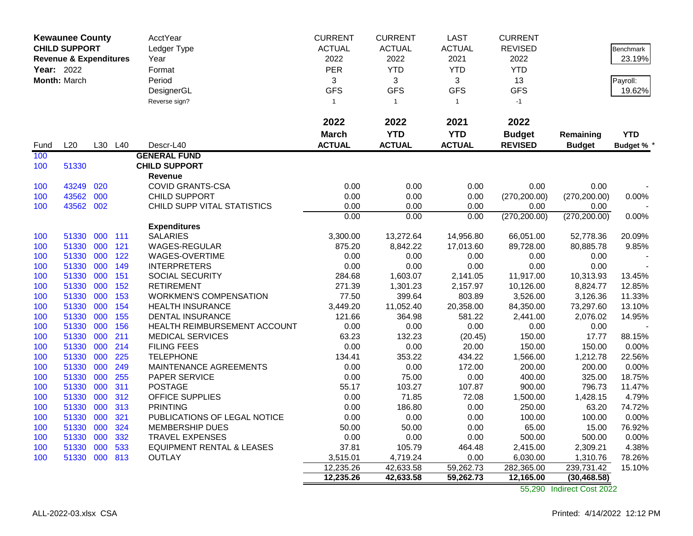|            | <b>Kewaunee County</b><br><b>CHILD SUPPORT</b> | AcctYear | <b>CURRENT</b> | <b>CURRENT</b>                       | <b>LAST</b>   | <b>CURRENT</b> |                        |                |               |                  |
|------------|------------------------------------------------|----------|----------------|--------------------------------------|---------------|----------------|------------------------|----------------|---------------|------------------|
|            |                                                |          |                | Ledger Type                          | <b>ACTUAL</b> | <b>ACTUAL</b>  | <b>ACTUAL</b>          | <b>REVISED</b> |               | <b>Benchmark</b> |
|            | <b>Revenue &amp; Expenditures</b>              |          |                | Year                                 | 2022          | 2022           | 2021                   | 2022           |               | 23.19%           |
| Year: 2022 |                                                |          |                | Format                               | PER           | <b>YTD</b>     | <b>YTD</b>             | <b>YTD</b>     |               |                  |
|            | Month: March                                   |          |                | Period                               | 3             | 3              | 3                      | 13             |               | Payroll:         |
|            |                                                |          |                | DesignerGL                           | <b>GFS</b>    | <b>GFS</b>     | <b>GFS</b>             | <b>GFS</b>     |               | 19.62%           |
|            |                                                |          |                | Reverse sign?                        | $\mathbf{1}$  | $\overline{1}$ | $\mathbf{1}$           | $-1$           |               |                  |
|            |                                                |          |                |                                      |               |                |                        |                |               |                  |
|            |                                                |          |                |                                      | 2022          | 2022           | 2021                   | 2022           |               |                  |
|            |                                                |          |                |                                      | <b>March</b>  | <b>YTD</b>     | <b>YTD</b>             | <b>Budget</b>  | Remaining     | <b>YTD</b>       |
| Fund       | L20                                            | L30      | L40            | Descr-L40                            | <b>ACTUAL</b> | <b>ACTUAL</b>  | <b>ACTUAL</b>          | <b>REVISED</b> | <b>Budget</b> | <b>Budget %</b>  |
| 100        |                                                |          |                | <b>GENERAL FUND</b>                  |               |                |                        |                |               |                  |
| 100        | 51330                                          |          |                | <b>CHILD SUPPORT</b>                 |               |                |                        |                |               |                  |
|            |                                                |          |                | Revenue                              |               |                |                        |                |               |                  |
| 100        | 43249                                          | 020      |                | <b>COVID GRANTS-CSA</b>              | 0.00          | 0.00           | 0.00                   | 0.00           | 0.00          |                  |
| 100        | 43562                                          | 000      |                | <b>CHILD SUPPORT</b>                 | 0.00          | 0.00           | 0.00                   | (270, 200.00)  | (270, 200.00) | 0.00%            |
| 100        | 43562 002                                      |          |                | CHILD SUPP VITAL STATISTICS          | 0.00          | 0.00           | 0.00                   | 0.00           | 0.00          |                  |
|            |                                                |          |                |                                      | 0.00          | 0.00           | 0.00                   | (270, 200.00)  | (270, 200.00) | 0.00%            |
|            |                                                |          |                | <b>Expenditures</b>                  |               |                |                        |                |               |                  |
| 100        | 51330                                          | 000 111  |                | <b>SALARIES</b>                      | 3,300.00      | 13,272.64      | 14,956.80              | 66,051.00      | 52,778.36     | 20.09%           |
| 100        | 51330                                          | 000      | 121            | WAGES-REGULAR                        | 875.20        | 8,842.22       | 17,013.60              | 89,728.00      | 80,885.78     | 9.85%            |
| 100        | 51330                                          | 000      | 122            | WAGES-OVERTIME                       | 0.00          | 0.00           | 0.00                   | 0.00           | 0.00          |                  |
| 100        | 51330                                          | 000      | 149            | <b>INTERPRETERS</b>                  | 0.00          | 0.00           | 0.00                   | 0.00           | 0.00          |                  |
| 100        | 51330 000                                      |          | 151            | SOCIAL SECURITY                      | 284.68        | 1,603.07       | 2,141.05               | 11,917.00      | 10,313.93     | 13.45%           |
| 100        | 51330                                          | 000      | 152            | <b>RETIREMENT</b>                    | 271.39        | 1,301.23       | 2,157.97               | 10,126.00      | 8,824.77      | 12.85%           |
| 100        | 51330                                          | 000      | 153            | <b>WORKMEN'S COMPENSATION</b>        | 77.50         | 399.64         | 803.89                 | 3,526.00       | 3,126.36      | 11.33%           |
| 100        | 51330 000                                      |          | 154            | <b>HEALTH INSURANCE</b>              | 3,449.20      | 11,052.40      | 20,358.00              | 84,350.00      | 73,297.60     | 13.10%           |
| 100        | 51330                                          | 000      | 155            | <b>DENTAL INSURANCE</b>              | 121.66        | 364.98         | 581.22                 | 2,441.00       | 2,076.02      | 14.95%           |
| 100        | 51330                                          | 000      | 156            | HEALTH REIMBURSEMENT ACCOUNT         | 0.00          | 0.00           | 0.00                   | 0.00           | 0.00          |                  |
| 100        | 51330                                          | 000      | 211            | <b>MEDICAL SERVICES</b>              | 63.23         | 132.23         | (20.45)                | 150.00         | 17.77         | 88.15%           |
| 100        | 51330                                          | 000      | 214            | <b>FILING FEES</b>                   | 0.00          | 0.00           | 20.00                  | 150.00         | 150.00        | 0.00%            |
| 100        | 51330                                          | 000      | 225            | <b>TELEPHONE</b>                     | 134.41        | 353.22         | 434.22                 | 1,566.00       | 1,212.78      | 22.56%           |
| 100        | 51330                                          | 000      | 249            | MAINTENANCE AGREEMENTS               | 0.00          | 0.00           | 172.00                 | 200.00         | 200.00        | 0.00%            |
| 100        | 51330                                          | 000      | 255            | PAPER SERVICE                        | 0.00          | 75.00          | 0.00                   | 400.00         | 325.00        | 18.75%           |
| 100        | 51330                                          | 000      | 311            | <b>POSTAGE</b>                       | 55.17         | 103.27         | 107.87                 | 900.00         | 796.73        | 11.47%           |
| 100        | 51330                                          | 000      | 312            | <b>OFFICE SUPPLIES</b>               | 0.00          | 71.85          | 72.08                  | 1,500.00       | 1,428.15      | 4.79%            |
| 100        | 51330                                          | 000      | 313            | <b>PRINTING</b>                      | 0.00          | 186.80         | 0.00                   | 250.00         | 63.20         | 74.72%           |
| 100        | 51330                                          | 000      | 321            | PUBLICATIONS OF LEGAL NOTICE         | 0.00          | 0.00           | 0.00                   | 100.00         | 100.00        | 0.00%            |
| 100        | 51330                                          | 000      | 324            | MEMBERSHIP DUES                      | 50.00         | 50.00          | 0.00                   | 65.00          | 15.00         | 76.92%           |
| 100        | 51330                                          | 000      | 332            | <b>TRAVEL EXPENSES</b>               | 0.00          | 0.00           | 0.00                   | 500.00         | 500.00        | 0.00%            |
| 100        | 51330                                          | 000      | 533            | <b>EQUIPMENT RENTAL &amp; LEASES</b> | 37.81         | 105.79         | 464.48                 | 2,415.00       | 2,309.21      | 4.38%            |
| 100        | 51330 000 813                                  |          |                | <b>OUTLAY</b>                        | 3,515.01      | 4,719.24       | 0.00                   | 6,030.00       | 1,310.76      | 78.26%           |
|            |                                                |          |                |                                      | 12,235.26     | 42,633.58      | 59,262.73<br>59,262.73 | 282,365.00     | 239,731.42    | 15.10%           |
|            |                                                |          |                |                                      | 12,235.26     | 42,633.58      |                        | 12,165.00      | (30, 468.58)  |                  |

55,290 Indirect Cost 2022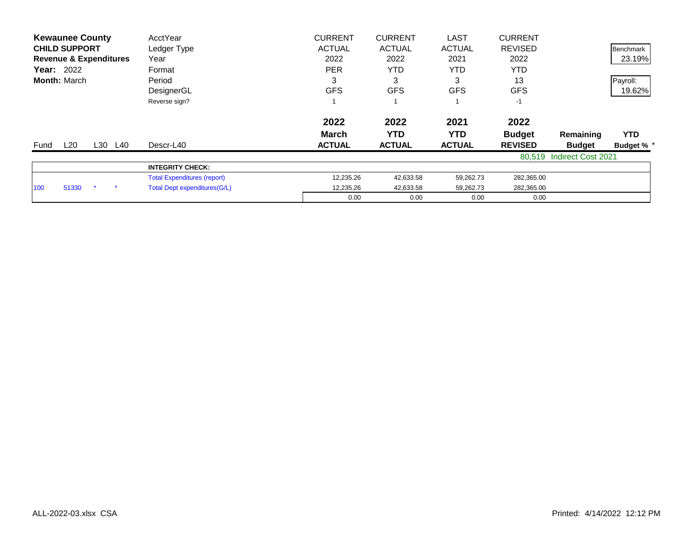| <b>Kewaunee County</b>            | AcctYear                           | <b>CURRENT</b> | <b>CURRENT</b> | <b>LAST</b>   | <b>CURRENT</b> |                           |                 |
|-----------------------------------|------------------------------------|----------------|----------------|---------------|----------------|---------------------------|-----------------|
| <b>CHILD SUPPORT</b>              | Ledger Type                        | <b>ACTUAL</b>  | <b>ACTUAL</b>  | <b>ACTUAL</b> | <b>REVISED</b> |                           | Benchmark       |
| <b>Revenue &amp; Expenditures</b> | Year                               | 2022           | 2022           | 2021          | 2022           |                           | 23.19%          |
| <b>Year: 2022</b>                 | Format                             | <b>PER</b>     | YTD            | YTD           | YTD            |                           |                 |
| <b>Month: March</b>               | Period                             |                | 3              | 3             | 13             |                           | Payroll:        |
|                                   | DesignerGL                         | <b>GFS</b>     | <b>GFS</b>     | <b>GFS</b>    | <b>GFS</b>     |                           | 19.62%          |
|                                   | Reverse sign?                      |                |                |               | $-1$           |                           |                 |
|                                   |                                    | 2022           | 2022           | 2021          | 2022           |                           |                 |
|                                   |                                    | <b>March</b>   | YTD            | YTD.          | <b>Budget</b>  | Remaining                 | <b>YTD</b>      |
| L20<br>L30 L40<br>Fund            | Descr-L40                          | <b>ACTUAL</b>  | <b>ACTUAL</b>  | <b>ACTUAL</b> | <b>REVISED</b> | <b>Budget</b>             | <b>Budget %</b> |
|                                   |                                    |                |                |               |                | 80,519 Indirect Cost 2021 |                 |
|                                   | <b>INTEGRITY CHECK:</b>            |                |                |               |                |                           |                 |
|                                   | <b>Total Expenditures (report)</b> | 12,235.26      | 42,633.58      | 59,262.73     | 282,365.00     |                           |                 |
| 51330<br>100                      | Total Dept expenditures (G/L)      | 12,235.26      | 42,633.58      | 59,262.73     | 282,365.00     |                           |                 |
|                                   |                                    | 0.00           | 0.00           | 0.00          | 0.00           |                           |                 |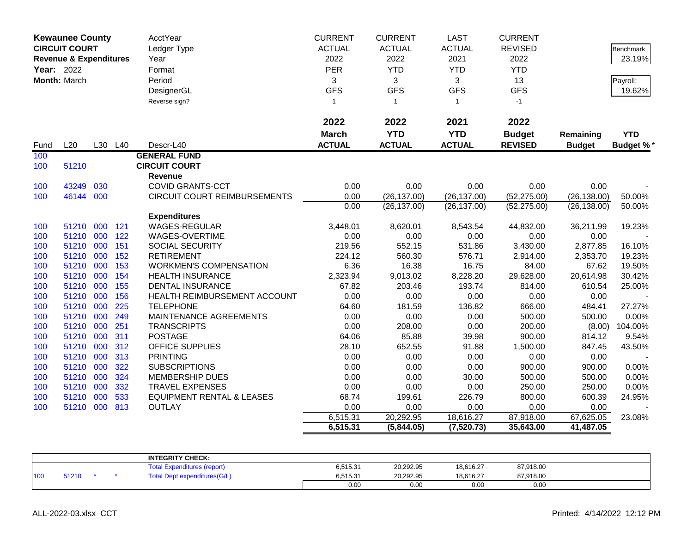|      | <b>Kewaunee County</b><br><b>CIRCUIT COURT</b><br><b>Revenue &amp; Expenditures</b> |     |         | <b>AcctYear</b><br>Ledger Type<br>Year | <b>CURRENT</b><br><b>ACTUAL</b><br>2022 | <b>CURRENT</b><br><b>ACTUAL</b><br>2022 | <b>LAST</b><br><b>ACTUAL</b><br>2021 | <b>CURRENT</b><br><b>REVISED</b><br>2022 |               | Benchmark<br>23.19% |
|------|-------------------------------------------------------------------------------------|-----|---------|----------------------------------------|-----------------------------------------|-----------------------------------------|--------------------------------------|------------------------------------------|---------------|---------------------|
|      | <b>Year: 2022</b>                                                                   |     |         | Format                                 | <b>PER</b>                              | <b>YTD</b>                              | <b>YTD</b>                           | <b>YTD</b>                               |               |                     |
|      | Month: March                                                                        |     |         | Period                                 | 3                                       | 3                                       | 3                                    | 13                                       |               | Payroll:            |
|      |                                                                                     |     |         | DesignerGL                             | <b>GFS</b>                              | <b>GFS</b>                              | <b>GFS</b>                           | <b>GFS</b>                               |               | 19.62%              |
|      |                                                                                     |     |         | Reverse sign?                          | $\mathbf{1}$                            | $\overline{1}$                          | $\mathbf{1}$                         | $-1$                                     |               |                     |
|      |                                                                                     |     |         |                                        |                                         |                                         |                                      |                                          |               |                     |
|      |                                                                                     |     |         |                                        | 2022                                    | 2022                                    | 2021                                 | 2022                                     |               |                     |
|      |                                                                                     |     |         |                                        | <b>March</b>                            | <b>YTD</b>                              | <b>YTD</b>                           | <b>Budget</b>                            | Remaining     | <b>YTD</b>          |
| Fund | L20                                                                                 |     | L30 L40 | Descr-L40                              | <b>ACTUAL</b>                           | <b>ACTUAL</b>                           | <b>ACTUAL</b>                        | <b>REVISED</b>                           | <b>Budget</b> | <b>Budget %*</b>    |
| 100  |                                                                                     |     |         | <b>GENERAL FUND</b>                    |                                         |                                         |                                      |                                          |               |                     |
| 100  | 51210                                                                               |     |         | <b>CIRCUIT COURT</b>                   |                                         |                                         |                                      |                                          |               |                     |
|      |                                                                                     |     |         | <b>Revenue</b>                         |                                         |                                         |                                      |                                          |               |                     |
| 100  | 43249                                                                               | 030 |         | <b>COVID GRANTS-CCT</b>                | 0.00                                    | 0.00                                    | 0.00                                 | 0.00                                     | 0.00          |                     |
| 100  | 46144                                                                               | 000 |         | <b>CIRCUIT COURT REIMBURSEMENTS</b>    | 0.00                                    | (26, 137.00)                            | (26, 137.00)                         | (52, 275.00)                             | (26, 138.00)  | 50.00%              |
|      |                                                                                     |     |         |                                        | 0.00                                    | (26, 137.00)                            | (26, 137.00)                         | (52, 275.00)                             | (26, 138.00)  | 50.00%              |
|      |                                                                                     |     |         | <b>Expenditures</b>                    |                                         |                                         |                                      |                                          |               |                     |
| 100  | 51210                                                                               | 000 | 121     | <b>WAGES-REGULAR</b>                   | 3,448.01                                | 8,620.01                                | 8,543.54                             | 44,832.00                                | 36,211.99     | 19.23%              |
| 100  | 51210 000                                                                           |     | 122     | WAGES-OVERTIME                         | 0.00                                    | 0.00                                    | 0.00                                 | 0.00                                     | 0.00          |                     |
| 100  | 51210 000                                                                           |     | 151     | SOCIAL SECURITY                        | 219.56                                  | 552.15                                  | 531.86                               | 3,430.00                                 | 2,877.85      | 16.10%              |
| 100  | 51210 000                                                                           |     | 152     | <b>RETIREMENT</b>                      | 224.12                                  | 560.30                                  | 576.71                               | 2,914.00                                 | 2,353.70      | 19.23%              |
| 100  | 51210                                                                               | 000 | 153     | <b>WORKMEN'S COMPENSATION</b>          | 6.36                                    | 16.38                                   | 16.75                                | 84.00                                    | 67.62         | 19.50%              |
| 100  | 51210 000                                                                           |     | 154     | <b>HEALTH INSURANCE</b>                | 2,323.94                                | 9,013.02                                | 8,228.20                             | 29,628.00                                | 20,614.98     | 30.42%              |
| 100  | 51210 000                                                                           |     | 155     | <b>DENTAL INSURANCE</b>                | 67.82                                   | 203.46                                  | 193.74                               | 814.00                                   | 610.54        | 25.00%              |
| 100  | 51210 000                                                                           |     | 156     | HEALTH REIMBURSEMENT ACCOUNT           | 0.00                                    | 0.00                                    | 0.00                                 | 0.00                                     | 0.00          |                     |
| 100  | 51210                                                                               | 000 | 225     | <b>TELEPHONE</b>                       | 64.60                                   | 181.59                                  | 136.82                               | 666.00                                   | 484.41        | 27.27%              |
| 100  | 51210 000                                                                           |     | 249     | MAINTENANCE AGREEMENTS                 | 0.00                                    | 0.00                                    | 0.00                                 | 500.00                                   | 500.00        | 0.00%               |
| 100  | 51210 000                                                                           |     | 251     | <b>TRANSCRIPTS</b>                     | 0.00                                    | 208.00                                  | 0.00                                 | 200.00                                   | (8.00)        | 104.00%             |
| 100  | 51210                                                                               | 000 | 311     | <b>POSTAGE</b>                         | 64.06                                   | 85.88                                   | 39.98                                | 900.00                                   | 814.12        | 9.54%               |
| 100  | 51210                                                                               | 000 | 312     | <b>OFFICE SUPPLIES</b>                 | 28.10                                   | 652.55                                  | 91.88                                | 1,500.00                                 | 847.45        | 43.50%              |
| 100  | 51210 000                                                                           |     | 313     | <b>PRINTING</b>                        | 0.00                                    | 0.00                                    | 0.00                                 | 0.00                                     | 0.00          |                     |
| 100  | 51210 000                                                                           |     | 322     | <b>SUBSCRIPTIONS</b>                   | 0.00                                    | 0.00                                    | 0.00                                 | 900.00                                   | 900.00        | 0.00%               |
| 100  | 51210 000                                                                           |     | 324     | <b>MEMBERSHIP DUES</b>                 | 0.00                                    | 0.00                                    | 30.00                                | 500.00                                   | 500.00        | 0.00%               |
| 100  | 51210                                                                               | 000 | 332     | <b>TRAVEL EXPENSES</b>                 | 0.00                                    | 0.00                                    | 0.00                                 | 250.00                                   | 250.00        | 0.00%               |
| 100  | 51210                                                                               | 000 | 533     | <b>EQUIPMENT RENTAL &amp; LEASES</b>   | 68.74                                   | 199.61                                  | 226.79                               | 800.00                                   | 600.39        | 24.95%              |
| 100  | 51210 000                                                                           |     | 813     | <b>OUTLAY</b>                          | 0.00                                    | 0.00                                    | 0.00                                 | 0.00                                     | 0.00          |                     |
|      |                                                                                     |     |         |                                        | 6,515.31                                | 20,292.95                               | 18,616.27                            | 87,918.00                                | 67,625.05     | 23.08%              |
|      |                                                                                     |     |         |                                        | 6,515.31                                | (5,844.05)                              | (7,520.73)                           | 35,643.00                                | 41,487.05     |                     |

|     |       |  | <b>INTEGRITY CHECK:</b>             |          |           |           |           |  |
|-----|-------|--|-------------------------------------|----------|-----------|-----------|-----------|--|
|     |       |  | i otal'<br>Expenditures (report)    | 6,515.31 | 20,292.95 | 18,616.27 | 87,918.00 |  |
| 100 | 51210 |  | <b>Total Dept expenditures(G/L)</b> | 6,515.31 | 20,292.95 | 18,616.27 | 87,918.00 |  |
|     |       |  |                                     | 0.00     | 0.00      | 0.00      | 0.00      |  |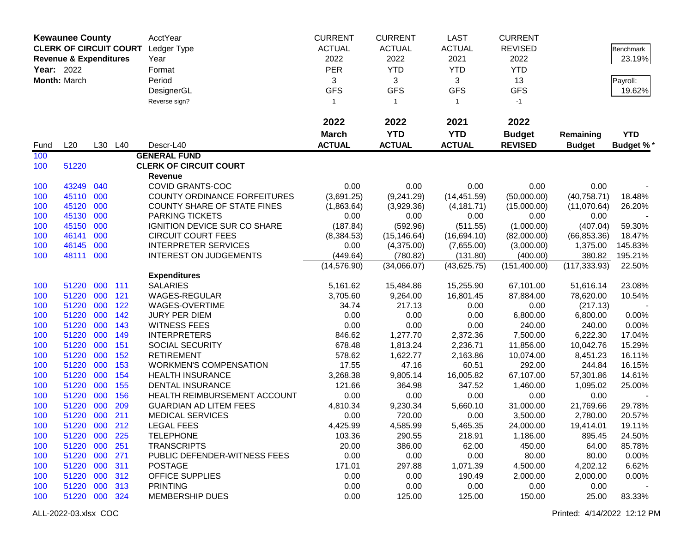|                   | <b>Kewaunee County</b>            |     |         | AcctYear                            | <b>CURRENT</b> | <b>CURRENT</b> | <b>LAST</b>   | <b>CURRENT</b> |               |            |
|-------------------|-----------------------------------|-----|---------|-------------------------------------|----------------|----------------|---------------|----------------|---------------|------------|
|                   | <b>CLERK OF CIRCUIT COURT</b>     |     |         | Ledger Type                         | <b>ACTUAL</b>  | <b>ACTUAL</b>  | <b>ACTUAL</b> | <b>REVISED</b> |               | Benchmark  |
|                   | <b>Revenue &amp; Expenditures</b> |     |         | Year                                | 2022           | 2022           | 2021          | 2022           |               | 23.19%     |
| <b>Year: 2022</b> |                                   |     |         | Format                              | <b>PER</b>     | <b>YTD</b>     | <b>YTD</b>    | <b>YTD</b>     |               |            |
|                   | Month: March                      |     |         | Period                              | 3              | 3              | 3             | 13             |               | Payroll:   |
|                   |                                   |     |         | DesignerGL                          | <b>GFS</b>     | <b>GFS</b>     | <b>GFS</b>    | <b>GFS</b>     |               | 19.62%     |
|                   |                                   |     |         | Reverse sign?                       | $\mathbf{1}$   | $\mathbf{1}$   | $\mathbf{1}$  | $-1$           |               |            |
|                   |                                   |     |         |                                     |                |                |               |                |               |            |
|                   |                                   |     |         |                                     | 2022           | 2022           | 2021          | 2022           |               |            |
|                   |                                   |     |         |                                     | <b>March</b>   | <b>YTD</b>     | <b>YTD</b>    | <b>Budget</b>  | Remaining     | <b>YTD</b> |
| Fund              | L20                               |     | L30 L40 | Descr-L40                           | <b>ACTUAL</b>  | <b>ACTUAL</b>  | <b>ACTUAL</b> | <b>REVISED</b> | <b>Budget</b> | Budget %*  |
| 100               |                                   |     |         | <b>GENERAL FUND</b>                 |                |                |               |                |               |            |
| 100               | 51220                             |     |         | <b>CLERK OF CIRCUIT COURT</b>       |                |                |               |                |               |            |
|                   |                                   |     |         | Revenue                             |                |                |               |                |               |            |
| 100               | 43249                             | 040 |         | <b>COVID GRANTS-COC</b>             | 0.00           | 0.00           | 0.00          | 0.00           | 0.00          |            |
| 100               | 45110 000                         |     |         | <b>COUNTY ORDINANCE FORFEITURES</b> | (3,691.25)     | (9,241.29)     | (14, 451.59)  | (50,000.00)    | (40,758.71)   | 18.48%     |
| 100               | 45120                             | 000 |         | <b>COUNTY SHARE OF STATE FINES</b>  | (1,863.64)     | (3,929.36)     | (4, 181.71)   | (15,000.00)    | (11,070.64)   | 26.20%     |
| 100               | 45130                             | 000 |         | <b>PARKING TICKETS</b>              | 0.00           | 0.00           | 0.00          | 0.00           | 0.00          |            |
| 100               | 45150                             | 000 |         | IGNITION DEVICE SUR CO SHARE        | (187.84)       | (592.96)       | (511.55)      | (1,000.00)     | (407.04)      | 59.30%     |
| 100               | 46141                             | 000 |         | <b>CIRCUIT COURT FEES</b>           | (8,384.53)     | (15, 146.64)   | (16,694.10)   | (82,000.00)    | (66, 853.36)  | 18.47%     |
| 100               | 46145                             | 000 |         | <b>INTERPRETER SERVICES</b>         | 0.00           | (4,375.00)     | (7,655.00)    | (3,000.00)     | 1,375.00      | 145.83%    |
| 100               | 48111                             | 000 |         | <b>INTEREST ON JUDGEMENTS</b>       | (449.64)       | (780.82)       | (131.80)      | (400.00)       | 380.82        | 195.21%    |
|                   |                                   |     |         |                                     | (14, 576.90)   | (34,066.07)    | (43,625.75)   | (151, 400.00)  | (117, 333.93) | 22.50%     |
|                   |                                   |     |         | <b>Expenditures</b>                 |                |                |               |                |               |            |
| 100               | 51220                             | 000 | 111     | <b>SALARIES</b>                     | 5,161.62       | 15,484.86      | 15,255.90     | 67,101.00      | 51,616.14     | 23.08%     |
| 100               | 51220                             | 000 | 121     | WAGES-REGULAR                       | 3,705.60       | 9,264.00       | 16,801.45     | 87,884.00      | 78,620.00     | 10.54%     |
| 100               | 51220                             | 000 | 122     | WAGES-OVERTIME                      | 34.74          | 217.13         | 0.00          | 0.00           | (217.13)      |            |
| 100               | 51220                             | 000 | 142     | <b>JURY PER DIEM</b>                | 0.00           | 0.00           | 0.00          | 6,800.00       | 6,800.00      | 0.00%      |
| 100               | 51220                             | 000 | 143     | <b>WITNESS FEES</b>                 | 0.00           | 0.00           | 0.00          | 240.00         | 240.00        | 0.00%      |
| 100               | 51220                             | 000 | 149     | <b>INTERPRETERS</b>                 | 846.62         | 1,277.70       | 2,372.36      | 7,500.00       | 6,222.30      | 17.04%     |
| 100               | 51220                             | 000 | 151     | <b>SOCIAL SECURITY</b>              | 678.48         | 1,813.24       | 2,236.71      | 11,856.00      | 10,042.76     | 15.29%     |
| 100               | 51220                             | 000 | 152     | <b>RETIREMENT</b>                   | 578.62         | 1,622.77       | 2,163.86      | 10,074.00      | 8,451.23      | 16.11%     |
| 100               | 51220                             | 000 | 153     | <b>WORKMEN'S COMPENSATION</b>       | 17.55          | 47.16          | 60.51         | 292.00         | 244.84        | 16.15%     |
| 100               | 51220                             | 000 | 154     | <b>HEALTH INSURANCE</b>             | 3,268.38       | 9,805.14       | 16,005.82     | 67,107.00      | 57,301.86     | 14.61%     |
| 100               | 51220                             | 000 | 155     | <b>DENTAL INSURANCE</b>             | 121.66         | 364.98         | 347.52        | 1,460.00       | 1,095.02      | 25.00%     |
| 100               | 51220                             | 000 | 156     | HEALTH REIMBURSEMENT ACCOUNT        | 0.00           | 0.00           | 0.00          | 0.00           | 0.00          |            |
| 100               | 51220                             | 000 | 209     | <b>GUARDIAN AD LITEM FEES</b>       | 4,810.34       | 9,230.34       | 5,660.10      | 31,000.00      | 21,769.66     | 29.78%     |
| 100               | 51220 000                         |     | 211     | <b>MEDICAL SERVICES</b>             | 0.00           | 720.00         | 0.00          | 3,500.00       | 2,780.00      | 20.57%     |
| 100               | 51220                             | 000 | 212     | <b>LEGAL FEES</b>                   | 4,425.99       | 4,585.99       | 5,465.35      | 24,000.00      | 19,414.01     | 19.11%     |
| 100               | 51220 000                         |     | 225     | <b>TELEPHONE</b>                    | 103.36         | 290.55         | 218.91        | 1,186.00       | 895.45        | 24.50%     |
| 100               | 51220 000                         |     | 251     | <b>TRANSCRIPTS</b>                  | 20.00          | 386.00         | 62.00         | 450.00         | 64.00         | 85.78%     |
| 100               | 51220 000                         |     | 271     | PUBLIC DEFENDER-WITNESS FEES        | 0.00           | 0.00           | 0.00          | 80.00          | 80.00         | 0.00%      |
| 100               | 51220 000                         |     | 311     | <b>POSTAGE</b>                      | 171.01         | 297.88         | 1,071.39      | 4,500.00       | 4,202.12      | 6.62%      |
| 100               | 51220 000                         |     | 312     | <b>OFFICE SUPPLIES</b>              | 0.00           | 0.00           | 190.49        | 2,000.00       | 2,000.00      | 0.00%      |
| 100               | 51220 000                         |     | 313     | <b>PRINTING</b>                     | 0.00           | 0.00           | 0.00          | 0.00           | 0.00          |            |
| 100               | 51220 000                         |     | 324     | <b>MEMBERSHIP DUES</b>              | 0.00           | 125.00         | 125.00        | 150.00         | 25.00         | 83.33%     |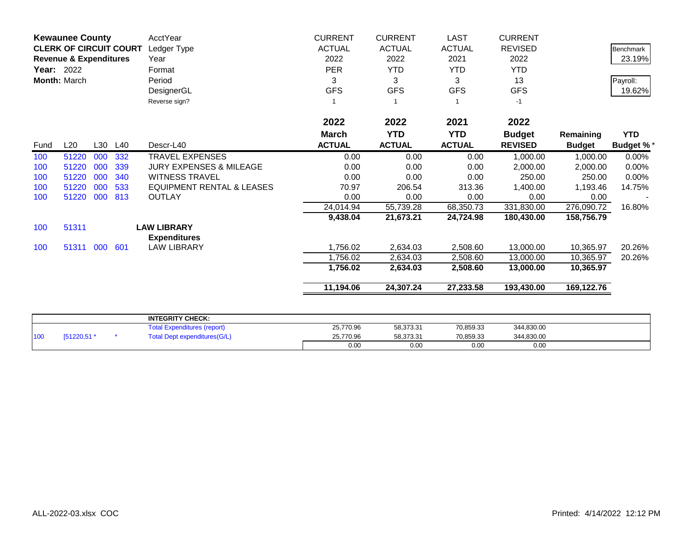|                   | <b>Kewaunee County</b>            |     |         | AcctYear                             | <b>CURRENT</b> | <b>CURRENT</b> | LAST          | <b>CURRENT</b> |               |                  |
|-------------------|-----------------------------------|-----|---------|--------------------------------------|----------------|----------------|---------------|----------------|---------------|------------------|
|                   | <b>CLERK OF CIRCUIT COURT</b>     |     |         | Ledger Type                          | <b>ACTUAL</b>  | <b>ACTUAL</b>  | <b>ACTUAL</b> | <b>REVISED</b> |               | <b>Benchmark</b> |
|                   | <b>Revenue &amp; Expenditures</b> |     |         | Year                                 | 2022           | 2022           | 2021          | 2022           |               | 23.19%           |
| <b>Year: 2022</b> |                                   |     |         | Format                               | <b>PER</b>     | <b>YTD</b>     | <b>YTD</b>    | <b>YTD</b>     |               |                  |
|                   | Month: March                      |     |         | Period                               | 3              | 3              | 3             | 13             |               | Payroll:         |
|                   |                                   |     |         | DesignerGL                           | <b>GFS</b>     | <b>GFS</b>     | <b>GFS</b>    | <b>GFS</b>     |               | 19.62%           |
|                   |                                   |     |         | Reverse sign?                        |                |                |               | $-1$           |               |                  |
|                   |                                   |     |         |                                      | 2022           | 2022           | 2021          | 2022           |               |                  |
|                   |                                   |     |         |                                      | <b>March</b>   | <b>YTD</b>     | <b>YTD</b>    | <b>Budget</b>  | Remaining     | <b>YTD</b>       |
| Fund              | L20                               |     | L30 L40 | Descr-L40                            | <b>ACTUAL</b>  | <b>ACTUAL</b>  | <b>ACTUAL</b> | <b>REVISED</b> | <b>Budget</b> | <b>Budget %*</b> |
| 100               | 51220                             | 000 | 332     | <b>TRAVEL EXPENSES</b>               | 0.00           | 0.00           | 0.00          | 1,000.00       | 1,000.00      | $0.00\%$         |
| 100               | 51220                             | 000 | 339     | <b>JURY EXPENSES &amp; MILEAGE</b>   | 0.00           | 0.00           | 0.00          | 2,000.00       | 2,000.00      | 0.00%            |
| 100               | 51220                             | 000 | 340     | <b>WITNESS TRAVEL</b>                | 0.00           | 0.00           | 0.00          | 250.00         | 250.00        | 0.00%            |
| 100               | 51220                             | 000 | 533     | <b>EQUIPMENT RENTAL &amp; LEASES</b> | 70.97          | 206.54         | 313.36        | 1,400.00       | 1,193.46      | 14.75%           |
| 100               | 51220                             | 000 | 813     | <b>OUTLAY</b>                        | 0.00           | 0.00           | 0.00          | 0.00           | 0.00          |                  |
|                   |                                   |     |         |                                      | 24,014.94      | 55,739.28      | 68,350.73     | 331,830.00     | 276,090.72    | 16.80%           |
|                   |                                   |     |         |                                      | 9,438.04       | 21,673.21      | 24,724.98     | 180,430.00     | 158,756.79    |                  |
| 100               | 51311                             |     |         | <b>LAW LIBRARY</b>                   |                |                |               |                |               |                  |
|                   |                                   |     |         | <b>Expenditures</b>                  |                |                |               |                |               |                  |
| 100               | 51311 000                         |     | 601     | <b>LAW LIBRARY</b>                   | 1,756.02       | 2,634.03       | 2,508.60      | 13,000.00      | 10,365.97     | 20.26%           |
|                   |                                   |     |         |                                      | 1,756.02       | 2,634.03       | 2,508.60      | 13,000.00      | 10,365.97     | 20.26%           |
|                   |                                   |     |         |                                      | 1,756.02       | 2,634.03       | 2,508.60      | 13,000.00      | 10,365.97     |                  |
|                   |                                   |     |         |                                      | 11,194.06      | 24,307.24      | 27,233.58     | 193,430.00     | 169,122.76    |                  |
|                   |                                   |     |         |                                      |                |                |               |                |               |                  |
|                   |                                   |     |         | <b>INTEGRITY CHECK:</b>              |                |                |               |                |               |                  |
|                   |                                   |     |         |                                      |                |                |               |                |               |                  |

|                 |          | <b>INTEGRITY CHECK:</b>             |           |           |           |            |  |
|-----------------|----------|-------------------------------------|-----------|-----------|-----------|------------|--|
|                 |          | Total Expenditures (report)         | 25,770.96 | 58,373.31 | 70,859.33 | 344,830.00 |  |
| 10 <sub>C</sub> | 51220,51 | <b>Total Dept expenditures(G/L)</b> | 25,770.96 | 58,373.31 | 70,859.33 | 344,830.00 |  |
|                 |          |                                     | 0.00      | 0.00      | 0.00      | 0.00       |  |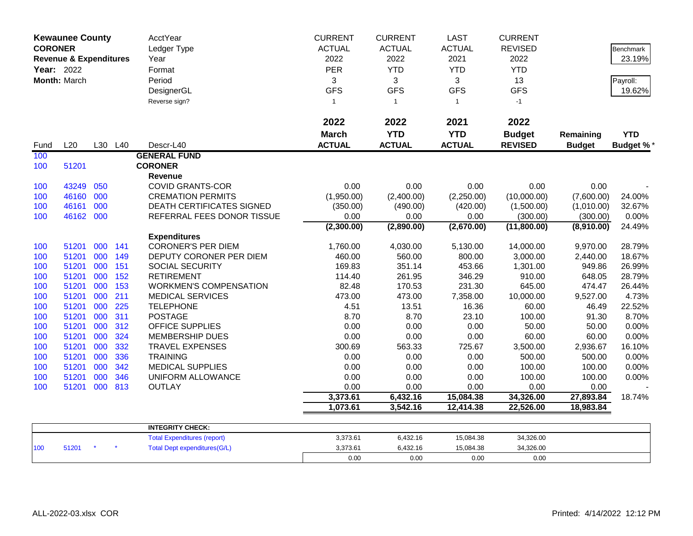| <b>CORONER</b><br>Year: 2022 | <b>Kewaunee County</b><br><b>Revenue &amp; Expenditures</b><br>Month: March |            |            | <b>AcctYear</b><br>Ledger Type<br>Year<br>Format<br>Period<br>DesignerGL<br>Reverse sign? | <b>CURRENT</b><br><b>ACTUAL</b><br>2022<br><b>PER</b><br>3<br><b>GFS</b><br>$\mathbf{1}$ | <b>CURRENT</b><br><b>ACTUAL</b><br>2022<br><b>YTD</b><br>3<br><b>GFS</b><br>$\mathbf{1}$ | <b>LAST</b><br><b>ACTUAL</b><br>2021<br><b>YTD</b><br>3<br><b>GFS</b><br>$\mathbf{1}$ | <b>CURRENT</b><br><b>REVISED</b><br>2022<br><b>YTD</b><br>13<br><b>GFS</b><br>$-1$ |                    | Benchmark<br>23.19%<br>Payroll:<br>19.62% |
|------------------------------|-----------------------------------------------------------------------------|------------|------------|-------------------------------------------------------------------------------------------|------------------------------------------------------------------------------------------|------------------------------------------------------------------------------------------|---------------------------------------------------------------------------------------|------------------------------------------------------------------------------------|--------------------|-------------------------------------------|
|                              |                                                                             |            |            |                                                                                           | 2022                                                                                     | 2022                                                                                     | 2021                                                                                  | 2022                                                                               |                    |                                           |
|                              |                                                                             |            |            |                                                                                           | <b>March</b>                                                                             | <b>YTD</b>                                                                               | <b>YTD</b>                                                                            | <b>Budget</b>                                                                      | Remaining          | <b>YTD</b>                                |
| Fund                         | L20                                                                         | L30        | L40        | Descr-L40                                                                                 | <b>ACTUAL</b>                                                                            | <b>ACTUAL</b>                                                                            | <b>ACTUAL</b>                                                                         | <b>REVISED</b>                                                                     | <b>Budget</b>      | <b>Budget %*</b>                          |
| 100                          |                                                                             |            |            | <b>GENERAL FUND</b>                                                                       |                                                                                          |                                                                                          |                                                                                       |                                                                                    |                    |                                           |
| 100                          | 51201                                                                       |            |            | <b>CORONER</b>                                                                            |                                                                                          |                                                                                          |                                                                                       |                                                                                    |                    |                                           |
|                              |                                                                             |            |            | Revenue                                                                                   |                                                                                          |                                                                                          |                                                                                       |                                                                                    |                    |                                           |
| 100                          | 43249                                                                       | 050        |            | <b>COVID GRANTS-COR</b>                                                                   | 0.00                                                                                     | 0.00                                                                                     | 0.00                                                                                  | 0.00                                                                               | 0.00               |                                           |
| 100                          | 46160                                                                       | 000        |            | <b>CREMATION PERMITS</b>                                                                  | (1,950.00)                                                                               | (2,400.00)                                                                               | (2,250.00)                                                                            | (10,000.00)                                                                        | (7,600.00)         | 24.00%                                    |
| 100                          | 46161                                                                       | 000        |            | <b>DEATH CERTIFICATES SIGNED</b>                                                          | (350.00)                                                                                 | (490.00)                                                                                 | (420.00)                                                                              | (1,500.00)                                                                         | (1,010.00)         | 32.67%                                    |
| 100                          | 46162 000                                                                   |            |            | REFERRAL FEES DONOR TISSUE                                                                | 0.00                                                                                     | 0.00                                                                                     | 0.00                                                                                  | (300.00)                                                                           | (300.00)           | 0.00%                                     |
|                              |                                                                             |            |            |                                                                                           | (2,300.00)                                                                               | (2,890.00)                                                                               | (2,670.00)                                                                            | (11,800.00)                                                                        | (8,910.00)         | 24.49%                                    |
|                              |                                                                             |            |            | <b>Expenditures</b>                                                                       |                                                                                          |                                                                                          |                                                                                       |                                                                                    |                    |                                           |
| 100                          | 51201                                                                       | 000        | 141        | <b>CORONER'S PER DIEM</b>                                                                 | 1,760.00                                                                                 | 4,030.00                                                                                 | 5,130.00                                                                              | 14,000.00                                                                          | 9,970.00           | 28.79%                                    |
| 100                          | 51201<br>51201                                                              | 000<br>000 | 149<br>151 | DEPUTY CORONER PER DIEM<br>SOCIAL SECURITY                                                | 460.00<br>169.83                                                                         | 560.00                                                                                   | 800.00                                                                                | 3,000.00                                                                           | 2,440.00<br>949.86 | 18.67%                                    |
| 100                          | 51201                                                                       | 000        |            | <b>RETIREMENT</b>                                                                         |                                                                                          | 351.14                                                                                   | 453.66                                                                                | 1,301.00<br>910.00                                                                 |                    | 26.99%<br>28.79%                          |
| 100<br>100                   | 51201                                                                       | 000        | 152<br>153 | <b>WORKMEN'S COMPENSATION</b>                                                             | 114.40<br>82.48                                                                          | 261.95<br>170.53                                                                         | 346.29<br>231.30                                                                      | 645.00                                                                             | 648.05<br>474.47   | 26.44%                                    |
| 100                          | 51201                                                                       | 000        | 211        | <b>MEDICAL SERVICES</b>                                                                   | 473.00                                                                                   | 473.00                                                                                   | 7,358.00                                                                              | 10,000.00                                                                          | 9,527.00           | 4.73%                                     |
| 100                          | 51201                                                                       | 000        | 225        | <b>TELEPHONE</b>                                                                          | 4.51                                                                                     | 13.51                                                                                    | 16.36                                                                                 | 60.00                                                                              | 46.49              | 22.52%                                    |
| 100                          | 51201                                                                       | 000        | 311        | <b>POSTAGE</b>                                                                            | 8.70                                                                                     | 8.70                                                                                     | 23.10                                                                                 | 100.00                                                                             | 91.30              | 8.70%                                     |
| 100                          | 51201                                                                       | 000        | 312        | <b>OFFICE SUPPLIES</b>                                                                    | 0.00                                                                                     | 0.00                                                                                     | 0.00                                                                                  | 50.00                                                                              | 50.00              | 0.00%                                     |
| 100                          | 51201                                                                       | 000        | 324        | <b>MEMBERSHIP DUES</b>                                                                    | 0.00                                                                                     | 0.00                                                                                     | 0.00                                                                                  | 60.00                                                                              | 60.00              | 0.00%                                     |
| 100                          | 51201                                                                       | 000        | 332        | <b>TRAVEL EXPENSES</b>                                                                    | 300.69                                                                                   | 563.33                                                                                   | 725.67                                                                                | 3,500.00                                                                           | 2,936.67           | 16.10%                                    |
| 100                          | 51201                                                                       | 000        | 336        | <b>TRAINING</b>                                                                           | 0.00                                                                                     | 0.00                                                                                     | 0.00                                                                                  | 500.00                                                                             | 500.00             | 0.00%                                     |
| 100                          | 51201                                                                       | 000        | 342        | <b>MEDICAL SUPPLIES</b>                                                                   | 0.00                                                                                     | 0.00                                                                                     | 0.00                                                                                  | 100.00                                                                             | 100.00             | 0.00%                                     |
| 100                          | 51201                                                                       | 000        | 346        | UNIFORM ALLOWANCE                                                                         | 0.00                                                                                     | 0.00                                                                                     | 0.00                                                                                  | 100.00                                                                             | 100.00             | 0.00%                                     |
| 100                          | 51201                                                                       | 000        | 813        | <b>OUTLAY</b>                                                                             | 0.00                                                                                     | 0.00                                                                                     | 0.00                                                                                  | 0.00                                                                               | 0.00               |                                           |
|                              |                                                                             |            |            |                                                                                           | 3,373.61                                                                                 | 6,432.16                                                                                 | 15,084.38                                                                             | 34,326.00                                                                          | 27,893.84          | 18.74%                                    |
|                              |                                                                             |            |            |                                                                                           | 1,073.61                                                                                 | 3,542.16                                                                                 | 12,414.38                                                                             | 22,526.00                                                                          | 18,983.84          |                                           |
|                              |                                                                             |            |            |                                                                                           |                                                                                          |                                                                                          |                                                                                       |                                                                                    |                    |                                           |
|                              |                                                                             |            |            | <b>INTEGRITY CHECK:</b>                                                                   |                                                                                          |                                                                                          |                                                                                       |                                                                                    |                    |                                           |
|                              |                                                                             |            |            | <b>Total Expenditures (report)</b>                                                        | 3,373.61                                                                                 | 6,432.16                                                                                 | 15,084.38                                                                             | 34,326.00                                                                          |                    |                                           |
| 100                          | 51201                                                                       |            |            | <b>Total Dept expenditures(G/L)</b>                                                       | 3,373.61                                                                                 | 6,432.16                                                                                 | 15,084.38                                                                             | 34,326.00                                                                          |                    |                                           |
|                              |                                                                             |            |            |                                                                                           | 0.00                                                                                     | 0.00                                                                                     | 0.00                                                                                  | 0.00                                                                               |                    |                                           |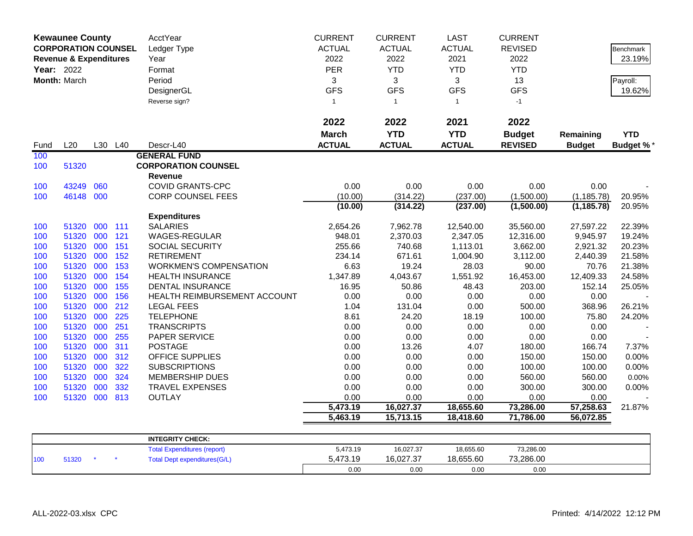|            | <b>Kewaunee County</b>            |         |     | AcctYear                            | <b>CURRENT</b> | <b>CURRENT</b> | <b>LAST</b>   | <b>CURRENT</b> |               |                  |
|------------|-----------------------------------|---------|-----|-------------------------------------|----------------|----------------|---------------|----------------|---------------|------------------|
|            | <b>CORPORATION COUNSEL</b>        |         |     | Ledger Type                         | <b>ACTUAL</b>  | <b>ACTUAL</b>  | <b>ACTUAL</b> | <b>REVISED</b> |               | <b>Benchmark</b> |
|            | <b>Revenue &amp; Expenditures</b> |         |     | Year                                | 2022           | 2022           | 2021          | 2022           |               | 23.19%           |
| Year: 2022 |                                   |         |     | Format                              | <b>PER</b>     | <b>YTD</b>     | <b>YTD</b>    | <b>YTD</b>     |               |                  |
|            | Month: March                      |         |     | Period                              | 3              | 3              | 3             | 13             |               | Payroll:         |
|            |                                   |         |     | DesignerGL                          | <b>GFS</b>     | <b>GFS</b>     | <b>GFS</b>    | <b>GFS</b>     |               | 19.62%           |
|            |                                   |         |     | Reverse sign?                       | $\mathbf{1}$   | $\mathbf{1}$   | $\mathbf{1}$  | $-1$           |               |                  |
|            |                                   |         |     |                                     |                |                |               |                |               |                  |
|            |                                   |         |     |                                     | 2022           | 2022           | 2021          | 2022           |               |                  |
|            |                                   |         |     |                                     | <b>March</b>   | <b>YTD</b>     | <b>YTD</b>    | <b>Budget</b>  | Remaining     | <b>YTD</b>       |
| Fund       | L20                               | L30 L40 |     | Descr-L40                           | <b>ACTUAL</b>  | <b>ACTUAL</b>  | <b>ACTUAL</b> | <b>REVISED</b> | <b>Budget</b> | <b>Budget %*</b> |
| 100        |                                   |         |     | <b>GENERAL FUND</b>                 |                |                |               |                |               |                  |
| 100        | 51320                             |         |     | <b>CORPORATION COUNSEL</b>          |                |                |               |                |               |                  |
|            |                                   |         |     | <b>Revenue</b>                      |                |                |               |                |               |                  |
| 100        | 43249                             | 060     |     | <b>COVID GRANTS-CPC</b>             | 0.00           | 0.00           | 0.00          | 0.00           | 0.00          |                  |
| 100        | 46148 000                         |         |     | <b>CORP COUNSEL FEES</b>            | (10.00)        | (314.22)       | (237.00)      | (1,500.00)     | (1, 185.78)   | 20.95%           |
|            |                                   |         |     |                                     | (10.00)        | (314.22)       | (237.00)      | (1,500.00)     | (1, 185.78)   | 20.95%           |
|            |                                   |         |     | <b>Expenditures</b>                 |                |                |               |                |               |                  |
| 100        | 51320                             | 000     | 111 | <b>SALARIES</b>                     | 2,654.26       | 7,962.78       | 12,540.00     | 35,560.00      | 27,597.22     | 22.39%           |
| 100        | 51320                             | 000     | 121 | WAGES-REGULAR                       | 948.01         | 2,370.03       | 2,347.05      | 12,316.00      | 9,945.97      | 19.24%           |
| 100        | 51320                             | 000     | 151 | SOCIAL SECURITY                     | 255.66         | 740.68         | 1,113.01      | 3,662.00       | 2,921.32      | 20.23%           |
| 100        | 51320                             | 000     | 152 | <b>RETIREMENT</b>                   | 234.14         | 671.61         | 1,004.90      | 3,112.00       | 2,440.39      | 21.58%           |
| 100        | 51320                             | 000     | 153 | <b>WORKMEN'S COMPENSATION</b>       | 6.63           | 19.24          | 28.03         | 90.00          | 70.76         | 21.38%           |
| 100        | 51320                             | 000     | 154 | <b>HEALTH INSURANCE</b>             | 1,347.89       | 4,043.67       | 1,551.92      | 16,453.00      | 12,409.33     | 24.58%           |
| 100        | 51320                             | 000     | 155 | <b>DENTAL INSURANCE</b>             | 16.95          | 50.86          | 48.43         | 203.00         | 152.14        | 25.05%           |
| 100        | 51320                             | 000     | 156 | HEALTH REIMBURSEMENT ACCOUNT        | 0.00           | 0.00           | 0.00          | 0.00           | 0.00          |                  |
| 100        | 51320                             | 000     | 212 | <b>LEGAL FEES</b>                   | 1.04           | 131.04         | 0.00          | 500.00         | 368.96        | 26.21%           |
| 100        | 51320                             | 000     | 225 | <b>TELEPHONE</b>                    | 8.61           | 24.20          | 18.19         | 100.00         | 75.80         | 24.20%           |
| 100        | 51320                             | 000     | 251 | <b>TRANSCRIPTS</b>                  | 0.00           | 0.00           | 0.00          | 0.00           | 0.00          |                  |
| 100        | 51320                             | 000     | 255 | PAPER SERVICE                       | 0.00           | 0.00           | 0.00          | 0.00           | 0.00          |                  |
| 100        | 51320                             | 000     | 311 | <b>POSTAGE</b>                      | 0.00           | 13.26          | 4.07          | 180.00         | 166.74        | 7.37%            |
| 100        | 51320                             | 000     | 312 | <b>OFFICE SUPPLIES</b>              | 0.00           | 0.00           | 0.00          | 150.00         | 150.00        | 0.00%            |
| 100        | 51320                             | 000     | 322 | <b>SUBSCRIPTIONS</b>                | 0.00           | 0.00           | 0.00          | 100.00         | 100.00        | 0.00%            |
| 100        | 51320                             | 000     | 324 | <b>MEMBERSHIP DUES</b>              | 0.00           | 0.00           | 0.00          | 560.00         | 560.00        | 0.00%            |
| 100        | 51320                             | 000     | 332 | TRAVEL EXPENSES                     | 0.00           | 0.00           | 0.00          | 300.00         | 300.00        | 0.00%            |
| 100        | 51320                             | 000     | 813 | <b>OUTLAY</b>                       | 0.00           | 0.00           | 0.00          | 0.00           | 0.00          |                  |
|            |                                   |         |     |                                     | 5,473.19       | 16,027.37      | 18,655.60     | 73,286.00      | 57,258.63     | 21.87%           |
|            |                                   |         |     |                                     | 5,463.19       | 15,713.15      | 18,418.60     | 71,786.00      | 56,072.85     |                  |
|            |                                   |         |     |                                     |                |                |               |                |               |                  |
|            |                                   |         |     | <b>INTEGRITY CHECK:</b>             |                |                |               |                |               |                  |
|            |                                   |         |     | <b>Total Expenditures (report)</b>  | 5,473.19       | 16,027.37      | 18,655.60     | 73,286.00      |               |                  |
| 100        | 51320                             |         |     | <b>Total Dept expenditures(G/L)</b> | 5,473.19       | 16,027.37      | 18,655.60     | 73,286.00      |               |                  |
|            |                                   |         |     |                                     | 0.00           | 0.00           | 0.00          | 0.00           |               |                  |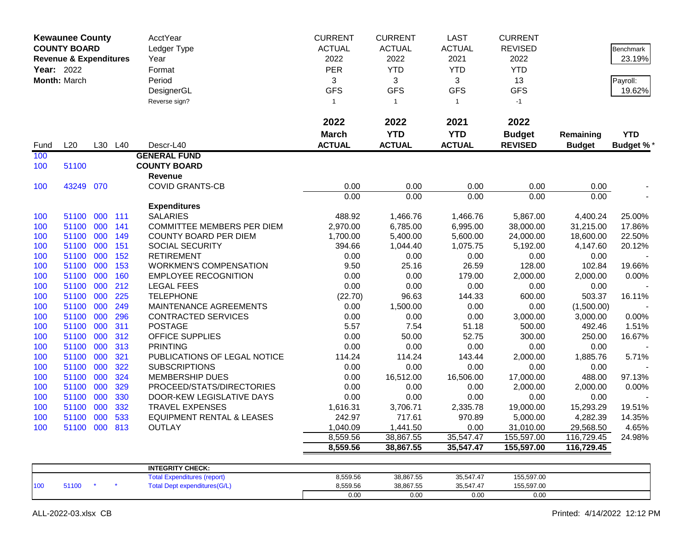|            | <b>Kewaunee County</b>            |         |     | AcctYear                             | <b>CURRENT</b> | <b>CURRENT</b> | <b>LAST</b>   | <b>CURRENT</b> |               |                 |
|------------|-----------------------------------|---------|-----|--------------------------------------|----------------|----------------|---------------|----------------|---------------|-----------------|
|            | <b>COUNTY BOARD</b>               |         |     | Ledger Type                          | <b>ACTUAL</b>  | <b>ACTUAL</b>  | <b>ACTUAL</b> | <b>REVISED</b> |               | Benchmark       |
|            | <b>Revenue &amp; Expenditures</b> |         |     | Year                                 | 2022           | 2022           | 2021          | 2022           |               | 23.19%          |
| Year: 2022 |                                   |         |     | Format                               | PER            | <b>YTD</b>     | <b>YTD</b>    | <b>YTD</b>     |               |                 |
|            | Month: March                      |         |     | Period                               | 3              | 3              | 3             | 13             |               | Payroll:        |
|            |                                   |         |     | DesignerGL                           | <b>GFS</b>     | <b>GFS</b>     | <b>GFS</b>    | <b>GFS</b>     |               | 19.62%          |
|            |                                   |         |     | Reverse sign?                        | $\mathbf{1}$   | $\mathbf{1}$   | $\mathbf{1}$  | $-1$           |               |                 |
|            |                                   |         |     |                                      |                |                |               |                |               |                 |
|            |                                   |         |     |                                      | 2022           | 2022           | 2021          | 2022           |               |                 |
|            |                                   |         |     |                                      | <b>March</b>   | <b>YTD</b>     | <b>YTD</b>    | <b>Budget</b>  | Remaining     | <b>YTD</b>      |
| Fund       | L20                               | L30     | L40 | Descr-L40                            | <b>ACTUAL</b>  | <b>ACTUAL</b>  | <b>ACTUAL</b> | <b>REVISED</b> | <b>Budget</b> | <b>Budget %</b> |
| 100        |                                   |         |     | <b>GENERAL FUND</b>                  |                |                |               |                |               |                 |
| 100        | 51100                             |         |     | <b>COUNTY BOARD</b>                  |                |                |               |                |               |                 |
|            |                                   |         |     | Revenue                              |                |                |               |                |               |                 |
| 100        | 43249 070                         |         |     | <b>COVID GRANTS-CB</b>               | 0.00           | 0.00           | 0.00          | 0.00           | 0.00          |                 |
|            |                                   |         |     |                                      | 0.00           | 0.00           | 0.00          | 0.00           | 0.00          |                 |
|            |                                   |         |     | <b>Expenditures</b>                  |                |                |               |                |               |                 |
| 100        | 51100                             | 000     | 111 | <b>SALARIES</b>                      | 488.92         | 1,466.76       | 1,466.76      | 5,867.00       | 4,400.24      | 25.00%          |
| 100        | 51100                             | 000     | 141 | <b>COMMITTEE MEMBERS PER DIEM</b>    | 2,970.00       | 6,785.00       | 6,995.00      | 38,000.00      | 31,215.00     | 17.86%          |
| 100        | 51100                             | 000     | 149 | COUNTY BOARD PER DIEM                | 1,700.00       | 5,400.00       | 5,600.00      | 24,000.00      | 18,600.00     | 22.50%          |
| 100        | 51100                             | 000     | 151 | SOCIAL SECURITY                      | 394.66         | 1,044.40       | 1,075.75      | 5,192.00       | 4,147.60      | 20.12%          |
| 100        | 51100                             | 000     | 152 | <b>RETIREMENT</b>                    | 0.00           | 0.00           | 0.00          | 0.00           | 0.00          |                 |
| 100        | 51100                             | 000     | 153 | <b>WORKMEN'S COMPENSATION</b>        | 9.50           | 25.16          | 26.59         | 128.00         | 102.84        | 19.66%          |
| 100        | 51100                             | 000     | 160 | <b>EMPLOYEE RECOGNITION</b>          | 0.00           | 0.00           | 179.00        | 2,000.00       | 2,000.00      | 0.00%           |
| 100        | 51100                             | 000     | 212 | <b>LEGAL FEES</b>                    | 0.00           | 0.00           | 0.00          | 0.00           | 0.00          |                 |
| 100        | 51100                             | 000     | 225 | <b>TELEPHONE</b>                     | (22.70)        | 96.63          | 144.33        | 600.00         | 503.37        | 16.11%          |
| 100        | 51100                             | 000     | 249 | MAINTENANCE AGREEMENTS               | 0.00           | 1,500.00       | 0.00          | 0.00           | (1,500.00)    |                 |
| 100        | 51100                             | 000     | 296 | <b>CONTRACTED SERVICES</b>           | 0.00           | 0.00           | 0.00          | 3,000.00       | 3,000.00      | 0.00%           |
| 100        | 51100                             | 000     | 311 | <b>POSTAGE</b>                       | 5.57           | 7.54           | 51.18         | 500.00         | 492.46        | 1.51%           |
| 100        | 51100                             | 000     | 312 | <b>OFFICE SUPPLIES</b>               | 0.00           | 50.00          | 52.75         | 300.00         | 250.00        | 16.67%          |
| 100        | 51100                             | 000     | 313 | <b>PRINTING</b>                      | 0.00           | 0.00           | 0.00          | 0.00           | 0.00          |                 |
| 100        | 51100                             | 000     | 321 | PUBLICATIONS OF LEGAL NOTICE         | 114.24         | 114.24         | 143.44        | 2,000.00       | 1,885.76      | 5.71%           |
| 100        | 51100                             | 000     | 322 | <b>SUBSCRIPTIONS</b>                 | 0.00           | 0.00           | 0.00          | 0.00           | 0.00          |                 |
| 100        | 51100                             | 000     | 324 | MEMBERSHIP DUES                      | 0.00           | 16,512.00      | 16,506.00     | 17,000.00      | 488.00        | 97.13%          |
| 100        | 51100                             | 000     | 329 | PROCEED/STATS/DIRECTORIES            | 0.00           | 0.00           | 0.00          | 2,000.00       | 2,000.00      | 0.00%           |
| 100        | 51100                             | 000     | 330 | DOOR-KEW LEGISLATIVE DAYS            | 0.00           | 0.00           | 0.00          | 0.00           | 0.00          |                 |
| 100        | 51100                             | 000     | 332 | <b>TRAVEL EXPENSES</b>               | 1,616.31       | 3,706.71       | 2,335.78      | 19,000.00      | 15,293.29     | 19.51%          |
| 100        | 51100                             | 000     | 533 | <b>EQUIPMENT RENTAL &amp; LEASES</b> | 242.97         | 717.61         | 970.89        | 5,000.00       | 4,282.39      | 14.35%          |
| 100        | 51100                             | 000 813 |     | <b>OUTLAY</b>                        | 1,040.09       | 1,441.50       | 0.00          | 31,010.00      | 29,568.50     | 4.65%           |
|            |                                   |         |     |                                      | 8,559.56       | 38,867.55      | 35,547.47     | 155,597.00     | 116,729.45    | 24.98%          |
|            |                                   |         |     |                                      | 8,559.56       | 38,867.55      | 35,547.47     | 155,597.00     | 116,729.45    |                 |
|            |                                   |         |     |                                      |                |                |               |                |               |                 |
|            |                                   |         |     | <b>INTEGRITY CHECK:</b>              | 0.550.50       | 00.007E        | 0.554747      | 455,507,00     |               |                 |
|            |                                   |         |     |                                      |                |                |               |                |               |                 |

|     |      |  | INIEURII I UNEUR.                   |          |           |           |            |  |
|-----|------|--|-------------------------------------|----------|-----------|-----------|------------|--|
|     |      |  | Total Expenditures (report)         | 8,559.56 | 38,867.55 | 35,547.47 | 155,597.00 |  |
| 100 | 1100 |  | <b>Total Dept expenditures(G/L)</b> | 8.559.56 | 38,867.55 | 35,547.47 | 155,597.00 |  |
|     |      |  |                                     | 0.00     | 0.00      | 0.00      | 0.00       |  |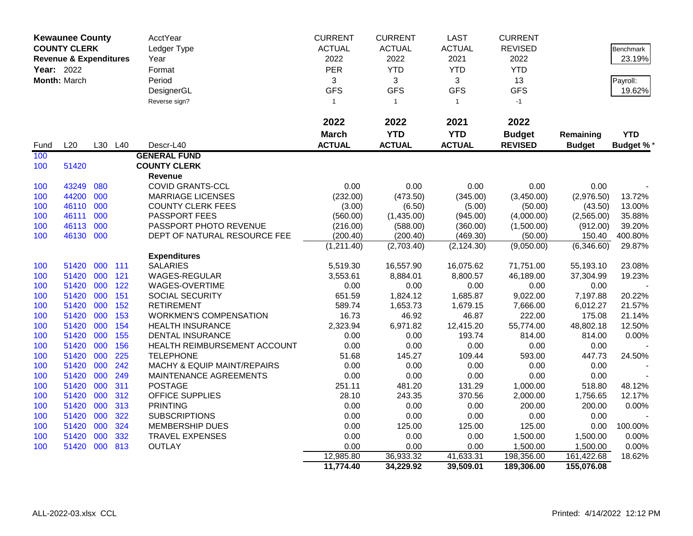|             | <b>Kewaunee County</b>            |     |         | AcctYear                      | <b>CURRENT</b> | <b>CURRENT</b> | <b>LAST</b>   | <b>CURRENT</b> |               |                  |
|-------------|-----------------------------------|-----|---------|-------------------------------|----------------|----------------|---------------|----------------|---------------|------------------|
|             | <b>COUNTY CLERK</b>               |     |         | Ledger Type                   | <b>ACTUAL</b>  | <b>ACTUAL</b>  | <b>ACTUAL</b> | <b>REVISED</b> |               | <b>Benchmark</b> |
|             | <b>Revenue &amp; Expenditures</b> |     |         | Year                          | 2022           | 2022           | 2021          | 2022           |               | 23.19%           |
| Year: 2022  |                                   |     |         | Format                        | PER            | <b>YTD</b>     | <b>YTD</b>    | <b>YTD</b>     |               |                  |
|             | Month: March                      |     |         | Period                        | 3              | 3              | 3             | 13             |               | Payroll:         |
|             |                                   |     |         | DesignerGL                    | <b>GFS</b>     | <b>GFS</b>     | <b>GFS</b>    | <b>GFS</b>     |               | 19.62%           |
|             |                                   |     |         | Reverse sign?                 | $\mathbf{1}$   | $\mathbf{1}$   | $\mathbf{1}$  | $-1$           |               |                  |
|             |                                   |     |         |                               |                |                |               |                |               |                  |
|             |                                   |     |         |                               | 2022           | 2022           | 2021          | 2022           |               |                  |
|             |                                   |     |         |                               | <b>March</b>   | <b>YTD</b>     | <b>YTD</b>    | <b>Budget</b>  | Remaining     | <b>YTD</b>       |
|             | L20                               |     | L30 L40 | Descr-L40                     | <b>ACTUAL</b>  | <b>ACTUAL</b>  | <b>ACTUAL</b> | <b>REVISED</b> | <b>Budget</b> |                  |
| Fund<br>100 |                                   |     |         | <b>GENERAL FUND</b>           |                |                |               |                |               | <b>Budget %*</b> |
|             | 51420                             |     |         | <b>COUNTY CLERK</b>           |                |                |               |                |               |                  |
| 100         |                                   |     |         | Revenue                       |                |                |               |                |               |                  |
| 100         | 43249                             | 080 |         | <b>COVID GRANTS-CCL</b>       | 0.00           | 0.00           | 0.00          | 0.00           | 0.00          |                  |
| 100         | 44200                             | 000 |         | <b>MARRIAGE LICENSES</b>      | (232.00)       | (473.50)       | (345.00)      | (3,450.00)     | (2,976.50)    | 13.72%           |
| 100         | 46110                             | 000 |         | <b>COUNTY CLERK FEES</b>      | (3.00)         | (6.50)         | (5.00)        | (50.00)        | (43.50)       | 13.00%           |
| 100         | 46111                             | 000 |         | PASSPORT FEES                 | (560.00)       | (1,435.00)     | (945.00)      | (4,000.00)     | (2,565.00)    | 35.88%           |
| 100         | 46113                             | 000 |         | PASSPORT PHOTO REVENUE        | (216.00)       | (588.00)       | (360.00)      | (1,500.00)     | (912.00)      | 39.20%           |
| 100         | 46130                             | 000 |         | DEPT OF NATURAL RESOURCE FEE  | (200.40)       | (200.40)       | (469.30)      | (50.00)        | 150.40        | 400.80%          |
|             |                                   |     |         |                               | (1,211.40)     | (2,703.40)     | (2, 124.30)   | (9,050.00)     | (6,346.60)    | 29.87%           |
|             |                                   |     |         | <b>Expenditures</b>           |                |                |               |                |               |                  |
| 100         | 51420                             | 000 | 111     | <b>SALARIES</b>               | 5,519.30       | 16,557.90      | 16,075.62     | 71,751.00      | 55,193.10     | 23.08%           |
| 100         | 51420                             | 000 | 121     | WAGES-REGULAR                 | 3,553.61       | 8,884.01       | 8,800.57      | 46,189.00      | 37,304.99     | 19.23%           |
| 100         | 51420                             | 000 | 122     | WAGES-OVERTIME                | 0.00           | 0.00           | 0.00          | 0.00           | 0.00          |                  |
| 100         | 51420                             | 000 | 151     | SOCIAL SECURITY               | 651.59         | 1,824.12       | 1,685.87      | 9,022.00       | 7,197.88      | 20.22%           |
| 100         | 51420                             | 000 | 152     | <b>RETIREMENT</b>             | 589.74         | 1,653.73       | 1,679.15      | 7,666.00       | 6,012.27      | 21.57%           |
| 100         | 51420                             | 000 | 153     | <b>WORKMEN'S COMPENSATION</b> | 16.73          | 46.92          | 46.87         | 222.00         | 175.08        | 21.14%           |
| 100         | 51420                             | 000 | 154     | <b>HEALTH INSURANCE</b>       | 2,323.94       | 6,971.82       | 12,415.20     | 55,774.00      | 48,802.18     | 12.50%           |
| 100         | 51420                             | 000 | 155     | <b>DENTAL INSURANCE</b>       | 0.00           | 0.00           | 193.74        | 814.00         | 814.00        | 0.00%            |
| 100         | 51420                             | 000 | 156     | HEALTH REIMBURSEMENT ACCOUNT  | 0.00           | 0.00           | 0.00          | 0.00           | 0.00          |                  |
| 100         | 51420                             | 000 | 225     | <b>TELEPHONE</b>              | 51.68          | 145.27         | 109.44        | 593.00         | 447.73        | 24.50%           |
| 100         | 51420                             | 000 | 242     | MACHY & EQUIP MAINT/REPAIRS   | 0.00           | 0.00           | 0.00          | 0.00           | 0.00          |                  |
| 100         | 51420                             | 000 | 249     | MAINTENANCE AGREEMENTS        | 0.00           | 0.00           | 0.00          | 0.00           | 0.00          |                  |
| 100         | 51420                             | 000 | 311     | <b>POSTAGE</b>                | 251.11         | 481.20         | 131.29        | 1,000.00       | 518.80        | 48.12%           |
| 100         | 51420                             | 000 | 312     | OFFICE SUPPLIES               | 28.10          | 243.35         | 370.56        | 2,000.00       | 1,756.65      | 12.17%           |
| 100         | 51420                             | 000 | 313     | <b>PRINTING</b>               | 0.00           | 0.00           | 0.00          | 200.00         | 200.00        | 0.00%            |
| 100         | 51420                             | 000 | 322     | <b>SUBSCRIPTIONS</b>          | 0.00           | 0.00           | 0.00          | 0.00           | 0.00          |                  |
| 100         | 51420                             | 000 | 324     | MEMBERSHIP DUES               | 0.00           | 125.00         | 125.00        | 125.00         | 0.00          | 100.00%          |
| 100         | 51420                             | 000 | 332     | <b>TRAVEL EXPENSES</b>        | 0.00           | 0.00           | 0.00          | 1,500.00       | 1,500.00      | 0.00%            |
| 100         | 51420 000                         |     | 813     | <b>OUTLAY</b>                 | 0.00           | 0.00           | 0.00          | 1,500.00       | 1,500.00      | 0.00%            |
|             |                                   |     |         |                               | 12,985.80      | 36,933.32      | 41,633.31     | 198,356.00     | 161,422.68    | 18.62%           |
|             |                                   |     |         |                               | 11,774.40      | 34,229.92      | 39,509.01     | 189,306.00     | 155,076.08    |                  |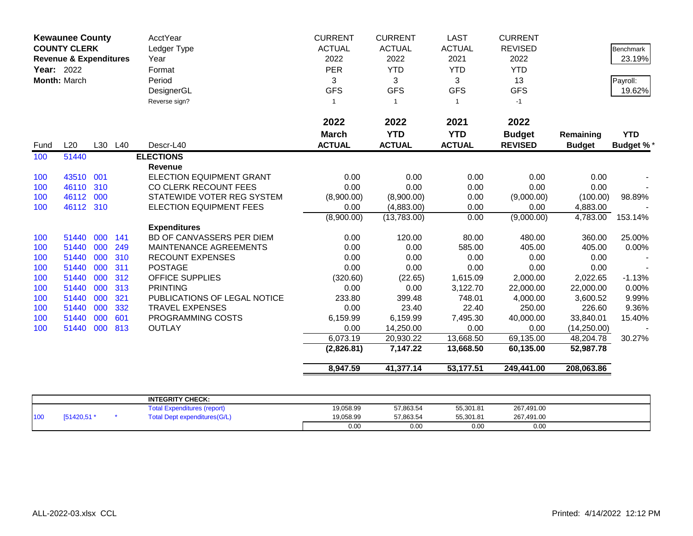|      | <b>Kewaunee County</b><br><b>COUNTY CLERK</b><br><b>Revenue &amp; Expenditures</b><br>Year: 2022 |     |         | AcctYear<br>Ledger Type<br>Year | <b>CURRENT</b><br><b>ACTUAL</b><br>2022 | <b>CURRENT</b><br><b>ACTUAL</b><br>2022 | <b>LAST</b><br><b>ACTUAL</b><br>2021 | <b>CURRENT</b><br><b>REVISED</b><br>2022 |               | <b>Benchmark</b><br>23.19% |
|------|--------------------------------------------------------------------------------------------------|-----|---------|---------------------------------|-----------------------------------------|-----------------------------------------|--------------------------------------|------------------------------------------|---------------|----------------------------|
|      |                                                                                                  |     |         | Format                          | <b>PER</b>                              | <b>YTD</b>                              | <b>YTD</b>                           | <b>YTD</b>                               |               |                            |
|      | Month: March                                                                                     |     |         | Period                          | 3                                       | 3                                       | 3                                    | 13                                       |               | Payroll:                   |
|      |                                                                                                  |     |         | DesignerGL                      | <b>GFS</b>                              | <b>GFS</b>                              | <b>GFS</b>                           | <b>GFS</b>                               |               | 19.62%                     |
|      |                                                                                                  |     |         | Reverse sign?                   | $\mathbf{1}$                            | $\overline{1}$                          | $\mathbf{1}$                         | $-1$                                     |               |                            |
|      |                                                                                                  |     |         |                                 |                                         |                                         |                                      |                                          |               |                            |
|      |                                                                                                  |     |         |                                 | 2022                                    | 2022                                    | 2021                                 | 2022                                     |               |                            |
|      |                                                                                                  |     |         |                                 | <b>March</b>                            | <b>YTD</b>                              | <b>YTD</b>                           | <b>Budget</b>                            | Remaining     | <b>YTD</b>                 |
| Fund | L20                                                                                              |     | L30 L40 | Descr-L40                       | <b>ACTUAL</b>                           | <b>ACTUAL</b>                           | <b>ACTUAL</b>                        | <b>REVISED</b>                           | <b>Budget</b> | <b>Budget %*</b>           |
| 100  | 51440                                                                                            |     |         | <b>ELECTIONS</b>                |                                         |                                         |                                      |                                          |               |                            |
|      |                                                                                                  |     |         | <b>Revenue</b>                  |                                         |                                         |                                      |                                          |               |                            |
| 100  | 43510                                                                                            | 001 |         | <b>ELECTION EQUIPMENT GRANT</b> | 0.00                                    | 0.00                                    | 0.00                                 | 0.00                                     | 0.00          |                            |
| 100  | 46110                                                                                            | 310 |         | CO CLERK RECOUNT FEES           | 0.00                                    | 0.00                                    | 0.00                                 | 0.00                                     | 0.00          |                            |
| 100  | 46112                                                                                            | 000 |         | STATEWIDE VOTER REG SYSTEM      | (8,900.00)                              | (8,900.00)                              | 0.00                                 | (9,000.00)                               | (100.00)      | 98.89%                     |
| 100  | 46112 310                                                                                        |     |         | <b>ELECTION EQUIPMENT FEES</b>  | 0.00                                    | (4,883.00)                              | 0.00                                 | 0.00                                     | 4,883.00      |                            |
|      |                                                                                                  |     |         |                                 | (8,900.00)                              | (13,783.00)                             | 0.00                                 | (9,000.00)                               | 4,783.00      | 153.14%                    |
|      |                                                                                                  |     |         | <b>Expenditures</b>             |                                         |                                         |                                      |                                          |               |                            |
| 100  | 51440                                                                                            | 000 | 141     | BD OF CANVASSERS PER DIEM       | 0.00                                    | 120.00                                  | 80.00                                | 480.00                                   | 360.00        | 25.00%                     |
| 100  | 51440                                                                                            | 000 | 249     | MAINTENANCE AGREEMENTS          | 0.00                                    | 0.00                                    | 585.00                               | 405.00                                   | 405.00        | 0.00%                      |
| 100  | 51440                                                                                            | 000 | 310     | <b>RECOUNT EXPENSES</b>         | 0.00                                    | 0.00                                    | 0.00                                 | 0.00                                     | 0.00          |                            |
| 100  | 51440                                                                                            | 000 | 311     | <b>POSTAGE</b>                  | 0.00                                    | 0.00                                    | 0.00                                 | 0.00                                     | 0.00          |                            |
| 100  | 51440                                                                                            | 000 | 312     | <b>OFFICE SUPPLIES</b>          | (320.60)                                | (22.65)                                 | 1,615.09                             | 2,000.00                                 | 2,022.65      | $-1.13%$                   |
| 100  | 51440                                                                                            | 000 | 313     | <b>PRINTING</b>                 | 0.00                                    | 0.00                                    | 3,122.70                             | 22,000.00                                | 22,000.00     | 0.00%                      |
| 100  | 51440                                                                                            | 000 | 321     | PUBLICATIONS OF LEGAL NOTICE    | 233.80                                  | 399.48                                  | 748.01                               | 4,000.00                                 | 3,600.52      | 9.99%                      |
| 100  | 51440                                                                                            | 000 | 332     | <b>TRAVEL EXPENSES</b>          | 0.00                                    | 23.40                                   | 22.40                                | 250.00                                   | 226.60        | 9.36%                      |
| 100  | 51440                                                                                            | 000 | 601     | PROGRAMMING COSTS               | 6,159.99                                | 6,159.99                                | 7,495.30                             | 40,000.00                                | 33,840.01     | 15.40%                     |
| 100  | 51440                                                                                            | 000 | 813     | <b>OUTLAY</b>                   | 0.00                                    | 14,250.00                               | 0.00                                 | 0.00                                     | (14, 250.00)  |                            |
|      |                                                                                                  |     |         |                                 | 6,073.19                                | 20,930.22                               | 13,668.50                            | 69,135.00                                | 48,204.78     | 30.27%                     |
|      |                                                                                                  |     |         |                                 | (2,826.81)                              | 7,147.22                                | 13,668.50                            | 60,135.00                                | 52,987.78     |                            |
|      |                                                                                                  |     |         |                                 | 8,947.59                                | 41,377.14                               | 53,177.51                            | 249,441.00                               | 208,063.86    |                            |

|     |            | <b>INTEGRITY CHECK:</b>              |           |           |           |            |  |
|-----|------------|--------------------------------------|-----------|-----------|-----------|------------|--|
|     |            | otal<br><b>Expenditures (report)</b> | 19,058.99 | 57,863.54 | 55,301.81 | 267,491.00 |  |
| 100 | [51420,51] | Dept expenditures(G/L)<br>`otal      | 19,058.99 | 57,863.54 | 55,301.81 | 267,491.00 |  |
|     |            |                                      | 0.00      | 0.00      | 0.00      | 0.00       |  |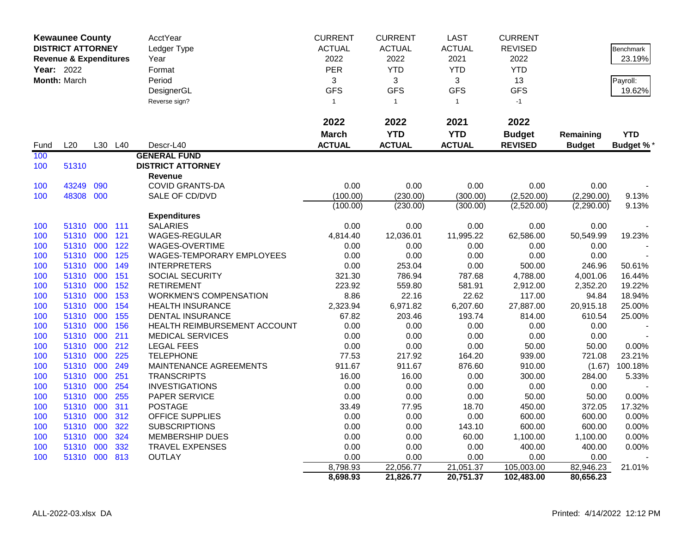|            | <b>Kewaunee County</b>            |     |         | AcctYear                      | <b>CURRENT</b>       | <b>CURRENT</b> | <b>LAST</b>            | <b>CURRENT</b> |                        |                  |
|------------|-----------------------------------|-----|---------|-------------------------------|----------------------|----------------|------------------------|----------------|------------------------|------------------|
|            | <b>DISTRICT ATTORNEY</b>          |     |         | Ledger Type                   | <b>ACTUAL</b>        | <b>ACTUAL</b>  | <b>ACTUAL</b>          | <b>REVISED</b> |                        | <b>Benchmark</b> |
|            | <b>Revenue &amp; Expenditures</b> |     |         | Year                          | 2022                 | 2022           | 2021                   | 2022           |                        | 23.19%           |
| Year: 2022 |                                   |     |         | Format                        | PER                  | <b>YTD</b>     | <b>YTD</b>             | <b>YTD</b>     |                        |                  |
|            | Month: March                      |     |         | Period                        | 3                    | 3              | 3                      | 13             |                        | Payroll:         |
|            |                                   |     |         | DesignerGL                    | <b>GFS</b>           | <b>GFS</b>     | <b>GFS</b>             | <b>GFS</b>     |                        | 19.62%           |
|            |                                   |     |         | Reverse sign?                 | $\mathbf{1}$         | $\mathbf{1}$   | $\mathbf{1}$           | $-1$           |                        |                  |
|            |                                   |     |         |                               |                      |                |                        |                |                        |                  |
|            |                                   |     |         |                               | 2022                 | 2022           | 2021                   | 2022           |                        |                  |
|            |                                   |     |         |                               | <b>March</b>         | <b>YTD</b>     | <b>YTD</b>             | <b>Budget</b>  | Remaining              | <b>YTD</b>       |
| Fund       | L20                               |     | L30 L40 | Descr-L40                     | <b>ACTUAL</b>        | <b>ACTUAL</b>  | <b>ACTUAL</b>          | <b>REVISED</b> | <b>Budget</b>          | <b>Budget %*</b> |
| 100        |                                   |     |         | <b>GENERAL FUND</b>           |                      |                |                        |                |                        |                  |
| 100        | 51310                             |     |         | <b>DISTRICT ATTORNEY</b>      |                      |                |                        |                |                        |                  |
|            |                                   |     |         | Revenue                       |                      |                |                        |                |                        |                  |
| 100        | 43249                             | 090 |         | <b>COVID GRANTS-DA</b>        | 0.00                 | 0.00           | 0.00                   | 0.00           | 0.00                   |                  |
| 100        | 48308 000                         |     |         | SALE OF CD/DVD                | (100.00)             | (230.00)       | (300.00)               | (2,520.00)     | (2,290.00)             | 9.13%            |
|            |                                   |     |         |                               | (100.00)             | (230.00)       | (300.00)               | (2,520.00)     | (2,290.00)             | 9.13%            |
|            |                                   |     |         | <b>Expenditures</b>           |                      |                |                        |                |                        |                  |
| 100        | 51310 000 111                     |     |         | <b>SALARIES</b>               | 0.00                 | 0.00           | 0.00                   | 0.00           | 0.00                   |                  |
| 100        | 51310 000                         |     | 121     | WAGES-REGULAR                 | 4,814.40             | 12,036.01      | 11,995.22              | 62,586.00      | 50,549.99              | 19.23%           |
| 100        | 51310                             | 000 | 122     | WAGES-OVERTIME                | 0.00                 | 0.00           | 0.00                   | 0.00           | 0.00                   |                  |
| 100        | 51310 000                         |     | 125     | WAGES-TEMPORARY EMPLOYEES     | 0.00                 | 0.00           | 0.00                   | 0.00           | 0.00                   |                  |
| 100        | 51310 000                         |     | 149     | <b>INTERPRETERS</b>           | 0.00                 | 253.04         | 0.00                   | 500.00         | 246.96                 | 50.61%           |
| 100        | 51310                             | 000 | 151     | SOCIAL SECURITY               | 321.30               | 786.94         | 787.68                 | 4,788.00       | 4,001.06               | 16.44%           |
| 100        | 51310 000                         |     | 152     | <b>RETIREMENT</b>             | 223.92               | 559.80         | 581.91                 | 2,912.00       | 2,352.20               | 19.22%           |
| 100        | 51310 000                         |     | 153     | <b>WORKMEN'S COMPENSATION</b> | 8.86                 | 22.16          | 22.62                  | 117.00         | 94.84                  | 18.94%           |
| 100        | 51310                             | 000 | 154     | <b>HEALTH INSURANCE</b>       | 2,323.94             | 6,971.82       | 6,207.60               | 27,887.00      | 20,915.18              | 25.00%           |
| 100        | 51310 000                         |     | 155     | <b>DENTAL INSURANCE</b>       | 67.82                | 203.46         | 193.74                 | 814.00         | 610.54                 | 25.00%           |
| 100        | 51310 000                         |     | 156     | HEALTH REIMBURSEMENT ACCOUNT  | 0.00                 | 0.00           | 0.00                   | 0.00           | 0.00                   |                  |
| 100        | 51310                             | 000 | 211     | <b>MEDICAL SERVICES</b>       | 0.00                 | 0.00           | 0.00                   | 0.00           | 0.00                   |                  |
| 100        | 51310 000                         |     | 212     | <b>LEGAL FEES</b>             | 0.00                 | 0.00           | 0.00                   | 50.00          | 50.00                  | 0.00%            |
| 100        | 51310 000                         |     | 225     | <b>TELEPHONE</b>              | 77.53                | 217.92         | 164.20                 | 939.00         | 721.08                 | 23.21%           |
| 100        | 51310                             | 000 | 249     | MAINTENANCE AGREEMENTS        | 911.67               | 911.67         | 876.60                 | 910.00         | (1.67)                 | 100.18%          |
| 100        | 51310 000                         |     | 251     | <b>TRANSCRIPTS</b>            | 16.00                | 16.00          | 0.00                   | 300.00         | 284.00                 | 5.33%            |
| 100        | 51310 000                         |     | 254     | <b>INVESTIGATIONS</b>         | 0.00                 | 0.00           | 0.00                   | 0.00           | 0.00                   |                  |
| 100        | 51310                             | 000 | 255     | PAPER SERVICE                 | 0.00                 | 0.00           | 0.00                   | 50.00          | 50.00                  | 0.00%            |
| 100        | 51310 000                         |     | 311     | <b>POSTAGE</b>                | 33.49                | 77.95          | 18.70                  | 450.00         | 372.05                 | 17.32%           |
| 100        | 51310 000                         |     | 312     | <b>OFFICE SUPPLIES</b>        | 0.00                 | 0.00           | 0.00                   | 600.00         | 600.00                 | 0.00%            |
| 100        | 51310                             | 000 | 322     | <b>SUBSCRIPTIONS</b>          | 0.00                 | 0.00           | 143.10                 | 600.00         | 600.00                 | $0.00\%$         |
| 100        | 51310 000                         |     | 324     | <b>MEMBERSHIP DUES</b>        | 0.00                 | 0.00           | 60.00                  | 1,100.00       | 1,100.00               | 0.00%            |
| 100        | 51310                             | 000 | 332     | <b>TRAVEL EXPENSES</b>        | 0.00                 | 0.00           | 0.00                   | 400.00         | 400.00                 | 0.00%            |
| 100        | 51310 000 813                     |     |         | <b>OUTLAY</b>                 | 0.00                 | 0.00           | 0.00                   | 0.00           | 0.00                   |                  |
|            |                                   |     |         |                               | 8,798.93<br>8,698.93 | 22,056.77      | 21,051.37<br>20,751.37 | 105,003.00     | 82,946.23<br>80,656.23 | 21.01%           |
|            |                                   |     |         |                               |                      | 21,826.77      |                        | 102,483.00     |                        |                  |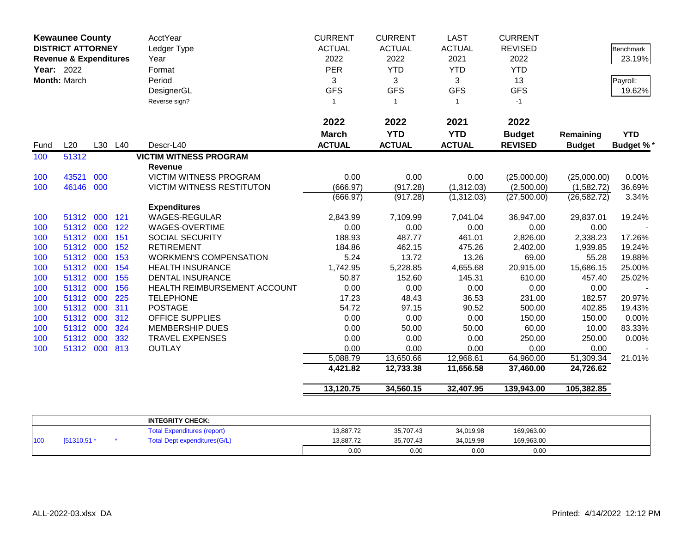| <b>Kewaunee County</b><br><b>DISTRICT ATTORNEY</b><br><b>Revenue &amp; Expenditures</b><br><b>Year: 2022</b><br>Month: March |                    |     | <b>AcctYear</b><br>Ledger Type<br>Year<br>Format<br>Period<br>DesignerGL<br>Reverse sign? | <b>CURRENT</b><br><b>ACTUAL</b><br>2022<br><b>PER</b><br>3<br><b>GFS</b><br>$\mathbf{1}$ | <b>CURRENT</b><br><b>ACTUAL</b><br>2022<br><b>YTD</b><br>3<br><b>GFS</b><br>-1 | <b>LAST</b><br><b>ACTUAL</b><br>2021<br><b>YTD</b><br>3<br><b>GFS</b><br>$\mathbf{1}$ | <b>CURRENT</b><br><b>REVISED</b><br>2022<br><b>YTD</b><br>13<br><b>GFS</b><br>$-1$ |                                          | Benchmark<br>23.19%<br>Payroll:<br>19.62% |                                |
|------------------------------------------------------------------------------------------------------------------------------|--------------------|-----|-------------------------------------------------------------------------------------------|------------------------------------------------------------------------------------------|--------------------------------------------------------------------------------|---------------------------------------------------------------------------------------|------------------------------------------------------------------------------------|------------------------------------------|-------------------------------------------|--------------------------------|
| Fund                                                                                                                         | L20                |     | L30 L40                                                                                   | Descr-L40                                                                                | 2022<br><b>March</b><br><b>ACTUAL</b>                                          | 2022<br><b>YTD</b><br><b>ACTUAL</b>                                                   | 2021<br><b>YTD</b><br><b>ACTUAL</b>                                                | 2022<br><b>Budget</b><br><b>REVISED</b>  | Remaining<br><b>Budget</b>                | <b>YTD</b><br><b>Budget %*</b> |
| 100                                                                                                                          | 51312              |     |                                                                                           | <b>VICTIM WITNESS PROGRAM</b>                                                            |                                                                                |                                                                                       |                                                                                    |                                          |                                           |                                |
| 100<br>100                                                                                                                   | 43521<br>46146 000 | 000 |                                                                                           | <b>Revenue</b><br>VICTIM WITNESS PROGRAM<br><b>VICTIM WITNESS RESTITUTON</b>             | 0.00<br>(666.97)<br>(666.97)                                                   | 0.00<br>(917.28)<br>(917.28)                                                          | 0.00<br>(1,312.03)<br>(1,312.03)                                                   | (25,000.00)<br>(2,500.00)<br>(27,500.00) | (25,000.00)<br>(1,582.72)<br>(26, 582.72) | 0.00%<br>36.69%<br>3.34%       |
|                                                                                                                              |                    |     |                                                                                           | <b>Expenditures</b>                                                                      |                                                                                |                                                                                       |                                                                                    |                                          |                                           |                                |
| 100                                                                                                                          | 51312              | 000 | 121                                                                                       | <b>WAGES-REGULAR</b>                                                                     | 2,843.99                                                                       | 7,109.99                                                                              | 7,041.04                                                                           | 36,947.00                                | 29,837.01                                 | 19.24%                         |
| 100                                                                                                                          | 51312 000          |     | 122                                                                                       | WAGES-OVERTIME                                                                           | 0.00                                                                           | 0.00                                                                                  | 0.00                                                                               | 0.00                                     | 0.00                                      |                                |
| 100                                                                                                                          | 51312 000          |     | 151                                                                                       | SOCIAL SECURITY                                                                          | 188.93                                                                         | 487.77                                                                                | 461.01                                                                             | 2,826.00                                 | 2,338.23                                  | 17.26%                         |
| 100                                                                                                                          | 51312 000          |     | 152                                                                                       | <b>RETIREMENT</b>                                                                        | 184.86                                                                         | 462.15                                                                                | 475.26                                                                             | 2,402.00                                 | 1,939.85                                  | 19.24%                         |
| 100                                                                                                                          | 51312              | 000 | 153                                                                                       | <b>WORKMEN'S COMPENSATION</b>                                                            | 5.24                                                                           | 13.72                                                                                 | 13.26                                                                              | 69.00                                    | 55.28                                     | 19.88%                         |
| 100                                                                                                                          | 51312              | 000 | 154                                                                                       | <b>HEALTH INSURANCE</b>                                                                  | 1,742.95                                                                       | 5,228.85                                                                              | 4,655.68                                                                           | 20,915.00                                | 15,686.15                                 | 25.00%                         |
| 100                                                                                                                          | 51312 000          |     | 155                                                                                       | <b>DENTAL INSURANCE</b>                                                                  | 50.87                                                                          | 152.60                                                                                | 145.31                                                                             | 610.00                                   | 457.40                                    | 25.02%                         |
| 100                                                                                                                          | 51312 000          |     | 156                                                                                       | HEALTH REIMBURSEMENT ACCOUNT                                                             | 0.00                                                                           | 0.00                                                                                  | 0.00                                                                               | 0.00                                     | 0.00                                      |                                |
| 100                                                                                                                          | 51312 000          |     | 225                                                                                       | <b>TELEPHONE</b>                                                                         | 17.23                                                                          | 48.43                                                                                 | 36.53                                                                              | 231.00                                   | 182.57                                    | 20.97%                         |
| 100                                                                                                                          | 51312 000          |     | 311                                                                                       | <b>POSTAGE</b>                                                                           | 54.72                                                                          | 97.15                                                                                 | 90.52                                                                              | 500.00                                   | 402.85                                    | 19.43%                         |
| 100                                                                                                                          | 51312 000          |     | 312                                                                                       | <b>OFFICE SUPPLIES</b>                                                                   | 0.00                                                                           | 0.00                                                                                  | 0.00                                                                               | 150.00                                   | 150.00                                    | 0.00%                          |
| 100                                                                                                                          | 51312 000          |     | 324                                                                                       | <b>MEMBERSHIP DUES</b>                                                                   | 0.00                                                                           | 50.00                                                                                 | 50.00                                                                              | 60.00                                    | 10.00                                     | 83.33%                         |
| 100                                                                                                                          | 51312 000          |     | 332                                                                                       | <b>TRAVEL EXPENSES</b>                                                                   | 0.00                                                                           | 0.00                                                                                  | 0.00                                                                               | 250.00                                   | 250.00                                    | 0.00%                          |
| 100                                                                                                                          | 51312 000          |     | 813                                                                                       | <b>OUTLAY</b>                                                                            | 0.00                                                                           | 0.00                                                                                  | 0.00                                                                               | 0.00                                     | 0.00                                      |                                |
|                                                                                                                              |                    |     |                                                                                           |                                                                                          | 5,088.79<br>4,421.82                                                           | 13,650.66<br>12,733.38                                                                | 12,968.61<br>11,656.58                                                             | 64,960.00<br>37,460.00                   | 51,309.34<br>24,726.62                    | 21.01%                         |
|                                                                                                                              |                    |     |                                                                                           |                                                                                          | 13,120.75                                                                      | 34,560.15                                                                             | 32,407.95                                                                          | 139,943.00                               | 105,382.85                                |                                |

|     |             | <b>INTEGRITY CHECK:</b>            |           |           |           |            |  |
|-----|-------------|------------------------------------|-----------|-----------|-----------|------------|--|
|     |             | <b>Total Expenditures (report)</b> | 13,887.72 | 35,707.43 | 34,019.98 | 169,963.00 |  |
| 100 | [51310,51 * | Total Dept expenditures (G/L)      | 13.887.72 | 35.707.43 | 34,019.98 | 169,963.00 |  |
|     |             |                                    | 0.00      | 0.00      | 0.00      | 0.00       |  |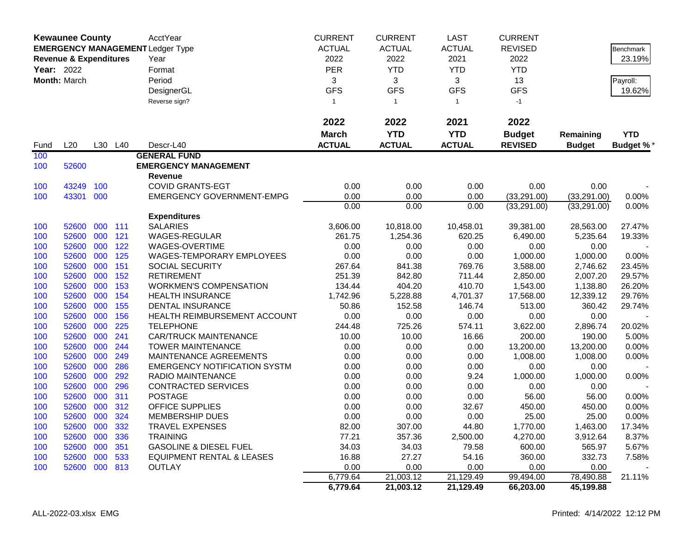|                   | <b>Kewaunee County</b>            |     |         | <b>AcctYear</b>                         | <b>CURRENT</b> | <b>CURRENT</b> | <b>LAST</b>   | <b>CURRENT</b> |               |                  |
|-------------------|-----------------------------------|-----|---------|-----------------------------------------|----------------|----------------|---------------|----------------|---------------|------------------|
|                   |                                   |     |         | <b>EMERGENCY MANAGEMENT Ledger Type</b> | <b>ACTUAL</b>  | <b>ACTUAL</b>  | <b>ACTUAL</b> | <b>REVISED</b> |               | <b>Benchmark</b> |
|                   | <b>Revenue &amp; Expenditures</b> |     |         | Year                                    | 2022           | 2022           | 2021          | 2022           |               | 23.19%           |
| <b>Year: 2022</b> |                                   |     |         | Format                                  | <b>PER</b>     | <b>YTD</b>     | <b>YTD</b>    | <b>YTD</b>     |               |                  |
|                   | Month: March                      |     |         | Period                                  | 3              | 3              | 3             | 13             |               | Payroll:         |
|                   |                                   |     |         | DesignerGL                              | <b>GFS</b>     | <b>GFS</b>     | <b>GFS</b>    | <b>GFS</b>     |               | 19.62%           |
|                   |                                   |     |         | Reverse sign?                           | $\mathbf{1}$   | $\overline{1}$ | $\mathbf{1}$  | $-1$           |               |                  |
|                   |                                   |     |         |                                         |                |                |               |                |               |                  |
|                   |                                   |     |         |                                         | 2022           | 2022           | 2021          | 2022           |               |                  |
|                   |                                   |     |         |                                         | <b>March</b>   | <b>YTD</b>     | <b>YTD</b>    | <b>Budget</b>  | Remaining     | <b>YTD</b>       |
| Fund              | L20                               |     | L30 L40 | Descr-L40                               | <b>ACTUAL</b>  | <b>ACTUAL</b>  | <b>ACTUAL</b> | <b>REVISED</b> | <b>Budget</b> | <b>Budget %*</b> |
| 100               |                                   |     |         | <b>GENERAL FUND</b>                     |                |                |               |                |               |                  |
| 100               | 52600                             |     |         | <b>EMERGENCY MANAGEMENT</b>             |                |                |               |                |               |                  |
|                   |                                   |     |         | Revenue                                 |                |                |               |                |               |                  |
| 100               | 43249                             | 100 |         | <b>COVID GRANTS-EGT</b>                 | 0.00           | 0.00           | 0.00          | 0.00           | 0.00          |                  |
| 100               | 43301                             | 000 |         | <b>EMERGENCY GOVERNMENT-EMPG</b>        | 0.00           | 0.00           | 0.00          | (33, 291.00)   | (33,291.00)   | 0.00%            |
|                   |                                   |     |         |                                         | 0.00           | 0.00           | 0.00          | (33, 291.00)   | (33, 291.00)  | 0.00%            |
|                   |                                   |     |         | <b>Expenditures</b>                     |                |                |               |                |               |                  |
| 100               | 52600                             | 000 | 111     | <b>SALARIES</b>                         | 3,606.00       | 10,818.00      | 10,458.01     | 39,381.00      | 28,563.00     | 27.47%           |
| 100               | 52600                             | 000 | 121     | <b>WAGES-REGULAR</b>                    | 261.75         | 1,254.36       | 620.25        | 6,490.00       | 5,235.64      | 19.33%           |
| 100               | 52600                             | 000 | 122     | WAGES-OVERTIME                          | 0.00           | 0.00           | 0.00          | 0.00           | 0.00          |                  |
| 100               | 52600                             | 000 | 125     | WAGES-TEMPORARY EMPLOYEES               | 0.00           | 0.00           | 0.00          | 1,000.00       | 1,000.00      | 0.00%            |
| 100               | 52600                             | 000 | 151     | SOCIAL SECURITY                         | 267.64         | 841.38         | 769.76        | 3,588.00       | 2,746.62      | 23.45%           |
| 100               | 52600                             | 000 | 152     | <b>RETIREMENT</b>                       | 251.39         | 842.80         | 711.44        | 2,850.00       | 2,007.20      | 29.57%           |
| 100               | 52600                             | 000 | 153     | <b>WORKMEN'S COMPENSATION</b>           | 134.44         | 404.20         | 410.70        | 1,543.00       | 1,138.80      | 26.20%           |
| 100               | 52600                             | 000 | 154     | <b>HEALTH INSURANCE</b>                 | 1,742.96       | 5,228.88       | 4,701.37      | 17,568.00      | 12,339.12     | 29.76%           |
| 100               | 52600                             | 000 | 155     | <b>DENTAL INSURANCE</b>                 | 50.86          | 152.58         | 146.74        | 513.00         | 360.42        | 29.74%           |
| 100               | 52600                             | 000 | 156     | HEALTH REIMBURSEMENT ACCOUNT            | 0.00           | 0.00           | 0.00          | 0.00           | 0.00          |                  |
| 100               | 52600                             | 000 | 225     | <b>TELEPHONE</b>                        | 244.48         | 725.26         | 574.11        | 3,622.00       | 2,896.74      | 20.02%           |
| 100               | 52600                             | 000 | 241     | <b>CAR/TRUCK MAINTENANCE</b>            | 10.00          | 10.00          | 16.66         | 200.00         | 190.00        | 5.00%            |
| 100               | 52600                             | 000 | 244     | <b>TOWER MAINTENANCE</b>                | 0.00           | 0.00           | 0.00          | 13,200.00      | 13,200.00     | 0.00%            |
| 100               | 52600                             | 000 | 249     | MAINTENANCE AGREEMENTS                  | 0.00           | 0.00           | 0.00          | 1,008.00       | 1,008.00      | 0.00%            |
| 100               | 52600                             | 000 | 286     | <b>EMERGENCY NOTIFICATION SYSTM</b>     | 0.00           | 0.00           | 0.00          | 0.00           | 0.00          |                  |
| 100               | 52600                             | 000 | 292     | RADIO MAINTENANCE                       | 0.00           | 0.00           | 9.24          | 1,000.00       | 1,000.00      | 0.00%            |
| 100               | 52600                             | 000 | 296     | <b>CONTRACTED SERVICES</b>              | 0.00           | 0.00           | 0.00          | 0.00           | 0.00          |                  |
| 100               | 52600                             | 000 | 311     | <b>POSTAGE</b>                          | 0.00           | 0.00           | 0.00          | 56.00          | 56.00         | 0.00%            |
| 100               | 52600                             | 000 | 312     | <b>OFFICE SUPPLIES</b>                  | 0.00           | 0.00           | 32.67         | 450.00         | 450.00        | 0.00%            |
| 100               | 52600                             | 000 | 324     | <b>MEMBERSHIP DUES</b>                  | 0.00           | 0.00           | 0.00          | 25.00          | 25.00         | 0.00%            |
| 100               | 52600 000 332                     |     |         | TRAVEL EXPENSES                         | 82.00          | 307.00         | 44.80         | 1,770.00       | 1,463.00      | 17.34%           |
| 100               | 52600 000                         |     | 336     | <b>TRAINING</b>                         | 77.21          | 357.36         | 2,500.00      | 4,270.00       | 3,912.64      | 8.37%            |
| 100               | 52600 000                         |     | 351     | <b>GASOLINE &amp; DIESEL FUEL</b>       | 34.03          | 34.03          | 79.58         | 600.00         | 565.97        | 5.67%            |
| 100               | 52600 000 533                     |     |         | <b>EQUIPMENT RENTAL &amp; LEASES</b>    | 16.88          | 27.27          | 54.16         | 360.00         | 332.73        | 7.58%            |
| 100               | 52600 000 813                     |     |         | <b>OUTLAY</b>                           | 0.00           | 0.00           | 0.00          | 0.00           | 0.00          |                  |
|                   |                                   |     |         |                                         | 6,779.64       | 21,003.12      | 21,129.49     | 99,494.00      | 78,490.88     | 21.11%           |
|                   |                                   |     |         |                                         | 6,779.64       | 21,003.12      | 21,129.49     | 66,203.00      | 45,199.88     |                  |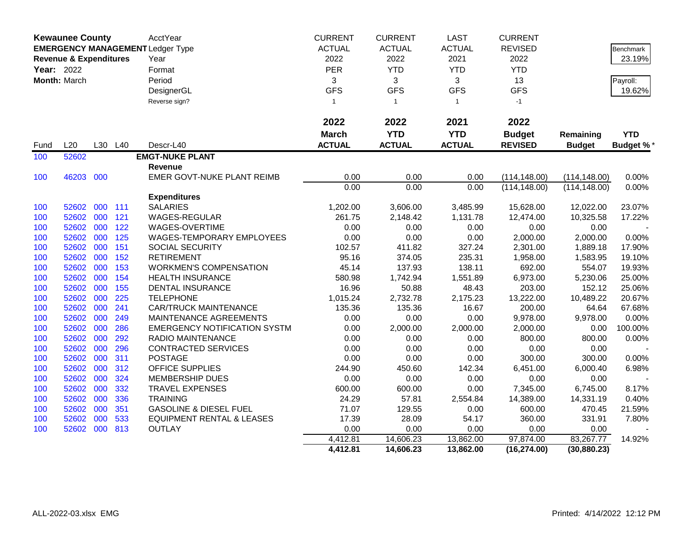|            | <b>Kewaunee County</b>            |     |         | AcctYear                                | <b>CURRENT</b> | <b>CURRENT</b> | <b>LAST</b>   | <b>CURRENT</b> |               |                  |
|------------|-----------------------------------|-----|---------|-----------------------------------------|----------------|----------------|---------------|----------------|---------------|------------------|
|            |                                   |     |         | <b>EMERGENCY MANAGEMENT Ledger Type</b> | <b>ACTUAL</b>  | <b>ACTUAL</b>  | <b>ACTUAL</b> | <b>REVISED</b> |               | <b>Benchmark</b> |
|            | <b>Revenue &amp; Expenditures</b> |     |         | Year                                    | 2022           | 2022           | 2021          | 2022           |               | 23.19%           |
| Year: 2022 |                                   |     |         | Format                                  | <b>PER</b>     | <b>YTD</b>     | <b>YTD</b>    | <b>YTD</b>     |               |                  |
|            | Month: March                      |     |         | Period                                  | 3              | 3              | 3             | 13             |               | Payroll:         |
|            |                                   |     |         | DesignerGL                              | <b>GFS</b>     | <b>GFS</b>     | <b>GFS</b>    | <b>GFS</b>     |               | 19.62%           |
|            |                                   |     |         | Reverse sign?                           | $\mathbf{1}$   | $\mathbf{1}$   | $\mathbf{1}$  | $-1$           |               |                  |
|            |                                   |     |         |                                         |                |                |               |                |               |                  |
|            |                                   |     |         |                                         | 2022           | 2022           | 2021          | 2022           |               |                  |
|            |                                   |     |         |                                         | <b>March</b>   | <b>YTD</b>     | <b>YTD</b>    | <b>Budget</b>  | Remaining     | <b>YTD</b>       |
| Fund       | L20                               |     | L30 L40 | Descr-L40                               | <b>ACTUAL</b>  | <b>ACTUAL</b>  | <b>ACTUAL</b> | <b>REVISED</b> | <b>Budget</b> | <b>Budget %</b>  |
| 100        | 52602                             |     |         | <b>EMGT-NUKE PLANT</b>                  |                |                |               |                |               |                  |
|            |                                   |     |         | <b>Revenue</b>                          |                |                |               |                |               |                  |
| 100        | 46203                             | 000 |         | EMER GOVT-NUKE PLANT REIMB              | 0.00           | 0.00           | 0.00          | (114, 148.00)  | (114, 148.00) | 0.00%            |
|            |                                   |     |         |                                         | 0.00           | 0.00           | 0.00          | (114, 148.00)  | (114, 148.00) | 0.00%            |
|            |                                   |     |         | <b>Expenditures</b>                     |                |                |               |                |               |                  |
| 100        | 52602                             | 000 | 111     | <b>SALARIES</b>                         | 1,202.00       | 3,606.00       | 3,485.99      | 15,628.00      | 12,022.00     | 23.07%           |
| 100        | 52602                             | 000 | 121     | WAGES-REGULAR                           | 261.75         | 2,148.42       | 1,131.78      | 12,474.00      | 10,325.58     | 17.22%           |
| 100        | 52602                             | 000 | 122     | WAGES-OVERTIME                          | 0.00           | 0.00           | 0.00          | 0.00           | 0.00          |                  |
| 100        | 52602                             | 000 | 125     | WAGES-TEMPORARY EMPLOYEES               | 0.00           | 0.00           | 0.00          | 2,000.00       | 2,000.00      | 0.00%            |
| 100        | 52602                             | 000 | 151     | SOCIAL SECURITY                         | 102.57         | 411.82         | 327.24        | 2,301.00       | 1,889.18      | 17.90%           |
| 100        | 52602                             | 000 | 152     | <b>RETIREMENT</b>                       | 95.16          | 374.05         | 235.31        | 1,958.00       | 1,583.95      | 19.10%           |
| 100        | 52602                             | 000 | 153     | <b>WORKMEN'S COMPENSATION</b>           | 45.14          | 137.93         | 138.11        | 692.00         | 554.07        | 19.93%           |
| 100        | 52602                             | 000 | 154     | <b>HEALTH INSURANCE</b>                 | 580.98         | 1,742.94       | 1,551.89      | 6,973.00       | 5,230.06      | 25.00%           |
| 100        | 52602                             | 000 | 155     | <b>DENTAL INSURANCE</b>                 | 16.96          | 50.88          | 48.43         | 203.00         | 152.12        | 25.06%           |
| 100        | 52602                             | 000 | 225     | <b>TELEPHONE</b>                        | 1,015.24       | 2,732.78       | 2,175.23      | 13,222.00      | 10,489.22     | 20.67%           |
| 100        | 52602                             | 000 | 241     | <b>CAR/TRUCK MAINTENANCE</b>            | 135.36         | 135.36         | 16.67         | 200.00         | 64.64         | 67.68%           |
| 100        | 52602                             | 000 | 249     | MAINTENANCE AGREEMENTS                  | 0.00           | 0.00           | 0.00          | 9,978.00       | 9,978.00      | 0.00%            |
| 100        | 52602                             | 000 | 286     | <b>EMERGENCY NOTIFICATION SYSTM</b>     | 0.00           | 2,000.00       | 2,000.00      | 2,000.00       | 0.00          | 100.00%          |
| 100        | 52602                             | 000 | 292     | RADIO MAINTENANCE                       | 0.00           | 0.00           | 0.00          | 800.00         | 800.00        | 0.00%            |
| 100        | 52602                             | 000 | 296     | CONTRACTED SERVICES                     | 0.00           | 0.00           | 0.00          | 0.00           | 0.00          |                  |
| 100        | 52602                             | 000 | 311     | <b>POSTAGE</b>                          | 0.00           | 0.00           | 0.00          | 300.00         | 300.00        | 0.00%            |
| 100        | 52602                             | 000 | 312     | OFFICE SUPPLIES                         | 244.90         | 450.60         | 142.34        | 6,451.00       | 6,000.40      | 6.98%            |
| 100        | 52602                             | 000 | 324     | <b>MEMBERSHIP DUES</b>                  | 0.00           | 0.00           | 0.00          | 0.00           | 0.00          |                  |
| 100        | 52602                             | 000 | 332     | <b>TRAVEL EXPENSES</b>                  | 600.00         | 600.00         | 0.00          | 7,345.00       | 6,745.00      | 8.17%            |
| 100        | 52602                             | 000 | 336     | <b>TRAINING</b>                         | 24.29          | 57.81          | 2,554.84      | 14,389.00      | 14,331.19     | 0.40%            |
| 100        | 52602                             | 000 | 351     | <b>GASOLINE &amp; DIESEL FUEL</b>       | 71.07          | 129.55         | 0.00          | 600.00         | 470.45        | 21.59%           |
| 100        | 52602                             | 000 | 533     | <b>EQUIPMENT RENTAL &amp; LEASES</b>    | 17.39          | 28.09          | 54.17         | 360.00         | 331.91        | 7.80%            |
| 100        | 52602                             | 000 | 813     | <b>OUTLAY</b>                           | 0.00           | 0.00           | 0.00          | 0.00           | 0.00          |                  |
|            |                                   |     |         |                                         | 4,412.81       | 14,606.23      | 13,862.00     | 97,874.00      | 83,267.77     | 14.92%           |
|            |                                   |     |         |                                         | 4,412.81       | 14,606.23      | 13,862.00     | (16, 274.00)   | (30, 880.23)  |                  |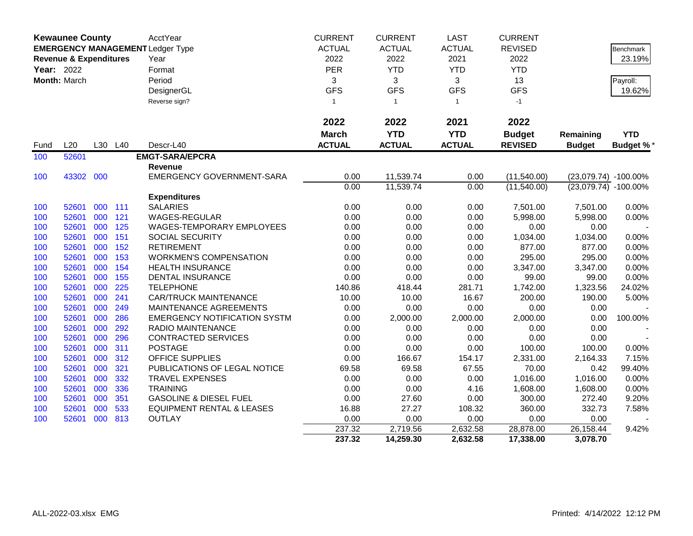|            | <b>Kewaunee County</b>            |         |     | AcctYear                                | <b>CURRENT</b> | <b>CURRENT</b> | <b>LAST</b>   | <b>CURRENT</b> |                          |            |
|------------|-----------------------------------|---------|-----|-----------------------------------------|----------------|----------------|---------------|----------------|--------------------------|------------|
|            |                                   |         |     | <b>EMERGENCY MANAGEMENT Ledger Type</b> | <b>ACTUAL</b>  | <b>ACTUAL</b>  | <b>ACTUAL</b> | <b>REVISED</b> |                          | Benchmark  |
|            | <b>Revenue &amp; Expenditures</b> |         |     | Year                                    | 2022           | 2022           | 2021          | 2022           |                          | 23.19%     |
| Year: 2022 |                                   |         |     | Format                                  | <b>PER</b>     | <b>YTD</b>     | <b>YTD</b>    | <b>YTD</b>     |                          |            |
|            | Month: March                      |         |     | Period                                  | 3              | 3              | 3             | 13             |                          | Payroll:   |
|            |                                   |         |     | DesignerGL                              | <b>GFS</b>     | <b>GFS</b>     | <b>GFS</b>    | <b>GFS</b>     |                          | 19.62%     |
|            |                                   |         |     | Reverse sign?                           | $\mathbf{1}$   | $\overline{1}$ | $\mathbf{1}$  | $-1$           |                          |            |
|            |                                   |         |     |                                         |                |                |               |                |                          |            |
|            |                                   |         |     |                                         | 2022           | 2022           | 2021          | 2022           |                          |            |
|            |                                   |         |     |                                         | <b>March</b>   | <b>YTD</b>     | <b>YTD</b>    | <b>Budget</b>  | Remaining                | <b>YTD</b> |
| Fund       | L20                               | L30     | L40 | Descr-L40                               | <b>ACTUAL</b>  | <b>ACTUAL</b>  | <b>ACTUAL</b> | <b>REVISED</b> | <b>Budget</b>            | Budget %*  |
| 100        | 52601                             |         |     | <b>EMGT-SARA/EPCRA</b>                  |                |                |               |                |                          |            |
|            |                                   |         |     | Revenue                                 |                |                |               |                |                          |            |
| 100        | 43302                             | 000     |     | <b>EMERGENCY GOVERNMENT-SARA</b>        | 0.00           | 11,539.74      | 0.00          | (11,540.00)    | (23,079.74) -100.00%     |            |
|            |                                   |         |     |                                         | 0.00           | 11,539.74      | 0.00          | (11,540.00)    | $(23,079.74) - 100.00\%$ |            |
|            |                                   |         |     | <b>Expenditures</b>                     |                |                |               |                |                          |            |
| 100        | 52601                             | 000 111 |     | <b>SALARIES</b>                         | 0.00           | 0.00           | 0.00          | 7,501.00       | 7,501.00                 | 0.00%      |
| 100        | 52601                             | 000     | 121 | <b>WAGES-REGULAR</b>                    | 0.00           | 0.00           | 0.00          | 5,998.00       | 5,998.00                 | 0.00%      |
| 100        | 52601                             | 000     | 125 | WAGES-TEMPORARY EMPLOYEES               | 0.00           | 0.00           | 0.00          | 0.00           | 0.00                     |            |
| 100        | 52601                             | 000     | 151 | SOCIAL SECURITY                         | 0.00           | 0.00           | 0.00          | 1,034.00       | 1,034.00                 | 0.00%      |
| 100        | 52601                             | 000     | 152 | <b>RETIREMENT</b>                       | 0.00           | 0.00           | 0.00          | 877.00         | 877.00                   | 0.00%      |
| 100        | 52601                             | 000     | 153 | <b>WORKMEN'S COMPENSATION</b>           | 0.00           | 0.00           | 0.00          | 295.00         | 295.00                   | 0.00%      |
| 100        | 52601                             | 000     | 154 | <b>HEALTH INSURANCE</b>                 | 0.00           | 0.00           | 0.00          | 3,347.00       | 3,347.00                 | 0.00%      |
| 100        | 52601                             | 000     | 155 | <b>DENTAL INSURANCE</b>                 | 0.00           | 0.00           | 0.00          | 99.00          | 99.00                    | 0.00%      |
| 100        | 52601                             | 000     | 225 | <b>TELEPHONE</b>                        | 140.86         | 418.44         | 281.71        | 1,742.00       | 1,323.56                 | 24.02%     |
| 100        | 52601                             | 000     | 241 | <b>CAR/TRUCK MAINTENANCE</b>            | 10.00          | 10.00          | 16.67         | 200.00         | 190.00                   | 5.00%      |
| 100        | 52601                             | 000     | 249 | MAINTENANCE AGREEMENTS                  | 0.00           | 0.00           | 0.00          | 0.00           | 0.00                     |            |
| 100        | 52601                             | 000     | 286 | <b>EMERGENCY NOTIFICATION SYSTM</b>     | 0.00           | 2,000.00       | 2,000.00      | 2,000.00       | 0.00                     | 100.00%    |
| 100        | 52601                             | 000     | 292 | <b>RADIO MAINTENANCE</b>                | 0.00           | 0.00           | 0.00          | 0.00           | 0.00                     |            |
| 100        | 52601                             | 000     | 296 | <b>CONTRACTED SERVICES</b>              | 0.00           | 0.00           | 0.00          | 0.00           | 0.00                     |            |
| 100        | 52601                             | 000     | 311 | <b>POSTAGE</b>                          | 0.00           | 0.00           | 0.00          | 100.00         | 100.00                   | 0.00%      |
| 100        | 52601                             | 000     | 312 | <b>OFFICE SUPPLIES</b>                  | 0.00           | 166.67         | 154.17        | 2,331.00       | 2,164.33                 | 7.15%      |
| 100        | 52601                             | 000     | 321 | PUBLICATIONS OF LEGAL NOTICE            | 69.58          | 69.58          | 67.55         | 70.00          | 0.42                     | 99.40%     |
| 100        | 52601                             | 000     | 332 | <b>TRAVEL EXPENSES</b>                  | 0.00           | 0.00           | 0.00          | 1,016.00       | 1,016.00                 | 0.00%      |
| 100        | 52601                             | 000     | 336 | <b>TRAINING</b>                         | 0.00           | 0.00           | 4.16          | 1,608.00       | 1,608.00                 | 0.00%      |
| 100        | 52601                             | 000     | 351 | <b>GASOLINE &amp; DIESEL FUEL</b>       | 0.00           | 27.60          | 0.00          | 300.00         | 272.40                   | 9.20%      |
| 100        | 52601                             | 000     | 533 | <b>EQUIPMENT RENTAL &amp; LEASES</b>    | 16.88          | 27.27          | 108.32        | 360.00         | 332.73                   | 7.58%      |
| 100        | 52601                             | 000     | 813 | <b>OUTLAY</b>                           | 0.00           | 0.00           | 0.00          | 0.00           | 0.00                     |            |
|            |                                   |         |     |                                         | 237.32         | 2,719.56       | 2,632.58      | 28,878.00      | 26,158.44                | 9.42%      |
|            |                                   |         |     |                                         | 237.32         | 14,259.30      | 2,632.58      | 17,338.00      | 3,078.70                 |            |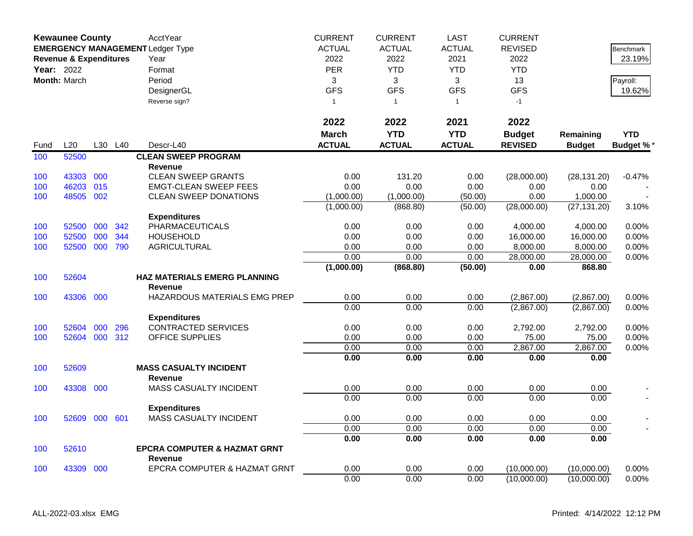|            | <b>Kewaunee County</b>            |     |     | AcctYear                                | <b>CURRENT</b> | <b>CURRENT</b> | <b>LAST</b>   | <b>CURRENT</b> |               |                 |
|------------|-----------------------------------|-----|-----|-----------------------------------------|----------------|----------------|---------------|----------------|---------------|-----------------|
|            |                                   |     |     | <b>EMERGENCY MANAGEMENT Ledger Type</b> | <b>ACTUAL</b>  | <b>ACTUAL</b>  | <b>ACTUAL</b> | <b>REVISED</b> |               | Benchmark       |
|            | <b>Revenue &amp; Expenditures</b> |     |     | Year                                    | 2022           | 2022           | 2021          | 2022           |               | 23.19%          |
| Year: 2022 |                                   |     |     | Format                                  | <b>PER</b>     | <b>YTD</b>     | <b>YTD</b>    | <b>YTD</b>     |               |                 |
|            | <b>Month: March</b>               |     |     | Period                                  | 3              | 3              | 3             | 13             |               | Payroll:        |
|            |                                   |     |     | DesignerGL                              | <b>GFS</b>     | <b>GFS</b>     | <b>GFS</b>    | <b>GFS</b>     |               | 19.62%          |
|            |                                   |     |     | Reverse sign?                           | $\mathbf{1}$   | $\overline{1}$ | $\mathbf{1}$  | $-1$           |               |                 |
|            |                                   |     |     |                                         |                |                |               |                |               |                 |
|            |                                   |     |     |                                         | 2022           | 2022           | 2021          | 2022           |               |                 |
|            |                                   |     |     |                                         | <b>March</b>   | <b>YTD</b>     | <b>YTD</b>    | <b>Budget</b>  | Remaining     | <b>YTD</b>      |
| Fund       | L20                               | L30 | L40 | Descr-L40                               | <b>ACTUAL</b>  | <b>ACTUAL</b>  | <b>ACTUAL</b> | <b>REVISED</b> | <b>Budget</b> | <b>Budget %</b> |
| 100        | 52500                             |     |     | <b>CLEAN SWEEP PROGRAM</b>              |                |                |               |                |               |                 |
|            |                                   |     |     | <b>Revenue</b>                          |                |                |               |                |               |                 |
| 100        | 43303                             | 000 |     | <b>CLEAN SWEEP GRANTS</b>               | 0.00           | 131.20         | 0.00          | (28,000.00)    | (28, 131.20)  | $-0.47%$        |
| 100        | 46203                             | 015 |     | <b>EMGT-CLEAN SWEEP FEES</b>            | 0.00           | 0.00           | 0.00          | 0.00           | 0.00          |                 |
| 100        | 48505                             | 002 |     | <b>CLEAN SWEEP DONATIONS</b>            | (1,000.00)     | (1,000.00)     | (50.00)       | 0.00           | 1,000.00      |                 |
|            |                                   |     |     |                                         | (1,000.00)     | (868.80)       | (50.00)       | (28,000.00)    | (27, 131.20)  | 3.10%           |
|            |                                   |     |     | <b>Expenditures</b>                     |                |                |               |                |               |                 |
| 100        | 52500                             | 000 | 342 | <b>PHARMACEUTICALS</b>                  | 0.00           | 0.00           | 0.00          | 4,000.00       | 4,000.00      | 0.00%           |
| 100        | 52500                             | 000 | 344 | <b>HOUSEHOLD</b>                        | 0.00           | 0.00           | 0.00          | 16,000.00      | 16,000.00     | 0.00%           |
| 100        | 52500                             | 000 | 790 | <b>AGRICULTURAL</b>                     | 0.00           | 0.00           | 0.00          | 8,000.00       | 8,000.00      | 0.00%           |
|            |                                   |     |     |                                         | 0.00           | 0.00           | 0.00          | 28,000.00      | 28,000.00     | 0.00%           |
|            |                                   |     |     |                                         | (1,000.00)     | (868.80)       | (50.00)       | 0.00           | 868.80        |                 |
| 100        | 52604                             |     |     | <b>HAZ MATERIALS EMERG PLANNING</b>     |                |                |               |                |               |                 |
|            |                                   |     |     | <b>Revenue</b>                          |                |                |               |                |               |                 |
| 100        | 43306                             | 000 |     | HAZARDOUS MATERIALS EMG PREP            | 0.00           | 0.00           | 0.00          | (2,867.00)     | (2,867.00)    | 0.00%           |
|            |                                   |     |     |                                         | 0.00           | 0.00           | 0.00          | (2,867.00)     | (2,867.00)    | 0.00%           |
|            |                                   |     |     | <b>Expenditures</b>                     |                |                |               |                |               |                 |
| 100        | 52604                             | 000 | 296 | <b>CONTRACTED SERVICES</b>              | 0.00           | 0.00           | 0.00          | 2,792.00       | 2,792.00      | 0.00%           |
| 100        | 52604                             | 000 | 312 | <b>OFFICE SUPPLIES</b>                  | 0.00           | 0.00           | 0.00          | 75.00          | 75.00         | 0.00%           |
|            |                                   |     |     |                                         | 0.00           | 0.00           | 0.00          | 2,867.00       | 2,867.00      | 0.00%           |
|            |                                   |     |     |                                         | 0.00           | 0.00           | 0.00          | 0.00           | 0.00          |                 |
| 100        | 52609                             |     |     | <b>MASS CASUALTY INCIDENT</b>           |                |                |               |                |               |                 |
|            |                                   |     |     | <b>Revenue</b>                          |                |                |               |                |               |                 |
| 100        | 43308                             | 000 |     | MASS CASUALTY INCIDENT                  | 0.00           | 0.00           | 0.00          | 0.00           | 0.00          |                 |
|            |                                   |     |     |                                         | 0.00           | 0.00           | 0.00          | 0.00           | 0.00          |                 |
|            |                                   |     |     | <b>Expenditures</b>                     |                |                |               |                |               |                 |
| 100        | 52609                             | 000 | 601 | MASS CASUALTY INCIDENT                  | 0.00<br>0.00   | 0.00<br>0.00   | 0.00<br>0.00  | 0.00<br>0.00   | 0.00<br>0.00  |                 |
|            |                                   |     |     |                                         |                |                |               |                |               |                 |
| 100        | 52610                             |     |     | <b>EPCRA COMPUTER &amp; HAZMAT GRNT</b> | 0.00           | 0.00           | 0.00          | 0.00           | 0.00          |                 |
|            |                                   |     |     | <b>Revenue</b>                          |                |                |               |                |               |                 |
| 100        | 43309                             | 000 |     | EPCRA COMPUTER & HAZMAT GRNT            | 0.00           | 0.00           | 0.00          | (10,000.00)    | (10,000.00)   | 0.00%           |
|            |                                   |     |     |                                         | 0.00           | 0.00           | 0.00          | (10,000.00)    | (10,000.00)   | 0.00%           |
|            |                                   |     |     |                                         |                |                |               |                |               |                 |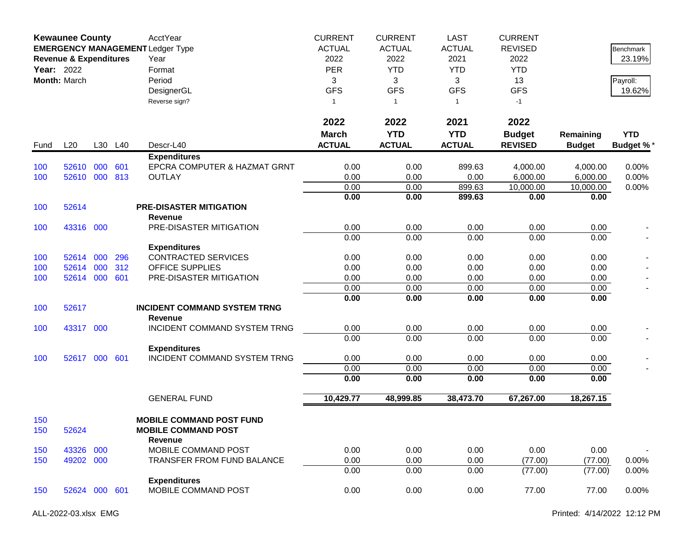|            | <b>Kewaunee County</b><br><b>EMERGENCY MANAGEMENT Ledger Type</b><br><b>Revenue &amp; Expenditures</b><br><b>Year: 2022</b><br>Month: March |     |         | AcctYear<br>Year<br>Format<br>Period<br>DesignerGL<br>Reverse sign?             | <b>CURRENT</b><br><b>ACTUAL</b><br>2022<br><b>PER</b><br>3<br><b>GFS</b><br>$\mathbf{1}$ | <b>CURRENT</b><br><b>ACTUAL</b><br>2022<br><b>YTD</b><br>3<br><b>GFS</b><br>$\mathbf{1}$<br>2022 | <b>LAST</b><br><b>ACTUAL</b><br>2021<br><b>YTD</b><br>3<br><b>GFS</b><br>$\mathbf{1}$<br>2021 | <b>CURRENT</b><br><b>REVISED</b><br>2022<br><b>YTD</b><br>13<br><b>GFS</b><br>$-1$ |                            | Benchmark<br>23.19%<br>Payroll:<br>19.62% |
|------------|---------------------------------------------------------------------------------------------------------------------------------------------|-----|---------|---------------------------------------------------------------------------------|------------------------------------------------------------------------------------------|--------------------------------------------------------------------------------------------------|-----------------------------------------------------------------------------------------------|------------------------------------------------------------------------------------|----------------------------|-------------------------------------------|
|            |                                                                                                                                             |     |         |                                                                                 | 2022                                                                                     |                                                                                                  |                                                                                               | 2022                                                                               |                            |                                           |
| Fund       | L20                                                                                                                                         |     | L30 L40 | Descr-L40                                                                       | <b>March</b><br><b>ACTUAL</b>                                                            | <b>YTD</b><br><b>ACTUAL</b>                                                                      | <b>YTD</b><br><b>ACTUAL</b>                                                                   | <b>Budget</b><br><b>REVISED</b>                                                    | Remaining<br><b>Budget</b> | <b>YTD</b><br><b>Budget %*</b>            |
|            |                                                                                                                                             |     |         | <b>Expenditures</b>                                                             |                                                                                          |                                                                                                  |                                                                                               |                                                                                    |                            |                                           |
| 100        | 52610                                                                                                                                       | 000 | 601     | EPCRA COMPUTER & HAZMAT GRNT                                                    | 0.00                                                                                     | 0.00                                                                                             | 899.63                                                                                        | 4,000.00                                                                           | 4,000.00                   | 0.00%                                     |
| 100        | 52610 000                                                                                                                                   |     | 813     | <b>OUTLAY</b>                                                                   | 0.00                                                                                     | 0.00                                                                                             | 0.00                                                                                          | 6,000.00                                                                           | 6,000.00                   | 0.00%                                     |
|            |                                                                                                                                             |     |         |                                                                                 | 0.00                                                                                     | 0.00                                                                                             | 899.63                                                                                        | 10,000.00                                                                          | 10,000.00                  | 0.00%                                     |
|            |                                                                                                                                             |     |         |                                                                                 | 0.00                                                                                     | 0.00                                                                                             | 899.63                                                                                        | 0.00                                                                               | 0.00                       |                                           |
| 100        | 52614                                                                                                                                       |     |         | <b>PRE-DISASTER MITIGATION</b>                                                  |                                                                                          |                                                                                                  |                                                                                               |                                                                                    |                            |                                           |
|            |                                                                                                                                             |     |         | Revenue                                                                         |                                                                                          |                                                                                                  |                                                                                               |                                                                                    |                            |                                           |
| 100        | 43316 000                                                                                                                                   |     |         | PRE-DISASTER MITIGATION                                                         | 0.00<br>0.00                                                                             | 0.00<br>0.00                                                                                     | 0.00<br>0.00                                                                                  | 0.00<br>0.00                                                                       | 0.00<br>0.00               |                                           |
|            |                                                                                                                                             |     |         | <b>Expenditures</b>                                                             |                                                                                          |                                                                                                  |                                                                                               |                                                                                    |                            |                                           |
| 100        | 52614                                                                                                                                       | 000 | 296     | <b>CONTRACTED SERVICES</b>                                                      | 0.00                                                                                     | 0.00                                                                                             | 0.00                                                                                          | 0.00                                                                               | 0.00                       |                                           |
| 100        | 52614                                                                                                                                       | 000 | 312     | <b>OFFICE SUPPLIES</b>                                                          | 0.00                                                                                     | 0.00                                                                                             | 0.00                                                                                          | 0.00                                                                               | 0.00                       |                                           |
| 100        | 52614 000                                                                                                                                   |     | 601     | PRE-DISASTER MITIGATION                                                         | 0.00                                                                                     | 0.00                                                                                             | 0.00                                                                                          | 0.00                                                                               | 0.00                       |                                           |
|            |                                                                                                                                             |     |         |                                                                                 | 0.00                                                                                     | 0.00                                                                                             | 0.00                                                                                          | 0.00                                                                               | 0.00                       |                                           |
|            |                                                                                                                                             |     |         |                                                                                 | 0.00                                                                                     | 0.00                                                                                             | 0.00                                                                                          | 0.00                                                                               | 0.00                       |                                           |
| 100        | 52617                                                                                                                                       |     |         | <b>INCIDENT COMMAND SYSTEM TRNG</b><br><b>Revenue</b>                           |                                                                                          |                                                                                                  |                                                                                               |                                                                                    |                            |                                           |
| 100        | 43317 000                                                                                                                                   |     |         | INCIDENT COMMAND SYSTEM TRNG                                                    | 0.00                                                                                     | 0.00                                                                                             | 0.00                                                                                          | 0.00                                                                               | 0.00                       |                                           |
|            |                                                                                                                                             |     |         |                                                                                 | 0.00                                                                                     | 0.00                                                                                             | 0.00                                                                                          | 0.00                                                                               | 0.00                       |                                           |
|            |                                                                                                                                             |     |         | <b>Expenditures</b>                                                             |                                                                                          |                                                                                                  |                                                                                               |                                                                                    |                            |                                           |
| 100        | 52617 000                                                                                                                                   |     | 601     | INCIDENT COMMAND SYSTEM TRNG                                                    | 0.00                                                                                     | 0.00                                                                                             | 0.00                                                                                          | 0.00                                                                               | 0.00                       |                                           |
|            |                                                                                                                                             |     |         |                                                                                 | 0.00                                                                                     | 0.00                                                                                             | 0.00                                                                                          | 0.00                                                                               | 0.00                       |                                           |
|            |                                                                                                                                             |     |         |                                                                                 | 0.00                                                                                     | 0.00                                                                                             | 0.00                                                                                          | 0.00                                                                               | 0.00                       |                                           |
|            |                                                                                                                                             |     |         | <b>GENERAL FUND</b>                                                             | 10,429.77                                                                                | 48,999.85                                                                                        | 38,473.70                                                                                     | 67,267.00                                                                          | 18,267.15                  |                                           |
| 150<br>150 | 52624                                                                                                                                       |     |         | <b>MOBILE COMMAND POST FUND</b><br><b>MOBILE COMMAND POST</b><br><b>Revenue</b> |                                                                                          |                                                                                                  |                                                                                               |                                                                                    |                            |                                           |
| 150        | 43326                                                                                                                                       | 000 |         | MOBILE COMMAND POST                                                             | 0.00                                                                                     | 0.00                                                                                             | 0.00                                                                                          | 0.00                                                                               | 0.00                       |                                           |
| 150        | 49202 000                                                                                                                                   |     |         | TRANSFER FROM FUND BALANCE                                                      | 0.00                                                                                     | 0.00                                                                                             | 0.00                                                                                          | (77.00)                                                                            | (77.00)                    | $0.00\%$                                  |
|            |                                                                                                                                             |     |         |                                                                                 | 0.00                                                                                     | 0.00                                                                                             | 0.00                                                                                          | (77.00)                                                                            | (77.00)                    | 0.00%                                     |
|            |                                                                                                                                             |     |         | <b>Expenditures</b>                                                             |                                                                                          |                                                                                                  |                                                                                               |                                                                                    |                            |                                           |
| 150        | 52624 000 601                                                                                                                               |     |         | MOBILE COMMAND POST                                                             | 0.00                                                                                     | 0.00                                                                                             | 0.00                                                                                          | 77.00                                                                              | 77.00                      | 0.00%                                     |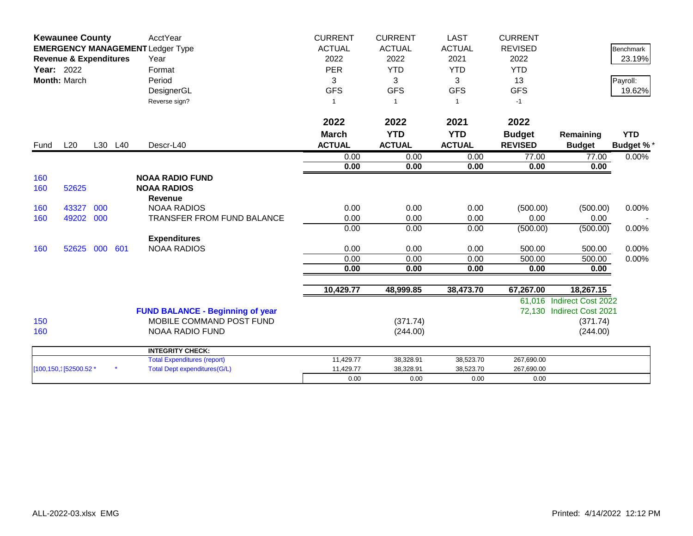|                   | <b>Kewaunee County</b>                                                       |     |         | AcctYear                                | <b>CURRENT</b> | <b>CURRENT</b> | <b>LAST</b>    | <b>CURRENT</b> |                           |                  |
|-------------------|------------------------------------------------------------------------------|-----|---------|-----------------------------------------|----------------|----------------|----------------|----------------|---------------------------|------------------|
|                   | <b>EMERGENCY MANAGEMENT Ledger Type</b><br><b>Revenue &amp; Expenditures</b> |     |         |                                         | <b>ACTUAL</b>  | <b>ACTUAL</b>  | <b>ACTUAL</b>  | <b>REVISED</b> |                           | <b>Benchmark</b> |
|                   |                                                                              |     |         | Year                                    | 2022           | 2022           | 2021           | 2022           |                           | 23.19%           |
| <b>Year: 2022</b> |                                                                              |     |         | Format                                  | PER            | <b>YTD</b>     | <b>YTD</b>     | <b>YTD</b>     |                           |                  |
|                   | Month: March                                                                 |     |         | Period                                  | 3              | 3              | 3              | 13             |                           | Payroll:         |
|                   |                                                                              |     |         | DesignerGL                              | <b>GFS</b>     | <b>GFS</b>     | <b>GFS</b>     | <b>GFS</b>     |                           | 19.62%           |
|                   |                                                                              |     |         | Reverse sign?                           |                | $\overline{1}$ | $\overline{1}$ | $-1$           |                           |                  |
|                   |                                                                              |     |         |                                         |                |                |                |                |                           |                  |
|                   |                                                                              |     |         |                                         | 2022           | 2022           | 2021           | 2022           |                           |                  |
|                   |                                                                              |     |         |                                         | <b>March</b>   | <b>YTD</b>     | <b>YTD</b>     | <b>Budget</b>  | Remaining                 | <b>YTD</b>       |
| Fund              | L20                                                                          |     | L30 L40 | Descr-L40                               | <b>ACTUAL</b>  | <b>ACTUAL</b>  | <b>ACTUAL</b>  | <b>REVISED</b> | <b>Budget</b>             | <b>Budget %*</b> |
|                   |                                                                              |     |         |                                         | 0.00           | 0.00           | 0.00           | 77.00          | 77.00                     | 0.00%            |
|                   |                                                                              |     |         |                                         | 0.00           | 0.00           | 0.00           | 0.00           | 0.00                      |                  |
| 160               |                                                                              |     |         | <b>NOAA RADIO FUND</b>                  |                |                |                |                |                           |                  |
| 160               | 52625                                                                        |     |         | <b>NOAA RADIOS</b>                      |                |                |                |                |                           |                  |
|                   |                                                                              |     |         | <b>Revenue</b>                          |                |                |                |                |                           |                  |
| 160               | 43327                                                                        | 000 |         | <b>NOAA RADIOS</b>                      | 0.00           | 0.00           | 0.00           | (500.00)       | (500.00)                  | 0.00%            |
| 160               | 49202                                                                        | 000 |         | TRANSFER FROM FUND BALANCE              | 0.00           | 0.00           | 0.00           | 0.00           | 0.00                      |                  |
|                   |                                                                              |     |         |                                         | 0.00           | 0.00           | 0.00           | (500.00)       | (500.00)                  | 0.00%            |
|                   |                                                                              |     |         | <b>Expenditures</b>                     |                |                |                |                |                           |                  |
| 160               | 52625                                                                        | 000 | 601     | <b>NOAA RADIOS</b>                      | 0.00           | 0.00           | 0.00           | 500.00         | 500.00                    | 0.00%            |
|                   |                                                                              |     |         |                                         | 0.00           | 0.00           | 0.00           | 500.00         | 500.00                    | $0.00\%$         |
|                   |                                                                              |     |         |                                         | 0.00           | 0.00           | 0.00           | 0.00           | 0.00                      |                  |
|                   |                                                                              |     |         |                                         | 10,429.77      | 48,999.85      | 38,473.70      | 67,267.00      | 18,267.15                 |                  |
|                   |                                                                              |     |         |                                         |                |                |                |                | 61,016 Indirect Cost 2022 |                  |
|                   |                                                                              |     |         | <b>FUND BALANCE - Beginning of year</b> |                |                |                |                | 72,130 Indirect Cost 2021 |                  |
| 150               |                                                                              |     |         | MOBILE COMMAND POST FUND                |                | (371.74)       |                |                | (371.74)                  |                  |
| 160               |                                                                              |     |         | <b>NOAA RADIO FUND</b>                  |                | (244.00)       |                |                | (244.00)                  |                  |
|                   |                                                                              |     |         | <b>INTEGRITY CHECK:</b>                 |                |                |                |                |                           |                  |
|                   |                                                                              |     |         | <b>Total Expenditures (report)</b>      | 11,429.77      | 38,328.91      | 38,523.70      | 267,690.00     |                           |                  |
|                   | [100,150,1]52500.52 *                                                        |     |         | <b>Total Dept expenditures(G/L)</b>     | 11,429.77      | 38,328.91      | 38,523.70      | 267,690.00     |                           |                  |
|                   |                                                                              |     |         |                                         | 0.00           | 0.00           | 0.00           | 0.00           |                           |                  |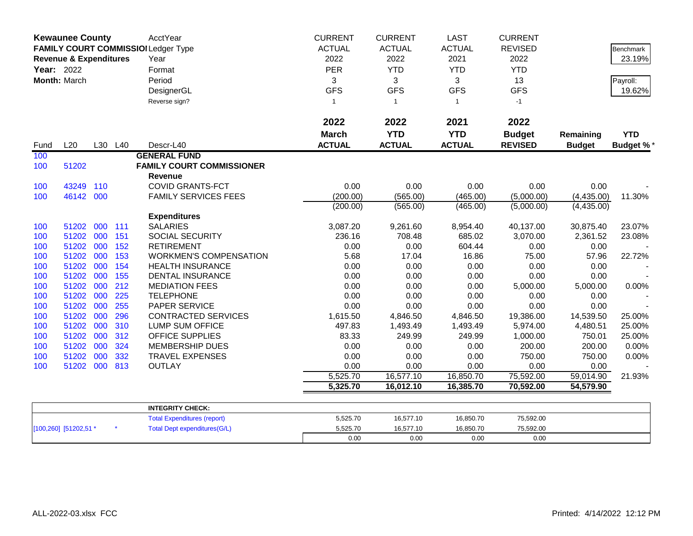|            | <b>Kewaunee County</b><br><b>Revenue &amp; Expenditures</b><br>Year: 2022<br>Month: March |     |         | AcctYear<br>FAMILY COURT COMMISSIOI Ledger Type<br>Year<br>Format<br>Period<br>DesignerGL<br>Reverse sign? | <b>CURRENT</b><br><b>ACTUAL</b><br>2022<br>PER<br>3<br><b>GFS</b><br>$\mathbf{1}$ | <b>CURRENT</b><br><b>ACTUAL</b><br>2022<br><b>YTD</b><br>3<br><b>GFS</b><br>$\mathbf{1}$ | <b>LAST</b><br><b>ACTUAL</b><br>2021<br><b>YTD</b><br>3<br><b>GFS</b><br>$\overline{1}$ | <b>CURRENT</b><br><b>REVISED</b><br>2022<br><b>YTD</b><br>13<br><b>GFS</b><br>$-1$ |                            | Benchmark<br>23.19%<br>Payroll:<br>19.62% |
|------------|-------------------------------------------------------------------------------------------|-----|---------|------------------------------------------------------------------------------------------------------------|-----------------------------------------------------------------------------------|------------------------------------------------------------------------------------------|-----------------------------------------------------------------------------------------|------------------------------------------------------------------------------------|----------------------------|-------------------------------------------|
| Fund       | L20                                                                                       |     | L30 L40 | Descr-L40                                                                                                  | 2022<br><b>March</b><br><b>ACTUAL</b>                                             | 2022<br><b>YTD</b><br><b>ACTUAL</b>                                                      | 2021<br><b>YTD</b><br><b>ACTUAL</b>                                                     | 2022<br><b>Budget</b><br><b>REVISED</b>                                            | Remaining<br><b>Budget</b> | <b>YTD</b><br><b>Budget %*</b>            |
| 100        |                                                                                           |     |         | <b>GENERAL FUND</b>                                                                                        |                                                                                   |                                                                                          |                                                                                         |                                                                                    |                            |                                           |
| 100        | 51202                                                                                     |     |         | <b>FAMILY COURT COMMISSIONER</b>                                                                           |                                                                                   |                                                                                          |                                                                                         |                                                                                    |                            |                                           |
|            |                                                                                           |     |         | Revenue                                                                                                    |                                                                                   |                                                                                          |                                                                                         |                                                                                    |                            |                                           |
| 100<br>100 | 43249<br>46142 000                                                                        | 110 |         | <b>COVID GRANTS-FCT</b><br><b>FAMILY SERVICES FEES</b>                                                     | 0.00<br>(200.00)                                                                  | 0.00<br>(565.00)                                                                         | 0.00<br>(465.00)                                                                        | 0.00<br>(5,000.00)                                                                 | 0.00<br>(4,435.00)         | 11.30%                                    |
|            |                                                                                           |     |         |                                                                                                            | (200.00)                                                                          | (565.00)                                                                                 | (465.00)                                                                                | (5,000.00)                                                                         | (4,435.00)                 |                                           |
|            |                                                                                           |     |         | <b>Expenditures</b>                                                                                        |                                                                                   |                                                                                          |                                                                                         |                                                                                    |                            |                                           |
| 100        | 51202 000 111                                                                             |     |         | <b>SALARIES</b>                                                                                            | 3,087.20                                                                          | 9,261.60                                                                                 | 8,954.40                                                                                | 40,137.00                                                                          | 30,875.40                  | 23.07%                                    |
| 100        | 51202 000                                                                                 |     | 151     | <b>SOCIAL SECURITY</b>                                                                                     | 236.16                                                                            | 708.48                                                                                   | 685.02                                                                                  | 3,070.00                                                                           | 2,361.52                   | 23.08%                                    |
| 100        | 51202 000                                                                                 |     | 152     | <b>RETIREMENT</b>                                                                                          | 0.00                                                                              | 0.00                                                                                     | 604.44                                                                                  | 0.00                                                                               | 0.00                       |                                           |
| 100        | 51202 000                                                                                 |     | 153     | <b>WORKMEN'S COMPENSATION</b>                                                                              | 5.68                                                                              | 17.04                                                                                    | 16.86                                                                                   | 75.00                                                                              | 57.96                      | 22.72%                                    |
| 100        | 51202 000                                                                                 |     | 154     | <b>HEALTH INSURANCE</b>                                                                                    | 0.00                                                                              | 0.00                                                                                     | 0.00                                                                                    | 0.00                                                                               | 0.00                       |                                           |
| 100        | 51202 000                                                                                 |     | 155     | <b>DENTAL INSURANCE</b>                                                                                    | 0.00                                                                              | 0.00                                                                                     | 0.00                                                                                    | 0.00                                                                               | 0.00                       |                                           |
| 100        | 51202 000                                                                                 |     | 212     | <b>MEDIATION FEES</b>                                                                                      | 0.00                                                                              | 0.00                                                                                     | 0.00                                                                                    | 5,000.00                                                                           | 5,000.00                   | 0.00%                                     |
| 100        | 51202 000                                                                                 |     | 225     | <b>TELEPHONE</b>                                                                                           | 0.00                                                                              | 0.00                                                                                     | 0.00                                                                                    | 0.00                                                                               | 0.00                       |                                           |
| 100        | 51202 000                                                                                 |     | 255     | PAPER SERVICE                                                                                              | 0.00                                                                              | 0.00                                                                                     | 0.00                                                                                    | 0.00                                                                               | 0.00                       |                                           |
| 100        | 51202 000                                                                                 |     | 296     | <b>CONTRACTED SERVICES</b>                                                                                 | 1,615.50                                                                          | 4,846.50                                                                                 | 4,846.50                                                                                | 19,386.00                                                                          | 14,539.50                  | 25.00%                                    |
| 100        | 51202 000                                                                                 |     | 310     | LUMP SUM OFFICE                                                                                            | 497.83                                                                            | 1,493.49                                                                                 | 1,493.49                                                                                | 5,974.00                                                                           | 4,480.51                   | 25.00%                                    |
| 100        | 51202 000                                                                                 |     | 312     | <b>OFFICE SUPPLIES</b>                                                                                     | 83.33                                                                             | 249.99                                                                                   | 249.99                                                                                  | 1,000.00                                                                           | 750.01                     | 25.00%                                    |
| 100        | 51202 000                                                                                 |     | 324     | <b>MEMBERSHIP DUES</b>                                                                                     | 0.00                                                                              | 0.00                                                                                     | 0.00                                                                                    | 200.00                                                                             | 200.00                     | 0.00%                                     |
| 100        | 51202 000                                                                                 |     | 332     | <b>TRAVEL EXPENSES</b>                                                                                     | 0.00                                                                              | 0.00                                                                                     | 0.00                                                                                    | 750.00                                                                             | 750.00                     | 0.00%                                     |
| 100        | 51202 000 813                                                                             |     |         | <b>OUTLAY</b>                                                                                              | 0.00                                                                              | 0.00                                                                                     | 0.00                                                                                    | 0.00                                                                               | 0.00                       |                                           |
|            |                                                                                           |     |         |                                                                                                            | 5,525.70                                                                          | 16,577.10                                                                                | 16,850.70                                                                               | 75,592.00                                                                          | 59,014.90                  | 21.93%                                    |
|            |                                                                                           |     |         |                                                                                                            | 5,325.70                                                                          | 16,012.10                                                                                | 16,385.70                                                                               | 70,592.00                                                                          | 54,579.90                  |                                           |
|            |                                                                                           |     |         | <b>INTEGRITY CHECK:</b>                                                                                    |                                                                                   |                                                                                          |                                                                                         |                                                                                    |                            |                                           |
|            | <b>Total Expenditures (report)</b>                                                        |     |         |                                                                                                            | 5,525.70                                                                          | 16,577.10                                                                                | 16,850.70                                                                               | 75,592.00                                                                          |                            |                                           |
|            | [100,260] [51202,51 *                                                                     |     |         | <b>Total Dept expenditures(G/L)</b>                                                                        | 5,525.70                                                                          | 16,577.10                                                                                | 16,850.70                                                                               | 75,592.00                                                                          |                            |                                           |

0.00 0.00 0.00 0.00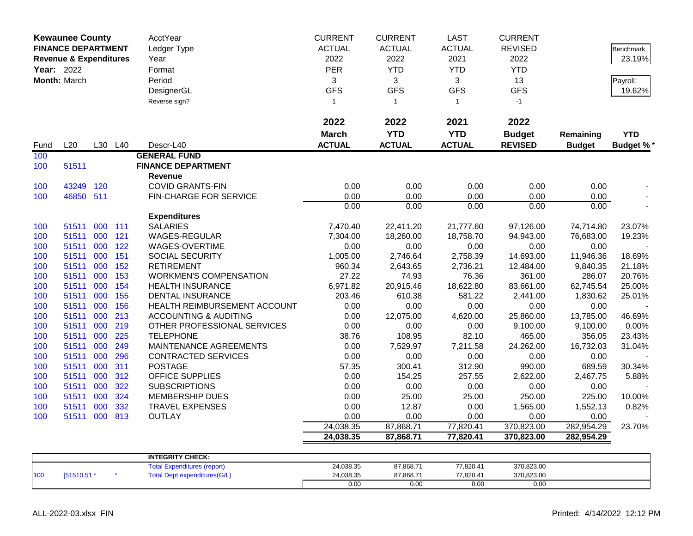|            | <b>Kewaunee County</b>            |     |         | AcctYear                         | <b>CURRENT</b> | <b>CURRENT</b> | <b>LAST</b>   | <b>CURRENT</b> |               |                  |
|------------|-----------------------------------|-----|---------|----------------------------------|----------------|----------------|---------------|----------------|---------------|------------------|
|            | <b>FINANCE DEPARTMENT</b>         |     |         | Ledger Type                      | <b>ACTUAL</b>  | <b>ACTUAL</b>  | <b>ACTUAL</b> | <b>REVISED</b> |               | <b>Benchmark</b> |
|            | <b>Revenue &amp; Expenditures</b> |     |         | Year                             | 2022           | 2022           | 2021          | 2022           |               | 23.19%           |
| Year: 2022 |                                   |     |         | Format                           | PER            | <b>YTD</b>     | <b>YTD</b>    | <b>YTD</b>     |               |                  |
|            | Month: March                      |     |         | Period                           | 3              | 3              | 3             | 13             |               | Payroll:         |
|            |                                   |     |         | DesignerGL                       | <b>GFS</b>     | <b>GFS</b>     | <b>GFS</b>    | <b>GFS</b>     |               | 19.62%           |
|            |                                   |     |         | Reverse sign?                    | $\mathbf{1}$   | $\mathbf{1}$   | $\mathbf{1}$  | $-1$           |               |                  |
|            |                                   |     |         |                                  |                |                |               |                |               |                  |
|            |                                   |     |         |                                  | 2022           | 2022           | 2021          | 2022           |               |                  |
|            |                                   |     |         |                                  | <b>March</b>   | <b>YTD</b>     | <b>YTD</b>    | <b>Budget</b>  | Remaining     | <b>YTD</b>       |
| Fund       | L20                               |     | L30 L40 | Descr-L40                        | <b>ACTUAL</b>  | <b>ACTUAL</b>  | <b>ACTUAL</b> | <b>REVISED</b> | <b>Budget</b> | <b>Budget %*</b> |
| 100        |                                   |     |         | <b>GENERAL FUND</b>              |                |                |               |                |               |                  |
| 100        | 51511                             |     |         | <b>FINANCE DEPARTMENT</b>        |                |                |               |                |               |                  |
|            |                                   |     |         | <b>Revenue</b>                   |                |                |               |                |               |                  |
| 100        | 43249                             | 120 |         | <b>COVID GRANTS-FIN</b>          | 0.00           | 0.00           | 0.00          | 0.00           | 0.00          |                  |
| 100        | 46850 511                         |     |         | FIN-CHARGE FOR SERVICE           | 0.00           | 0.00           | 0.00          | 0.00           | 0.00          |                  |
|            |                                   |     |         |                                  | 0.00           | 0.00           | 0.00          | 0.00           | 0.00          |                  |
|            |                                   |     |         | <b>Expenditures</b>              |                |                |               |                |               |                  |
| 100        | 51511                             | 000 | 111     | <b>SALARIES</b>                  | 7,470.40       | 22,411.20      | 21,777.60     | 97,126.00      | 74,714.80     | 23.07%           |
| 100        | 51511                             | 000 | 121     | <b>WAGES-REGULAR</b>             | 7,304.00       | 18,260.00      | 18,758.70     | 94,943.00      | 76,683.00     | 19.23%           |
| 100        | 51511                             | 000 | 122     | WAGES-OVERTIME                   | 0.00           | 0.00           | 0.00          | 0.00           | 0.00          |                  |
| 100        | 51511                             | 000 | 151     | SOCIAL SECURITY                  | 1,005.00       | 2,746.64       | 2,758.39      | 14,693.00      | 11,946.36     | 18.69%           |
| 100        | 51511                             | 000 | 152     | <b>RETIREMENT</b>                | 960.34         | 2,643.65       | 2,736.21      | 12,484.00      | 9,840.35      | 21.18%           |
| 100        | 51511                             | 000 | 153     | <b>WORKMEN'S COMPENSATION</b>    | 27.22          | 74.93          | 76.36         | 361.00         | 286.07        | 20.76%           |
| 100        | 51511                             | 000 | 154     | <b>HEALTH INSURANCE</b>          | 6,971.82       | 20,915.46      | 18,622.80     | 83,661.00      | 62,745.54     | 25.00%           |
| 100        | 51511                             | 000 | 155     | <b>DENTAL INSURANCE</b>          | 203.46         | 610.38         | 581.22        | 2,441.00       | 1,830.62      | 25.01%           |
| 100        | 51511                             | 000 | 156     | HEALTH REIMBURSEMENT ACCOUNT     | 0.00           | 0.00           | 0.00          | 0.00           | 0.00          |                  |
| 100        | 51511                             | 000 | 213     | <b>ACCOUNTING &amp; AUDITING</b> | 0.00           | 12,075.00      | 4,620.00      | 25,860.00      | 13,785.00     | 46.69%           |
| 100        | 51511                             | 000 | 219     | OTHER PROFESSIONAL SERVICES      | 0.00           | 0.00           | 0.00          | 9,100.00       | 9,100.00      | 0.00%            |
| 100        | 51511                             | 000 | 225     | <b>TELEPHONE</b>                 | 38.76          | 108.95         | 82.10         | 465.00         | 356.05        | 23.43%           |
| 100        | 51511                             | 000 | 249     | MAINTENANCE AGREEMENTS           | 0.00           | 7,529.97       | 7,211.58      | 24,262.00      | 16,732.03     | 31.04%           |
| 100        | 51511                             | 000 | 296     | <b>CONTRACTED SERVICES</b>       | 0.00           | 0.00           | 0.00          | 0.00           | 0.00          |                  |
| 100        | 51511                             | 000 | 311     | <b>POSTAGE</b>                   | 57.35          | 300.41         | 312.90        | 990.00         | 689.59        | 30.34%           |
| 100        | 51511                             | 000 | 312     | <b>OFFICE SUPPLIES</b>           | 0.00           | 154.25         | 257.55        | 2,622.00       | 2,467.75      | 5.88%            |
| 100        | 51511                             | 000 | 322     | <b>SUBSCRIPTIONS</b>             | 0.00           | 0.00           | 0.00          | 0.00           | 0.00          |                  |
| 100        | 51511                             | 000 | 324     | <b>MEMBERSHIP DUES</b>           | 0.00           | 25.00          | 25.00         | 250.00         | 225.00        | 10.00%           |
| 100        | 51511                             | 000 | 332     | <b>TRAVEL EXPENSES</b>           | 0.00           | 12.87          | 0.00          | 1,565.00       | 1,552.13      | 0.82%            |
| 100        | 51511                             | 000 | 813     | <b>OUTLAY</b>                    | 0.00           | 0.00           | 0.00          | 0.00           | 0.00          |                  |
|            |                                   |     |         |                                  | 24,038.35      | 87,868.71      | 77,820.41     | 370,823.00     | 282,954.29    | 23.70%           |
|            |                                   |     |         |                                  | 24,038.35      | 87,868.71      | 77,820.41     | 370,823.00     | 282,954.29    |                  |
|            |                                   |     |         |                                  |                |                |               |                |               |                  |
|            |                                   |     |         | <b>INTEGRITY CHECK:</b>          |                |                |               |                |               |                  |

|     |            | <b>INTEGRITY CHECK:</b>             |           |           |           |            |  |
|-----|------------|-------------------------------------|-----------|-----------|-----------|------------|--|
|     |            | <b>Total Expenditures (report)</b>  | 24,038.35 | 87,868.71 | 77,820.41 | 370,823.00 |  |
| 100 | (51510.51) | <b>Total Dept expenditures(G/L)</b> | 24,038.35 | 87,868.71 | 77,820.41 | 370,823.00 |  |
|     |            |                                     | 0.0(      | 0.00      | 0.00      | 0.00       |  |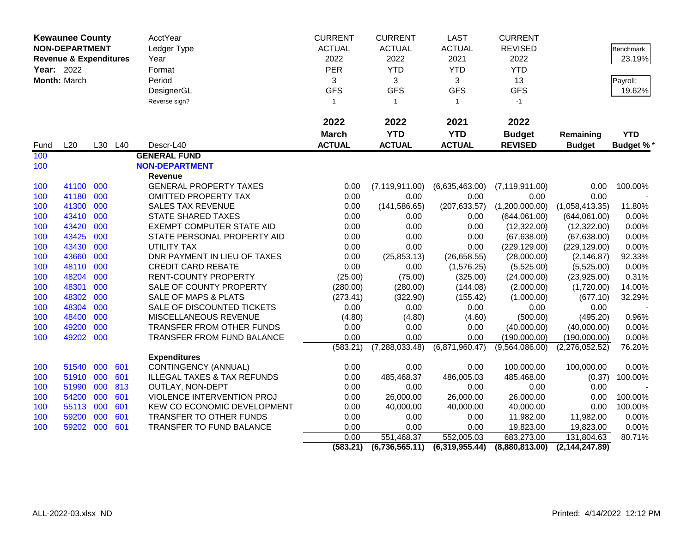|      | <b>Kewaunee County</b><br><b>NON-DEPARTMENT</b> |     |         | AcctYear                               | <b>CURRENT</b> | <b>CURRENT</b>     | <b>LAST</b>    | <b>CURRENT</b>   |                  |                  |
|------|-------------------------------------------------|-----|---------|----------------------------------------|----------------|--------------------|----------------|------------------|------------------|------------------|
|      |                                                 |     |         | Ledger Type                            | <b>ACTUAL</b>  | <b>ACTUAL</b>      | <b>ACTUAL</b>  | <b>REVISED</b>   |                  | Benchmark        |
|      | <b>Revenue &amp; Expenditures</b>               |     |         | Year                                   | 2022           | 2022               | 2021           | 2022             |                  | 23.19%           |
|      | Year: 2022                                      |     |         | Format                                 | <b>PER</b>     | <b>YTD</b>         | <b>YTD</b>     | <b>YTD</b>       |                  |                  |
|      | Month: March                                    |     |         | Period                                 | 3              | 3                  | 3              | 13               |                  | Payroll:         |
|      |                                                 |     |         | DesignerGL                             | <b>GFS</b>     | <b>GFS</b>         | <b>GFS</b>     | <b>GFS</b>       |                  | 19.62%           |
|      |                                                 |     |         | Reverse sign?                          | $\mathbf{1}$   | $\mathbf{1}$       | $\mathbf{1}$   | $-1$             |                  |                  |
|      |                                                 |     |         |                                        |                |                    |                |                  |                  |                  |
|      |                                                 |     |         |                                        | 2022           | 2022               | 2021           | 2022             |                  |                  |
|      |                                                 |     |         |                                        | <b>March</b>   | <b>YTD</b>         | <b>YTD</b>     | <b>Budget</b>    | Remaining        | <b>YTD</b>       |
| Fund | L20                                             |     | L30 L40 | Descr-L40                              | <b>ACTUAL</b>  | <b>ACTUAL</b>      | <b>ACTUAL</b>  | <b>REVISED</b>   | <b>Budget</b>    | <b>Budget %*</b> |
| 100  |                                                 |     |         | <b>GENERAL FUND</b>                    |                |                    |                |                  |                  |                  |
| 100  |                                                 |     |         | <b>NON-DEPARTMENT</b>                  |                |                    |                |                  |                  |                  |
|      |                                                 |     |         | <b>Revenue</b>                         |                |                    |                |                  |                  |                  |
| 100  | 41100 000                                       |     |         | <b>GENERAL PROPERTY TAXES</b>          | 0.00           | (7, 119, 911.00)   | (6,635,463.00) | (7, 119, 911.00) | 0.00             | 100.00%          |
| 100  | 41180                                           | 000 |         | <b>OMITTED PROPERTY TAX</b>            | 0.00           | 0.00               | 0.00           | 0.00             | 0.00             |                  |
| 100  | 41300 000                                       |     |         | <b>SALES TAX REVENUE</b>               | 0.00           | (141, 586.65)      | (207, 633.57)  | (1,200,000.00)   | (1,058,413.35)   | 11.80%           |
| 100  | 43410                                           | 000 |         | <b>STATE SHARED TAXES</b>              | 0.00           | 0.00               | 0.00           | (644,061.00)     | (644,061.00)     | 0.00%            |
| 100  | 43420                                           | 000 |         | <b>EXEMPT COMPUTER STATE AID</b>       | 0.00           | 0.00               | 0.00           | (12,322.00)      | (12,322.00)      | 0.00%            |
| 100  | 43425                                           | 000 |         | STATE PERSONAL PROPERTY AID            | 0.00           | 0.00               | 0.00           | (67, 638.00)     | (67, 638.00)     | 0.00%            |
| 100  | 43430                                           | 000 |         | UTILITY TAX                            | 0.00           | 0.00               | 0.00           | (229, 129.00)    | (229, 129.00)    | 0.00%            |
| 100  | 43660                                           | 000 |         | DNR PAYMENT IN LIEU OF TAXES           | 0.00           | (25, 853.13)       | (26, 658.55)   | (28,000.00)      | (2, 146.87)      | 92.33%           |
| 100  | 48110                                           | 000 |         | <b>CREDIT CARD REBATE</b>              | 0.00           | 0.00               | (1,576.25)     | (5,525.00)       | (5,525.00)       | 0.00%            |
| 100  | 48204                                           | 000 |         | <b>RENT-COUNTY PROPERTY</b>            | (25.00)        | (75.00)            | (325.00)       | (24,000.00)      | (23,925.00)      | 0.31%            |
| 100  | 48301 000                                       |     |         | SALE OF COUNTY PROPERTY                | (280.00)       | (280.00)           | (144.08)       | (2,000.00)       | (1,720.00)       | 14.00%           |
| 100  | 48302                                           | 000 |         | SALE OF MAPS & PLATS                   | (273.41)       | (322.90)           | (155.42)       | (1,000.00)       | (677.10)         | 32.29%           |
| 100  | 48304                                           | 000 |         | SALE OF DISCOUNTED TICKETS             | 0.00           | 0.00               | 0.00           | 0.00             | 0.00             |                  |
| 100  | 48400                                           | 000 |         | MISCELLANEOUS REVENUE                  | (4.80)         | (4.80)             | (4.60)         | (500.00)         | (495.20)         | 0.96%            |
| 100  | 49200                                           | 000 |         | TRANSFER FROM OTHER FUNDS              | 0.00           | 0.00               | 0.00           | (40,000.00)      | (40,000.00)      | 0.00%            |
| 100  | 49202 000                                       |     |         | TRANSFER FROM FUND BALANCE             | 0.00           | 0.00               | 0.00           | (190,000.00)     | (190,000.00)     | 0.00%            |
|      |                                                 |     |         |                                        | (583.21)       | (7, 288, 033.48)   | (6,871,960.47) | (9,564,086.00)   | (2,276,052.52)   | 76.20%           |
|      |                                                 |     |         | <b>Expenditures</b>                    |                |                    |                |                  |                  |                  |
| 100  | 51540 000                                       |     | 601     | CONTINGENCY (ANNUAL)                   | 0.00           | 0.00               | 0.00           | 100,000.00       | 100,000.00       | 0.00%            |
| 100  | 51910 000                                       |     | 601     | <b>ILLEGAL TAXES &amp; TAX REFUNDS</b> | 0.00           | 485,468.37         | 486,005.03     | 485,468.00       | (0.37)           | 100.00%          |
| 100  | 51990 000                                       |     | 813     | OUTLAY, NON-DEPT                       | 0.00           | 0.00               | 0.00           | 0.00             | 0.00             |                  |
| 100  | 54200                                           | 000 | 601     | VIOLENCE INTERVENTION PROJ             | 0.00           | 26,000.00          | 26,000.00      | 26,000.00        | 0.00             | 100.00%          |
| 100  | 55113                                           | 000 | 601     | KEW CO ECONOMIC DEVELOPMENT            | 0.00           | 40,000.00          | 40,000.00      | 40,000.00        | 0.00             | 100.00%          |
| 100  | 59200 000                                       |     | 601     | TRANSFER TO OTHER FUNDS                | 0.00           | 0.00               | 0.00           | 11,982.00        | 11,982.00        | 0.00%            |
| 100  | 59202 000                                       |     | 601     | TRANSFER TO FUND BALANCE               | 0.00           | 0.00<br>551,468.37 | 0.00           | 19,823.00        | 19,823.00        | 0.00%            |
|      |                                                 |     |         |                                        | 0.00           |                    | 552,005.03     | 683,273.00       | 131,804.63       | 80.71%           |
|      |                                                 |     |         |                                        | (583.21)       | (6,736,565.11)     | (6,319,955.44) | (8,880,813.00)   | (2, 144, 247.89) |                  |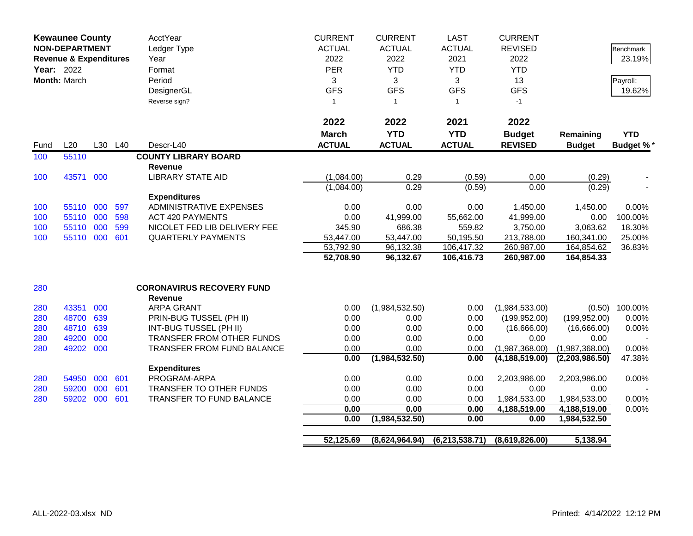|      | <b>Kewaunee County</b><br><b>NON-DEPARTMENT</b><br><b>Revenue &amp; Expenditures</b><br>Year: 2022 |     |         | AcctYear<br>Ledger Type<br>Year                    | <b>CURRENT</b><br><b>ACTUAL</b><br>2022 | <b>CURRENT</b><br><b>ACTUAL</b><br>2022 | <b>LAST</b><br><b>ACTUAL</b><br>2021 | <b>CURRENT</b><br><b>REVISED</b><br>2022 |                | Benchmark<br>23.19% |
|------|----------------------------------------------------------------------------------------------------|-----|---------|----------------------------------------------------|-----------------------------------------|-----------------------------------------|--------------------------------------|------------------------------------------|----------------|---------------------|
|      |                                                                                                    |     |         | Format                                             | <b>PER</b>                              | <b>YTD</b>                              | <b>YTD</b>                           | <b>YTD</b>                               |                |                     |
|      | Month: March                                                                                       |     |         | Period                                             | 3                                       | 3                                       | 3                                    | 13                                       |                | Payroll:            |
|      |                                                                                                    |     |         | DesignerGL                                         | <b>GFS</b>                              | <b>GFS</b>                              | <b>GFS</b>                           | <b>GFS</b>                               |                | 19.62%              |
|      |                                                                                                    |     |         | Reverse sign?                                      | $\overline{1}$                          | $\mathbf{1}$                            | $\mathbf{1}$                         | $-1$                                     |                |                     |
|      |                                                                                                    |     |         |                                                    | 2022                                    | 2022                                    | 2021                                 | 2022                                     |                |                     |
|      |                                                                                                    |     |         |                                                    | <b>March</b>                            | <b>YTD</b>                              | <b>YTD</b>                           | <b>Budget</b>                            | Remaining      | <b>YTD</b>          |
| Fund | L20                                                                                                |     | L30 L40 | Descr-L40                                          | <b>ACTUAL</b>                           | <b>ACTUAL</b>                           | <b>ACTUAL</b>                        | <b>REVISED</b>                           | <b>Budget</b>  | <b>Budget %*</b>    |
| 100  | 55110                                                                                              |     |         | <b>COUNTY LIBRARY BOARD</b>                        |                                         |                                         |                                      |                                          |                |                     |
|      |                                                                                                    |     |         | Revenue                                            |                                         |                                         |                                      |                                          |                |                     |
| 100  | 43571 000                                                                                          |     |         | <b>LIBRARY STATE AID</b>                           | (1,084.00)                              | 0.29                                    | (0.59)                               | 0.00                                     | (0.29)         |                     |
|      |                                                                                                    |     |         |                                                    | (1,084.00)                              | 0.29                                    | (0.59)                               | 0.00                                     | (0.29)         |                     |
|      |                                                                                                    |     |         | <b>Expenditures</b>                                |                                         |                                         |                                      |                                          |                |                     |
| 100  | 55110                                                                                              | 000 | 597     | <b>ADMINISTRATIVE EXPENSES</b>                     | 0.00                                    | 0.00                                    | 0.00                                 | 1,450.00                                 | 1,450.00       | 0.00%               |
| 100  | 55110 000                                                                                          |     | 598     | <b>ACT 420 PAYMENTS</b>                            | 0.00                                    | 41,999.00                               | 55,662.00                            | 41,999.00                                | 0.00           | 100.00%             |
| 100  | 55110 000                                                                                          |     | 599     | NICOLET FED LIB DELIVERY FEE                       | 345.90                                  | 686.38                                  | 559.82                               | 3,750.00                                 | 3,063.62       | 18.30%              |
| 100  | 55110 000                                                                                          |     | 601     | <b>QUARTERLY PAYMENTS</b>                          | 53,447.00                               | 53,447.00                               | 50,195.50                            | 213,788.00                               | 160,341.00     | 25.00%              |
|      |                                                                                                    |     |         |                                                    | 53,792.90                               | 96,132.38                               | 106,417.32                           | 260,987.00                               | 164,854.62     | 36.83%              |
|      |                                                                                                    |     |         |                                                    | 52,708.90                               | 96,132.67                               | 106,416.73                           | 260,987.00                               | 164,854.33     |                     |
| 280  |                                                                                                    |     |         | <b>CORONAVIRUS RECOVERY FUND</b><br><b>Revenue</b> |                                         |                                         |                                      |                                          |                |                     |
| 280  | 43351                                                                                              | 000 |         | <b>ARPA GRANT</b>                                  | 0.00                                    | (1,984,532.50)                          | 0.00                                 | (1,984,533.00)                           |                | $(0.50)$ 100.00%    |
| 280  | 48700                                                                                              | 639 |         | PRIN-BUG TUSSEL (PH II)                            | 0.00                                    | 0.00                                    | 0.00                                 | (199, 952.00)                            | (199, 952.00)  | 0.00%               |
| 280  | 48710                                                                                              | 639 |         | INT-BUG TUSSEL (PH II)                             | 0.00                                    | 0.00                                    | 0.00                                 | (16,666.00)                              | (16,666.00)    | 0.00%               |
| 280  | 49200                                                                                              | 000 |         | <b>TRANSFER FROM OTHER FUNDS</b>                   | 0.00                                    | 0.00                                    | 0.00                                 | 0.00                                     | 0.00           |                     |
| 280  | 49202 000                                                                                          |     |         | TRANSFER FROM FUND BALANCE                         | 0.00                                    | 0.00                                    | 0.00                                 | (1,987,368.00)                           | (1,987,368.00) | 0.00%               |
|      |                                                                                                    |     |         |                                                    | 0.00                                    | (1,984,532.50)                          | 0.00                                 | (4, 188, 519.00)                         | (2,203,986.50) | 47.38%              |
|      |                                                                                                    |     |         | <b>Expenditures</b>                                |                                         |                                         |                                      |                                          |                |                     |
| 280  | 54950                                                                                              | 000 | 601     | PROGRAM-ARPA                                       | 0.00                                    | 0.00                                    | 0.00                                 | 2,203,986.00                             | 2,203,986.00   | 0.00%               |
| 280  | 59200 000                                                                                          |     | 601     | TRANSFER TO OTHER FUNDS                            | 0.00                                    | 0.00                                    | 0.00                                 | 0.00                                     | 0.00           |                     |
| 280  | 59202 000                                                                                          |     | 601     | TRANSFER TO FUND BALANCE                           | 0.00                                    | 0.00                                    | 0.00                                 | 1,984,533.00                             | 1,984,533.00   | 0.00%               |
|      |                                                                                                    |     |         |                                                    | 0.00                                    | 0.00                                    | 0.00                                 | 4,188,519.00                             | 4,188,519.00   | 0.00%               |
|      |                                                                                                    |     |         |                                                    | 0.00                                    | (1,984,532.50)                          | 0.00                                 | 0.00                                     | 1,984,532.50   |                     |
|      |                                                                                                    |     |         |                                                    |                                         |                                         |                                      |                                          |                |                     |
|      |                                                                                                    |     |         |                                                    | 52,125.69                               | (8,624,964.94)                          | (6,213,538.71)                       | (8,619,826.00)                           | 5,138.94       |                     |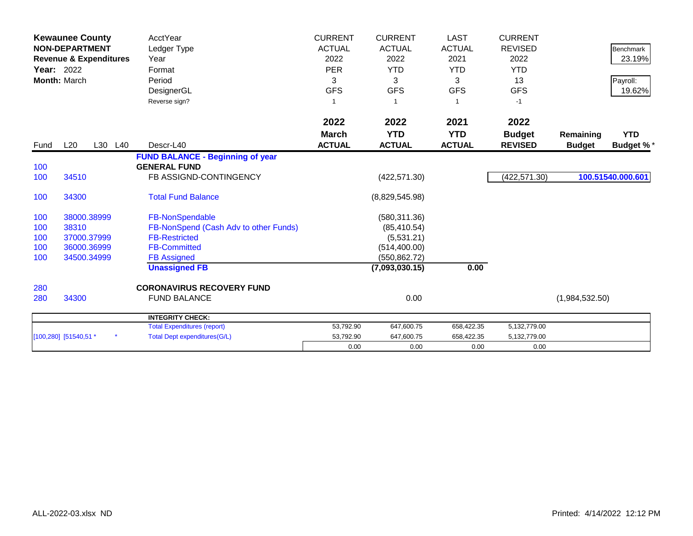| Year: 2022 | <b>Kewaunee County</b><br><b>NON-DEPARTMENT</b><br><b>Revenue &amp; Expenditures</b><br>Month: March | <b>AcctYear</b><br>Ledger Type<br>Year<br>Format<br>Period<br>DesignerGL<br>Reverse sign? | <b>CURRENT</b><br><b>ACTUAL</b><br>2022<br><b>PER</b><br>3<br><b>GFS</b><br>1 | <b>CURRENT</b><br><b>ACTUAL</b><br>2022<br><b>YTD</b><br>3<br><b>GFS</b> | <b>LAST</b><br><b>ACTUAL</b><br>2021<br><b>YTD</b><br>3<br><b>GFS</b><br>$\overline{1}$ | <b>CURRENT</b><br><b>REVISED</b><br>2022<br><b>YTD</b><br>13<br><b>GFS</b><br>$-1$ |                            | <b>Benchmark</b><br>23.19%<br>Payroll:<br>19.62% |
|------------|------------------------------------------------------------------------------------------------------|-------------------------------------------------------------------------------------------|-------------------------------------------------------------------------------|--------------------------------------------------------------------------|-----------------------------------------------------------------------------------------|------------------------------------------------------------------------------------|----------------------------|--------------------------------------------------|
|            |                                                                                                      |                                                                                           | 2022                                                                          | 2022                                                                     | 2021                                                                                    | 2022                                                                               |                            |                                                  |
| Fund       | L20<br>L30<br>L40                                                                                    | Descr-L40                                                                                 | <b>March</b><br><b>ACTUAL</b>                                                 | <b>YTD</b><br><b>ACTUAL</b>                                              | <b>YTD</b><br><b>ACTUAL</b>                                                             | <b>Budget</b><br><b>REVISED</b>                                                    | Remaining<br><b>Budget</b> | <b>YTD</b><br><b>Budget %*</b>                   |
|            |                                                                                                      | <b>FUND BALANCE - Beginning of year</b>                                                   |                                                                               |                                                                          |                                                                                         |                                                                                    |                            |                                                  |
| 100<br>100 | 34510                                                                                                | <b>GENERAL FUND</b><br>FB ASSIGND-CONTINGENCY                                             |                                                                               | (422, 571.30)                                                            |                                                                                         | (422, 571.30)                                                                      |                            | 100.51540.000.601                                |
| 100        | 34300                                                                                                | <b>Total Fund Balance</b>                                                                 |                                                                               | (8,829,545.98)                                                           |                                                                                         |                                                                                    |                            |                                                  |
| 100        | 38000.38999                                                                                          | FB-NonSpendable                                                                           |                                                                               | (580, 311.36)                                                            |                                                                                         |                                                                                    |                            |                                                  |
| 100        | 38310                                                                                                | FB-NonSpend (Cash Adv to other Funds)                                                     |                                                                               | (85, 410.54)                                                             |                                                                                         |                                                                                    |                            |                                                  |
| 100        | 37000.37999                                                                                          | <b>FB-Restricted</b>                                                                      |                                                                               | (5,531.21)                                                               |                                                                                         |                                                                                    |                            |                                                  |
| 100        | 36000.36999                                                                                          | <b>FB-Committed</b>                                                                       |                                                                               | (514, 400.00)                                                            |                                                                                         |                                                                                    |                            |                                                  |
| 100        | 34500.34999                                                                                          | <b>FB Assigned</b>                                                                        |                                                                               | (550, 862.72)                                                            |                                                                                         |                                                                                    |                            |                                                  |
|            |                                                                                                      | <b>Unassigned FB</b>                                                                      |                                                                               | (7,093,030.15)                                                           | 0.00                                                                                    |                                                                                    |                            |                                                  |
| 280        |                                                                                                      | <b>CORONAVIRUS RECOVERY FUND</b>                                                          |                                                                               |                                                                          |                                                                                         |                                                                                    |                            |                                                  |
| 280        | 34300                                                                                                | <b>FUND BALANCE</b>                                                                       |                                                                               | 0.00                                                                     |                                                                                         |                                                                                    | (1,984,532.50)             |                                                  |
|            |                                                                                                      | <b>INTEGRITY CHECK:</b>                                                                   |                                                                               |                                                                          |                                                                                         |                                                                                    |                            |                                                  |
|            |                                                                                                      | <b>Total Expenditures (report)</b>                                                        | 53,792.90                                                                     | 647,600.75                                                               | 658,422.35                                                                              | 5,132,779.00                                                                       |                            |                                                  |
|            | [100,280] [51540,51 *                                                                                | <b>Total Dept expenditures(G/L)</b>                                                       | 53,792.90                                                                     | 647,600.75                                                               | 658,422.35                                                                              | 5,132,779.00                                                                       |                            |                                                  |
|            |                                                                                                      |                                                                                           | 0.00                                                                          | 0.00                                                                     | 0.00                                                                                    | 0.00                                                                               |                            |                                                  |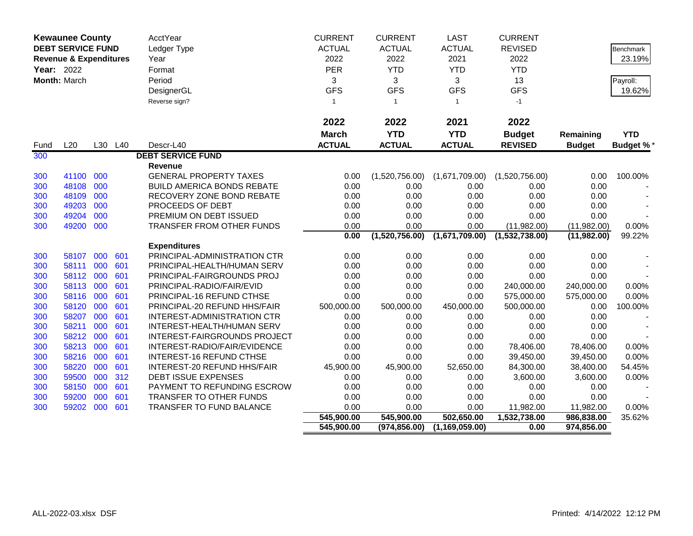|            | <b>Kewaunee County</b>            |            |            | AcctYear                                                     | <b>CURRENT</b> | <b>CURRENT</b> | <b>LAST</b>      | <b>CURRENT</b>         |                        |                  |
|------------|-----------------------------------|------------|------------|--------------------------------------------------------------|----------------|----------------|------------------|------------------------|------------------------|------------------|
|            | <b>DEBT SERVICE FUND</b>          |            |            | Ledger Type                                                  | <b>ACTUAL</b>  | <b>ACTUAL</b>  | <b>ACTUAL</b>    | <b>REVISED</b>         |                        | Benchmark        |
|            | <b>Revenue &amp; Expenditures</b> |            |            | Year                                                         | 2022           | 2022           | 2021             | 2022                   |                        | 23.19%           |
| Year: 2022 |                                   |            |            | Format                                                       | PER            | <b>YTD</b>     | <b>YTD</b>       | <b>YTD</b>             |                        |                  |
|            | Month: March                      |            |            | Period                                                       | 3              | 3              | 3                | 13                     |                        | Payroll:         |
|            |                                   |            |            | DesignerGL                                                   | <b>GFS</b>     | <b>GFS</b>     | <b>GFS</b>       | <b>GFS</b>             |                        | 19.62%           |
|            |                                   |            |            | Reverse sign?                                                | $\mathbf{1}$   | $\overline{1}$ | $\mathbf{1}$     | $-1$                   |                        |                  |
|            |                                   |            |            |                                                              |                |                |                  |                        |                        |                  |
|            |                                   |            |            |                                                              | 2022           | 2022           | 2021             | 2022                   |                        |                  |
|            |                                   |            |            |                                                              | <b>March</b>   | <b>YTD</b>     | <b>YTD</b>       | <b>Budget</b>          | Remaining              | <b>YTD</b>       |
| Fund       | L20                               |            | L30 L40    | Descr-L40                                                    | <b>ACTUAL</b>  | <b>ACTUAL</b>  | <b>ACTUAL</b>    | <b>REVISED</b>         | <b>Budget</b>          | <b>Budget %*</b> |
| 300        |                                   |            |            | <b>DEBT SERVICE FUND</b>                                     |                |                |                  |                        |                        |                  |
|            |                                   |            |            | Revenue                                                      |                |                |                  |                        |                        |                  |
| 300        | 41100                             | 000        |            | <b>GENERAL PROPERTY TAXES</b>                                | 0.00           | (1,520,756.00) | (1,671,709.00)   | (1,520,756.00)         | 0.00                   | 100.00%          |
| 300        | 48108                             | 000        |            | <b>BUILD AMERICA BONDS REBATE</b>                            | 0.00           | 0.00           | 0.00             | 0.00                   | 0.00                   |                  |
| 300        | 48109                             | 000        |            | RECOVERY ZONE BOND REBATE                                    | 0.00           | 0.00           | 0.00             | 0.00                   | 0.00                   |                  |
| 300        | 49203                             | 000        |            | PROCEEDS OF DEBT                                             | 0.00           | 0.00           | 0.00             | 0.00                   | 0.00                   |                  |
| 300        | 49204                             | 000        |            | PREMIUM ON DEBT ISSUED                                       | 0.00           | 0.00           | 0.00             | 0.00                   | 0.00                   |                  |
| 300        | 49200                             | 000        |            | TRANSFER FROM OTHER FUNDS                                    | 0.00           | 0.00           | 0.00             | (11,982.00)            | (11,982.00)            | 0.00%            |
|            |                                   |            |            |                                                              | 0.00           | (1,520,756.00) | (1,671,709.00)   | (1,532,738.00)         | (11,982.00)            | 99.22%           |
|            |                                   |            |            | <b>Expenditures</b>                                          |                |                |                  |                        |                        |                  |
| 300        | 58107                             | 000        | 601        | PRINCIPAL-ADMINISTRATION CTR                                 | 0.00           | 0.00           | 0.00             | 0.00                   | 0.00                   |                  |
| 300        | 58111                             | 000        | 601        | PRINCIPAL-HEALTH/HUMAN SERV                                  | 0.00           | 0.00           | 0.00             | 0.00                   | 0.00                   |                  |
| 300        | 58112                             | 000        | 601        | PRINCIPAL-FAIRGROUNDS PROJ                                   | 0.00           | 0.00           | 0.00             | 0.00                   | 0.00                   |                  |
| 300        | 58113                             | 000        | 601        | PRINCIPAL-RADIO/FAIR/EVID                                    | 0.00           | 0.00           | 0.00             | 240,000.00             | 240,000.00             | 0.00%            |
| 300        | 58116                             | 000        | 601        | PRINCIPAL-16 REFUND CTHSE                                    | 0.00           | 0.00           | 0.00             | 575,000.00             | 575,000.00             | 0.00%            |
| 300        | 58120                             | 000        | 601        | PRINCIPAL-20 REFUND HHS/FAIR                                 | 500,000.00     | 500,000.00     | 450,000.00       | 500,000.00             | 0.00                   | 100.00%          |
| 300        | 58207                             | 000        | 601        | <b>INTEREST-ADMINISTRATION CTR</b>                           | 0.00           | 0.00           | 0.00             | 0.00                   | 0.00                   |                  |
| 300        | 58211<br>58212                    | 000<br>000 | 601<br>601 | INTEREST-HEALTH/HUMAN SERV                                   | 0.00           | 0.00<br>0.00   | 0.00             | 0.00                   | 0.00                   |                  |
| 300        | 58213                             | 000        | 601        | INTEREST-FAIRGROUNDS PROJECT<br>INTEREST-RADIO/FAIR/EVIDENCE | 0.00<br>0.00   | 0.00           | 0.00<br>0.00     | 0.00                   | 0.00                   | 0.00%            |
| 300<br>300 | 58216 000                         |            | 601        | <b>INTEREST-16 REFUND CTHSE</b>                              | 0.00           | 0.00           | 0.00             | 78,406.00<br>39,450.00 | 78,406.00<br>39,450.00 | 0.00%            |
| 300        | 58220                             | 000        | 601        | INTEREST-20 REFUND HHS/FAIR                                  | 45,900.00      | 45,900.00      | 52,650.00        | 84,300.00              | 38,400.00              | 54.45%           |
| 300        | 59500                             | 000        | 312        | DEBT ISSUE EXPENSES                                          | 0.00           | 0.00           | 0.00             | 3,600.00               | 3,600.00               | 0.00%            |
| 300        | 58150                             | 000        | 601        | PAYMENT TO REFUNDING ESCROW                                  | 0.00           | 0.00           | 0.00             | 0.00                   | 0.00                   |                  |
| 300        | 59200                             | 000        | 601        | TRANSFER TO OTHER FUNDS                                      | 0.00           | 0.00           | 0.00             | 0.00                   | 0.00                   |                  |
| 300        | 59202                             | 000        | 601        | TRANSFER TO FUND BALANCE                                     | 0.00           | 0.00           | 0.00             | 11,982.00              | 11,982.00              | 0.00%            |
|            |                                   |            |            |                                                              | 545,900.00     | 545,900.00     | 502,650.00       | 1,532,738.00           | 986,838.00             | 35.62%           |
|            |                                   |            |            |                                                              | 545,900.00     | (974, 856.00)  | (1, 169, 059.00) | 0.00                   | 974,856.00             |                  |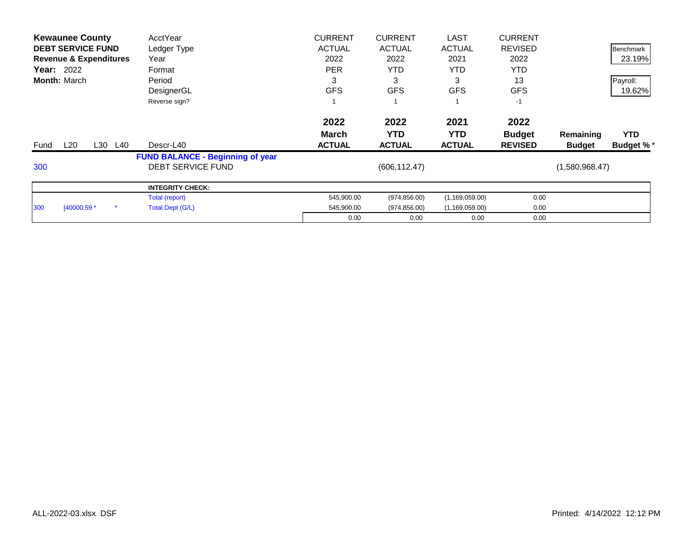|            | <b>Kewaunee County</b>            | AcctYear                                | <b>CURRENT</b> | <b>CURRENT</b> | <b>LAST</b>      | <b>CURRENT</b> |                |                  |
|------------|-----------------------------------|-----------------------------------------|----------------|----------------|------------------|----------------|----------------|------------------|
|            | <b>DEBT SERVICE FUND</b>          | Ledger Type                             | <b>ACTUAL</b>  | <b>ACTUAL</b>  | <b>ACTUAL</b>    | <b>REVISED</b> |                | <b>Benchmark</b> |
|            | <b>Revenue &amp; Expenditures</b> | Year                                    | 2022           | 2022           | 2021             | 2022           |                | 23.19%           |
| Year: 2022 |                                   | Format                                  | <b>PER</b>     | <b>YTD</b>     | <b>YTD</b>       | <b>YTD</b>     |                |                  |
|            | <b>Month: March</b>               | Period                                  | 3              | 3              | 3                | 13             |                | Payroll:         |
|            |                                   | DesignerGL                              | <b>GFS</b>     | <b>GFS</b>     | <b>GFS</b>       | <b>GFS</b>     |                | 19.62%           |
|            |                                   | Reverse sign?                           |                |                |                  | $-1$           |                |                  |
|            |                                   |                                         | 2022           | 2022           | 2021             | 2022           |                |                  |
|            |                                   |                                         | <b>March</b>   | <b>YTD</b>     | YTD.             | <b>Budget</b>  | Remaining      | <b>YTD</b>       |
| Fund       | L20<br>L30                        | L40<br>Descr-L40                        | <b>ACTUAL</b>  | <b>ACTUAL</b>  | <b>ACTUAL</b>    | <b>REVISED</b> | <b>Budget</b>  | <b>Budget %*</b> |
|            |                                   | <b>FUND BALANCE - Beginning of year</b> |                |                |                  |                |                |                  |
| 300        |                                   | <b>DEBT SERVICE FUND</b>                |                | (606, 112.47)  |                  |                | (1,580,968.47) |                  |
|            |                                   | <b>INTEGRITY CHECK:</b>                 |                |                |                  |                |                |                  |
|            |                                   | Total (report)                          | 545,900.00     | (974, 856.00)  | (1, 169, 059.00) | 0.00           |                |                  |
| 300        |                                   |                                         |                |                |                  |                |                |                  |
|            | $[40000.59*$                      | Total Dept (G/L)                        | 545,900.00     | (974, 856.00)  | (1, 169, 059.00) | 0.00           |                |                  |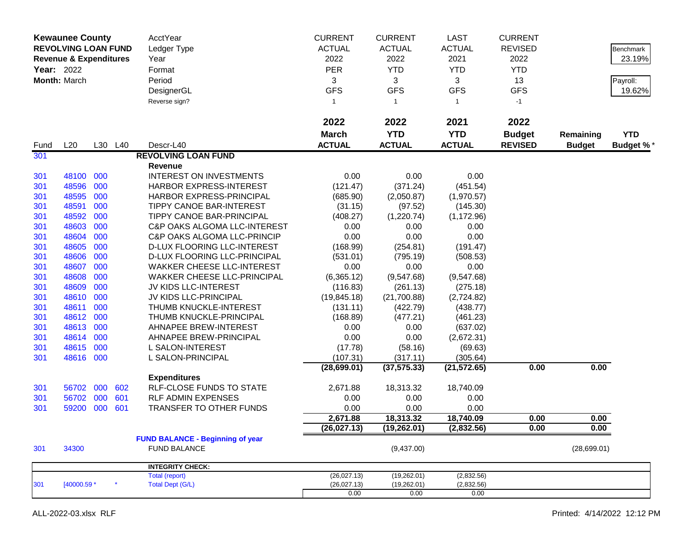|      | <b>Kewaunee County</b><br><b>REVOLVING LOAN FUND</b><br><b>Revenue &amp; Expenditures</b><br><b>Year: 2022</b><br>Month: March |     |         | AcctYear<br>Ledger Type<br>Year<br>Format<br>Period | <b>CURRENT</b><br><b>ACTUAL</b><br>2022<br>PER<br>3 | <b>CURRENT</b><br><b>ACTUAL</b><br>2022<br><b>YTD</b><br>3 | <b>LAST</b><br><b>ACTUAL</b><br>2021<br><b>YTD</b><br>3 | <b>CURRENT</b><br><b>REVISED</b><br>2022<br><b>YTD</b><br>13 |               | Benchmark<br>23.19%<br>Payroll: |
|------|--------------------------------------------------------------------------------------------------------------------------------|-----|---------|-----------------------------------------------------|-----------------------------------------------------|------------------------------------------------------------|---------------------------------------------------------|--------------------------------------------------------------|---------------|---------------------------------|
|      |                                                                                                                                |     |         | DesignerGL<br>Reverse sign?                         | <b>GFS</b><br>$\mathbf{1}$                          | <b>GFS</b><br>$\overline{1}$                               | <b>GFS</b><br>$\mathbf{1}$                              | <b>GFS</b><br>$-1$                                           |               | 19.62%                          |
|      |                                                                                                                                |     |         |                                                     | 2022                                                | 2022                                                       | 2021                                                    | 2022                                                         |               |                                 |
|      |                                                                                                                                |     |         |                                                     | <b>March</b>                                        | <b>YTD</b>                                                 | <b>YTD</b>                                              | <b>Budget</b>                                                | Remaining     | <b>YTD</b>                      |
| Fund | L20                                                                                                                            |     | L30 L40 | Descr-L40                                           | <b>ACTUAL</b>                                       | <b>ACTUAL</b>                                              | <b>ACTUAL</b>                                           | <b>REVISED</b>                                               | <b>Budget</b> | <b>Budget %*</b>                |
| 301  |                                                                                                                                |     |         | <b>REVOLVING LOAN FUND</b>                          |                                                     |                                                            |                                                         |                                                              |               |                                 |
|      |                                                                                                                                |     |         | <b>Revenue</b>                                      |                                                     |                                                            |                                                         |                                                              |               |                                 |
| 301  | 48100 000                                                                                                                      |     |         | <b>INTEREST ON INVESTMENTS</b>                      | 0.00                                                | 0.00                                                       | 0.00                                                    |                                                              |               |                                 |
| 301  | 48596                                                                                                                          | 000 |         | <b>HARBOR EXPRESS-INTEREST</b>                      | (121.47)                                            | (371.24)                                                   | (451.54)                                                |                                                              |               |                                 |
| 301  | 48595                                                                                                                          | 000 |         | HARBOR EXPRESS-PRINCIPAL                            | (685.90)                                            | (2,050.87)                                                 | (1,970.57)                                              |                                                              |               |                                 |
| 301  | 48591                                                                                                                          | 000 |         | <b>TIPPY CANOE BAR-INTEREST</b>                     | (31.15)                                             | (97.52)                                                    | (145.30)                                                |                                                              |               |                                 |
| 301  | 48592                                                                                                                          | 000 |         | TIPPY CANOE BAR-PRINCIPAL                           | (408.27)                                            | (1,220.74)                                                 | (1, 172.96)                                             |                                                              |               |                                 |
| 301  | 48603                                                                                                                          | 000 |         | C&P OAKS ALGOMA LLC-INTEREST                        | 0.00                                                | 0.00                                                       | 0.00                                                    |                                                              |               |                                 |
| 301  | 48604                                                                                                                          | 000 |         | <b>C&amp;P OAKS ALGOMA LLC-PRINCIP</b>              | 0.00                                                | 0.00                                                       | 0.00                                                    |                                                              |               |                                 |
| 301  | 48605                                                                                                                          | 000 |         | D-LUX FLOORING LLC-INTEREST                         | (168.99)                                            | (254.81)                                                   | (191.47)                                                |                                                              |               |                                 |
| 301  | 48606                                                                                                                          | 000 |         | D-LUX FLOORING LLC-PRINCIPAL                        | (531.01)                                            | (795.19)                                                   | (508.53)                                                |                                                              |               |                                 |
| 301  | 48607                                                                                                                          | 000 |         | WAKKER CHEESE LLC-INTEREST                          | 0.00                                                | 0.00                                                       | 0.00                                                    |                                                              |               |                                 |
| 301  | 48608                                                                                                                          | 000 |         | <b>WAKKER CHEESE LLC-PRINCIPAL</b>                  | (6,365.12)                                          | (9,547.68)                                                 | (9,547.68)                                              |                                                              |               |                                 |
| 301  | 48609                                                                                                                          | 000 |         | JV KIDS LLC-INTEREST                                | (116.83)                                            | (261.13)                                                   | (275.18)                                                |                                                              |               |                                 |
| 301  | 48610                                                                                                                          | 000 |         | JV KIDS LLC-PRINCIPAL                               | (19, 845.18)                                        | (21,700.88)                                                | (2,724.82)                                              |                                                              |               |                                 |
| 301  | 48611                                                                                                                          | 000 |         | THUMB KNUCKLE-INTEREST                              | (131.11)                                            | (422.79)                                                   | (438.77)                                                |                                                              |               |                                 |
| 301  | 48612                                                                                                                          | 000 |         | THUMB KNUCKLE-PRINCIPAL                             | (168.89)                                            | (477.21)                                                   | (461.23)                                                |                                                              |               |                                 |
| 301  | 48613                                                                                                                          | 000 |         | AHNAPEE BREW-INTEREST                               | 0.00                                                | 0.00                                                       | (637.02)                                                |                                                              |               |                                 |
| 301  | 48614                                                                                                                          | 000 |         | AHNAPEE BREW-PRINCIPAL                              | 0.00                                                | 0.00                                                       | (2,672.31)                                              |                                                              |               |                                 |
| 301  | 48615                                                                                                                          | 000 |         | L SALON-INTEREST                                    | (17.78)                                             | (58.16)                                                    | (69.63)                                                 |                                                              |               |                                 |
| 301  | 48616                                                                                                                          | 000 |         | L SALON-PRINCIPAL                                   | (107.31)                                            | (317.11)                                                   | (305.64)                                                |                                                              |               |                                 |
|      |                                                                                                                                |     |         |                                                     | (28, 699.01)                                        | (37, 575.33)                                               | (21, 572.65)                                            | 0.00                                                         | 0.00          |                                 |
|      |                                                                                                                                |     |         | <b>Expenditures</b>                                 |                                                     |                                                            |                                                         |                                                              |               |                                 |
| 301  | 56702                                                                                                                          | 000 | 602     | RLF-CLOSE FUNDS TO STATE                            | 2,671.88                                            | 18,313.32                                                  | 18,740.09                                               |                                                              |               |                                 |
| 301  | 56702                                                                                                                          | 000 | 601     | RLF ADMIN EXPENSES                                  | 0.00                                                | 0.00                                                       | 0.00                                                    |                                                              |               |                                 |
| 301  | 59200                                                                                                                          | 000 | 601     | <b>TRANSFER TO OTHER FUNDS</b>                      | 0.00                                                | 0.00                                                       | 0.00                                                    |                                                              |               |                                 |
|      |                                                                                                                                |     |         |                                                     | 2,671.88                                            | 18,313.32                                                  | 18,740.09                                               | 0.00                                                         | 0.00          |                                 |
|      |                                                                                                                                |     |         |                                                     | (26, 027.13)                                        | (19, 262.01)                                               | (2,832.56)                                              | 0.00                                                         | 0.00          |                                 |
|      |                                                                                                                                |     |         | <b>FUND BALANCE - Beginning of year</b>             |                                                     |                                                            |                                                         |                                                              |               |                                 |
| 301  | 34300                                                                                                                          |     |         | <b>FUND BALANCE</b>                                 |                                                     | (9,437.00)                                                 |                                                         |                                                              | (28,699.01)   |                                 |
|      |                                                                                                                                |     |         | <b>INTEGRITY CHECK:</b>                             |                                                     |                                                            |                                                         |                                                              |               |                                 |
|      |                                                                                                                                |     |         | Total (report)                                      | (26,027.13)                                         | (19,262.01)                                                | (2,832.56)                                              |                                                              |               |                                 |
| 301  | [40000.59 *                                                                                                                    |     |         | <b>Total Dept (G/L)</b>                             | (26,027.13)                                         | (19,262.01)                                                | (2,832.56)                                              |                                                              |               |                                 |
|      |                                                                                                                                |     |         |                                                     | 0.00                                                | 0.00                                                       | 0.00                                                    |                                                              |               |                                 |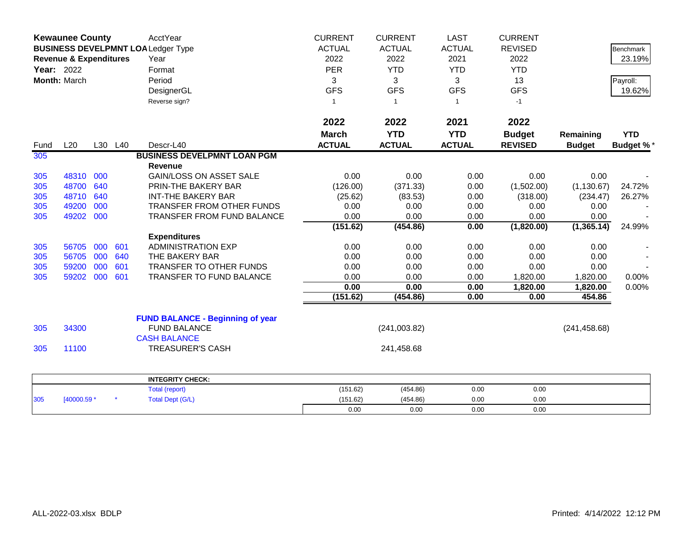| <b>Kewaunee County</b> |                                   |     |         | AcctYear                                  | <b>CURRENT</b> | <b>CURRENT</b> | <b>LAST</b>   | <b>CURRENT</b> |               |                  |
|------------------------|-----------------------------------|-----|---------|-------------------------------------------|----------------|----------------|---------------|----------------|---------------|------------------|
|                        |                                   |     |         | <b>BUSINESS DEVELPMNT LOA Ledger Type</b> | <b>ACTUAL</b>  | <b>ACTUAL</b>  | <b>ACTUAL</b> | <b>REVISED</b> |               | Benchmark        |
|                        | <b>Revenue &amp; Expenditures</b> |     |         | Year                                      | 2022           | 2022           | 2021          | 2022           |               | 23.19%           |
| Year: 2022             |                                   |     |         | Format                                    | <b>PER</b>     | <b>YTD</b>     | <b>YTD</b>    | <b>YTD</b>     |               |                  |
|                        | Month: March                      |     |         | Period                                    | 3              | 3              | 3             | 13             |               | Payroll:         |
|                        |                                   |     |         | DesignerGL                                | <b>GFS</b>     | <b>GFS</b>     | <b>GFS</b>    | <b>GFS</b>     |               | 19.62%           |
|                        |                                   |     |         | Reverse sign?                             | $\mathbf{1}$   | $\overline{1}$ | $\mathbf{1}$  | $-1$           |               |                  |
|                        |                                   |     |         |                                           |                |                |               |                |               |                  |
|                        |                                   |     |         |                                           | 2022           | 2022           | 2021          | 2022           |               |                  |
|                        |                                   |     |         |                                           | <b>March</b>   | <b>YTD</b>     | <b>YTD</b>    | <b>Budget</b>  | Remaining     | <b>YTD</b>       |
| Fund                   | L20                               |     | L30 L40 | Descr-L40                                 | <b>ACTUAL</b>  | <b>ACTUAL</b>  | <b>ACTUAL</b> | <b>REVISED</b> | <b>Budget</b> | <b>Budget %*</b> |
| 305                    |                                   |     |         | <b>BUSINESS DEVELPMNT LOAN PGM</b>        |                |                |               |                |               |                  |
|                        |                                   |     |         | <b>Revenue</b>                            |                |                |               |                |               |                  |
| 305                    | 48310                             | 000 |         | <b>GAIN/LOSS ON ASSET SALE</b>            | 0.00           | 0.00           | 0.00          | 0.00           | 0.00          |                  |
| 305                    | 48700                             | 640 |         | PRIN-THE BAKERY BAR                       | (126.00)       | (371.33)       | 0.00          | (1,502.00)     | (1, 130.67)   | 24.72%           |
| 305                    | 48710                             | 640 |         | <b>INT-THE BAKERY BAR</b>                 | (25.62)        | (83.53)        | 0.00          | (318.00)       | (234.47)      | 26.27%           |
| 305                    | 49200                             | 000 |         | TRANSFER FROM OTHER FUNDS                 | 0.00           | 0.00           | 0.00          | 0.00           | 0.00          |                  |
| 305                    | 49202                             | 000 |         | TRANSFER FROM FUND BALANCE                | 0.00           | 0.00           | 0.00          | 0.00           | 0.00          |                  |
|                        |                                   |     |         |                                           | (151.62)       | (454.86)       | 0.00          | (1,820.00)     | (1,365.14)    | 24.99%           |
|                        |                                   |     |         | <b>Expenditures</b>                       |                |                |               |                |               |                  |
| 305                    | 56705                             | 000 | 601     | <b>ADMINISTRATION EXP</b>                 | 0.00           | 0.00           | 0.00          | 0.00           | 0.00          |                  |
| 305                    | 56705                             | 000 | 640     | THE BAKERY BAR                            | 0.00           | 0.00           | 0.00          | 0.00           | 0.00          |                  |
| 305                    | 59200                             | 000 | 601     | <b>TRANSFER TO OTHER FUNDS</b>            | 0.00           | 0.00           | 0.00          | 0.00           | 0.00          |                  |
| 305                    | 59202                             | 000 | 601     | TRANSFER TO FUND BALANCE                  | 0.00           | 0.00           | 0.00          | 1,820.00       | 1,820.00      | 0.00%            |
|                        |                                   |     |         |                                           | 0.00           | 0.00           | 0.00          | 1,820.00       | 1,820.00      | 0.00%            |
|                        |                                   |     |         |                                           | (151.62)       | (454.86)       | 0.00          | 0.00           | 454.86        |                  |
|                        |                                   |     |         | <b>FUND BALANCE - Beginning of year</b>   |                |                |               |                |               |                  |
| 305                    | 34300                             |     |         | <b>FUND BALANCE</b>                       |                | (241,003.82)   |               |                | (241, 458.68) |                  |
|                        |                                   |     |         | <b>CASH BALANCE</b>                       |                |                |               |                |               |                  |
| 305                    | 11100                             |     |         | <b>TREASURER'S CASH</b>                   |                | 241,458.68     |               |                |               |                  |
|                        |                                   |     |         |                                           |                |                |               |                |               |                  |
|                        |                                   |     |         | <b>INTEGRITY CHECK:</b>                   |                |                |               |                |               |                  |
|                        |                                   |     |         | <b>Total (report)</b>                     | (151.62)       | (454.86)       | 0.00          | 0.00           |               |                  |
| 305                    | [40000.59 *                       |     |         | <b>Total Dept (G/L)</b>                   | (151.62)       | (454.86)       | 0.00          | 0.00           |               |                  |
|                        |                                   |     |         |                                           | 0.00           | 0.00           | 0.00          | 0.00           |               |                  |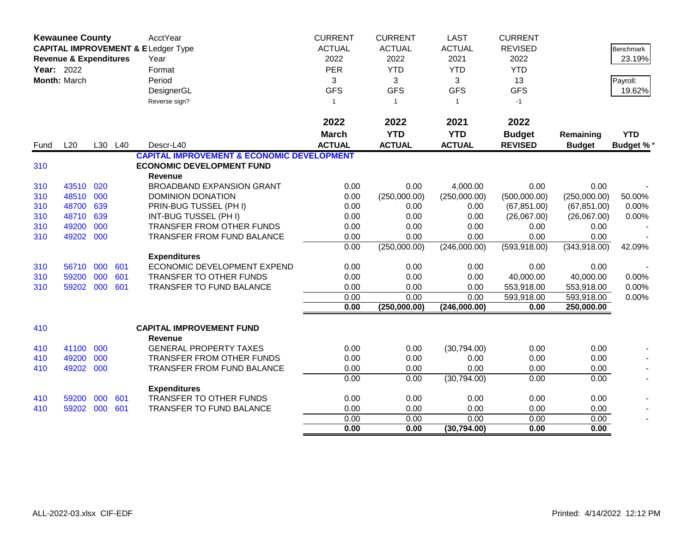|      | <b>Kewaunee County</b>            |     |         | AcctYear<br><b>CAPITAL IMPROVEMENT &amp; ELedger Type</b> | <b>CURRENT</b><br><b>ACTUAL</b> | <b>CURRENT</b><br><b>ACTUAL</b> | <b>LAST</b><br><b>ACTUAL</b> | <b>CURRENT</b><br><b>REVISED</b> |               | Benchmark        |
|------|-----------------------------------|-----|---------|-----------------------------------------------------------|---------------------------------|---------------------------------|------------------------------|----------------------------------|---------------|------------------|
|      | <b>Revenue &amp; Expenditures</b> |     |         | Year                                                      | 2022                            | 2022                            | 2021                         | 2022                             |               | 23.19%           |
|      | Year: 2022                        |     |         | Format                                                    | <b>PER</b>                      | <b>YTD</b>                      | <b>YTD</b>                   | <b>YTD</b>                       |               |                  |
|      | Month: March                      |     |         | Period                                                    | 3                               | 3                               | 3                            | 13                               |               | Payroll:         |
|      |                                   |     |         | DesignerGL                                                | <b>GFS</b>                      | <b>GFS</b>                      | <b>GFS</b>                   | <b>GFS</b>                       |               | 19.62%           |
|      |                                   |     |         | Reverse sign?                                             | $\mathbf{1}$                    | $\overline{1}$                  | $\mathbf{1}$                 | $-1$                             |               |                  |
|      |                                   |     |         |                                                           | 2022                            | 2022                            | 2021                         | 2022                             |               |                  |
|      |                                   |     |         |                                                           | <b>March</b>                    | <b>YTD</b>                      | <b>YTD</b>                   | <b>Budget</b>                    | Remaining     | <b>YTD</b>       |
| Fund | L20                               |     | L30 L40 | Descr-L40                                                 | <b>ACTUAL</b>                   | <b>ACTUAL</b>                   | <b>ACTUAL</b>                | <b>REVISED</b>                   | <b>Budget</b> | <b>Budget %*</b> |
|      |                                   |     |         | <b>CAPITAL IMPROVEMENT &amp; ECONOMIC DEVELOPMENT</b>     |                                 |                                 |                              |                                  |               |                  |
| 310  |                                   |     |         | <b>ECONOMIC DEVELOPMENT FUND</b><br>Revenue               |                                 |                                 |                              |                                  |               |                  |
| 310  | 43510                             | 020 |         | <b>BROADBAND EXPANSION GRANT</b>                          | 0.00                            | 0.00                            | 4,000.00                     | 0.00                             | 0.00          |                  |
| 310  | 48510                             | 000 |         | DOMINION DONATION                                         | 0.00                            | (250,000.00)                    | (250,000.00)                 | (500,000.00)                     | (250,000.00)  | 50.00%           |
| 310  | 48700                             | 639 |         | PRIN-BUG TUSSEL (PH I)                                    | 0.00                            | 0.00                            | 0.00                         | (67, 851.00)                     | (67, 851.00)  | 0.00%            |
| 310  | 48710                             | 639 |         | INT-BUG TUSSEL (PH I)                                     | 0.00                            | 0.00                            | 0.00                         | (26,067.00)                      | (26,067.00)   | 0.00%            |
| 310  | 49200                             | 000 |         | TRANSFER FROM OTHER FUNDS                                 | 0.00                            | 0.00                            | 0.00                         | 0.00                             | 0.00          |                  |
| 310  | 49202                             | 000 |         | <b>TRANSFER FROM FUND BALANCE</b>                         | 0.00                            | 0.00                            | 0.00                         | 0.00                             | 0.00          |                  |
|      |                                   |     |         |                                                           | 0.00                            | (250,000.00)                    | (246,000.00)                 | (593, 918.00)                    | (343, 918.00) | 42.09%           |
|      |                                   |     |         | <b>Expenditures</b>                                       |                                 |                                 |                              |                                  |               |                  |
| 310  | 56710                             | 000 | 601     | ECONOMIC DEVELOPMENT EXPEND                               | 0.00                            | 0.00                            | 0.00                         | 0.00                             | 0.00          |                  |
| 310  | 59200                             | 000 | 601     | TRANSFER TO OTHER FUNDS                                   | 0.00                            | 0.00                            | 0.00                         | 40,000.00                        | 40,000.00     | 0.00%            |
| 310  | 59202 000                         |     | 601     | TRANSFER TO FUND BALANCE                                  | 0.00                            | 0.00                            | 0.00                         | 553,918.00                       | 553,918.00    | 0.00%            |
|      |                                   |     |         |                                                           | 0.00                            | 0.00                            | 0.00                         | 593,918.00                       | 593,918.00    | 0.00%            |
|      |                                   |     |         |                                                           | 0.00                            | (250,000.00)                    | (246,000.00)                 | 0.00                             | 250,000.00    |                  |
| 410  |                                   |     |         | <b>CAPITAL IMPROVEMENT FUND</b><br>Revenue                |                                 |                                 |                              |                                  |               |                  |
| 410  | 41100                             | 000 |         | <b>GENERAL PROPERTY TAXES</b>                             | 0.00                            | 0.00                            | (30,794.00)                  | 0.00                             | 0.00          |                  |
| 410  | 49200                             | 000 |         | TRANSFER FROM OTHER FUNDS                                 | 0.00                            | 0.00                            | 0.00                         | 0.00                             | 0.00          |                  |
| 410  | 49202                             | 000 |         | TRANSFER FROM FUND BALANCE                                | 0.00                            | 0.00                            | 0.00                         | 0.00                             | 0.00          |                  |
|      |                                   |     |         |                                                           | 0.00                            | 0.00                            | (30,794.00)                  | 0.00                             | 0.00          |                  |
|      |                                   |     |         | <b>Expenditures</b>                                       |                                 |                                 |                              |                                  |               |                  |
| 410  | 59200                             | 000 | 601     | TRANSFER TO OTHER FUNDS                                   | 0.00                            | 0.00                            | 0.00                         | 0.00                             | 0.00          |                  |
| 410  | 59202                             | 000 | 601     | <b>TRANSFER TO FUND BALANCE</b>                           | 0.00                            | 0.00                            | 0.00                         | 0.00                             | 0.00          |                  |
|      |                                   |     |         |                                                           | 0.00                            | 0.00                            | 0.00                         | 0.00                             | 0.00          |                  |
|      |                                   |     |         |                                                           | 0.00                            | 0.00                            | (30, 794.00)                 | 0.00                             | 0.00          |                  |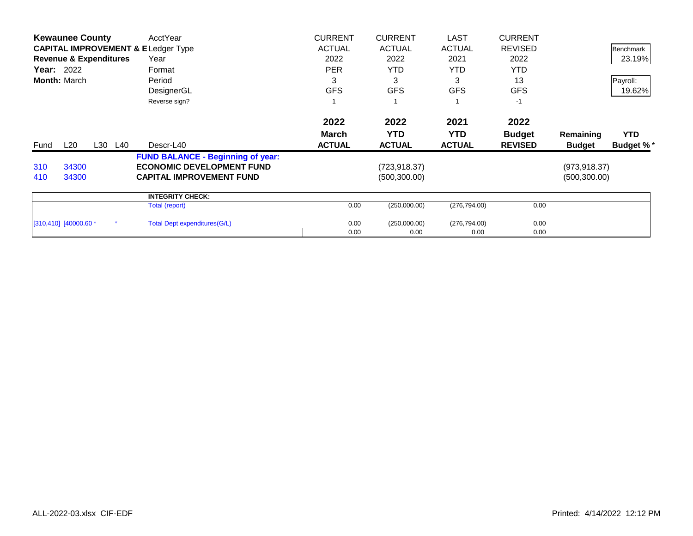|      | <b>Kewaunee County</b>            |         | AcctYear                                      | <b>CURRENT</b> | <b>CURRENT</b> | LAST          | <b>CURRENT</b> |               |                  |
|------|-----------------------------------|---------|-----------------------------------------------|----------------|----------------|---------------|----------------|---------------|------------------|
|      |                                   |         | <b>CAPITAL IMPROVEMENT &amp; ELedger Type</b> | <b>ACTUAL</b>  | <b>ACTUAL</b>  | <b>ACTUAL</b> | <b>REVISED</b> |               | Benchmark        |
|      | <b>Revenue &amp; Expenditures</b> |         | Year                                          | 2022           | 2022           | 2021          | 2022           |               | 23.19%           |
|      | <b>Year: 2022</b>                 |         | Format                                        | <b>PER</b>     | <b>YTD</b>     | YTD.          | <b>YTD</b>     |               |                  |
|      | <b>Month: March</b>               |         | Period                                        | 3              | 3              | 3             | 13             |               | Payroll:         |
|      |                                   |         | DesignerGL                                    | <b>GFS</b>     | <b>GFS</b>     | <b>GFS</b>    | <b>GFS</b>     |               | 19.62%           |
|      |                                   |         | Reverse sign?                                 |                |                |               | $-1$           |               |                  |
|      |                                   |         |                                               | 2022           | 2022           | 2021          | 2022           |               |                  |
|      |                                   |         |                                               | <b>March</b>   | YTD            | <b>YTD</b>    | <b>Budget</b>  | Remaining     | <b>YTD</b>       |
| Fund | L20                               | L30 L40 | Descr-L40                                     | <b>ACTUAL</b>  | <b>ACTUAL</b>  | <b>ACTUAL</b> | <b>REVISED</b> | <b>Budget</b> | <b>Budget %*</b> |
|      |                                   |         | <b>FUND BALANCE - Beginning of year:</b>      |                |                |               |                |               |                  |
| 310  | 34300                             |         | <b>ECONOMIC DEVELOPMENT FUND</b>              |                | (723, 918.37)  |               |                | (973, 918.37) |                  |
| 410  | 34300                             |         | <b>CAPITAL IMPROVEMENT FUND</b>               |                | (500, 300.00)  |               |                | (500, 300.00) |                  |
|      |                                   |         | <b>INTEGRITY CHECK:</b>                       |                |                |               |                |               |                  |
|      |                                   |         | Total (report)                                | 0.00           | (250,000.00)   | (276, 794.00) | 0.00           |               |                  |
|      | $[310, 410]$ $[40000.60 *$        |         | Total Dept expenditures (G/L)                 | 0.00           | (250,000.00)   | (276, 794.00) | 0.00           |               |                  |
|      |                                   |         |                                               | 0.00           | 0.00           | 0.00          | 0.00           |               |                  |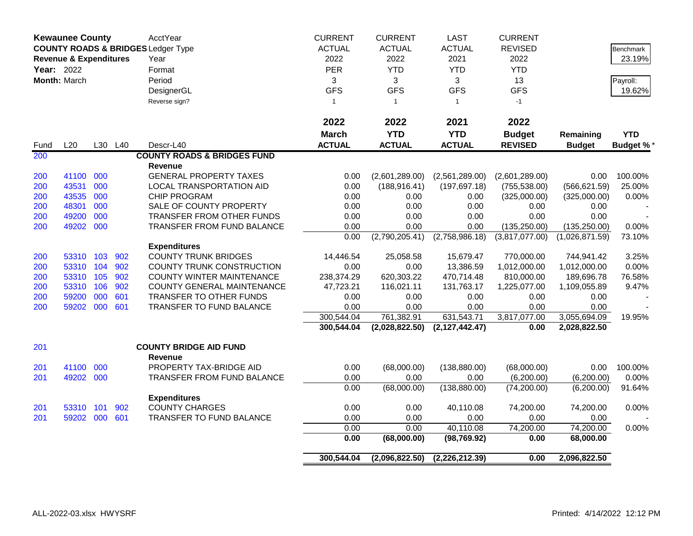| AcctYear<br><b>CURRENT</b><br><b>LAST</b><br><b>CURRENT</b><br><b>Kewaunee County</b><br><b>ACTUAL</b><br><b>COUNTY ROADS &amp; BRIDGES Ledger Type</b><br><b>ACTUAL</b><br><b>ACTUAL</b><br><b>REVISED</b><br>2022<br>2022<br>2021<br>2022<br><b>Revenue &amp; Expenditures</b><br>Year<br>PER<br><b>YTD</b><br><b>YTD</b><br><b>YTD</b><br>Year: 2022<br>Format<br>Month: March<br>Period<br>3<br>3<br>3<br>13<br><b>GFS</b><br><b>GFS</b><br><b>GFS</b><br><b>GFS</b><br>DesignerGL<br>Reverse sign?<br>$\mathbf{1}$<br>$\mathbf{1}$<br>$-1$<br>$\overline{1}$<br>2022<br>2022<br>2022<br>2021<br><b>YTD</b><br><b>YTD</b><br><b>March</b><br><b>Budget</b> | Remaining<br><b>Budget</b><br>0.00<br>(566, 621.59) | <b>Benchmark</b><br>23.19%<br>Payroll:<br>19.62%<br><b>YTD</b><br><b>Budget %*</b> |
|----------------------------------------------------------------------------------------------------------------------------------------------------------------------------------------------------------------------------------------------------------------------------------------------------------------------------------------------------------------------------------------------------------------------------------------------------------------------------------------------------------------------------------------------------------------------------------------------------------------------------------------------------------------|-----------------------------------------------------|------------------------------------------------------------------------------------|
|                                                                                                                                                                                                                                                                                                                                                                                                                                                                                                                                                                                                                                                                |                                                     |                                                                                    |
|                                                                                                                                                                                                                                                                                                                                                                                                                                                                                                                                                                                                                                                                |                                                     |                                                                                    |
|                                                                                                                                                                                                                                                                                                                                                                                                                                                                                                                                                                                                                                                                |                                                     |                                                                                    |
|                                                                                                                                                                                                                                                                                                                                                                                                                                                                                                                                                                                                                                                                |                                                     |                                                                                    |
|                                                                                                                                                                                                                                                                                                                                                                                                                                                                                                                                                                                                                                                                |                                                     |                                                                                    |
|                                                                                                                                                                                                                                                                                                                                                                                                                                                                                                                                                                                                                                                                |                                                     |                                                                                    |
|                                                                                                                                                                                                                                                                                                                                                                                                                                                                                                                                                                                                                                                                |                                                     |                                                                                    |
|                                                                                                                                                                                                                                                                                                                                                                                                                                                                                                                                                                                                                                                                |                                                     |                                                                                    |
|                                                                                                                                                                                                                                                                                                                                                                                                                                                                                                                                                                                                                                                                |                                                     |                                                                                    |
| <b>ACTUAL</b><br><b>ACTUAL</b><br>L20<br>L30 L40<br>Descr-L40<br><b>ACTUAL</b><br><b>REVISED</b><br>Fund                                                                                                                                                                                                                                                                                                                                                                                                                                                                                                                                                       |                                                     |                                                                                    |
| 200<br><b>COUNTY ROADS &amp; BRIDGES FUND</b>                                                                                                                                                                                                                                                                                                                                                                                                                                                                                                                                                                                                                  |                                                     |                                                                                    |
| <b>Revenue</b>                                                                                                                                                                                                                                                                                                                                                                                                                                                                                                                                                                                                                                                 |                                                     |                                                                                    |
| 000<br><b>GENERAL PROPERTY TAXES</b><br>41100<br>0.00<br>(2,601,289.00)<br>(2,561,289.00)<br>(2,601,289.00)<br>200                                                                                                                                                                                                                                                                                                                                                                                                                                                                                                                                             |                                                     | 100.00%                                                                            |
| 43531<br>000<br>0.00<br>200<br>LOCAL TRANSPORTATION AID<br>(188, 916.41)<br>(197, 697.18)<br>(755, 538.00)                                                                                                                                                                                                                                                                                                                                                                                                                                                                                                                                                     |                                                     | 25.00%                                                                             |
| 43535<br>200<br>000<br><b>CHIP PROGRAM</b><br>0.00                                                                                                                                                                                                                                                                                                                                                                                                                                                                                                                                                                                                             |                                                     |                                                                                    |
| (325,000.00)<br>0.00<br>0.00<br>48301<br>000<br>SALE OF COUNTY PROPERTY                                                                                                                                                                                                                                                                                                                                                                                                                                                                                                                                                                                        | (325,000.00)                                        | 0.00%                                                                              |
| 0.00<br>0.00<br>0.00<br>200<br>0.00<br>000                                                                                                                                                                                                                                                                                                                                                                                                                                                                                                                                                                                                                     | 0.00                                                |                                                                                    |
| 200<br>49200<br>TRANSFER FROM OTHER FUNDS<br>0.00<br>0.00<br>0.00<br>0.00                                                                                                                                                                                                                                                                                                                                                                                                                                                                                                                                                                                      | 0.00                                                |                                                                                    |
| 49202 000<br>200<br>TRANSFER FROM FUND BALANCE<br>0.00<br>0.00<br>0.00<br>(135, 250.00)                                                                                                                                                                                                                                                                                                                                                                                                                                                                                                                                                                        | (135, 250.00)                                       | 0.00%                                                                              |
| (2,758,986.18)<br>0.00<br>(2,790,205.41)<br>(3,817,077.00)                                                                                                                                                                                                                                                                                                                                                                                                                                                                                                                                                                                                     | (1,026,871.59)                                      | 73.10%                                                                             |
| <b>Expenditures</b>                                                                                                                                                                                                                                                                                                                                                                                                                                                                                                                                                                                                                                            |                                                     |                                                                                    |
| 53310 103<br><b>COUNTY TRUNK BRIDGES</b><br>902<br>15,679.47<br>770,000.00<br>200<br>14,446.54<br>25,058.58                                                                                                                                                                                                                                                                                                                                                                                                                                                                                                                                                    | 744,941.42                                          | 3.25%                                                                              |
| 200<br>53310 104<br>902<br><b>COUNTY TRUNK CONSTRUCTION</b><br>0.00<br>13,386.59<br>1,012,000.00<br>0.00                                                                                                                                                                                                                                                                                                                                                                                                                                                                                                                                                       | 1,012,000.00                                        | 0.00%                                                                              |
| 53310 105<br>902<br>COUNTY WINTER MAINTENANCE<br>620,303.22<br>810,000.00<br>238,374.29<br>470,714.48<br>200                                                                                                                                                                                                                                                                                                                                                                                                                                                                                                                                                   | 189,696.78                                          | 76.58%                                                                             |
| 53310 106<br>902<br>116,021.11<br>131,763.17<br>200<br>COUNTY GENERAL MAINTENANCE<br>47,723.21<br>1,225,077.00                                                                                                                                                                                                                                                                                                                                                                                                                                                                                                                                                 | 1,109,055.89                                        | 9.47%                                                                              |
| 59200<br>000<br>601<br>200<br>TRANSFER TO OTHER FUNDS<br>0.00<br>0.00<br>0.00<br>0.00                                                                                                                                                                                                                                                                                                                                                                                                                                                                                                                                                                          | 0.00                                                |                                                                                    |
| 59202 000<br>601<br>200<br>TRANSFER TO FUND BALANCE<br>0.00<br>0.00<br>0.00<br>0.00                                                                                                                                                                                                                                                                                                                                                                                                                                                                                                                                                                            | 0.00                                                |                                                                                    |
| 300,544.04<br>761,382.91<br>631,543.71<br>3,817,077.00                                                                                                                                                                                                                                                                                                                                                                                                                                                                                                                                                                                                         | 3,055,694.09                                        | 19.95%                                                                             |
| 300,544.04<br>(2,028,822.50)<br>(2, 127, 442.47)<br>0.00                                                                                                                                                                                                                                                                                                                                                                                                                                                                                                                                                                                                       | 2,028,822.50                                        |                                                                                    |
| 201<br><b>COUNTY BRIDGE AID FUND</b><br><b>Revenue</b>                                                                                                                                                                                                                                                                                                                                                                                                                                                                                                                                                                                                         |                                                     |                                                                                    |
| 41100<br>000<br>PROPERTY TAX-BRIDGE AID<br>0.00<br>(68,000.00)<br>(138, 880.00)<br>(68,000.00)<br>201                                                                                                                                                                                                                                                                                                                                                                                                                                                                                                                                                          | 0.00                                                | 100.00%                                                                            |
| 49202 000<br>0.00<br>(6,200.00)<br>201<br>TRANSFER FROM FUND BALANCE<br>0.00<br>0.00                                                                                                                                                                                                                                                                                                                                                                                                                                                                                                                                                                           | (6,200.00)                                          | 0.00%                                                                              |
| 0.00<br>(68,000.00)<br>(138, 880.00)<br>(74, 200.00)                                                                                                                                                                                                                                                                                                                                                                                                                                                                                                                                                                                                           | (6,200.00)                                          | 91.64%                                                                             |
| <b>Expenditures</b>                                                                                                                                                                                                                                                                                                                                                                                                                                                                                                                                                                                                                                            |                                                     |                                                                                    |
| 53310 101<br><b>COUNTY CHARGES</b><br>902<br>0.00<br>0.00<br>40,110.08<br>74,200.00<br>201                                                                                                                                                                                                                                                                                                                                                                                                                                                                                                                                                                     | 74,200.00                                           | 0.00%                                                                              |
| 59202 000<br>601<br>0.00<br>0.00<br>201<br><b>TRANSFER TO FUND BALANCE</b><br>0.00<br>0.00                                                                                                                                                                                                                                                                                                                                                                                                                                                                                                                                                                     | 0.00                                                |                                                                                    |
| 0.00<br>40,110.08<br>74,200.00<br>0.00                                                                                                                                                                                                                                                                                                                                                                                                                                                                                                                                                                                                                         | 74,200.00                                           | 0.00%                                                                              |
| 0.00<br>(68,000.00)<br>(98, 769.92)<br>0.00                                                                                                                                                                                                                                                                                                                                                                                                                                                                                                                                                                                                                    | 68,000.00                                           |                                                                                    |
|                                                                                                                                                                                                                                                                                                                                                                                                                                                                                                                                                                                                                                                                |                                                     |                                                                                    |
| 300,544.04<br>(2, 226, 212.39)<br>0.00<br>(2,096,822.50)                                                                                                                                                                                                                                                                                                                                                                                                                                                                                                                                                                                                       | 2,096,822.50                                        |                                                                                    |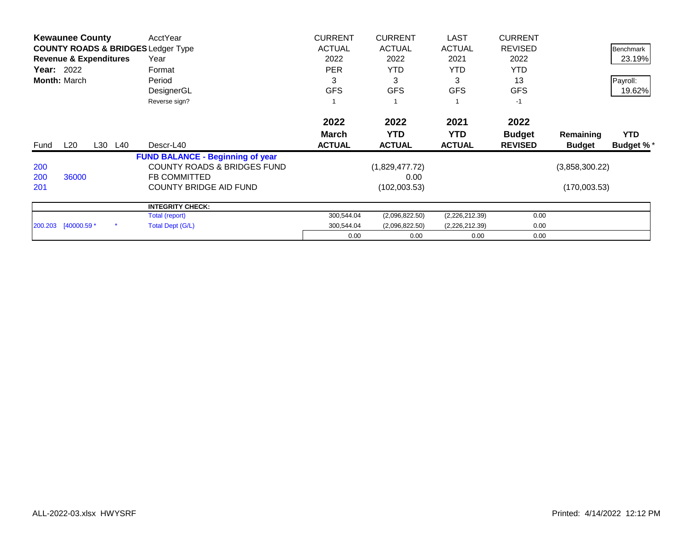| <b>Kewaunee County</b> |                                   | AcctYear | <b>CURRENT</b>                                | <b>CURRENT</b> | <b>LAST</b>    | <b>CURRENT</b> |                |                |                  |
|------------------------|-----------------------------------|----------|-----------------------------------------------|----------------|----------------|----------------|----------------|----------------|------------------|
|                        |                                   |          | <b>COUNTY ROADS &amp; BRIDGES Ledger Type</b> | <b>ACTUAL</b>  | <b>ACTUAL</b>  | <b>ACTUAL</b>  | <b>REVISED</b> |                | Benchmark        |
|                        | <b>Revenue &amp; Expenditures</b> |          | Year                                          | 2022           | 2022           | 2021           | 2022           |                | 23.19%           |
| <b>Year: 2022</b>      |                                   |          | Format                                        | <b>PER</b>     | <b>YTD</b>     | YTD.           | <b>YTD</b>     |                |                  |
|                        | <b>Month: March</b>               |          | Period                                        | 3              | 3              | 3              | 13             |                | Payroll:         |
|                        |                                   |          | DesignerGL                                    | <b>GFS</b>     | <b>GFS</b>     | <b>GFS</b>     | <b>GFS</b>     |                | 19.62%           |
|                        |                                   |          | Reverse sign?                                 |                |                |                | $-1$           |                |                  |
|                        |                                   |          |                                               | 2022           | 2022           | 2021           | 2022           |                |                  |
|                        |                                   |          |                                               | <b>March</b>   | <b>YTD</b>     | <b>YTD</b>     | <b>Budget</b>  | Remaining      | <b>YTD</b>       |
| Fund                   | $L_{20}$                          | L30 L40  | Descr-L40                                     | <b>ACTUAL</b>  | <b>ACTUAL</b>  | <b>ACTUAL</b>  | <b>REVISED</b> | <b>Budget</b>  | <b>Budget %*</b> |
|                        |                                   |          | <b>FUND BALANCE - Beginning of year</b>       |                |                |                |                |                |                  |
| 200                    |                                   |          | <b>COUNTY ROADS &amp; BRIDGES FUND</b>        |                | (1,829,477.72) |                |                | (3,858,300.22) |                  |
| 200                    | 36000                             |          | <b>FB COMMITTED</b>                           |                | 0.00           |                |                |                |                  |
| 201                    |                                   |          | <b>COUNTY BRIDGE AID FUND</b>                 |                | (102,003.53)   |                |                | (170,003.53)   |                  |
|                        |                                   |          | <b>INTEGRITY CHECK:</b>                       |                |                |                |                |                |                  |
|                        |                                   |          | Total (report)                                | 300,544.04     | (2,096,822.50) | (2,226,212.39) | 0.00           |                |                  |
|                        | 200.203 [40000.59 *               |          | Total Dept (G/L)                              | 300,544.04     | (2,096,822.50) | (2,226,212.39) | 0.00           |                |                  |
|                        |                                   |          |                                               | 0.00           | 0.00           | 0.00           | 0.00           |                |                  |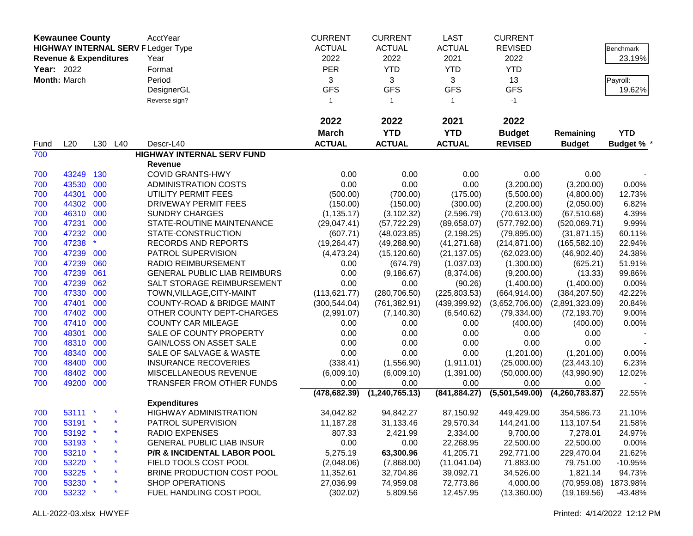|            | <b>Kewaunee County</b>            |     |         | AcctYear                                  | <b>CURRENT</b> | <b>CURRENT</b>   | <b>LAST</b>    | <b>CURRENT</b> |                |                   |
|------------|-----------------------------------|-----|---------|-------------------------------------------|----------------|------------------|----------------|----------------|----------------|-------------------|
|            |                                   |     |         | <b>HIGHWAY INTERNAL SERV FLedger Type</b> | <b>ACTUAL</b>  | <b>ACTUAL</b>    | <b>ACTUAL</b>  | <b>REVISED</b> |                | Benchmark         |
|            |                                   |     |         |                                           | 2022           |                  |                |                |                |                   |
|            | <b>Revenue &amp; Expenditures</b> |     |         | Year                                      |                | 2022             | 2021           | 2022           |                | 23.19%            |
| Year: 2022 |                                   |     |         | Format                                    | <b>PER</b>     | <b>YTD</b>       | <b>YTD</b>     | <b>YTD</b>     |                |                   |
|            | Month: March                      |     |         | Period                                    | 3              | 3                | 3              | 13             |                | Payroll:          |
|            |                                   |     |         | DesignerGL                                | <b>GFS</b>     | <b>GFS</b>       | <b>GFS</b>     | <b>GFS</b>     |                | 19.62%            |
|            |                                   |     |         | Reverse sign?                             | $\mathbf{1}$   | $\overline{1}$   | $\overline{1}$ | $-1$           |                |                   |
|            |                                   |     |         |                                           | 2022           | 2022             | 2021           | 2022           |                |                   |
|            |                                   |     |         |                                           | <b>March</b>   | <b>YTD</b>       | <b>YTD</b>     | <b>Budget</b>  | Remaining      | <b>YTD</b>        |
| Fund       | L20                               |     | L30 L40 | Descr-L40                                 | <b>ACTUAL</b>  | <b>ACTUAL</b>    | <b>ACTUAL</b>  | <b>REVISED</b> | <b>Budget</b>  | <b>Budget % *</b> |
| 700        |                                   |     |         | <b>HIGHWAY INTERNAL SERV FUND</b>         |                |                  |                |                |                |                   |
|            |                                   |     |         | <b>Revenue</b>                            |                |                  |                |                |                |                   |
| 700        | 43249                             | 130 |         | <b>COVID GRANTS-HWY</b>                   | 0.00           | 0.00             | 0.00           | 0.00           | 0.00           |                   |
| 700        | 43530 000                         |     |         | <b>ADMINISTRATION COSTS</b>               | 0.00           | 0.00             | 0.00           | (3,200.00)     | (3,200.00)     | 0.00%             |
| 700        | 44301                             | 000 |         | UTILITY PERMIT FEES                       | (500.00)       | (700.00)         | (175.00)       | (5,500.00)     | (4,800.00)     | 12.73%            |
| 700        | 44302                             | 000 |         | DRIVEWAY PERMIT FEES                      | (150.00)       | (150.00)         | (300.00)       | (2,200.00)     | (2,050.00)     | 6.82%             |
| 700        | 46310                             | 000 |         | <b>SUNDRY CHARGES</b>                     | (1, 135.17)    | (3, 102.32)      | (2,596.79)     | (70,613.00)    | (67, 510.68)   | 4.39%             |
| 700        | 47231                             | 000 |         | STATE-ROUTINE MAINTENANCE                 | (29,047.41)    | (57, 722.29)     | (89,658.07)    | (577, 792.00)  | (520,069.71)   | 9.99%             |
| 700        | 47232 000                         |     |         | STATE-CONSTRUCTION                        | (607.71)       | (48,023.85)      | (2, 198.25)    | (79, 895.00)   | (31, 871.15)   | 60.11%            |
| 700        | 47238                             |     |         | RECORDS AND REPORTS                       | (19, 264.47)   | (49, 288.90)     | (41, 271.68)   | (214, 871.00)  | (165, 582.10)  | 22.94%            |
| 700        | 47239                             | 000 |         | PATROL SUPERVISION                        | (4, 473.24)    | (15, 120.60)     | (21, 137.05)   | (62,023.00)    | (46,902.40)    | 24.38%            |
| 700        | 47239                             | 060 |         | <b>RADIO REIMBURSEMENT</b>                | 0.00           | (674.79)         | (1,037.03)     | (1,300.00)     | (625.21)       | 51.91%            |
| 700        | 47239                             | 061 |         | <b>GENERAL PUBLIC LIAB REIMBURS</b>       | 0.00           | (9, 186.67)      | (8,374.06)     | (9,200.00)     | (13.33)        | 99.86%            |
| 700        | 47239                             | 062 |         | SALT STORAGE REIMBURSEMENT                | 0.00           | 0.00             | (90.26)        | (1,400.00)     | (1,400.00)     | 0.00%             |
| 700        | 47330                             | 000 |         | TOWN, VILLAGE, CITY-MAINT                 | (113, 621.77)  | (280, 706.50)    | (225, 803.53)  | (664, 914.00)  | (384, 207.50)  | 42.22%            |
| 700        | 47401                             | 000 |         | <b>COUNTY-ROAD &amp; BRIDGE MAINT</b>     | (300, 544.04)  | (761, 382.91)    | (439, 399.92)  | (3,652,706.00) | (2,891,323.09) | 20.84%            |
| 700        | 47402                             | 000 |         | OTHER COUNTY DEPT-CHARGES                 | (2,991.07)     | (7, 140.30)      | (6,540.62)     | (79, 334.00)   | (72, 193.70)   | 9.00%             |
| 700        | 47410 000                         |     |         | <b>COUNTY CAR MILEAGE</b>                 | 0.00           | 0.00             | 0.00           | (400.00)       | (400.00)       | 0.00%             |
| 700        | 48301 000                         |     |         | SALE OF COUNTY PROPERTY                   | 0.00           | 0.00             | 0.00           | 0.00           | 0.00           |                   |
| 700        | 48310 000                         |     |         | <b>GAIN/LOSS ON ASSET SALE</b>            | 0.00           | 0.00             | 0.00           | 0.00           | 0.00           |                   |
| 700        | 48340 000                         |     |         | SALE OF SALVAGE & WASTE                   | 0.00           | 0.00             | 0.00           | (1,201.00)     | (1,201.00)     | 0.00%             |
| 700        | 48400                             | 000 |         | <b>INSURANCE RECOVERIES</b>               | (338.41)       | (1,556.90)       | (1,911.01)     | (25,000.00)    | (23, 443.10)   | 6.23%             |
| 700        | 48402                             | 000 |         | MISCELLANEOUS REVENUE                     | (6,009.10)     | (6,009.10)       | (1,391.00)     | (50,000.00)    | (43,990.90)    | 12.02%            |
| 700        | 49200 000                         |     |         | TRANSFER FROM OTHER FUNDS                 | 0.00           | 0.00             | 0.00           | 0.00           | 0.00           |                   |
|            |                                   |     |         |                                           | (478, 682.39)  | (1, 240, 765.13) | (841, 884.27)  | (5,501,549.00) | (4,260,783.87) | 22.55%            |
|            |                                   |     |         | <b>Expenditures</b>                       |                |                  |                |                |                |                   |
| 700        | 53111 *                           |     |         | <b>HIGHWAY ADMINISTRATION</b>             | 34,042.82      | 94,842.27        | 87,150.92      | 449,429.00     | 354,586.73     | 21.10%            |
| 700        | 53191 *                           |     |         | PATROL SUPERVISION                        | 11,187.28      | 31,133.46        | 29,570.34      | 144,241.00     | 113,107.54     | 21.58%            |
| 700        | 53192 *                           |     |         | RADIO EXPENSES                            | 807.33         | 2,421.99         | 2,334.00       | 9,700.00       | 7,278.01       | 24.97%            |
| 700        | 53193 *                           |     |         | <b>GENERAL PUBLIC LIAB INSUR</b>          | 0.00           | 0.00             | 22,268.95      | 22,500.00      | 22,500.00      | 0.00%             |
| 700        | 53210 *                           |     |         | <b>P/R &amp; INCIDENTAL LABOR POOL</b>    | 5,275.19       | 63,300.96        | 41,205.71      | 292,771.00     | 229,470.04     | 21.62%            |
| 700        | 53220 *                           |     |         | FIELD TOOLS COST POOL                     | (2,048.06)     | (7,868.00)       | (11,041.04)    | 71,883.00      | 79,751.00      | $-10.95%$         |
| 700        | $53225$ *                         |     |         | BRINE PRODUCTION COST POOL                | 11,352.61      | 32,704.86        | 39,092.71      | 34,526.00      | 1,821.14       | 94.73%            |
| 700        | 53230 *                           |     |         | <b>SHOP OPERATIONS</b>                    | 27,036.99      | 74,959.08        | 72,773.86      | 4,000.00       | (70, 959.08)   | 1873.98%          |
| 700        | 53232 *                           |     |         | FUEL HANDLING COST POOL                   | (302.02)       | 5,809.56         | 12,457.95      | (13,360.00)    | (19, 169.56)   | -43.48%           |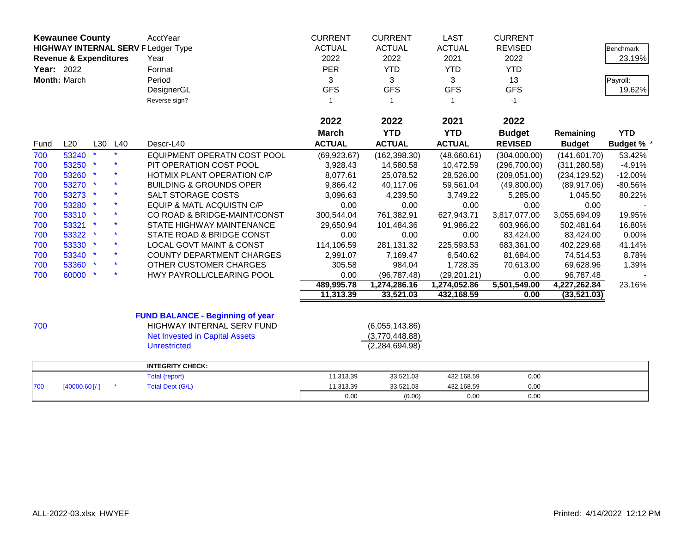|                   | <b>Kewaunee County</b>            |     |     | <b>AcctYear</b>                           | <b>CURRENT</b> | <b>CURRENT</b>   | <b>LAST</b>   | <b>CURRENT</b> |               |                  |
|-------------------|-----------------------------------|-----|-----|-------------------------------------------|----------------|------------------|---------------|----------------|---------------|------------------|
|                   |                                   |     |     | <b>HIGHWAY INTERNAL SERV FLedger Type</b> | <b>ACTUAL</b>  | <b>ACTUAL</b>    | <b>ACTUAL</b> | <b>REVISED</b> |               | <b>Benchmark</b> |
|                   | <b>Revenue &amp; Expenditures</b> |     |     | Year                                      | 2022           | 2022             | 2021          | 2022           |               | 23.19%           |
| <b>Year: 2022</b> |                                   |     |     | Format                                    | <b>PER</b>     | <b>YTD</b>       | <b>YTD</b>    | <b>YTD</b>     |               |                  |
|                   | Month: March                      |     |     | Period                                    | 3              | 3                | 3             | 13             |               | Payroll:         |
|                   |                                   |     |     | DesignerGL                                | <b>GFS</b>     | <b>GFS</b>       | <b>GFS</b>    | <b>GFS</b>     |               | 19.62%           |
|                   |                                   |     |     | Reverse sign?                             | $\mathbf{1}$   | -1               | -1            | $-1$           |               |                  |
|                   |                                   |     |     |                                           |                |                  |               |                |               |                  |
|                   |                                   |     |     |                                           | 2022           | 2022             | 2021          | 2022           |               |                  |
|                   |                                   |     |     |                                           | <b>March</b>   | <b>YTD</b>       | <b>YTD</b>    | <b>Budget</b>  | Remaining     | <b>YTD</b>       |
| Fund              | L20                               | L30 | L40 | Descr-L40                                 | <b>ACTUAL</b>  | <b>ACTUAL</b>    | <b>ACTUAL</b> | <b>REVISED</b> | <b>Budget</b> | <b>Budget %</b>  |
| 700               | 53240                             |     |     | EQUIPMENT OPERATN COST POOL               | (69, 923.67)   | (162, 398.30)    | (48,660.61)   | (304,000.00)   | (141, 601.70) | 53.42%           |
| 700               | 53250                             |     |     | PIT OPERATION COST POOL                   | 3,928.43       | 14,580.58        | 10,472.59     | (296,700.00)   | (311, 280.58) | $-4.91%$         |
| 700               | 53260 *                           |     |     | HOTMIX PLANT OPERATION C/P                | 8,077.61       | 25,078.52        | 28,526.00     | (209, 051.00)  | (234, 129.52) | $-12.00%$        |
| 700               | 53270 *                           |     |     | <b>BUILDING &amp; GROUNDS OPER</b>        | 9,866.42       | 40,117.06        | 59,561.04     | (49,800.00)    | (89, 917.06)  | $-80.56%$        |
| 700               | 53273 *                           |     |     | SALT STORAGE COSTS                        | 3,096.63       | 4,239.50         | 3,749.22      | 5,285.00       | 1,045.50      | 80.22%           |
| 700               | 53280                             |     |     | <b>EQUIP &amp; MATL ACQUISTN C/P</b>      | 0.00           | 0.00             | 0.00          | 0.00           | 0.00          |                  |
| 700               | 53310 *                           |     |     | CO ROAD & BRIDGE-MAINT/CONST              | 300,544.04     | 761,382.91       | 627,943.71    | 3,817,077.00   | 3,055,694.09  | 19.95%           |
| 700               | 53321 *                           |     |     | STATE HIGHWAY MAINTENANCE                 | 29,650.94      | 101,484.36       | 91,986.22     | 603,966.00     | 502,481.64    | 16.80%           |
| 700               | 53322 *                           |     |     | STATE ROAD & BRIDGE CONST                 | 0.00           | 0.00             | 0.00          | 83,424.00      | 83,424.00     | 0.00%            |
| 700               | 53330 *                           |     |     | <b>LOCAL GOVT MAINT &amp; CONST</b>       | 114,106.59     | 281,131.32       | 225,593.53    | 683,361.00     | 402,229.68    | 41.14%           |
| 700               | 53340 *                           |     |     | <b>COUNTY DEPARTMENT CHARGES</b>          | 2,991.07       | 7.169.47         | 6,540.62      | 81,684.00      | 74,514.53     | 8.78%            |
| 700               | 53360 *                           |     |     | OTHER CUSTOMER CHARGES                    | 305.58         | 984.04           | 1,728.35      | 70,613.00      | 69,628.96     | 1.39%            |
| 700               | 60000 *                           |     |     | HWY PAYROLL/CLEARING POOL                 | 0.00           | (96, 787.48)     | (29, 201.21)  | 0.00           | 96,787.48     |                  |
|                   |                                   |     |     |                                           | 489,995.78     | 1,274,286.16     | 1,274,052.86  | 5,501,549.00   | 4,227,262.84  | 23.16%           |
|                   |                                   |     |     |                                           | 11,313.39      | 33,521.03        | 432,168.59    | 0.00           | (33,521.03)   |                  |
|                   |                                   |     |     | <b>FUND BALANCE - Beginning of year</b>   |                |                  |               |                |               |                  |
| 700               |                                   |     |     | HIGHWAY INTERNAL SERV FUND                |                | (6,055,143.86)   |               |                |               |                  |
|                   |                                   |     |     | <b>Net Invested in Capital Assets</b>     |                | (3,770,448.88)   |               |                |               |                  |
|                   |                                   |     |     | <b>Unrestricted</b>                       |                | (2, 284, 694.98) |               |                |               |                  |
|                   |                                   |     |     | <b>INTEGRITY CHECK:</b>                   |                |                  |               |                |               |                  |
|                   |                                   |     |     | Total (report)                            | 11,313.39      | 33,521.03        | 432,168.59    | 0.00           |               |                  |
| 700               | [40000.60]                        |     |     | <b>Total Dept (G/L)</b>                   | 11,313.39      | 33,521.03        | 432,168.59    | 0.00           |               |                  |
|                   |                                   |     |     |                                           | 0.00           | (0.00)           | 0.00          | 0.00           |               |                  |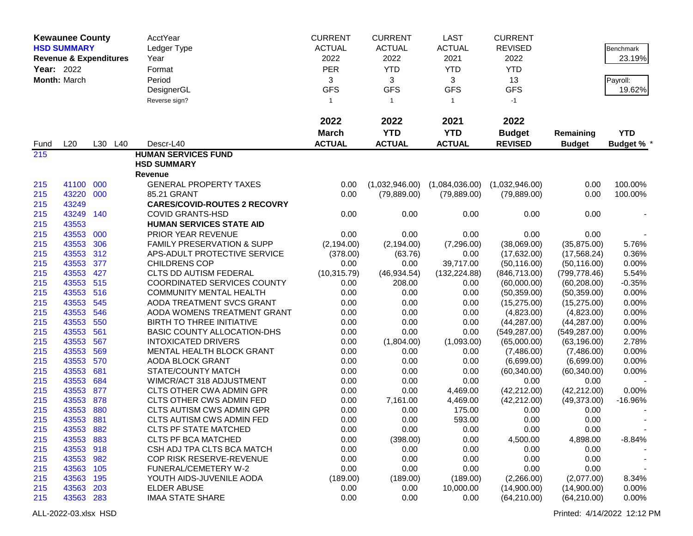| <b>Kewaunee County</b> |                                   | AcctYear | <b>CURRENT</b>                                 | <b>CURRENT</b> | <b>LAST</b>      | <b>CURRENT</b>        |                             |                             |                   |
|------------------------|-----------------------------------|----------|------------------------------------------------|----------------|------------------|-----------------------|-----------------------------|-----------------------------|-------------------|
|                        | <b>HSD SUMMARY</b>                |          | Ledger Type                                    | <b>ACTUAL</b>  | <b>ACTUAL</b>    | <b>ACTUAL</b>         | <b>REVISED</b>              |                             | <b>Benchmark</b>  |
|                        | <b>Revenue &amp; Expenditures</b> |          | Year                                           | 2022           | 2022             | 2021                  | 2022                        |                             | 23.19%            |
| Year: 2022             |                                   |          | Format                                         | <b>PER</b>     | <b>YTD</b>       | <b>YTD</b>            | <b>YTD</b>                  |                             |                   |
|                        | Month: March                      |          | Period                                         | 3              | 3                | 3                     | 13                          |                             | Payroll:          |
|                        |                                   |          | DesignerGL                                     | <b>GFS</b>     | <b>GFS</b>       | <b>GFS</b>            | <b>GFS</b>                  |                             | 19.62%            |
|                        |                                   |          | Reverse sign?                                  | $\mathbf{1}$   | $\mathbf{1}$     | $\overline{1}$        | $-1$                        |                             |                   |
|                        |                                   |          |                                                |                |                  |                       |                             |                             |                   |
|                        |                                   |          |                                                | 2022           | 2022             | 2021                  | 2022                        |                             |                   |
|                        |                                   |          |                                                | <b>March</b>   | <b>YTD</b>       | <b>YTD</b>            | <b>Budget</b>               | Remaining                   | <b>YTD</b>        |
| Fund                   | L20                               | L30 L40  | Descr-L40                                      | <b>ACTUAL</b>  | <b>ACTUAL</b>    | <b>ACTUAL</b>         | <b>REVISED</b>              | <b>Budget</b>               | <b>Budget % *</b> |
| 215                    |                                   |          | <b>HUMAN SERVICES FUND</b>                     |                |                  |                       |                             |                             |                   |
|                        |                                   |          | <b>HSD SUMMARY</b>                             |                |                  |                       |                             |                             |                   |
|                        |                                   |          | <b>Revenue</b>                                 |                |                  |                       |                             |                             |                   |
| 215                    | 41100 000                         |          | <b>GENERAL PROPERTY TAXES</b>                  | 0.00           | (1,032,946.00)   | (1,084,036.00)        | (1,032,946.00)              | 0.00                        | 100.00%           |
| 215                    | 43220 000                         |          | 85.21 GRANT                                    | 0.00           | (79, 889.00)     | (79, 889.00)          | (79, 889.00)                | 0.00                        | 100.00%           |
| 215                    | 43249                             |          | <b>CARES/COVID-ROUTES 2 RECOVRY</b>            |                |                  |                       |                             |                             |                   |
| 215                    | 43249                             | 140      | <b>COVID GRANTS-HSD</b>                        | 0.00           | 0.00             | 0.00                  | 0.00                        | 0.00                        |                   |
| 215                    | 43553                             |          | <b>HUMAN SERVICES STATE AID</b>                |                |                  |                       |                             |                             |                   |
| 215                    | 43553                             | 000      | PRIOR YEAR REVENUE                             | 0.00           | 0.00             | 0.00                  | 0.00                        | 0.00                        |                   |
| 215                    | 43553                             | 306      | <b>FAMILY PRESERVATION &amp; SUPP</b>          | (2, 194.00)    | (2, 194.00)      | (7,296.00)            | (38,069.00)                 | (35,875.00)                 | 5.76%             |
| 215                    | 43553                             | 312      | APS-ADULT PROTECTIVE SERVICE                   | (378.00)       | (63.76)          | 0.00                  | (17,632.00)                 | (17, 568.24)                | 0.36%             |
| 215                    | 43553                             | 377      | <b>CHILDRENS COP</b>                           | 0.00           | 0.00             | 39,717.00             | (50, 116.00)                | (50, 116.00)                | 0.00%             |
| 215                    | 43553                             | 427      | CLTS DD AUTISM FEDERAL                         | (10, 315.79)   | (46, 934.54)     | (132, 224.88)         | (846, 713.00)               | (799, 778.46)               | 5.54%             |
| 215                    | 43553 515                         |          | <b>COORDINATED SERVICES COUNTY</b>             | 0.00           | 208.00           | 0.00                  | (60,000.00)                 | (60, 208.00)                | $-0.35%$          |
| 215                    | 43553 516                         |          | <b>COMMUNITY MENTAL HEALTH</b>                 | 0.00           | 0.00             | 0.00                  | (50, 359.00)                | (50, 359.00)                | 0.00%             |
| 215                    | 43553                             | 545      | AODA TREATMENT SVCS GRANT                      | 0.00           | 0.00             | 0.00                  | (15, 275.00)                | (15, 275.00)                | 0.00%             |
| 215                    | 43553                             | 546      | AODA WOMENS TREATMENT GRANT                    | 0.00           | 0.00             | 0.00                  | (4,823.00)                  | (4,823.00)                  | 0.00%             |
| 215                    | 43553                             | 550      | BIRTH TO THREE INITIATIVE                      | 0.00           | 0.00             | 0.00                  | (44, 287.00)                | (44, 287.00)                | 0.00%             |
| 215                    | 43553                             | 561      | <b>BASIC COUNTY ALLOCATION-DHS</b>             | 0.00           | 0.00             | 0.00                  | (549, 287.00)               | (549, 287.00)               | 0.00%             |
| 215                    | 43553                             | 567      | <b>INTOXICATED DRIVERS</b>                     | 0.00           | (1,804.00)       | (1,093.00)            | (65,000.00)                 | (63, 196.00)                | 2.78%             |
| 215                    | 43553                             | 569      | MENTAL HEALTH BLOCK GRANT                      | 0.00           | 0.00             | 0.00                  | (7,486.00)                  | (7,486.00)                  | 0.00%             |
| 215                    | 43553                             | 570      | AODA BLOCK GRANT                               | 0.00           | 0.00             | 0.00                  | (6,699.00)                  | (6,699.00)                  | 0.00%             |
| 215                    | 43553                             | 681      | STATE/COUNTY MATCH                             | 0.00           | 0.00             | 0.00                  | (60, 340.00)                | (60, 340.00)                | 0.00%             |
| 215                    | 43553                             | 684      | WIMCR/ACT 318 ADJUSTMENT                       | 0.00           | 0.00             | 0.00                  | 0.00                        | 0.00                        |                   |
| 215                    | 43553 877                         |          | <b>CLTS OTHER CWA ADMIN GPR</b>                | 0.00           | 0.00             | 4,469.00              | (42, 212.00)                | (42, 212.00)                | 0.00%             |
| 215                    | 43553 878                         |          | CLTS OTHER CWS ADMIN FED                       | 0.00           | 7,161.00         | 4,469.00              | (42, 212.00)                | (49, 373.00)                | -16.96%           |
| 215                    | 43553                             | 880      | CLTS AUTISM CWS ADMIN GPR                      | 0.00           | 0.00             | 175.00                | 0.00                        | 0.00                        |                   |
| 215                    | 43553 881                         |          | <b>CLTS AUTISM CWS ADMIN FED</b>               | 0.00           | 0.00             | 593.00                | 0.00                        | 0.00                        |                   |
| 215                    | 43553 882                         |          | <b>CLTS PF STATE MATCHED</b>                   | 0.00           | 0.00             | 0.00                  | 0.00                        | 0.00                        |                   |
| 215                    | 43553                             | 883      | <b>CLTS PF BCA MATCHED</b>                     | 0.00           | (398.00)         | 0.00                  | 4,500.00                    | 4,898.00                    | $-8.84%$          |
| 215                    | 43553 918                         |          | CSH ADJ TPA CLTS BCA MATCH                     | 0.00           | 0.00             | 0.00                  | 0.00                        | 0.00                        |                   |
| 215                    | 43553 982                         |          | COP RISK RESERVE-REVENUE                       | 0.00           | 0.00             | 0.00                  | 0.00                        | 0.00                        |                   |
| 215                    | 43563 105<br>43563 195            |          | FUNERAL/CEMETERY W-2                           | 0.00           | 0.00<br>(189.00) | 0.00                  | 0.00                        | 0.00                        |                   |
| 215                    | 43563                             | 203      | YOUTH AIDS-JUVENILE AODA<br><b>ELDER ABUSE</b> | (189.00)       |                  | (189.00)<br>10,000.00 | (2,266.00)                  | (2,077.00)                  | 8.34%<br>0.00%    |
| 215                    | 43563 283                         |          | <b>IMAA STATE SHARE</b>                        | 0.00<br>0.00   | 0.00             |                       | (14,900.00)<br>(64, 210.00) | (14,900.00)<br>(64, 210.00) | 0.00%             |
| 215                    |                                   |          |                                                |                | 0.00             | 0.00                  |                             |                             |                   |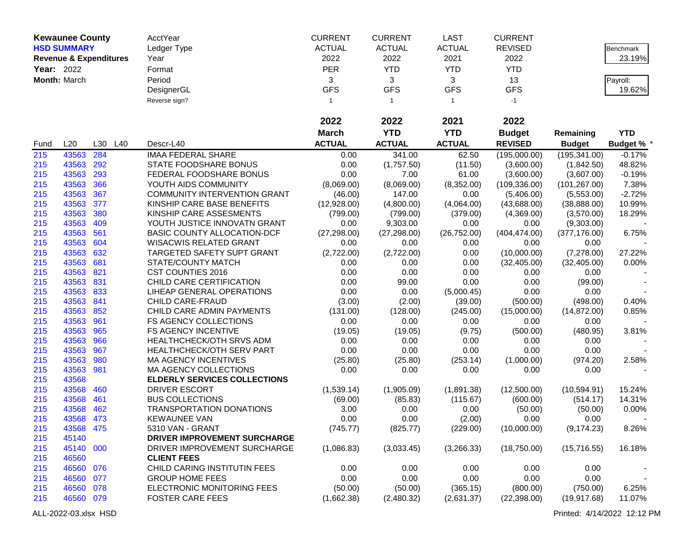|              | <b>Kewaunee County</b>            |     |     | AcctYear                            | <b>CURRENT</b> | <b>CURRENT</b> | <b>LAST</b>   | <b>CURRENT</b> |               |                   |
|--------------|-----------------------------------|-----|-----|-------------------------------------|----------------|----------------|---------------|----------------|---------------|-------------------|
|              | <b>HSD SUMMARY</b>                |     |     | Ledger Type                         | <b>ACTUAL</b>  | <b>ACTUAL</b>  | <b>ACTUAL</b> | <b>REVISED</b> |               | Benchmark         |
|              | <b>Revenue &amp; Expenditures</b> |     |     | Year                                | 2022           | 2022           | 2021          | 2022           |               | 23.19%            |
| Year: 2022   |                                   |     |     | Format                              | <b>PER</b>     | <b>YTD</b>     | <b>YTD</b>    | <b>YTD</b>     |               |                   |
| Month: March |                                   |     |     | Period                              | 3              | 3              | 3             | 13             |               | Payroll:          |
|              |                                   |     |     | DesignerGL                          | <b>GFS</b>     | <b>GFS</b>     | <b>GFS</b>    | <b>GFS</b>     |               | 19.62%            |
|              |                                   |     |     | Reverse sign?                       | $\overline{1}$ | $\mathbf{1}$   |               | $-1$           |               |                   |
|              |                                   |     |     |                                     |                |                |               |                |               |                   |
|              |                                   |     |     |                                     | 2022           | 2022           | 2021          | 2022           |               |                   |
|              |                                   |     |     |                                     | <b>March</b>   | <b>YTD</b>     | <b>YTD</b>    | <b>Budget</b>  | Remaining     | <b>YTD</b>        |
| Fund         | L20                               | L30 | L40 | Descr-L40                           | <b>ACTUAL</b>  | <b>ACTUAL</b>  | <b>ACTUAL</b> | <b>REVISED</b> | <b>Budget</b> | <b>Budget % *</b> |
| 215          | 43563                             | 284 |     | <b>IMAA FEDERAL SHARE</b>           | 0.00           | 341.00         | 62.50         | (195,000.00)   | (195, 341.00) | $-0.17%$          |
| 215          | 43563                             | 292 |     | STATE FOODSHARE BONUS               | 0.00           | (1,757.50)     | (11.50)       | (3,600.00)     | (1,842.50)    | 48.82%            |
| 215          | 43563                             | 293 |     | FEDERAL FOODSHARE BONUS             | 0.00           | 7.00           | 61.00         | (3,600.00)     | (3,607.00)    | $-0.19%$          |
| 215          | 43563                             | 366 |     | YOUTH AIDS COMMUNITY                | (8,069.00)     | (8,069.00)     | (8,352.00)    | (109, 336.00)  | (101, 267.00) | 7.38%             |
| 215          | 43563                             | 367 |     | <b>COMMUNITY INTERVENTION GRANT</b> | (46.00)        | 147.00         | 0.00          | (5,406.00)     | (5,553.00)    | $-2.72%$          |
| 215          | 43563                             | 377 |     | KINSHIP CARE BASE BENEFITS          | (12,928.00)    | (4,800.00)     | (4,064.00)    | (43,688.00)    | (38, 888.00)  | 10.99%            |
| 215          | 43563                             | 380 |     | KINSHIP CARE ASSESMENTS             | (799.00)       | (799.00)       | (379.00)      | (4,369.00)     | (3,570.00)    | 18.29%            |
| 215          | 43563                             | 409 |     | YOUTH JUSTICE INNOVATN GRANT        | 0.00           | 9,303.00       | 0.00          | 0.00           | (9,303.00)    |                   |
| 215          | 43563                             | 561 |     | BASIC COUNTY ALLOCATION-DCF         | (27, 298.00)   | (27, 298.00)   | (26, 752.00)  | (404, 474.00)  | (377, 176.00) | 6.75%             |
| 215          | 43563                             | 604 |     | <b>WISACWIS RELATED GRANT</b>       | 0.00           | 0.00           | 0.00          | 0.00           | 0.00          |                   |
| 215          | 43563                             | 632 |     | TARGETED SAFETY SUPT GRANT          | (2,722.00)     | (2,722.00)     | 0.00          | (10,000.00)    | (7,278.00)    | 27.22%            |
| 215          | 43563                             | 681 |     | STATE/COUNTY MATCH                  | 0.00           | 0.00           | 0.00          | (32, 405.00)   | (32, 405.00)  | 0.00%             |
| 215          | 43563                             | 821 |     | CST COUNTIES 2016                   | 0.00           | 0.00           | 0.00          | 0.00           | 0.00          |                   |
| 215          | 43563 831                         |     |     | CHILD CARE CERTIFICATION            | 0.00           | 99.00          | 0.00          | 0.00           | (99.00)       |                   |
| 215          | 43563 833                         |     |     | LIHEAP GENERAL OPERATIONS           | 0.00           | 0.00           | (5,000.45)    | 0.00           | 0.00          |                   |
| 215          | 43563 841                         |     |     | CHILD CARE-FRAUD                    | (3.00)         | (2.00)         | (39.00)       | (500.00)       | (498.00)      | 0.40%             |
| 215          | 43563                             | 852 |     | CHILD CARE ADMIN PAYMENTS           | (131.00)       | (128.00)       | (245.00)      | (15,000.00)    | (14, 872.00)  | 0.85%             |
| 215          | 43563                             | 961 |     | <b>FS AGENCY COLLECTIONS</b>        | 0.00           | 0.00           | 0.00          | 0.00           | 0.00          |                   |
| 215          | 43563                             | 965 |     | <b>FS AGENCY INCENTIVE</b>          | (19.05)        | (19.05)        | (9.75)        | (500.00)       | (480.95)      | 3.81%             |
| 215          | 43563                             | 966 |     | <b>HEALTHCHECK/OTH SRVS ADM</b>     | 0.00           | 0.00           | 0.00          | 0.00           | 0.00          |                   |
| 215          | 43563                             | 967 |     | <b>HEALTHCHECK/OTH SERV PART</b>    | 0.00           | 0.00           | 0.00          | 0.00           | 0.00          |                   |
| 215          | 43563                             | 980 |     | <b>MA AGENCY INCENTIVES</b>         | (25.80)        | (25.80)        | (253.14)      | (1,000.00)     | (974.20)      | 2.58%             |
| 215          | 43563 981                         |     |     | MA AGENCY COLLECTIONS               | 0.00           | 0.00           | 0.00          | 0.00           | 0.00          |                   |
| 215          | 43568                             |     |     | <b>ELDERLY SERVICES COLLECTIONS</b> |                |                |               |                |               |                   |
| 215          | 43568                             | 460 |     | <b>DRIVER ESCORT</b>                | (1,539.14)     | (1,905.09)     | (1,891.38)    | (12,500.00)    | (10, 594.91)  | 15.24%            |
| 215          | 43568                             | 461 |     | <b>BUS COLLECTIONS</b>              | (69.00)        | (85.83)        | (115.67)      | (600.00)       | (514.17)      | 14.31%            |
| 215          | 43568                             | 462 |     | <b>TRANSPORTATION DONATIONS</b>     | 3.00           | 0.00           | 0.00          | (50.00)        | (50.00)       | 0.00%             |
| 215          | 43568 473                         |     |     | <b>KEWAUNEE VAN</b>                 | 0.00           | 0.00           | (2.00)        | 0.00           | 0.00          |                   |
| 215          | 43568 475                         |     |     | 5310 VAN - GRANT                    | (745.77)       | (825.77)       | (229.00)      | (10,000.00)    | (9, 174.23)   | 8.26%             |
| 215          | 45140                             |     |     | DRIVER IMPROVEMENT SURCHARGE        |                |                |               |                |               |                   |
| 215          | 45140 000                         |     |     | DRIVER IMPROVEMENT SURCHARGE        | (1,086.83)     | (3,033.45)     | (3,266.33)    | (18,750.00)    | (15, 716.55)  | 16.18%            |
| 215          | 46560                             |     |     | <b>CLIENT FEES</b>                  |                |                |               |                |               |                   |
| 215          | 46560 076                         |     |     | CHILD CARING INSTITUTIN FEES        | 0.00           | 0.00           | 0.00          | 0.00           | 0.00          |                   |
| 215          | 46560 077                         |     |     | <b>GROUP HOME FEES</b>              | 0.00           | 0.00           | 0.00          | 0.00           | 0.00          |                   |
| 215          | 46560 078                         |     |     | <b>ELECTRONIC MONITORING FEES</b>   | (50.00)        | (50.00)        | (365.15)      | (800.00)       | (750.00)      | 6.25%             |
| 215          | 46560 079                         |     |     | <b>FOSTER CARE FEES</b>             | (1,662.38)     | (2,480.32)     | (2,631.37)    | (22, 398.00)   | (19, 917.68)  | 11.07%            |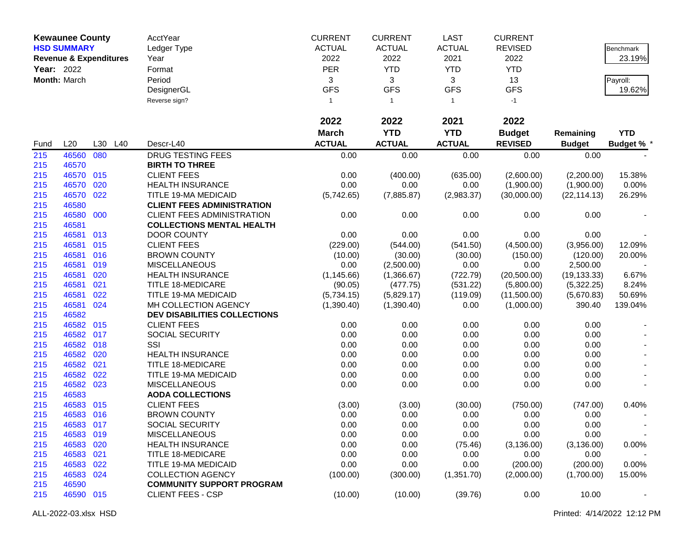| <b>Kewaunee County</b> |                                   |     | AcctYear | <b>CURRENT</b>                      | <b>CURRENT</b> | <b>LAST</b>   | <b>CURRENT</b>          |                |               |                   |
|------------------------|-----------------------------------|-----|----------|-------------------------------------|----------------|---------------|-------------------------|----------------|---------------|-------------------|
|                        | <b>HSD SUMMARY</b>                |     |          | Ledger Type                         | <b>ACTUAL</b>  | <b>ACTUAL</b> | <b>ACTUAL</b>           | <b>REVISED</b> |               | Benchmark         |
|                        | <b>Revenue &amp; Expenditures</b> |     |          | Year                                | 2022           | 2022          | 2021                    | 2022           |               | 23.19%            |
| Year: 2022             |                                   |     |          | Format                              | <b>PER</b>     | <b>YTD</b>    | <b>YTD</b>              | <b>YTD</b>     |               |                   |
|                        | Month: March                      |     |          | Period                              | 3              | 3             | 3                       | 13             |               | Payroll:          |
|                        |                                   |     |          | DesignerGL                          | <b>GFS</b>     | <b>GFS</b>    | <b>GFS</b>              | <b>GFS</b>     |               | 19.62%            |
|                        |                                   |     |          | Reverse sign?                       | $\mathbf{1}$   | $\mathbf{1}$  | $\overline{\mathbf{1}}$ | $-1$           |               |                   |
|                        |                                   |     |          |                                     |                |               |                         |                |               |                   |
|                        |                                   |     |          |                                     | 2022           | 2022          | 2021                    | 2022           |               |                   |
|                        |                                   |     |          |                                     | <b>March</b>   | <b>YTD</b>    | <b>YTD</b>              | <b>Budget</b>  | Remaining     | <b>YTD</b>        |
| Fund                   | L20                               | L30 | L40      | Descr-L40                           | <b>ACTUAL</b>  | <b>ACTUAL</b> | <b>ACTUAL</b>           | <b>REVISED</b> | <b>Budget</b> | <b>Budget % *</b> |
| 215                    | 46560                             | 080 |          | <b>DRUG TESTING FEES</b>            | 0.00           | 0.00          | 0.00                    | 0.00           | 0.00          |                   |
| 215                    | 46570                             |     |          | <b>BIRTH TO THREE</b>               |                |               |                         |                |               |                   |
| 215                    | 46570 015                         |     |          | <b>CLIENT FEES</b>                  | 0.00           | (400.00)      | (635.00)                | (2,600.00)     | (2,200.00)    | 15.38%            |
| 215                    | 46570                             | 020 |          | <b>HEALTH INSURANCE</b>             | 0.00           | 0.00          | 0.00                    | (1,900.00)     | (1,900.00)    | 0.00%             |
| 215                    | 46570 022                         |     |          | TITLE 19-MA MEDICAID                | (5,742.65)     | (7,885.87)    | (2,983.37)              | (30,000.00)    | (22, 114.13)  | 26.29%            |
| 215                    | 46580                             |     |          | <b>CLIENT FEES ADMINISTRATION</b>   |                |               |                         |                |               |                   |
| 215                    | 46580 000                         |     |          | <b>CLIENT FEES ADMINISTRATION</b>   | 0.00           | 0.00          | 0.00                    | 0.00           | 0.00          |                   |
| 215                    | 46581                             |     |          | <b>COLLECTIONS MENTAL HEALTH</b>    |                |               |                         |                |               |                   |
| 215                    | 46581                             | 013 |          | <b>DOOR COUNTY</b>                  | 0.00           | 0.00          | 0.00                    | 0.00           | 0.00          |                   |
| 215                    | 46581                             | 015 |          | <b>CLIENT FEES</b>                  | (229.00)       | (544.00)      | (541.50)                | (4,500.00)     | (3,956.00)    | 12.09%            |
| 215                    | 46581 016                         |     |          | <b>BROWN COUNTY</b>                 | (10.00)        | (30.00)       | (30.00)                 | (150.00)       | (120.00)      | 20.00%            |
| 215                    | 46581                             | 019 |          | <b>MISCELLANEOUS</b>                | 0.00           | (2,500.00)    | 0.00                    | 0.00           | 2,500.00      |                   |
| 215                    | 46581                             | 020 |          | <b>HEALTH INSURANCE</b>             | (1, 145.66)    | (1,366.67)    | (722.79)                | (20,500.00)    | (19, 133.33)  | 6.67%             |
| 215                    | 46581                             | 021 |          | TITLE 18-MEDICARE                   | (90.05)        | (477.75)      | (531.22)                | (5,800.00)     | (5,322.25)    | 8.24%             |
| 215                    | 46581                             | 022 |          | TITLE 19-MA MEDICAID                | (5,734.15)     | (5,829.17)    | (119.09)                | (11,500.00)    | (5,670.83)    | 50.69%            |
| 215                    | 46581 024                         |     |          | MH COLLECTION AGENCY                | (1,390.40)     | (1,390.40)    | 0.00                    | (1,000.00)     | 390.40        | 139.04%           |
| 215                    | 46582                             |     |          | <b>DEV DISABILITIES COLLECTIONS</b> |                |               |                         |                |               |                   |
| 215                    | 46582 015                         |     |          | <b>CLIENT FEES</b>                  | 0.00           | 0.00          | 0.00                    | 0.00           | 0.00          |                   |
| 215                    | 46582 017                         |     |          | SOCIAL SECURITY                     | 0.00           | 0.00          | 0.00                    | 0.00           | 0.00          |                   |
| 215                    | 46582 018                         |     |          | SSI                                 | 0.00           | 0.00          | 0.00                    | 0.00           | 0.00          |                   |
| 215                    | 46582 020                         |     |          | <b>HEALTH INSURANCE</b>             | 0.00           | 0.00          | 0.00                    | 0.00           | 0.00          |                   |
| 215                    | 46582 021                         |     |          | <b>TITLE 18-MEDICARE</b>            | 0.00           | 0.00          | 0.00                    | 0.00           | 0.00          |                   |
| 215                    | 46582                             | 022 |          | TITLE 19-MA MEDICAID                | 0.00           | 0.00          | 0.00                    | 0.00           | 0.00          |                   |
| 215                    | 46582 023                         |     |          | <b>MISCELLANEOUS</b>                | 0.00           | 0.00          | 0.00                    | 0.00           | 0.00          |                   |
| 215                    | 46583                             |     |          | <b>AODA COLLECTIONS</b>             |                |               |                         |                |               |                   |
| 215                    | 46583 015                         |     |          | <b>CLIENT FEES</b>                  | (3.00)         | (3.00)        | (30.00)                 | (750.00)       | (747.00)      | 0.40%             |
| 215                    | 46583 016                         |     |          | <b>BROWN COUNTY</b>                 | 0.00           | 0.00          | 0.00                    | 0.00           | 0.00          |                   |
| 215                    | 46583 017                         |     |          | SOCIAL SECURITY                     | 0.00           | 0.00          | 0.00                    | 0.00           | 0.00          |                   |
| 215                    | 46583 019                         |     |          | <b>MISCELLANEOUS</b>                | 0.00           | 0.00          | 0.00                    | 0.00           | 0.00          |                   |
| 215                    | 46583 020                         |     |          | <b>HEALTH INSURANCE</b>             | 0.00           | 0.00          | (75.46)                 | (3, 136.00)    | (3, 136.00)   | $0.00\%$          |
| 215                    | 46583 021                         |     |          | <b>TITLE 18-MEDICARE</b>            | 0.00           | 0.00          | 0.00                    | 0.00           | 0.00          |                   |
| 215                    | 46583 022                         |     |          | <b>TITLE 19-MA MEDICAID</b>         | 0.00           | 0.00          | 0.00                    | (200.00)       | (200.00)      | 0.00%             |
| 215                    | 46583 024                         |     |          | <b>COLLECTION AGENCY</b>            | (100.00)       | (300.00)      | (1,351.70)              | (2,000.00)     | (1,700.00)    | 15.00%            |
| 215                    | 46590                             |     |          | <b>COMMUNITY SUPPORT PROGRAM</b>    |                |               |                         |                |               |                   |
| 215                    | 46590 015                         |     |          | <b>CLIENT FEES - CSP</b>            | (10.00)        | (10.00)       | (39.76)                 | 0.00           | 10.00         |                   |
|                        |                                   |     |          |                                     |                |               |                         |                |               |                   |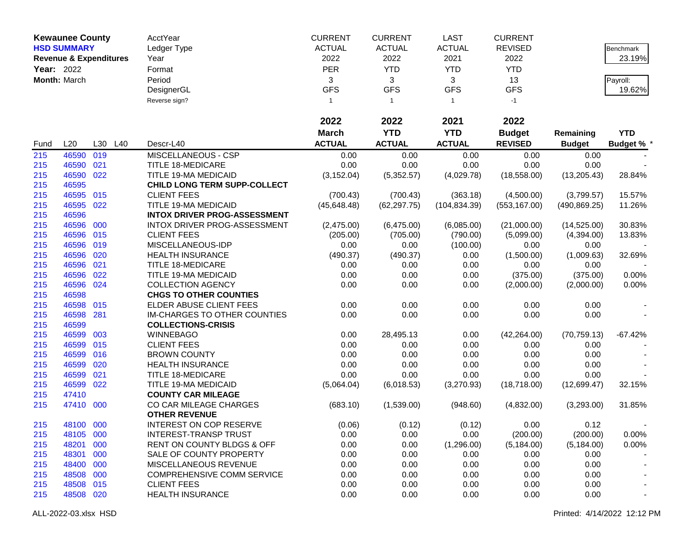|            | <b>Kewaunee County</b>            |     |         | AcctYear                            | <b>CURRENT</b> | <b>CURRENT</b> | <b>LAST</b>    | <b>CURRENT</b> |               |                   |
|------------|-----------------------------------|-----|---------|-------------------------------------|----------------|----------------|----------------|----------------|---------------|-------------------|
|            | <b>HSD SUMMARY</b>                |     |         | Ledger Type                         | <b>ACTUAL</b>  | <b>ACTUAL</b>  | <b>ACTUAL</b>  | <b>REVISED</b> |               | Benchmark         |
|            | <b>Revenue &amp; Expenditures</b> |     |         | Year                                | 2022           | 2022           | 2021           | 2022           |               | 23.19%            |
| Year: 2022 |                                   |     |         | Format                              | <b>PER</b>     | <b>YTD</b>     | <b>YTD</b>     | <b>YTD</b>     |               |                   |
|            | Month: March                      |     |         | Period                              | 3              | 3              | 3              | 13             |               | Payroll:          |
|            |                                   |     |         | DesignerGL                          | <b>GFS</b>     | <b>GFS</b>     | <b>GFS</b>     | <b>GFS</b>     |               | 19.62%            |
|            |                                   |     |         | Reverse sign?                       | $\mathbf{1}$   | $\mathbf{1}$   | $\overline{1}$ | $-1$           |               |                   |
|            |                                   |     |         |                                     |                |                |                |                |               |                   |
|            |                                   |     |         |                                     | 2022           | 2022           | 2021           | 2022           |               |                   |
|            |                                   |     |         |                                     | <b>March</b>   | <b>YTD</b>     | <b>YTD</b>     | <b>Budget</b>  | Remaining     | <b>YTD</b>        |
| Fund       | L20                               |     | L30 L40 | Descr-L40                           | <b>ACTUAL</b>  | <b>ACTUAL</b>  | <b>ACTUAL</b>  | <b>REVISED</b> | <b>Budget</b> | <b>Budget % *</b> |
| 215        | 46590                             | 019 |         | MISCELLANEOUS - CSP                 | 0.00           | 0.00           | 0.00           | 0.00           | 0.00          |                   |
| 215        | 46590                             | 021 |         | <b>TITLE 18-MEDICARE</b>            | 0.00           | 0.00           | 0.00           | 0.00           | 0.00          |                   |
| 215        | 46590 022                         |     |         | TITLE 19-MA MEDICAID                | (3, 152.04)    | (5,352.57)     | (4,029.78)     | (18, 558.00)   | (13, 205.43)  | 28.84%            |
| 215        | 46595                             |     |         | CHILD LONG TERM SUPP-COLLECT        |                |                |                |                |               |                   |
| 215        | 46595 015                         |     |         | <b>CLIENT FEES</b>                  | (700.43)       | (700.43)       | (363.18)       | (4,500.00)     | (3,799.57)    | 15.57%            |
| 215        | 46595                             | 022 |         | TITLE 19-MA MEDICAID                | (45, 648.48)   | (62, 297.75)   | (104, 834.39)  | (553, 167.00)  | (490, 869.25) | 11.26%            |
| 215        | 46596                             |     |         | <b>INTOX DRIVER PROG-ASSESSMENT</b> |                |                |                |                |               |                   |
| 215        | 46596 000                         |     |         | INTOX DRIVER PROG-ASSESSMENT        | (2,475.00)     | (6,475.00)     | (6,085.00)     | (21,000.00)    | (14, 525.00)  | 30.83%            |
| 215        | 46596 015                         |     |         | <b>CLIENT FEES</b>                  | (205.00)       | (705.00)       | (790.00)       | (5,099.00)     | (4,394.00)    | 13.83%            |
| 215        | 46596                             | 019 |         | MISCELLANEOUS-IDP                   | 0.00           | 0.00           | (100.00)       | 0.00           | 0.00          |                   |
| 215        | 46596                             | 020 |         | <b>HEALTH INSURANCE</b>             | (490.37)       | (490.37)       | 0.00           | (1,500.00)     | (1,009.63)    | 32.69%            |
| 215        | 46596                             | 021 |         | <b>TITLE 18-MEDICARE</b>            | 0.00           | 0.00           | 0.00           | 0.00           | 0.00          |                   |
| 215        | 46596                             | 022 |         | TITLE 19-MA MEDICAID                | 0.00           | 0.00           | 0.00           | (375.00)       | (375.00)      | 0.00%             |
| 215        | 46596 024                         |     |         | <b>COLLECTION AGENCY</b>            | 0.00           | 0.00           | 0.00           | (2,000.00)     | (2,000.00)    | 0.00%             |
| 215        | 46598                             |     |         | <b>CHGS TO OTHER COUNTIES</b>       |                |                |                |                |               |                   |
| 215        | 46598                             | 015 |         | ELDER ABUSE CLIENT FEES             | 0.00           | 0.00           | 0.00           | 0.00           | 0.00          |                   |
| 215        | 46598                             | 281 |         | IM-CHARGES TO OTHER COUNTIES        | 0.00           | 0.00           | 0.00           | 0.00           | 0.00          |                   |
| 215        | 46599                             |     |         | <b>COLLECTIONS-CRISIS</b>           |                |                |                |                |               |                   |
| 215        | 46599                             | 003 |         | <b>WINNEBAGO</b>                    | 0.00           | 28,495.13      | 0.00           | (42, 264.00)   | (70, 759.13)  | $-67.42%$         |
| 215        | 46599                             | 015 |         | <b>CLIENT FEES</b>                  | 0.00           | 0.00           | 0.00           | 0.00           | 0.00          |                   |
| 215        | 46599 016                         |     |         | <b>BROWN COUNTY</b>                 | 0.00           | 0.00           | 0.00           | 0.00           | 0.00          |                   |
| 215        | 46599                             | 020 |         | <b>HEALTH INSURANCE</b>             | 0.00           | 0.00           | 0.00           | 0.00           | 0.00          |                   |
| 215        | 46599                             | 021 |         | <b>TITLE 18-MEDICARE</b>            | 0.00           | 0.00           | 0.00           | 0.00           | 0.00          |                   |
| 215        | 46599 022                         |     |         | TITLE 19-MA MEDICAID                | (5,064.04)     | (6,018.53)     | (3,270.93)     | (18,718.00)    | (12,699.47)   | 32.15%            |
| 215        | 47410                             |     |         | <b>COUNTY CAR MILEAGE</b>           |                |                |                |                |               |                   |
| 215        | 47410 000                         |     |         | CO CAR MILEAGE CHARGES              | (683.10)       | (1,539.00)     | (948.60)       | (4,832.00)     | (3,293.00)    | 31.85%            |
|            |                                   |     |         | <b>OTHER REVENUE</b>                |                |                |                |                |               |                   |
| 215        | 48100 000                         |     |         | <b>INTEREST ON COP RESERVE</b>      | (0.06)         | (0.12)         | (0.12)         | 0.00           | 0.12          |                   |
| 215        | 48105 000                         |     |         | <b>INTEREST-TRANSP TRUST</b>        | 0.00           | 0.00           | 0.00           | (200.00)       | (200.00)      | 0.00%             |
| 215        | 48201 000                         |     |         | RENT ON COUNTY BLDGS & OFF          | 0.00           | 0.00           | (1,296.00)     | (5, 184.00)    | (5, 184.00)   | 0.00%             |
| 215        | 48301 000                         |     |         | SALE OF COUNTY PROPERTY             | 0.00           | 0.00           | 0.00           | 0.00           | 0.00          |                   |
| 215        | 48400 000                         |     |         | MISCELLANEOUS REVENUE               | 0.00           | 0.00           | 0.00           | 0.00           | 0.00          |                   |
| 215        | 48508 000                         |     |         | <b>COMPREHENSIVE COMM SERVICE</b>   | 0.00           | 0.00           | 0.00           | 0.00           | 0.00          |                   |
| 215        | 48508 015                         |     |         | <b>CLIENT FEES</b>                  | 0.00           | 0.00           | 0.00           | 0.00           | 0.00          |                   |
| 215        | 48508 020                         |     |         | <b>HEALTH INSURANCE</b>             | 0.00           | 0.00           | 0.00           | 0.00           | 0.00          |                   |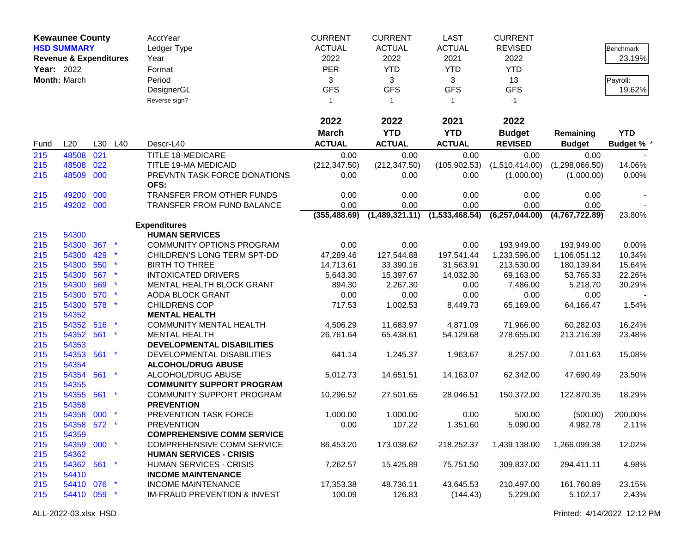| <b>Kewaunee County</b><br><b>HSD SUMMARY</b><br><b>Revenue &amp; Expenditures</b><br>Year: 2022<br>Month: March |                    |            | AcctYear<br>Ledger Type<br>Year<br>Format<br>Period<br>DesignerGL<br>Reverse sign? | <b>CURRENT</b><br><b>ACTUAL</b><br>2022<br><b>PER</b><br>3<br><b>GFS</b><br>$\mathbf{1}$ | <b>CURRENT</b><br><b>ACTUAL</b><br>2022<br><b>YTD</b><br>3<br><b>GFS</b><br>$\overline{1}$ | <b>LAST</b><br><b>ACTUAL</b><br>2021<br><b>YTD</b><br>3<br><b>GFS</b><br>$\overline{1}$ | <b>CURRENT</b><br><b>REVISED</b><br>2022<br><b>YTD</b><br>13<br><b>GFS</b><br>$-1$ |                                 | <b>Benchmark</b><br>23.19%<br>Payroll:<br>19.62% |                                 |
|-----------------------------------------------------------------------------------------------------------------|--------------------|------------|------------------------------------------------------------------------------------|------------------------------------------------------------------------------------------|--------------------------------------------------------------------------------------------|-----------------------------------------------------------------------------------------|------------------------------------------------------------------------------------|---------------------------------|--------------------------------------------------|---------------------------------|
|                                                                                                                 |                    |            |                                                                                    |                                                                                          | 2022                                                                                       | 2022                                                                                    | 2021                                                                               | 2022                            |                                                  |                                 |
| Fund                                                                                                            | L20                | L30        | L40                                                                                | Descr-L40                                                                                | <b>March</b><br><b>ACTUAL</b>                                                              | <b>YTD</b><br><b>ACTUAL</b>                                                             | <b>YTD</b><br><b>ACTUAL</b>                                                        | <b>Budget</b><br><b>REVISED</b> | Remaining<br><b>Budget</b>                       | <b>YTD</b><br><b>Budget % *</b> |
| 215                                                                                                             | 48508              | 021        |                                                                                    | <b>TITLE 18-MEDICARE</b>                                                                 | 0.00                                                                                       | 0.00                                                                                    | 0.00                                                                               | 0.00                            | 0.00                                             |                                 |
| 215                                                                                                             | 48508              | 022        |                                                                                    | TITLE 19-MA MEDICAID                                                                     | (212, 347.50)                                                                              | (212, 347.50)                                                                           | (105, 902.53)                                                                      | (1,510,414.00)                  | (1,298,066.50)                                   | 14.06%                          |
| 215                                                                                                             | 48509 000          |            |                                                                                    | PREVNTN TASK FORCE DONATIONS<br>OFS:                                                     | 0.00                                                                                       | 0.00                                                                                    | 0.00                                                                               | (1,000.00)                      | (1,000.00)                                       | 0.00%                           |
| 215                                                                                                             | 49200 000          |            |                                                                                    | TRANSFER FROM OTHER FUNDS                                                                | 0.00                                                                                       | 0.00                                                                                    | 0.00                                                                               | 0.00                            | 0.00                                             |                                 |
| 215                                                                                                             | 49202 000          |            |                                                                                    | TRANSFER FROM FUND BALANCE                                                               | 0.00                                                                                       | 0.00                                                                                    | 0.00                                                                               | 0.00                            | 0.00                                             |                                 |
|                                                                                                                 |                    |            |                                                                                    |                                                                                          | (355, 488.69)                                                                              | (1,489,321.11)                                                                          | (1,533,468.54)                                                                     | (6, 257, 044.00)                | (4.767.722.89)                                   | 23.80%                          |
|                                                                                                                 |                    |            |                                                                                    | <b>Expenditures</b>                                                                      |                                                                                            |                                                                                         |                                                                                    |                                 |                                                  |                                 |
| 215                                                                                                             | 54300              |            |                                                                                    | <b>HUMAN SERVICES</b>                                                                    |                                                                                            |                                                                                         |                                                                                    |                                 |                                                  |                                 |
| 215                                                                                                             | 54300              | 367        |                                                                                    | <b>COMMUNITY OPTIONS PROGRAM</b>                                                         | 0.00                                                                                       | 0.00                                                                                    | 0.00                                                                               | 193,949.00                      | 193,949.00                                       | 0.00%                           |
| 215                                                                                                             | 54300              | 429        | $\star$                                                                            | CHILDREN'S LONG TERM SPT-DD                                                              | 47,289.46                                                                                  | 127,544.88                                                                              | 197,541.44                                                                         | 1,233,596.00                    | 1,106,051.12                                     | 10.34%                          |
| 215                                                                                                             | 54300              | 550        |                                                                                    | <b>BIRTH TO THREE</b>                                                                    | 14,713.61                                                                                  | 33,390.16                                                                               | 31,563.91                                                                          | 213,530.00                      | 180,139.84                                       | 15.64%                          |
| 215                                                                                                             | 54300              | 567        |                                                                                    | <b>INTOXICATED DRIVERS</b>                                                               | 5,643.30                                                                                   | 15,397.67                                                                               | 14,032.30                                                                          | 69,163.00                       | 53,765.33                                        | 22.26%                          |
| 215                                                                                                             | 54300              | 569<br>570 |                                                                                    | MENTAL HEALTH BLOCK GRANT                                                                | 894.30                                                                                     | 2,267.30                                                                                | 0.00                                                                               | 7,486.00                        | 5,218.70                                         | 30.29%                          |
| 215                                                                                                             | 54300<br>54300 578 |            | $\star$                                                                            | AODA BLOCK GRANT                                                                         | 0.00                                                                                       | 0.00                                                                                    | 0.00                                                                               | 0.00                            | 0.00                                             |                                 |
| 215<br>215                                                                                                      | 54352              |            |                                                                                    | <b>CHILDRENS COP</b><br><b>MENTAL HEALTH</b>                                             | 717.53                                                                                     | 1,002.53                                                                                | 8,449.73                                                                           | 65,169.00                       | 64,166.47                                        | 1.54%                           |
|                                                                                                                 | 54352 516          |            |                                                                                    |                                                                                          |                                                                                            | 11,683.97                                                                               |                                                                                    |                                 |                                                  |                                 |
| 215<br>215                                                                                                      | 54352 561          |            |                                                                                    | <b>COMMUNITY MENTAL HEALTH</b><br><b>MENTAL HEALTH</b>                                   | 4,506.29<br>26,761.64                                                                      | 65,438.61                                                                               | 4,871.09<br>54,129.68                                                              | 71,966.00<br>278,655.00         | 60,282.03<br>213,216.39                          | 16.24%<br>23.48%                |
| 215                                                                                                             | 54353              |            |                                                                                    | DEVELOPMENTAL DISABILITIES                                                               |                                                                                            |                                                                                         |                                                                                    |                                 |                                                  |                                 |
| 215                                                                                                             | 54353 561          |            | $\star$                                                                            | DEVELOPMENTAL DISABILITIES                                                               | 641.14                                                                                     | 1,245.37                                                                                | 1,963.67                                                                           | 8,257.00                        | 7,011.63                                         | 15.08%                          |
| 215                                                                                                             | 54354              |            |                                                                                    | <b>ALCOHOL/DRUG ABUSE</b>                                                                |                                                                                            |                                                                                         |                                                                                    |                                 |                                                  |                                 |
| 215                                                                                                             | 54354 561          |            | $\star$                                                                            | ALCOHOL/DRUG ABUSE                                                                       | 5,012.73                                                                                   | 14,651.51                                                                               | 14,163.07                                                                          | 62,342.00                       | 47,690.49                                        | 23.50%                          |
| 215                                                                                                             | 54355              |            |                                                                                    | <b>COMMUNITY SUPPORT PROGRAM</b>                                                         |                                                                                            |                                                                                         |                                                                                    |                                 |                                                  |                                 |
| 215                                                                                                             | 54355 561 *        |            |                                                                                    | COMMUNITY SUPPORT PROGRAM                                                                | 10,296.52                                                                                  | 27,501.65                                                                               | 28,046.51                                                                          | 150,372.00                      | 122,870.35                                       | 18.29%                          |
| 215                                                                                                             | 54358              |            |                                                                                    | <b>PREVENTION</b>                                                                        |                                                                                            |                                                                                         |                                                                                    |                                 |                                                  |                                 |
| 215                                                                                                             | 54358 000          |            |                                                                                    | PREVENTION TASK FORCE                                                                    | 1,000.00                                                                                   | 1,000.00                                                                                | 0.00                                                                               | 500.00                          | (500.00)                                         | 200.00%                         |
| 215                                                                                                             | 54358 572 *        |            |                                                                                    | <b>PREVENTION</b>                                                                        | 0.00                                                                                       | 107.22                                                                                  | 1,351.60                                                                           | 5,090.00                        | 4,982.78                                         | 2.11%                           |
| 215                                                                                                             | 54359              |            |                                                                                    | <b>COMPREHENSIVE COMM SERVICE</b>                                                        |                                                                                            |                                                                                         |                                                                                    |                                 |                                                  |                                 |
| 215                                                                                                             | 54359 000 *        |            |                                                                                    | <b>COMPREHENSIVE COMM SERVICE</b>                                                        | 86,453.20                                                                                  | 173,038.62                                                                              | 218,252.37                                                                         | 1,439,138.00                    | 1,266,099.38                                     | 12.02%                          |
| 215                                                                                                             | 54362              |            |                                                                                    | <b>HUMAN SERVICES - CRISIS</b>                                                           |                                                                                            |                                                                                         |                                                                                    |                                 |                                                  |                                 |
| 215                                                                                                             | 54362 561 *        |            |                                                                                    | <b>HUMAN SERVICES - CRISIS</b>                                                           | 7,262.57                                                                                   | 15,425.89                                                                               | 75,751.50                                                                          | 309,837.00                      | 294,411.11                                       | 4.98%                           |
| 215                                                                                                             | 54410              |            |                                                                                    | <b>INCOME MAINTENANCE</b>                                                                |                                                                                            |                                                                                         |                                                                                    |                                 |                                                  |                                 |
| 215                                                                                                             | 54410 076          |            | $\mathbf{\ast}$                                                                    | <b>INCOME MAINTENANCE</b>                                                                | 17,353.38                                                                                  | 48,736.11                                                                               | 43,645.53                                                                          | 210,497.00                      | 161,760.89                                       | 23.15%                          |
| 215                                                                                                             | 54410 059 *        |            |                                                                                    | <b>IM-FRAUD PREVENTION &amp; INVEST</b>                                                  | 100.09                                                                                     | 126.83                                                                                  | (144.43)                                                                           | 5,229.00                        | 5,102.17                                         | 2.43%                           |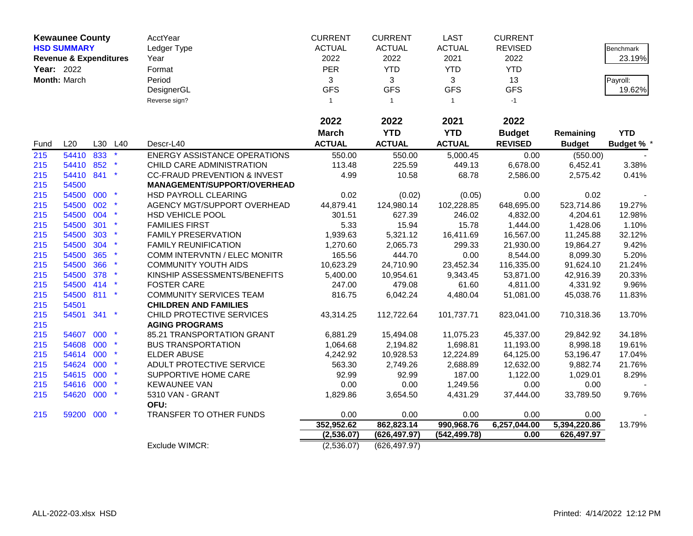|      | <b>Kewaunee County</b>            |     |         | AcctYear                                | <b>CURRENT</b> | <b>CURRENT</b> | <b>LAST</b>    | <b>CURRENT</b> |               |                  |
|------|-----------------------------------|-----|---------|-----------------------------------------|----------------|----------------|----------------|----------------|---------------|------------------|
|      | <b>HSD SUMMARY</b>                |     |         | Ledger Type                             | <b>ACTUAL</b>  | <b>ACTUAL</b>  | <b>ACTUAL</b>  | <b>REVISED</b> |               | <b>Benchmark</b> |
|      | <b>Revenue &amp; Expenditures</b> |     |         | Year                                    | 2022           | 2022           | 2021           | 2022           |               | 23.19%           |
|      | Year: 2022                        |     |         | Format                                  | PER            | <b>YTD</b>     | <b>YTD</b>     | <b>YTD</b>     |               |                  |
|      | Month: March                      |     |         | Period                                  | 3              | $\mathbf{3}$   | 3              | 13             |               | Payroll:         |
|      |                                   |     |         | DesignerGL                              | <b>GFS</b>     | <b>GFS</b>     | <b>GFS</b>     | <b>GFS</b>     |               | 19.62%           |
|      |                                   |     |         | Reverse sign?                           | $\mathbf{1}$   | $\mathbf{1}$   | $\overline{1}$ | $-1$           |               |                  |
|      |                                   |     |         |                                         |                |                |                |                |               |                  |
|      |                                   |     |         |                                         | 2022           | 2022           | 2021           | 2022           |               |                  |
|      |                                   |     |         |                                         | <b>March</b>   | <b>YTD</b>     | <b>YTD</b>     | <b>Budget</b>  | Remaining     | <b>YTD</b>       |
| Fund | L20                               |     | L30 L40 | Descr-L40                               | <b>ACTUAL</b>  | <b>ACTUAL</b>  | <b>ACTUAL</b>  | <b>REVISED</b> | <b>Budget</b> | <b>Budget %</b>  |
| 215  | 54410 833                         |     |         | <b>ENERGY ASSISTANCE OPERATIONS</b>     | 550.00         | 550.00         | 5,000.45       | 0.00           | (550.00)      |                  |
| 215  | 54410                             | 852 |         | CHILD CARE ADMINISTRATION               | 113.48         | 225.59         | 449.13         | 6,678.00       | 6,452.41      | 3.38%            |
| 215  | 54410 841                         |     |         | <b>CC-FRAUD PREVENTION &amp; INVEST</b> | 4.99           | 10.58          | 68.78          | 2,586.00       | 2,575.42      | 0.41%            |
| 215  | 54500                             |     |         | MANAGEMENT/SUPPORT/OVERHEAD             |                |                |                |                |               |                  |
| 215  | 54500 000                         |     |         | HSD PAYROLL CLEARING                    | 0.02           | (0.02)         | (0.05)         | 0.00           | 0.02          |                  |
| 215  | 54500                             | 002 |         | AGENCY MGT/SUPPORT OVERHEAD             | 44,879.41      | 124,980.14     | 102,228.85     | 648,695.00     | 523,714.86    | 19.27%           |
| 215  | 54500 004                         |     |         | HSD VEHICLE POOL                        | 301.51         | 627.39         | 246.02         | 4,832.00       | 4,204.61      | 12.98%           |
| 215  | 54500                             | 301 |         | <b>FAMILIES FIRST</b>                   | 5.33           | 15.94          | 15.78          | 1,444.00       | 1,428.06      | 1.10%            |
| 215  | 54500                             | 303 |         | <b>FAMILY PRESERVATION</b>              | 1,939.63       | 5,321.12       | 16,411.69      | 16,567.00      | 11,245.88     | 32.12%           |
| 215  | 54500                             | 304 |         | <b>FAMILY REUNIFICATION</b>             | 1,270.60       | 2,065.73       | 299.33         | 21,930.00      | 19,864.27     | 9.42%            |
| 215  | 54500                             | 365 |         | COMM INTERVNTN / ELEC MONITR            | 165.56         | 444.70         | 0.00           | 8,544.00       | 8,099.30      | 5.20%            |
| 215  | 54500                             | 366 |         | <b>COMMUNITY YOUTH AIDS</b>             | 10,623.29      | 24,710.90      | 23,452.34      | 116,335.00     | 91,624.10     | 21.24%           |
| 215  | 54500                             | 378 |         | KINSHIP ASSESSMENTS/BENEFITS            | 5,400.00       | 10,954.61      | 9,343.45       | 53,871.00      | 42,916.39     | 20.33%           |
| 215  | 54500 414                         |     |         | <b>FOSTER CARE</b>                      | 247.00         | 479.08         | 61.60          | 4,811.00       | 4,331.92      | 9.96%            |
| 215  | 54500 811                         |     |         | <b>COMMUNITY SERVICES TEAM</b>          | 816.75         | 6,042.24       | 4,480.04       | 51,081.00      | 45,038.76     | 11.83%           |
| 215  | 54501                             |     |         | <b>CHILDREN AND FAMILIES</b>            |                |                |                |                |               |                  |
| 215  | 54501 341                         |     |         | CHILD PROTECTIVE SERVICES               | 43,314.25      | 112,722.64     | 101,737.71     | 823,041.00     | 710,318.36    | 13.70%           |
| 215  |                                   |     |         | <b>AGING PROGRAMS</b>                   |                |                |                |                |               |                  |
| 215  | 54607                             | 000 |         | 85.21 TRANSPORTATION GRANT              | 6,881.29       | 15,494.08      | 11,075.23      | 45,337.00      | 29,842.92     | 34.18%           |
| 215  | 54608                             | 000 |         | <b>BUS TRANSPORTATION</b>               | 1,064.68       | 2,194.82       | 1,698.81       | 11,193.00      | 8,998.18      | 19.61%           |
| 215  | 54614 000                         |     |         | <b>ELDER ABUSE</b>                      | 4,242.92       | 10,928.53      | 12,224.89      | 64,125.00      | 53,196.47     | 17.04%           |
| 215  | 54624                             | 000 |         | ADULT PROTECTIVE SERVICE                | 563.30         | 2,749.26       | 2,688.89       | 12,632.00      | 9,882.74      | 21.76%           |
| 215  | 54615 000                         |     |         | SUPPORTIVE HOME CARE                    | 92.99          | 92.99          | 187.00         | 1,122.00       | 1,029.01      | 8.29%            |
| 215  | 54616                             | 000 |         | <b>KEWAUNEE VAN</b>                     | 0.00           | 0.00           | 1,249.56       | 0.00           | 0.00          |                  |
| 215  | 54620 000                         |     | $\ast$  | 5310 VAN - GRANT                        | 1,829.86       | 3,654.50       | 4,431.29       | 37,444.00      | 33,789.50     | 9.76%            |
|      |                                   |     |         | OFU:                                    |                |                |                |                |               |                  |
| 215  | 59200                             | 000 |         | <b>TRANSFER TO OTHER FUNDS</b>          | 0.00           | 0.00           | 0.00           | 0.00           | 0.00          |                  |
|      |                                   |     |         |                                         | 352,952.62     | 862,823.14     | 990,968.76     | 6,257,044.00   | 5,394,220.86  | 13.79%           |
|      |                                   |     |         |                                         | (2,536.07)     | (626, 497.97)  | (542, 499.78)  | 0.00           | 626,497.97    |                  |
|      |                                   |     |         | Exclude WIMCR:                          | (2,536.07)     | (626, 497.97)  |                |                |               |                  |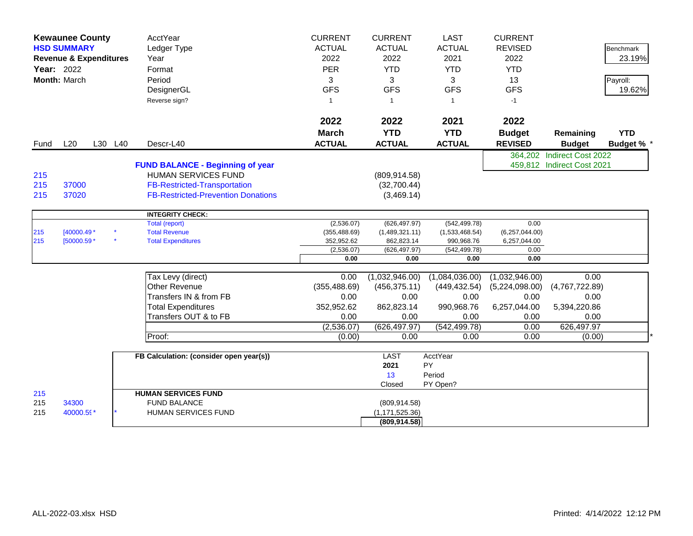|                   | <b>Kewaunee County</b><br><b>HSD SUMMARY</b><br><b>Revenue &amp; Expenditures</b><br><b>Year: 2022</b><br><b>Month: March</b> |  |         | AcctYear<br>Ledger Type<br>Year<br>Format<br>Period<br>DesignerGL<br>Reverse sign?                                                                        | <b>CURRENT</b><br><b>ACTUAL</b><br>2022<br><b>PER</b><br>3<br><b>GFS</b><br>$\mathbf{1}$ | <b>CURRENT</b><br><b>ACTUAL</b><br>2022<br><b>YTD</b><br>3<br><b>GFS</b><br>$\overline{1}$ | <b>LAST</b><br><b>ACTUAL</b><br>2021<br><b>YTD</b><br>3<br><b>GFS</b><br>$\overline{1}$ | <b>CURRENT</b><br><b>REVISED</b><br>2022<br><b>YTD</b><br>13<br><b>GFS</b><br>$-1$ |                            | <b>Benchmark</b><br>23.19%<br>Payroll:<br>19.62% |
|-------------------|-------------------------------------------------------------------------------------------------------------------------------|--|---------|-----------------------------------------------------------------------------------------------------------------------------------------------------------|------------------------------------------------------------------------------------------|--------------------------------------------------------------------------------------------|-----------------------------------------------------------------------------------------|------------------------------------------------------------------------------------|----------------------------|--------------------------------------------------|
| Fund              | L20                                                                                                                           |  | L30 L40 | Descr-L40                                                                                                                                                 | 2022<br><b>March</b><br><b>ACTUAL</b>                                                    | 2022<br><b>YTD</b><br><b>ACTUAL</b>                                                        | 2021<br><b>YTD</b><br><b>ACTUAL</b>                                                     | 2022<br><b>Budget</b><br><b>REVISED</b>                                            | Remaining<br><b>Budget</b> | <b>YTD</b><br>Budget % *                         |
|                   |                                                                                                                               |  |         |                                                                                                                                                           |                                                                                          |                                                                                            |                                                                                         |                                                                                    | 364,202 Indirect Cost 2022 |                                                  |
| 215<br>215<br>215 | 37000<br>37020                                                                                                                |  |         | <b>FUND BALANCE - Beginning of year</b><br><b>HUMAN SERVICES FUND</b><br><b>FB-Restricted-Transportation</b><br><b>FB-Restricted-Prevention Donations</b> |                                                                                          | (809, 914.58)<br>(32,700.44)<br>(3,469.14)                                                 |                                                                                         |                                                                                    | 459,812 Indirect Cost 2021 |                                                  |
|                   |                                                                                                                               |  |         | <b>INTEGRITY CHECK:</b>                                                                                                                                   |                                                                                          |                                                                                            |                                                                                         |                                                                                    |                            |                                                  |
| 215<br>215        | $[40000.49*$<br>[50000.59 *                                                                                                   |  |         | Total (report)<br><b>Total Revenue</b><br><b>Total Expenditures</b>                                                                                       | (2,536.07)<br>(355, 488.69)<br>352,952.62                                                | (626, 497.97)<br>(1,489,321.11)<br>862,823.14                                              | (542, 499.78)<br>(1,533,468.54)<br>990,968.76                                           | 0.00<br>(6,257,044.00)<br>6,257,044.00                                             |                            |                                                  |
|                   |                                                                                                                               |  |         |                                                                                                                                                           | (2,536.07)<br>0.00                                                                       | (626, 497.97)<br>0.00                                                                      | (542, 499.78)<br>0.00                                                                   | 0.00<br>0.00                                                                       |                            |                                                  |
|                   |                                                                                                                               |  |         |                                                                                                                                                           |                                                                                          |                                                                                            |                                                                                         |                                                                                    |                            |                                                  |
|                   |                                                                                                                               |  |         | Tax Levy (direct)                                                                                                                                         | 0.00                                                                                     | (1,032,946.00)                                                                             | (1,084,036.00)                                                                          | (1,032,946.00)                                                                     | 0.00                       |                                                  |
|                   |                                                                                                                               |  |         | <b>Other Revenue</b>                                                                                                                                      | (355, 488.69)                                                                            | (456, 375.11)                                                                              | (449, 432.54)                                                                           | (5,224,098.00)                                                                     | (4,767,722.89)             |                                                  |
|                   |                                                                                                                               |  |         | Transfers IN & from FB                                                                                                                                    | 0.00                                                                                     | 0.00                                                                                       | 0.00                                                                                    | 0.00                                                                               | 0.00                       |                                                  |
|                   |                                                                                                                               |  |         | <b>Total Expenditures</b>                                                                                                                                 | 352,952.62                                                                               | 862,823.14                                                                                 | 990,968.76                                                                              | 6,257,044.00                                                                       | 5,394,220.86               |                                                  |
|                   |                                                                                                                               |  |         | Transfers OUT & to FB                                                                                                                                     | 0.00                                                                                     | 0.00                                                                                       | 0.00                                                                                    | 0.00                                                                               | 0.00                       |                                                  |
|                   |                                                                                                                               |  |         |                                                                                                                                                           | (2,536.07)                                                                               | (626, 497.97)                                                                              | (542, 499.78)                                                                           | 0.00                                                                               | 626,497.97                 |                                                  |
|                   |                                                                                                                               |  |         | Proof:                                                                                                                                                    | (0.00)                                                                                   | 0.00                                                                                       | 0.00                                                                                    | 0.00                                                                               | (0.00)                     |                                                  |
|                   |                                                                                                                               |  |         | FB Calculation: (consider open year(s))                                                                                                                   |                                                                                          | <b>LAST</b><br>2021<br>13<br>Closed                                                        | AcctYear<br>PY<br>Period<br>PY Open?                                                    |                                                                                    |                            |                                                  |
| 215               |                                                                                                                               |  |         | <b>HUMAN SERVICES FUND</b>                                                                                                                                |                                                                                          |                                                                                            |                                                                                         |                                                                                    |                            |                                                  |
| 215<br>215        | 34300<br>40000.59*                                                                                                            |  |         | <b>FUND BALANCE</b><br>HUMAN SERVICES FUND                                                                                                                |                                                                                          | (809, 914.58)<br>(1, 171, 525.36)<br>(809, 914.58)                                         |                                                                                         |                                                                                    |                            |                                                  |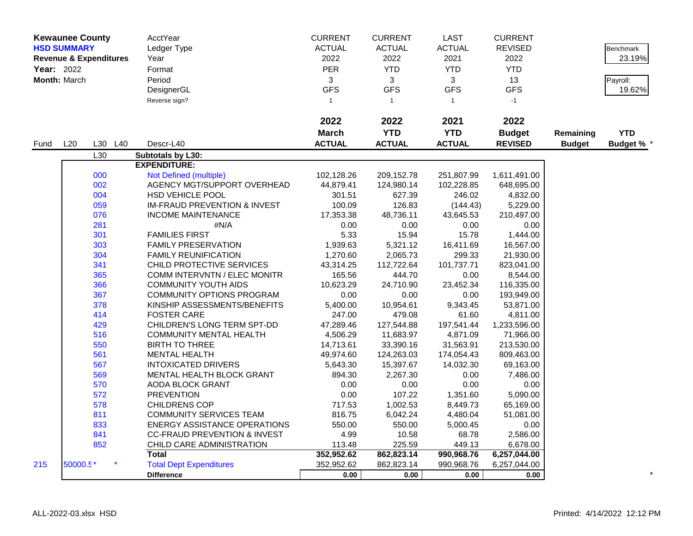|            | <b>Kewaunee County</b> |                                   | AcctYear                                | <b>CURRENT</b> | <b>CURRENT</b> | <b>LAST</b>    | <b>CURRENT</b> |               |                  |
|------------|------------------------|-----------------------------------|-----------------------------------------|----------------|----------------|----------------|----------------|---------------|------------------|
|            | <b>HSD SUMMARY</b>     |                                   | Ledger Type                             | <b>ACTUAL</b>  | <b>ACTUAL</b>  | <b>ACTUAL</b>  | <b>REVISED</b> |               | <b>Benchmark</b> |
|            |                        | <b>Revenue &amp; Expenditures</b> | Year                                    | 2022           | 2022           | 2021           | 2022           |               | 23.19%           |
| Year: 2022 |                        |                                   | Format                                  | <b>PER</b>     | <b>YTD</b>     | <b>YTD</b>     | <b>YTD</b>     |               |                  |
|            | Month: March           |                                   | Period                                  | 3              | 3              | 3              | 13             |               | Payroll:         |
|            |                        |                                   | DesignerGL                              | <b>GFS</b>     | <b>GFS</b>     | <b>GFS</b>     | <b>GFS</b>     |               | 19.62%           |
|            |                        |                                   | Reverse sign?                           | $\overline{1}$ | $\mathbf{1}$   | $\overline{1}$ | $-1$           |               |                  |
|            |                        |                                   |                                         |                |                |                |                |               |                  |
|            |                        |                                   |                                         | 2022           | 2022           | 2021           | 2022           |               |                  |
|            |                        |                                   |                                         | <b>March</b>   | <b>YTD</b>     | <b>YTD</b>     | <b>Budget</b>  | Remaining     | <b>YTD</b>       |
| Fund       | L20                    | L30 L40                           | Descr-L40                               | <b>ACTUAL</b>  | <b>ACTUAL</b>  | <b>ACTUAL</b>  | <b>REVISED</b> | <b>Budget</b> | <b>Budget %</b>  |
|            |                        | L30                               | Subtotals by L30:                       |                |                |                |                |               |                  |
|            |                        |                                   | <b>EXPENDITURE:</b>                     |                |                |                |                |               |                  |
|            |                        | 000                               | Not Defined (multiple)                  | 102,128.26     | 209,152.78     | 251,807.99     | 1,611,491.00   |               |                  |
|            |                        | 002                               | AGENCY MGT/SUPPORT OVERHEAD             | 44,879.41      | 124,980.14     | 102,228.85     | 648,695.00     |               |                  |
|            |                        | 004                               | <b>HSD VEHICLE POOL</b>                 | 301.51         | 627.39         | 246.02         | 4,832.00       |               |                  |
|            |                        | 059                               | <b>IM-FRAUD PREVENTION &amp; INVEST</b> | 100.09         | 126.83         | (144.43)       | 5,229.00       |               |                  |
|            |                        | 076                               | <b>INCOME MAINTENANCE</b>               | 17,353.38      | 48,736.11      | 43,645.53      | 210,497.00     |               |                  |
|            |                        | 281                               | #N/A                                    | 0.00           | 0.00           | 0.00           | 0.00           |               |                  |
|            |                        | 301                               | <b>FAMILIES FIRST</b>                   | 5.33           | 15.94          | 15.78          | 1,444.00       |               |                  |
|            |                        | 303                               | <b>FAMILY PRESERVATION</b>              | 1,939.63       | 5,321.12       | 16,411.69      | 16,567.00      |               |                  |
|            |                        | 304                               | <b>FAMILY REUNIFICATION</b>             | 1,270.60       | 2,065.73       | 299.33         | 21,930.00      |               |                  |
|            |                        | 341                               | CHILD PROTECTIVE SERVICES               | 43,314.25      | 112,722.64     | 101,737.71     | 823,041.00     |               |                  |
|            |                        | 365                               | <b>COMM INTERVNTN / ELEC MONITR</b>     | 165.56         | 444.70         | 0.00           | 8,544.00       |               |                  |
|            |                        | 366                               | <b>COMMUNITY YOUTH AIDS</b>             | 10,623.29      | 24,710.90      | 23,452.34      | 116,335.00     |               |                  |
|            |                        | 367                               | <b>COMMUNITY OPTIONS PROGRAM</b>        | 0.00           | 0.00           | 0.00           | 193,949.00     |               |                  |
|            |                        | 378                               | KINSHIP ASSESSMENTS/BENEFITS            | 5,400.00       | 10,954.61      | 9,343.45       | 53,871.00      |               |                  |
|            |                        | 414                               | <b>FOSTER CARE</b>                      | 247.00         | 479.08         | 61.60          | 4,811.00       |               |                  |
|            |                        | 429                               | CHILDREN'S LONG TERM SPT-DD             | 47,289.46      | 127,544.88     | 197,541.44     | 1,233,596.00   |               |                  |
|            |                        | 516                               | <b>COMMUNITY MENTAL HEALTH</b>          | 4,506.29       | 11,683.97      | 4,871.09       | 71,966.00      |               |                  |
|            |                        | 550                               | <b>BIRTH TO THREE</b>                   | 14,713.61      | 33,390.16      | 31,563.91      | 213,530.00     |               |                  |
|            |                        | 561                               | <b>MENTAL HEALTH</b>                    | 49,974.60      | 124,263.03     | 174,054.43     | 809,463.00     |               |                  |
|            |                        | 567                               | <b>INTOXICATED DRIVERS</b>              | 5,643.30       | 15,397.67      | 14,032.30      | 69,163.00      |               |                  |
|            |                        | 569                               | <b>MENTAL HEALTH BLOCK GRANT</b>        | 894.30         | 2,267.30       | 0.00           | 7,486.00       |               |                  |
|            |                        | 570                               | AODA BLOCK GRANT                        | 0.00           | 0.00           | 0.00           | 0.00           |               |                  |
|            |                        | 572                               | <b>PREVENTION</b>                       | 0.00           | 107.22         | 1,351.60       | 5,090.00       |               |                  |
|            |                        | 578                               | <b>CHILDRENS COP</b>                    | 717.53         | 1,002.53       | 8,449.73       | 65,169.00      |               |                  |
|            |                        | 811                               | <b>COMMUNITY SERVICES TEAM</b>          | 816.75         | 6,042.24       | 4,480.04       | 51,081.00      |               |                  |
|            |                        | 833                               | <b>ENERGY ASSISTANCE OPERATIONS</b>     | 550.00         | 550.00         | 5,000.45       | 0.00           |               |                  |
|            |                        | 841                               | <b>CC-FRAUD PREVENTION &amp; INVEST</b> | 4.99           | 10.58          | 68.78          | 2,586.00       |               |                  |
|            |                        | 852                               | CHILD CARE ADMINISTRATION               | 113.48         | 225.59         | 449.13         | 6,678.00       |               |                  |
|            |                        |                                   | <b>Total</b>                            | 352,952.62     | 862,823.14     | 990,968.76     | 6,257,044.00   |               |                  |
| 215        | 50000.5*               |                                   | <b>Total Dept Expenditures</b>          | 352,952.62     | 862,823.14     | 990,968.76     | 6,257,044.00   |               |                  |
|            |                        |                                   | <b>Difference</b>                       | 0.00           | 0.00           | 0.00           | 0.00           |               |                  |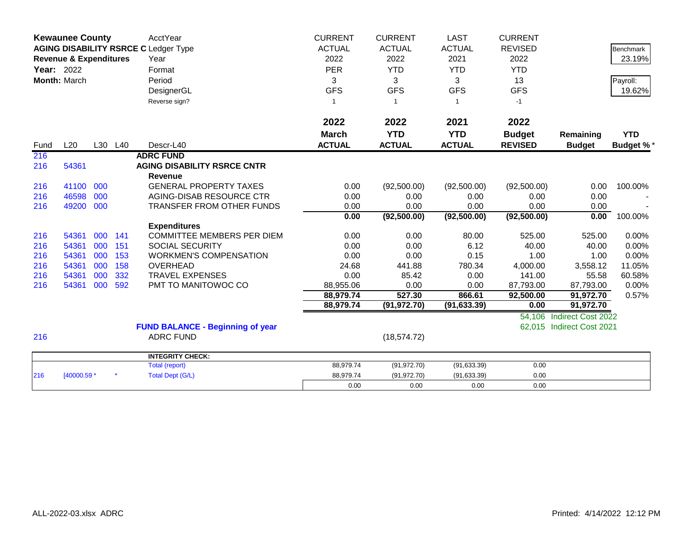|                   | <b>Kewaunee County</b>            |     |         | <b>AcctYear</b>                             | <b>CURRENT</b> | <b>CURRENT</b> | <b>LAST</b>   | <b>CURRENT</b> |                           |                  |
|-------------------|-----------------------------------|-----|---------|---------------------------------------------|----------------|----------------|---------------|----------------|---------------------------|------------------|
|                   |                                   |     |         | <b>AGING DISABILITY RSRCE C Ledger Type</b> | <b>ACTUAL</b>  | <b>ACTUAL</b>  | <b>ACTUAL</b> | <b>REVISED</b> |                           | <b>Benchmark</b> |
|                   | <b>Revenue &amp; Expenditures</b> |     |         | Year                                        | 2022           | 2022           | 2021          | 2022           |                           | 23.19%           |
| <b>Year: 2022</b> |                                   |     |         | Format                                      | <b>PER</b>     | <b>YTD</b>     | <b>YTD</b>    | <b>YTD</b>     |                           |                  |
|                   | Month: March                      |     |         | Period                                      | 3              | 3              | 3             | 13             |                           | Payroll:         |
|                   |                                   |     |         | DesignerGL                                  | <b>GFS</b>     | <b>GFS</b>     | <b>GFS</b>    | <b>GFS</b>     |                           | 19.62%           |
|                   |                                   |     |         | Reverse sign?                               | $\overline{1}$ | $\overline{1}$ | 1             | $-1$           |                           |                  |
|                   |                                   |     |         |                                             |                |                |               |                |                           |                  |
|                   |                                   |     |         |                                             | 2022           | 2022           | 2021          | 2022           |                           |                  |
|                   |                                   |     |         |                                             | <b>March</b>   | <b>YTD</b>     | <b>YTD</b>    | <b>Budget</b>  | Remaining                 | <b>YTD</b>       |
| Fund              | L20                               |     | L30 L40 | Descr-L40                                   | <b>ACTUAL</b>  | <b>ACTUAL</b>  | <b>ACTUAL</b> | <b>REVISED</b> | <b>Budget</b>             | <b>Budget %*</b> |
| 216               |                                   |     |         | <b>ADRC FUND</b>                            |                |                |               |                |                           |                  |
| 216               | 54361                             |     |         | <b>AGING DISABILITY RSRCE CNTR</b>          |                |                |               |                |                           |                  |
|                   |                                   |     |         | <b>Revenue</b>                              |                |                |               |                |                           |                  |
| 216               | 41100                             | 000 |         | <b>GENERAL PROPERTY TAXES</b>               | 0.00           | (92,500.00)    | (92,500.00)   | (92,500.00)    | 0.00                      | 100.00%          |
| 216               | 46598                             | 000 |         | AGING-DISAB RESOURCE CTR                    | 0.00           | 0.00           | 0.00          | 0.00           | 0.00                      |                  |
| 216               | 49200                             | 000 |         | TRANSFER FROM OTHER FUNDS                   | 0.00           | 0.00           | 0.00          | 0.00           | 0.00                      |                  |
|                   |                                   |     |         |                                             | 0.00           | (92,500.00)    | (92,500.00)   | (92, 500.00)   | 0.00                      | 100.00%          |
|                   |                                   |     |         | <b>Expenditures</b>                         |                |                |               |                |                           |                  |
| 216               | 54361                             | 000 | 141     | <b>COMMITTEE MEMBERS PER DIEM</b>           | 0.00           | 0.00           | 80.00         | 525.00         | 525.00                    | 0.00%            |
| 216               | 54361                             | 000 | 151     | <b>SOCIAL SECURITY</b>                      | 0.00           | 0.00           | 6.12          | 40.00          | 40.00                     | 0.00%            |
| 216               | 54361                             | 000 | 153     | <b>WORKMEN'S COMPENSATION</b>               | 0.00           | 0.00           | 0.15          | 1.00           | 1.00                      | 0.00%            |
| 216               | 54361                             | 000 | 158     | <b>OVERHEAD</b>                             | 24.68          | 441.88         | 780.34        | 4,000.00       | 3,558.12                  | 11.05%           |
| 216               | 54361                             | 000 | 332     | <b>TRAVEL EXPENSES</b>                      | 0.00           | 85.42          | 0.00          | 141.00         | 55.58                     | 60.58%           |
| 216               | 54361                             | 000 | 592     | PMT TO MANITOWOC CO                         | 88,955.06      | 0.00           | 0.00          | 87,793.00      | 87,793.00                 | 0.00%            |
|                   |                                   |     |         |                                             | 88,979.74      | 527.30         | 866.61        | 92,500.00      | 91,972.70                 | 0.57%            |
|                   |                                   |     |         |                                             | 88,979.74      | (91, 972.70)   | (91, 633.39)  | 0.00           | 91,972.70                 |                  |
|                   |                                   |     |         |                                             |                |                |               | 54,106         | <b>Indirect Cost 2022</b> |                  |
|                   |                                   |     |         | <b>FUND BALANCE - Beginning of year</b>     |                |                |               | 62,015         | <b>Indirect Cost 2021</b> |                  |
| 216               |                                   |     |         | <b>ADRC FUND</b>                            |                | (18, 574.72)   |               |                |                           |                  |
|                   |                                   |     |         | <b>INTEGRITY CHECK:</b>                     |                |                |               |                |                           |                  |
|                   |                                   |     |         | <b>Total (report)</b>                       | 88,979.74      | (91, 972.70)   | (91, 633.39)  | 0.00           |                           |                  |
| 216               | [40000.59 *                       |     |         | <b>Total Dept (G/L)</b>                     | 88,979.74      | (91, 972.70)   | (91, 633.39)  | 0.00           |                           |                  |
|                   |                                   |     |         |                                             | 0.00           | 0.00           | 0.00          | 0.00           |                           |                  |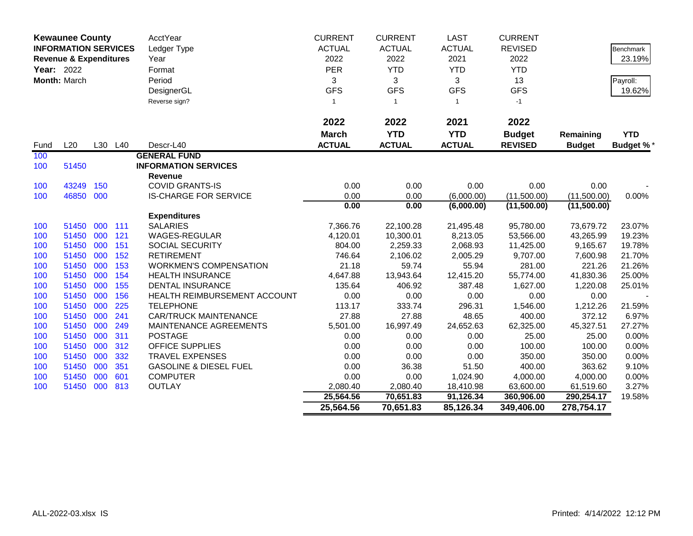|            | <b>Kewaunee County</b>            |     |         | AcctYear                          | <b>CURRENT</b> | <b>CURRENT</b> | <b>LAST</b>    | <b>CURRENT</b> |               |                  |
|------------|-----------------------------------|-----|---------|-----------------------------------|----------------|----------------|----------------|----------------|---------------|------------------|
|            | <b>INFORMATION SERVICES</b>       |     |         | Ledger Type                       | <b>ACTUAL</b>  | <b>ACTUAL</b>  | <b>ACTUAL</b>  | <b>REVISED</b> |               | Benchmark        |
|            | <b>Revenue &amp; Expenditures</b> |     |         | Year                              | 2022           | 2022           | 2021           | 2022           |               | 23.19%           |
| Year: 2022 |                                   |     |         | Format                            | <b>PER</b>     | <b>YTD</b>     | <b>YTD</b>     | <b>YTD</b>     |               |                  |
|            | Month: March                      |     |         | Period                            | 3              | 3              | 3              | 13             |               | Payroll:         |
|            |                                   |     |         | DesignerGL                        | <b>GFS</b>     | <b>GFS</b>     | <b>GFS</b>     | <b>GFS</b>     |               | 19.62%           |
|            |                                   |     |         | Reverse sign?                     | $\mathbf{1}$   | $\overline{1}$ | $\overline{1}$ | $-1$           |               |                  |
|            |                                   |     |         |                                   |                |                |                |                |               |                  |
|            |                                   |     |         |                                   | 2022           | 2022           | 2021           | 2022           |               |                  |
|            |                                   |     |         |                                   | <b>March</b>   | <b>YTD</b>     | <b>YTD</b>     | <b>Budget</b>  | Remaining     | <b>YTD</b>       |
| Fund       | L20                               |     | L30 L40 | Descr-L40                         | <b>ACTUAL</b>  | <b>ACTUAL</b>  | <b>ACTUAL</b>  | <b>REVISED</b> | <b>Budget</b> | <b>Budget %*</b> |
| 100        |                                   |     |         | <b>GENERAL FUND</b>               |                |                |                |                |               |                  |
| 100        | 51450                             |     |         | <b>INFORMATION SERVICES</b>       |                |                |                |                |               |                  |
|            |                                   |     |         | <b>Revenue</b>                    |                |                |                |                |               |                  |
| 100        | 43249                             | 150 |         | <b>COVID GRANTS-IS</b>            | 0.00           | 0.00           | 0.00           | 0.00           | 0.00          |                  |
| 100        | 46850 000                         |     |         | <b>IS-CHARGE FOR SERVICE</b>      | 0.00           | 0.00           | (6,000.00)     | (11,500.00)    | (11,500.00)   | 0.00%            |
|            |                                   |     |         |                                   | 0.00           | 0.00           | (6,000.00)     | (11,500.00)    | (11,500.00)   |                  |
|            |                                   |     |         | <b>Expenditures</b>               |                |                |                |                |               |                  |
| 100        | 51450                             | 000 | 111     | <b>SALARIES</b>                   | 7,366.76       | 22,100.28      | 21,495.48      | 95,780.00      | 73,679.72     | 23.07%           |
| 100        | 51450                             | 000 | 121     | <b>WAGES-REGULAR</b>              | 4,120.01       | 10,300.01      | 8,213.05       | 53,566.00      | 43,265.99     | 19.23%           |
| 100        | 51450                             | 000 | 151     | <b>SOCIAL SECURITY</b>            | 804.00         | 2,259.33       | 2,068.93       | 11,425.00      | 9,165.67      | 19.78%           |
| 100        | 51450                             | 000 | 152     | <b>RETIREMENT</b>                 | 746.64         | 2,106.02       | 2,005.29       | 9,707.00       | 7,600.98      | 21.70%           |
| 100        | 51450                             | 000 | 153     | <b>WORKMEN'S COMPENSATION</b>     | 21.18          | 59.74          | 55.94          | 281.00         | 221.26        | 21.26%           |
| 100        | 51450                             | 000 | 154     | <b>HEALTH INSURANCE</b>           | 4,647.88       | 13,943.64      | 12,415.20      | 55,774.00      | 41,830.36     | 25.00%           |
| 100        | 51450                             | 000 | 155     | <b>DENTAL INSURANCE</b>           | 135.64         | 406.92         | 387.48         | 1,627.00       | 1,220.08      | 25.01%           |
| 100        | 51450                             | 000 | 156     | HEALTH REIMBURSEMENT ACCOUNT      | 0.00           | 0.00           | 0.00           | 0.00           | 0.00          |                  |
| 100        | 51450                             | 000 | 225     | <b>TELEPHONE</b>                  | 113.17         | 333.74         | 296.31         | 1,546.00       | 1,212.26      | 21.59%           |
| 100        | 51450                             | 000 | 241     | <b>CAR/TRUCK MAINTENANCE</b>      | 27.88          | 27.88          | 48.65          | 400.00         | 372.12        | 6.97%            |
| 100        | 51450                             | 000 | 249     | MAINTENANCE AGREEMENTS            | 5,501.00       | 16,997.49      | 24,652.63      | 62,325.00      | 45,327.51     | 27.27%           |
| 100        | 51450                             | 000 | 311     | <b>POSTAGE</b>                    | 0.00           | 0.00           | 0.00           | 25.00          | 25.00         | 0.00%            |
| 100        | 51450                             | 000 | 312     | <b>OFFICE SUPPLIES</b>            | 0.00           | 0.00           | 0.00           | 100.00         | 100.00        | 0.00%            |
| 100        | 51450                             | 000 | 332     | <b>TRAVEL EXPENSES</b>            | 0.00           | 0.00           | 0.00           | 350.00         | 350.00        | 0.00%            |
| 100        | 51450                             | 000 | 351     | <b>GASOLINE &amp; DIESEL FUEL</b> | 0.00           | 36.38          | 51.50          | 400.00         | 363.62        | 9.10%            |
| 100        | 51450                             | 000 | 601     | <b>COMPUTER</b>                   | 0.00           | 0.00           | 1,024.90       | 4,000.00       | 4,000.00      | 0.00%            |
| 100        | 51450 000                         |     | 813     | OUTLAY                            | 2,080.40       | 2,080.40       | 18,410.98      | 63,600.00      | 61,519.60     | 3.27%            |
|            |                                   |     |         |                                   | 25,564.56      | 70,651.83      | 91,126.34      | 360,906.00     | 290,254.17    | 19.58%           |
|            |                                   |     |         |                                   | 25,564.56      | 70,651.83      | 85,126.34      | 349,406.00     | 278,754.17    |                  |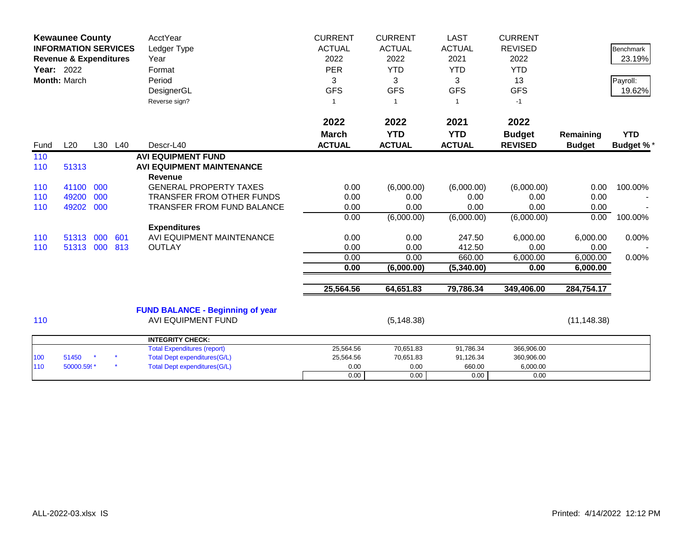|            | <b>Kewaunee County</b><br><b>INFORMATION SERVICES</b><br><b>Revenue &amp; Expenditures</b><br>Year: 2022<br>Month: March |            |            | AcctYear<br>Ledger Type<br>Year<br>Format<br>Period<br>DesignerGL<br>Reverse sign?                               | <b>CURRENT</b><br><b>ACTUAL</b><br>2022<br><b>PER</b><br>3<br><b>GFS</b><br>$\mathbf{1}$ | <b>CURRENT</b><br><b>ACTUAL</b><br>2022<br><b>YTD</b><br>3<br><b>GFS</b> | <b>LAST</b><br><b>ACTUAL</b><br>2021<br><b>YTD</b><br>3<br><b>GFS</b><br>1 | <b>CURRENT</b><br><b>REVISED</b><br>2022<br><b>YTD</b><br>13<br><b>GFS</b><br>$-1$ |                              | <b>Benchmark</b><br>23.19%<br>Payroll:<br>19.62% |
|------------|--------------------------------------------------------------------------------------------------------------------------|------------|------------|------------------------------------------------------------------------------------------------------------------|------------------------------------------------------------------------------------------|--------------------------------------------------------------------------|----------------------------------------------------------------------------|------------------------------------------------------------------------------------|------------------------------|--------------------------------------------------|
| Fund       | L20                                                                                                                      |            | L30 L40    | Descr-L40                                                                                                        | 2022<br><b>March</b><br><b>ACTUAL</b>                                                    | 2022<br><b>YTD</b><br><b>ACTUAL</b>                                      | 2021<br><b>YTD</b><br><b>ACTUAL</b>                                        | 2022<br><b>Budget</b><br><b>REVISED</b>                                            | Remaining<br><b>Budget</b>   | <b>YTD</b><br><b>Budget %*</b>                   |
| 110<br>110 | 51313                                                                                                                    |            |            | <b>AVI EQUIPMENT FUND</b><br><b>AVI EQUIPMENT MAINTENANCE</b>                                                    |                                                                                          |                                                                          |                                                                            |                                                                                    |                              |                                                  |
| 110<br>110 | 41100<br>49200                                                                                                           | 000<br>000 |            | <b>Revenue</b><br><b>GENERAL PROPERTY TAXES</b><br>TRANSFER FROM OTHER FUNDS                                     | 0.00<br>0.00                                                                             | (6,000.00)<br>0.00                                                       | (6,000.00)<br>0.00                                                         | (6,000.00)<br>0.00                                                                 | 0.00<br>0.00                 | 100.00%                                          |
| 110        | 49202                                                                                                                    | 000        |            | <b>TRANSFER FROM FUND BALANCE</b>                                                                                | 0.00<br>0.00                                                                             | 0.00<br>(6,000.00)                                                       | 0.00<br>(6,000.00)                                                         | 0.00<br>(6,000.00)                                                                 | 0.00<br>0.00                 | 100.00%                                          |
| 110<br>110 | 51313<br>51313 000                                                                                                       | 000        | 601<br>813 | <b>Expenditures</b><br>AVI EQUIPMENT MAINTENANCE<br><b>OUTLAY</b>                                                | 0.00<br>0.00<br>0.00                                                                     | 0.00<br>0.00<br>0.00                                                     | 247.50<br>412.50<br>660.00                                                 | 6,000.00<br>0.00<br>6,000.00                                                       | 6,000.00<br>0.00<br>6,000.00 | 0.00%<br>0.00%                                   |
|            |                                                                                                                          |            |            |                                                                                                                  | 0.00                                                                                     | (6,000.00)                                                               | (5,340.00)                                                                 | 0.00                                                                               | 6,000.00                     |                                                  |
|            |                                                                                                                          |            |            |                                                                                                                  | 25,564.56                                                                                | 64,651.83                                                                | 79,786.34                                                                  | 349,406.00                                                                         | 284,754.17                   |                                                  |
| 110        |                                                                                                                          |            |            | <b>FUND BALANCE - Beginning of year</b><br><b>AVI EQUIPMENT FUND</b>                                             |                                                                                          | (5, 148.38)                                                              |                                                                            |                                                                                    | (11, 148.38)                 |                                                  |
|            |                                                                                                                          |            |            | <b>INTEGRITY CHECK:</b>                                                                                          |                                                                                          |                                                                          |                                                                            |                                                                                    |                              |                                                  |
| 100<br>110 | 51450<br>50000.599*                                                                                                      |            |            | <b>Total Expenditures (report)</b><br><b>Total Dept expenditures(G/L)</b><br><b>Total Dept expenditures(G/L)</b> | 25,564.56<br>25,564.56<br>0.00<br>0.00                                                   | 70,651.83<br>70,651.83<br>0.00<br>0.00                                   | 91,786.34<br>91,126.34<br>660.00<br>0.00                                   | 366,906.00<br>360,906.00<br>6,000.00<br>0.00                                       |                              |                                                  |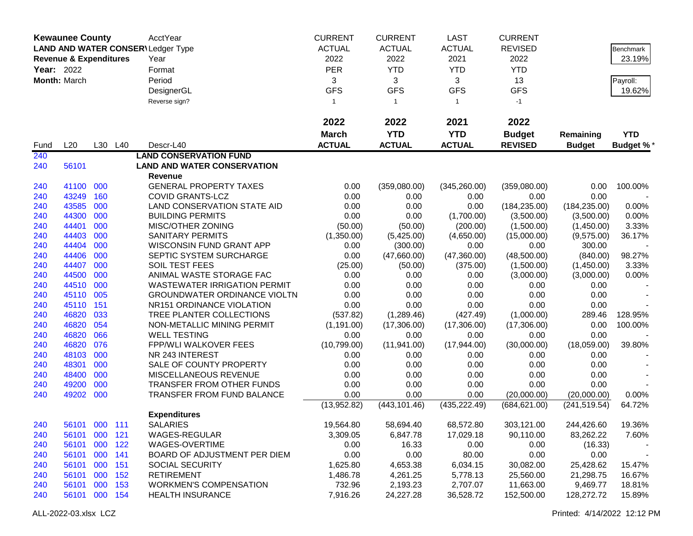|                   | <b>Kewaunee County</b>            |     |         | AcctYear                                 | <b>CURRENT</b> | <b>CURRENT</b> | <b>LAST</b>   | <b>CURRENT</b> |               |                  |
|-------------------|-----------------------------------|-----|---------|------------------------------------------|----------------|----------------|---------------|----------------|---------------|------------------|
|                   |                                   |     |         | <b>LAND AND WATER CONSER\Ledger Type</b> | <b>ACTUAL</b>  | <b>ACTUAL</b>  | <b>ACTUAL</b> | <b>REVISED</b> |               | Benchmark        |
|                   | <b>Revenue &amp; Expenditures</b> |     |         | Year                                     | 2022           | 2022           | 2021          | 2022           |               | 23.19%           |
|                   |                                   |     |         |                                          |                |                |               |                |               |                  |
| <b>Year: 2022</b> |                                   |     |         | Format                                   | <b>PER</b>     | <b>YTD</b>     | <b>YTD</b>    | <b>YTD</b>     |               |                  |
|                   | Month: March                      |     |         | Period                                   | 3              | 3              | 3             | 13             |               | Payroll:         |
|                   |                                   |     |         | DesignerGL                               | <b>GFS</b>     | <b>GFS</b>     | <b>GFS</b>    | <b>GFS</b>     |               | 19.62%           |
|                   |                                   |     |         | Reverse sign?                            | $\mathbf{1}$   | $\mathbf{1}$   | $\mathbf{1}$  | $-1$           |               |                  |
|                   |                                   |     |         |                                          | 2022           | 2022           | 2021          | 2022           |               |                  |
|                   |                                   |     |         |                                          | <b>March</b>   | <b>YTD</b>     | <b>YTD</b>    | <b>Budget</b>  | Remaining     | <b>YTD</b>       |
| Fund              | L20                               |     | L30 L40 | Descr-L40                                | <b>ACTUAL</b>  | <b>ACTUAL</b>  | <b>ACTUAL</b> | <b>REVISED</b> | <b>Budget</b> | <b>Budget %*</b> |
| 240               |                                   |     |         | <b>LAND CONSERVATION FUND</b>            |                |                |               |                |               |                  |
| 240               | 56101                             |     |         | <b>LAND AND WATER CONSERVATION</b>       |                |                |               |                |               |                  |
|                   |                                   |     |         | Revenue                                  |                |                |               |                |               |                  |
| 240               | 41100 000                         |     |         | <b>GENERAL PROPERTY TAXES</b>            | 0.00           | (359,080.00)   | (345, 260.00) | (359,080.00)   | 0.00          | 100.00%          |
| 240               | 43249                             | 160 |         | <b>COVID GRANTS-LCZ</b>                  | 0.00           | 0.00           | 0.00          | 0.00           | 0.00          |                  |
| 240               | 43585                             | 000 |         | LAND CONSERVATION STATE AID              | 0.00           | 0.00           | 0.00          | (184, 235.00)  | (184, 235.00) | 0.00%            |
| 240               | 44300                             | 000 |         | <b>BUILDING PERMITS</b>                  | 0.00           | 0.00           | (1,700.00)    | (3,500.00)     | (3,500.00)    | 0.00%            |
| 240               | 44401                             | 000 |         | MISC/OTHER ZONING                        | (50.00)        | (50.00)        | (200.00)      | (1,500.00)     | (1,450.00)    | 3.33%            |
| 240               | 44403                             | 000 |         | <b>SANITARY PERMITS</b>                  | (1,350.00)     | (5,425.00)     | (4,650.00)    | (15,000.00)    | (9,575.00)    | 36.17%           |
| 240               | 44404                             | 000 |         | WISCONSIN FUND GRANT APP                 | 0.00           | (300.00)       | 0.00          | 0.00           | 300.00        |                  |
| 240               | 44406                             | 000 |         | SEPTIC SYSTEM SURCHARGE                  | 0.00           | (47,660.00)    | (47,360.00)   | (48,500.00)    | (840.00)      | 98.27%           |
| 240               | 44407                             | 000 |         | SOIL TEST FEES                           | (25.00)        | (50.00)        | (375.00)      | (1,500.00)     | (1,450.00)    | 3.33%            |
| 240               | 44500                             | 000 |         | ANIMAL WASTE STORAGE FAC                 | 0.00           | 0.00           | 0.00          | (3,000.00)     | (3,000.00)    | 0.00%            |
| 240               | 44510                             | 000 |         | <b>WASTEWATER IRRIGATION PERMIT</b>      | 0.00           | 0.00           | 0.00          | 0.00           | 0.00          |                  |
| 240               | 45110                             | 005 |         | <b>GROUNDWATER ORDINANCE VIOLTN</b>      | 0.00           | 0.00           | 0.00          | 0.00           | 0.00          |                  |
| 240               | 45110                             | 151 |         | NR151 ORDINANCE VIOLATION                | 0.00           | 0.00           | 0.00          | 0.00           | 0.00          |                  |
| 240               | 46820                             | 033 |         | TREE PLANTER COLLECTIONS                 | (537.82)       | (1,289.46)     | (427.49)      | (1,000.00)     | 289.46        | 128.95%          |
| 240               | 46820                             | 054 |         | NON-METALLIC MINING PERMIT               | (1, 191.00)    | (17,306.00)    | (17,306.00)   | (17,306.00)    | 0.00          | 100.00%          |
| 240               | 46820                             | 066 |         | <b>WELL TESTING</b>                      | 0.00           | 0.00           | 0.00          | 0.00           | 0.00          |                  |
| 240               | 46820                             | 076 |         | <b>FPP/WLI WALKOVER FEES</b>             | (10,799.00)    | (11, 941.00)   | (17,944.00)   | (30,000.00)    | (18,059.00)   | 39.80%           |
| 240               | 48103                             | 000 |         | NR 243 INTEREST                          | 0.00           | 0.00           | 0.00          | 0.00           | 0.00          |                  |
| 240               | 48301                             | 000 |         | SALE OF COUNTY PROPERTY                  | 0.00           | 0.00           | 0.00          | 0.00           | 0.00          |                  |
| 240               | 48400                             | 000 |         | MISCELLANEOUS REVENUE                    | 0.00           | 0.00           | 0.00          | 0.00           | 0.00          |                  |
| 240               | 49200                             | 000 |         | TRANSFER FROM OTHER FUNDS                | 0.00           | 0.00           | 0.00          | 0.00           | 0.00          |                  |
| 240               | 49202 000                         |     |         | TRANSFER FROM FUND BALANCE               | 0.00           | 0.00           | 0.00          | (20,000.00)    | (20,000.00)   | 0.00%            |
|                   |                                   |     |         |                                          | (13,952.82)    | (443, 101.46)  | (435, 222.49) | (684, 621.00)  | (241, 519.54) | 64.72%           |
|                   |                                   |     |         | <b>Expenditures</b>                      |                |                |               |                |               |                  |
| 240               | 56101 000 111                     |     |         | <b>SALARIES</b>                          | 19,564.80      | 58,694.40      | 68,572.80     | 303,121.00     | 244,426.60    | 19.36%           |
| 240               | 56101 000 121                     |     |         | WAGES-REGULAR                            | 3,309.05       | 6,847.78       | 17,029.18     | 90,110.00      | 83,262.22     | 7.60%            |
| 240               | 56101 000 122                     |     |         | WAGES-OVERTIME                           | 0.00           | 16.33          | 0.00          | 0.00           | (16.33)       |                  |
| 240               | 56101 000                         |     | 141     | BOARD OF ADJUSTMENT PER DIEM             | 0.00           | 0.00           | 80.00         | 0.00           | 0.00          |                  |
| 240               | 56101                             | 000 | 151     | <b>SOCIAL SECURITY</b>                   | 1,625.80       | 4,653.38       | 6,034.15      | 30,082.00      | 25,428.62     | 15.47%           |
| 240               | 56101 000 152                     |     |         | <b>RETIREMENT</b>                        | 1,486.78       | 4,261.25       | 5,778.13      | 25,560.00      | 21,298.75     | 16.67%           |
| 240               | 56101 000 153                     |     |         | <b>WORKMEN'S COMPENSATION</b>            | 732.96         | 2,193.23       | 2,707.07      | 11,663.00      | 9,469.77      | 18.81%           |
| 240               | 56101 000 154                     |     |         | <b>HEALTH INSURANCE</b>                  | 7,916.26       | 24,227.28      | 36,528.72     | 152,500.00     | 128,272.72    | 15.89%           |
|                   |                                   |     |         |                                          |                |                |               |                |               |                  |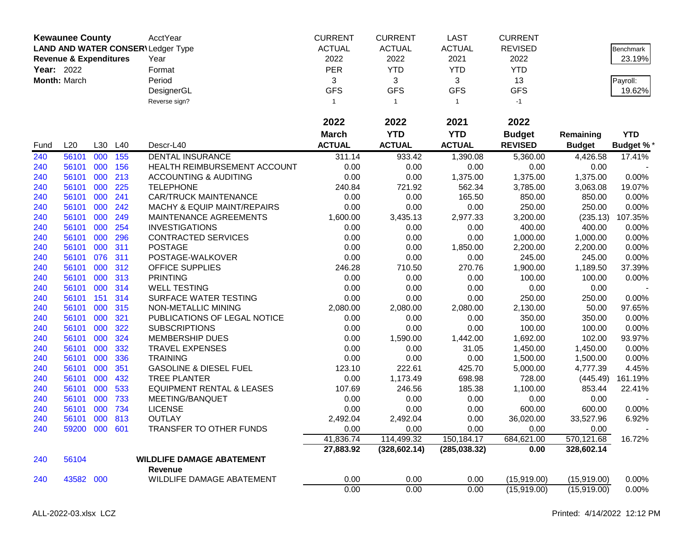|            | <b>Kewaunee County</b>            |     |     | AcctYear                               | <b>CURRENT</b> | <b>CURRENT</b> | <b>LAST</b>   | <b>CURRENT</b> |               |            |
|------------|-----------------------------------|-----|-----|----------------------------------------|----------------|----------------|---------------|----------------|---------------|------------|
|            |                                   |     |     | LAND AND WATER CONSER\Ledger Type      | <b>ACTUAL</b>  | <b>ACTUAL</b>  | <b>ACTUAL</b> | <b>REVISED</b> |               | Benchmark  |
|            | <b>Revenue &amp; Expenditures</b> |     |     | Year                                   | 2022           | 2022           | 2021          | 2022           |               | 23.19%     |
| Year: 2022 |                                   |     |     | Format                                 | <b>PER</b>     | <b>YTD</b>     | <b>YTD</b>    | <b>YTD</b>     |               |            |
|            | Month: March                      |     |     | Period                                 | 3              | 3              | 3             | 13             |               | Payroll:   |
|            |                                   |     |     | DesignerGL                             | <b>GFS</b>     | <b>GFS</b>     | <b>GFS</b>    | <b>GFS</b>     |               | 19.62%     |
|            |                                   |     |     | Reverse sign?                          | 1              | $\overline{1}$ | $\mathbf{1}$  | $-1$           |               |            |
|            |                                   |     |     |                                        |                |                |               |                |               |            |
|            |                                   |     |     |                                        | 2022           | 2022           | 2021          | 2022           |               |            |
|            |                                   |     |     |                                        | <b>March</b>   | <b>YTD</b>     | <b>YTD</b>    | <b>Budget</b>  | Remaining     | <b>YTD</b> |
| Fund       | L20                               | L30 | L40 | Descr-L40                              | <b>ACTUAL</b>  | <b>ACTUAL</b>  | <b>ACTUAL</b> | <b>REVISED</b> | <b>Budget</b> | Budget %*  |
| 240        | 56101                             | 000 | 155 | <b>DENTAL INSURANCE</b>                | 311.14         | 933.42         | 1,390.08      | 5,360.00       | 4,426.58      | 17.41%     |
| 240        | 56101                             | 000 | 156 | HEALTH REIMBURSEMENT ACCOUNT           | 0.00           | 0.00           | 0.00          | 0.00           | 0.00          |            |
| 240        | 56101                             | 000 | 213 | <b>ACCOUNTING &amp; AUDITING</b>       | 0.00           | 0.00           | 1,375.00      | 1,375.00       | 1,375.00      | 0.00%      |
| 240        | 56101                             | 000 | 225 | <b>TELEPHONE</b>                       | 240.84         | 721.92         | 562.34        | 3,785.00       | 3,063.08      | 19.07%     |
| 240        | 56101                             | 000 | 241 | <b>CAR/TRUCK MAINTENANCE</b>           | 0.00           | 0.00           | 165.50        | 850.00         | 850.00        | 0.00%      |
| 240        | 56101                             | 000 | 242 | <b>MACHY &amp; EQUIP MAINT/REPAIRS</b> | 0.00           | 0.00           | 0.00          | 250.00         | 250.00        | 0.00%      |
| 240        | 56101                             | 000 | 249 | MAINTENANCE AGREEMENTS                 | 1,600.00       | 3,435.13       | 2,977.33      | 3,200.00       | (235.13)      | 107.35%    |
| 240        | 56101                             | 000 | 254 | <b>INVESTIGATIONS</b>                  | 0.00           | 0.00           | 0.00          | 400.00         | 400.00        | 0.00%      |
| 240        | 56101                             | 000 | 296 | CONTRACTED SERVICES                    | 0.00           | 0.00           | 0.00          | 1,000.00       | 1,000.00      | 0.00%      |
| 240        | 56101                             | 000 | 311 | <b>POSTAGE</b>                         | 0.00           | 0.00           | 1,850.00      | 2,200.00       | 2,200.00      | 0.00%      |
| 240        | 56101                             | 076 | 311 | POSTAGE-WALKOVER                       | 0.00           | 0.00           | 0.00          | 245.00         | 245.00        | 0.00%      |
| 240        | 56101                             | 000 | 312 | OFFICE SUPPLIES                        | 246.28         | 710.50         | 270.76        | 1,900.00       | 1,189.50      | 37.39%     |
| 240        | 56101                             | 000 | 313 | <b>PRINTING</b>                        | 0.00           | 0.00           | 0.00          | 100.00         | 100.00        | 0.00%      |
| 240        | 56101                             | 000 | 314 | <b>WELL TESTING</b>                    | 0.00           | 0.00           | 0.00          | 0.00           | 0.00          |            |
| 240        | 56101                             | 151 | 314 | SURFACE WATER TESTING                  | 0.00           | 0.00           | 0.00          | 250.00         | 250.00        | 0.00%      |
| 240        | 56101                             | 000 | 315 | NON-METALLIC MINING                    | 2,080.00       | 2,080.00       | 2,080.00      | 2,130.00       | 50.00         | 97.65%     |
| 240        | 56101                             | 000 | 321 | PUBLICATIONS OF LEGAL NOTICE           | 0.00           | 0.00           | 0.00          | 350.00         | 350.00        | 0.00%      |
| 240        | 56101                             | 000 | 322 | <b>SUBSCRIPTIONS</b>                   | 0.00           | 0.00           | 0.00          | 100.00         | 100.00        | 0.00%      |
| 240        | 56101                             | 000 | 324 | <b>MEMBERSHIP DUES</b>                 | 0.00           | 1,590.00       | 1,442.00      | 1,692.00       | 102.00        | 93.97%     |
| 240        | 56101                             | 000 | 332 | <b>TRAVEL EXPENSES</b>                 | 0.00           | 0.00           | 31.05         | 1,450.00       | 1,450.00      | 0.00%      |
| 240        | 56101                             | 000 | 336 | <b>TRAINING</b>                        | 0.00           | 0.00           | 0.00          | 1,500.00       | 1,500.00      | 0.00%      |
| 240        | 56101                             | 000 | 351 | <b>GASOLINE &amp; DIESEL FUEL</b>      | 123.10         | 222.61         | 425.70        | 5,000.00       | 4,777.39      | 4.45%      |
| 240        | 56101                             | 000 | 432 | <b>TREE PLANTER</b>                    | 0.00           | 1,173.49       | 698.98        | 728.00         | (445.49)      | 161.19%    |
| 240        | 56101                             | 000 | 533 | <b>EQUIPMENT RENTAL &amp; LEASES</b>   | 107.69         | 246.56         | 185.38        | 1,100.00       | 853.44        | 22.41%     |
| 240        | 56101                             | 000 | 733 | MEETING/BANQUET                        | 0.00           | 0.00           | 0.00          | 0.00           | 0.00          |            |
| 240        | 56101                             | 000 | 734 | <b>LICENSE</b>                         | 0.00           | 0.00           | 0.00          | 600.00         | 600.00        | 0.00%      |
| 240        | 56101                             | 000 | 813 | <b>OUTLAY</b>                          | 2,492.04       | 2,492.04       | 0.00          | 36,020.00      | 33,527.96     | 6.92%      |
| 240        | 59200 000 601                     |     |     | TRANSFER TO OTHER FUNDS                | 0.00           | 0.00           | 0.00          | 0.00           | 0.00          |            |
|            |                                   |     |     |                                        | 41,836.74      | 114,499.32     | 150,184.17    | 684,621.00     | 570,121.68    | 16.72%     |
|            |                                   |     |     |                                        | 27,883.92      | (328, 602.14)  | (285, 038.32) | 0.00           | 328,602.14    |            |
| 240        | 56104                             |     |     | <b>WILDLIFE DAMAGE ABATEMENT</b>       |                |                |               |                |               |            |
|            |                                   |     |     | Revenue                                |                |                |               |                |               |            |
| 240        | 43582 000                         |     |     | WILDLIFE DAMAGE ABATEMENT              | 0.00           | 0.00           | 0.00          | (15,919.00)    | (15,919.00)   | 0.00%      |
|            |                                   |     |     |                                        | 0.00           | 0.00           | 0.00          | (15,919.00)    | (15,919.00)   | 0.00%      |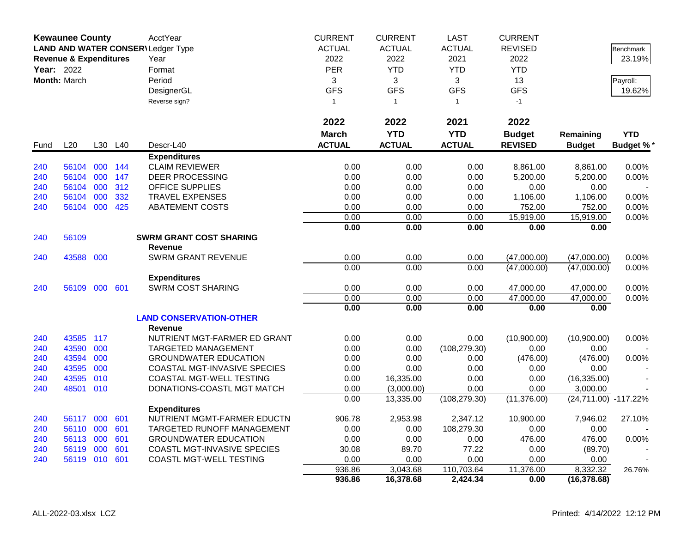|      | <b>Kewaunee County</b>            |     |     | AcctYear                                 | <b>CURRENT</b> | <b>CURRENT</b> | <b>LAST</b>   | <b>CURRENT</b> |                      |                 |
|------|-----------------------------------|-----|-----|------------------------------------------|----------------|----------------|---------------|----------------|----------------------|-----------------|
|      |                                   |     |     | <b>LAND AND WATER CONSER\Ledger Type</b> | <b>ACTUAL</b>  | <b>ACTUAL</b>  | <b>ACTUAL</b> | <b>REVISED</b> |                      | Benchmark       |
|      | <b>Revenue &amp; Expenditures</b> |     |     | Year                                     | 2022           | 2022           | 2021          | 2022           |                      | 23.19%          |
|      | <b>Year: 2022</b>                 |     |     | Format                                   | <b>PER</b>     | <b>YTD</b>     | <b>YTD</b>    | <b>YTD</b>     |                      |                 |
|      | Month: March                      |     |     | Period                                   | 3              | 3              | 3             | 13             |                      | Payroll:        |
|      |                                   |     |     | DesignerGL                               | <b>GFS</b>     | <b>GFS</b>     | <b>GFS</b>    | <b>GFS</b>     |                      | 19.62%          |
|      |                                   |     |     | Reverse sign?                            | $\mathbf{1}$   | $\overline{1}$ | $\mathbf{1}$  | $-1$           |                      |                 |
|      |                                   |     |     |                                          |                |                |               |                |                      |                 |
|      |                                   |     |     |                                          | 2022           | 2022           | 2021          | 2022           |                      |                 |
|      |                                   |     |     |                                          | <b>March</b>   | <b>YTD</b>     | <b>YTD</b>    | <b>Budget</b>  | Remaining            | <b>YTD</b>      |
| Fund | L20                               | L30 | L40 | Descr-L40                                | <b>ACTUAL</b>  | <b>ACTUAL</b>  | <b>ACTUAL</b> | <b>REVISED</b> | <b>Budget</b>        | <b>Budget %</b> |
|      |                                   |     |     | <b>Expenditures</b>                      |                |                |               |                |                      |                 |
| 240  | 56104                             | 000 | 144 | <b>CLAIM REVIEWER</b>                    | 0.00           | 0.00           | 0.00          | 8,861.00       | 8,861.00             | 0.00%           |
| 240  | 56104 000                         |     | 147 | <b>DEER PROCESSING</b>                   | 0.00           | 0.00           | 0.00          | 5,200.00       | 5,200.00             | 0.00%           |
| 240  | 56104                             | 000 | 312 | <b>OFFICE SUPPLIES</b>                   | 0.00           | 0.00           | 0.00          | 0.00           | 0.00                 |                 |
| 240  | 56104                             | 000 | 332 | <b>TRAVEL EXPENSES</b>                   | 0.00           | 0.00           | 0.00          | 1,106.00       | 1,106.00             | 0.00%           |
| 240  | 56104 000                         |     | 425 | ABATEMENT COSTS                          | 0.00           | 0.00           | 0.00          | 752.00         | 752.00               | 0.00%           |
|      |                                   |     |     |                                          | 0.00           | 0.00           | 0.00          | 15,919.00      | 15,919.00            | 0.00%           |
|      |                                   |     |     |                                          | 0.00           | 0.00           | 0.00          | 0.00           | 0.00                 |                 |
| 240  | 56109                             |     |     | <b>SWRM GRANT COST SHARING</b>           |                |                |               |                |                      |                 |
|      |                                   |     |     | <b>Revenue</b>                           |                |                |               |                |                      |                 |
| 240  | 43588 000                         |     |     | <b>SWRM GRANT REVENUE</b>                | 0.00           | 0.00           | 0.00          | (47,000.00)    | (47,000.00)          | 0.00%           |
|      |                                   |     |     |                                          | 0.00           | 0.00           | 0.00          | (47,000.00)    | (47,000.00)          | 0.00%           |
|      |                                   |     |     | <b>Expenditures</b>                      |                |                |               |                |                      |                 |
| 240  | 56109 000 601                     |     |     | <b>SWRM COST SHARING</b>                 | 0.00           | 0.00           | 0.00          | 47,000.00      | 47,000.00            | 0.00%           |
|      |                                   |     |     |                                          | 0.00           | 0.00           | 0.00          | 47,000.00      | 47,000.00            | 0.00%           |
|      |                                   |     |     |                                          | 0.00           | 0.00           | 0.00          | 0.00           | 0.00                 |                 |
|      |                                   |     |     | <b>LAND CONSERVATION-OTHER</b>           |                |                |               |                |                      |                 |
|      |                                   |     |     | <b>Revenue</b>                           |                |                |               |                |                      |                 |
| 240  | 43585 117                         |     |     | NUTRIENT MGT-FARMER ED GRANT             | 0.00           | 0.00           | 0.00          | (10,900.00)    | (10,900.00)          | 0.00%           |
| 240  | 43590                             | 000 |     | <b>TARGETED MANAGEMENT</b>               | 0.00           | 0.00           | (108, 279.30) | 0.00           | 0.00                 |                 |
| 240  | 43594                             | 000 |     | <b>GROUNDWATER EDUCATION</b>             | 0.00           | 0.00           | 0.00          | (476.00)       | (476.00)             | 0.00%           |
| 240  | 43595                             | 000 |     | <b>COASTAL MGT-INVASIVE SPECIES</b>      | 0.00           | 0.00           | 0.00          | 0.00           | 0.00                 |                 |
| 240  | 43595                             | 010 |     | <b>COASTAL MGT-WELL TESTING</b>          | 0.00           | 16,335.00      | 0.00          | 0.00           | (16, 335.00)         |                 |
| 240  | 48501 010                         |     |     | DONATIONS-COASTL MGT MATCH               | 0.00           | (3,000.00)     | 0.00          | 0.00           | 3,000.00             |                 |
|      |                                   |     |     |                                          | 0.00           | 13,335.00      | (108, 279.30) | (11, 376.00)   | (24,711.00) -117.22% |                 |
|      |                                   |     |     | <b>Expenditures</b>                      |                |                |               |                |                      |                 |
| 240  | 56117 000                         |     | 601 | NUTRIENT MGMT-FARMER EDUCTN              | 906.78         | 2,953.98       | 2,347.12      | 10,900.00      | 7,946.02             | 27.10%          |
| 240  | 56110 000                         |     | 601 | <b>TARGETED RUNOFF MANAGEMENT</b>        | 0.00           | 0.00           | 108,279.30    | 0.00           | 0.00                 |                 |
| 240  | 56113 000                         |     | 601 | <b>GROUNDWATER EDUCATION</b>             | 0.00           | 0.00           | 0.00          | 476.00         | 476.00               | 0.00%           |
| 240  | 56119 000                         |     | 601 | COASTL MGT-INVASIVE SPECIES              | 30.08          | 89.70          | 77.22         | 0.00           | (89.70)              |                 |
| 240  | 56119 010 601                     |     |     | COASTL MGT-WELL TESTING                  | 0.00           | 0.00           | 0.00          | 0.00           | 0.00                 |                 |
|      |                                   |     |     |                                          | 936.86         | 3,043.68       | 110,703.64    | 11,376.00      | 8,332.32             | 26.76%          |
|      |                                   |     |     |                                          | 936.86         | 16,378.68      | 2,424.34      | 0.00           | (16, 378.68)         |                 |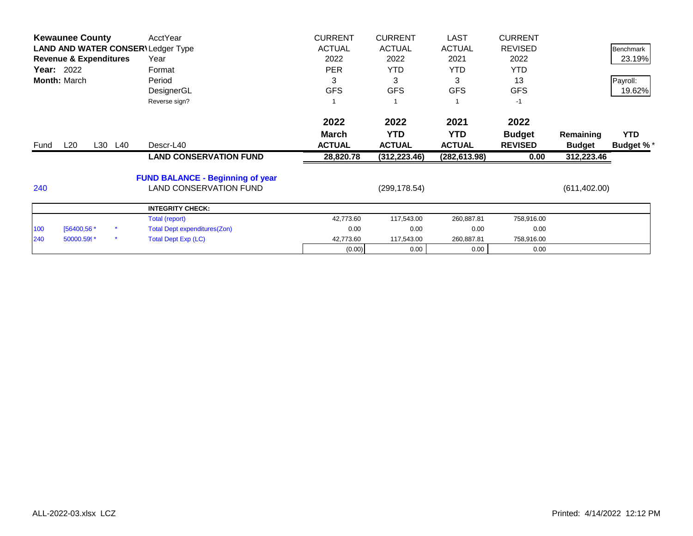|                     | <b>Kewaunee County</b>            |         | AcctYear                                 | <b>CURRENT</b> | <b>CURRENT</b> | <b>LAST</b>   | <b>CURRENT</b> |               |                  |
|---------------------|-----------------------------------|---------|------------------------------------------|----------------|----------------|---------------|----------------|---------------|------------------|
|                     |                                   |         | <b>LAND AND WATER CONSER\Ledger Type</b> | <b>ACTUAL</b>  | <b>ACTUAL</b>  | <b>ACTUAL</b> | <b>REVISED</b> |               | <b>Benchmark</b> |
|                     | <b>Revenue &amp; Expenditures</b> |         | Year                                     | 2022           | 2022           | 2021          | 2022           |               | 23.19%           |
| Year: 2022          |                                   |         | Format                                   | <b>PER</b>     | YTD            | YTD.          | <b>YTD</b>     |               |                  |
| <b>Month: March</b> |                                   |         | Period                                   | 3              | 3              | 3             | 13             |               | Payroll:         |
|                     |                                   |         | DesignerGL                               | <b>GFS</b>     | <b>GFS</b>     | <b>GFS</b>    | <b>GFS</b>     |               | 19.62%           |
|                     |                                   |         | Reverse sign?                            |                |                |               | $-1$           |               |                  |
|                     |                                   |         |                                          | 2022           | 2022           | 2021          | 2022           |               |                  |
|                     |                                   |         |                                          | <b>March</b>   | <b>YTD</b>     | <b>YTD</b>    | <b>Budget</b>  | Remaining     | <b>YTD</b>       |
| Fund                | $L_{20}$                          | L30 L40 | Descr-L40                                | <b>ACTUAL</b>  | <b>ACTUAL</b>  | <b>ACTUAL</b> | <b>REVISED</b> | <b>Budget</b> | <b>Budget %*</b> |
|                     |                                   |         | <b>LAND CONSERVATION FUND</b>            | 28,820.78      | (312, 223.46)  | (282, 613.98) | 0.00           | 312,223.46    |                  |
|                     |                                   |         | <b>FUND BALANCE - Beginning of year</b>  |                |                |               |                |               |                  |
| 240                 |                                   |         | <b>LAND CONSERVATION FUND</b>            |                | (299, 178.54)  |               |                | (611, 402.00) |                  |
|                     |                                   |         | <b>INTEGRITY CHECK:</b>                  |                |                |               |                |               |                  |
|                     |                                   |         | Total (report)                           | 42,773.60      | 117,543.00     | 260,887.81    | 758,916.00     |               |                  |
| 100                 | [56400,56 *                       |         | <b>Total Dept expenditures(Zon)</b>      | 0.00           | 0.00           | 0.00          | 0.00           |               |                  |
| 240                 | 50000.599*                        |         | <b>Total Dept Exp (LC)</b>               | 42,773.60      | 117,543.00     | 260,887.81    | 758,916.00     |               |                  |
|                     |                                   |         |                                          | (0.00)         | 0.00           | 0.00          | 0.00           |               |                  |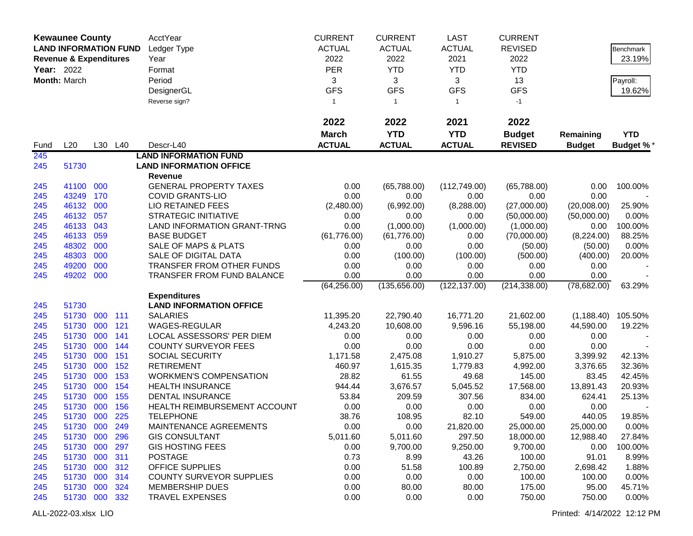|            | <b>Kewaunee County</b>            |     |         | AcctYear                           | <b>CURRENT</b> | <b>CURRENT</b> | <b>LAST</b>   | <b>CURRENT</b> |               |            |
|------------|-----------------------------------|-----|---------|------------------------------------|----------------|----------------|---------------|----------------|---------------|------------|
|            | <b>LAND INFORMATION FUND</b>      |     |         | Ledger Type                        | <b>ACTUAL</b>  | <b>ACTUAL</b>  | <b>ACTUAL</b> | <b>REVISED</b> |               | Benchmark  |
|            | <b>Revenue &amp; Expenditures</b> |     |         | Year                               | 2022           | 2022           | 2021          | 2022           |               | 23.19%     |
| Year: 2022 |                                   |     |         | Format                             | <b>PER</b>     | <b>YTD</b>     | <b>YTD</b>    | <b>YTD</b>     |               |            |
|            | Month: March                      |     |         | Period                             | 3              | 3              | 3             | 13             |               | Payroll:   |
|            |                                   |     |         | DesignerGL                         | <b>GFS</b>     | <b>GFS</b>     | <b>GFS</b>    | <b>GFS</b>     |               | 19.62%     |
|            |                                   |     |         | Reverse sign?                      | $\mathbf{1}$   | $\mathbf{1}$   | $\mathbf{1}$  | $-1$           |               |            |
|            |                                   |     |         |                                    |                |                |               |                |               |            |
|            |                                   |     |         |                                    | 2022           | 2022           | 2021          | 2022           |               |            |
|            |                                   |     |         |                                    | <b>March</b>   | <b>YTD</b>     | <b>YTD</b>    | <b>Budget</b>  | Remaining     | <b>YTD</b> |
| Fund       | L20                               |     | L30 L40 | Descr-L40                          | <b>ACTUAL</b>  | <b>ACTUAL</b>  | <b>ACTUAL</b> | <b>REVISED</b> | <b>Budget</b> | Budget %*  |
| 245        |                                   |     |         | <b>LAND INFORMATION FUND</b>       |                |                |               |                |               |            |
| 245        | 51730                             |     |         | <b>LAND INFORMATION OFFICE</b>     |                |                |               |                |               |            |
|            |                                   |     |         | Revenue                            |                |                |               |                |               |            |
| 245        | 41100 000                         |     |         | <b>GENERAL PROPERTY TAXES</b>      | 0.00           | (65,788.00)    | (112,749.00)  | (65,788.00)    | 0.00          | 100.00%    |
| 245        | 43249                             | 170 |         | <b>COVID GRANTS-LIO</b>            | 0.00           | 0.00           | 0.00          | 0.00           | 0.00          |            |
| 245        | 46132 000                         |     |         | <b>LIO RETAINED FEES</b>           | (2,480.00)     | (6,992.00)     | (8, 288.00)   | (27,000.00)    | (20,008.00)   | 25.90%     |
| 245        | 46132                             | 057 |         | <b>STRATEGIC INITIATIVE</b>        | 0.00           | 0.00           | 0.00          | (50,000.00)    | (50,000.00)   | 0.00%      |
| 245        | 46133                             | 043 |         | <b>LAND INFORMATION GRANT-TRNG</b> | 0.00           | (1,000.00)     | (1,000.00)    | (1,000.00)     | 0.00          | 100.00%    |
| 245        | 46133                             | 059 |         | <b>BASE BUDGET</b>                 | (61, 776.00)   | (61,776.00)    | 0.00          | (70,000.00)    | (8,224.00)    | 88.25%     |
| 245        | 48302                             | 000 |         | <b>SALE OF MAPS &amp; PLATS</b>    | 0.00           | 0.00           | 0.00          | (50.00)        | (50.00)       | 0.00%      |
| 245        | 48303                             | 000 |         | SALE OF DIGITAL DATA               | 0.00           | (100.00)       | (100.00)      | (500.00)       | (400.00)      | 20.00%     |
| 245        | 49200                             | 000 |         | TRANSFER FROM OTHER FUNDS          | 0.00           | 0.00           | 0.00          | 0.00           | 0.00          |            |
| 245        | 49202 000                         |     |         | TRANSFER FROM FUND BALANCE         | 0.00           | 0.00           | 0.00          | 0.00           | 0.00          |            |
|            |                                   |     |         | <b>Expenditures</b>                | (64, 256.00)   | (135, 656.00)  | (122, 137.00) | (214, 338.00)  | (78, 682.00)  | 63.29%     |
| 245        | 51730                             |     |         | <b>LAND INFORMATION OFFICE</b>     |                |                |               |                |               |            |
| 245        | 51730                             | 000 | 111     | <b>SALARIES</b>                    | 11,395.20      | 22,790.40      | 16,771.20     | 21,602.00      | (1, 188.40)   | 105.50%    |
| 245        | 51730                             | 000 | 121     | WAGES-REGULAR                      | 4,243.20       | 10,608.00      | 9,596.16      | 55,198.00      | 44,590.00     | 19.22%     |
| 245        | 51730                             | 000 | 141     | LOCAL ASSESSORS' PER DIEM          | 0.00           | 0.00           | 0.00          | 0.00           | 0.00          |            |
| 245        | 51730                             | 000 | 144     | <b>COUNTY SURVEYOR FEES</b>        | 0.00           | 0.00           | 0.00          | 0.00           | 0.00          |            |
| 245        | 51730                             | 000 | 151     | <b>SOCIAL SECURITY</b>             | 1,171.58       | 2,475.08       | 1,910.27      | 5,875.00       | 3,399.92      | 42.13%     |
| 245        | 51730                             | 000 | 152     | <b>RETIREMENT</b>                  | 460.97         | 1,615.35       | 1,779.83      | 4,992.00       | 3,376.65      | 32.36%     |
| 245        | 51730                             | 000 | 153     | <b>WORKMEN'S COMPENSATION</b>      | 28.82          | 61.55          | 49.68         | 145.00         | 83.45         | 42.45%     |
| 245        | 51730                             | 000 | 154     | <b>HEALTH INSURANCE</b>            | 944.44         | 3,676.57       | 5,045.52      | 17,568.00      | 13,891.43     | 20.93%     |
| 245        | 51730                             | 000 | 155     | <b>DENTAL INSURANCE</b>            | 53.84          | 209.59         | 307.56        | 834.00         | 624.41        | 25.13%     |
| 245        | 51730                             | 000 | 156     | HEALTH REIMBURSEMENT ACCOUNT       | 0.00           | 0.00           | 0.00          | 0.00           | 0.00          |            |
| 245        | 51730 000                         |     | 225     | <b>TELEPHONE</b>                   | 38.76          | 108.95         | 82.10         | 549.00         | 440.05        | 19.85%     |
| 245        | 51730 000                         |     | 249     | MAINTENANCE AGREEMENTS             | 0.00           | 0.00           | 21,820.00     | 25,000.00      | 25,000.00     | $0.00\%$   |
| 245        | 51730 000                         |     | 296     | <b>GIS CONSULTANT</b>              | 5,011.60       | 5,011.60       | 297.50        | 18,000.00      | 12,988.40     | 27.84%     |
| 245        | 51730 000                         |     | 297     | <b>GIS HOSTING FEES</b>            | 0.00           | 9,700.00       | 9,250.00      | 9,700.00       | 0.00          | 100.00%    |
| 245        | 51730 000                         |     | 311     | <b>POSTAGE</b>                     | 0.73           | 8.99           | 43.26         | 100.00         | 91.01         | 8.99%      |
| 245        | 51730 000                         |     | 312     | <b>OFFICE SUPPLIES</b>             | 0.00           | 51.58          | 100.89        | 2,750.00       | 2,698.42      | 1.88%      |
| 245        | 51730 000                         |     | 314     | <b>COUNTY SURVEYOR SUPPLIES</b>    | 0.00           | 0.00           | 0.00          | 100.00         | 100.00        | 0.00%      |
| 245        | 51730 000                         |     | 324     | <b>MEMBERSHIP DUES</b>             | 0.00           | 80.00          | 80.00         | 175.00         | 95.00         | 45.71%     |
| 245        | 51730 000 332                     |     |         | <b>TRAVEL EXPENSES</b>             | 0.00           | 0.00           | 0.00          | 750.00         | 750.00        | 0.00%      |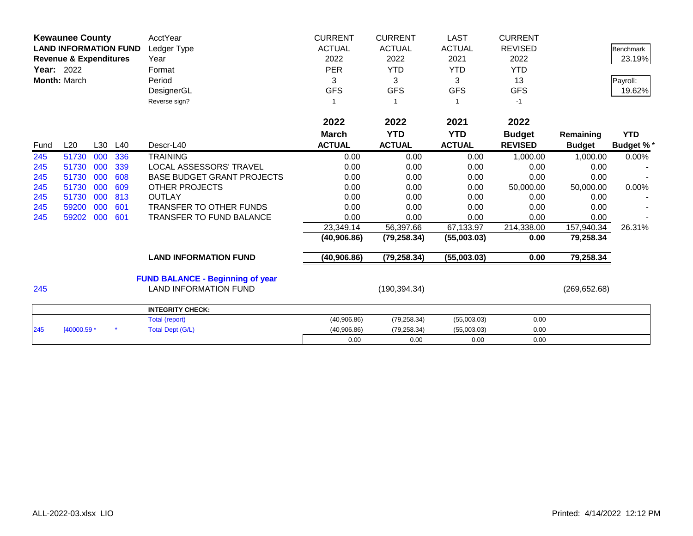|      | <b>Kewaunee County</b><br><b>LAND INFORMATION FUND</b><br><b>Revenue &amp; Expenditures</b><br><b>Year: 2022</b><br>Month: March |     |     | AcctYear<br>Ledger Type<br>Year<br>Format<br>Period<br>DesignerGL<br>Reverse sign? | <b>CURRENT</b><br><b>ACTUAL</b><br>2022<br><b>PER</b><br>3<br><b>GFS</b> | <b>CURRENT</b><br><b>ACTUAL</b><br>2022<br><b>YTD</b><br>3<br><b>GFS</b> | <b>LAST</b><br><b>ACTUAL</b><br>2021<br><b>YTD</b><br>3<br><b>GFS</b> | <b>CURRENT</b><br><b>REVISED</b><br>2022<br><b>YTD</b><br>13<br><b>GFS</b><br>$-1$ |               | <b>Benchmark</b><br>23.19%<br>Payroll:<br>19.62% |
|------|----------------------------------------------------------------------------------------------------------------------------------|-----|-----|------------------------------------------------------------------------------------|--------------------------------------------------------------------------|--------------------------------------------------------------------------|-----------------------------------------------------------------------|------------------------------------------------------------------------------------|---------------|--------------------------------------------------|
|      |                                                                                                                                  |     |     |                                                                                    | 2022                                                                     | 2022                                                                     | 2021                                                                  | 2022                                                                               |               |                                                  |
|      |                                                                                                                                  |     |     |                                                                                    | <b>March</b>                                                             | <b>YTD</b>                                                               | <b>YTD</b>                                                            | <b>Budget</b>                                                                      | Remaining     | <b>YTD</b>                                       |
| Fund | L20                                                                                                                              | L30 | L40 | Descr-L40                                                                          | <b>ACTUAL</b>                                                            | <b>ACTUAL</b>                                                            | <b>ACTUAL</b>                                                         | <b>REVISED</b>                                                                     | <b>Budget</b> | <b>Budget %*</b>                                 |
| 245  | 51730                                                                                                                            | 000 | 336 | <b>TRAINING</b>                                                                    | 0.00                                                                     | 0.00                                                                     | 0.00                                                                  | 1,000.00                                                                           | 1,000.00      | 0.00%                                            |
| 245  | 51730                                                                                                                            | 000 | 339 | LOCAL ASSESSORS' TRAVEL                                                            | 0.00                                                                     | 0.00                                                                     | 0.00                                                                  | 0.00                                                                               | 0.00          |                                                  |
| 245  | 51730                                                                                                                            | 000 | 608 | <b>BASE BUDGET GRANT PROJECTS</b>                                                  | 0.00                                                                     | 0.00                                                                     | 0.00                                                                  | 0.00                                                                               | 0.00          |                                                  |
| 245  | 51730                                                                                                                            | 000 | 609 | <b>OTHER PROJECTS</b>                                                              | 0.00                                                                     | 0.00                                                                     | 0.00                                                                  | 50,000.00                                                                          | 50,000.00     | 0.00%                                            |
| 245  | 51730                                                                                                                            | 000 | 813 | <b>OUTLAY</b>                                                                      | 0.00                                                                     | 0.00                                                                     | 0.00                                                                  | 0.00                                                                               | 0.00          |                                                  |
| 245  | 59200                                                                                                                            | 000 | 601 | <b>TRANSFER TO OTHER FUNDS</b>                                                     | 0.00                                                                     | 0.00                                                                     | 0.00                                                                  | 0.00                                                                               | 0.00          |                                                  |
| 245  | 59202                                                                                                                            | 000 | 601 | <b>TRANSFER TO FUND BALANCE</b>                                                    | 0.00                                                                     | 0.00                                                                     | 0.00                                                                  | 0.00                                                                               | 0.00          |                                                  |
|      |                                                                                                                                  |     |     |                                                                                    | 23,349.14                                                                | 56,397.66                                                                | 67,133.97                                                             | 214,338.00                                                                         | 157,940.34    | 26.31%                                           |
|      |                                                                                                                                  |     |     |                                                                                    | (40,906.86)                                                              | (79, 258.34)                                                             | (55,003.03)                                                           | 0.00                                                                               | 79,258.34     |                                                  |
|      |                                                                                                                                  |     |     | <b>LAND INFORMATION FUND</b>                                                       | (40,906.86)                                                              | (79, 258.34)                                                             | (55,003.03)                                                           | 0.00                                                                               | 79,258.34     |                                                  |
|      |                                                                                                                                  |     |     | <b>FUND BALANCE - Beginning of year</b>                                            |                                                                          |                                                                          |                                                                       |                                                                                    |               |                                                  |
| 245  |                                                                                                                                  |     |     | <b>LAND INFORMATION FUND</b>                                                       |                                                                          | (190, 394.34)                                                            |                                                                       |                                                                                    | (269, 652.68) |                                                  |
|      |                                                                                                                                  |     |     | <b>INTEGRITY CHECK:</b>                                                            |                                                                          |                                                                          |                                                                       |                                                                                    |               |                                                  |
|      |                                                                                                                                  |     |     | Total (report)                                                                     | (40,906.86)                                                              | (79, 258.34)                                                             | (55,003.03)                                                           | 0.00                                                                               |               |                                                  |
| 245  | [40000.59 *                                                                                                                      |     |     | <b>Total Dept (G/L)</b>                                                            | (40,906.86)                                                              | (79, 258.34)                                                             | (55,003.03)                                                           | 0.00                                                                               |               |                                                  |
|      |                                                                                                                                  |     |     |                                                                                    | 0.00                                                                     | 0.00                                                                     | 0.00                                                                  | 0.00                                                                               |               |                                                  |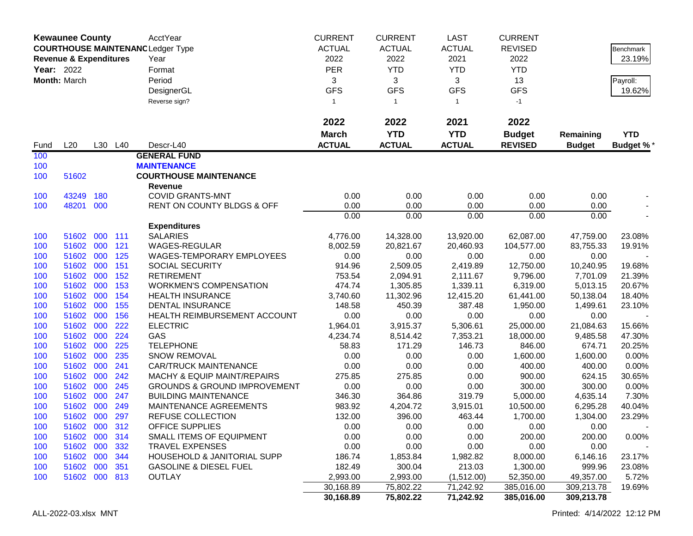| <b>Kewaunee County</b><br><b>COURTHOUSE MAINTENANC Ledger Type</b><br><b>Revenue &amp; Expenditures</b><br>Year: 2022<br>Month: March |                            |            | AcctYear<br>Year<br>Format<br>Period<br>DesignerGL<br>Reverse sign? | <b>CURRENT</b><br><b>ACTUAL</b><br>2022<br>PER<br>3<br><b>GFS</b><br>$\mathbf{1}$ | <b>CURRENT</b><br><b>ACTUAL</b><br>2022<br><b>YTD</b><br>3<br><b>GFS</b><br>$\overline{1}$ | <b>LAST</b><br><b>ACTUAL</b><br>2021<br><b>YTD</b><br>3<br><b>GFS</b><br>$\mathbf{1}$ | <b>CURRENT</b><br><b>REVISED</b><br>2022<br><b>YTD</b><br>13<br><b>GFS</b><br>$-1$ |                                 | Benchmark<br>23.19%<br>Payroll:<br>19.62% |                                |
|---------------------------------------------------------------------------------------------------------------------------------------|----------------------------|------------|---------------------------------------------------------------------|-----------------------------------------------------------------------------------|--------------------------------------------------------------------------------------------|---------------------------------------------------------------------------------------|------------------------------------------------------------------------------------|---------------------------------|-------------------------------------------|--------------------------------|
|                                                                                                                                       |                            |            |                                                                     |                                                                                   | 2022                                                                                       | 2022                                                                                  | 2021                                                                               | 2022                            |                                           |                                |
| Fund                                                                                                                                  | L20                        |            | L30 L40                                                             | Descr-L40                                                                         | <b>March</b><br><b>ACTUAL</b>                                                              | <b>YTD</b><br><b>ACTUAL</b>                                                           | <b>YTD</b><br><b>ACTUAL</b>                                                        | <b>Budget</b><br><b>REVISED</b> | Remaining<br><b>Budget</b>                | <b>YTD</b><br><b>Budget %*</b> |
| 100                                                                                                                                   |                            |            |                                                                     | <b>GENERAL FUND</b>                                                               |                                                                                            |                                                                                       |                                                                                    |                                 |                                           |                                |
| 100                                                                                                                                   |                            |            |                                                                     | <b>MAINTENANCE</b>                                                                |                                                                                            |                                                                                       |                                                                                    |                                 |                                           |                                |
| 100                                                                                                                                   | 51602                      |            |                                                                     | <b>COURTHOUSE MAINTENANCE</b>                                                     |                                                                                            |                                                                                       |                                                                                    |                                 |                                           |                                |
|                                                                                                                                       |                            |            |                                                                     | <b>Revenue</b>                                                                    |                                                                                            |                                                                                       |                                                                                    |                                 |                                           |                                |
| 100<br>100                                                                                                                            | 43249<br>48201             | 180<br>000 |                                                                     | <b>COVID GRANTS-MNT</b><br>RENT ON COUNTY BLDGS & OFF                             | 0.00<br>0.00                                                                               | 0.00<br>0.00                                                                          | 0.00<br>0.00                                                                       | 0.00<br>0.00                    | 0.00<br>0.00                              |                                |
|                                                                                                                                       |                            |            |                                                                     |                                                                                   | 0.00                                                                                       | 0.00                                                                                  | 0.00                                                                               | 0.00                            | 0.00                                      |                                |
|                                                                                                                                       |                            |            |                                                                     | <b>Expenditures</b>                                                               |                                                                                            |                                                                                       |                                                                                    |                                 |                                           |                                |
| 100                                                                                                                                   | 51602                      | 000        | 111                                                                 | <b>SALARIES</b>                                                                   | 4,776.00                                                                                   | 14,328.00                                                                             | 13,920.00                                                                          | 62,087.00                       | 47,759.00                                 | 23.08%                         |
| 100                                                                                                                                   | 51602                      | 000        | 121                                                                 | WAGES-REGULAR                                                                     | 8,002.59                                                                                   | 20,821.67                                                                             | 20,460.93                                                                          | 104,577.00                      | 83,755.33                                 | 19.91%                         |
| 100                                                                                                                                   | 51602                      | 000        | 125                                                                 | <b>WAGES-TEMPORARY EMPLOYEES</b>                                                  | 0.00                                                                                       | 0.00                                                                                  | 0.00                                                                               | 0.00                            | 0.00                                      |                                |
| 100                                                                                                                                   | 51602                      | 000        | 151                                                                 | SOCIAL SECURITY                                                                   | 914.96                                                                                     | 2,509.05                                                                              | 2,419.89                                                                           | 12,750.00                       | 10,240.95                                 | 19.68%                         |
| 100                                                                                                                                   | 51602                      | 000        | 152                                                                 | <b>RETIREMENT</b>                                                                 | 753.54                                                                                     | 2,094.91                                                                              | 2,111.67                                                                           | 9,796.00                        | 7,701.09                                  | 21.39%                         |
| 100                                                                                                                                   | 51602                      | 000        | 153                                                                 | <b>WORKMEN'S COMPENSATION</b>                                                     | 474.74                                                                                     | 1,305.85                                                                              | 1,339.11                                                                           | 6,319.00                        | 5,013.15                                  | 20.67%                         |
| 100                                                                                                                                   | 51602                      | 000        | 154                                                                 | <b>HEALTH INSURANCE</b>                                                           | 3,740.60                                                                                   | 11,302.96                                                                             | 12,415.20                                                                          | 61,441.00                       | 50,138.04                                 | 18.40%                         |
| 100                                                                                                                                   | 51602                      | 000        | 155                                                                 | DENTAL INSURANCE                                                                  | 148.58                                                                                     | 450.39                                                                                | 387.48                                                                             | 1,950.00                        | 1,499.61                                  | 23.10%                         |
| 100                                                                                                                                   | 51602<br>51602             | 000<br>000 | 156<br>222                                                          | HEALTH REIMBURSEMENT ACCOUNT<br><b>ELECTRIC</b>                                   | 0.00<br>1,964.01                                                                           | 0.00<br>3,915.37                                                                      | 0.00<br>5,306.61                                                                   | 0.00<br>25,000.00               | 0.00<br>21,084.63                         | 15.66%                         |
| 100<br>100                                                                                                                            | 51602                      | 000        | 224                                                                 | GAS                                                                               | 4,234.74                                                                                   | 8,514.42                                                                              | 7,353.21                                                                           | 18,000.00                       | 9,485.58                                  | 47.30%                         |
| 100                                                                                                                                   | 51602                      | 000        | 225                                                                 | <b>TELEPHONE</b>                                                                  | 58.83                                                                                      | 171.29                                                                                | 146.73                                                                             | 846.00                          | 674.71                                    | 20.25%                         |
| 100                                                                                                                                   | 51602                      | 000        | 235                                                                 | <b>SNOW REMOVAL</b>                                                               | 0.00                                                                                       | 0.00                                                                                  | 0.00                                                                               | 1,600.00                        | 1,600.00                                  | 0.00%                          |
| 100                                                                                                                                   | 51602                      | 000        | 241                                                                 | <b>CAR/TRUCK MAINTENANCE</b>                                                      | 0.00                                                                                       | 0.00                                                                                  | 0.00                                                                               | 400.00                          | 400.00                                    | 0.00%                          |
| 100                                                                                                                                   | 51602                      | 000        | 242                                                                 | <b>MACHY &amp; EQUIP MAINT/REPAIRS</b>                                            | 275.85                                                                                     | 275.85                                                                                | 0.00                                                                               | 900.00                          | 624.15                                    | 30.65%                         |
| 100                                                                                                                                   | 51602                      | 000        | 245                                                                 | <b>GROUNDS &amp; GROUND IMPROVEMENT</b>                                           | 0.00                                                                                       | 0.00                                                                                  | 0.00                                                                               | 300.00                          | 300.00                                    | 0.00%                          |
| 100                                                                                                                                   | 51602                      | 000        | 247                                                                 | <b>BUILDING MAINTENANCE</b>                                                       | 346.30                                                                                     | 364.86                                                                                | 319.79                                                                             | 5,000.00                        | 4,635.14                                  | 7.30%                          |
| 100                                                                                                                                   | 51602                      | 000        | 249                                                                 | MAINTENANCE AGREEMENTS                                                            | 983.92                                                                                     | 4,204.72                                                                              | 3,915.01                                                                           | 10,500.00                       | 6,295.28                                  | 40.04%                         |
| 100                                                                                                                                   | 51602 000                  |            | 297                                                                 | REFUSE COLLECTION                                                                 | 132.00                                                                                     | 396.00                                                                                | 463.44                                                                             | 1,700.00                        | 1,304.00                                  | 23.29%                         |
| 100                                                                                                                                   | 51602 000 312              |            |                                                                     | OFFICE SUPPLIES                                                                   | 0.00                                                                                       | 0.00                                                                                  | 0.00                                                                               | 0.00                            | 0.00                                      |                                |
| 100                                                                                                                                   | 51602 000 314              |            |                                                                     | SMALL ITEMS OF EQUIPMENT                                                          | 0.00                                                                                       | 0.00                                                                                  | 0.00                                                                               | 200.00                          | 200.00                                    | 0.00%                          |
| 100                                                                                                                                   | 51602 000                  |            | 332                                                                 | <b>TRAVEL EXPENSES</b>                                                            | 0.00                                                                                       | 0.00                                                                                  | 0.00                                                                               | 0.00                            | 0.00                                      |                                |
| 100                                                                                                                                   | 51602 000 344<br>51602 000 |            | 351                                                                 | HOUSEHOLD & JANITORIAL SUPP<br><b>GASOLINE &amp; DIESEL FUEL</b>                  | 186.74<br>182.49                                                                           | 1,853.84<br>300.04                                                                    | 1,982.82<br>213.03                                                                 | 8,000.00<br>1,300.00            | 6,146.16<br>999.96                        | 23.17%<br>23.08%               |
| 100<br>100                                                                                                                            | 51602 000 813              |            |                                                                     | <b>OUTLAY</b>                                                                     | 2,993.00                                                                                   | 2,993.00                                                                              | (1,512.00)                                                                         | 52,350.00                       | 49,357.00                                 | 5.72%                          |
|                                                                                                                                       |                            |            |                                                                     |                                                                                   | 30,168.89                                                                                  | 75,802.22                                                                             | 71,242.92                                                                          | 385,016.00                      | 309,213.78                                | 19.69%                         |
|                                                                                                                                       |                            |            |                                                                     |                                                                                   | 30,168.89                                                                                  | 75,802.22                                                                             | 71,242.92                                                                          | 385,016.00                      | 309,213.78                                |                                |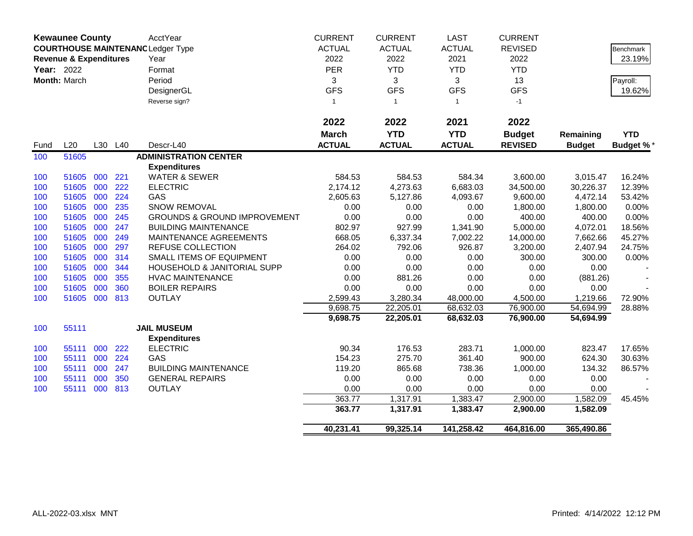|            | <b>Kewaunee County</b>            |     |     | AcctYear                                 | <b>CURRENT</b> | <b>CURRENT</b> | <b>LAST</b>   | <b>CURRENT</b> |               |                  |
|------------|-----------------------------------|-----|-----|------------------------------------------|----------------|----------------|---------------|----------------|---------------|------------------|
|            |                                   |     |     | <b>COURTHOUSE MAINTENANC Ledger Type</b> | <b>ACTUAL</b>  | <b>ACTUAL</b>  | <b>ACTUAL</b> | <b>REVISED</b> |               | Benchmark        |
|            | <b>Revenue &amp; Expenditures</b> |     |     | Year                                     | 2022           | 2022           | 2021          | 2022           |               | 23.19%           |
| Year: 2022 |                                   |     |     | Format                                   | PER            | <b>YTD</b>     | <b>YTD</b>    | <b>YTD</b>     |               |                  |
|            | Month: March                      |     |     | Period                                   | 3              | 3              | 3             | 13             |               | Payroll:         |
|            |                                   |     |     | DesignerGL                               | <b>GFS</b>     | <b>GFS</b>     | <b>GFS</b>    | <b>GFS</b>     |               | 19.62%           |
|            |                                   |     |     | Reverse sign?                            | $\overline{1}$ | $\mathbf{1}$   | $\mathbf{1}$  | $-1$           |               |                  |
|            |                                   |     |     |                                          |                |                |               |                |               |                  |
|            |                                   |     |     |                                          | 2022           | 2022           | 2021          | 2022           |               |                  |
|            |                                   |     |     |                                          | <b>March</b>   | <b>YTD</b>     | <b>YTD</b>    | <b>Budget</b>  | Remaining     | <b>YTD</b>       |
| Fund       | L20                               | L30 | L40 | Descr-L40                                | <b>ACTUAL</b>  | <b>ACTUAL</b>  | <b>ACTUAL</b> | <b>REVISED</b> | <b>Budget</b> | <b>Budget %*</b> |
| 100        | 51605                             |     |     | <b>ADMINISTRATION CENTER</b>             |                |                |               |                |               |                  |
|            |                                   |     |     | <b>Expenditures</b>                      |                |                |               |                |               |                  |
| 100        | 51605                             | 000 | 221 | <b>WATER &amp; SEWER</b>                 | 584.53         | 584.53         | 584.34        | 3,600.00       | 3,015.47      | 16.24%           |
| 100        | 51605                             | 000 | 222 | <b>ELECTRIC</b>                          | 2,174.12       | 4,273.63       | 6,683.03      | 34,500.00      | 30,226.37     | 12.39%           |
| 100        | 51605                             | 000 | 224 | GAS                                      | 2,605.63       | 5,127.86       | 4,093.67      | 9,600.00       | 4,472.14      | 53.42%           |
| 100        | 51605                             | 000 | 235 | <b>SNOW REMOVAL</b>                      | 0.00           | 0.00           | 0.00          | 1,800.00       | 1,800.00      | 0.00%            |
| 100        | 51605                             | 000 | 245 | <b>GROUNDS &amp; GROUND IMPROVEMENT</b>  | 0.00           | 0.00           | 0.00          | 400.00         | 400.00        | 0.00%            |
| 100        | 51605                             | 000 | 247 | <b>BUILDING MAINTENANCE</b>              | 802.97         | 927.99         | 1,341.90      | 5,000.00       | 4,072.01      | 18.56%           |
| 100        | 51605                             | 000 | 249 | MAINTENANCE AGREEMENTS                   | 668.05         | 6,337.34       | 7,002.22      | 14,000.00      | 7,662.66      | 45.27%           |
| 100        | 51605                             | 000 | 297 | REFUSE COLLECTION                        | 264.02         | 792.06         | 926.87        | 3,200.00       | 2,407.94      | 24.75%           |
| 100        | 51605                             | 000 | 314 | <b>SMALL ITEMS OF EQUIPMENT</b>          | 0.00           | 0.00           | 0.00          | 300.00         | 300.00        | 0.00%            |
| 100        | 51605                             | 000 | 344 | <b>HOUSEHOLD &amp; JANITORIAL SUPP</b>   | 0.00           | 0.00           | 0.00          | 0.00           | 0.00          |                  |
| 100        | 51605                             | 000 | 355 | <b>HVAC MAINTENANCE</b>                  | 0.00           | 881.26         | 0.00          | 0.00           | (881.26)      |                  |
| 100        | 51605                             | 000 | 360 | <b>BOILER REPAIRS</b>                    | 0.00           | 0.00           | 0.00          | 0.00           | 0.00          |                  |
| 100        | 51605                             | 000 | 813 | <b>OUTLAY</b>                            | 2,599.43       | 3,280.34       | 48,000.00     | 4,500.00       | 1,219.66      | 72.90%           |
|            |                                   |     |     |                                          | 9,698.75       | 22,205.01      | 68,632.03     | 76,900.00      | 54,694.99     | 28.88%           |
|            |                                   |     |     |                                          | 9,698.75       | 22,205.01      | 68,632.03     | 76,900.00      | 54,694.99     |                  |
| 100        | 55111                             |     |     | <b>JAIL MUSEUM</b>                       |                |                |               |                |               |                  |
|            |                                   |     |     | <b>Expenditures</b>                      |                |                |               |                |               |                  |
| 100        | 55111                             | 000 | 222 | <b>ELECTRIC</b>                          | 90.34          | 176.53         | 283.71        | 1,000.00       | 823.47        | 17.65%           |
| 100        | 55111                             | 000 | 224 | GAS                                      | 154.23         | 275.70         | 361.40        | 900.00         | 624.30        | 30.63%           |
| 100        | 55111                             | 000 | 247 | <b>BUILDING MAINTENANCE</b>              | 119.20         | 865.68         | 738.36        | 1,000.00       | 134.32        | 86.57%           |
| 100        | 55111                             | 000 | 350 | <b>GENERAL REPAIRS</b>                   | 0.00           | 0.00           | 0.00          | 0.00           | 0.00          |                  |
| 100        | 55111                             | 000 | 813 | <b>OUTLAY</b>                            | 0.00           | 0.00           | 0.00          | 0.00           | 0.00          |                  |
|            |                                   |     |     |                                          | 363.77         | 1,317.91       | 1,383.47      | 2,900.00       | 1,582.09      | 45.45%           |
|            |                                   |     |     |                                          | 363.77         | 1,317.91       | 1,383.47      | 2,900.00       | 1,582.09      |                  |
|            |                                   |     |     |                                          | 40,231.41      | 99,325.14      | 141,258.42    | 464,816.00     | 365,490.86    |                  |
|            |                                   |     |     |                                          |                |                |               |                |               |                  |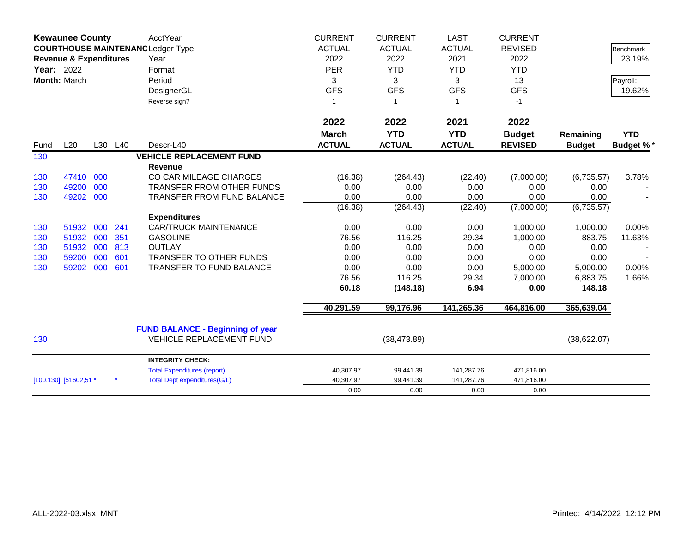| <b>Kewaunee County</b><br><b>COURTHOUSE MAINTENANC Ledger Type</b><br><b>Revenue &amp; Expenditures</b><br>Year: 2022<br>Month: March |                       |     |         | AcctYear<br>Year<br>Format<br>Period<br>DesignerGL<br>Reverse sign? | <b>CURRENT</b><br><b>ACTUAL</b><br>2022<br><b>PER</b><br>3<br><b>GFS</b><br>-1 | <b>CURRENT</b><br><b>ACTUAL</b><br>2022<br><b>YTD</b><br>3<br><b>GFS</b><br>$\overline{1}$ | <b>LAST</b><br><b>ACTUAL</b><br>2021<br><b>YTD</b><br>3<br><b>GFS</b><br>$\mathbf{1}$ | <b>CURRENT</b><br><b>REVISED</b><br>2022<br><b>YTD</b><br>13<br><b>GFS</b><br>$-1$ |                      | <b>Benchmark</b><br>23.19%<br>Payroll:<br>19.62% |
|---------------------------------------------------------------------------------------------------------------------------------------|-----------------------|-----|---------|---------------------------------------------------------------------|--------------------------------------------------------------------------------|--------------------------------------------------------------------------------------------|---------------------------------------------------------------------------------------|------------------------------------------------------------------------------------|----------------------|--------------------------------------------------|
|                                                                                                                                       |                       |     |         |                                                                     | 2022<br><b>March</b>                                                           | 2022<br><b>YTD</b>                                                                         | 2021<br><b>YTD</b>                                                                    | 2022<br><b>Budget</b>                                                              | Remaining            | <b>YTD</b>                                       |
| Fund                                                                                                                                  | L20                   |     | L30 L40 | Descr-L40                                                           | <b>ACTUAL</b>                                                                  | <b>ACTUAL</b>                                                                              | <b>ACTUAL</b>                                                                         | <b>REVISED</b>                                                                     | <b>Budget</b>        | <b>Budget %*</b>                                 |
| 130                                                                                                                                   |                       |     |         | <b>VEHICLE REPLACEMENT FUND</b><br>Revenue                          |                                                                                |                                                                                            |                                                                                       |                                                                                    |                      |                                                  |
| 130                                                                                                                                   | 47410                 | 000 |         | CO CAR MILEAGE CHARGES                                              | (16.38)                                                                        | (264.43)                                                                                   | (22.40)                                                                               | (7,000.00)                                                                         | (6,735.57)           | 3.78%                                            |
| 130                                                                                                                                   | 49200                 | 000 |         | <b>TRANSFER FROM OTHER FUNDS</b>                                    | 0.00                                                                           | 0.00                                                                                       | 0.00                                                                                  | 0.00                                                                               | 0.00                 |                                                  |
| 130                                                                                                                                   | 49202                 | 000 |         | <b>TRANSFER FROM FUND BALANCE</b>                                   | 0.00                                                                           | 0.00                                                                                       | 0.00                                                                                  | 0.00                                                                               | 0.00                 |                                                  |
|                                                                                                                                       |                       |     |         |                                                                     | (16.38)                                                                        | (264.43)                                                                                   | (22.40)                                                                               | (7,000.00)                                                                         | (6, 735.57)          |                                                  |
|                                                                                                                                       |                       |     |         | <b>Expenditures</b>                                                 |                                                                                |                                                                                            |                                                                                       |                                                                                    |                      |                                                  |
| 130                                                                                                                                   | 51932                 | 000 | 241     | <b>CAR/TRUCK MAINTENANCE</b>                                        | 0.00                                                                           | 0.00                                                                                       | 0.00                                                                                  | 1,000.00                                                                           | 1,000.00             | 0.00%                                            |
| 130                                                                                                                                   | 51932                 | 000 | 351     | <b>GASOLINE</b>                                                     | 76.56                                                                          | 116.25                                                                                     | 29.34                                                                                 | 1,000.00                                                                           | 883.75               | 11.63%                                           |
| 130                                                                                                                                   | 51932                 | 000 | 813     | <b>OUTLAY</b>                                                       | 0.00                                                                           | 0.00                                                                                       | 0.00                                                                                  | 0.00                                                                               | 0.00                 |                                                  |
| 130                                                                                                                                   | 59200                 | 000 | 601     | TRANSFER TO OTHER FUNDS                                             | 0.00                                                                           | 0.00                                                                                       | 0.00                                                                                  | 0.00                                                                               | 0.00                 |                                                  |
| 130                                                                                                                                   | 59202                 | 000 | 601     | TRANSFER TO FUND BALANCE                                            | 0.00<br>76.56                                                                  | 0.00<br>116.25                                                                             | 0.00<br>29.34                                                                         | 5,000.00<br>7,000.00                                                               | 5,000.00<br>6,883.75 | 0.00%<br>1.66%                                   |
|                                                                                                                                       |                       |     |         |                                                                     | 60.18                                                                          | (148.18)                                                                                   | 6.94                                                                                  | 0.00                                                                               | 148.18               |                                                  |
|                                                                                                                                       |                       |     |         |                                                                     |                                                                                |                                                                                            |                                                                                       |                                                                                    |                      |                                                  |
|                                                                                                                                       |                       |     |         |                                                                     | 40,291.59                                                                      | 99,176.96                                                                                  | 141,265.36                                                                            | 464,816.00                                                                         | 365,639.04           |                                                  |
|                                                                                                                                       |                       |     |         | <b>FUND BALANCE - Beginning of year</b>                             |                                                                                |                                                                                            |                                                                                       |                                                                                    |                      |                                                  |
| 130                                                                                                                                   |                       |     |         | <b>VEHICLE REPLACEMENT FUND</b>                                     |                                                                                | (38, 473.89)                                                                               |                                                                                       |                                                                                    | (38,622.07)          |                                                  |
|                                                                                                                                       |                       |     |         | <b>INTEGRITY CHECK:</b>                                             |                                                                                |                                                                                            |                                                                                       |                                                                                    |                      |                                                  |
|                                                                                                                                       |                       |     |         | <b>Total Expenditures (report)</b>                                  | 40,307.97                                                                      | 99,441.39                                                                                  | 141,287.76                                                                            | 471,816.00                                                                         |                      |                                                  |
|                                                                                                                                       | [100,130] [51602,51 * |     |         | <b>Total Dept expenditures(G/L)</b>                                 | 40,307.97                                                                      | 99,441.39                                                                                  | 141,287.76                                                                            | 471,816.00                                                                         |                      |                                                  |
|                                                                                                                                       |                       |     |         |                                                                     | 0.00                                                                           | 0.00                                                                                       | 0.00                                                                                  | 0.00                                                                               |                      |                                                  |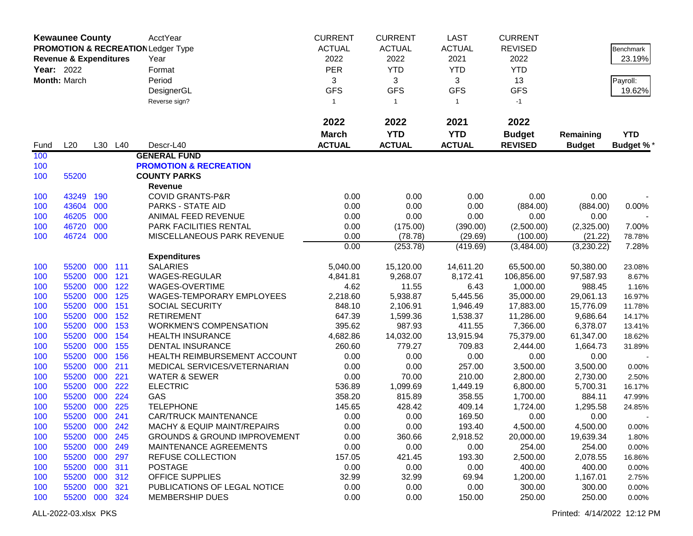|                   | <b>Kewaunee County</b>                                                             |            |            | AcctYear                                    | <b>CURRENT</b>   | <b>CURRENT</b>     | <b>LAST</b>          | <b>CURRENT</b>         |                       |                  |
|-------------------|------------------------------------------------------------------------------------|------------|------------|---------------------------------------------|------------------|--------------------|----------------------|------------------------|-----------------------|------------------|
|                   | <b>PROMOTION &amp; RECREATION Ledger Type</b><br><b>Revenue &amp; Expenditures</b> |            |            |                                             | <b>ACTUAL</b>    | <b>ACTUAL</b>      | <b>ACTUAL</b>        | <b>REVISED</b>         |                       | Benchmark        |
|                   |                                                                                    |            |            | Year                                        | 2022             | 2022               | 2021                 | 2022                   |                       | 23.19%           |
| <b>Year: 2022</b> |                                                                                    |            |            | Format                                      | <b>PER</b>       | <b>YTD</b>         | <b>YTD</b>           | <b>YTD</b>             |                       |                  |
|                   | Month: March                                                                       |            |            | Period                                      | 3                | 3                  | 3                    | 13                     |                       | Payroll:         |
|                   |                                                                                    |            |            | DesignerGL                                  | <b>GFS</b>       | <b>GFS</b>         | <b>GFS</b>           | <b>GFS</b>             |                       | 19.62%           |
|                   |                                                                                    |            |            | Reverse sign?                               | $\mathbf{1}$     | $\mathbf{1}$       | $\mathbf{1}$         | $-1$                   |                       |                  |
|                   |                                                                                    |            |            |                                             |                  |                    |                      |                        |                       |                  |
|                   |                                                                                    |            |            |                                             | 2022             | 2022               | 2021                 | 2022                   |                       |                  |
|                   |                                                                                    |            |            |                                             | <b>March</b>     | <b>YTD</b>         | <b>YTD</b>           | <b>Budget</b>          | Remaining             | <b>YTD</b>       |
| Fund              | L20                                                                                |            | L30 L40    | Descr-L40                                   | <b>ACTUAL</b>    | <b>ACTUAL</b>      | <b>ACTUAL</b>        | <b>REVISED</b>         | <b>Budget</b>         | Budget %*        |
| 100               |                                                                                    |            |            | <b>GENERAL FUND</b>                         |                  |                    |                      |                        |                       |                  |
| 100               |                                                                                    |            |            | <b>PROMOTION &amp; RECREATION</b>           |                  |                    |                      |                        |                       |                  |
| 100               | 55200                                                                              |            |            | <b>COUNTY PARKS</b>                         |                  |                    |                      |                        |                       |                  |
|                   |                                                                                    |            |            | Revenue                                     |                  |                    |                      |                        |                       |                  |
| 100               | 43249                                                                              | 190        |            | <b>COVID GRANTS-P&amp;R</b>                 | 0.00             | 0.00               | 0.00                 | 0.00                   | 0.00                  |                  |
| 100               | 43604                                                                              | 000        |            | PARKS - STATE AID                           | 0.00             | 0.00               | 0.00                 | (884.00)               | (884.00)              | 0.00%            |
| 100               | 46205                                                                              | 000        |            | ANIMAL FEED REVENUE                         | 0.00             | 0.00               | 0.00                 | 0.00                   | 0.00                  |                  |
| 100               | 46720                                                                              | 000        |            | PARK FACILITIES RENTAL                      | 0.00             | (175.00)           | (390.00)             | (2,500.00)             | (2,325.00)            | 7.00%            |
| 100               | 46724                                                                              | 000        |            | MISCELLANEOUS PARK REVENUE                  | 0.00             | (78.78)            | (29.69)              | (100.00)               | (21.22)               | 78.78%           |
|                   |                                                                                    |            |            |                                             | 0.00             | (253.78)           | (419.69)             | (3,484.00)             | (3,230.22)            | 7.28%            |
|                   |                                                                                    |            |            | <b>Expenditures</b>                         |                  |                    |                      |                        |                       |                  |
| 100               | 55200                                                                              | 000        | 111        | <b>SALARIES</b>                             | 5,040.00         | 15,120.00          | 14,611.20            | 65,500.00              | 50,380.00             | 23.08%           |
| 100               | 55200                                                                              | 000        | 121        | WAGES-REGULAR                               | 4,841.81         | 9,268.07           | 8,172.41             | 106,856.00             | 97,587.93             | 8.67%            |
| 100               | 55200                                                                              | 000        | 122        | WAGES-OVERTIME                              | 4.62             | 11.55              | 6.43                 | 1,000.00               | 988.45                | 1.16%            |
| 100               | 55200                                                                              | 000        | 125        | WAGES-TEMPORARY EMPLOYEES                   | 2,218.60         | 5,938.87           | 5,445.56             | 35,000.00              | 29,061.13             | 16.97%           |
| 100<br>100        | 55200<br>55200                                                                     | 000<br>000 | 151<br>152 | <b>SOCIAL SECURITY</b><br><b>RETIREMENT</b> | 848.10<br>647.39 | 2,106.91           | 1,946.49<br>1,538.37 | 17,883.00<br>11,286.00 | 15,776.09<br>9,686.64 | 11.78%<br>14.17% |
| 100               | 55200                                                                              | 000        | 153        | <b>WORKMEN'S COMPENSATION</b>               | 395.62           | 1,599.36<br>987.93 | 411.55               | 7,366.00               | 6,378.07              | 13.41%           |
| 100               | 55200                                                                              | 000        | 154        | <b>HEALTH INSURANCE</b>                     | 4,682.86         | 14,032.00          | 13,915.94            | 75,379.00              | 61,347.00             | 18.62%           |
| 100               | 55200                                                                              | 000        | 155        | <b>DENTAL INSURANCE</b>                     | 260.60           | 779.27             | 709.83               | 2,444.00               | 1,664.73              | 31.89%           |
| 100               | 55200                                                                              | 000        | 156        | HEALTH REIMBURSEMENT ACCOUNT                | 0.00             | 0.00               | 0.00                 | 0.00                   | 0.00                  |                  |
| 100               | 55200                                                                              | 000        | 211        | MEDICAL SERVICES/VETERNARIAN                | 0.00             | 0.00               | 257.00               | 3,500.00               | 3,500.00              | 0.00%            |
| 100               | 55200                                                                              | 000        | 221        | <b>WATER &amp; SEWER</b>                    | 0.00             | 70.00              | 210.00               | 2,800.00               | 2,730.00              | 2.50%            |
| 100               | 55200                                                                              | 000        | 222        | <b>ELECTRIC</b>                             | 536.89           | 1,099.69           | 1,449.19             | 6,800.00               | 5,700.31              | 16.17%           |
| 100               | 55200                                                                              | 000        | 224        | GAS                                         | 358.20           | 815.89             | 358.55               | 1,700.00               | 884.11                | 47.99%           |
| 100               | 55200                                                                              | 000        | 225        | <b>TELEPHONE</b>                            | 145.65           | 428.42             | 409.14               | 1,724.00               | 1,295.58              | 24.85%           |
| 100               | 55200 000                                                                          |            | 241        | <b>CAR/TRUCK MAINTENANCE</b>                | 0.00             | 0.00               | 169.50               | 0.00                   | 0.00                  |                  |
| 100               | 55200 000                                                                          |            | 242        | <b>MACHY &amp; EQUIP MAINT/REPAIRS</b>      | 0.00             | 0.00               | 193.40               | 4,500.00               | 4,500.00              | 0.00%            |
| 100               | 55200 000                                                                          |            | 245        | <b>GROUNDS &amp; GROUND IMPROVEMENT</b>     | 0.00             | 360.66             | 2,918.52             | 20,000.00              | 19,639.34             | 1.80%            |
| 100               | 55200 000                                                                          |            | 249        | MAINTENANCE AGREEMENTS                      | 0.00             | 0.00               | 0.00                 | 254.00                 | 254.00                | 0.00%            |
| 100               | 55200 000                                                                          |            | 297        | REFUSE COLLECTION                           | 157.05           | 421.45             | 193.30               | 2,500.00               | 2,078.55              | 16.86%           |
| 100               | 55200 000                                                                          |            | 311        | <b>POSTAGE</b>                              | 0.00             | 0.00               | 0.00                 | 400.00                 | 400.00                | 0.00%            |
| 100               | 55200 000                                                                          |            | 312        | <b>OFFICE SUPPLIES</b>                      | 32.99            | 32.99              | 69.94                | 1,200.00               | 1,167.01              | 2.75%            |
| 100               | 55200 000                                                                          |            | 321        | PUBLICATIONS OF LEGAL NOTICE                | 0.00             | 0.00               | 0.00                 | 300.00                 | 300.00                | 0.00%            |
| 100               | 55200 000 324                                                                      |            |            | <b>MEMBERSHIP DUES</b>                      | 0.00             | 0.00               | 150.00               | 250.00                 | 250.00                | 0.00%            |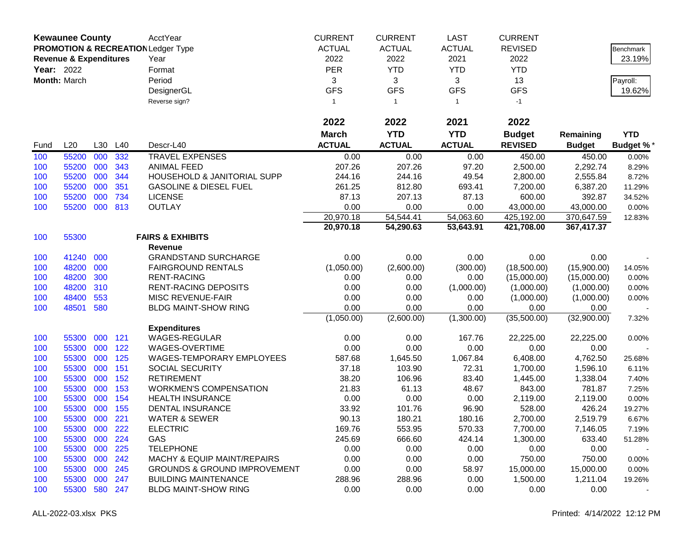|            | <b>Kewaunee County</b>            |     |         | AcctYear                                      | <b>CURRENT</b> | <b>CURRENT</b> | <b>LAST</b>   | <b>CURRENT</b> |               |                  |
|------------|-----------------------------------|-----|---------|-----------------------------------------------|----------------|----------------|---------------|----------------|---------------|------------------|
|            |                                   |     |         | <b>PROMOTION &amp; RECREATION Ledger Type</b> | <b>ACTUAL</b>  | <b>ACTUAL</b>  | <b>ACTUAL</b> | <b>REVISED</b> |               | Benchmark        |
|            | <b>Revenue &amp; Expenditures</b> |     |         | Year                                          | 2022           | 2022           | 2021          | 2022           |               | 23.19%           |
| Year: 2022 |                                   |     |         | Format                                        | <b>PER</b>     | <b>YTD</b>     | <b>YTD</b>    | <b>YTD</b>     |               |                  |
|            | Month: March                      |     |         | Period                                        | 3              | 3              | 3             | 13             |               | Payroll:         |
|            |                                   |     |         | DesignerGL                                    | <b>GFS</b>     | <b>GFS</b>     | <b>GFS</b>    | <b>GFS</b>     |               | 19.62%           |
|            |                                   |     |         | Reverse sign?                                 | $\mathbf{1}$   | $\overline{1}$ | $\mathbf{1}$  | $-1$           |               |                  |
|            |                                   |     |         |                                               |                |                |               |                |               |                  |
|            |                                   |     |         |                                               | 2022           | 2022           | 2021          | 2022           |               |                  |
|            |                                   |     |         |                                               | <b>March</b>   | <b>YTD</b>     | <b>YTD</b>    | <b>Budget</b>  | Remaining     | <b>YTD</b>       |
| Fund       | L20                               | L30 | L40     | Descr-L40                                     | <b>ACTUAL</b>  | <b>ACTUAL</b>  | <b>ACTUAL</b> | <b>REVISED</b> | <b>Budget</b> | <b>Budget %*</b> |
| 100        | 55200                             | 000 | 332     | <b>TRAVEL EXPENSES</b>                        | 0.00           | 0.00           | 0.00          | 450.00         | 450.00        | 0.00%            |
| 100        | 55200                             | 000 | 343     | <b>ANIMAL FEED</b>                            | 207.26         | 207.26         | 97.20         | 2,500.00       | 2,292.74      | 8.29%            |
| 100        | 55200                             | 000 | 344     | HOUSEHOLD & JANITORIAL SUPP                   | 244.16         | 244.16         | 49.54         | 2,800.00       | 2,555.84      | 8.72%            |
| 100        | 55200                             | 000 | 351     | <b>GASOLINE &amp; DIESEL FUEL</b>             | 261.25         | 812.80         | 693.41        | 7,200.00       | 6,387.20      | 11.29%           |
| 100        | 55200                             | 000 | 734     | <b>LICENSE</b>                                | 87.13          | 207.13         | 87.13         | 600.00         | 392.87        | 34.52%           |
| 100        | 55200                             | 000 | 813     | <b>OUTLAY</b>                                 | 0.00           | 0.00           | 0.00          | 43,000.00      | 43,000.00     | $0.00\%$         |
|            |                                   |     |         |                                               | 20,970.18      | 54,544.41      | 54,063.60     | 425,192.00     | 370,647.59    | 12.83%           |
|            |                                   |     |         |                                               | 20,970.18      | 54,290.63      | 53,643.91     | 421,708.00     | 367,417.37    |                  |
| 100        | 55300                             |     |         | <b>FAIRS &amp; EXHIBITS</b>                   |                |                |               |                |               |                  |
|            |                                   |     |         | <b>Revenue</b>                                |                |                |               |                |               |                  |
| 100        | 41240                             | 000 |         | <b>GRANDSTAND SURCHARGE</b>                   | 0.00           | 0.00           | 0.00          | 0.00           | 0.00          |                  |
| 100        | 48200                             | 000 |         | <b>FAIRGROUND RENTALS</b>                     | (1,050.00)     | (2,600.00)     | (300.00)      | (18,500.00)    | (15,900.00)   | 14.05%           |
| 100        | 48200                             | 300 |         | <b>RENT-RACING</b>                            | 0.00           | 0.00           | 0.00          | (15,000.00)    | (15,000.00)   | 0.00%            |
| 100        | 48200                             | 310 |         | RENT-RACING DEPOSITS                          | 0.00           | 0.00           | (1,000.00)    | (1,000.00)     | (1,000.00)    | 0.00%            |
| 100        | 48400                             | 553 |         | MISC REVENUE-FAIR                             | 0.00           | 0.00           | 0.00          | (1,000.00)     | (1,000.00)    | 0.00%            |
| 100        | 48501                             | 580 |         | <b>BLDG MAINT-SHOW RING</b>                   | 0.00           | 0.00           | 0.00          | 0.00           | 0.00          |                  |
|            |                                   |     |         |                                               | (1,050.00)     | (2,600.00)     | (1,300.00)    | (35,500.00)    | (32,900.00)   | 7.32%            |
|            |                                   |     |         | <b>Expenditures</b>                           |                |                |               |                |               |                  |
| 100        | 55300                             | 000 | 121     | <b>WAGES-REGULAR</b>                          | 0.00           | 0.00           | 167.76        | 22,225.00      | 22,225.00     | 0.00%            |
| 100        | 55300                             | 000 | 122     | WAGES-OVERTIME                                | 0.00           | 0.00           | 0.00          | 0.00           | 0.00          |                  |
| 100        | 55300                             | 000 | 125     | WAGES-TEMPORARY EMPLOYEES                     | 587.68         | 1,645.50       | 1,067.84      | 6,408.00       | 4,762.50      | 25.68%           |
| 100        | 55300                             | 000 | 151     | SOCIAL SECURITY                               | 37.18          | 103.90         | 72.31         | 1,700.00       | 1,596.10      | 6.11%            |
| 100        | 55300                             | 000 | 152     | <b>RETIREMENT</b>                             | 38.20          | 106.96         | 83.40         | 1,445.00       | 1,338.04      | 7.40%            |
| 100        | 55300                             | 000 | 153     | <b>WORKMEN'S COMPENSATION</b>                 | 21.83          | 61.13          | 48.67         | 843.00         | 781.87        | 7.25%            |
| 100        | 55300                             | 000 | 154     | <b>HEALTH INSURANCE</b>                       | 0.00           | 0.00           | 0.00          | 2,119.00       | 2,119.00      | 0.00%            |
| 100        | 55300                             | 000 | 155     | DENTAL INSURANCE                              | 33.92          | 101.76         | 96.90         | 528.00         | 426.24        | 19.27%           |
| 100        | 55300                             | 000 | 221     | <b>WATER &amp; SEWER</b>                      | 90.13          | 180.21         | 180.16        | 2,700.00       | 2,519.79      | 6.67%            |
| 100        | 55300                             | 000 | 222     | <b>ELECTRIC</b>                               | 169.76         | 553.95         | 570.33        | 7,700.00       | 7,146.05      | 7.19%            |
| 100        | 55300                             | 000 | 224     | GAS                                           | 245.69         | 666.60         | 424.14        | 1,300.00       | 633.40        | 51.28%           |
| 100        | 55300                             | 000 | 225     | <b>TELEPHONE</b>                              | 0.00           | 0.00           | 0.00          | 0.00           | 0.00          |                  |
| 100        | 55300                             |     | 000 242 | <b>MACHY &amp; EQUIP MAINT/REPAIRS</b>        | 0.00           | 0.00           | 0.00          | 750.00         | 750.00        | 0.00%            |
| 100        | 55300                             | 000 | 245     | <b>GROUNDS &amp; GROUND IMPROVEMENT</b>       | 0.00           | 0.00           | 58.97         | 15,000.00      | 15,000.00     | 0.00%            |
| 100        | 55300                             | 000 | 247     | <b>BUILDING MAINTENANCE</b>                   | 288.96         | 288.96         | 0.00          | 1,500.00       | 1,211.04      | 19.26%           |
| 100        | 55300                             |     | 580 247 | <b>BLDG MAINT-SHOW RING</b>                   | 0.00           | 0.00           | 0.00          | 0.00           | 0.00          |                  |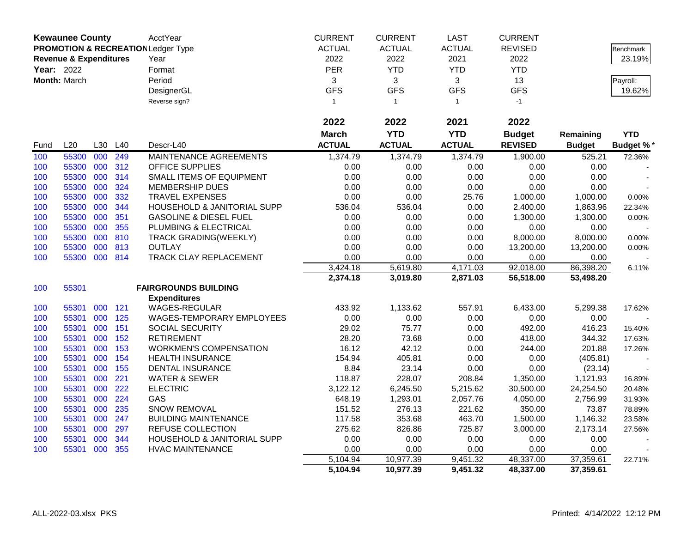|            | <b>Kewaunee County</b>            |     |     | AcctYear                                      | <b>CURRENT</b> | <b>CURRENT</b> | <b>LAST</b>   | <b>CURRENT</b> |               |                  |
|------------|-----------------------------------|-----|-----|-----------------------------------------------|----------------|----------------|---------------|----------------|---------------|------------------|
|            |                                   |     |     | <b>PROMOTION &amp; RECREATION Ledger Type</b> | <b>ACTUAL</b>  | <b>ACTUAL</b>  | <b>ACTUAL</b> | <b>REVISED</b> |               | Benchmark        |
|            | <b>Revenue &amp; Expenditures</b> |     |     | Year                                          | 2022           | 2022           | 2021          | 2022           |               | 23.19%           |
| Year: 2022 |                                   |     |     | Format                                        | PER            | <b>YTD</b>     | <b>YTD</b>    | <b>YTD</b>     |               |                  |
|            | Month: March                      |     |     | Period                                        | 3              | 3              | 3             | 13             |               | Payroll:         |
|            |                                   |     |     | DesignerGL                                    | <b>GFS</b>     | <b>GFS</b>     | <b>GFS</b>    | <b>GFS</b>     |               | 19.62%           |
|            |                                   |     |     | Reverse sign?                                 | $\mathbf{1}$   | $\overline{1}$ | $\mathbf{1}$  | $-1$           |               |                  |
|            |                                   |     |     |                                               |                |                |               |                |               |                  |
|            |                                   |     |     |                                               | 2022           | 2022           | 2021          | 2022           |               |                  |
|            |                                   |     |     |                                               | <b>March</b>   | <b>YTD</b>     | <b>YTD</b>    | <b>Budget</b>  | Remaining     | <b>YTD</b>       |
| Fund       | L20                               | L30 | L40 | Descr-L40                                     | <b>ACTUAL</b>  | <b>ACTUAL</b>  | <b>ACTUAL</b> | <b>REVISED</b> | <b>Budget</b> | <b>Budget %*</b> |
| 100        | 55300                             | 000 | 249 | MAINTENANCE AGREEMENTS                        | 1,374.79       | 1,374.79       | 1,374.79      | 1.900.00       | 525.21        | 72.36%           |
| 100        | 55300                             | 000 | 312 | OFFICE SUPPLIES                               | 0.00           | 0.00           | 0.00          | 0.00           | 0.00          |                  |
| 100        | 55300                             | 000 | 314 | <b>SMALL ITEMS OF EQUIPMENT</b>               | 0.00           | 0.00           | 0.00          | 0.00           | 0.00          |                  |
| 100        | 55300                             | 000 | 324 | <b>MEMBERSHIP DUES</b>                        | 0.00           | 0.00           | 0.00          | 0.00           | 0.00          |                  |
| 100        | 55300                             | 000 | 332 | <b>TRAVEL EXPENSES</b>                        | 0.00           | 0.00           | 25.76         | 1,000.00       | 1,000.00      | 0.00%            |
| 100        | 55300                             | 000 | 344 | HOUSEHOLD & JANITORIAL SUPP                   | 536.04         | 536.04         | 0.00          | 2,400.00       | 1,863.96      | 22.34%           |
| 100        | 55300                             | 000 | 351 | <b>GASOLINE &amp; DIESEL FUEL</b>             | 0.00           | 0.00           | 0.00          | 1,300.00       | 1,300.00      | 0.00%            |
| 100        | 55300                             | 000 | 355 | PLUMBING & ELECTRICAL                         | 0.00           | 0.00           | 0.00          | 0.00           | 0.00          |                  |
| 100        | 55300                             | 000 | 810 | <b>TRACK GRADING(WEEKLY)</b>                  | 0.00           | 0.00           | 0.00          | 8,000.00       | 8,000.00      | 0.00%            |
| 100        | 55300                             | 000 | 813 | <b>OUTLAY</b>                                 | 0.00           | 0.00           | 0.00          | 13,200.00      | 13,200.00     | 0.00%            |
| 100        | 55300                             | 000 | 814 | TRACK CLAY REPLACEMENT                        | 0.00           | 0.00           | 0.00          | 0.00           | 0.00          |                  |
|            |                                   |     |     |                                               | 3,424.18       | 5,619.80       | 4,171.03      | 92,018.00      | 86,398.20     | 6.11%            |
|            |                                   |     |     |                                               | 2,374.18       | 3,019.80       | 2,871.03      | 56,518.00      | 53,498.20     |                  |
| 100        | 55301                             |     |     | <b>FAIRGROUNDS BUILDING</b>                   |                |                |               |                |               |                  |
|            |                                   |     |     | <b>Expenditures</b>                           |                |                |               |                |               |                  |
| 100        | 55301                             | 000 | 121 | WAGES-REGULAR                                 | 433.92         | 1,133.62       | 557.91        | 6,433.00       | 5,299.38      | 17.62%           |
| 100        | 55301                             | 000 | 125 | WAGES-TEMPORARY EMPLOYEES                     | 0.00           | 0.00           | 0.00          | 0.00           | 0.00          |                  |
| 100        | 55301                             | 000 | 151 | <b>SOCIAL SECURITY</b>                        | 29.02          | 75.77          | 0.00          | 492.00         | 416.23        | 15.40%           |
| 100        | 55301                             | 000 | 152 | <b>RETIREMENT</b>                             | 28.20          | 73.68          | 0.00          | 418.00         | 344.32        | 17.63%           |
| 100        | 55301                             | 000 | 153 | <b>WORKMEN'S COMPENSATION</b>                 | 16.12          | 42.12          | 0.00          | 244.00         | 201.88        | 17.26%           |
| 100        | 55301                             | 000 | 154 | <b>HEALTH INSURANCE</b>                       | 154.94         | 405.81         | 0.00          | 0.00           | (405.81)      |                  |
| 100        | 55301                             | 000 | 155 | <b>DENTAL INSURANCE</b>                       | 8.84           | 23.14          | 0.00          | 0.00           | (23.14)       |                  |
| 100        | 55301                             | 000 | 221 | <b>WATER &amp; SEWER</b>                      | 118.87         | 228.07         | 208.84        | 1,350.00       | 1,121.93      | 16.89%           |
| 100        | 55301                             | 000 | 222 | <b>ELECTRIC</b>                               | 3,122.12       | 6,245.50       | 5,215.62      | 30,500.00      | 24,254.50     | 20.48%           |
| 100        | 55301                             | 000 | 224 | GAS                                           | 648.19         | 1,293.01       | 2,057.76      | 4,050.00       | 2,756.99      | 31.93%           |
| 100        | 55301                             | 000 | 235 | SNOW REMOVAL                                  | 151.52         | 276.13         | 221.62        | 350.00         | 73.87         | 78.89%           |
| 100        | 55301                             | 000 | 247 | <b>BUILDING MAINTENANCE</b>                   | 117.58         | 353.68         | 463.70        | 1,500.00       | 1,146.32      | 23.58%           |
| 100        | 55301                             | 000 | 297 | REFUSE COLLECTION                             | 275.62         | 826.86         | 725.87        | 3,000.00       | 2,173.14      | 27.56%           |
| 100        | 55301                             | 000 | 344 | HOUSEHOLD & JANITORIAL SUPP                   | 0.00           | 0.00           | 0.00          | 0.00           | 0.00          |                  |
| 100        | 55301                             | 000 | 355 | <b>HVAC MAINTENANCE</b>                       | 0.00           | 0.00           | 0.00          | 0.00           | 0.00          |                  |
|            |                                   |     |     |                                               | 5,104.94       | 10,977.39      | 9,451.32      | 48,337.00      | 37,359.61     | 22.71%           |
|            |                                   |     |     |                                               | 5,104.94       | 10,977.39      | 9,451.32      | 48,337.00      | 37,359.61     |                  |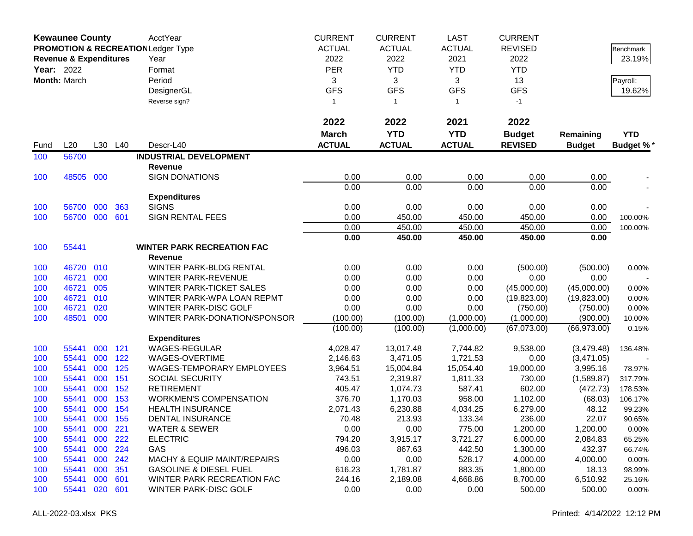|      | <b>Kewaunee County</b>            |     |     | AcctYear                                      | <b>CURRENT</b> | <b>CURRENT</b> | <b>LAST</b>   | <b>CURRENT</b> |               |                  |
|------|-----------------------------------|-----|-----|-----------------------------------------------|----------------|----------------|---------------|----------------|---------------|------------------|
|      |                                   |     |     | <b>PROMOTION &amp; RECREATION Ledger Type</b> | <b>ACTUAL</b>  | <b>ACTUAL</b>  | <b>ACTUAL</b> | <b>REVISED</b> |               | Benchmark        |
|      | <b>Revenue &amp; Expenditures</b> |     |     | Year                                          | 2022           | 2022           | 2021          | 2022           |               | 23.19%           |
|      | <b>Year: 2022</b>                 |     |     | Format                                        | <b>PER</b>     | <b>YTD</b>     | <b>YTD</b>    | <b>YTD</b>     |               |                  |
|      | Month: March                      |     |     | Period                                        | 3              | 3              | 3             | 13             |               | Payroll:         |
|      |                                   |     |     | DesignerGL                                    | <b>GFS</b>     | <b>GFS</b>     | <b>GFS</b>    | <b>GFS</b>     |               | 19.62%           |
|      |                                   |     |     | Reverse sign?                                 | $\mathbf{1}$   | $\overline{1}$ | $\mathbf{1}$  | $-1$           |               |                  |
|      |                                   |     |     |                                               |                |                |               |                |               |                  |
|      |                                   |     |     |                                               | 2022           | 2022           | 2021          | 2022           |               |                  |
|      |                                   |     |     |                                               | <b>March</b>   | <b>YTD</b>     | <b>YTD</b>    | <b>Budget</b>  | Remaining     | <b>YTD</b>       |
| Fund | L20                               | L30 | L40 | Descr-L40                                     | <b>ACTUAL</b>  | <b>ACTUAL</b>  | <b>ACTUAL</b> | <b>REVISED</b> | <b>Budget</b> | <b>Budget %*</b> |
| 100  | 56700                             |     |     | <b>INDUSTRIAL DEVELOPMENT</b>                 |                |                |               |                |               |                  |
|      |                                   |     |     | <b>Revenue</b>                                |                |                |               |                |               |                  |
| 100  | 48505                             | 000 |     | <b>SIGN DONATIONS</b>                         | 0.00           | 0.00           | 0.00          | 0.00           | 0.00          |                  |
|      |                                   |     |     |                                               | 0.00           | 0.00           | 0.00          | 0.00           | 0.00          |                  |
|      |                                   |     |     | <b>Expenditures</b>                           |                |                |               |                |               |                  |
| 100  | 56700                             | 000 | 363 | <b>SIGNS</b>                                  | 0.00           | 0.00           | 0.00          | 0.00           | 0.00          |                  |
| 100  | 56700                             | 000 | 601 | <b>SIGN RENTAL FEES</b>                       | 0.00           | 450.00         | 450.00        | 450.00         | 0.00          | 100.00%          |
|      |                                   |     |     |                                               | 0.00           | 450.00         | 450.00        | 450.00         | 0.00          | 100.00%          |
|      |                                   |     |     |                                               | 0.00           | 450.00         | 450.00        | 450.00         | 0.00          |                  |
| 100  | 55441                             |     |     | <b>WINTER PARK RECREATION FAC</b>             |                |                |               |                |               |                  |
|      |                                   |     |     | Revenue                                       |                |                |               |                |               |                  |
| 100  | 46720                             | 010 |     | WINTER PARK-BLDG RENTAL                       | 0.00           | 0.00           | 0.00          | (500.00)       | (500.00)      | $0.00\%$         |
| 100  | 46721                             | 000 |     | <b>WINTER PARK-REVENUE</b>                    | 0.00           | 0.00           | 0.00          | 0.00           | 0.00          |                  |
| 100  | 46721                             | 005 |     | <b>WINTER PARK-TICKET SALES</b>               | 0.00           | 0.00           | 0.00          | (45,000.00)    | (45,000.00)   | 0.00%            |
| 100  | 46721                             | 010 |     | WINTER PARK-WPA LOAN REPMT                    | 0.00           | 0.00           | 0.00          | (19,823.00)    | (19,823.00)   | 0.00%            |
| 100  | 46721                             | 020 |     | WINTER PARK-DISC GOLF                         | 0.00           | 0.00           | 0.00          | (750.00)       | (750.00)      | 0.00%            |
| 100  | 48501                             | 000 |     | WINTER PARK-DONATION/SPONSOR                  | (100.00)       | (100.00)       | (1,000.00)    | (1,000.00)     | (900.00)      | 10.00%           |
|      |                                   |     |     |                                               | (100.00)       | (100.00)       | (1,000.00)    | (67,073.00)    | (66,973.00)   | 0.15%            |
|      |                                   |     |     | <b>Expenditures</b>                           |                |                |               |                |               |                  |
| 100  | 55441                             | 000 | 121 | <b>WAGES-REGULAR</b>                          | 4,028.47       | 13,017.48      | 7,744.82      | 9,538.00       | (3,479.48)    | 136.48%          |
| 100  | 55441                             | 000 | 122 | WAGES-OVERTIME                                | 2,146.63       | 3,471.05       | 1,721.53      | 0.00           | (3,471.05)    |                  |
| 100  | 55441                             | 000 | 125 | WAGES-TEMPORARY EMPLOYEES                     | 3,964.51       | 15,004.84      | 15,054.40     | 19,000.00      | 3,995.16      | 78.97%           |
| 100  | 55441                             | 000 | 151 | SOCIAL SECURITY                               | 743.51         | 2,319.87       | 1,811.33      | 730.00         | (1,589.87)    | 317.79%          |
| 100  | 55441                             | 000 | 152 | <b>RETIREMENT</b>                             | 405.47         | 1,074.73       | 587.41        | 602.00         | (472.73)      | 178.53%          |
| 100  | 55441                             | 000 | 153 | <b>WORKMEN'S COMPENSATION</b>                 | 376.70         | 1,170.03       | 958.00        | 1,102.00       | (68.03)       | 106.17%          |
| 100  | 55441                             | 000 | 154 | <b>HEALTH INSURANCE</b>                       | 2,071.43       | 6,230.88       | 4,034.25      | 6,279.00       | 48.12         | 99.23%           |
| 100  | 55441                             | 000 | 155 | DENTAL INSURANCE                              | 70.48          | 213.93         | 133.34        | 236.00         | 22.07         | 90.65%           |
| 100  | 55441                             | 000 | 221 | <b>WATER &amp; SEWER</b>                      | 0.00           | 0.00           | 775.00        | 1,200.00       | 1,200.00      | 0.00%            |
| 100  | 55441                             | 000 | 222 | <b>ELECTRIC</b>                               | 794.20         | 3,915.17       | 3,721.27      | 6,000.00       | 2,084.83      | 65.25%           |
| 100  | 55441                             | 000 | 224 | GAS                                           | 496.03         | 867.63         | 442.50        | 1,300.00       | 432.37        | 66.74%           |
| 100  | 55441                             | 000 | 242 | <b>MACHY &amp; EQUIP MAINT/REPAIRS</b>        | 0.00           | 0.00           | 528.17        | 4,000.00       | 4,000.00      | 0.00%            |
| 100  | 55441                             | 000 | 351 | <b>GASOLINE &amp; DIESEL FUEL</b>             | 616.23         | 1,781.87       | 883.35        | 1,800.00       | 18.13         | 98.99%           |
| 100  | 55441                             | 000 | 601 | WINTER PARK RECREATION FAC                    | 244.16         | 2,189.08       | 4,668.86      | 8,700.00       | 6,510.92      | 25.16%           |
| 100  | 55441                             | 020 | 601 | WINTER PARK-DISC GOLF                         | 0.00           | 0.00           | 0.00          | 500.00         | 500.00        | 0.00%            |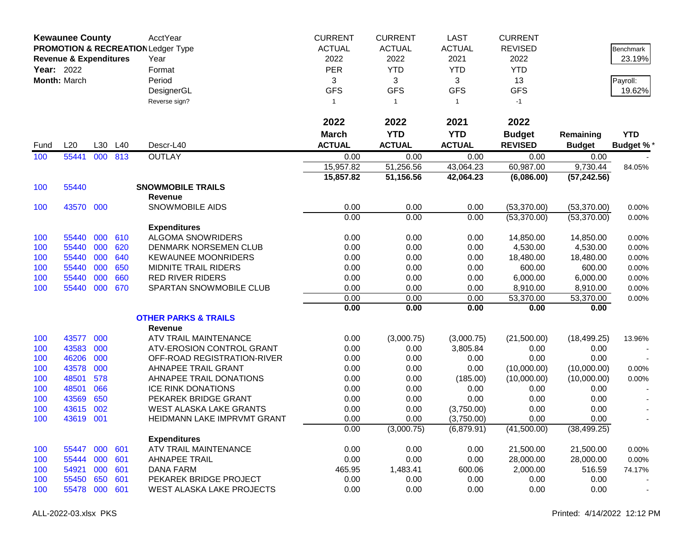|      | <b>Kewaunee County</b>            |     |     | AcctYear                                      | <b>CURRENT</b> | <b>CURRENT</b> | <b>LAST</b>   | <b>CURRENT</b> |               |                  |
|------|-----------------------------------|-----|-----|-----------------------------------------------|----------------|----------------|---------------|----------------|---------------|------------------|
|      |                                   |     |     | <b>PROMOTION &amp; RECREATION Ledger Type</b> | <b>ACTUAL</b>  | <b>ACTUAL</b>  | <b>ACTUAL</b> | <b>REVISED</b> |               | Benchmark        |
|      | <b>Revenue &amp; Expenditures</b> |     |     | Year                                          | 2022           | 2022           | 2021          | 2022           |               | 23.19%           |
|      | Year: 2022                        |     |     | Format                                        | <b>PER</b>     | <b>YTD</b>     | <b>YTD</b>    | <b>YTD</b>     |               |                  |
|      | Month: March                      |     |     | Period                                        | 3              | 3              | 3             | 13             |               | Payroll:         |
|      |                                   |     |     | DesignerGL                                    | <b>GFS</b>     | <b>GFS</b>     | <b>GFS</b>    | <b>GFS</b>     |               | 19.62%           |
|      |                                   |     |     | Reverse sign?                                 | $\mathbf{1}$   | $\mathbf{1}$   | $\mathbf{1}$  | $-1$           |               |                  |
|      |                                   |     |     |                                               |                |                |               |                |               |                  |
|      |                                   |     |     |                                               | 2022           | 2022           | 2021          | 2022           |               |                  |
|      |                                   |     |     |                                               | <b>March</b>   | <b>YTD</b>     | <b>YTD</b>    | <b>Budget</b>  | Remaining     | <b>YTD</b>       |
| Fund | L20                               | L30 | L40 | Descr-L40                                     | <b>ACTUAL</b>  | <b>ACTUAL</b>  | <b>ACTUAL</b> | <b>REVISED</b> | <b>Budget</b> | <b>Budget %*</b> |
| 100  | 55441                             | 000 | 813 | <b>OUTLAY</b>                                 | 0.00           | 0.00           | 0.00          | 0.00           | 0.00          |                  |
|      |                                   |     |     |                                               | 15,957.82      | 51,256.56      | 43,064.23     | 60,987.00      | 9,730.44      | 84.05%           |
|      |                                   |     |     |                                               | 15,857.82      | 51,156.56      | 42,064.23     | (6,086.00)     | (57, 242.56)  |                  |
| 100  | 55440                             |     |     | <b>SNOWMOBILE TRAILS</b>                      |                |                |               |                |               |                  |
|      |                                   |     |     | <b>Revenue</b>                                |                |                |               |                |               |                  |
| 100  | 43570 000                         |     |     | <b>SNOWMOBILE AIDS</b>                        | 0.00           | 0.00           | 0.00          | (53,370.00)    | (53,370.00)   | 0.00%            |
|      |                                   |     |     |                                               | 0.00           | 0.00           | 0.00          | (53,370.00)    | (53,370.00)   | 0.00%            |
|      |                                   |     |     | <b>Expenditures</b>                           |                |                |               |                |               |                  |
| 100  | 55440                             | 000 | 610 | <b>ALGOMA SNOWRIDERS</b>                      | 0.00           | 0.00           | 0.00          | 14,850.00      | 14,850.00     | 0.00%            |
| 100  | 55440                             | 000 | 620 | <b>DENMARK NORSEMEN CLUB</b>                  | 0.00           | 0.00           | 0.00          | 4,530.00       | 4,530.00      | 0.00%            |
| 100  | 55440                             | 000 | 640 | <b>KEWAUNEE MOONRIDERS</b>                    | 0.00           | 0.00           | 0.00          | 18,480.00      | 18,480.00     | 0.00%            |
| 100  | 55440                             | 000 | 650 | <b>MIDNITE TRAIL RIDERS</b>                   | 0.00           | 0.00           | 0.00          | 600.00         | 600.00        | 0.00%            |
| 100  | 55440                             | 000 | 660 | <b>RED RIVER RIDERS</b>                       | 0.00           | 0.00           | 0.00          | 6,000.00       | 6,000.00      | 0.00%            |
| 100  | 55440                             | 000 | 670 | SPARTAN SNOWMOBILE CLUB                       | 0.00           | 0.00           | 0.00          | 8,910.00       | 8,910.00      | 0.00%            |
|      |                                   |     |     |                                               | 0.00           | 0.00           | 0.00          | 53,370.00      | 53,370.00     | 0.00%            |
|      |                                   |     |     |                                               | 0.00           | 0.00           | 0.00          | 0.00           | 0.00          |                  |
|      |                                   |     |     | <b>OTHER PARKS &amp; TRAILS</b>               |                |                |               |                |               |                  |
|      |                                   |     |     | <b>Revenue</b>                                |                |                |               |                |               |                  |
| 100  | 43577                             | 000 |     | ATV TRAIL MAINTENANCE                         | 0.00           | (3,000.75)     | (3,000.75)    | (21,500.00)    | (18, 499.25)  | 13.96%           |
| 100  | 43583                             | 000 |     | ATV-EROSION CONTROL GRANT                     | 0.00           | 0.00           | 3,805.84      | 0.00           | 0.00          |                  |
| 100  | 46206                             | 000 |     | OFF-ROAD REGISTRATION-RIVER                   | 0.00           | 0.00           | 0.00          | 0.00           | 0.00          |                  |
| 100  | 43578                             | 000 |     | AHNAPEE TRAIL GRANT                           | 0.00           | 0.00           | 0.00          | (10,000.00)    | (10,000.00)   | 0.00%            |
| 100  | 48501                             | 578 |     | AHNAPEE TRAIL DONATIONS                       | 0.00           | 0.00           | (185.00)      | (10,000.00)    | (10,000.00)   | 0.00%            |
| 100  | 48501                             | 066 |     | <b>ICE RINK DONATIONS</b>                     | 0.00           | 0.00           | 0.00          | 0.00           | 0.00          |                  |
| 100  | 43569                             | 650 |     | PEKAREK BRIDGE GRANT                          | 0.00           | 0.00           | 0.00          | 0.00           | 0.00          |                  |
| 100  | 43615                             | 002 |     | <b>WEST ALASKA LAKE GRANTS</b>                | 0.00           | 0.00           | (3,750.00)    | 0.00           | 0.00          |                  |
| 100  | 43619                             | 001 |     | HEIDMANN LAKE IMPRVMT GRANT                   | 0.00           | 0.00           | (3,750.00)    | 0.00           | 0.00          |                  |
|      |                                   |     |     |                                               | 0.00           | (3,000.75)     | (6,879.91)    | (41,500.00)    | (38, 499.25)  |                  |
|      |                                   |     |     | <b>Expenditures</b>                           |                |                |               |                |               |                  |
| 100  | 55447                             | 000 | 601 | ATV TRAIL MAINTENANCE                         | 0.00           | 0.00           | 0.00          | 21,500.00      | 21,500.00     | 0.00%            |
| 100  | 55444                             | 000 | 601 | <b>AHNAPEE TRAIL</b>                          | 0.00           | 0.00           | 0.00          | 28,000.00      | 28,000.00     | 0.00%            |
| 100  | 54921                             | 000 | 601 | <b>DANA FARM</b>                              | 465.95         | 1,483.41       | 600.06        | 2,000.00       | 516.59        | 74.17%           |
| 100  | 55450                             | 650 | 601 | PEKAREK BRIDGE PROJECT                        | 0.00           | 0.00           | 0.00          | 0.00           | 0.00          |                  |
| 100  | 55478                             | 000 | 601 | WEST ALASKA LAKE PROJECTS                     | 0.00           | 0.00           | 0.00          | 0.00           | 0.00          |                  |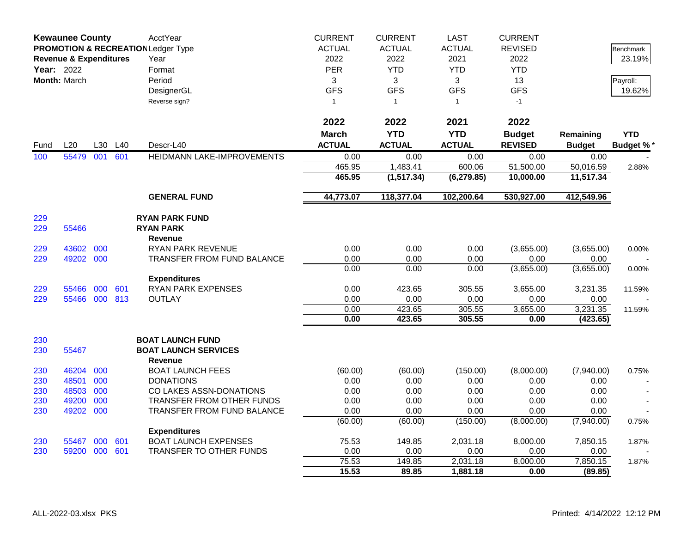|            | <b>Kewaunee County</b>            |     |     | AcctYear                                      | <b>CURRENT</b> | <b>CURRENT</b> | <b>LAST</b>   | <b>CURRENT</b> |               |                  |
|------------|-----------------------------------|-----|-----|-----------------------------------------------|----------------|----------------|---------------|----------------|---------------|------------------|
|            |                                   |     |     | <b>PROMOTION &amp; RECREATION Ledger Type</b> | <b>ACTUAL</b>  | <b>ACTUAL</b>  | <b>ACTUAL</b> | <b>REVISED</b> |               | Benchmark        |
|            | <b>Revenue &amp; Expenditures</b> |     |     | Year                                          | 2022           | 2022           | 2021          | 2022           |               | 23.19%           |
| Year: 2022 |                                   |     |     | Format                                        | <b>PER</b>     | <b>YTD</b>     | <b>YTD</b>    | <b>YTD</b>     |               |                  |
|            | <b>Month: March</b>               |     |     | Period                                        | 3              | 3              | 3             | 13             |               | Payroll:         |
|            |                                   |     |     | DesignerGL                                    | <b>GFS</b>     | <b>GFS</b>     | <b>GFS</b>    | <b>GFS</b>     |               | 19.62%           |
|            |                                   |     |     | Reverse sign?                                 | $\mathbf{1}$   | $\mathbf{1}$   | $\mathbf{1}$  | $-1$           |               |                  |
|            |                                   |     |     |                                               |                |                |               |                |               |                  |
|            |                                   |     |     |                                               | 2022           | 2022           | 2021          | 2022           |               |                  |
|            |                                   |     |     |                                               | <b>March</b>   | <b>YTD</b>     | <b>YTD</b>    | <b>Budget</b>  | Remaining     | <b>YTD</b>       |
| Fund       | L20                               | L30 | L40 | Descr-L40                                     | <b>ACTUAL</b>  | <b>ACTUAL</b>  | <b>ACTUAL</b> | <b>REVISED</b> | <b>Budget</b> | <b>Budget %*</b> |
| 100        | 55479                             | 001 | 601 | HEIDMANN LAKE-IMPROVEMENTS                    | 0.00           | 0.00           | 0.00          | 0.00           | 0.00          |                  |
|            |                                   |     |     |                                               | 465.95         | 1,483.41       | 600.06        | 51,500.00      | 50,016.59     | 2.88%            |
|            |                                   |     |     |                                               | 465.95         | (1, 517.34)    | (6, 279.85)   | 10,000.00      | 11,517.34     |                  |
|            |                                   |     |     | <b>GENERAL FUND</b>                           | 44,773.07      | 118,377.04     | 102,200.64    | 530,927.00     | 412,549.96    |                  |
|            |                                   |     |     |                                               |                |                |               |                |               |                  |
| 229        |                                   |     |     | <b>RYAN PARK FUND</b>                         |                |                |               |                |               |                  |
| 229        | 55466                             |     |     | <b>RYAN PARK</b>                              |                |                |               |                |               |                  |
|            |                                   |     |     | Revenue                                       |                |                |               |                |               |                  |
| 229        | 43602                             | 000 |     | <b>RYAN PARK REVENUE</b>                      | 0.00           | 0.00           | 0.00          | (3,655.00)     | (3,655.00)    | 0.00%            |
| 229        | 49202 000                         |     |     | <b>TRANSFER FROM FUND BALANCE</b>             | 0.00           | 0.00           | 0.00          | 0.00           | 0.00          |                  |
|            |                                   |     |     | <b>Expenditures</b>                           | 0.00           | 0.00           | 0.00          | (3,655.00)     | (3,655.00)    | 0.00%            |
| 229        | 55466                             | 000 | 601 | <b>RYAN PARK EXPENSES</b>                     | 0.00           | 423.65         | 305.55        | 3,655.00       | 3,231.35      | 11.59%           |
| 229        | 55466                             | 000 | 813 | <b>OUTLAY</b>                                 | 0.00           | 0.00           | 0.00          | 0.00           | 0.00          |                  |
|            |                                   |     |     |                                               | 0.00           | 423.65         | 305.55        | 3,655.00       | 3,231.35      | 11.59%           |
|            |                                   |     |     |                                               | 0.00           | 423.65         | 305.55        | 0.00           | (423.65)      |                  |
|            |                                   |     |     |                                               |                |                |               |                |               |                  |
| 230        |                                   |     |     | <b>BOAT LAUNCH FUND</b>                       |                |                |               |                |               |                  |
| 230        | 55467                             |     |     | <b>BOAT LAUNCH SERVICES</b>                   |                |                |               |                |               |                  |
|            |                                   |     |     | Revenue                                       |                |                |               |                |               |                  |
| 230        | 46204                             | 000 |     | <b>BOAT LAUNCH FEES</b>                       | (60.00)        | (60.00)        | (150.00)      | (8,000.00)     | (7,940.00)    | 0.75%            |
| 230        | 48501                             | 000 |     | <b>DONATIONS</b>                              | 0.00           | 0.00           | 0.00          | 0.00           | 0.00          |                  |
| 230        | 48503                             | 000 |     | CO LAKES ASSN-DONATIONS                       | 0.00           | 0.00           | 0.00          | 0.00           | 0.00          |                  |
| 230        | 49200                             | 000 |     | TRANSFER FROM OTHER FUNDS                     | 0.00           | 0.00           | 0.00          | 0.00           | 0.00          |                  |
| 230        | 49202                             | 000 |     | TRANSFER FROM FUND BALANCE                    | 0.00           | 0.00           | 0.00          | 0.00           | 0.00          |                  |
|            |                                   |     |     |                                               | (60.00)        | (60.00)        | (150.00)      | (8,000.00)     | (7,940.00)    | 0.75%            |
|            |                                   |     |     | <b>Expenditures</b>                           |                |                |               |                |               |                  |
| 230        | 55467                             | 000 | 601 | <b>BOAT LAUNCH EXPENSES</b>                   | 75.53          | 149.85         | 2,031.18      | 8,000.00       | 7,850.15      | 1.87%            |
| 230        | 59200 000 601                     |     |     | TRANSFER TO OTHER FUNDS                       | 0.00           | 0.00           | 0.00          | 0.00           | 0.00          |                  |
|            |                                   |     |     |                                               | 75.53          | 149.85         | 2,031.18      | 8,000.00       | 7,850.15      | 1.87%            |
|            |                                   |     |     |                                               | 15.53          | 89.85          | 1,881.18      | 0.00           | (89.85)       |                  |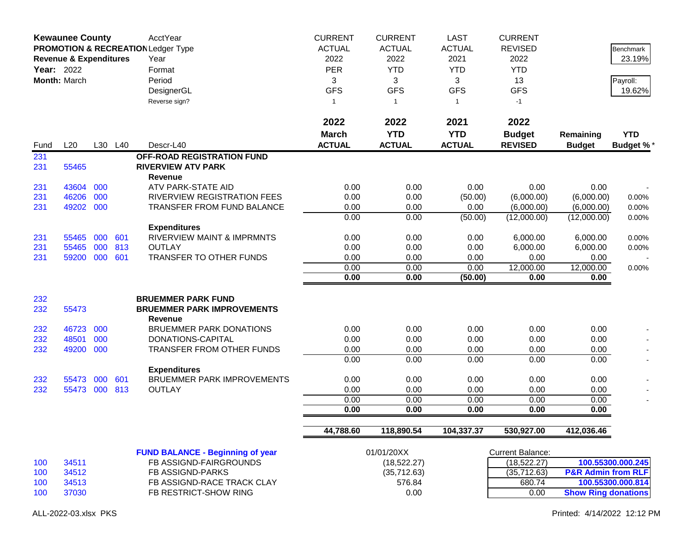| <b>Kewaunee County</b><br>PROMOTION & RECREATION Ledger Type<br><b>Revenue &amp; Expenditures</b><br><b>Year: 2022</b><br>Month: March |           |     |         | AcctYear<br>Year<br>Format<br>Period<br>DesignerGL<br>Reverse sign? | <b>CURRENT</b><br><b>ACTUAL</b><br>2022<br><b>PER</b><br>3<br><b>GFS</b><br>$\mathbf{1}$ | <b>CURRENT</b><br><b>ACTUAL</b><br>2022<br><b>YTD</b><br>3<br><b>GFS</b><br>-1 | <b>LAST</b><br><b>ACTUAL</b><br>2021<br><b>YTD</b><br>3<br><b>GFS</b><br>$\mathbf{1}$ | <b>CURRENT</b><br><b>REVISED</b><br>2022<br><b>YTD</b><br>13<br><b>GFS</b><br>$-1$ |                               | Benchmark<br>23.19%<br>Payroll:<br>19.62% |
|----------------------------------------------------------------------------------------------------------------------------------------|-----------|-----|---------|---------------------------------------------------------------------|------------------------------------------------------------------------------------------|--------------------------------------------------------------------------------|---------------------------------------------------------------------------------------|------------------------------------------------------------------------------------|-------------------------------|-------------------------------------------|
| Fund                                                                                                                                   | L20       |     | L30 L40 | Descr-L40                                                           | 2022<br><b>March</b><br><b>ACTUAL</b>                                                    | 2022<br><b>YTD</b><br><b>ACTUAL</b>                                            | 2021<br><b>YTD</b><br><b>ACTUAL</b>                                                   | 2022<br><b>Budget</b><br><b>REVISED</b>                                            | Remaining<br><b>Budget</b>    | <b>YTD</b><br><b>Budget %*</b>            |
| 231                                                                                                                                    |           |     |         | OFF-ROAD REGISTRATION FUND                                          |                                                                                          |                                                                                |                                                                                       |                                                                                    |                               |                                           |
| 231                                                                                                                                    | 55465     |     |         | <b>RIVERVIEW ATV PARK</b><br><b>Revenue</b>                         |                                                                                          |                                                                                |                                                                                       |                                                                                    |                               |                                           |
| 231                                                                                                                                    | 43604     | 000 |         | ATV PARK-STATE AID                                                  | 0.00                                                                                     | 0.00                                                                           | 0.00                                                                                  | 0.00                                                                               | 0.00                          |                                           |
| 231                                                                                                                                    | 46206     | 000 |         | RIVERVIEW REGISTRATION FEES                                         | 0.00                                                                                     | 0.00                                                                           | (50.00)                                                                               | (6,000.00)                                                                         | (6,000.00)                    | $0.00\%$                                  |
| 231                                                                                                                                    | 49202 000 |     |         | <b>TRANSFER FROM FUND BALANCE</b>                                   | 0.00                                                                                     | 0.00                                                                           | 0.00                                                                                  | (6,000.00)                                                                         | (6,000.00)                    | 0.00%                                     |
|                                                                                                                                        |           |     |         |                                                                     | 0.00                                                                                     | 0.00                                                                           | (50.00)                                                                               | (12,000.00)                                                                        | (12,000.00)                   | 0.00%                                     |
|                                                                                                                                        |           |     |         | <b>Expenditures</b>                                                 |                                                                                          |                                                                                |                                                                                       |                                                                                    |                               |                                           |
| 231                                                                                                                                    | 55465     | 000 | 601     | <b>RIVERVIEW MAINT &amp; IMPRMNTS</b>                               | 0.00                                                                                     | 0.00                                                                           | 0.00                                                                                  | 6,000.00                                                                           | 6,000.00                      | 0.00%                                     |
| 231                                                                                                                                    | 55465     | 000 | 813     | <b>OUTLAY</b>                                                       | 0.00                                                                                     | 0.00                                                                           | 0.00                                                                                  | 6,000.00                                                                           | 6,000.00                      | 0.00%                                     |
| 231                                                                                                                                    | 59200     | 000 | 601     | TRANSFER TO OTHER FUNDS                                             | 0.00                                                                                     | 0.00                                                                           | 0.00                                                                                  | 0.00                                                                               | 0.00                          |                                           |
|                                                                                                                                        |           |     |         |                                                                     | 0.00                                                                                     | 0.00                                                                           | 0.00                                                                                  | 12,000.00                                                                          | 12,000.00                     | 0.00%                                     |
|                                                                                                                                        |           |     |         |                                                                     | 0.00                                                                                     | 0.00                                                                           | (50.00)                                                                               | 0.00                                                                               | 0.00                          |                                           |
| 232                                                                                                                                    |           |     |         | <b>BRUEMMER PARK FUND</b>                                           |                                                                                          |                                                                                |                                                                                       |                                                                                    |                               |                                           |
| 232                                                                                                                                    | 55473     |     |         | <b>BRUEMMER PARK IMPROVEMENTS</b><br><b>Revenue</b>                 |                                                                                          |                                                                                |                                                                                       |                                                                                    |                               |                                           |
| 232                                                                                                                                    | 46723     | 000 |         | <b>BRUEMMER PARK DONATIONS</b>                                      | 0.00                                                                                     | 0.00                                                                           | 0.00                                                                                  | 0.00                                                                               | 0.00                          |                                           |
| 232                                                                                                                                    | 48501     | 000 |         | DONATIONS-CAPITAL                                                   | 0.00                                                                                     | 0.00                                                                           | 0.00                                                                                  | 0.00                                                                               | 0.00                          |                                           |
| 232                                                                                                                                    | 49200     | 000 |         | <b>TRANSFER FROM OTHER FUNDS</b>                                    | 0.00                                                                                     | 0.00                                                                           | 0.00                                                                                  | 0.00                                                                               | 0.00                          |                                           |
|                                                                                                                                        |           |     |         |                                                                     | 0.00                                                                                     | 0.00                                                                           | 0.00                                                                                  | 0.00                                                                               | 0.00                          |                                           |
|                                                                                                                                        |           |     |         | <b>Expenditures</b>                                                 |                                                                                          |                                                                                |                                                                                       |                                                                                    |                               |                                           |
| 232                                                                                                                                    | 55473     | 000 | 601     | <b>BRUEMMER PARK IMPROVEMENTS</b>                                   | 0.00                                                                                     | 0.00                                                                           | 0.00                                                                                  | 0.00                                                                               | 0.00                          |                                           |
| 232                                                                                                                                    | 55473     | 000 | 813     | <b>OUTLAY</b>                                                       | 0.00                                                                                     | 0.00                                                                           | 0.00                                                                                  | 0.00                                                                               | 0.00                          |                                           |
|                                                                                                                                        |           |     |         |                                                                     | 0.00                                                                                     | 0.00                                                                           | 0.00                                                                                  | 0.00                                                                               | 0.00                          |                                           |
|                                                                                                                                        |           |     |         |                                                                     | 0.00                                                                                     | 0.00                                                                           | 0.00                                                                                  | 0.00                                                                               | 0.00                          |                                           |
|                                                                                                                                        |           |     |         |                                                                     | 44,788.60                                                                                | 118,890.54                                                                     | 104,337.37                                                                            | 530,927.00                                                                         | 412,036.46                    |                                           |
|                                                                                                                                        |           |     |         | <b>FUND BALANCE - Beginning of year</b>                             |                                                                                          | 01/01/20XX                                                                     |                                                                                       | <b>Current Balance:</b>                                                            |                               |                                           |
| 100                                                                                                                                    | 34511     |     |         | FB ASSIGND-FAIRGROUNDS                                              |                                                                                          | (18, 522.27)                                                                   |                                                                                       | (18, 522.27)                                                                       |                               | 100.55300.000.245                         |
| 100                                                                                                                                    | 34512     |     |         | FB ASSIGND-PARKS                                                    |                                                                                          | (35,712.63)                                                                    |                                                                                       | (35, 712.63)                                                                       | <b>P&amp;R Admin from RLF</b> |                                           |
| 100                                                                                                                                    | 34513     |     |         | FB ASSIGND-RACE TRACK CLAY                                          |                                                                                          | 576.84                                                                         |                                                                                       | 680.74                                                                             |                               | 100.55300.000.814                         |
| 100                                                                                                                                    | 37030     |     |         | FB RESTRICT-SHOW RING                                               |                                                                                          | 0.00                                                                           |                                                                                       | 0.00                                                                               | <b>Show Ring donations</b>    |                                           |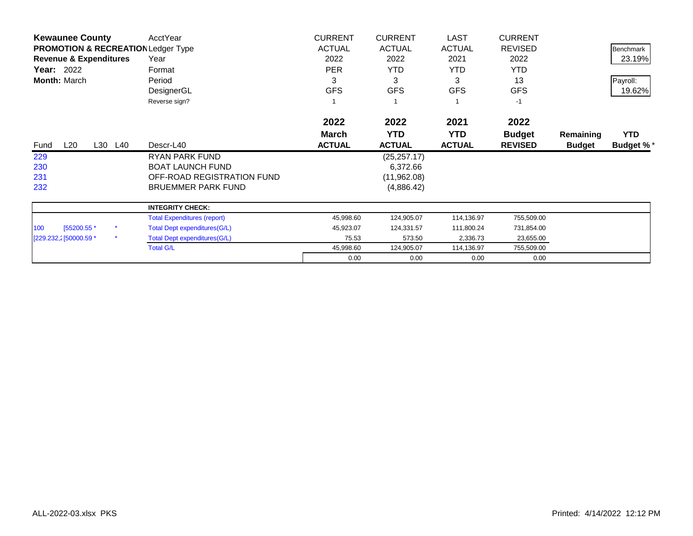| <b>Kewaunee County</b>                        | AcctYear                            | <b>CURRENT</b> | <b>CURRENT</b> | <b>LAST</b>   | <b>CURRENT</b> |               |                  |
|-----------------------------------------------|-------------------------------------|----------------|----------------|---------------|----------------|---------------|------------------|
| <b>PROMOTION &amp; RECREATION Ledger Type</b> |                                     | <b>ACTUAL</b>  | <b>ACTUAL</b>  | <b>ACTUAL</b> | <b>REVISED</b> |               | <b>Benchmark</b> |
| <b>Revenue &amp; Expenditures</b>             | Year                                | 2022           | 2022           | 2021          | 2022           |               | 23.19%           |
| Year: 2022                                    | Format                              | <b>PER</b>     | YTD            | YTD.          | <b>YTD</b>     |               |                  |
| <b>Month: March</b>                           | Period                              | 3              | 3              | 3             | 13             |               | Payroll:         |
|                                               | DesignerGL                          | <b>GFS</b>     | <b>GFS</b>     | <b>GFS</b>    | <b>GFS</b>     |               | 19.62%           |
|                                               | Reverse sign?                       |                |                |               | $-1$           |               |                  |
|                                               |                                     | 2022           | 2022           | 2021          | 2022           |               |                  |
|                                               |                                     | <b>March</b>   | <b>YTD</b>     | <b>YTD</b>    | <b>Budget</b>  | Remaining     | <b>YTD</b>       |
| L20<br>L30 L40<br>Fund                        | Descr-L40                           | <b>ACTUAL</b>  | <b>ACTUAL</b>  | <b>ACTUAL</b> | <b>REVISED</b> | <b>Budget</b> | <b>Budget %*</b> |
| 229                                           | RYAN PARK FUND                      |                | (25, 257.17)   |               |                |               |                  |
| 230                                           | <b>BOAT LAUNCH FUND</b>             |                | 6,372.66       |               |                |               |                  |
| 231                                           | OFF-ROAD REGISTRATION FUND          |                | (11, 962.08)   |               |                |               |                  |
| 232                                           | <b>BRUEMMER PARK FUND</b>           |                | (4,886.42)     |               |                |               |                  |
|                                               | <b>INTEGRITY CHECK:</b>             |                |                |               |                |               |                  |
|                                               | <b>Total Expenditures (report)</b>  | 45,998.60      | 124,905.07     | 114,136.97    | 755,509.00     |               |                  |
| [55200.55 *<br>100                            | <b>Total Dept expenditures(G/L)</b> | 45,923.07      | 124,331.57     | 111,800.24    | 731,854.00     |               |                  |
| $\star$<br>[229.232,2] 50000.59 *             | Total Dept expenditures (G/L)       | 75.53          | 573.50         | 2,336.73      | 23,655.00      |               |                  |
|                                               | <b>Total G/L</b>                    | 45,998.60      | 124,905.07     | 114,136.97    | 755,509.00     |               |                  |
|                                               |                                     | 0.00           | 0.00           | 0.00          | 0.00           |               |                  |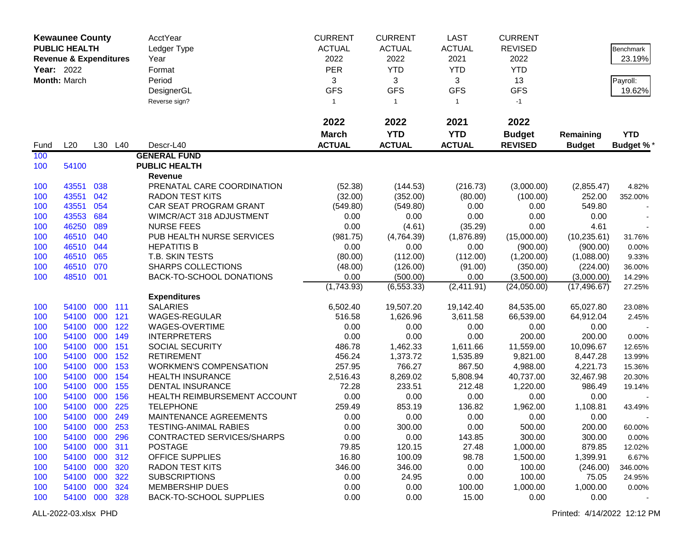|                   | <b>Kewaunee County</b>            |     |         | <b>AcctYear</b>                | <b>CURRENT</b> | <b>CURRENT</b> | <b>LAST</b>   | <b>CURRENT</b> |               |                  |
|-------------------|-----------------------------------|-----|---------|--------------------------------|----------------|----------------|---------------|----------------|---------------|------------------|
|                   | <b>PUBLIC HEALTH</b>              |     |         | Ledger Type                    | <b>ACTUAL</b>  | <b>ACTUAL</b>  | <b>ACTUAL</b> | <b>REVISED</b> |               | <b>Benchmark</b> |
|                   | <b>Revenue &amp; Expenditures</b> |     |         | Year                           | 2022           | 2022           | 2021          | 2022           |               | 23.19%           |
| <b>Year: 2022</b> |                                   |     |         | Format                         | <b>PER</b>     | <b>YTD</b>     | <b>YTD</b>    | <b>YTD</b>     |               |                  |
|                   | Month: March                      |     |         | Period                         | 3              | 3              | 3             | 13             |               | Payroll:         |
|                   |                                   |     |         | DesignerGL                     | <b>GFS</b>     | <b>GFS</b>     | <b>GFS</b>    | <b>GFS</b>     |               | 19.62%           |
|                   |                                   |     |         | Reverse sign?                  | $\mathbf{1}$   | $\overline{1}$ | $\mathbf{1}$  | $-1$           |               |                  |
|                   |                                   |     |         |                                |                |                |               |                |               |                  |
|                   |                                   |     |         |                                | 2022           | 2022           | 2021          | 2022           |               |                  |
|                   |                                   |     |         |                                | <b>March</b>   | <b>YTD</b>     | <b>YTD</b>    | <b>Budget</b>  | Remaining     | <b>YTD</b>       |
| Fund              | L20                               |     | L30 L40 | Descr-L40                      | <b>ACTUAL</b>  | <b>ACTUAL</b>  | <b>ACTUAL</b> | <b>REVISED</b> | <b>Budget</b> | <b>Budget %*</b> |
| 100               |                                   |     |         | <b>GENERAL FUND</b>            |                |                |               |                |               |                  |
| 100               | 54100                             |     |         | <b>PUBLIC HEALTH</b>           |                |                |               |                |               |                  |
|                   |                                   |     |         | Revenue                        |                |                |               |                |               |                  |
| 100               | 43551                             | 038 |         | PRENATAL CARE COORDINATION     | (52.38)        | (144.53)       | (216.73)      | (3,000.00)     | (2,855.47)    | 4.82%            |
| 100               | 43551                             | 042 |         | <b>RADON TEST KITS</b>         | (32.00)        | (352.00)       | (80.00)       | (100.00)       | 252.00        | 352.00%          |
| 100               | 43551                             | 054 |         | CAR SEAT PROGRAM GRANT         | (549.80)       | (549.80)       | 0.00          | 0.00           | 549.80        |                  |
| 100               | 43553                             | 684 |         | WIMCR/ACT 318 ADJUSTMENT       | 0.00           | 0.00           | 0.00          | 0.00           | 0.00          |                  |
| 100               | 46250                             | 089 |         | <b>NURSE FEES</b>              | 0.00           | (4.61)         | (35.29)       | 0.00           | 4.61          |                  |
| 100               | 46510                             | 040 |         | PUB HEALTH NURSE SERVICES      | (981.75)       | (4,764.39)     | (1,876.89)    | (15,000.00)    | (10, 235.61)  | 31.76%           |
| 100               | 46510                             | 044 |         | <b>HEPATITIS B</b>             | 0.00           | 0.00           | 0.00          | (900.00)       | (900.00)      | 0.00%            |
| 100               | 46510                             | 065 |         | T.B. SKIN TESTS                | (80.00)        | (112.00)       | (112.00)      | (1,200.00)     | (1,088.00)    | 9.33%            |
| 100               | 46510                             | 070 |         | <b>SHARPS COLLECTIONS</b>      | (48.00)        | (126.00)       | (91.00)       | (350.00)       | (224.00)      | 36.00%           |
| 100               | 48510 001                         |     |         | BACK-TO-SCHOOL DONATIONS       | 0.00           | (500.00)       | 0.00          | (3,500.00)     | (3,000.00)    | 14.29%           |
|                   |                                   |     |         |                                | (1,743.93)     | (6, 553.33)    | (2,411.91)    | (24,050.00)    | (17, 496.67)  | 27.25%           |
|                   |                                   |     |         | <b>Expenditures</b>            |                |                |               |                |               |                  |
| 100               | 54100                             | 000 | 111     | <b>SALARIES</b>                | 6,502.40       | 19,507.20      | 19,142.40     | 84,535.00      | 65,027.80     | 23.08%           |
| 100               | 54100                             | 000 | 121     | <b>WAGES-REGULAR</b>           | 516.58         | 1,626.96       | 3,611.58      | 66,539.00      | 64,912.04     | 2.45%            |
| 100               | 54100                             | 000 | 122     | WAGES-OVERTIME                 | 0.00           | 0.00           | 0.00          | 0.00           | 0.00          |                  |
| 100               | 54100                             | 000 | 149     | <b>INTERPRETERS</b>            | 0.00           | 0.00           | 0.00          | 200.00         | 200.00        | 0.00%            |
| 100               | 54100                             | 000 | 151     | <b>SOCIAL SECURITY</b>         | 486.78         | 1,462.33       | 1,611.66      | 11,559.00      | 10,096.67     | 12.65%           |
| 100               | 54100                             | 000 | 152     | <b>RETIREMENT</b>              | 456.24         | 1,373.72       | 1,535.89      | 9,821.00       | 8,447.28      | 13.99%           |
| 100               | 54100                             | 000 | 153     | <b>WORKMEN'S COMPENSATION</b>  | 257.95         | 766.27         | 867.50        | 4,988.00       | 4,221.73      | 15.36%           |
| 100               | 54100                             | 000 | 154     | <b>HEALTH INSURANCE</b>        | 2,516.43       | 8,269.02       | 5,808.94      | 40,737.00      | 32,467.98     | 20.30%           |
| 100               | 54100                             | 000 | 155     | DENTAL INSURANCE               | 72.28          | 233.51         | 212.48        | 1,220.00       | 986.49        | 19.14%           |
| 100               | 54100                             | 000 | 156     | HEALTH REIMBURSEMENT ACCOUNT   | 0.00           | 0.00           | 0.00          | 0.00           | 0.00          |                  |
| 100               | 54100                             | 000 | 225     | <b>TELEPHONE</b>               | 259.49         | 853.19         | 136.82        | 1,962.00       | 1,108.81      | 43.49%           |
| 100               | 54100 000                         |     | 249     | MAINTENANCE AGREEMENTS         | 0.00           | 0.00           | 0.00          | 0.00           | 0.00          |                  |
| 100               | 54100 000                         |     | 253     | TESTING-ANIMAL RABIES          | 0.00           | 300.00         | 0.00          | 500.00         | 200.00        | 60.00%           |
| 100               | 54100 000                         |     | 296     | CONTRACTED SERVICES/SHARPS     | 0.00           | 0.00           | 143.85        | 300.00         | 300.00        | 0.00%            |
| 100               | 54100 000                         |     | 311     | <b>POSTAGE</b>                 | 79.85          | 120.15         | 27.48         | 1,000.00       | 879.85        | 12.02%           |
| 100               | 54100 000                         |     | 312     | OFFICE SUPPLIES                | 16.80          | 100.09         | 98.78         | 1,500.00       | 1,399.91      | 6.67%            |
| 100               | 54100 000                         |     | 320     | <b>RADON TEST KITS</b>         | 346.00         | 346.00         | 0.00          | 100.00         | (246.00)      | 346.00%          |
| 100               | 54100 000                         |     | 322     | <b>SUBSCRIPTIONS</b>           | 0.00           | 24.95          | 0.00          | 100.00         | 75.05         | 24.95%           |
| 100               | 54100 000                         |     | 324     | <b>MEMBERSHIP DUES</b>         | 0.00           | 0.00           | 100.00        | 1,000.00       | 1,000.00      | 0.00%            |
| 100               | 54100 000                         |     | 328     | <b>BACK-TO-SCHOOL SUPPLIES</b> | 0.00           | 0.00           | 15.00         | 0.00           | 0.00          |                  |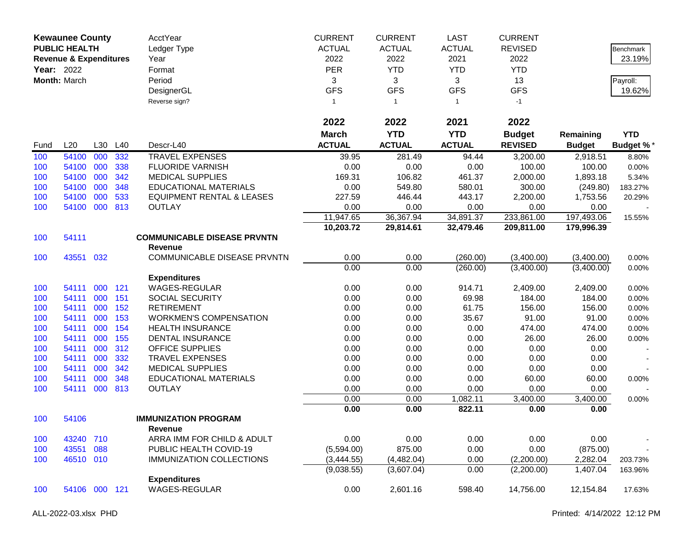|      | <b>Kewaunee County</b>            |     |     | AcctYear                             | <b>CURRENT</b> | <b>CURRENT</b> | <b>LAST</b>   | <b>CURRENT</b> |               |                  |
|------|-----------------------------------|-----|-----|--------------------------------------|----------------|----------------|---------------|----------------|---------------|------------------|
|      | <b>PUBLIC HEALTH</b>              |     |     | Ledger Type                          | <b>ACTUAL</b>  | <b>ACTUAL</b>  | <b>ACTUAL</b> | <b>REVISED</b> |               | Benchmark        |
|      | <b>Revenue &amp; Expenditures</b> |     |     | Year                                 | 2022           | 2022           | 2021          | 2022           |               | 23.19%           |
|      | Year: 2022                        |     |     | Format                               | <b>PER</b>     | <b>YTD</b>     | <b>YTD</b>    | <b>YTD</b>     |               |                  |
|      | Month: March                      |     |     | Period                               | 3              | 3              | 3             | 13             |               | Payroll:         |
|      |                                   |     |     | DesignerGL                           | <b>GFS</b>     | <b>GFS</b>     | <b>GFS</b>    | <b>GFS</b>     |               | 19.62%           |
|      |                                   |     |     | Reverse sign?                        | 1              | $\overline{1}$ | $\mathbf{1}$  | $-1$           |               |                  |
|      |                                   |     |     |                                      |                |                |               |                |               |                  |
|      |                                   |     |     |                                      | 2022           | 2022           | 2021          | 2022           |               |                  |
|      |                                   |     |     |                                      | <b>March</b>   | <b>YTD</b>     | <b>YTD</b>    | <b>Budget</b>  | Remaining     | <b>YTD</b>       |
| Fund | L20                               | L30 | L40 | Descr-L40                            | <b>ACTUAL</b>  | <b>ACTUAL</b>  | <b>ACTUAL</b> | <b>REVISED</b> | <b>Budget</b> | <b>Budget %*</b> |
| 100  | 54100                             | 000 | 332 | <b>TRAVEL EXPENSES</b>               | 39.95          | 281.49         | 94.44         | 3,200.00       | 2,918.51      | 8.80%            |
| 100  | 54100                             | 000 | 338 | <b>FLUORIDE VARNISH</b>              | 0.00           | 0.00           | 0.00          | 100.00         | 100.00        | 0.00%            |
| 100  | 54100                             | 000 | 342 | <b>MEDICAL SUPPLIES</b>              | 169.31         | 106.82         | 461.37        | 2,000.00       | 1,893.18      | 5.34%            |
| 100  | 54100                             | 000 | 348 | <b>EDUCATIONAL MATERIALS</b>         | 0.00           | 549.80         | 580.01        | 300.00         | (249.80)      | 183.27%          |
| 100  | 54100                             | 000 | 533 | <b>EQUIPMENT RENTAL &amp; LEASES</b> | 227.59         | 446.44         | 443.17        | 2,200.00       | 1,753.56      | 20.29%           |
| 100  | 54100                             | 000 | 813 | <b>OUTLAY</b>                        | 0.00           | 0.00           | 0.00          | 0.00           | 0.00          |                  |
|      |                                   |     |     |                                      | 11,947.65      | 36,367.94      | 34,891.37     | 233,861.00     | 197,493.06    | 15.55%           |
|      |                                   |     |     |                                      | 10,203.72      | 29,814.61      | 32,479.46     | 209,811.00     | 179,996.39    |                  |
| 100  | 54111                             |     |     | <b>COMMUNICABLE DISEASE PRVNTN</b>   |                |                |               |                |               |                  |
|      |                                   |     |     | <b>Revenue</b>                       |                |                |               |                |               |                  |
| 100  | 43551 032                         |     |     | COMMUNICABLE DISEASE PRVNTN          | 0.00           | 0.00           | (260.00)      | (3,400.00)     | (3,400.00)    | 0.00%            |
|      |                                   |     |     |                                      | 0.00           | 0.00           | (260.00)      | (3,400.00)     | (3,400.00)    | 0.00%            |
|      |                                   |     |     | <b>Expenditures</b>                  |                |                |               |                |               |                  |
| 100  | 54111                             | 000 | 121 | WAGES-REGULAR                        | 0.00           | 0.00           | 914.71        | 2,409.00       | 2,409.00      | 0.00%            |
| 100  | 54111                             | 000 | 151 | <b>SOCIAL SECURITY</b>               | 0.00           | 0.00           | 69.98         | 184.00         | 184.00        | 0.00%            |
| 100  | 54111                             | 000 | 152 | <b>RETIREMENT</b>                    | 0.00           | 0.00           | 61.75         | 156.00         | 156.00        | $0.00\%$         |
| 100  | 54111                             | 000 | 153 | <b>WORKMEN'S COMPENSATION</b>        | 0.00           | 0.00           | 35.67         | 91.00          | 91.00         | 0.00%            |
| 100  | 54111                             | 000 | 154 | <b>HEALTH INSURANCE</b>              | 0.00           | 0.00           | 0.00          | 474.00         | 474.00        | 0.00%            |
| 100  | 54111                             | 000 | 155 | <b>DENTAL INSURANCE</b>              | 0.00           | 0.00           | 0.00          | 26.00          | 26.00         | 0.00%            |
| 100  | 54111                             | 000 | 312 | OFFICE SUPPLIES                      | 0.00           | 0.00           | 0.00          | 0.00           | 0.00          |                  |
| 100  | 54111                             | 000 | 332 | <b>TRAVEL EXPENSES</b>               | 0.00           | 0.00           | 0.00          | 0.00           | 0.00          |                  |
| 100  | 54111                             | 000 | 342 | <b>MEDICAL SUPPLIES</b>              | 0.00           | 0.00           | 0.00          | 0.00           | 0.00          |                  |
| 100  | 54111                             | 000 | 348 | <b>EDUCATIONAL MATERIALS</b>         | 0.00           | 0.00           | 0.00          | 60.00          | 60.00         | 0.00%            |
| 100  | 54111                             | 000 | 813 | <b>OUTLAY</b>                        | 0.00           | 0.00           | 0.00          | 0.00           | 0.00          |                  |
|      |                                   |     |     |                                      | 0.00           | 0.00           | 1,082.11      | 3,400.00       | 3,400.00      | 0.00%            |
|      |                                   |     |     |                                      | 0.00           | 0.00           | 822.11        | 0.00           | 0.00          |                  |
| 100  | 54106                             |     |     | <b>IMMUNIZATION PROGRAM</b>          |                |                |               |                |               |                  |
|      |                                   |     |     | Revenue                              |                |                |               |                |               |                  |
| 100  | 43240 710                         |     |     | ARRA IMM FOR CHILD & ADULT           | 0.00           | 0.00           | 0.00          | 0.00           | 0.00          |                  |
| 100  | 43551                             | 088 |     | PUBLIC HEALTH COVID-19               | (5,594.00)     | 875.00         | 0.00          | 0.00           | (875.00)      |                  |
| 100  | 46510 010                         |     |     | <b>IMMUNIZATION COLLECTIONS</b>      | (3,444.55)     | (4,482.04)     | 0.00          | (2,200.00)     | 2,282.04      | 203.73%          |
|      |                                   |     |     |                                      | (9,038.55)     | (3,607.04)     | 0.00          | (2,200.00)     | 1,407.04      | 163.96%          |
|      |                                   |     |     | <b>Expenditures</b>                  |                |                |               |                |               |                  |
| 100  | 54106 000 121                     |     |     | WAGES-REGULAR                        | 0.00           | 2,601.16       | 598.40        | 14,756.00      | 12,154.84     | 17.63%           |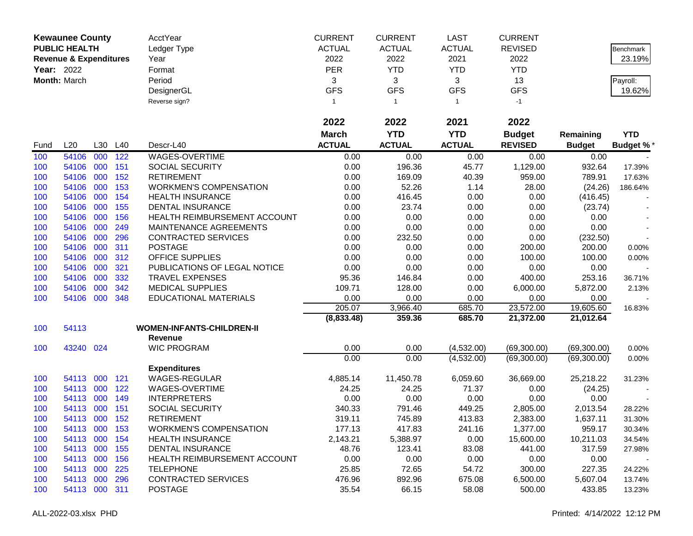|            | <b>Kewaunee County</b>            |         |     | AcctYear                         | <b>CURRENT</b> | <b>CURRENT</b> | <b>LAST</b>   | <b>CURRENT</b> |               |                  |
|------------|-----------------------------------|---------|-----|----------------------------------|----------------|----------------|---------------|----------------|---------------|------------------|
|            | <b>PUBLIC HEALTH</b>              |         |     | Ledger Type                      | <b>ACTUAL</b>  | <b>ACTUAL</b>  | <b>ACTUAL</b> | <b>REVISED</b> |               | Benchmark        |
|            | <b>Revenue &amp; Expenditures</b> |         |     | Year                             | 2022           | 2022           | 2021          | 2022           |               | 23.19%           |
| Year: 2022 |                                   |         |     | Format                           | <b>PER</b>     | <b>YTD</b>     | <b>YTD</b>    | <b>YTD</b>     |               |                  |
|            | Month: March                      |         |     | Period                           | 3              | 3              | 3             | 13             |               | Payroll:         |
|            |                                   |         |     | DesignerGL                       | <b>GFS</b>     | <b>GFS</b>     | <b>GFS</b>    | <b>GFS</b>     |               | 19.62%           |
|            |                                   |         |     | Reverse sign?                    | 1              | $\overline{1}$ | $\mathbf{1}$  | $-1$           |               |                  |
|            |                                   |         |     |                                  |                |                |               |                |               |                  |
|            |                                   |         |     |                                  | 2022           | 2022           | 2021          | 2022           |               |                  |
|            |                                   |         |     |                                  | <b>March</b>   | <b>YTD</b>     | <b>YTD</b>    | <b>Budget</b>  | Remaining     | <b>YTD</b>       |
| Fund       | L20                               | L30     | L40 | Descr-L40                        | <b>ACTUAL</b>  | <b>ACTUAL</b>  | <b>ACTUAL</b> | <b>REVISED</b> | <b>Budget</b> | <b>Budget %*</b> |
| 100        | 54106                             | 000     | 122 | WAGES-OVERTIME                   | 0.00           | 0.00           | 0.00          | 0.00           | 0.00          |                  |
| 100        | 54106                             | 000     | 151 | <b>SOCIAL SECURITY</b>           | 0.00           | 196.36         | 45.77         | 1,129.00       | 932.64        | 17.39%           |
| 100        | 54106                             | 000     | 152 | <b>RETIREMENT</b>                | 0.00           | 169.09         | 40.39         | 959.00         | 789.91        | 17.63%           |
| 100        | 54106                             | 000     | 153 | <b>WORKMEN'S COMPENSATION</b>    | 0.00           | 52.26          | 1.14          | 28.00          | (24.26)       | 186.64%          |
| 100        | 54106                             | 000     | 154 | <b>HEALTH INSURANCE</b>          | 0.00           | 416.45         | 0.00          | 0.00           | (416.45)      |                  |
| 100        | 54106                             | 000     | 155 | <b>DENTAL INSURANCE</b>          | 0.00           | 23.74          | 0.00          | 0.00           | (23.74)       |                  |
| 100        | 54106                             | 000     | 156 | HEALTH REIMBURSEMENT ACCOUNT     | 0.00           | 0.00           | 0.00          | 0.00           | 0.00          |                  |
| 100        | 54106                             | 000     | 249 | MAINTENANCE AGREEMENTS           | 0.00           | 0.00           | 0.00          | 0.00           | 0.00          |                  |
| 100        | 54106                             | 000     | 296 | <b>CONTRACTED SERVICES</b>       | 0.00           | 232.50         | 0.00          | 0.00           | (232.50)      |                  |
| 100        | 54106                             | 000     | 311 | <b>POSTAGE</b>                   | 0.00           | 0.00           | 0.00          | 200.00         | 200.00        | 0.00%            |
| 100        | 54106                             | 000     | 312 | <b>OFFICE SUPPLIES</b>           | 0.00           | 0.00           | 0.00          | 100.00         | 100.00        | 0.00%            |
| 100        | 54106                             | 000     | 321 | PUBLICATIONS OF LEGAL NOTICE     | 0.00           | 0.00           | 0.00          | 0.00           | 0.00          |                  |
| 100        | 54106                             | 000     | 332 | <b>TRAVEL EXPENSES</b>           | 95.36          | 146.84         | 0.00          | 400.00         | 253.16        | 36.71%           |
| 100        | 54106                             | 000     | 342 | <b>MEDICAL SUPPLIES</b>          | 109.71         | 128.00         | 0.00          | 6,000.00       | 5,872.00      | 2.13%            |
| 100        | 54106                             | 000     | 348 | <b>EDUCATIONAL MATERIALS</b>     | 0.00           | 0.00           | 0.00          | 0.00           | 0.00          |                  |
|            |                                   |         |     |                                  | 205.07         | 3,966.40       | 685.70        | 23,572.00      | 19,605.60     | 16.83%           |
|            |                                   |         |     |                                  | (8,833.48)     | 359.36         | 685.70        | 21,372.00      | 21,012.64     |                  |
| 100        | 54113                             |         |     | <b>WOMEN-INFANTS-CHILDREN-II</b> |                |                |               |                |               |                  |
|            |                                   |         |     | <b>Revenue</b>                   |                |                |               |                |               |                  |
| 100        | 43240 024                         |         |     | <b>WIC PROGRAM</b>               | 0.00           | 0.00           | (4,532.00)    | (69,300.00)    | (69,300.00)   | 0.00%            |
|            |                                   |         |     |                                  | 0.00           | 0.00           | (4,532.00)    | (69,300.00)    | (69,300.00)   | 0.00%            |
|            |                                   |         |     | <b>Expenditures</b>              |                |                |               |                |               |                  |
| 100        | 54113                             | 000     | 121 | <b>WAGES-REGULAR</b>             | 4,885.14       | 11,450.78      | 6,059.60      | 36,669.00      | 25,218.22     | 31.23%           |
| 100        | 54113                             | 000     | 122 | WAGES-OVERTIME                   | 24.25          | 24.25          | 71.37         | 0.00           | (24.25)       |                  |
| 100        | 54113                             | 000     | 149 | <b>INTERPRETERS</b>              | 0.00           | 0.00           | 0.00          | 0.00           | 0.00          |                  |
| 100        | 54113                             | 000     | 151 | SOCIAL SECURITY                  | 340.33         | 791.46         | 449.25        | 2,805.00       | 2,013.54      | 28.22%           |
| 100        | 54113 000                         |         | 152 | <b>RETIREMENT</b>                | 319.11         | 745.89         | 413.83        | 2,383.00       | 1,637.11      | 31.30%           |
| 100        | 54113 000                         |         | 153 | <b>WORKMEN'S COMPENSATION</b>    | 177.13         | 417.83         | 241.16        | 1,377.00       | 959.17        | 30.34%           |
| 100        | 54113                             | 000 154 |     | <b>HEALTH INSURANCE</b>          | 2,143.21       | 5,388.97       | 0.00          | 15,600.00      | 10,211.03     | 34.54%           |
| 100        | 54113                             | 000     | 155 | <b>DENTAL INSURANCE</b>          | 48.76          | 123.41         | 83.08         | 441.00         | 317.59        | 27.98%           |
| 100        | 54113                             | 000     | 156 | HEALTH REIMBURSEMENT ACCOUNT     | 0.00           | 0.00           | 0.00          | 0.00           | 0.00          |                  |
| 100        | 54113                             | 000     | 225 | <b>TELEPHONE</b>                 | 25.85          | 72.65          | 54.72         | 300.00         | 227.35        | 24.22%           |
| 100        | 54113                             | 000     | 296 | <b>CONTRACTED SERVICES</b>       | 476.96         | 892.96         | 675.08        | 6,500.00       | 5,607.04      | 13.74%           |
| 100        | 54113 000 311                     |         |     | <b>POSTAGE</b>                   | 35.54          | 66.15          | 58.08         | 500.00         | 433.85        | 13.23%           |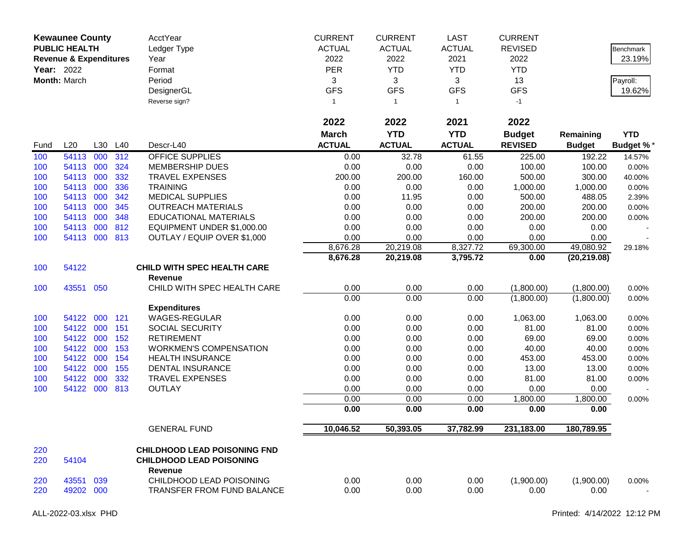|      | <b>Kewaunee County</b><br><b>PUBLIC HEALTH</b><br><b>Revenue &amp; Expenditures</b> |         |     | AcctYear<br>Ledger Type<br>Year     | <b>CURRENT</b><br><b>ACTUAL</b><br>2022 | <b>CURRENT</b><br><b>ACTUAL</b><br>2022 | <b>LAST</b><br><b>ACTUAL</b><br>2021 | <b>CURRENT</b><br><b>REVISED</b><br>2022 |               | Benchmark<br>23.19% |
|------|-------------------------------------------------------------------------------------|---------|-----|-------------------------------------|-----------------------------------------|-----------------------------------------|--------------------------------------|------------------------------------------|---------------|---------------------|
|      | <b>Year: 2022</b>                                                                   |         |     | Format                              | PER                                     | <b>YTD</b>                              | <b>YTD</b>                           | <b>YTD</b>                               |               |                     |
|      | Month: March                                                                        |         |     | Period                              | 3                                       | 3                                       | 3                                    | 13                                       |               | Payroll:            |
|      |                                                                                     |         |     | DesignerGL                          | <b>GFS</b>                              | <b>GFS</b>                              | <b>GFS</b>                           | <b>GFS</b>                               |               | 19.62%              |
|      |                                                                                     |         |     | Reverse sign?                       | 1                                       | $\overline{1}$                          | $\mathbf{1}$                         | $-1$                                     |               |                     |
|      |                                                                                     |         |     |                                     |                                         |                                         |                                      |                                          |               |                     |
|      |                                                                                     |         |     |                                     | 2022                                    | 2022                                    | 2021                                 | 2022                                     |               |                     |
|      |                                                                                     |         |     |                                     | <b>March</b>                            | <b>YTD</b>                              | <b>YTD</b>                           | <b>Budget</b>                            | Remaining     | <b>YTD</b>          |
| Fund | L20                                                                                 | L30 L40 |     | Descr-L40                           | <b>ACTUAL</b>                           | <b>ACTUAL</b>                           | <b>ACTUAL</b>                        | <b>REVISED</b>                           | <b>Budget</b> | <b>Budget %*</b>    |
| 100  | 54113                                                                               | 000     | 312 | <b>OFFICE SUPPLIES</b>              | 0.00                                    | 32.78                                   | 61.55                                | 225.00                                   | 192.22        | 14.57%              |
| 100  | 54113 000                                                                           |         | 324 | <b>MEMBERSHIP DUES</b>              | 0.00                                    | 0.00                                    | 0.00                                 | 100.00                                   | 100.00        | 0.00%               |
| 100  | 54113 000                                                                           |         | 332 | <b>TRAVEL EXPENSES</b>              | 200.00                                  | 200.00                                  | 160.00                               | 500.00                                   | 300.00        | 40.00%              |
| 100  | 54113 000                                                                           |         | 336 | <b>TRAINING</b>                     | 0.00                                    | 0.00                                    | 0.00                                 | 1,000.00                                 | 1,000.00      | 0.00%               |
| 100  | 54113 000                                                                           |         | 342 | <b>MEDICAL SUPPLIES</b>             | 0.00                                    | 11.95                                   | 0.00                                 | 500.00                                   | 488.05        | 2.39%               |
| 100  | 54113 000                                                                           |         | 345 | <b>OUTREACH MATERIALS</b>           | 0.00                                    | 0.00                                    | 0.00                                 | 200.00                                   | 200.00        | 0.00%               |
| 100  | 54113                                                                               | 000     | 348 | <b>EDUCATIONAL MATERIALS</b>        | 0.00                                    | 0.00                                    | 0.00                                 | 200.00                                   | 200.00        | 0.00%               |
| 100  | 54113                                                                               | 000     | 812 | EQUIPMENT UNDER \$1,000.00          | 0.00                                    | 0.00                                    | 0.00                                 | 0.00                                     | 0.00          |                     |
| 100  | 54113 000                                                                           |         | 813 | OUTLAY / EQUIP OVER \$1,000         | 0.00                                    | 0.00                                    | 0.00                                 | 0.00                                     | 0.00          |                     |
|      |                                                                                     |         |     |                                     | 8,676.28                                | 20,219.08                               | 8,327.72                             | 69,300.00                                | 49,080.92     | 29.18%              |
|      |                                                                                     |         |     |                                     | 8,676.28                                | 20,219.08                               | 3,795.72                             | 0.00                                     | (20, 219.08)  |                     |
| 100  | 54122                                                                               |         |     | <b>CHILD WITH SPEC HEALTH CARE</b>  |                                         |                                         |                                      |                                          |               |                     |
|      |                                                                                     |         |     | Revenue                             |                                         |                                         |                                      |                                          |               |                     |
| 100  | 43551 050                                                                           |         |     | CHILD WITH SPEC HEALTH CARE         | 0.00                                    | 0.00                                    | 0.00                                 | (1,800.00)                               | (1,800.00)    | 0.00%               |
|      |                                                                                     |         |     |                                     | 0.00                                    | 0.00                                    | 0.00                                 | (1,800.00)                               | (1,800.00)    | 0.00%               |
|      |                                                                                     |         |     | <b>Expenditures</b>                 |                                         |                                         |                                      |                                          |               |                     |
| 100  | 54122 000                                                                           |         | 121 | WAGES-REGULAR                       | 0.00                                    | 0.00                                    | 0.00                                 | 1,063.00                                 | 1,063.00      | 0.00%               |
| 100  | 54122 000                                                                           |         | 151 | SOCIAL SECURITY                     | 0.00                                    | 0.00                                    | 0.00                                 | 81.00                                    | 81.00         | 0.00%               |
| 100  | 54122 000                                                                           |         | 152 | <b>RETIREMENT</b>                   | 0.00                                    | 0.00                                    | 0.00                                 | 69.00                                    | 69.00         | 0.00%               |
| 100  | 54122 000                                                                           |         | 153 | <b>WORKMEN'S COMPENSATION</b>       | 0.00                                    | 0.00                                    | 0.00                                 | 40.00                                    | 40.00         | 0.00%               |
| 100  | 54122 000                                                                           |         | 154 | <b>HEALTH INSURANCE</b>             | 0.00                                    | 0.00                                    | 0.00                                 | 453.00                                   | 453.00        | 0.00%               |
| 100  | 54122                                                                               | 000     | 155 | DENTAL INSURANCE                    | 0.00                                    | 0.00                                    | 0.00                                 | 13.00                                    | 13.00         | 0.00%               |
| 100  | 54122                                                                               | 000     | 332 | <b>TRAVEL EXPENSES</b>              | 0.00                                    | 0.00                                    | 0.00                                 | 81.00                                    | 81.00         | 0.00%               |
| 100  | 54122 000                                                                           |         | 813 | <b>OUTLAY</b>                       | 0.00                                    | 0.00                                    | 0.00                                 | 0.00                                     | 0.00          |                     |
|      |                                                                                     |         |     |                                     | 0.00                                    | 0.00                                    | 0.00                                 | 1,800.00                                 | 1,800.00      | 0.00%               |
|      |                                                                                     |         |     |                                     | 0.00                                    | 0.00                                    | 0.00                                 | 0.00                                     | 0.00          |                     |
|      |                                                                                     |         |     | <b>GENERAL FUND</b>                 | 10,046.52                               | 50,393.05                               | 37,782.99                            | 231,183.00                               | 180,789.95    |                     |
| 220  |                                                                                     |         |     | <b>CHILDHOOD LEAD POISONING FND</b> |                                         |                                         |                                      |                                          |               |                     |
| 220  | 54104                                                                               |         |     | <b>CHILDHOOD LEAD POISONING</b>     |                                         |                                         |                                      |                                          |               |                     |
|      |                                                                                     |         |     | Revenue                             |                                         |                                         |                                      |                                          |               |                     |
| 220  | 43551 039                                                                           |         |     | CHILDHOOD LEAD POISONING            | 0.00                                    | 0.00                                    | 0.00                                 | (1,900.00)                               | (1,900.00)    | $0.00\%$            |
| 220  | 49202 000                                                                           |         |     | TRANSFER FROM FUND BALANCE          | 0.00                                    | 0.00                                    | 0.00                                 | 0.00                                     | 0.00          | $\sim$              |
|      |                                                                                     |         |     |                                     |                                         |                                         |                                      |                                          |               |                     |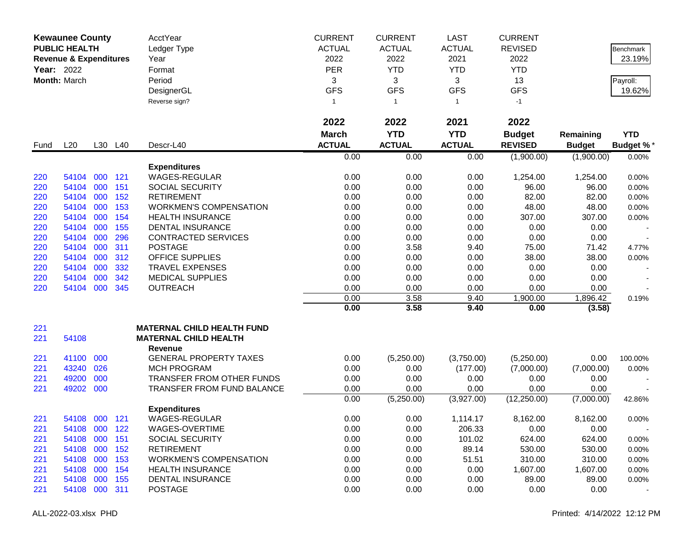| <b>PUBLIC HEALTH</b><br><b>ACTUAL</b><br><b>ACTUAL</b><br><b>ACTUAL</b><br><b>REVISED</b><br>Ledger Type<br><b>Benchmark</b><br>2022<br>2022<br>2021<br>2022<br><b>Revenue &amp; Expenditures</b><br>Year<br>23.19%<br>PER<br><b>YTD</b><br><b>YTD</b><br>Year: 2022<br><b>YTD</b><br>Format<br>Month: March<br>3<br>Period<br>3<br>3<br>13<br>Payroll:<br><b>GFS</b><br><b>GFS</b><br><b>GFS</b><br><b>GFS</b><br>19.62%<br>DesignerGL<br>Reverse sign?<br>$-1$<br>$\mathbf{1}$<br>$\mathbf{1}$<br>$\overline{1}$<br>2022<br>2022<br>2022<br>2021<br><b>YTD</b><br><b>YTD</b><br><b>March</b><br><b>Budget</b><br><b>YTD</b><br>Remaining<br><b>ACTUAL</b><br><b>ACTUAL</b><br><b>ACTUAL</b><br>L20<br><b>REVISED</b><br>L30 L40<br>Descr-L40<br><b>Budget</b><br><b>Budget %*</b><br>Fund<br>0.00<br>0.00<br>(1,900.00)<br>(1,900.00)<br>0.00<br>0.00%<br><b>Expenditures</b><br>000<br>121<br>WAGES-REGULAR<br>0.00<br>0.00<br>0.00<br>1,254.00<br>220<br>54104<br>1,254.00<br>0.00%<br>000<br>151<br>0.00<br>0.00<br>0.00<br>96.00<br>220<br>54104<br><b>SOCIAL SECURITY</b><br>96.00<br>0.00%<br>220<br>54104<br>0.00<br>0.00<br>0.00<br>82.00<br>82.00<br>000<br>152<br><b>RETIREMENT</b><br>0.00%<br>000<br>153<br><b>WORKMEN'S COMPENSATION</b><br>0.00<br>0.00<br>48.00<br>48.00<br>220<br>54104<br>0.00<br>0.00%<br>000<br>154<br>0.00<br>0.00<br>307.00<br>220<br>54104<br><b>HEALTH INSURANCE</b><br>0.00<br>307.00<br>$0.00\%$<br>000<br>155<br>0.00<br>0.00<br>0.00<br>220<br>54104<br><b>DENTAL INSURANCE</b><br>0.00<br>0.00<br>000<br>296<br><b>CONTRACTED SERVICES</b><br>0.00<br>0.00<br>0.00<br>0.00<br>0.00<br>220<br>54104<br>54104<br>000<br>311<br><b>POSTAGE</b><br>0.00<br>3.58<br>9.40<br>75.00<br>71.42<br>220<br>4.77%<br>54104<br>000<br>312<br><b>OFFICE SUPPLIES</b><br>0.00<br>0.00<br>0.00<br>38.00<br>220<br>38.00<br>0.00%<br>54104<br>000<br>332<br><b>TRAVEL EXPENSES</b><br>0.00<br>0.00<br>0.00<br>0.00<br>220<br>0.00<br>000<br>54104<br>342<br><b>MEDICAL SUPPLIES</b><br>0.00<br>0.00<br>0.00<br>220<br>0.00<br>0.00<br>000<br>54104<br>345<br><b>OUTREACH</b><br>0.00<br>0.00<br>0.00<br>0.00<br>0.00<br>220<br>0.00<br>3.58<br>9.40<br>1,900.00<br>1,896.42<br>0.19%<br>0.00<br>3.58<br>9.40<br>0.00<br>(3.58)<br><b>MATERNAL CHILD HEALTH FUND</b><br>221<br>221<br>54108<br><b>MATERNAL CHILD HEALTH</b><br><b>Revenue</b><br>41100<br>000<br><b>GENERAL PROPERTY TAXES</b><br>0.00<br>(5,250.00)<br>(3,750.00)<br>0.00<br>221<br>(5,250.00)<br>100.00%<br>221<br>43240<br>026<br><b>MCH PROGRAM</b><br>0.00<br>0.00<br>(177.00)<br>(7,000.00)<br>(7,000.00)<br>0.00%<br>000<br>49200<br>TRANSFER FROM OTHER FUNDS<br>221<br>0.00<br>0.00<br>0.00<br>0.00<br>0.00<br>49202<br>000<br>0.00<br>0.00<br>221<br>TRANSFER FROM FUND BALANCE<br>0.00<br>0.00<br>0.00<br>0.00<br>(5,250.00)<br>(3,927.00)<br>(12,250.00)<br>(7,000.00)<br>42.86%<br><b>Expenditures</b><br>WAGES-REGULAR<br>0.00<br>0.00<br>8,162.00<br>221<br>54108 000 121<br>1,114.17<br>8,162.00<br>0.00%<br>WAGES-OVERTIME<br>54108 000<br>122<br>0.00<br>0.00<br>206.33<br>0.00<br>0.00<br>221<br>000<br>0.00<br>624.00<br>54108<br>151<br>SOCIAL SECURITY<br>0.00<br>101.02<br>624.00<br>221<br>0.00%<br>0.00<br>530.00<br>54108<br>000<br>152<br><b>RETIREMENT</b><br>0.00<br>89.14<br>530.00<br>221<br>0.00%<br>54108<br>000<br>153<br><b>WORKMEN'S COMPENSATION</b><br>0.00<br>0.00<br>51.51<br>310.00<br>310.00<br>221<br>0.00%<br>54108<br>000<br>154<br><b>HEALTH INSURANCE</b><br>0.00<br>0.00<br>0.00<br>1,607.00<br>1,607.00<br>221<br>0.00%<br>000<br>0.00<br>54108<br>155<br><b>DENTAL INSURANCE</b><br>0.00<br>0.00<br>89.00<br>89.00<br>221<br>0.00%<br>54108 000 311<br><b>POSTAGE</b><br>0.00<br>0.00<br>221<br>0.00<br>0.00<br>0.00 | <b>Kewaunee County</b> |  | AcctYear | <b>CURRENT</b> | <b>CURRENT</b> | LAST | <b>CURRENT</b> |  |
|--------------------------------------------------------------------------------------------------------------------------------------------------------------------------------------------------------------------------------------------------------------------------------------------------------------------------------------------------------------------------------------------------------------------------------------------------------------------------------------------------------------------------------------------------------------------------------------------------------------------------------------------------------------------------------------------------------------------------------------------------------------------------------------------------------------------------------------------------------------------------------------------------------------------------------------------------------------------------------------------------------------------------------------------------------------------------------------------------------------------------------------------------------------------------------------------------------------------------------------------------------------------------------------------------------------------------------------------------------------------------------------------------------------------------------------------------------------------------------------------------------------------------------------------------------------------------------------------------------------------------------------------------------------------------------------------------------------------------------------------------------------------------------------------------------------------------------------------------------------------------------------------------------------------------------------------------------------------------------------------------------------------------------------------------------------------------------------------------------------------------------------------------------------------------------------------------------------------------------------------------------------------------------------------------------------------------------------------------------------------------------------------------------------------------------------------------------------------------------------------------------------------------------------------------------------------------------------------------------------------------------------------------------------------------------------------------------------------------------------------------------------------------------------------------------------------------------------------------------------------------------------------------------------------------------------------------------------------------------------------------------------------------------------------------------------------------------------------------------------------------------------------------------------------------------------------------------------------------------------------------------------------------------------------------------------------------------------------------------------------------------------------------------------------------------------------------------------------------------------------------------------------------------------------------------------------------------------------------------------------------------------------------------------------------------------------------------------------------------------------------------------------|------------------------|--|----------|----------------|----------------|------|----------------|--|
|                                                                                                                                                                                                                                                                                                                                                                                                                                                                                                                                                                                                                                                                                                                                                                                                                                                                                                                                                                                                                                                                                                                                                                                                                                                                                                                                                                                                                                                                                                                                                                                                                                                                                                                                                                                                                                                                                                                                                                                                                                                                                                                                                                                                                                                                                                                                                                                                                                                                                                                                                                                                                                                                                                                                                                                                                                                                                                                                                                                                                                                                                                                                                                                                                                                                                                                                                                                                                                                                                                                                                                                                                                                                                                                                                                    |                        |  |          |                |                |      |                |  |
|                                                                                                                                                                                                                                                                                                                                                                                                                                                                                                                                                                                                                                                                                                                                                                                                                                                                                                                                                                                                                                                                                                                                                                                                                                                                                                                                                                                                                                                                                                                                                                                                                                                                                                                                                                                                                                                                                                                                                                                                                                                                                                                                                                                                                                                                                                                                                                                                                                                                                                                                                                                                                                                                                                                                                                                                                                                                                                                                                                                                                                                                                                                                                                                                                                                                                                                                                                                                                                                                                                                                                                                                                                                                                                                                                                    |                        |  |          |                |                |      |                |  |
|                                                                                                                                                                                                                                                                                                                                                                                                                                                                                                                                                                                                                                                                                                                                                                                                                                                                                                                                                                                                                                                                                                                                                                                                                                                                                                                                                                                                                                                                                                                                                                                                                                                                                                                                                                                                                                                                                                                                                                                                                                                                                                                                                                                                                                                                                                                                                                                                                                                                                                                                                                                                                                                                                                                                                                                                                                                                                                                                                                                                                                                                                                                                                                                                                                                                                                                                                                                                                                                                                                                                                                                                                                                                                                                                                                    |                        |  |          |                |                |      |                |  |
|                                                                                                                                                                                                                                                                                                                                                                                                                                                                                                                                                                                                                                                                                                                                                                                                                                                                                                                                                                                                                                                                                                                                                                                                                                                                                                                                                                                                                                                                                                                                                                                                                                                                                                                                                                                                                                                                                                                                                                                                                                                                                                                                                                                                                                                                                                                                                                                                                                                                                                                                                                                                                                                                                                                                                                                                                                                                                                                                                                                                                                                                                                                                                                                                                                                                                                                                                                                                                                                                                                                                                                                                                                                                                                                                                                    |                        |  |          |                |                |      |                |  |
|                                                                                                                                                                                                                                                                                                                                                                                                                                                                                                                                                                                                                                                                                                                                                                                                                                                                                                                                                                                                                                                                                                                                                                                                                                                                                                                                                                                                                                                                                                                                                                                                                                                                                                                                                                                                                                                                                                                                                                                                                                                                                                                                                                                                                                                                                                                                                                                                                                                                                                                                                                                                                                                                                                                                                                                                                                                                                                                                                                                                                                                                                                                                                                                                                                                                                                                                                                                                                                                                                                                                                                                                                                                                                                                                                                    |                        |  |          |                |                |      |                |  |
|                                                                                                                                                                                                                                                                                                                                                                                                                                                                                                                                                                                                                                                                                                                                                                                                                                                                                                                                                                                                                                                                                                                                                                                                                                                                                                                                                                                                                                                                                                                                                                                                                                                                                                                                                                                                                                                                                                                                                                                                                                                                                                                                                                                                                                                                                                                                                                                                                                                                                                                                                                                                                                                                                                                                                                                                                                                                                                                                                                                                                                                                                                                                                                                                                                                                                                                                                                                                                                                                                                                                                                                                                                                                                                                                                                    |                        |  |          |                |                |      |                |  |
|                                                                                                                                                                                                                                                                                                                                                                                                                                                                                                                                                                                                                                                                                                                                                                                                                                                                                                                                                                                                                                                                                                                                                                                                                                                                                                                                                                                                                                                                                                                                                                                                                                                                                                                                                                                                                                                                                                                                                                                                                                                                                                                                                                                                                                                                                                                                                                                                                                                                                                                                                                                                                                                                                                                                                                                                                                                                                                                                                                                                                                                                                                                                                                                                                                                                                                                                                                                                                                                                                                                                                                                                                                                                                                                                                                    |                        |  |          |                |                |      |                |  |
|                                                                                                                                                                                                                                                                                                                                                                                                                                                                                                                                                                                                                                                                                                                                                                                                                                                                                                                                                                                                                                                                                                                                                                                                                                                                                                                                                                                                                                                                                                                                                                                                                                                                                                                                                                                                                                                                                                                                                                                                                                                                                                                                                                                                                                                                                                                                                                                                                                                                                                                                                                                                                                                                                                                                                                                                                                                                                                                                                                                                                                                                                                                                                                                                                                                                                                                                                                                                                                                                                                                                                                                                                                                                                                                                                                    |                        |  |          |                |                |      |                |  |
|                                                                                                                                                                                                                                                                                                                                                                                                                                                                                                                                                                                                                                                                                                                                                                                                                                                                                                                                                                                                                                                                                                                                                                                                                                                                                                                                                                                                                                                                                                                                                                                                                                                                                                                                                                                                                                                                                                                                                                                                                                                                                                                                                                                                                                                                                                                                                                                                                                                                                                                                                                                                                                                                                                                                                                                                                                                                                                                                                                                                                                                                                                                                                                                                                                                                                                                                                                                                                                                                                                                                                                                                                                                                                                                                                                    |                        |  |          |                |                |      |                |  |
|                                                                                                                                                                                                                                                                                                                                                                                                                                                                                                                                                                                                                                                                                                                                                                                                                                                                                                                                                                                                                                                                                                                                                                                                                                                                                                                                                                                                                                                                                                                                                                                                                                                                                                                                                                                                                                                                                                                                                                                                                                                                                                                                                                                                                                                                                                                                                                                                                                                                                                                                                                                                                                                                                                                                                                                                                                                                                                                                                                                                                                                                                                                                                                                                                                                                                                                                                                                                                                                                                                                                                                                                                                                                                                                                                                    |                        |  |          |                |                |      |                |  |
|                                                                                                                                                                                                                                                                                                                                                                                                                                                                                                                                                                                                                                                                                                                                                                                                                                                                                                                                                                                                                                                                                                                                                                                                                                                                                                                                                                                                                                                                                                                                                                                                                                                                                                                                                                                                                                                                                                                                                                                                                                                                                                                                                                                                                                                                                                                                                                                                                                                                                                                                                                                                                                                                                                                                                                                                                                                                                                                                                                                                                                                                                                                                                                                                                                                                                                                                                                                                                                                                                                                                                                                                                                                                                                                                                                    |                        |  |          |                |                |      |                |  |
|                                                                                                                                                                                                                                                                                                                                                                                                                                                                                                                                                                                                                                                                                                                                                                                                                                                                                                                                                                                                                                                                                                                                                                                                                                                                                                                                                                                                                                                                                                                                                                                                                                                                                                                                                                                                                                                                                                                                                                                                                                                                                                                                                                                                                                                                                                                                                                                                                                                                                                                                                                                                                                                                                                                                                                                                                                                                                                                                                                                                                                                                                                                                                                                                                                                                                                                                                                                                                                                                                                                                                                                                                                                                                                                                                                    |                        |  |          |                |                |      |                |  |
|                                                                                                                                                                                                                                                                                                                                                                                                                                                                                                                                                                                                                                                                                                                                                                                                                                                                                                                                                                                                                                                                                                                                                                                                                                                                                                                                                                                                                                                                                                                                                                                                                                                                                                                                                                                                                                                                                                                                                                                                                                                                                                                                                                                                                                                                                                                                                                                                                                                                                                                                                                                                                                                                                                                                                                                                                                                                                                                                                                                                                                                                                                                                                                                                                                                                                                                                                                                                                                                                                                                                                                                                                                                                                                                                                                    |                        |  |          |                |                |      |                |  |
|                                                                                                                                                                                                                                                                                                                                                                                                                                                                                                                                                                                                                                                                                                                                                                                                                                                                                                                                                                                                                                                                                                                                                                                                                                                                                                                                                                                                                                                                                                                                                                                                                                                                                                                                                                                                                                                                                                                                                                                                                                                                                                                                                                                                                                                                                                                                                                                                                                                                                                                                                                                                                                                                                                                                                                                                                                                                                                                                                                                                                                                                                                                                                                                                                                                                                                                                                                                                                                                                                                                                                                                                                                                                                                                                                                    |                        |  |          |                |                |      |                |  |
|                                                                                                                                                                                                                                                                                                                                                                                                                                                                                                                                                                                                                                                                                                                                                                                                                                                                                                                                                                                                                                                                                                                                                                                                                                                                                                                                                                                                                                                                                                                                                                                                                                                                                                                                                                                                                                                                                                                                                                                                                                                                                                                                                                                                                                                                                                                                                                                                                                                                                                                                                                                                                                                                                                                                                                                                                                                                                                                                                                                                                                                                                                                                                                                                                                                                                                                                                                                                                                                                                                                                                                                                                                                                                                                                                                    |                        |  |          |                |                |      |                |  |
|                                                                                                                                                                                                                                                                                                                                                                                                                                                                                                                                                                                                                                                                                                                                                                                                                                                                                                                                                                                                                                                                                                                                                                                                                                                                                                                                                                                                                                                                                                                                                                                                                                                                                                                                                                                                                                                                                                                                                                                                                                                                                                                                                                                                                                                                                                                                                                                                                                                                                                                                                                                                                                                                                                                                                                                                                                                                                                                                                                                                                                                                                                                                                                                                                                                                                                                                                                                                                                                                                                                                                                                                                                                                                                                                                                    |                        |  |          |                |                |      |                |  |
|                                                                                                                                                                                                                                                                                                                                                                                                                                                                                                                                                                                                                                                                                                                                                                                                                                                                                                                                                                                                                                                                                                                                                                                                                                                                                                                                                                                                                                                                                                                                                                                                                                                                                                                                                                                                                                                                                                                                                                                                                                                                                                                                                                                                                                                                                                                                                                                                                                                                                                                                                                                                                                                                                                                                                                                                                                                                                                                                                                                                                                                                                                                                                                                                                                                                                                                                                                                                                                                                                                                                                                                                                                                                                                                                                                    |                        |  |          |                |                |      |                |  |
|                                                                                                                                                                                                                                                                                                                                                                                                                                                                                                                                                                                                                                                                                                                                                                                                                                                                                                                                                                                                                                                                                                                                                                                                                                                                                                                                                                                                                                                                                                                                                                                                                                                                                                                                                                                                                                                                                                                                                                                                                                                                                                                                                                                                                                                                                                                                                                                                                                                                                                                                                                                                                                                                                                                                                                                                                                                                                                                                                                                                                                                                                                                                                                                                                                                                                                                                                                                                                                                                                                                                                                                                                                                                                                                                                                    |                        |  |          |                |                |      |                |  |
|                                                                                                                                                                                                                                                                                                                                                                                                                                                                                                                                                                                                                                                                                                                                                                                                                                                                                                                                                                                                                                                                                                                                                                                                                                                                                                                                                                                                                                                                                                                                                                                                                                                                                                                                                                                                                                                                                                                                                                                                                                                                                                                                                                                                                                                                                                                                                                                                                                                                                                                                                                                                                                                                                                                                                                                                                                                                                                                                                                                                                                                                                                                                                                                                                                                                                                                                                                                                                                                                                                                                                                                                                                                                                                                                                                    |                        |  |          |                |                |      |                |  |
|                                                                                                                                                                                                                                                                                                                                                                                                                                                                                                                                                                                                                                                                                                                                                                                                                                                                                                                                                                                                                                                                                                                                                                                                                                                                                                                                                                                                                                                                                                                                                                                                                                                                                                                                                                                                                                                                                                                                                                                                                                                                                                                                                                                                                                                                                                                                                                                                                                                                                                                                                                                                                                                                                                                                                                                                                                                                                                                                                                                                                                                                                                                                                                                                                                                                                                                                                                                                                                                                                                                                                                                                                                                                                                                                                                    |                        |  |          |                |                |      |                |  |
|                                                                                                                                                                                                                                                                                                                                                                                                                                                                                                                                                                                                                                                                                                                                                                                                                                                                                                                                                                                                                                                                                                                                                                                                                                                                                                                                                                                                                                                                                                                                                                                                                                                                                                                                                                                                                                                                                                                                                                                                                                                                                                                                                                                                                                                                                                                                                                                                                                                                                                                                                                                                                                                                                                                                                                                                                                                                                                                                                                                                                                                                                                                                                                                                                                                                                                                                                                                                                                                                                                                                                                                                                                                                                                                                                                    |                        |  |          |                |                |      |                |  |
|                                                                                                                                                                                                                                                                                                                                                                                                                                                                                                                                                                                                                                                                                                                                                                                                                                                                                                                                                                                                                                                                                                                                                                                                                                                                                                                                                                                                                                                                                                                                                                                                                                                                                                                                                                                                                                                                                                                                                                                                                                                                                                                                                                                                                                                                                                                                                                                                                                                                                                                                                                                                                                                                                                                                                                                                                                                                                                                                                                                                                                                                                                                                                                                                                                                                                                                                                                                                                                                                                                                                                                                                                                                                                                                                                                    |                        |  |          |                |                |      |                |  |
|                                                                                                                                                                                                                                                                                                                                                                                                                                                                                                                                                                                                                                                                                                                                                                                                                                                                                                                                                                                                                                                                                                                                                                                                                                                                                                                                                                                                                                                                                                                                                                                                                                                                                                                                                                                                                                                                                                                                                                                                                                                                                                                                                                                                                                                                                                                                                                                                                                                                                                                                                                                                                                                                                                                                                                                                                                                                                                                                                                                                                                                                                                                                                                                                                                                                                                                                                                                                                                                                                                                                                                                                                                                                                                                                                                    |                        |  |          |                |                |      |                |  |
|                                                                                                                                                                                                                                                                                                                                                                                                                                                                                                                                                                                                                                                                                                                                                                                                                                                                                                                                                                                                                                                                                                                                                                                                                                                                                                                                                                                                                                                                                                                                                                                                                                                                                                                                                                                                                                                                                                                                                                                                                                                                                                                                                                                                                                                                                                                                                                                                                                                                                                                                                                                                                                                                                                                                                                                                                                                                                                                                                                                                                                                                                                                                                                                                                                                                                                                                                                                                                                                                                                                                                                                                                                                                                                                                                                    |                        |  |          |                |                |      |                |  |
|                                                                                                                                                                                                                                                                                                                                                                                                                                                                                                                                                                                                                                                                                                                                                                                                                                                                                                                                                                                                                                                                                                                                                                                                                                                                                                                                                                                                                                                                                                                                                                                                                                                                                                                                                                                                                                                                                                                                                                                                                                                                                                                                                                                                                                                                                                                                                                                                                                                                                                                                                                                                                                                                                                                                                                                                                                                                                                                                                                                                                                                                                                                                                                                                                                                                                                                                                                                                                                                                                                                                                                                                                                                                                                                                                                    |                        |  |          |                |                |      |                |  |
|                                                                                                                                                                                                                                                                                                                                                                                                                                                                                                                                                                                                                                                                                                                                                                                                                                                                                                                                                                                                                                                                                                                                                                                                                                                                                                                                                                                                                                                                                                                                                                                                                                                                                                                                                                                                                                                                                                                                                                                                                                                                                                                                                                                                                                                                                                                                                                                                                                                                                                                                                                                                                                                                                                                                                                                                                                                                                                                                                                                                                                                                                                                                                                                                                                                                                                                                                                                                                                                                                                                                                                                                                                                                                                                                                                    |                        |  |          |                |                |      |                |  |
|                                                                                                                                                                                                                                                                                                                                                                                                                                                                                                                                                                                                                                                                                                                                                                                                                                                                                                                                                                                                                                                                                                                                                                                                                                                                                                                                                                                                                                                                                                                                                                                                                                                                                                                                                                                                                                                                                                                                                                                                                                                                                                                                                                                                                                                                                                                                                                                                                                                                                                                                                                                                                                                                                                                                                                                                                                                                                                                                                                                                                                                                                                                                                                                                                                                                                                                                                                                                                                                                                                                                                                                                                                                                                                                                                                    |                        |  |          |                |                |      |                |  |
|                                                                                                                                                                                                                                                                                                                                                                                                                                                                                                                                                                                                                                                                                                                                                                                                                                                                                                                                                                                                                                                                                                                                                                                                                                                                                                                                                                                                                                                                                                                                                                                                                                                                                                                                                                                                                                                                                                                                                                                                                                                                                                                                                                                                                                                                                                                                                                                                                                                                                                                                                                                                                                                                                                                                                                                                                                                                                                                                                                                                                                                                                                                                                                                                                                                                                                                                                                                                                                                                                                                                                                                                                                                                                                                                                                    |                        |  |          |                |                |      |                |  |
|                                                                                                                                                                                                                                                                                                                                                                                                                                                                                                                                                                                                                                                                                                                                                                                                                                                                                                                                                                                                                                                                                                                                                                                                                                                                                                                                                                                                                                                                                                                                                                                                                                                                                                                                                                                                                                                                                                                                                                                                                                                                                                                                                                                                                                                                                                                                                                                                                                                                                                                                                                                                                                                                                                                                                                                                                                                                                                                                                                                                                                                                                                                                                                                                                                                                                                                                                                                                                                                                                                                                                                                                                                                                                                                                                                    |                        |  |          |                |                |      |                |  |
|                                                                                                                                                                                                                                                                                                                                                                                                                                                                                                                                                                                                                                                                                                                                                                                                                                                                                                                                                                                                                                                                                                                                                                                                                                                                                                                                                                                                                                                                                                                                                                                                                                                                                                                                                                                                                                                                                                                                                                                                                                                                                                                                                                                                                                                                                                                                                                                                                                                                                                                                                                                                                                                                                                                                                                                                                                                                                                                                                                                                                                                                                                                                                                                                                                                                                                                                                                                                                                                                                                                                                                                                                                                                                                                                                                    |                        |  |          |                |                |      |                |  |
|                                                                                                                                                                                                                                                                                                                                                                                                                                                                                                                                                                                                                                                                                                                                                                                                                                                                                                                                                                                                                                                                                                                                                                                                                                                                                                                                                                                                                                                                                                                                                                                                                                                                                                                                                                                                                                                                                                                                                                                                                                                                                                                                                                                                                                                                                                                                                                                                                                                                                                                                                                                                                                                                                                                                                                                                                                                                                                                                                                                                                                                                                                                                                                                                                                                                                                                                                                                                                                                                                                                                                                                                                                                                                                                                                                    |                        |  |          |                |                |      |                |  |
|                                                                                                                                                                                                                                                                                                                                                                                                                                                                                                                                                                                                                                                                                                                                                                                                                                                                                                                                                                                                                                                                                                                                                                                                                                                                                                                                                                                                                                                                                                                                                                                                                                                                                                                                                                                                                                                                                                                                                                                                                                                                                                                                                                                                                                                                                                                                                                                                                                                                                                                                                                                                                                                                                                                                                                                                                                                                                                                                                                                                                                                                                                                                                                                                                                                                                                                                                                                                                                                                                                                                                                                                                                                                                                                                                                    |                        |  |          |                |                |      |                |  |
|                                                                                                                                                                                                                                                                                                                                                                                                                                                                                                                                                                                                                                                                                                                                                                                                                                                                                                                                                                                                                                                                                                                                                                                                                                                                                                                                                                                                                                                                                                                                                                                                                                                                                                                                                                                                                                                                                                                                                                                                                                                                                                                                                                                                                                                                                                                                                                                                                                                                                                                                                                                                                                                                                                                                                                                                                                                                                                                                                                                                                                                                                                                                                                                                                                                                                                                                                                                                                                                                                                                                                                                                                                                                                                                                                                    |                        |  |          |                |                |      |                |  |
|                                                                                                                                                                                                                                                                                                                                                                                                                                                                                                                                                                                                                                                                                                                                                                                                                                                                                                                                                                                                                                                                                                                                                                                                                                                                                                                                                                                                                                                                                                                                                                                                                                                                                                                                                                                                                                                                                                                                                                                                                                                                                                                                                                                                                                                                                                                                                                                                                                                                                                                                                                                                                                                                                                                                                                                                                                                                                                                                                                                                                                                                                                                                                                                                                                                                                                                                                                                                                                                                                                                                                                                                                                                                                                                                                                    |                        |  |          |                |                |      |                |  |
|                                                                                                                                                                                                                                                                                                                                                                                                                                                                                                                                                                                                                                                                                                                                                                                                                                                                                                                                                                                                                                                                                                                                                                                                                                                                                                                                                                                                                                                                                                                                                                                                                                                                                                                                                                                                                                                                                                                                                                                                                                                                                                                                                                                                                                                                                                                                                                                                                                                                                                                                                                                                                                                                                                                                                                                                                                                                                                                                                                                                                                                                                                                                                                                                                                                                                                                                                                                                                                                                                                                                                                                                                                                                                                                                                                    |                        |  |          |                |                |      |                |  |
|                                                                                                                                                                                                                                                                                                                                                                                                                                                                                                                                                                                                                                                                                                                                                                                                                                                                                                                                                                                                                                                                                                                                                                                                                                                                                                                                                                                                                                                                                                                                                                                                                                                                                                                                                                                                                                                                                                                                                                                                                                                                                                                                                                                                                                                                                                                                                                                                                                                                                                                                                                                                                                                                                                                                                                                                                                                                                                                                                                                                                                                                                                                                                                                                                                                                                                                                                                                                                                                                                                                                                                                                                                                                                                                                                                    |                        |  |          |                |                |      |                |  |
|                                                                                                                                                                                                                                                                                                                                                                                                                                                                                                                                                                                                                                                                                                                                                                                                                                                                                                                                                                                                                                                                                                                                                                                                                                                                                                                                                                                                                                                                                                                                                                                                                                                                                                                                                                                                                                                                                                                                                                                                                                                                                                                                                                                                                                                                                                                                                                                                                                                                                                                                                                                                                                                                                                                                                                                                                                                                                                                                                                                                                                                                                                                                                                                                                                                                                                                                                                                                                                                                                                                                                                                                                                                                                                                                                                    |                        |  |          |                |                |      |                |  |
|                                                                                                                                                                                                                                                                                                                                                                                                                                                                                                                                                                                                                                                                                                                                                                                                                                                                                                                                                                                                                                                                                                                                                                                                                                                                                                                                                                                                                                                                                                                                                                                                                                                                                                                                                                                                                                                                                                                                                                                                                                                                                                                                                                                                                                                                                                                                                                                                                                                                                                                                                                                                                                                                                                                                                                                                                                                                                                                                                                                                                                                                                                                                                                                                                                                                                                                                                                                                                                                                                                                                                                                                                                                                                                                                                                    |                        |  |          |                |                |      |                |  |
|                                                                                                                                                                                                                                                                                                                                                                                                                                                                                                                                                                                                                                                                                                                                                                                                                                                                                                                                                                                                                                                                                                                                                                                                                                                                                                                                                                                                                                                                                                                                                                                                                                                                                                                                                                                                                                                                                                                                                                                                                                                                                                                                                                                                                                                                                                                                                                                                                                                                                                                                                                                                                                                                                                                                                                                                                                                                                                                                                                                                                                                                                                                                                                                                                                                                                                                                                                                                                                                                                                                                                                                                                                                                                                                                                                    |                        |  |          |                |                |      |                |  |
|                                                                                                                                                                                                                                                                                                                                                                                                                                                                                                                                                                                                                                                                                                                                                                                                                                                                                                                                                                                                                                                                                                                                                                                                                                                                                                                                                                                                                                                                                                                                                                                                                                                                                                                                                                                                                                                                                                                                                                                                                                                                                                                                                                                                                                                                                                                                                                                                                                                                                                                                                                                                                                                                                                                                                                                                                                                                                                                                                                                                                                                                                                                                                                                                                                                                                                                                                                                                                                                                                                                                                                                                                                                                                                                                                                    |                        |  |          |                |                |      |                |  |
|                                                                                                                                                                                                                                                                                                                                                                                                                                                                                                                                                                                                                                                                                                                                                                                                                                                                                                                                                                                                                                                                                                                                                                                                                                                                                                                                                                                                                                                                                                                                                                                                                                                                                                                                                                                                                                                                                                                                                                                                                                                                                                                                                                                                                                                                                                                                                                                                                                                                                                                                                                                                                                                                                                                                                                                                                                                                                                                                                                                                                                                                                                                                                                                                                                                                                                                                                                                                                                                                                                                                                                                                                                                                                                                                                                    |                        |  |          |                |                |      |                |  |
|                                                                                                                                                                                                                                                                                                                                                                                                                                                                                                                                                                                                                                                                                                                                                                                                                                                                                                                                                                                                                                                                                                                                                                                                                                                                                                                                                                                                                                                                                                                                                                                                                                                                                                                                                                                                                                                                                                                                                                                                                                                                                                                                                                                                                                                                                                                                                                                                                                                                                                                                                                                                                                                                                                                                                                                                                                                                                                                                                                                                                                                                                                                                                                                                                                                                                                                                                                                                                                                                                                                                                                                                                                                                                                                                                                    |                        |  |          |                |                |      |                |  |
|                                                                                                                                                                                                                                                                                                                                                                                                                                                                                                                                                                                                                                                                                                                                                                                                                                                                                                                                                                                                                                                                                                                                                                                                                                                                                                                                                                                                                                                                                                                                                                                                                                                                                                                                                                                                                                                                                                                                                                                                                                                                                                                                                                                                                                                                                                                                                                                                                                                                                                                                                                                                                                                                                                                                                                                                                                                                                                                                                                                                                                                                                                                                                                                                                                                                                                                                                                                                                                                                                                                                                                                                                                                                                                                                                                    |                        |  |          |                |                |      |                |  |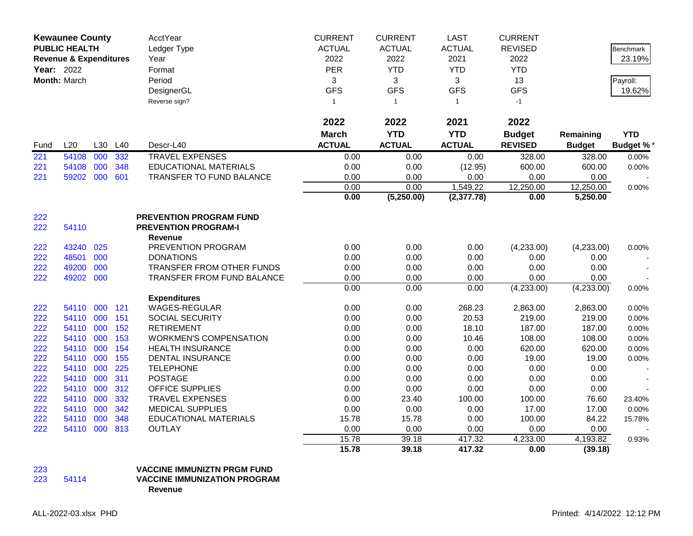|      | <b>Kewaunee County</b><br><b>PUBLIC HEALTH</b> |     |     | <b>AcctYear</b><br>Ledger Type | <b>CURRENT</b><br><b>ACTUAL</b> | <b>CURRENT</b><br><b>ACTUAL</b> | <b>LAST</b><br><b>ACTUAL</b> | <b>CURRENT</b><br><b>REVISED</b> |               | Benchmark        |
|------|------------------------------------------------|-----|-----|--------------------------------|---------------------------------|---------------------------------|------------------------------|----------------------------------|---------------|------------------|
|      | <b>Revenue &amp; Expenditures</b>              |     |     | Year                           | 2022                            | 2022                            | 2021                         | 2022                             |               | 23.19%           |
|      | Year: 2022                                     |     |     | Format                         | PER                             | <b>YTD</b>                      | <b>YTD</b>                   | <b>YTD</b>                       |               |                  |
|      | Month: March                                   |     |     | Period                         | 3                               | 3                               | 3                            | 13                               |               | Payroll:         |
|      |                                                |     |     | DesignerGL                     | <b>GFS</b>                      | <b>GFS</b>                      | <b>GFS</b>                   | <b>GFS</b>                       |               | 19.62%           |
|      |                                                |     |     | Reverse sign?                  | $\mathbf{1}$                    | $\mathbf{1}$                    | $\mathbf{1}$                 | $-1$                             |               |                  |
|      |                                                |     |     |                                |                                 |                                 |                              |                                  |               |                  |
|      |                                                |     |     |                                | 2022                            | 2022                            | 2021                         | 2022                             |               |                  |
|      |                                                |     |     |                                | <b>March</b>                    | <b>YTD</b>                      | <b>YTD</b>                   | <b>Budget</b>                    | Remaining     | <b>YTD</b>       |
| Fund | L20                                            | L30 | L40 | Descr-L40                      | <b>ACTUAL</b>                   | <b>ACTUAL</b>                   | <b>ACTUAL</b>                | <b>REVISED</b>                   | <b>Budget</b> | <b>Budget %*</b> |
| 221  | 54108                                          | 000 | 332 | <b>TRAVEL EXPENSES</b>         | 0.00                            | 0.00                            | 0.00                         | 328.00                           | 328.00        | 0.00%            |
| 221  | 54108                                          | 000 | 348 | <b>EDUCATIONAL MATERIALS</b>   | 0.00                            | 0.00                            | (12.95)                      | 600.00                           | 600.00        | 0.00%            |
| 221  | 59202 000                                      |     | 601 | TRANSFER TO FUND BALANCE       | 0.00                            | 0.00                            | 0.00                         | 0.00                             | 0.00          |                  |
|      |                                                |     |     |                                | 0.00                            | 0.00                            | 1,549.22                     | 12,250.00                        | 12,250.00     | 0.00%            |
|      |                                                |     |     |                                | 0.00                            | (5,250.00)                      | (2, 377.78)                  | 0.00                             | 5,250.00      |                  |
| 222  |                                                |     |     | <b>PREVENTION PROGRAM FUND</b> |                                 |                                 |                              |                                  |               |                  |
| 222  | 54110                                          |     |     | <b>PREVENTION PROGRAM-I</b>    |                                 |                                 |                              |                                  |               |                  |
|      |                                                |     |     | Revenue                        |                                 |                                 |                              |                                  |               |                  |
| 222  | 43240                                          | 025 |     | PREVENTION PROGRAM             | 0.00                            | 0.00                            | 0.00                         | (4,233.00)                       | (4,233.00)    | 0.00%            |
| 222  | 48501                                          | 000 |     | <b>DONATIONS</b>               | 0.00                            | 0.00                            | 0.00                         | 0.00                             | 0.00          |                  |
| 222  | 49200                                          | 000 |     | TRANSFER FROM OTHER FUNDS      | 0.00                            | 0.00                            | 0.00                         | 0.00                             | 0.00          |                  |
| 222  | 49202 000                                      |     |     | TRANSFER FROM FUND BALANCE     | 0.00                            | 0.00                            | 0.00                         | 0.00                             | 0.00          |                  |
|      |                                                |     |     |                                | 0.00                            | 0.00                            | 0.00                         | (4,233.00)                       | (4,233.00)    | 0.00%            |
|      |                                                |     |     | <b>Expenditures</b>            |                                 |                                 |                              |                                  |               |                  |
| 222  | 54110                                          | 000 | 121 | WAGES-REGULAR                  | 0.00                            | 0.00                            | 268.23                       | 2,863.00                         | 2,863.00      | 0.00%            |
| 222  | 54110 000                                      |     | 151 | SOCIAL SECURITY                | 0.00                            | 0.00                            | 20.53                        | 219.00                           | 219.00        | 0.00%            |
| 222  | 54110 000                                      |     | 152 | <b>RETIREMENT</b>              | 0.00                            | 0.00                            | 18.10                        | 187.00                           | 187.00        | 0.00%            |
| 222  | 54110 000                                      |     | 153 | <b>WORKMEN'S COMPENSATION</b>  | 0.00                            | 0.00                            | 10.46                        | 108.00                           | 108.00        | 0.00%            |
| 222  | 54110 000                                      |     | 154 | <b>HEALTH INSURANCE</b>        | 0.00                            | 0.00                            | 0.00                         | 620.00                           | 620.00        | 0.00%            |
| 222  | 54110                                          | 000 | 155 | <b>DENTAL INSURANCE</b>        | 0.00                            | 0.00                            | 0.00                         | 19.00                            | 19.00         | 0.00%            |
| 222  | 54110 000                                      |     | 225 | <b>TELEPHONE</b>               | 0.00                            | 0.00                            | 0.00                         | 0.00                             | 0.00          |                  |
| 222  | 54110 000                                      |     | 311 | <b>POSTAGE</b>                 | 0.00                            | 0.00                            | 0.00                         | 0.00                             | 0.00          |                  |
| 222  | 54110 000                                      |     | 312 | OFFICE SUPPLIES                | 0.00                            | 0.00                            | 0.00                         | 0.00                             | 0.00          |                  |
| 222  | 54110                                          | 000 | 332 | <b>TRAVEL EXPENSES</b>         | 0.00                            | 23.40                           | 100.00                       | 100.00                           | 76.60         | 23.40%           |
| 222  | 54110 000                                      |     | 342 | <b>MEDICAL SUPPLIES</b>        | 0.00                            | 0.00                            | 0.00                         | 17.00                            | 17.00         | 0.00%            |
| 222  | 54110 000                                      |     | 348 | <b>EDUCATIONAL MATERIALS</b>   | 15.78                           | 15.78                           | 0.00                         | 100.00                           | 84.22         | 15.78%           |
| 222  | 54110 000                                      |     | 813 | <b>OUTLAY</b>                  | 0.00                            | 0.00                            | 0.00                         | 0.00                             | 0.00          |                  |
|      |                                                |     |     |                                | 15.78                           | 39.18                           | 417.32                       | 4,233.00                         | 4,193.82      | 0.93%            |
|      |                                                |     |     |                                | 15.78                           | 39.18                           | 417.32                       | 0.00                             | (39.18)       |                  |

## 223 **VACCINE IMMUNIZTN PRGM FUND**

## **VACCINE IMMUNIZATION PROGRAM**

**Revenue**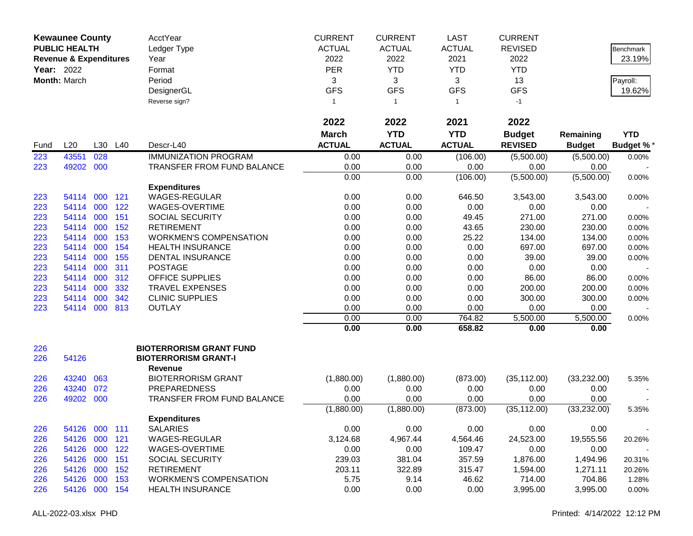| AcctYear<br><b>CURRENT</b><br><b>CURRENT</b><br><b>LAST</b><br><b>CURRENT</b><br><b>Kewaunee County</b><br><b>PUBLIC HEALTH</b><br><b>ACTUAL</b><br><b>ACTUAL</b><br><b>ACTUAL</b><br><b>REVISED</b><br>Ledger Type<br>2022<br>2022<br>2021<br>2022<br><b>Revenue &amp; Expenditures</b><br>Year<br>PER<br><b>YTD</b><br><b>YTD</b><br><b>YTD</b><br><b>Year: 2022</b><br>Format |               | Benchmark<br>23.19%<br>Payroll: |
|----------------------------------------------------------------------------------------------------------------------------------------------------------------------------------------------------------------------------------------------------------------------------------------------------------------------------------------------------------------------------------|---------------|---------------------------------|
|                                                                                                                                                                                                                                                                                                                                                                                  |               |                                 |
|                                                                                                                                                                                                                                                                                                                                                                                  |               |                                 |
|                                                                                                                                                                                                                                                                                                                                                                                  |               |                                 |
| 3<br>Month: March<br>Period<br>3<br>3<br>13                                                                                                                                                                                                                                                                                                                                      |               |                                 |
| <b>GFS</b><br><b>GFS</b><br><b>GFS</b><br><b>GFS</b><br>DesignerGL                                                                                                                                                                                                                                                                                                               |               | 19.62%                          |
| Reverse sign?<br>$-1$<br>$\mathbf{1}$<br>$\mathbf{1}$<br>$\overline{1}$                                                                                                                                                                                                                                                                                                          |               |                                 |
|                                                                                                                                                                                                                                                                                                                                                                                  |               |                                 |
| 2022<br>2022<br>2022<br>2021                                                                                                                                                                                                                                                                                                                                                     |               |                                 |
| <b>YTD</b><br><b>YTD</b><br><b>March</b><br><b>Budget</b>                                                                                                                                                                                                                                                                                                                        | Remaining     | <b>YTD</b>                      |
| <b>ACTUAL</b><br><b>ACTUAL</b><br><b>ACTUAL</b><br><b>REVISED</b><br>L20<br>L30<br>L40<br>Descr-L40<br>Fund                                                                                                                                                                                                                                                                      | <b>Budget</b> | Budget %*                       |
| 223<br>43551<br>028<br><b>IMMUNIZATION PROGRAM</b><br>0.00<br>(106.00)<br>(5,500.00)<br>0.00                                                                                                                                                                                                                                                                                     | (5,500.00)    | 0.00%                           |
| 000<br>49202<br>TRANSFER FROM FUND BALANCE<br>0.00<br>0.00<br>0.00<br>223<br>0.00                                                                                                                                                                                                                                                                                                | 0.00          |                                 |
| 0.00<br>0.00<br>(106.00)<br>(5,500.00)                                                                                                                                                                                                                                                                                                                                           | (5,500.00)    | 0.00%                           |
| <b>Expenditures</b>                                                                                                                                                                                                                                                                                                                                                              |               |                                 |
| WAGES-REGULAR<br>000<br>121<br>0.00<br>0.00<br>646.50<br>3,543.00<br>223<br>54114                                                                                                                                                                                                                                                                                                | 3,543.00      | 0.00%                           |
| 223<br>54114<br>000<br>122<br>WAGES-OVERTIME<br>0.00<br>0.00<br>0.00<br>0.00                                                                                                                                                                                                                                                                                                     | 0.00          |                                 |
| 223<br>000<br>151<br><b>SOCIAL SECURITY</b><br>0.00<br>0.00<br>49.45<br>271.00<br>54114                                                                                                                                                                                                                                                                                          | 271.00        | 0.00%                           |
| 000<br>152<br>0.00<br>43.65<br>230.00<br>223<br>54114<br><b>RETIREMENT</b><br>0.00                                                                                                                                                                                                                                                                                               | 230.00        | 0.00%                           |
| 223<br>000<br>153<br><b>WORKMEN'S COMPENSATION</b><br>0.00<br>0.00<br>25.22<br>134.00<br>54114                                                                                                                                                                                                                                                                                   | 134.00        | 0.00%                           |
| 0.00<br>697.00<br>223<br>54114<br>000<br>154<br><b>HEALTH INSURANCE</b><br>0.00<br>0.00                                                                                                                                                                                                                                                                                          | 697.00        | 0.00%                           |
| 0.00<br>54114<br>000<br>155<br>DENTAL INSURANCE<br>0.00<br>0.00<br>39.00<br>223                                                                                                                                                                                                                                                                                                  | 39.00         | 0.00%                           |
| 223<br>54114<br>000<br>311<br><b>POSTAGE</b><br>0.00<br>0.00<br>0.00<br>0.00                                                                                                                                                                                                                                                                                                     | 0.00          |                                 |
| 000<br>223<br>54114<br>312<br><b>OFFICE SUPPLIES</b><br>0.00<br>0.00<br>0.00<br>86.00                                                                                                                                                                                                                                                                                            | 86.00         | 0.00%                           |
| 000<br>54114<br>332<br><b>TRAVEL EXPENSES</b><br>0.00<br>0.00<br>0.00<br>200.00<br>223                                                                                                                                                                                                                                                                                           | 200.00        | 0.00%                           |
| 000<br><b>CLINIC SUPPLIES</b><br>0.00<br>223<br>54114<br>342<br>0.00<br>0.00<br>300.00                                                                                                                                                                                                                                                                                           | 300.00        | 0.00%                           |
| 000<br>813<br><b>OUTLAY</b><br>0.00<br>0.00<br>0.00<br>0.00<br>223<br>54114                                                                                                                                                                                                                                                                                                      | 0.00          |                                 |
| 0.00<br>764.82<br>5,500.00<br>0.00                                                                                                                                                                                                                                                                                                                                               | 5,500.00      | 0.00%                           |
| 0.00<br>0.00<br>658.82<br>0.00                                                                                                                                                                                                                                                                                                                                                   | 0.00          |                                 |
| <b>BIOTERRORISM GRANT FUND</b><br>226                                                                                                                                                                                                                                                                                                                                            |               |                                 |
| 54126<br><b>BIOTERRORISM GRANT-I</b><br>226                                                                                                                                                                                                                                                                                                                                      |               |                                 |
| <b>Revenue</b>                                                                                                                                                                                                                                                                                                                                                                   |               |                                 |
| 43240<br>063<br><b>BIOTERRORISM GRANT</b><br>(1,880.00)<br>(1,880.00)<br>(35, 112.00)<br>226<br>(873.00)                                                                                                                                                                                                                                                                         | (33, 232.00)  | 5.35%                           |
| 072<br>43240<br><b>PREPAREDNESS</b><br>0.00<br>226<br>0.00<br>0.00<br>0.00                                                                                                                                                                                                                                                                                                       | 0.00          |                                 |
| 49202<br>000<br>TRANSFER FROM FUND BALANCE<br>0.00<br>0.00<br>0.00<br>0.00<br>226                                                                                                                                                                                                                                                                                                | 0.00          |                                 |
| (1,880.00)<br>(1,880.00)<br>(873.00)<br>(35, 112.00)                                                                                                                                                                                                                                                                                                                             | (33,232.00)   | 5.35%                           |
| <b>Expenditures</b>                                                                                                                                                                                                                                                                                                                                                              |               |                                 |
| <b>SALARIES</b><br>226<br>54126<br>000 111<br>0.00<br>0.00<br>0.00<br>0.00                                                                                                                                                                                                                                                                                                       | 0.00          |                                 |
| 54126<br>000<br>121<br>WAGES-REGULAR<br>3,124.68<br>4,967.44<br>226<br>4,564.46<br>24,523.00                                                                                                                                                                                                                                                                                     | 19,555.56     | 20.26%                          |
| 54126<br>000<br>0.00<br>0.00<br>122<br>WAGES-OVERTIME<br>109.47<br>0.00<br>226                                                                                                                                                                                                                                                                                                   | 0.00          |                                 |
| 239.03<br>381.04<br>54126<br>000 151<br><b>SOCIAL SECURITY</b><br>357.59<br>1,876.00<br>226                                                                                                                                                                                                                                                                                      | 1,494.96      | 20.31%                          |
| 000 152<br>203.11<br>226<br>54126<br><b>RETIREMENT</b><br>322.89<br>315.47<br>1,594.00                                                                                                                                                                                                                                                                                           | 1,271.11      | 20.26%                          |
| 000 153<br>5.75<br>9.14<br>54126<br><b>WORKMEN'S COMPENSATION</b><br>46.62<br>714.00<br>226                                                                                                                                                                                                                                                                                      | 704.86        | 1.28%                           |
| 54126 000 154<br>0.00<br>226<br><b>HEALTH INSURANCE</b><br>0.00<br>0.00<br>3,995.00                                                                                                                                                                                                                                                                                              | 3,995.00      | 0.00%                           |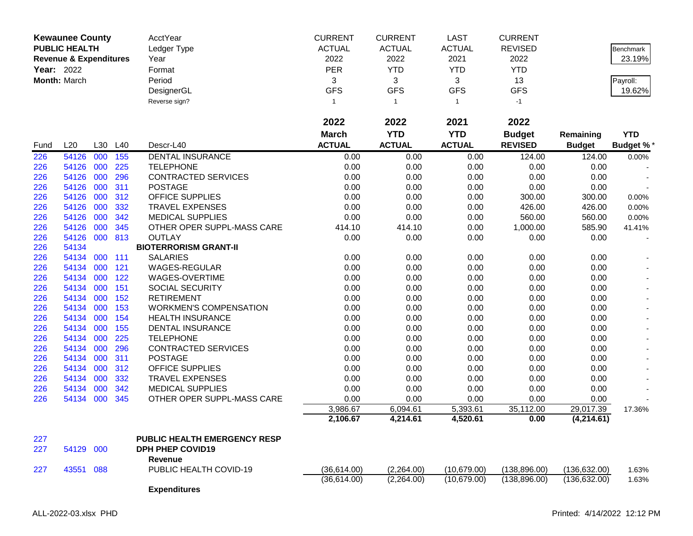|      | <b>Kewaunee County</b>            |     |     | AcctYear                            | <b>CURRENT</b> | <b>CURRENT</b> | <b>LAST</b>   | <b>CURRENT</b> |               |                  |
|------|-----------------------------------|-----|-----|-------------------------------------|----------------|----------------|---------------|----------------|---------------|------------------|
|      | <b>PUBLIC HEALTH</b>              |     |     | Ledger Type                         | <b>ACTUAL</b>  | <b>ACTUAL</b>  | <b>ACTUAL</b> | <b>REVISED</b> |               | Benchmark        |
|      | <b>Revenue &amp; Expenditures</b> |     |     | Year                                | 2022           | 2022           | 2021          | 2022           |               | 23.19%           |
|      | Year: 2022                        |     |     | Format                              | PER            | <b>YTD</b>     | <b>YTD</b>    | <b>YTD</b>     |               |                  |
|      | Month: March                      |     |     | Period                              | 3              | 3              | 3             | 13             |               | Payroll:         |
|      |                                   |     |     | DesignerGL                          | <b>GFS</b>     | <b>GFS</b>     | <b>GFS</b>    | <b>GFS</b>     |               | 19.62%           |
|      |                                   |     |     | Reverse sign?                       | 1              | $\overline{1}$ | $\mathbf{1}$  | $-1$           |               |                  |
|      |                                   |     |     |                                     |                |                |               |                |               |                  |
|      |                                   |     |     |                                     | 2022           | 2022           | 2021          | 2022           |               |                  |
|      |                                   |     |     |                                     | <b>March</b>   | <b>YTD</b>     | <b>YTD</b>    | <b>Budget</b>  | Remaining     | <b>YTD</b>       |
| Fund | L20                               | L30 | L40 | Descr-L40                           | <b>ACTUAL</b>  | <b>ACTUAL</b>  | <b>ACTUAL</b> | <b>REVISED</b> | <b>Budget</b> | <b>Budget %*</b> |
| 226  | 54126                             | 000 | 155 | DENTAL INSURANCE                    | 0.00           | 0.00           | 0.00          | 124.00         | 124.00        | 0.00%            |
| 226  | 54126                             | 000 | 225 | <b>TELEPHONE</b>                    | 0.00           | 0.00           | 0.00          | 0.00           | 0.00          |                  |
| 226  | 54126                             | 000 | 296 | <b>CONTRACTED SERVICES</b>          | 0.00           | 0.00           | 0.00          | 0.00           | 0.00          |                  |
| 226  | 54126                             | 000 | 311 | <b>POSTAGE</b>                      | 0.00           | 0.00           | 0.00          | 0.00           | 0.00          |                  |
| 226  | 54126                             | 000 | 312 | OFFICE SUPPLIES                     | 0.00           | 0.00           | 0.00          | 300.00         | 300.00        | 0.00%            |
| 226  | 54126                             | 000 | 332 | <b>TRAVEL EXPENSES</b>              | 0.00           | 0.00           | 0.00          | 426.00         | 426.00        | 0.00%            |
| 226  | 54126                             | 000 | 342 | <b>MEDICAL SUPPLIES</b>             | 0.00           | 0.00           | 0.00          | 560.00         | 560.00        | 0.00%            |
| 226  | 54126                             | 000 | 345 | OTHER OPER SUPPL-MASS CARE          | 414.10         | 414.10         | 0.00          | 1,000.00       | 585.90        | 41.41%           |
| 226  | 54126                             | 000 | 813 | <b>OUTLAY</b>                       | 0.00           | 0.00           | 0.00          | 0.00           | 0.00          |                  |
| 226  | 54134                             |     |     | <b>BIOTERRORISM GRANT-II</b>        |                |                |               |                |               |                  |
| 226  | 54134                             | 000 | 111 | <b>SALARIES</b>                     | 0.00           | 0.00           | 0.00          | 0.00           | 0.00          |                  |
| 226  | 54134                             | 000 | 121 | WAGES-REGULAR                       | 0.00           | 0.00           | 0.00          | 0.00           | 0.00          |                  |
| 226  | 54134                             | 000 | 122 | WAGES-OVERTIME                      | 0.00           | 0.00           | 0.00          | 0.00           | 0.00          |                  |
| 226  | 54134                             | 000 | 151 | <b>SOCIAL SECURITY</b>              | 0.00           | 0.00           | 0.00          | 0.00           | 0.00          |                  |
| 226  | 54134                             | 000 | 152 | <b>RETIREMENT</b>                   | 0.00           | 0.00           | 0.00          | 0.00           | 0.00          |                  |
| 226  | 54134                             | 000 | 153 | <b>WORKMEN'S COMPENSATION</b>       | 0.00           | 0.00           | 0.00          | 0.00           | 0.00          |                  |
| 226  | 54134                             | 000 | 154 | <b>HEALTH INSURANCE</b>             | 0.00           | 0.00           | 0.00          | 0.00           | 0.00          |                  |
| 226  | 54134                             | 000 | 155 | DENTAL INSURANCE                    | 0.00           | 0.00           | 0.00          | 0.00           | 0.00          |                  |
| 226  | 54134                             | 000 | 225 | <b>TELEPHONE</b>                    | 0.00           | 0.00           | 0.00          | 0.00           | 0.00          |                  |
| 226  | 54134                             | 000 | 296 | <b>CONTRACTED SERVICES</b>          | 0.00           | 0.00           | 0.00          | 0.00           | 0.00          |                  |
| 226  | 54134                             | 000 | 311 | <b>POSTAGE</b>                      | 0.00           | 0.00           | 0.00          | 0.00           | 0.00          |                  |
| 226  | 54134                             | 000 | 312 | OFFICE SUPPLIES                     | 0.00           | 0.00           | 0.00          | 0.00           | 0.00          |                  |
| 226  | 54134                             | 000 | 332 | <b>TRAVEL EXPENSES</b>              | 0.00           | 0.00           | 0.00          | 0.00           | 0.00          |                  |
| 226  | 54134                             | 000 | 342 | <b>MEDICAL SUPPLIES</b>             | 0.00           | 0.00           | 0.00          | 0.00           | 0.00          |                  |
| 226  | 54134                             | 000 | 345 | OTHER OPER SUPPL-MASS CARE          | 0.00           | 0.00           | 0.00          | 0.00           | 0.00          |                  |
|      |                                   |     |     |                                     | 3,986.67       | 6,094.61       | 5,393.61      | 35,112.00      | 29,017.39     | 17.36%           |
|      |                                   |     |     |                                     | 2,106.67       | 4,214.61       | 4,520.61      | 0.00           | (4,214.61)    |                  |
| 227  |                                   |     |     | <b>PUBLIC HEALTH EMERGENCY RESP</b> |                |                |               |                |               |                  |
| 227  | 54129 000                         |     |     | <b>DPH PHEP COVID19</b>             |                |                |               |                |               |                  |
|      |                                   |     |     | Revenue                             |                |                |               |                |               |                  |
| 227  | 43551 088                         |     |     | PUBLIC HEALTH COVID-19              | (36,614.00)    | (2,264.00)     | (10,679.00)   | (138, 896.00)  | (136, 632.00) | 1.63%            |
|      |                                   |     |     |                                     | (36,614.00)    | (2,264.00)     | (10,679.00)   | (138, 896.00)  | (136, 632.00) | 1.63%            |
|      |                                   |     |     | <b>Expenditures</b>                 |                |                |               |                |               |                  |
|      |                                   |     |     |                                     |                |                |               |                |               |                  |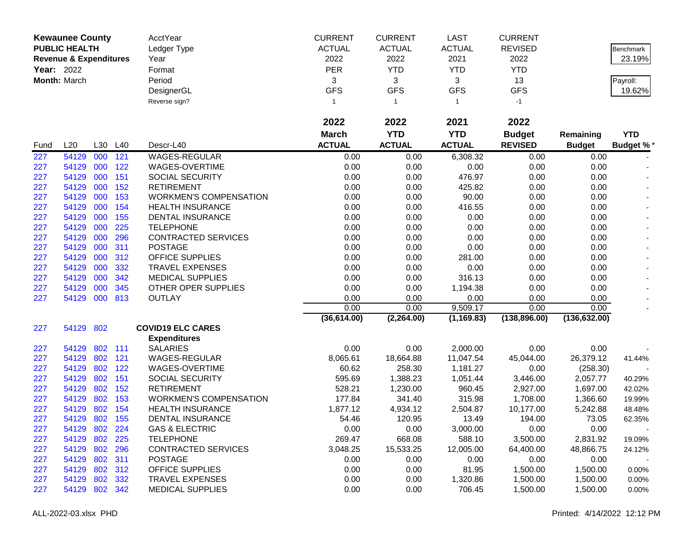|                   | <b>Kewaunee County</b>            |         |         | AcctYear                                     | <b>CURRENT</b>   | <b>CURRENT</b>           | <b>LAST</b>       | <b>CURRENT</b>    |                   |                  |
|-------------------|-----------------------------------|---------|---------|----------------------------------------------|------------------|--------------------------|-------------------|-------------------|-------------------|------------------|
|                   | <b>PUBLIC HEALTH</b>              |         |         | Ledger Type                                  | <b>ACTUAL</b>    | <b>ACTUAL</b>            | <b>ACTUAL</b>     | <b>REVISED</b>    |                   | <b>Benchmark</b> |
|                   | <b>Revenue &amp; Expenditures</b> |         |         | Year                                         | 2022             | 2022                     | 2021              | 2022              |                   | 23.19%           |
| <b>Year: 2022</b> |                                   |         |         | Format                                       | PER              | <b>YTD</b>               | <b>YTD</b>        | <b>YTD</b>        |                   |                  |
|                   | Month: March                      |         |         | Period                                       | 3                | 3                        | 3                 | 13                |                   | Payroll:         |
|                   |                                   |         |         | DesignerGL                                   | <b>GFS</b>       | <b>GFS</b>               | <b>GFS</b>        | <b>GFS</b>        |                   | 19.62%           |
|                   |                                   |         |         | Reverse sign?                                | 1                | $\overline{1}$           | $\mathbf{1}$      | $-1$              |                   |                  |
|                   |                                   |         |         |                                              |                  |                          |                   |                   |                   |                  |
|                   |                                   |         |         |                                              | 2022             | 2022                     | 2021              | 2022              |                   |                  |
|                   |                                   |         |         |                                              | <b>March</b>     | <b>YTD</b>               | <b>YTD</b>        | <b>Budget</b>     | Remaining         | <b>YTD</b>       |
| Fund              | L20                               |         | L30 L40 | Descr-L40                                    | <b>ACTUAL</b>    | <b>ACTUAL</b>            | <b>ACTUAL</b>     | <b>REVISED</b>    | <b>Budget</b>     | <b>Budget %*</b> |
| 227               | 54129                             | 000     | 121     | <b>WAGES-REGULAR</b>                         | 0.00             | 0.00                     | 6,308.32          | 0.00              | 0.00              |                  |
| 227               | 54129                             | 000     | 122     | WAGES-OVERTIME                               | 0.00             | 0.00                     | 0.00              | 0.00              | 0.00              |                  |
| 227               | 54129                             | 000     | 151     | <b>SOCIAL SECURITY</b>                       | 0.00             | 0.00                     | 476.97            | 0.00              | 0.00              |                  |
| 227               | 54129                             | 000     | 152     | <b>RETIREMENT</b>                            | 0.00             | 0.00                     | 425.82            | 0.00              | 0.00              |                  |
| 227               | 54129                             | 000     | 153     | <b>WORKMEN'S COMPENSATION</b>                | 0.00             | 0.00                     | 90.00             | 0.00              | 0.00              |                  |
| 227               | 54129                             | 000     | 154     | <b>HEALTH INSURANCE</b>                      | 0.00             | 0.00                     | 416.55            | 0.00              | 0.00              |                  |
| 227               | 54129                             | 000     | 155     | <b>DENTAL INSURANCE</b>                      | 0.00             | 0.00                     | 0.00              | 0.00              | 0.00              |                  |
| 227               | 54129                             | 000     | 225     | <b>TELEPHONE</b>                             | 0.00             | 0.00                     | 0.00              | 0.00              | 0.00              |                  |
| 227               | 54129                             | 000     | 296     | <b>CONTRACTED SERVICES</b>                   | 0.00             | 0.00                     | 0.00              | 0.00              | 0.00              |                  |
| 227               | 54129                             | 000     | 311     | <b>POSTAGE</b>                               | 0.00             | 0.00                     | 0.00              | 0.00              | 0.00              |                  |
| 227               | 54129                             | 000     | 312     | <b>OFFICE SUPPLIES</b>                       | 0.00             | 0.00                     | 281.00            | 0.00              | 0.00              |                  |
| 227               | 54129                             | 000     | 332     | <b>TRAVEL EXPENSES</b>                       | 0.00             | 0.00                     | 0.00              | 0.00              | 0.00              |                  |
| 227               | 54129                             | 000     | 342     | <b>MEDICAL SUPPLIES</b>                      | 0.00             | 0.00                     | 316.13            | 0.00              | 0.00              |                  |
| 227               | 54129                             | 000     | 345     | OTHER OPER SUPPLIES                          | 0.00             | 0.00                     | 1,194.38          | 0.00              | 0.00              |                  |
| 227               | 54129                             | 000     | 813     | <b>OUTLAY</b>                                | 0.00             | 0.00                     | 0.00              | 0.00              | 0.00              |                  |
|                   |                                   |         |         |                                              | 0.00             | 0.00                     | 9,509.17          | 0.00              | 0.00              |                  |
|                   |                                   |         |         |                                              | (36, 614.00)     | $(2, 26\overline{4.00})$ | (1, 169.83)       | (138, 896.00)     | (136, 632.00)     |                  |
| 227               | 54129 802                         |         |         | <b>COVID19 ELC CARES</b>                     |                  |                          |                   |                   |                   |                  |
|                   |                                   |         |         | <b>Expenditures</b>                          |                  |                          |                   |                   |                   |                  |
| 227               | 54129                             | 802 111 |         | <b>SALARIES</b>                              | 0.00             | 0.00                     | 2,000.00          | 0.00              | 0.00              |                  |
| 227               | 54129                             | 802     | 121     | WAGES-REGULAR                                | 8,065.61         | 18,664.88                | 11,047.54         | 45,044.00         | 26,379.12         | 41.44%           |
| 227               | 54129                             | 802     | 122     | WAGES-OVERTIME                               | 60.62            | 258.30                   | 1,181.27          | 0.00              | (258.30)          |                  |
| 227               | 54129                             | 802     | 151     | SOCIAL SECURITY                              | 595.69           | 1,388.23                 | 1,051.44          | 3,446.00          | 2,057.77          | 40.29%           |
| 227               | 54129                             | 802     | 152     | <b>RETIREMENT</b>                            | 528.21           | 1,230.00                 | 960.45            | 2,927.00          | 1,697.00          | 42.02%           |
| 227               | 54129                             | 802     | 153     | <b>WORKMEN'S COMPENSATION</b>                | 177.84           | 341.40                   | 315.98            | 1,708.00          | 1,366.60          | 19.99%           |
| 227               | 54129                             | 802     | 154     | <b>HEALTH INSURANCE</b>                      | 1,877.12         | 4,934.12                 | 2,504.87          | 10,177.00         | 5,242.88          | 48.48%           |
| 227               | 54129                             | 802 155 |         | <b>DENTAL INSURANCE</b>                      | 54.46            | 120.95                   | 13.49             | 194.00            | 73.05             | 62.35%           |
| 227               | 54129                             | 802 224 |         | <b>GAS &amp; ELECTRIC</b>                    | 0.00             | 0.00                     | 3,000.00          | 0.00              | 0.00              |                  |
| 227               | 54129                             |         | 802 225 | <b>TELEPHONE</b>                             | 269.47           | 668.08                   | 588.10            | 3,500.00          | 2,831.92          | 19.09%           |
| 227               | 54129<br>54129                    | 802 311 | 802 296 | <b>CONTRACTED SERVICES</b><br><b>POSTAGE</b> | 3,048.25<br>0.00 | 15,533.25<br>0.00        | 12,005.00<br>0.00 | 64,400.00<br>0.00 | 48,866.75<br>0.00 | 24.12%           |
| 227<br>227        | 54129                             |         | 802 312 | <b>OFFICE SUPPLIES</b>                       | 0.00             | 0.00                     | 81.95             | 1,500.00          | 1,500.00          | 0.00%            |
| 227               | 54129                             | 802     | 332     | <b>TRAVEL EXPENSES</b>                       | 0.00             | 0.00                     | 1,320.86          | 1,500.00          | 1,500.00          | 0.00%            |
| 227               | 54129                             | 802 342 |         | <b>MEDICAL SUPPLIES</b>                      | 0.00             | 0.00                     | 706.45            | 1,500.00          | 1,500.00          | 0.00%            |
|                   |                                   |         |         |                                              |                  |                          |                   |                   |                   |                  |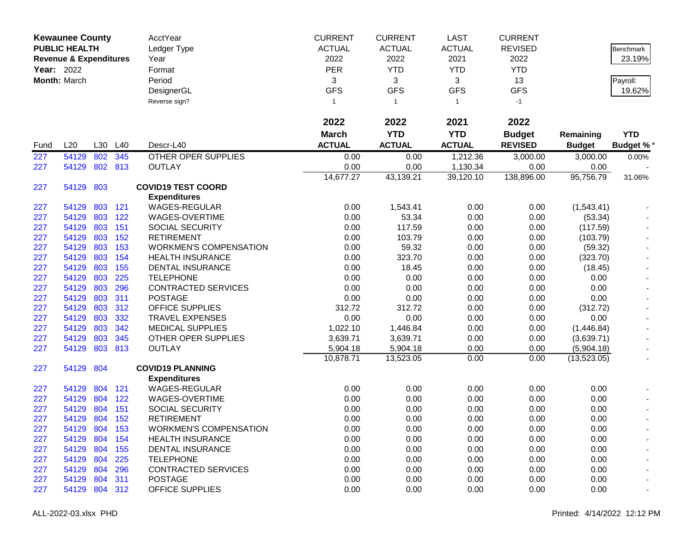|                   | <b>Kewaunee County</b>            |         |         | AcctYear                      | <b>CURRENT</b> | <b>CURRENT</b> | <b>LAST</b>   | <b>CURRENT</b> |               |                  |
|-------------------|-----------------------------------|---------|---------|-------------------------------|----------------|----------------|---------------|----------------|---------------|------------------|
|                   | <b>PUBLIC HEALTH</b>              |         |         | Ledger Type                   | <b>ACTUAL</b>  | <b>ACTUAL</b>  | <b>ACTUAL</b> | <b>REVISED</b> |               | <b>Benchmark</b> |
|                   | <b>Revenue &amp; Expenditures</b> |         |         | Year                          | 2022           | 2022           | 2021          | 2022           |               | 23.19%           |
| <b>Year: 2022</b> |                                   |         |         | Format                        | PER            | <b>YTD</b>     | <b>YTD</b>    | <b>YTD</b>     |               |                  |
|                   | Month: March                      |         |         | Period                        | 3              | 3              | 3             | 13             |               | Payroll:         |
|                   |                                   |         |         | DesignerGL                    | <b>GFS</b>     | <b>GFS</b>     | <b>GFS</b>    | <b>GFS</b>     |               | 19.62%           |
|                   |                                   |         |         | Reverse sign?                 | $\mathbf{1}$   | $\overline{1}$ | $\mathbf{1}$  | $-1$           |               |                  |
|                   |                                   |         |         |                               |                |                |               |                |               |                  |
|                   |                                   |         |         |                               | 2022           | 2022           | 2021          | 2022           |               |                  |
|                   |                                   |         |         |                               | <b>March</b>   | <b>YTD</b>     | <b>YTD</b>    | <b>Budget</b>  | Remaining     | <b>YTD</b>       |
| Fund              | L20                               | L30     | L40     | Descr-L40                     | <b>ACTUAL</b>  | <b>ACTUAL</b>  | <b>ACTUAL</b> | <b>REVISED</b> | <b>Budget</b> | <b>Budget %*</b> |
| 227               | 54129                             | 802     | 345     | <b>OTHER OPER SUPPLIES</b>    | 0.00           | 0.00           | 1,212.36      | 3,000.00       | 3,000.00      | 0.00%            |
| 227               | 54129                             |         | 802 813 | <b>OUTLAY</b>                 | 0.00           | 0.00           | 1,130.34      | 0.00           | 0.00          |                  |
|                   |                                   |         |         |                               | 14,677.27      | 43,139.21      | 39,120.10     | 138,896.00     | 95,756.79     | 31.06%           |
| 227               | 54129                             | 803     |         | <b>COVID19 TEST COORD</b>     |                |                |               |                |               |                  |
|                   |                                   |         |         | <b>Expenditures</b>           |                |                |               |                |               |                  |
| 227               | 54129                             |         | 803 121 | <b>WAGES-REGULAR</b>          | 0.00           | 1,543.41       | 0.00          | 0.00           | (1,543.41)    |                  |
| 227               | 54129                             | 803     | 122     | WAGES-OVERTIME                | 0.00           | 53.34          | 0.00          | 0.00           | (53.34)       |                  |
| 227               | 54129                             | 803     | 151     | <b>SOCIAL SECURITY</b>        | 0.00           | 117.59         | 0.00          | 0.00           | (117.59)      |                  |
| 227               | 54129                             | 803     | 152     | <b>RETIREMENT</b>             | 0.00           | 103.79         | 0.00          | 0.00           | (103.79)      |                  |
| 227               | 54129                             | 803     | 153     | <b>WORKMEN'S COMPENSATION</b> | 0.00           | 59.32          | 0.00          | 0.00           | (59.32)       |                  |
| 227               | 54129                             | 803     | 154     | <b>HEALTH INSURANCE</b>       | 0.00           | 323.70         | 0.00          | 0.00           | (323.70)      |                  |
| 227               | 54129                             | 803     | 155     | <b>DENTAL INSURANCE</b>       | 0.00           | 18.45          | 0.00          | 0.00           | (18.45)       |                  |
| 227               | 54129                             | 803     | 225     | <b>TELEPHONE</b>              | 0.00           | 0.00           | 0.00          | 0.00           | 0.00          |                  |
| 227               | 54129                             | 803     | 296     | <b>CONTRACTED SERVICES</b>    | 0.00           | 0.00           | 0.00          | 0.00           | 0.00          |                  |
| 227               | 54129                             | 803     | 311     | <b>POSTAGE</b>                | 0.00           | 0.00           | 0.00          | 0.00           | 0.00          |                  |
| 227               | 54129                             | 803     | 312     | <b>OFFICE SUPPLIES</b>        | 312.72         | 312.72         | 0.00          | 0.00           | (312.72)      |                  |
| 227               | 54129                             | 803     | 332     | <b>TRAVEL EXPENSES</b>        | 0.00           | 0.00           | 0.00          | 0.00           | 0.00          |                  |
| 227               | 54129                             | 803     | 342     | <b>MEDICAL SUPPLIES</b>       | 1,022.10       | 1,446.84       | 0.00          | 0.00           | (1,446.84)    |                  |
| 227               | 54129                             | 803     | 345     | OTHER OPER SUPPLIES           | 3,639.71       | 3,639.71       | 0.00          | 0.00           | (3,639.71)    |                  |
| 227               | 54129                             | 803     | 813     | <b>OUTLAY</b>                 | 5,904.18       | 5,904.18       | 0.00          | 0.00           | (5,904.18)    |                  |
|                   |                                   |         |         |                               | 10,878.71      | 13,523.05      | 0.00          | 0.00           | (13,523.05)   |                  |
| 227               | 54129                             | 804     |         | <b>COVID19 PLANNING</b>       |                |                |               |                |               |                  |
|                   |                                   |         |         | <b>Expenditures</b>           |                |                |               |                |               |                  |
| 227               | 54129                             | 804     | 121     | <b>WAGES-REGULAR</b>          | 0.00           | 0.00           | 0.00          | 0.00           | 0.00          |                  |
| 227               | 54129                             | 804     | 122     | WAGES-OVERTIME                | 0.00           | 0.00           | 0.00          | 0.00           | 0.00          |                  |
| 227               | 54129                             | 804     | 151     | <b>SOCIAL SECURITY</b>        | 0.00           | 0.00           | 0.00          | 0.00           | 0.00          | $\blacksquare$   |
| 227               | 54129                             | 804 152 |         | <b>RETIREMENT</b>             | 0.00           | 0.00           | 0.00          | 0.00           | 0.00          | $\blacksquare$   |
| 227               | 54129                             | 804 153 |         | <b>WORKMEN'S COMPENSATION</b> | 0.00           | 0.00           | 0.00          | 0.00           | 0.00          |                  |
| 227               | 54129                             | 804     | 154     | <b>HEALTH INSURANCE</b>       | 0.00           | 0.00           | 0.00          | 0.00           | 0.00          |                  |
| 227               | 54129                             | 804     | 155     | <b>DENTAL INSURANCE</b>       | 0.00           | 0.00           | 0.00          | 0.00           | 0.00          |                  |
| 227               | 54129                             | 804     | 225     | <b>TELEPHONE</b>              | 0.00           | 0.00           | 0.00          | 0.00           | 0.00          |                  |
| 227               | 54129                             | 804     | 296     | <b>CONTRACTED SERVICES</b>    | 0.00           | 0.00           | 0.00          | 0.00           | 0.00          |                  |
| 227               | 54129                             | 804     | 311     | <b>POSTAGE</b>                | 0.00           | 0.00           | 0.00          | 0.00           | 0.00          |                  |
| 227               | 54129                             | 804 312 |         | <b>OFFICE SUPPLIES</b>        | 0.00           | 0.00           | 0.00          | 0.00           | 0.00          |                  |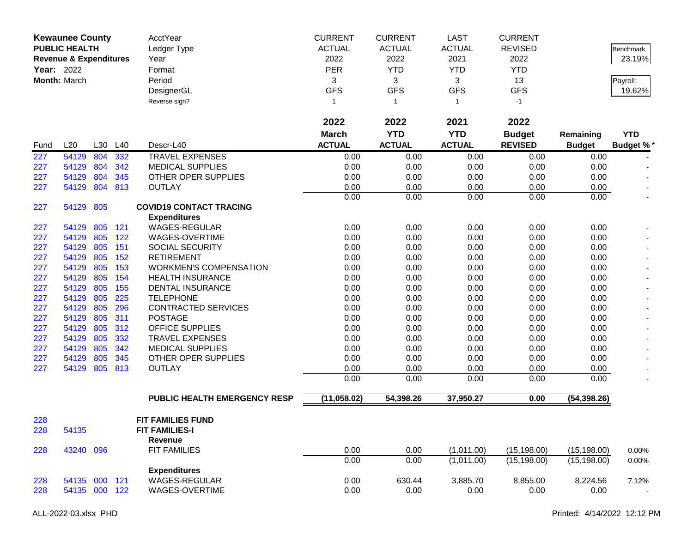|      | <b>Kewaunee County</b><br><b>PUBLIC HEALTH</b> |         |     | AcctYear<br>Ledger Type        | <b>CURRENT</b><br><b>ACTUAL</b> | <b>CURRENT</b><br><b>ACTUAL</b> | <b>LAST</b><br><b>ACTUAL</b> | <b>CURRENT</b><br><b>REVISED</b> |               | <b>Benchmark</b>         |
|------|------------------------------------------------|---------|-----|--------------------------------|---------------------------------|---------------------------------|------------------------------|----------------------------------|---------------|--------------------------|
|      | <b>Revenue &amp; Expenditures</b>              |         |     | Year                           | 2022                            | 2022                            | 2021                         | 2022                             |               | 23.19%                   |
|      | <b>Year: 2022</b>                              |         |     | Format                         | PER                             | <b>YTD</b>                      | <b>YTD</b>                   | <b>YTD</b>                       |               |                          |
|      | Month: March                                   |         |     | Period                         | 3                               | 3                               | 3                            | 13                               |               | Payroll:                 |
|      |                                                |         |     | DesignerGL                     | <b>GFS</b>                      | <b>GFS</b>                      | <b>GFS</b>                   | <b>GFS</b>                       |               | 19.62%                   |
|      |                                                |         |     | Reverse sign?                  | 1                               | $\overline{1}$                  | $\mathbf{1}$                 | $-1$                             |               |                          |
|      |                                                |         |     |                                | 2022                            | 2022                            | 2021                         | 2022                             |               |                          |
|      |                                                |         |     |                                | <b>March</b>                    | <b>YTD</b>                      | <b>YTD</b>                   | <b>Budget</b>                    | Remaining     | <b>YTD</b>               |
| Fund | L20                                            | L30     | L40 | Descr-L40                      | <b>ACTUAL</b>                   | <b>ACTUAL</b>                   | <b>ACTUAL</b>                | <b>REVISED</b>                   | <b>Budget</b> | <b>Budget %*</b>         |
| 227  | 54129                                          | 804     | 332 | <b>TRAVEL EXPENSES</b>         | 0.00                            | 0.00                            | 0.00                         | 0.00                             | 0.00          |                          |
| 227  | 54129                                          | 804     | 342 | <b>MEDICAL SUPPLIES</b>        | 0.00                            | 0.00                            | 0.00                         | 0.00                             | 0.00          |                          |
| 227  | 54129                                          | 804     | 345 | OTHER OPER SUPPLIES            | 0.00                            | 0.00                            | 0.00                         | 0.00                             | 0.00          |                          |
| 227  | 54129                                          | 804     | 813 | <b>OUTLAY</b>                  | 0.00                            | 0.00                            | 0.00                         | 0.00                             | 0.00          |                          |
|      |                                                |         |     |                                | 0.00                            | 0.00                            | 0.00                         | 0.00                             | 0.00          | $\overline{\phantom{a}}$ |
| 227  | 54129                                          | 805     |     | <b>COVID19 CONTACT TRACING</b> |                                 |                                 |                              |                                  |               |                          |
|      |                                                |         |     | <b>Expenditures</b>            |                                 |                                 |                              |                                  |               |                          |
| 227  | 54129                                          | 805     | 121 | <b>WAGES-REGULAR</b>           | 0.00                            | 0.00                            | 0.00                         | 0.00                             | 0.00          |                          |
| 227  | 54129                                          | 805     | 122 | WAGES-OVERTIME                 | 0.00                            | 0.00                            | 0.00                         | 0.00                             | 0.00          |                          |
| 227  | 54129                                          | 805     | 151 | SOCIAL SECURITY                | 0.00                            | 0.00                            | 0.00                         | 0.00                             | 0.00          |                          |
| 227  | 54129                                          | 805     | 152 | <b>RETIREMENT</b>              | 0.00                            | 0.00                            | 0.00                         | 0.00                             | 0.00          |                          |
| 227  | 54129                                          | 805     | 153 | <b>WORKMEN'S COMPENSATION</b>  | 0.00                            | 0.00                            | 0.00                         | 0.00                             | 0.00          |                          |
| 227  | 54129                                          | 805     | 154 | <b>HEALTH INSURANCE</b>        | 0.00                            | 0.00                            | 0.00                         | 0.00                             | 0.00          |                          |
| 227  | 54129                                          | 805     | 155 | DENTAL INSURANCE               | 0.00                            | 0.00                            | 0.00                         | 0.00                             | 0.00          |                          |
| 227  | 54129                                          | 805     | 225 | <b>TELEPHONE</b>               | 0.00                            | 0.00                            | 0.00                         | 0.00                             | 0.00          |                          |
| 227  | 54129                                          | 805     | 296 | <b>CONTRACTED SERVICES</b>     | 0.00                            | 0.00                            | 0.00                         | 0.00                             | 0.00          |                          |
| 227  | 54129                                          | 805     | 311 | <b>POSTAGE</b>                 | 0.00                            | 0.00                            | 0.00                         | 0.00                             | 0.00          |                          |
| 227  | 54129                                          | 805     | 312 | <b>OFFICE SUPPLIES</b>         | 0.00                            | 0.00                            | 0.00                         | 0.00                             | 0.00          |                          |
| 227  | 54129                                          | 805     | 332 | <b>TRAVEL EXPENSES</b>         | 0.00                            | 0.00                            | 0.00                         | 0.00                             | 0.00          |                          |
| 227  | 54129                                          | 805     | 342 | <b>MEDICAL SUPPLIES</b>        | 0.00                            | 0.00                            | 0.00                         | 0.00                             | 0.00          |                          |
| 227  | 54129                                          | 805     | 345 | OTHER OPER SUPPLIES            | 0.00                            | 0.00                            | 0.00                         | 0.00                             | 0.00          |                          |
| 227  | 54129                                          | 805     | 813 | <b>OUTLAY</b>                  | 0.00                            | 0.00                            | 0.00                         | 0.00                             | 0.00          |                          |
|      |                                                |         |     |                                | 0.00                            | 0.00                            | 0.00                         | 0.00                             | 0.00          |                          |
|      |                                                |         |     | PUBLIC HEALTH EMERGENCY RESP   | (11,058.02)                     | 54,398.26                       | 37,950.27                    | 0.00                             | (54, 398.26)  |                          |
| 228  |                                                |         |     | <b>FIT FAMILIES FUND</b>       |                                 |                                 |                              |                                  |               |                          |
| 228  | 54135                                          |         |     | <b>FIT FAMILIES-I</b>          |                                 |                                 |                              |                                  |               |                          |
|      |                                                |         |     | Revenue                        |                                 |                                 |                              |                                  |               |                          |
| 228  | 43240                                          | 096     |     | <b>FIT FAMILIES</b>            | 0.00                            | 0.00                            | (1,011.00)                   | (15, 198.00)                     | (15, 198.00)  | 0.00%                    |
|      |                                                |         |     |                                | 0.00                            | 0.00                            | (1,011.00)                   | (15, 198.00)                     | (15, 198.00)  | $0.00\%$                 |
|      |                                                |         |     | <b>Expenditures</b>            |                                 |                                 |                              |                                  |               |                          |
| 228  | 54135                                          | 000 121 |     | <b>WAGES-REGULAR</b>           | 0.00                            | 630.44                          | 3,885.70                     | 8,855.00                         | 8,224.56      | 7.12%                    |
| 228  | 54135 000 122                                  |         |     | WAGES-OVERTIME                 | 0.00                            | 0.00                            | 0.00                         | 0.00                             | 0.00          | $\sim$                   |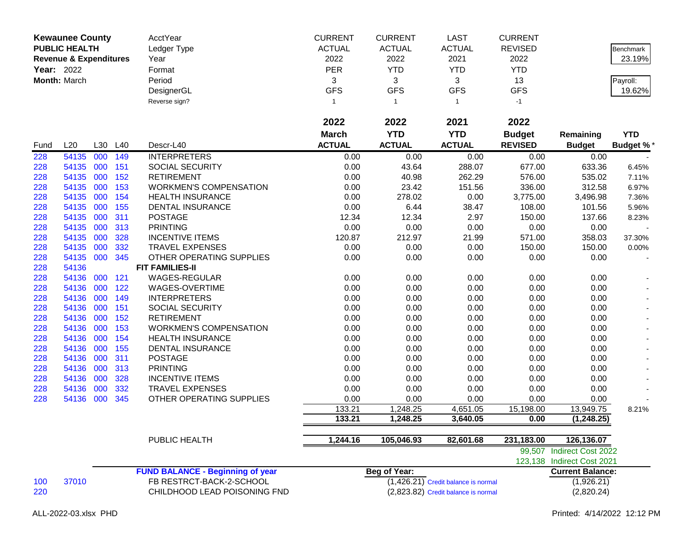|            | <b>Kewaunee County</b>            |     |     | AcctYear                                | <b>CURRENT</b> | <b>CURRENT</b>      | <b>LAST</b>                           | <b>CURRENT</b> |                            |                  |
|------------|-----------------------------------|-----|-----|-----------------------------------------|----------------|---------------------|---------------------------------------|----------------|----------------------------|------------------|
|            | <b>PUBLIC HEALTH</b>              |     |     | Ledger Type                             | <b>ACTUAL</b>  | <b>ACTUAL</b>       | <b>ACTUAL</b>                         | <b>REVISED</b> |                            | Benchmark        |
|            | <b>Revenue &amp; Expenditures</b> |     |     | Year                                    | 2022           | 2022                | 2021                                  | 2022           |                            | 23.19%           |
| Year: 2022 |                                   |     |     | Format                                  | PER            | <b>YTD</b>          | <b>YTD</b>                            | <b>YTD</b>     |                            |                  |
|            | Month: March                      |     |     | Period                                  | 3              | 3                   | 3                                     | 13             |                            | Payroll:         |
|            |                                   |     |     | DesignerGL                              | <b>GFS</b>     | <b>GFS</b>          | <b>GFS</b>                            | <b>GFS</b>     |                            | 19.62%           |
|            |                                   |     |     | Reverse sign?                           | $\mathbf{1}$   | $\overline{1}$      | $\mathbf{1}$                          | $-1$           |                            |                  |
|            |                                   |     |     |                                         |                |                     |                                       |                |                            |                  |
|            |                                   |     |     |                                         | 2022           | 2022                | 2021                                  | 2022           |                            |                  |
|            |                                   |     |     |                                         | <b>March</b>   | <b>YTD</b>          | <b>YTD</b>                            | <b>Budget</b>  | Remaining                  | <b>YTD</b>       |
| Fund       | L20                               | L30 | L40 | Descr-L40                               | <b>ACTUAL</b>  | <b>ACTUAL</b>       | <b>ACTUAL</b>                         | <b>REVISED</b> | <b>Budget</b>              | <b>Budget %*</b> |
| 228        | 54135                             | 000 | 149 | <b>INTERPRETERS</b>                     | 0.00           | 0.00                | 0.00                                  | 0.00           | 0.00                       |                  |
| 228        | 54135                             | 000 | 151 | <b>SOCIAL SECURITY</b>                  | 0.00           | 43.64               | 288.07                                | 677.00         | 633.36                     | 6.45%            |
| 228        | 54135                             | 000 | 152 | <b>RETIREMENT</b>                       | 0.00           | 40.98               | 262.29                                | 576.00         | 535.02                     | 7.11%            |
| 228        | 54135                             | 000 | 153 | <b>WORKMEN'S COMPENSATION</b>           | 0.00           | 23.42               | 151.56                                | 336.00         | 312.58                     | 6.97%            |
| 228        | 54135                             | 000 | 154 | <b>HEALTH INSURANCE</b>                 | 0.00           | 278.02              | 0.00                                  | 3,775.00       | 3,496.98                   | 7.36%            |
| 228        | 54135                             | 000 | 155 | <b>DENTAL INSURANCE</b>                 | 0.00           | 6.44                | 38.47                                 | 108.00         | 101.56                     | 5.96%            |
| 228        | 54135                             | 000 | 311 | <b>POSTAGE</b>                          | 12.34          | 12.34               | 2.97                                  | 150.00         | 137.66                     | 8.23%            |
| 228        | 54135                             | 000 | 313 | <b>PRINTING</b>                         | 0.00           | 0.00                | 0.00                                  | 0.00           | 0.00                       |                  |
| 228        | 54135                             | 000 | 328 | <b>INCENTIVE ITEMS</b>                  | 120.87         | 212.97              | 21.99                                 | 571.00         | 358.03                     | 37.30%           |
| 228        | 54135                             | 000 | 332 | <b>TRAVEL EXPENSES</b>                  | 0.00           | 0.00                | 0.00                                  | 150.00         | 150.00                     | 0.00%            |
| 228        | 54135                             | 000 | 345 | OTHER OPERATING SUPPLIES                | 0.00           | 0.00                | 0.00                                  | 0.00           | 0.00                       |                  |
| 228        | 54136                             |     |     | <b>FIT FAMILIES-II</b>                  |                |                     |                                       |                |                            |                  |
| 228        | 54136                             | 000 | 121 | <b>WAGES-REGULAR</b>                    | 0.00           | 0.00                | 0.00                                  | 0.00           | 0.00                       |                  |
| 228        | 54136                             | 000 | 122 | WAGES-OVERTIME                          | 0.00           | 0.00                | 0.00                                  | 0.00           | 0.00                       |                  |
| 228        | 54136                             | 000 | 149 | <b>INTERPRETERS</b>                     | 0.00           | 0.00                | 0.00                                  | 0.00           | 0.00                       |                  |
| 228        | 54136                             | 000 | 151 | SOCIAL SECURITY                         | 0.00           | 0.00                | 0.00                                  | 0.00           | 0.00                       |                  |
| 228        | 54136                             | 000 | 152 | <b>RETIREMENT</b>                       | 0.00           | 0.00                | 0.00                                  | 0.00           | 0.00                       |                  |
| 228        | 54136                             | 000 | 153 | <b>WORKMEN'S COMPENSATION</b>           | 0.00           | 0.00                | 0.00                                  | 0.00           | 0.00                       |                  |
| 228        | 54136                             | 000 | 154 | <b>HEALTH INSURANCE</b>                 | 0.00           | 0.00                | 0.00                                  | 0.00           | 0.00                       |                  |
| 228        | 54136                             | 000 | 155 | <b>DENTAL INSURANCE</b>                 | 0.00           | 0.00                | 0.00                                  | 0.00           | 0.00                       |                  |
| 228        | 54136                             | 000 | 311 | <b>POSTAGE</b>                          | 0.00           | 0.00                | 0.00                                  | 0.00           | 0.00                       |                  |
| 228        | 54136                             | 000 | 313 | <b>PRINTING</b>                         | 0.00           | 0.00                | 0.00                                  | 0.00           | 0.00                       |                  |
| 228        | 54136                             | 000 | 328 | <b>INCENTIVE ITEMS</b>                  | 0.00           | 0.00                | 0.00                                  | 0.00           | 0.00                       |                  |
| 228        | 54136                             | 000 | 332 | <b>TRAVEL EXPENSES</b>                  | 0.00           | 0.00                | 0.00                                  | 0.00           | 0.00                       |                  |
| 228        | 54136                             | 000 | 345 | OTHER OPERATING SUPPLIES                | 0.00           | 0.00                | 0.00                                  | 0.00           | 0.00                       |                  |
|            |                                   |     |     |                                         | 133.21         | 1,248.25            | 4,651.05                              | 15,198.00      | 13,949.75                  | 8.21%            |
|            |                                   |     |     |                                         | 133.21         | 1,248.25            | 3,640.05                              | 0.00           | (1, 248.25)                |                  |
|            |                                   |     |     | <b>PUBLIC HEALTH</b>                    | 1,244.16       | 105,046.93          | 82,601.68                             | 231,183.00     | 126,136.07                 |                  |
|            |                                   |     |     |                                         |                |                     |                                       |                | 99,507 Indirect Cost 2022  |                  |
|            |                                   |     |     |                                         |                |                     |                                       |                | 123,138 Indirect Cost 2021 |                  |
|            |                                   |     |     | <b>FUND BALANCE - Beginning of year</b> |                | <b>Beg of Year:</b> |                                       |                | <b>Current Balance:</b>    |                  |
| 100        | 37010                             |     |     | FB RESTRCT-BACK-2-SCHOOL                |                |                     | $(1,426.21)$ Credit balance is normal |                | (1,926.21)                 |                  |
| 220        |                                   |     |     | CHILDHOOD LEAD POISONING FND            |                |                     | (2,823.82) Credit balance is normal   |                | (2,820.24)                 |                  |
|            |                                   |     |     |                                         |                |                     |                                       |                |                            |                  |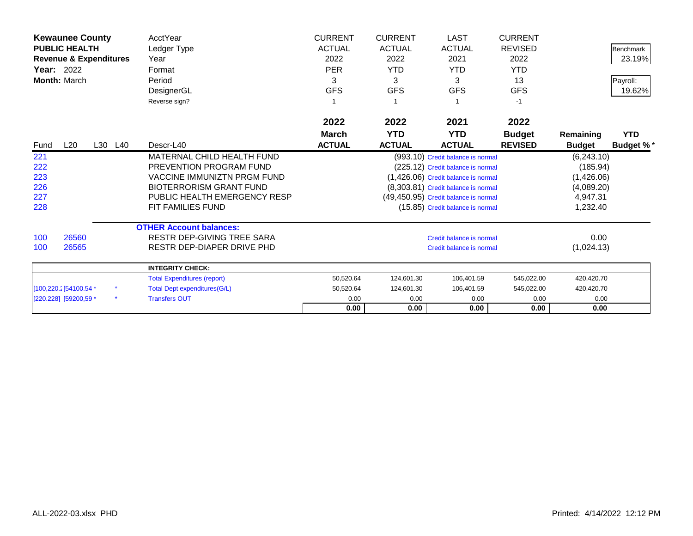|                   | <b>Kewaunee County</b>            |         | AcctYear                            | <b>CURRENT</b> | <b>CURRENT</b> | <b>LAST</b>                          | <b>CURRENT</b> |               |                  |
|-------------------|-----------------------------------|---------|-------------------------------------|----------------|----------------|--------------------------------------|----------------|---------------|------------------|
|                   | <b>PUBLIC HEALTH</b>              |         | Ledger Type                         | <b>ACTUAL</b>  | <b>ACTUAL</b>  | <b>ACTUAL</b>                        | <b>REVISED</b> |               | Benchmark        |
|                   | <b>Revenue &amp; Expenditures</b> |         | Year                                | 2022           | 2022           | 2021                                 | 2022           |               | 23.19%           |
| <b>Year:</b> 2022 |                                   |         | Format                              | <b>PER</b>     | <b>YTD</b>     | <b>YTD</b>                           | <b>YTD</b>     |               |                  |
| Month: March      |                                   |         | Period                              | 3              | 3              | 3                                    | 13             |               | Payroll:         |
|                   |                                   |         | DesignerGL                          | <b>GFS</b>     | <b>GFS</b>     | <b>GFS</b>                           | <b>GFS</b>     |               | 19.62%           |
|                   |                                   |         | Reverse sign?                       |                |                |                                      | -1             |               |                  |
|                   |                                   |         |                                     | 2022           | 2022           | 2021                                 | 2022           |               |                  |
|                   |                                   |         |                                     | March          | <b>YTD</b>     | <b>YTD</b>                           | <b>Budget</b>  | Remaining     | <b>YTD</b>       |
| Fund              | L20                               | L30 L40 | Descr-L40                           | <b>ACTUAL</b>  | <b>ACTUAL</b>  | <b>ACTUAL</b>                        | <b>REVISED</b> | <b>Budget</b> | <b>Budget %*</b> |
| 221               |                                   |         | MATERNAL CHILD HEALTH FUND          |                |                | (993.10) Credit balance is normal    |                | (6,243.10)    |                  |
| 222               |                                   |         | <b>PREVENTION PROGRAM FUND</b>      |                |                | (225.12) Credit balance is normal    |                | (185.94)      |                  |
| 223               |                                   |         | <b>VACCINE IMMUNIZTN PRGM FUND</b>  |                |                | (1,426.06) Credit balance is normal  |                | (1,426.06)    |                  |
| 226               |                                   |         | <b>BIOTERRORISM GRANT FUND</b>      |                |                | (8,303.81) Credit balance is normal  |                | (4,089.20)    |                  |
| 227               |                                   |         | PUBLIC HEALTH EMERGENCY RESP        |                |                | (49,450.95) Credit balance is normal |                | 4,947.31      |                  |
| 228               |                                   |         | <b>FIT FAMILIES FUND</b>            |                |                | (15.85) Credit balance is normal     |                | 1,232.40      |                  |
|                   |                                   |         | <b>OTHER Account balances:</b>      |                |                |                                      |                |               |                  |
| 100               | 26560                             |         | <b>RESTR DEP-GIVING TREE SARA</b>   |                |                | Credit balance is normal             |                | 0.00          |                  |
| 100               | 26565                             |         | RESTR DEP-DIAPER DRIVE PHD          |                |                | Credit balance is normal             |                | (1,024.13)    |                  |
|                   |                                   |         | <b>INTEGRITY CHECK:</b>             |                |                |                                      |                |               |                  |
|                   |                                   |         | <b>Total Expenditures (report)</b>  | 50,520.64      | 124,601.30     | 106,401.59                           | 545,022.00     | 420,420.70    |                  |
|                   | [100,220.2] 54100.54 *            |         | <b>Total Dept expenditures(G/L)</b> | 50,520.64      | 124,601.30     | 106,401.59                           | 545,022.00     | 420,420.70    |                  |
|                   | [220.228] [59200,59 *             |         | <b>Transfers OUT</b>                | 0.00           | 0.00           | 0.00                                 | 0.00           | 0.00          |                  |
|                   |                                   |         |                                     | 0.00           | 0.00           | 0.00                                 | 0.00           | 0.00          |                  |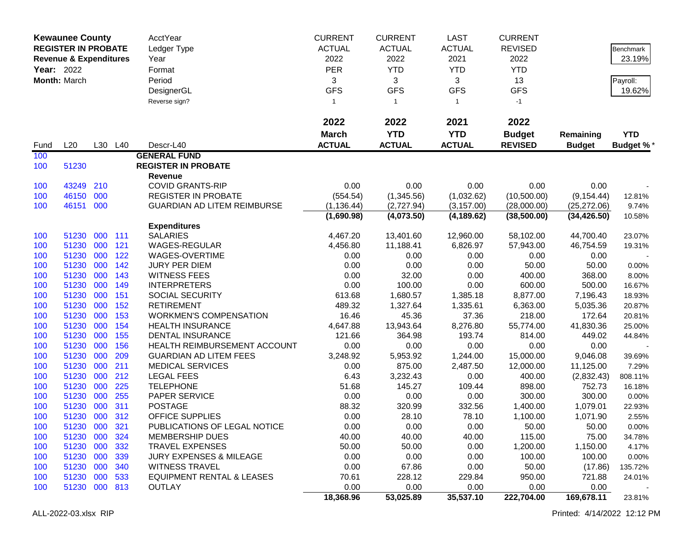| Year: 2022 | <b>Kewaunee County</b><br><b>REGISTER IN PROBATE</b><br><b>Revenue &amp; Expenditures</b><br>Month: March |            |            | AcctYear<br>Ledger Type<br>Year<br>Format<br>Period<br>DesignerGL<br>Reverse sign? | <b>CURRENT</b><br><b>ACTUAL</b><br>2022<br><b>PER</b><br>3<br><b>GFS</b><br>$\mathbf{1}$ | <b>CURRENT</b><br><b>ACTUAL</b><br>2022<br><b>YTD</b><br>3<br><b>GFS</b><br>$\mathbf{1}$ | <b>LAST</b><br><b>ACTUAL</b><br>2021<br><b>YTD</b><br>3<br><b>GFS</b><br>$\mathbf{1}$ | <b>CURRENT</b><br><b>REVISED</b><br>2022<br><b>YTD</b><br>13<br><b>GFS</b><br>$-1$ |                     | <b>Benchmark</b><br>23.19%<br>Payroll:<br>19.62% |
|------------|-----------------------------------------------------------------------------------------------------------|------------|------------|------------------------------------------------------------------------------------|------------------------------------------------------------------------------------------|------------------------------------------------------------------------------------------|---------------------------------------------------------------------------------------|------------------------------------------------------------------------------------|---------------------|--------------------------------------------------|
|            |                                                                                                           |            |            |                                                                                    | 2022                                                                                     | 2022                                                                                     | 2021                                                                                  | 2022                                                                               |                     |                                                  |
|            |                                                                                                           |            |            |                                                                                    | <b>March</b>                                                                             | <b>YTD</b>                                                                               | <b>YTD</b>                                                                            | <b>Budget</b>                                                                      | Remaining           | <b>YTD</b>                                       |
| Fund       | L20                                                                                                       |            | L30 L40    | Descr-L40                                                                          | <b>ACTUAL</b>                                                                            | <b>ACTUAL</b>                                                                            | <b>ACTUAL</b>                                                                         | <b>REVISED</b>                                                                     | <b>Budget</b>       | <b>Budget %*</b>                                 |
| 100        |                                                                                                           |            |            | <b>GENERAL FUND</b>                                                                |                                                                                          |                                                                                          |                                                                                       |                                                                                    |                     |                                                  |
| 100        | 51230                                                                                                     |            |            | <b>REGISTER IN PROBATE</b>                                                         |                                                                                          |                                                                                          |                                                                                       |                                                                                    |                     |                                                  |
| 100        | 43249                                                                                                     | 210        |            | Revenue<br><b>COVID GRANTS-RIP</b>                                                 | 0.00                                                                                     | 0.00                                                                                     | 0.00                                                                                  | 0.00                                                                               | 0.00                |                                                  |
| 100        | 46150                                                                                                     | 000        |            | <b>REGISTER IN PROBATE</b>                                                         | (554.54)                                                                                 | (1,345.56)                                                                               | (1,032.62)                                                                            | (10,500.00)                                                                        | (9, 154.44)         | 12.81%                                           |
| 100        | 46151 000                                                                                                 |            |            | <b>GUARDIAN AD LITEM REIMBURSE</b>                                                 | (1, 136.44)                                                                              | (2,727.94)                                                                               | (3, 157.00)                                                                           | (28,000.00)                                                                        | (25, 272.06)        | 9.74%                                            |
|            |                                                                                                           |            |            |                                                                                    | (1,690.98)                                                                               | (4,073.50)                                                                               | (4, 189.62)                                                                           | (38,500.00)                                                                        | (34, 426.50)        | 10.58%                                           |
|            |                                                                                                           |            |            | <b>Expenditures</b>                                                                |                                                                                          |                                                                                          |                                                                                       |                                                                                    |                     |                                                  |
| 100        | 51230                                                                                                     | 000        | 111        | <b>SALARIES</b>                                                                    | 4,467.20                                                                                 | 13,401.60                                                                                | 12,960.00                                                                             | 58,102.00                                                                          | 44,700.40           | 23.07%                                           |
| 100        | 51230                                                                                                     | 000        | 121        | WAGES-REGULAR                                                                      | 4,456.80                                                                                 | 11,188.41                                                                                | 6,826.97                                                                              | 57,943.00                                                                          | 46,754.59           | 19.31%                                           |
| 100        | 51230                                                                                                     | 000        | 122        | WAGES-OVERTIME                                                                     | 0.00                                                                                     | 0.00                                                                                     | 0.00                                                                                  | 0.00                                                                               | 0.00                |                                                  |
| 100        | 51230                                                                                                     | 000        | 142        | <b>JURY PER DIEM</b>                                                               | 0.00                                                                                     | 0.00                                                                                     | 0.00                                                                                  | 50.00                                                                              | 50.00               | 0.00%                                            |
| 100        | 51230                                                                                                     | 000        | 143        | <b>WITNESS FEES</b>                                                                | 0.00                                                                                     | 32.00                                                                                    | 0.00                                                                                  | 400.00                                                                             | 368.00              | 8.00%                                            |
| 100        | 51230                                                                                                     | 000        | 149        | <b>INTERPRETERS</b>                                                                | 0.00                                                                                     | 100.00                                                                                   | 0.00                                                                                  | 600.00                                                                             | 500.00              | 16.67%                                           |
| 100        | 51230                                                                                                     | 000        | 151        | SOCIAL SECURITY                                                                    | 613.68                                                                                   | 1,680.57                                                                                 | 1,385.18                                                                              | 8,877.00                                                                           | 7,196.43            | 18.93%                                           |
| 100        | 51230                                                                                                     | 000        | 152        | <b>RETIREMENT</b>                                                                  | 489.32                                                                                   | 1,327.64                                                                                 | 1,335.61                                                                              | 6,363.00                                                                           | 5,035.36            | 20.87%                                           |
| 100        | 51230<br>51230                                                                                            | 000<br>000 | 153<br>154 | <b>WORKMEN'S COMPENSATION</b><br><b>HEALTH INSURANCE</b>                           | 16.46<br>4,647.88                                                                        | 45.36<br>13,943.64                                                                       | 37.36<br>8,276.80                                                                     | 218.00<br>55,774.00                                                                | 172.64<br>41,830.36 | 20.81%                                           |
| 100<br>100 | 51230                                                                                                     | 000        | 155        | <b>DENTAL INSURANCE</b>                                                            | 121.66                                                                                   | 364.98                                                                                   | 193.74                                                                                | 814.00                                                                             | 449.02              | 25.00%<br>44.84%                                 |
| 100        | 51230                                                                                                     | 000        | 156        | HEALTH REIMBURSEMENT ACCOUNT                                                       | 0.00                                                                                     | 0.00                                                                                     | 0.00                                                                                  | 0.00                                                                               | 0.00                |                                                  |
| 100        | 51230                                                                                                     | 000        | 209        | <b>GUARDIAN AD LITEM FEES</b>                                                      | 3,248.92                                                                                 | 5,953.92                                                                                 | 1,244.00                                                                              | 15,000.00                                                                          | 9,046.08            | 39.69%                                           |
| 100        | 51230                                                                                                     | 000        | 211        | <b>MEDICAL SERVICES</b>                                                            | 0.00                                                                                     | 875.00                                                                                   | 2,487.50                                                                              | 12,000.00                                                                          | 11,125.00           | 7.29%                                            |
| 100        | 51230                                                                                                     | 000        | 212        | <b>LEGAL FEES</b>                                                                  | 6.43                                                                                     | 3,232.43                                                                                 | 0.00                                                                                  | 400.00                                                                             | (2,832.43)          | 808.11%                                          |
| 100        | 51230                                                                                                     | 000        | 225        | <b>TELEPHONE</b>                                                                   | 51.68                                                                                    | 145.27                                                                                   | 109.44                                                                                | 898.00                                                                             | 752.73              | 16.18%                                           |
| 100        | 51230                                                                                                     | 000        | 255        | PAPER SERVICE                                                                      | 0.00                                                                                     | 0.00                                                                                     | 0.00                                                                                  | 300.00                                                                             | 300.00              | 0.00%                                            |
| 100        | 51230                                                                                                     | 000        | 311        | <b>POSTAGE</b>                                                                     | 88.32                                                                                    | 320.99                                                                                   | 332.56                                                                                | 1,400.00                                                                           | 1,079.01            | 22.93%                                           |
| 100        | 51230 000 312                                                                                             |            |            | <b>OFFICE SUPPLIES</b>                                                             | 0.00                                                                                     | 28.10                                                                                    | 78.10                                                                                 | 1,100.00                                                                           | 1,071.90            | 2.55%                                            |
| 100        | 51230 000                                                                                                 |            | 321        | PUBLICATIONS OF LEGAL NOTICE                                                       | 0.00                                                                                     | 0.00                                                                                     | 0.00                                                                                  | 50.00                                                                              | 50.00               | $0.00\%$                                         |
| 100        | 51230                                                                                                     | 000        | 324        | <b>MEMBERSHIP DUES</b>                                                             | 40.00                                                                                    | 40.00                                                                                    | 40.00                                                                                 | 115.00                                                                             | 75.00               | 34.78%                                           |
| 100        | 51230 000                                                                                                 |            | 332        | TRAVEL EXPENSES                                                                    | 50.00                                                                                    | 50.00                                                                                    | 0.00                                                                                  | 1,200.00                                                                           | 1,150.00            | 4.17%                                            |
| 100        | 51230 000                                                                                                 |            | 339        | <b>JURY EXPENSES &amp; MILEAGE</b>                                                 | 0.00                                                                                     | 0.00                                                                                     | 0.00                                                                                  | 100.00                                                                             | 100.00              | 0.00%                                            |
| 100        | 51230 000<br>51230 000 533                                                                                |            | 340        | <b>WITNESS TRAVEL</b><br><b>EQUIPMENT RENTAL &amp; LEASES</b>                      | 0.00                                                                                     | 67.86                                                                                    | 0.00                                                                                  | 50.00                                                                              | (17.86)             | 135.72%                                          |
| 100        |                                                                                                           |            |            |                                                                                    | 70.61                                                                                    | 228.12                                                                                   | 229.84                                                                                | 950.00                                                                             | 721.88              | 24.01%                                           |
| 100        | 51230 000 813                                                                                             |            |            | <b>OUTLAY</b>                                                                      | 0.00                                                                                     | 0.00                                                                                     | 0.00                                                                                  | 0.00                                                                               | 0.00                |                                                  |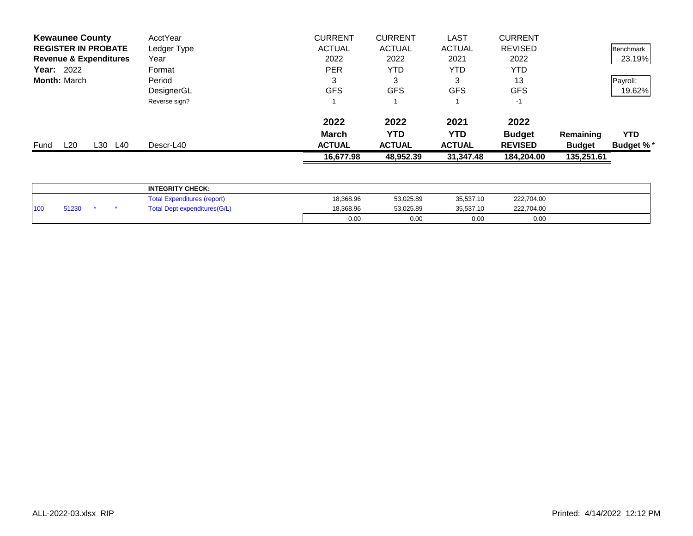| <b>Kewaunee County</b>            | AcctYear      | <b>CURRENT</b> | <b>CURRENT</b> | <b>LAST</b>   | <b>CURRENT</b> |               |                  |
|-----------------------------------|---------------|----------------|----------------|---------------|----------------|---------------|------------------|
| <b>REGISTER IN PROBATE</b>        | Ledger Type   | <b>ACTUAL</b>  | <b>ACTUAL</b>  | <b>ACTUAL</b> | <b>REVISED</b> |               | Benchmark        |
| <b>Revenue &amp; Expenditures</b> | Year          | 2022           | 2022           | 2021          | 2022           |               | 23.19%           |
| <b>Year: 2022</b>                 | Format        | <b>PER</b>     | YTD            | YTD           | YTD            |               |                  |
| <b>Month: March</b>               | Period        | 3              | 3              | 3             | 13             |               | Payroll:         |
|                                   | DesignerGL    | <b>GFS</b>     | <b>GFS</b>     | <b>GFS</b>    | <b>GFS</b>     |               | 19.62%           |
|                                   | Reverse sign? |                |                |               | $-1$           |               |                  |
|                                   |               | 2022           | 2022           | 2021          | 2022           |               |                  |
|                                   |               | <b>March</b>   | YTD            | <b>YTD</b>    | <b>Budget</b>  | Remaining     | <b>YTD</b>       |
| L30<br>L20<br>L40<br>Fund         | Descr-L40     | <b>ACTUAL</b>  | <b>ACTUAL</b>  | <b>ACTUAL</b> | <b>REVISED</b> | <b>Budget</b> | <b>Budget %*</b> |
|                                   |               | 16,677.98      | 48,952.39      | 31,347.48     | 184,204.00     | 135,251.61    |                  |

|                  |       |  | <b>INTEGRITY CHECK:</b>            |           |           |           |            |  |
|------------------|-------|--|------------------------------------|-----------|-----------|-----------|------------|--|
|                  |       |  | <b>Total Expenditures (report)</b> | 18,368.96 | 53.025.89 | 35,537.10 | 222,704.00 |  |
| 110 <sub>0</sub> | 51230 |  | Total Dept expenditures(G/L)       | 18,368.96 | 53.025.89 | 35.537.10 | 222,704.00 |  |
|                  |       |  |                                    | 0.00      | 0.00      | 0.00      | 0.00       |  |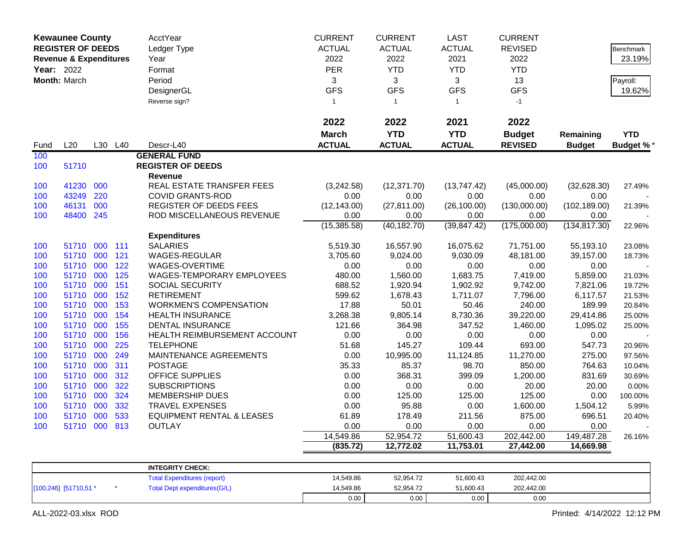|            | <b>Kewaunee County</b>            |         |     | AcctYear                             | <b>CURRENT</b> | <b>CURRENT</b> | <b>LAST</b>   | <b>CURRENT</b> |               |                  |
|------------|-----------------------------------|---------|-----|--------------------------------------|----------------|----------------|---------------|----------------|---------------|------------------|
|            | <b>REGISTER OF DEEDS</b>          |         |     | Ledger Type                          | <b>ACTUAL</b>  | <b>ACTUAL</b>  | <b>ACTUAL</b> | <b>REVISED</b> |               | <b>Benchmark</b> |
|            | <b>Revenue &amp; Expenditures</b> |         |     | Year                                 | 2022           | 2022           | 2021          | 2022           |               | 23.19%           |
| Year: 2022 |                                   |         |     | Format                               | <b>PER</b>     | <b>YTD</b>     | <b>YTD</b>    | <b>YTD</b>     |               |                  |
|            | Month: March                      |         |     | Period                               | 3              | 3              | 3             | 13             |               | Payroll:         |
|            |                                   |         |     | DesignerGL                           | <b>GFS</b>     | <b>GFS</b>     | <b>GFS</b>    | <b>GFS</b>     |               | 19.62%           |
|            |                                   |         |     | Reverse sign?                        | $\mathbf 1$    | $\overline{1}$ | $\mathbf{1}$  | $-1$           |               |                  |
|            |                                   |         |     |                                      |                |                |               |                |               |                  |
|            |                                   |         |     |                                      | 2022           | 2022           | 2021          | 2022           |               |                  |
|            |                                   |         |     |                                      | <b>March</b>   | <b>YTD</b>     | <b>YTD</b>    | <b>Budget</b>  | Remaining     | <b>YTD</b>       |
| Fund       | L20                               | L30 L40 |     | Descr-L40                            | <b>ACTUAL</b>  | <b>ACTUAL</b>  | <b>ACTUAL</b> | <b>REVISED</b> | <b>Budget</b> | <b>Budget %*</b> |
| 100        |                                   |         |     | <b>GENERAL FUND</b>                  |                |                |               |                |               |                  |
| 100        | 51710                             |         |     | <b>REGISTER OF DEEDS</b>             |                |                |               |                |               |                  |
|            |                                   |         |     | Revenue                              |                |                |               |                |               |                  |
| 100        | 41230                             | 000     |     | REAL ESTATE TRANSFER FEES            | (3,242.58)     | (12, 371.70)   | (13,747.42)   | (45,000.00)    | (32,628.30)   | 27.49%           |
| 100        | 43249                             | 220     |     | <b>COVID GRANTS-ROD</b>              | 0.00           | 0.00           | 0.00          | 0.00           | 0.00          |                  |
| 100        | 46131                             | 000     |     | REGISTER OF DEEDS FEES               | (12, 143.00)   | (27, 811.00)   | (26, 100.00)  | (130,000.00)   | (102, 189.00) | 21.39%           |
| 100        | 48400                             | 245     |     | ROD MISCELLANEOUS REVENUE            | 0.00           | 0.00           | 0.00          | 0.00           | 0.00          |                  |
|            |                                   |         |     |                                      | (15, 385.58)   | (40, 182.70)   | (39, 847.42)  | (175,000.00)   | (134, 817.30) | 22.96%           |
|            |                                   |         |     | <b>Expenditures</b>                  |                |                |               |                |               |                  |
| 100        | 51710                             | 000     | 111 | <b>SALARIES</b>                      | 5,519.30       | 16,557.90      | 16,075.62     | 71,751.00      | 55,193.10     | 23.08%           |
| 100        | 51710                             | 000     | 121 | <b>WAGES-REGULAR</b>                 | 3,705.60       | 9,024.00       | 9,030.09      | 48,181.00      | 39,157.00     | 18.73%           |
| 100        | 51710                             | 000     | 122 | WAGES-OVERTIME                       | 0.00           | 0.00           | 0.00          | 0.00           | 0.00          |                  |
| 100        | 51710                             | 000     | 125 | <b>WAGES-TEMPORARY EMPLOYEES</b>     | 480.00         | 1,560.00       | 1,683.75      | 7,419.00       | 5,859.00      | 21.03%           |
| 100        | 51710                             | 000     | 151 | SOCIAL SECURITY                      | 688.52         | 1,920.94       | 1,902.92      | 9,742.00       | 7,821.06      | 19.72%           |
| 100        | 51710                             | 000     | 152 | <b>RETIREMENT</b>                    | 599.62         | 1,678.43       | 1,711.07      | 7,796.00       | 6,117.57      | 21.53%           |
| 100        | 51710                             | 000     | 153 | <b>WORKMEN'S COMPENSATION</b>        | 17.88          | 50.01          | 50.46         | 240.00         | 189.99        | 20.84%           |
| 100        | 51710                             | 000     | 154 | <b>HEALTH INSURANCE</b>              | 3,268.38       | 9,805.14       | 8,730.36      | 39,220.00      | 29,414.86     | 25.00%           |
| 100        | 51710                             | 000     | 155 | <b>DENTAL INSURANCE</b>              | 121.66         | 364.98         | 347.52        | 1,460.00       | 1,095.02      | 25.00%           |
| 100        | 51710                             | 000     | 156 | HEALTH REIMBURSEMENT ACCOUNT         | 0.00           | 0.00           | 0.00          | 0.00           | 0.00          |                  |
| 100        | 51710                             | 000     | 225 | <b>TELEPHONE</b>                     | 51.68          | 145.27         | 109.44        | 693.00         | 547.73        | 20.96%           |
| 100        | 51710                             | 000     | 249 | MAINTENANCE AGREEMENTS               | 0.00           | 10,995.00      | 11,124.85     | 11,270.00      | 275.00        | 97.56%           |
| 100        | 51710                             | 000     | 311 | <b>POSTAGE</b>                       | 35.33          | 85.37          | 98.70         | 850.00         | 764.63        | 10.04%           |
| 100        | 51710                             | 000     | 312 | OFFICE SUPPLIES                      | 0.00           | 368.31         | 399.09        | 1,200.00       | 831.69        | 30.69%           |
| 100        | 51710                             | 000     | 322 | <b>SUBSCRIPTIONS</b>                 | 0.00           | 0.00           | 0.00          | 20.00          | 20.00         | 0.00%            |
| 100        | 51710                             | 000     | 324 | <b>MEMBERSHIP DUES</b>               | 0.00           | 125.00         | 125.00        | 125.00         | 0.00          | 100.00%          |
| 100        | 51710                             | 000     | 332 | <b>TRAVEL EXPENSES</b>               | 0.00           | 95.88          | 0.00          | 1,600.00       | 1,504.12      | 5.99%            |
| 100        | 51710 000                         |         | 533 | <b>EQUIPMENT RENTAL &amp; LEASES</b> | 61.89          | 178.49         | 211.56        | 875.00         | 696.51        | 20.40%           |
| 100        | 51710 000 813                     |         |     | OUTLAY                               | 0.00           | 0.00           | 0.00          | 0.00           | 0.00          |                  |
|            |                                   |         |     |                                      | 14,549.86      | 52,954.72      | 51,600.43     | 202,442.00     | 149,487.28    | 26.16%           |
|            |                                   |         |     |                                      | (835.72)       | 12,772.02      | 11,753.01     | 27,442.00      | 14,669.98     |                  |
|            |                                   |         |     | <b>INTEGRITY CHECK:</b>              |                |                |               |                |               |                  |
|            |                                   |         |     | <b>Total Expenditures (report)</b>   | 14,549.86      | 52,954.72      | 51,600.43     | 202,442.00     |               |                  |
|            | [100,246] [51710,51 *             |         |     | <b>Total Dept expenditures(G/L)</b>  | 14,549.86      | 52,954.72      | 51,600.43     | 202,442.00     |               |                  |

0.00 0.00 0.00 0.00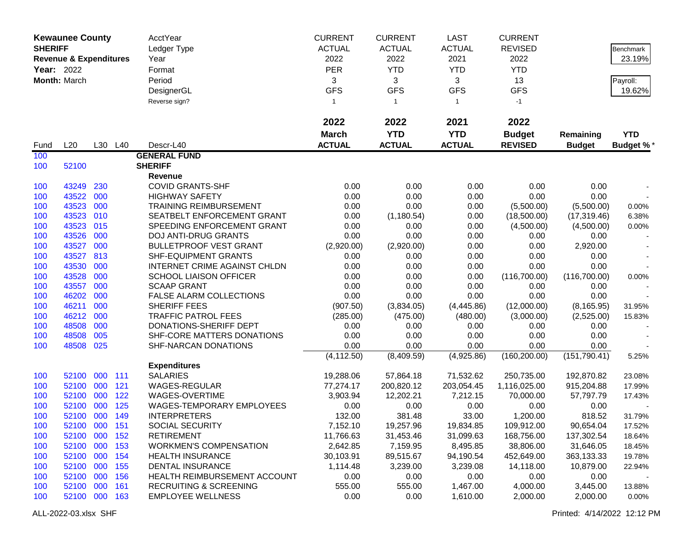|                | <b>Kewaunee County</b>            |     |         | AcctYear                          | <b>CURRENT</b> | <b>CURRENT</b> | <b>LAST</b>   | <b>CURRENT</b> |               |            |
|----------------|-----------------------------------|-----|---------|-----------------------------------|----------------|----------------|---------------|----------------|---------------|------------|
| <b>SHERIFF</b> |                                   |     |         | Ledger Type                       | <b>ACTUAL</b>  | <b>ACTUAL</b>  | <b>ACTUAL</b> | <b>REVISED</b> |               | Benchmark  |
|                | <b>Revenue &amp; Expenditures</b> |     |         | Year                              | 2022           | 2022           | 2021          | 2022           |               | 23.19%     |
|                | Year: 2022                        |     |         | Format                            | <b>PER</b>     | <b>YTD</b>     | <b>YTD</b>    | <b>YTD</b>     |               |            |
|                | Month: March                      |     |         | Period                            | 3              | 3              | 3             | 13             |               | Payroll:   |
|                |                                   |     |         | DesignerGL                        | <b>GFS</b>     | <b>GFS</b>     | <b>GFS</b>    | <b>GFS</b>     |               | 19.62%     |
|                |                                   |     |         | Reverse sign?                     | $\mathbf{1}$   | $\mathbf{1}$   | $\mathbf{1}$  | $-1$           |               |            |
|                |                                   |     |         |                                   |                |                |               |                |               |            |
|                |                                   |     |         |                                   | 2022           | 2022           | 2021          | 2022           |               |            |
|                |                                   |     |         |                                   | <b>March</b>   | <b>YTD</b>     | <b>YTD</b>    | <b>Budget</b>  | Remaining     | <b>YTD</b> |
| Fund           | L20                               |     | L30 L40 | Descr-L40                         | <b>ACTUAL</b>  | <b>ACTUAL</b>  | <b>ACTUAL</b> | <b>REVISED</b> | <b>Budget</b> | Budget %*  |
| 100            |                                   |     |         | <b>GENERAL FUND</b>               |                |                |               |                |               |            |
| 100            | 52100                             |     |         | <b>SHERIFF</b>                    |                |                |               |                |               |            |
|                |                                   |     |         | Revenue                           |                |                |               |                |               |            |
| 100            | 43249                             | 230 |         | <b>COVID GRANTS-SHF</b>           | 0.00           | 0.00           | 0.00          | 0.00           | 0.00          |            |
| 100            | 43522                             | 000 |         | <b>HIGHWAY SAFETY</b>             | 0.00           | 0.00           | 0.00          | 0.00           | 0.00          |            |
| 100            | 43523                             | 000 |         | <b>TRAINING REIMBURSEMENT</b>     | 0.00           | 0.00           | 0.00          | (5,500.00)     | (5,500.00)    | 0.00%      |
| 100            | 43523                             | 010 |         | SEATBELT ENFORCEMENT GRANT        | 0.00           | (1, 180.54)    | 0.00          | (18,500.00)    | (17, 319.46)  | 6.38%      |
| 100            | 43523                             | 015 |         | SPEEDING ENFORCEMENT GRANT        | 0.00           | 0.00           | 0.00          | (4,500.00)     | (4,500.00)    | 0.00%      |
| 100            | 43526                             | 000 |         | <b>DOJ ANTI-DRUG GRANTS</b>       | 0.00           | 0.00           | 0.00          | 0.00           | 0.00          |            |
| 100            | 43527                             | 000 |         | <b>BULLETPROOF VEST GRANT</b>     | (2,920.00)     | (2,920.00)     | 0.00          | 0.00           | 2,920.00      |            |
| 100            | 43527                             | 813 |         | SHF-EQUIPMENT GRANTS              | 0.00           | 0.00           | 0.00          | 0.00           | 0.00          |            |
| 100            | 43530                             | 000 |         | INTERNET CRIME AGAINST CHLDN      | 0.00           | 0.00           | 0.00          | 0.00           | 0.00          |            |
| 100            | 43528                             | 000 |         | <b>SCHOOL LIAISON OFFICER</b>     | 0.00           | 0.00           | 0.00          | (116,700.00)   | (116,700.00)  | 0.00%      |
| 100            | 43557                             | 000 |         | <b>SCAAP GRANT</b>                | 0.00           | 0.00           | 0.00          | 0.00           | 0.00          |            |
| 100            | 46202                             | 000 |         | FALSE ALARM COLLECTIONS           | 0.00           | 0.00           | 0.00          | 0.00           | 0.00          |            |
| 100            | 46211                             | 000 |         | SHERIFF FEES                      | (907.50)       | (3,834.05)     | (4,445.86)    | (12,000.00)    | (8, 165.95)   | 31.95%     |
| 100            | 46212                             | 000 |         | <b>TRAFFIC PATROL FEES</b>        | (285.00)       | (475.00)       | (480.00)      | (3,000.00)     | (2,525.00)    | 15.83%     |
| 100            | 48508                             | 000 |         | DONATIONS-SHERIFF DEPT            | 0.00           | 0.00           | 0.00          | 0.00           | 0.00          |            |
| 100            | 48508                             | 005 |         | SHF-CORE MATTERS DONATIONS        | 0.00           | 0.00           | 0.00          | 0.00           | 0.00          |            |
| 100            | 48508                             | 025 |         | SHF-NARCAN DONATIONS              | 0.00           | 0.00           | 0.00          | 0.00           | 0.00          |            |
|                |                                   |     |         |                                   | (4, 112.50)    | (8,409.59)     | (4,925.86)    | (160, 200.00)  | (151, 790.41) | 5.25%      |
|                |                                   |     |         | <b>Expenditures</b>               |                |                |               |                |               |            |
| 100            | 52100                             | 000 | 111     | <b>SALARIES</b>                   | 19,288.06      | 57,864.18      | 71,532.62     | 250,735.00     | 192,870.82    | 23.08%     |
| 100            | 52100 000                         |     | 121     | WAGES-REGULAR                     | 77,274.17      | 200,820.12     | 203,054.45    | 1,116,025.00   | 915,204.88    | 17.99%     |
| 100            | 52100 000                         |     | 122     | WAGES-OVERTIME                    | 3,903.94       | 12,202.21      | 7,212.15      | 70,000.00      | 57,797.79     | 17.43%     |
| 100            | 52100 000                         |     | 125     | WAGES-TEMPORARY EMPLOYEES         | 0.00           | 0.00           | 0.00          | 0.00           | 0.00          |            |
| 100            | 52100 000 149                     |     |         | <b>INTERPRETERS</b>               | 132.00         | 381.48         | 33.00         | 1,200.00       | 818.52        | 31.79%     |
| 100            | 52100 000 151                     |     |         | SOCIAL SECURITY                   | 7,152.10       | 19,257.96      | 19,834.85     | 109,912.00     | 90,654.04     | 17.52%     |
| 100            | 52100 000 152                     |     |         | <b>RETIREMENT</b>                 | 11,766.63      | 31,453.46      | 31,099.63     | 168,756.00     | 137,302.54    | 18.64%     |
| 100            | 52100 000 153                     |     |         | <b>WORKMEN'S COMPENSATION</b>     | 2,642.85       | 7,159.95       | 8,495.85      | 38,806.00      | 31,646.05     | 18.45%     |
| 100            | 52100 000 154                     |     |         | <b>HEALTH INSURANCE</b>           | 30,103.91      | 89,515.67      | 94,190.54     | 452,649.00     | 363,133.33    | 19.78%     |
| 100            | 52100 000                         |     | 155     | <b>DENTAL INSURANCE</b>           | 1,114.48       | 3,239.00       | 3,239.08      | 14,118.00      | 10,879.00     | 22.94%     |
| 100            | 52100 000                         |     | 156     | HEALTH REIMBURSEMENT ACCOUNT      | 0.00           | 0.00           | 0.00          | 0.00           | 0.00          |            |
| 100            | 52100 000                         |     | 161     | <b>RECRUITING &amp; SCREENING</b> | 555.00         | 555.00         | 1,467.00      | 4,000.00       | 3,445.00      | 13.88%     |
| 100            | 52100 000 163                     |     |         | <b>EMPLOYEE WELLNESS</b>          | 0.00           | 0.00           | 1,610.00      | 2,000.00       | 2,000.00      | 0.00%      |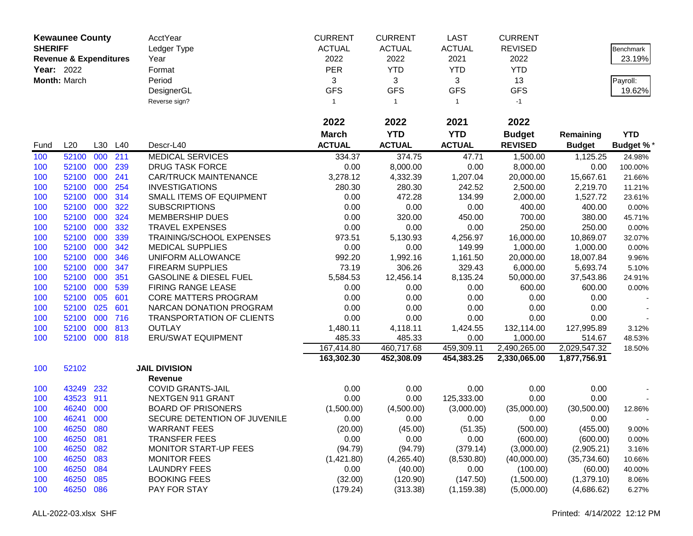|                | <b>Kewaunee County</b>            |         |     | AcctYear                          | <b>CURRENT</b> | <b>CURRENT</b> | <b>LAST</b>   | <b>CURRENT</b> |               |                  |
|----------------|-----------------------------------|---------|-----|-----------------------------------|----------------|----------------|---------------|----------------|---------------|------------------|
| <b>SHERIFF</b> |                                   |         |     | Ledger Type                       | <b>ACTUAL</b>  | <b>ACTUAL</b>  | <b>ACTUAL</b> | <b>REVISED</b> |               | Benchmark        |
|                | <b>Revenue &amp; Expenditures</b> |         |     | Year                              | 2022           | 2022           | 2021          | 2022           |               | 23.19%           |
| Year: 2022     |                                   |         |     | Format                            | <b>PER</b>     | <b>YTD</b>     | <b>YTD</b>    | <b>YTD</b>     |               |                  |
|                | Month: March                      |         |     | Period                            | 3              | 3              | 3             | 13             |               | Payroll:         |
|                |                                   |         |     | DesignerGL                        | <b>GFS</b>     | <b>GFS</b>     | <b>GFS</b>    | <b>GFS</b>     |               | 19.62%           |
|                |                                   |         |     | Reverse sign?                     | $\mathbf{1}$   | $\mathbf{1}$   | $\mathbf{1}$  | $-1$           |               |                  |
|                |                                   |         |     |                                   |                |                |               |                |               |                  |
|                |                                   |         |     |                                   | 2022           | 2022           | 2021          | 2022           |               |                  |
|                |                                   |         |     |                                   | <b>March</b>   | <b>YTD</b>     | <b>YTD</b>    | <b>Budget</b>  | Remaining     | <b>YTD</b>       |
| Fund           | L20                               | L30     | L40 | Descr-L40                         | <b>ACTUAL</b>  | <b>ACTUAL</b>  | <b>ACTUAL</b> | <b>REVISED</b> | <b>Budget</b> | <b>Budget %*</b> |
| 100            | 52100                             | 000     | 211 | <b>MEDICAL SERVICES</b>           | 334.37         | 374.75         | 47.71         | 1,500.00       | 1,125.25      | 24.98%           |
| 100            | 52100                             | 000     | 239 | <b>DRUG TASK FORCE</b>            | 0.00           | 8,000.00       | 0.00          | 8,000.00       | 0.00          | 100.00%          |
| 100            | 52100                             | 000     | 241 | <b>CAR/TRUCK MAINTENANCE</b>      | 3,278.12       | 4,332.39       | 1,207.04      | 20,000.00      | 15,667.61     | 21.66%           |
| 100            | 52100                             | 000     | 254 | <b>INVESTIGATIONS</b>             | 280.30         | 280.30         | 242.52        | 2,500.00       | 2,219.70      | 11.21%           |
| 100            | 52100                             | 000     | 314 | SMALL ITEMS OF EQUIPMENT          | 0.00           | 472.28         | 134.99        | 2,000.00       | 1,527.72      | 23.61%           |
| 100            | 52100                             | 000     | 322 | <b>SUBSCRIPTIONS</b>              | 0.00           | 0.00           | 0.00          | 400.00         | 400.00        | 0.00%            |
| 100            | 52100                             | 000     | 324 | <b>MEMBERSHIP DUES</b>            | 0.00           | 320.00         | 450.00        | 700.00         | 380.00        | 45.71%           |
| 100            | 52100                             | 000     | 332 | <b>TRAVEL EXPENSES</b>            | 0.00           | 0.00           | 0.00          | 250.00         | 250.00        | 0.00%            |
| 100            | 52100                             | 000     | 339 | TRAINING/SCHOOL EXPENSES          | 973.51         | 5,130.93       | 4,256.97      | 16,000.00      | 10,869.07     | 32.07%           |
| 100            | 52100                             | 000     | 342 | <b>MEDICAL SUPPLIES</b>           | 0.00           | 0.00           | 149.99        | 1,000.00       | 1,000.00      | 0.00%            |
| 100            | 52100                             | 000     | 346 | UNIFORM ALLOWANCE                 | 992.20         | 1,992.16       | 1,161.50      | 20,000.00      | 18,007.84     | 9.96%            |
| 100            | 52100                             | 000     | 347 | <b>FIREARM SUPPLIES</b>           | 73.19          | 306.26         | 329.43        | 6,000.00       | 5,693.74      | 5.10%            |
| 100            | 52100                             | 000     | 351 | <b>GASOLINE &amp; DIESEL FUEL</b> | 5,584.53       | 12,456.14      | 8,135.24      | 50,000.00      | 37,543.86     | 24.91%           |
| 100            | 52100                             | 000     | 539 | FIRING RANGE LEASE                | 0.00           | 0.00           | 0.00          | 600.00         | 600.00        | 0.00%            |
| 100            | 52100                             | 005     | 601 | CORE MATTERS PROGRAM              | 0.00           | 0.00           | 0.00          | 0.00           | 0.00          |                  |
| 100            | 52100                             | 025     | 601 | NARCAN DONATION PROGRAM           | 0.00           | 0.00           | 0.00          | 0.00           | 0.00          |                  |
| 100            | 52100                             | 000     | 716 | <b>TRANSPORTATION OF CLIENTS</b>  | 0.00           | 0.00           | 0.00          | 0.00           | 0.00          |                  |
| 100            | 52100                             | 000     | 813 | <b>OUTLAY</b>                     | 1,480.11       | 4,118.11       | 1,424.55      | 132,114.00     | 127,995.89    | 3.12%            |
| 100            | 52100                             | 000 818 |     | <b>ERU/SWAT EQUIPMENT</b>         | 485.33         | 485.33         | 0.00          | 1,000.00       | 514.67        | 48.53%           |
|                |                                   |         |     |                                   | 167,414.80     | 460,717.68     | 459,309.11    | 2,490,265.00   | 2,029,547.32  | 18.50%           |
|                |                                   |         |     |                                   | 163,302.30     | 452,308.09     | 454,383.25    | 2,330,065.00   | 1,877,756.91  |                  |
| 100            | 52102                             |         |     | <b>JAIL DIVISION</b>              |                |                |               |                |               |                  |
|                |                                   |         |     | <b>Revenue</b>                    |                |                |               |                |               |                  |
| 100            | 43249                             | 232     |     | <b>COVID GRANTS-JAIL</b>          | 0.00           | 0.00           | 0.00          | 0.00           | 0.00          |                  |
| 100            | 43523                             | 911     |     | NEXTGEN 911 GRANT                 | 0.00           | 0.00           | 125,333.00    | 0.00           | 0.00          |                  |
| 100            | 46240                             | 000     |     | <b>BOARD OF PRISONERS</b>         | (1,500.00)     | (4,500.00)     | (3,000.00)    | (35,000.00)    | (30,500.00)   | 12.86%           |
| 100            | 46241                             | 000     |     | SECURE DETENTION OF JUVENILE      | 0.00           | 0.00           | 0.00          | 0.00           | 0.00          |                  |
| 100            | 46250                             | 080     |     | <b>WARRANT FEES</b>               | (20.00)        | (45.00)        | (51.35)       | (500.00)       | (455.00)      | 9.00%            |
| 100            | 46250                             | 081     |     | <b>TRANSFER FEES</b>              | 0.00           | 0.00           | 0.00          | (600.00)       | (600.00)      | 0.00%            |
| 100            | 46250                             | 082     |     | MONITOR START-UP FEES             | (94.79)        | (94.79)        | (379.14)      | (3,000.00)     | (2,905.21)    | 3.16%            |
| 100            | 46250                             | 083     |     | <b>MONITOR FEES</b>               | (1,421.80)     | (4,265.40)     | (8,530.80)    | (40,000.00)    | (35,734.60)   | 10.66%           |
| 100            | 46250                             | 084     |     | <b>LAUNDRY FEES</b>               | 0.00           | (40.00)        | 0.00          | (100.00)       | (60.00)       | 40.00%           |
| 100            | 46250                             | 085     |     | <b>BOOKING FEES</b>               | (32.00)        | (120.90)       | (147.50)      | (1,500.00)     | (1,379.10)    | 8.06%            |
| 100            | 46250                             | 086     |     | PAY FOR STAY                      | (179.24)       | (313.38)       | (1, 159.38)   | (5,000.00)     | (4,686.62)    | 6.27%            |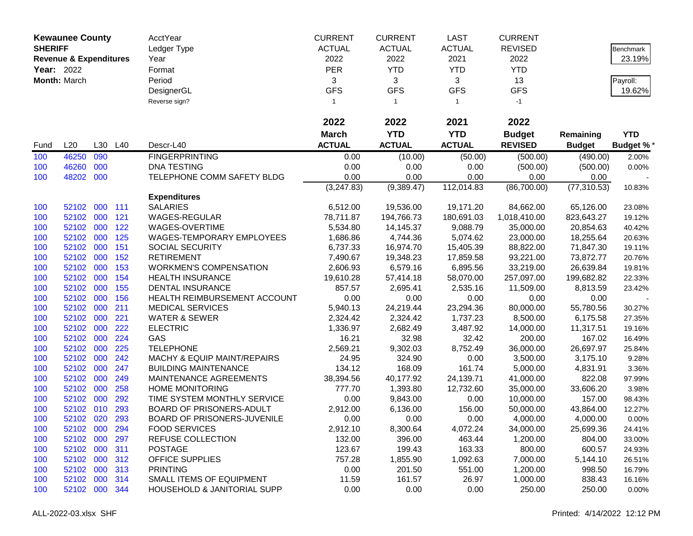|                | <b>Kewaunee County</b>            |         |     | AcctYear                        | <b>CURRENT</b> | <b>CURRENT</b> | <b>LAST</b>   | <b>CURRENT</b>                  |               |                  |
|----------------|-----------------------------------|---------|-----|---------------------------------|----------------|----------------|---------------|---------------------------------|---------------|------------------|
| <b>SHERIFF</b> |                                   |         |     | Ledger Type                     | <b>ACTUAL</b>  | <b>ACTUAL</b>  | <b>ACTUAL</b> | <b>REVISED</b>                  |               | Benchmark        |
|                | <b>Revenue &amp; Expenditures</b> |         |     | Year                            | 2022           | 2022           | 2021          | 2022                            |               | 23.19%           |
| Year: 2022     |                                   |         |     | Format                          | <b>PER</b>     | <b>YTD</b>     | <b>YTD</b>    | <b>YTD</b>                      |               |                  |
|                | Month: March                      |         |     | Period                          | 3              | 3              | 3             | 13                              |               | Payroll:         |
|                |                                   |         |     | DesignerGL                      | <b>GFS</b>     | <b>GFS</b>     | <b>GFS</b>    | <b>GFS</b>                      |               | 19.62%           |
|                |                                   |         |     | Reverse sign?                   | $\mathbf{1}$   | $\mathbf{1}$   | $\mathbf{1}$  | $-1$                            |               |                  |
|                |                                   |         |     |                                 | 2022           | 2022           | 2021          | 2022                            |               |                  |
|                |                                   |         |     |                                 | <b>March</b>   | <b>YTD</b>     | <b>YTD</b>    |                                 |               |                  |
|                | L20                               |         |     | Descr-L40                       | <b>ACTUAL</b>  | <b>ACTUAL</b>  | <b>ACTUAL</b> | <b>Budget</b><br><b>REVISED</b> | Remaining     | <b>YTD</b>       |
| Fund           |                                   | L30     | L40 |                                 |                |                |               |                                 | <b>Budget</b> | <b>Budget %*</b> |
| 100            | 46250                             | 090     |     | <b>FINGERPRINTING</b>           | 0.00           | (10.00)        | (50.00)       | (500.00)                        | (490.00)      | 2.00%            |
| 100            | 46260                             | 000     |     | <b>DNA TESTING</b>              | 0.00           | 0.00           | 0.00          | (500.00)                        | (500.00)      | 0.00%            |
| 100            | 48202                             | 000     |     | TELEPHONE COMM SAFETY BLDG      | 0.00           | 0.00           | 0.00          | 0.00                            | 0.00          |                  |
|                |                                   |         |     | <b>Expenditures</b>             | (3,247.83)     | (9,389.47)     | 112,014.83    | (86,700.00)                     | (77, 310.53)  | 10.83%           |
| 100            | 52102                             | 000 111 |     | <b>SALARIES</b>                 | 6,512.00       | 19,536.00      | 19,171.20     | 84,662.00                       | 65,126.00     | 23.08%           |
| 100            | 52102                             | 000     | 121 | <b>WAGES-REGULAR</b>            | 78,711.87      | 194,766.73     | 180,691.03    | 1,018,410.00                    | 823,643.27    | 19.12%           |
| 100            | 52102 000                         |         | 122 | WAGES-OVERTIME                  | 5,534.80       | 14,145.37      | 9,088.79      | 35,000.00                       | 20,854.63     | 40.42%           |
| 100            | 52102                             | 000     | 125 | WAGES-TEMPORARY EMPLOYEES       | 1,686.86       | 4,744.36       | 5,074.62      | 23,000.00                       | 18,255.64     | 20.63%           |
| 100            | 52102                             | 000     | 151 | SOCIAL SECURITY                 | 6,737.33       | 16,974.70      | 15,405.39     | 88,822.00                       | 71,847.30     | 19.11%           |
| 100            | 52102                             | 000     | 152 | <b>RETIREMENT</b>               | 7,490.67       | 19,348.23      | 17,859.58     | 93,221.00                       | 73,872.77     | 20.76%           |
| 100            | 52102                             | 000     | 153 | <b>WORKMEN'S COMPENSATION</b>   | 2,606.93       | 6,579.16       | 6,895.56      | 33,219.00                       | 26,639.84     | 19.81%           |
| 100            | 52102                             | 000     | 154 | <b>HEALTH INSURANCE</b>         | 19,610.28      | 57,414.18      | 58,070.00     | 257,097.00                      | 199,682.82    | 22.33%           |
| 100            | 52102                             | 000     | 155 | <b>DENTAL INSURANCE</b>         | 857.57         | 2,695.41       | 2,535.16      | 11,509.00                       | 8,813.59      | 23.42%           |
| 100            | 52102                             | 000     | 156 | HEALTH REIMBURSEMENT ACCOUNT    | 0.00           | 0.00           | 0.00          | 0.00                            | 0.00          |                  |
| 100            | 52102 000                         |         | 211 | <b>MEDICAL SERVICES</b>         | 5,940.13       | 24,219.44      | 23,294.36     | 80,000.00                       | 55,780.56     | 30.27%           |
| 100            | 52102 000                         |         | 221 | <b>WATER &amp; SEWER</b>        | 2,324.42       | 2,324.42       | 1,737.23      | 8,500.00                        | 6,175.58      | 27.35%           |
| 100            | 52102                             | 000     | 222 | <b>ELECTRIC</b>                 | 1,336.97       | 2,682.49       | 3,487.92      | 14,000.00                       | 11,317.51     | 19.16%           |
| 100            | 52102                             | 000     | 224 | GAS                             | 16.21          | 32.98          | 32.42         | 200.00                          | 167.02        | 16.49%           |
| 100            | 52102                             | 000     | 225 | <b>TELEPHONE</b>                | 2,569.21       | 9,302.03       | 8,752.49      | 36,000.00                       | 26,697.97     | 25.84%           |
| 100            | 52102                             | 000     | 242 | MACHY & EQUIP MAINT/REPAIRS     | 24.95          | 324.90         | 0.00          | 3,500.00                        | 3,175.10      | 9.28%            |
| 100            | 52102                             | 000     | 247 | <b>BUILDING MAINTENANCE</b>     | 134.12         | 168.09         | 161.74        | 5,000.00                        | 4,831.91      | 3.36%            |
| 100            | 52102                             | 000     | 249 | MAINTENANCE AGREEMENTS          | 38,394.56      | 40,177.92      | 24,139.71     | 41,000.00                       | 822.08        | 97.99%           |
| 100            | 52102                             | 000     | 258 | <b>HOME MONITORING</b>          | 777.70         | 1,393.80       | 12,732.60     | 35,000.00                       | 33,606.20     | 3.98%            |
| 100            | 52102                             | 000     | 292 | TIME SYSTEM MONTHLY SERVICE     | 0.00           | 9,843.00       | 0.00          | 10,000.00                       | 157.00        | 98.43%           |
| 100            | 52102                             | 010     | 293 | <b>BOARD OF PRISONERS-ADULT</b> | 2,912.00       | 6,136.00       | 156.00        | 50,000.00                       | 43,864.00     | 12.27%           |
| 100            | 52102 020                         |         | 293 | BOARD OF PRISONERS-JUVENILE     | 0.00           | 0.00           | 0.00          | 4,000.00                        | 4,000.00      | 0.00%            |
| 100            | 52102 000                         |         | 294 | <b>FOOD SERVICES</b>            | 2,912.10       | 8,300.64       | 4,072.24      | 34,000.00                       | 25,699.36     | 24.41%           |
| 100            | 52102 000                         |         | 297 | REFUSE COLLECTION               | 132.00         | 396.00         | 463.44        | 1,200.00                        | 804.00        | 33.00%           |
| 100            | 52102 000 311                     |         |     | <b>POSTAGE</b>                  | 123.67         | 199.43         | 163.33        | 800.00                          | 600.57        | 24.93%           |
| 100            | 52102 000 312                     |         |     | <b>OFFICE SUPPLIES</b>          | 757.28         | 1,855.90       | 1,092.63      | 7,000.00                        | 5,144.10      | 26.51%           |
| 100            | 52102 000 313                     |         |     | <b>PRINTING</b>                 | 0.00           | 201.50         | 551.00        | 1,200.00                        | 998.50        | 16.79%           |
| 100            | 52102 000                         |         | 314 | SMALL ITEMS OF EQUIPMENT        | 11.59          | 161.57         | 26.97         | 1,000.00                        | 838.43        | 16.16%           |
| 100            | 52102 000                         |         | 344 | HOUSEHOLD & JANITORIAL SUPP     | 0.00           | 0.00           | 0.00          | 250.00                          | 250.00        | $0.00\%$         |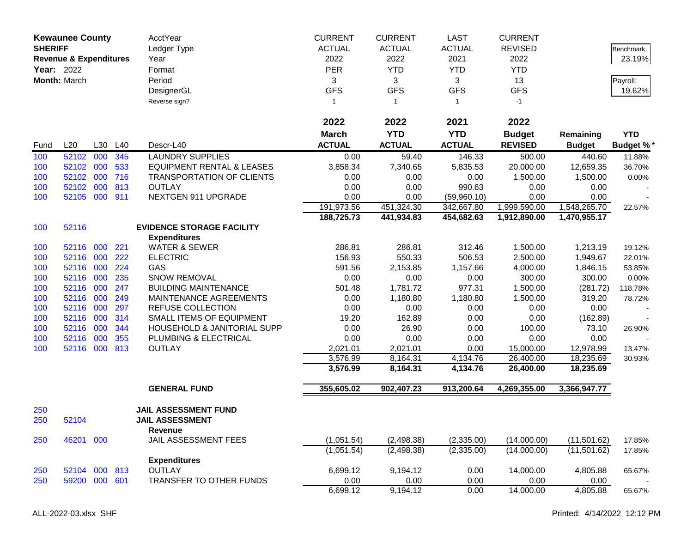|            | <b>Kewaunee County</b><br><b>SHERIFF</b><br><b>Revenue &amp; Expenditures</b><br><b>Year: 2022</b><br>Month: March |            |            | AcctYear<br>Ledger Type<br>Year<br>Format<br>Period<br>DesignerGL | <b>CURRENT</b><br><b>ACTUAL</b><br>2022<br><b>PER</b><br>3<br><b>GFS</b> | <b>CURRENT</b><br><b>ACTUAL</b><br>2022<br><b>YTD</b><br>3<br><b>GFS</b> | <b>LAST</b><br><b>ACTUAL</b><br>2021<br><b>YTD</b><br>3<br><b>GFS</b> | <b>CURRENT</b><br><b>REVISED</b><br>2022<br><b>YTD</b><br>13<br><b>GFS</b> |                            | <b>Benchmark</b><br>23.19%<br>Payroll:<br>19.62% |
|------------|--------------------------------------------------------------------------------------------------------------------|------------|------------|-------------------------------------------------------------------|--------------------------------------------------------------------------|--------------------------------------------------------------------------|-----------------------------------------------------------------------|----------------------------------------------------------------------------|----------------------------|--------------------------------------------------|
|            |                                                                                                                    |            |            | Reverse sign?                                                     | $\mathbf{1}$                                                             | $\mathbf{1}$                                                             | $\mathbf{1}$                                                          | $-1$                                                                       |                            |                                                  |
|            |                                                                                                                    |            |            |                                                                   | 2022                                                                     | 2022                                                                     | 2021                                                                  | 2022                                                                       |                            |                                                  |
| Fund       | L20                                                                                                                | L30        | L40        | Descr-L40                                                         | <b>March</b><br><b>ACTUAL</b>                                            | <b>YTD</b><br><b>ACTUAL</b>                                              | <b>YTD</b><br><b>ACTUAL</b>                                           | <b>Budget</b><br><b>REVISED</b>                                            | Remaining<br><b>Budget</b> | <b>YTD</b><br><b>Budget %*</b>                   |
| 100        | 52102                                                                                                              | 000        | 345        | <b>LAUNDRY SUPPLIES</b>                                           | 0.00                                                                     | 59.40                                                                    | 146.33                                                                | 500.00                                                                     | 440.60                     | 11.88%                                           |
| 100        | 52102                                                                                                              | 000        | 533        | <b>EQUIPMENT RENTAL &amp; LEASES</b>                              | 3,858.34                                                                 | 7,340.65                                                                 | 5,835.53                                                              | 20,000.00                                                                  | 12,659.35                  | 36.70%                                           |
| 100        | 52102                                                                                                              | 000        | 716        | <b>TRANSPORTATION OF CLIENTS</b>                                  | 0.00                                                                     | 0.00                                                                     | 0.00                                                                  | 1,500.00                                                                   | 1,500.00                   | $0.00\%$                                         |
| 100        | 52102                                                                                                              | 000        | 813        | <b>OUTLAY</b>                                                     | 0.00                                                                     | 0.00                                                                     | 990.63                                                                | 0.00                                                                       | 0.00                       |                                                  |
| 100        | 52105 000 911                                                                                                      |            |            | NEXTGEN 911 UPGRADE                                               | 0.00                                                                     | 0.00                                                                     | (59,960.10)                                                           | 0.00                                                                       | 0.00                       |                                                  |
|            |                                                                                                                    |            |            |                                                                   | 191,973.56                                                               | 451,324.30                                                               | 342,667.80                                                            | 1,999,590.00                                                               | 1,548,265.70               | 22.57%                                           |
|            |                                                                                                                    |            |            |                                                                   | 188,725.73                                                               | 441,934.83                                                               | 454,682.63                                                            | 1,912,890.00                                                               | 1,470,955.17               |                                                  |
| 100        | 52116                                                                                                              |            |            | <b>EVIDENCE STORAGE FACILITY</b>                                  |                                                                          |                                                                          |                                                                       |                                                                            |                            |                                                  |
|            |                                                                                                                    |            |            | <b>Expenditures</b>                                               |                                                                          |                                                                          |                                                                       |                                                                            |                            |                                                  |
| 100        | 52116                                                                                                              | 000        | 221        | <b>WATER &amp; SEWER</b>                                          | 286.81                                                                   | 286.81                                                                   | 312.46                                                                | 1,500.00                                                                   | 1,213.19                   | 19.12%                                           |
| 100        | 52116                                                                                                              | 000        | 222        | <b>ELECTRIC</b>                                                   | 156.93                                                                   | 550.33                                                                   | 506.53                                                                | 2,500.00                                                                   | 1,949.67                   | 22.01%                                           |
| 100        | 52116                                                                                                              | 000        | 224        | GAS                                                               | 591.56                                                                   | 2,153.85                                                                 | 1,157.66                                                              | 4,000.00                                                                   | 1,846.15                   | 53.85%                                           |
| 100        | 52116                                                                                                              | 000        | 235        | SNOW REMOVAL                                                      | 0.00                                                                     | 0.00                                                                     | 0.00                                                                  | 300.00                                                                     | 300.00                     | 0.00%                                            |
| 100        | 52116                                                                                                              | 000        | 247        | <b>BUILDING MAINTENANCE</b>                                       | 501.48                                                                   | 1,781.72                                                                 | 977.31                                                                | 1,500.00                                                                   | (281.72)                   | 118.78%                                          |
| 100        | 52116                                                                                                              | 000        | 249        | MAINTENANCE AGREEMENTS                                            | 0.00                                                                     | 1,180.80                                                                 | 1,180.80                                                              | 1,500.00                                                                   | 319.20                     | 78.72%                                           |
| 100        | 52116                                                                                                              | 000        | 297        | REFUSE COLLECTION                                                 | 0.00                                                                     | 0.00                                                                     | 0.00                                                                  | 0.00                                                                       | 0.00                       |                                                  |
| 100        | 52116                                                                                                              | 000        | 314        | SMALL ITEMS OF EQUIPMENT                                          | 19.20                                                                    | 162.89                                                                   | 0.00                                                                  | 0.00                                                                       | (162.89)                   |                                                  |
| 100        | 52116<br>52116                                                                                                     | 000<br>000 | 344<br>355 | HOUSEHOLD & JANITORIAL SUPP                                       | 0.00<br>0.00                                                             | 26.90<br>0.00                                                            | 0.00<br>0.00                                                          | 100.00<br>0.00                                                             | 73.10<br>0.00              | 26.90%                                           |
| 100<br>100 | 52116                                                                                                              | 000        | 813        | PLUMBING & ELECTRICAL<br><b>OUTLAY</b>                            | 2,021.01                                                                 | 2,021.01                                                                 | 0.00                                                                  | 15,000.00                                                                  | 12,978.99                  | 13.47%                                           |
|            |                                                                                                                    |            |            |                                                                   | 3,576.99                                                                 | 8,164.31                                                                 | 4,134.76                                                              | 26,400.00                                                                  | 18,235.69                  | 30.93%                                           |
|            |                                                                                                                    |            |            |                                                                   | 3,576.99                                                                 | 8,164.31                                                                 | 4,134.76                                                              | 26,400.00                                                                  | 18,235.69                  |                                                  |
|            |                                                                                                                    |            |            | <b>GENERAL FUND</b>                                               | 355,605.02                                                               | 902,407.23                                                               | 913,200.64                                                            | 4,269,355.00                                                               | 3,366,947.77               |                                                  |
|            |                                                                                                                    |            |            |                                                                   |                                                                          |                                                                          |                                                                       |                                                                            |                            |                                                  |
| 250<br>250 | 52104                                                                                                              |            |            | <b>JAIL ASSESSMENT FUND</b><br><b>JAIL ASSESSMENT</b>             |                                                                          |                                                                          |                                                                       |                                                                            |                            |                                                  |
|            |                                                                                                                    |            |            | <b>Revenue</b>                                                    |                                                                          |                                                                          |                                                                       |                                                                            |                            |                                                  |
| 250        | 46201                                                                                                              | 000        |            | JAIL ASSESSMENT FEES                                              | (1,051.54)                                                               | (2,498.38)                                                               | (2,335.00)                                                            | (14,000.00)                                                                | (11,501.62)                | 17.85%                                           |
|            |                                                                                                                    |            |            | <b>Expenditures</b>                                               | (1,051.54)                                                               | (2,498.38)                                                               | (2,335.00)                                                            | (14,000.00)                                                                | (11,501.62)                | 17.85%                                           |
| 250        | 52104 000 813                                                                                                      |            |            | <b>OUTLAY</b>                                                     | 6,699.12                                                                 | 9,194.12                                                                 | 0.00                                                                  | 14,000.00                                                                  | 4,805.88                   | 65.67%                                           |
| 250        | 59200 000 601                                                                                                      |            |            | TRANSFER TO OTHER FUNDS                                           | 0.00                                                                     | 0.00                                                                     | 0.00                                                                  | 0.00                                                                       | 0.00                       |                                                  |
|            |                                                                                                                    |            |            |                                                                   | 6,699.12                                                                 | 9,194.12                                                                 | 0.00                                                                  | 14,000.00                                                                  | 4,805.88                   | 65.67%                                           |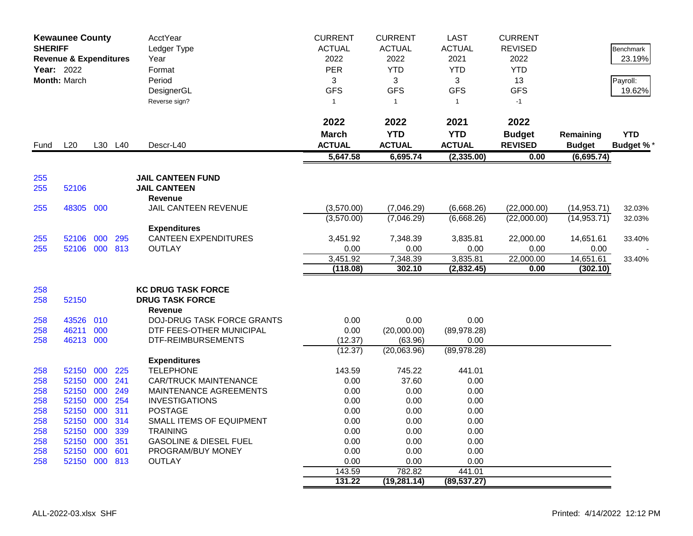|            | <b>Kewaunee County</b><br><b>SHERIFF</b><br><b>Revenue &amp; Expenditures</b><br>Year: 2022<br>Month: March |     |            | AcctYear<br>Ledger Type<br>Year<br>Format<br>Period<br>DesignerGL<br>Reverse sign? | <b>CURRENT</b><br><b>ACTUAL</b><br>2022<br>PER<br>3<br><b>GFS</b><br>$\mathbf{1}$ | <b>CURRENT</b><br><b>ACTUAL</b><br>2022<br><b>YTD</b><br>3<br><b>GFS</b><br>$\overline{1}$ | <b>LAST</b><br><b>ACTUAL</b><br>2021<br><b>YTD</b><br>3<br><b>GFS</b><br>$\mathbf{1}$ | <b>CURRENT</b><br><b>REVISED</b><br>2022<br><b>YTD</b><br>13<br><b>GFS</b><br>$-1$ |                       | Benchmark<br>23.19%<br>Payroll:<br>19.62% |
|------------|-------------------------------------------------------------------------------------------------------------|-----|------------|------------------------------------------------------------------------------------|-----------------------------------------------------------------------------------|--------------------------------------------------------------------------------------------|---------------------------------------------------------------------------------------|------------------------------------------------------------------------------------|-----------------------|-------------------------------------------|
|            |                                                                                                             |     |            |                                                                                    | 2022                                                                              | 2022                                                                                       | 2021                                                                                  | 2022                                                                               |                       |                                           |
|            |                                                                                                             |     |            |                                                                                    | <b>March</b>                                                                      | <b>YTD</b>                                                                                 | <b>YTD</b>                                                                            | <b>Budget</b>                                                                      | Remaining             | <b>YTD</b>                                |
| Fund       | L20                                                                                                         |     | L30 L40    | Descr-L40                                                                          | <b>ACTUAL</b>                                                                     | <b>ACTUAL</b>                                                                              | <b>ACTUAL</b>                                                                         | <b>REVISED</b>                                                                     | <b>Budget</b>         | <b>Budget %*</b>                          |
|            |                                                                                                             |     |            |                                                                                    | 5,647.58                                                                          | 6,695.74                                                                                   | (2, 335.00)                                                                           | 0.00                                                                               | (6,695.74)            |                                           |
| 255        |                                                                                                             |     |            | <b>JAIL CANTEEN FUND</b>                                                           |                                                                                   |                                                                                            |                                                                                       |                                                                                    |                       |                                           |
| 255        | 52106                                                                                                       |     |            | <b>JAIL CANTEEN</b>                                                                |                                                                                   |                                                                                            |                                                                                       |                                                                                    |                       |                                           |
|            |                                                                                                             |     |            | Revenue                                                                            |                                                                                   |                                                                                            |                                                                                       |                                                                                    |                       |                                           |
| 255        | 48305 000                                                                                                   |     |            | JAIL CANTEEN REVENUE                                                               | (3,570.00)                                                                        | (7,046.29)                                                                                 | (6,668.26)                                                                            | (22,000.00)                                                                        | (14, 953.71)          | 32.03%                                    |
|            |                                                                                                             |     |            |                                                                                    | (3,570.00)                                                                        | (7,046.29)                                                                                 | (6,668.26)                                                                            | (22,000.00)                                                                        | (14, 953.71)          | 32.03%                                    |
|            |                                                                                                             |     |            | <b>Expenditures</b>                                                                |                                                                                   |                                                                                            |                                                                                       |                                                                                    |                       |                                           |
| 255        | 52106 000                                                                                                   |     | 295        | <b>CANTEEN EXPENDITURES</b>                                                        | 3,451.92                                                                          | 7,348.39                                                                                   | 3,835.81                                                                              | 22,000.00                                                                          | 14,651.61             | 33.40%                                    |
| 255        | 52106 000 813                                                                                               |     |            | <b>OUTLAY</b>                                                                      | 0.00                                                                              | 0.00                                                                                       | 0.00                                                                                  | 0.00<br>22,000.00                                                                  | 0.00                  |                                           |
|            |                                                                                                             |     |            |                                                                                    | 3,451.92<br>(118.08)                                                              | 7,348.39<br>302.10                                                                         | 3,835.81<br>(2,832.45)                                                                | 0.00                                                                               | 14,651.61<br>(302.10) | 33.40%                                    |
|            |                                                                                                             |     |            |                                                                                    |                                                                                   |                                                                                            |                                                                                       |                                                                                    |                       |                                           |
| 258        |                                                                                                             |     |            | <b>KC DRUG TASK FORCE</b>                                                          |                                                                                   |                                                                                            |                                                                                       |                                                                                    |                       |                                           |
| 258        | 52150                                                                                                       |     |            | <b>DRUG TASK FORCE</b>                                                             |                                                                                   |                                                                                            |                                                                                       |                                                                                    |                       |                                           |
|            |                                                                                                             |     |            | Revenue                                                                            |                                                                                   |                                                                                            |                                                                                       |                                                                                    |                       |                                           |
| 258        | 43526 010                                                                                                   |     |            | <b>DOJ-DRUG TASK FORCE GRANTS</b>                                                  | 0.00                                                                              | 0.00                                                                                       | 0.00                                                                                  |                                                                                    |                       |                                           |
| 258        | 46211                                                                                                       | 000 |            | DTF FEES-OTHER MUNICIPAL                                                           | 0.00                                                                              | (20,000.00)                                                                                | (89,978.28)                                                                           |                                                                                    |                       |                                           |
| 258        | 46213 000                                                                                                   |     |            | DTF-REIMBURSEMENTS                                                                 | (12.37)                                                                           | (63.96)                                                                                    | 0.00                                                                                  |                                                                                    |                       |                                           |
|            |                                                                                                             |     |            |                                                                                    | (12.37)                                                                           | (20,063.96)                                                                                | (89, 978.28)                                                                          |                                                                                    |                       |                                           |
|            |                                                                                                             |     |            | <b>Expenditures</b>                                                                |                                                                                   |                                                                                            |                                                                                       |                                                                                    |                       |                                           |
| 258        | 52150                                                                                                       | 000 | 225        | <b>TELEPHONE</b>                                                                   | 143.59                                                                            | 745.22                                                                                     | 441.01                                                                                |                                                                                    |                       |                                           |
| 258        | 52150 000<br>52150                                                                                          | 000 | 241        | <b>CAR/TRUCK MAINTENANCE</b>                                                       | 0.00<br>0.00                                                                      | 37.60<br>0.00                                                                              | 0.00<br>0.00                                                                          |                                                                                    |                       |                                           |
| 258<br>258 | 52150                                                                                                       | 000 | 249<br>254 | MAINTENANCE AGREEMENTS<br><b>INVESTIGATIONS</b>                                    | 0.00                                                                              | 0.00                                                                                       | 0.00                                                                                  |                                                                                    |                       |                                           |
| 258        | 52150                                                                                                       | 000 | 311        | <b>POSTAGE</b>                                                                     | 0.00                                                                              | 0.00                                                                                       | 0.00                                                                                  |                                                                                    |                       |                                           |
| 258        | 52150                                                                                                       | 000 | 314        | SMALL ITEMS OF EQUIPMENT                                                           | 0.00                                                                              | 0.00                                                                                       | 0.00                                                                                  |                                                                                    |                       |                                           |
| 258        | 52150                                                                                                       | 000 | 339        | <b>TRAINING</b>                                                                    | 0.00                                                                              | 0.00                                                                                       | 0.00                                                                                  |                                                                                    |                       |                                           |
| 258        | 52150 000                                                                                                   |     | 351        | <b>GASOLINE &amp; DIESEL FUEL</b>                                                  | 0.00                                                                              | 0.00                                                                                       | 0.00                                                                                  |                                                                                    |                       |                                           |
| 258        | 52150                                                                                                       | 000 | 601        | PROGRAM/BUY MONEY                                                                  | 0.00                                                                              | 0.00                                                                                       | 0.00                                                                                  |                                                                                    |                       |                                           |
| 258        | 52150 000 813                                                                                               |     |            | <b>OUTLAY</b>                                                                      | 0.00                                                                              | 0.00                                                                                       | 0.00                                                                                  |                                                                                    |                       |                                           |
|            |                                                                                                             |     |            |                                                                                    | 143.59                                                                            | 782.82                                                                                     | 441.01                                                                                |                                                                                    |                       |                                           |
|            |                                                                                                             |     |            |                                                                                    | 131.22                                                                            | (19, 281.14)                                                                               | (89, 537.27)                                                                          |                                                                                    |                       |                                           |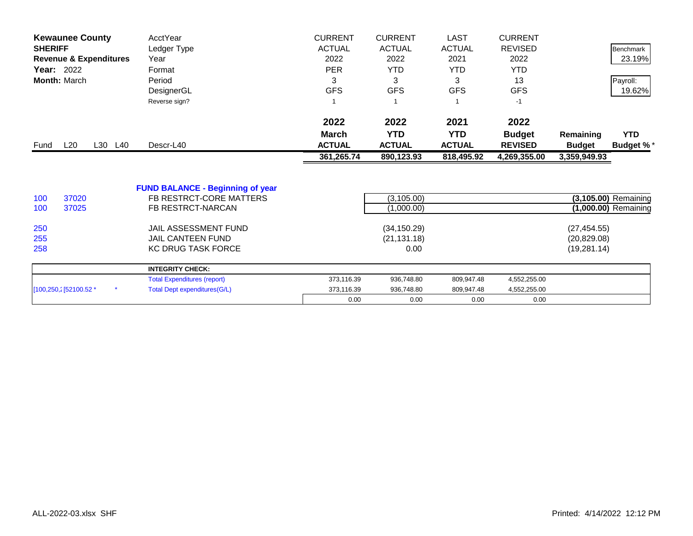|                        | <b>Kewaunee County</b>            | AcctYear                                | <b>CURRENT</b> | <b>CURRENT</b> | <b>LAST</b>   | <b>CURRENT</b> |               |                      |
|------------------------|-----------------------------------|-----------------------------------------|----------------|----------------|---------------|----------------|---------------|----------------------|
| <b>SHERIFF</b>         |                                   | Ledger Type                             | <b>ACTUAL</b>  | <b>ACTUAL</b>  | <b>ACTUAL</b> | <b>REVISED</b> |               | Benchmark            |
|                        | <b>Revenue &amp; Expenditures</b> | Year                                    | 2022           | 2022           | 2021          | 2022           |               | 23.19%               |
| <b>Year: 2022</b>      |                                   | Format                                  | <b>PER</b>     | <b>YTD</b>     | <b>YTD</b>    | <b>YTD</b>     |               |                      |
| Month: March           |                                   | Period                                  | 3              | 3              | 3             | 13             |               | Payroll:             |
|                        |                                   | DesignerGL                              | <b>GFS</b>     | <b>GFS</b>     | <b>GFS</b>    | <b>GFS</b>     |               | 19.62%               |
|                        |                                   | Reverse sign?                           |                |                |               | $-1$           |               |                      |
|                        |                                   |                                         | 2022           | 2022           | 2021          | 2022           |               |                      |
|                        |                                   |                                         | <b>March</b>   | <b>YTD</b>     | <b>YTD</b>    | <b>Budget</b>  | Remaining     | <b>YTD</b>           |
| Fund                   | L20<br>L30 L40                    | Descr-L40                               | <b>ACTUAL</b>  | <b>ACTUAL</b>  | <b>ACTUAL</b> | <b>REVISED</b> | <b>Budget</b> | <b>Budget %*</b>     |
|                        |                                   |                                         | 361,265.74     | 890,123.93     | 818,495.92    | 4,269,355.00   | 3,359,949.93  |                      |
|                        |                                   |                                         |                |                |               |                |               |                      |
|                        |                                   | <b>FUND BALANCE - Beginning of year</b> |                |                |               |                |               |                      |
| 100                    | 37020                             | FB RESTRCT-CORE MATTERS                 |                | (3, 105.00)    |               |                |               | (3,105.00) Remaining |
| 100                    | 37025                             | FB RESTRCT-NARCAN                       |                | (1,000.00)     |               |                |               | (1,000.00) Remaining |
| 250                    |                                   | JAIL ASSESSMENT FUND                    |                | (34, 150.29)   |               |                | (27, 454.55)  |                      |
| 255                    |                                   | <b>JAIL CANTEEN FUND</b>                |                | (21, 131.18)   |               |                | (20, 829.08)  |                      |
| 258                    |                                   | <b>KC DRUG TASK FORCE</b>               |                | 0.00           |               |                | (19, 281.14)  |                      |
|                        |                                   | <b>INTEGRITY CHECK:</b>                 |                |                |               |                |               |                      |
|                        |                                   | <b>Total Expenditures (report)</b>      | 373,116.39     | 936,748.80     | 809,947.48    | 4,552,255.00   |               |                      |
| [100,250,2] 52100.52 * |                                   | <b>Total Dept expenditures(G/L)</b>     | 373,116.39     | 936,748.80     | 809,947.48    | 4,552,255.00   |               |                      |
|                        |                                   |                                         | 0.00           | 0.00           | 0.00          | 0.00           |               |                      |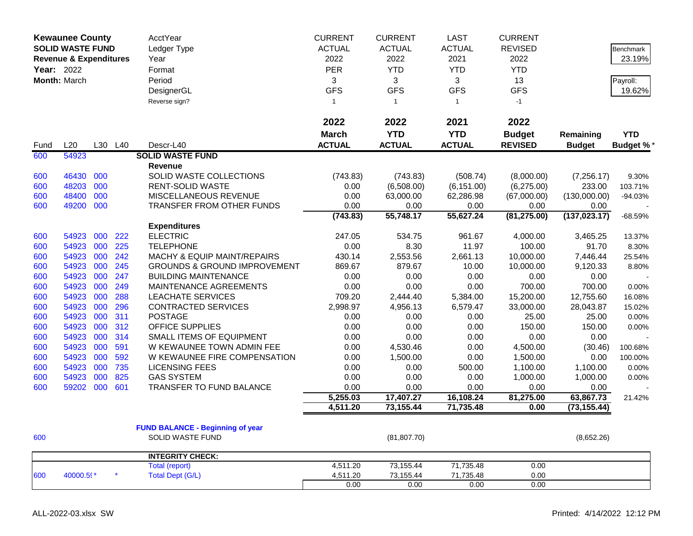|            | <b>Kewaunee County</b>            |     |         | <b>AcctYear</b>                         | <b>CURRENT</b> | <b>CURRENT</b> | <b>LAST</b>   | <b>CURRENT</b> |               |                  |
|------------|-----------------------------------|-----|---------|-----------------------------------------|----------------|----------------|---------------|----------------|---------------|------------------|
|            | <b>SOLID WASTE FUND</b>           |     |         | Ledger Type                             | <b>ACTUAL</b>  | <b>ACTUAL</b>  | <b>ACTUAL</b> | <b>REVISED</b> |               | <b>Benchmark</b> |
|            | <b>Revenue &amp; Expenditures</b> |     |         | Year                                    | 2022           | 2022           | 2021          | 2022           |               | 23.19%           |
| Year: 2022 |                                   |     |         | Format                                  | PER            | <b>YTD</b>     | <b>YTD</b>    | <b>YTD</b>     |               |                  |
|            | Month: March                      |     |         | Period                                  | 3              | 3              | 3             | 13             |               | Payroll:         |
|            |                                   |     |         | DesignerGL                              | <b>GFS</b>     | <b>GFS</b>     | <b>GFS</b>    | <b>GFS</b>     |               | 19.62%           |
|            |                                   |     |         | Reverse sign?                           | $\mathbf{1}$   | $\overline{1}$ | $\mathbf{1}$  | $-1$           |               |                  |
|            |                                   |     |         |                                         |                |                |               |                |               |                  |
|            |                                   |     |         |                                         | 2022           | 2022           | 2021          | 2022           |               |                  |
|            |                                   |     |         |                                         | <b>March</b>   | <b>YTD</b>     | <b>YTD</b>    | <b>Budget</b>  | Remaining     | <b>YTD</b>       |
| Fund       | L20                               |     | L30 L40 | Descr-L40                               | <b>ACTUAL</b>  | <b>ACTUAL</b>  | <b>ACTUAL</b> | <b>REVISED</b> | <b>Budget</b> | <b>Budget %</b>  |
| 600        | 54923                             |     |         | <b>SOLID WASTE FUND</b>                 |                |                |               |                |               |                  |
|            |                                   |     |         | Revenue                                 |                |                |               |                |               |                  |
| 600        | 46430                             | 000 |         | SOLID WASTE COLLECTIONS                 | (743.83)       | (743.83)       | (508.74)      | (8,000.00)     | (7,256.17)    | 9.30%            |
| 600        | 48203                             | 000 |         | RENT-SOLID WASTE                        | 0.00           | (6,508.00)     | (6, 151.00)   | (6,275.00)     | 233.00        | 103.71%          |
| 600        | 48400                             | 000 |         | MISCELLANEOUS REVENUE                   | 0.00           | 63,000.00      | 62,286.98     | (67,000.00)    | (130,000.00)  | $-94.03%$        |
| 600        | 49200 000                         |     |         | <b>TRANSFER FROM OTHER FUNDS</b>        | 0.00           | 0.00           | 0.00          | 0.00           | 0.00          |                  |
|            |                                   |     |         |                                         | (743.83)       | 55,748.17      | 55,627.24     | (81, 275.00)   | (137, 023.17) | $-68.59%$        |
|            |                                   |     |         | <b>Expenditures</b>                     |                |                |               |                |               |                  |
| 600        | 54923                             | 000 | 222     | <b>ELECTRIC</b>                         | 247.05         | 534.75         | 961.67        | 4,000.00       | 3,465.25      | 13.37%           |
| 600        | 54923                             | 000 | 225     | <b>TELEPHONE</b>                        | 0.00           | 8.30           | 11.97         | 100.00         | 91.70         | 8.30%            |
| 600        | 54923                             | 000 | 242     | MACHY & EQUIP MAINT/REPAIRS             | 430.14         | 2,553.56       | 2,661.13      | 10,000.00      | 7,446.44      | 25.54%           |
| 600        | 54923                             | 000 | 245     | <b>GROUNDS &amp; GROUND IMPROVEMENT</b> | 869.67         | 879.67         | 10.00         | 10,000.00      | 9,120.33      | 8.80%            |
| 600        | 54923                             | 000 | 247     | <b>BUILDING MAINTENANCE</b>             | 0.00           | 0.00           | 0.00          | 0.00           | 0.00          |                  |
| 600        | 54923                             | 000 | 249     | MAINTENANCE AGREEMENTS                  | 0.00           | 0.00           | 0.00          | 700.00         | 700.00        | 0.00%            |
| 600        | 54923                             | 000 | 288     | <b>LEACHATE SERVICES</b>                | 709.20         | 2,444.40       | 5,384.00      | 15,200.00      | 12,755.60     | 16.08%           |
| 600        | 54923                             | 000 | 296     | <b>CONTRACTED SERVICES</b>              | 2,998.97       | 4,956.13       | 6,579.47      | 33,000.00      | 28,043.87     | 15.02%           |
| 600        | 54923                             | 000 | 311     | <b>POSTAGE</b>                          | 0.00           | 0.00           | 0.00          | 25.00          | 25.00         | 0.00%            |
| 600        | 54923                             | 000 | 312     | OFFICE SUPPLIES                         | 0.00           | 0.00           | 0.00          | 150.00         | 150.00        | 0.00%            |
| 600        | 54923                             | 000 | 314     | SMALL ITEMS OF EQUIPMENT                | 0.00           | 0.00           | 0.00          | 0.00           | 0.00          |                  |
| 600        | 54923                             | 000 | 591     | W KEWAUNEE TOWN ADMIN FEE               | 0.00           | 4,530.46       | 0.00          | 4,500.00       | (30.46)       | 100.68%          |
| 600        | 54923                             | 000 | 592     | W KEWAUNEE FIRE COMPENSATION            | 0.00           | 1,500.00       | 0.00          | 1,500.00       | 0.00          | 100.00%          |
| 600        | 54923                             | 000 | 735     | <b>LICENSING FEES</b>                   | 0.00           | 0.00           | 500.00        | 1,100.00       | 1,100.00      | 0.00%            |
| 600        | 54923                             | 000 | 825     | <b>GAS SYSTEM</b>                       | 0.00           | 0.00           | 0.00          | 1,000.00       | 1,000.00      | 0.00%            |
| 600        | 59202                             | 000 | 601     | TRANSFER TO FUND BALANCE                | 0.00           | 0.00           | 0.00          | 0.00           | 0.00          |                  |
|            |                                   |     |         |                                         | 5,255.03       | 17,407.27      | 16,108.24     | 81,275.00      | 63,867.73     | 21.42%           |
|            |                                   |     |         |                                         | 4,511.20       | 73,155.44      | 71,735.48     | 0.00           | (73, 155.44)  |                  |
|            |                                   |     |         |                                         |                |                |               |                |               |                  |
|            |                                   |     |         | <b>FUND BALANCE - Beginning of year</b> |                |                |               |                |               |                  |
| 600        |                                   |     |         | SOLID WASTE FUND                        |                | (81, 807.70)   |               |                | (8,652.26)    |                  |
|            |                                   |     |         | <b>INTEGRITY CHECK:</b>                 |                |                |               |                |               |                  |
|            |                                   |     |         | <b>Total (report)</b>                   | 4,511.20       | 73,155.44      | 71,735.48     | 0.00           |               |                  |
| 600        | 40000.59*                         |     |         | <b>Total Dept (G/L)</b>                 | 4,511.20       | 73,155.44      | 71,735.48     | 0.00           |               |                  |
|            |                                   |     |         |                                         | 0.00           | 0.00           | 0.00          | 0.00           |               |                  |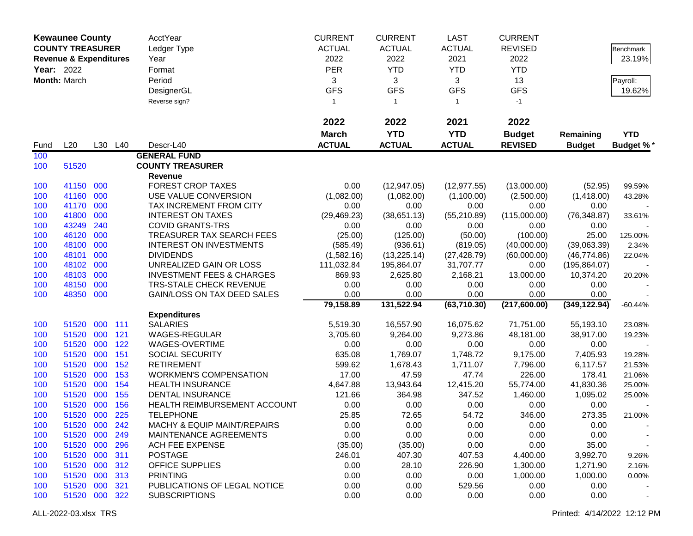|            | <b>Kewaunee County</b>            |         |         | <b>AcctYear</b>                      | <b>CURRENT</b>  | <b>CURRENT</b>  | <b>LAST</b>     | <b>CURRENT</b>   |               |                    |
|------------|-----------------------------------|---------|---------|--------------------------------------|-----------------|-----------------|-----------------|------------------|---------------|--------------------|
|            | <b>COUNTY TREASURER</b>           |         |         | Ledger Type                          | <b>ACTUAL</b>   | <b>ACTUAL</b>   | <b>ACTUAL</b>   | <b>REVISED</b>   |               | Benchmark          |
|            | <b>Revenue &amp; Expenditures</b> |         |         | Year                                 | 2022            | 2022            | 2021            | 2022             |               | 23.19%             |
| Year: 2022 |                                   |         |         | Format                               | PER             | <b>YTD</b>      | <b>YTD</b>      | <b>YTD</b>       |               |                    |
|            |                                   |         |         |                                      |                 |                 |                 |                  |               |                    |
|            | Month: March                      |         |         | Period                               | 3<br><b>GFS</b> | 3<br><b>GFS</b> | 3<br><b>GFS</b> | 13<br><b>GFS</b> |               | Payroll:<br>19.62% |
|            |                                   |         |         | DesignerGL                           |                 |                 |                 |                  |               |                    |
|            |                                   |         |         | Reverse sign?                        | $\mathbf{1}$    | $\mathbf{1}$    | $\mathbf{1}$    | $-1$             |               |                    |
|            |                                   |         |         |                                      | 2022            | 2022            | 2021            | 2022             |               |                    |
|            |                                   |         |         |                                      | <b>March</b>    | <b>YTD</b>      | <b>YTD</b>      | <b>Budget</b>    | Remaining     | <b>YTD</b>         |
| Fund       | L20                               |         | L30 L40 | Descr-L40                            | <b>ACTUAL</b>   | <b>ACTUAL</b>   | <b>ACTUAL</b>   | <b>REVISED</b>   | <b>Budget</b> | Budget %*          |
| 100        |                                   |         |         | <b>GENERAL FUND</b>                  |                 |                 |                 |                  |               |                    |
| 100        | 51520                             |         |         | <b>COUNTY TREASURER</b>              |                 |                 |                 |                  |               |                    |
|            |                                   |         |         | Revenue                              |                 |                 |                 |                  |               |                    |
| 100        | 41150 000                         |         |         | <b>FOREST CROP TAXES</b>             | 0.00            | (12, 947.05)    | (12, 977.55)    | (13,000.00)      | (52.95)       | 99.59%             |
| 100        | 41160 000                         |         |         | USE VALUE CONVERSION                 | (1,082.00)      | (1,082.00)      | (1,100.00)      | (2,500.00)       | (1,418.00)    | 43.28%             |
| 100        | 41170                             | 000     |         | TAX INCREMENT FROM CITY              | 0.00            | 0.00            | 0.00            | 0.00             | 0.00          |                    |
| 100        | 41800                             | 000     |         | <b>INTEREST ON TAXES</b>             | (29, 469.23)    | (38,651.13)     | (55, 210.89)    | (115,000.00)     | (76, 348.87)  | 33.61%             |
| 100        | 43249                             | 240     |         | <b>COVID GRANTS-TRS</b>              | 0.00            | 0.00            | 0.00            | 0.00             | 0.00          |                    |
| 100        | 46120                             | 000     |         | TREASURER TAX SEARCH FEES            | (25.00)         | (125.00)        | (50.00)         | (100.00)         | 25.00         | 125.00%            |
| 100        | 48100                             | 000     |         | <b>INTEREST ON INVESTMENTS</b>       | (585.49)        | (936.61)        | (819.05)        | (40,000.00)      | (39,063.39)   | 2.34%              |
| 100        | 48101                             | 000     |         | <b>DIVIDENDS</b>                     | (1,582.16)      | (13, 225.14)    | (27, 428.79)    | (60,000.00)      | (46, 774.86)  | 22.04%             |
| 100        | 48102                             | 000     |         | UNREALIZED GAIN OR LOSS              | 111,032.84      | 195,864.07      | 31,707.77       | 0.00             | (195, 864.07) |                    |
| 100        | 48103                             | 000     |         | <b>INVESTMENT FEES &amp; CHARGES</b> | 869.93          | 2,625.80        | 2,168.21        | 13,000.00        | 10,374.20     | 20.20%             |
| 100        | 48150                             | 000     |         | <b>TRS-STALE CHECK REVENUE</b>       | 0.00            | 0.00            | 0.00            | 0.00             | 0.00          |                    |
| 100        | 48350                             | 000     |         | GAIN/LOSS ON TAX DEED SALES          | 0.00            | 0.00            | 0.00            | 0.00             | 0.00          |                    |
|            |                                   |         |         |                                      | 79,158.89       | 131,522.94      | (63,710.30)     | (217,600.00)     | (349, 122.94) | $-60.44%$          |
|            |                                   |         |         | <b>Expenditures</b>                  |                 |                 |                 |                  |               |                    |
| 100        | 51520                             | 000 111 |         | <b>SALARIES</b>                      | 5,519.30        | 16,557.90       | 16,075.62       | 71,751.00        | 55,193.10     | 23.08%             |
| 100        | 51520                             | 000     | 121     | WAGES-REGULAR                        | 3,705.60        | 9,264.00        | 9,273.86        | 48,181.00        | 38,917.00     | 19.23%             |
| 100        | 51520                             | 000     | 122     | WAGES-OVERTIME                       | 0.00            | 0.00            | 0.00            | 0.00             | 0.00          |                    |
| 100        | 51520                             | 000     | 151     | <b>SOCIAL SECURITY</b>               | 635.08          | 1,769.07        | 1,748.72        | 9,175.00         | 7,405.93      | 19.28%             |
| 100        | 51520                             | 000     | 152     | <b>RETIREMENT</b>                    | 599.62          | 1,678.43        | 1,711.07        | 7,796.00         | 6,117.57      | 21.53%             |
| 100        | 51520                             | 000     | 153     | <b>WORKMEN'S COMPENSATION</b>        | 17.00           | 47.59           | 47.74           | 226.00           | 178.41        | 21.06%             |
| 100        | 51520                             | 000     | 154     | <b>HEALTH INSURANCE</b>              | 4,647.88        | 13,943.64       | 12,415.20       | 55,774.00        | 41,830.36     | 25.00%             |
| 100        | 51520                             | 000     | 155     | <b>DENTAL INSURANCE</b>              | 121.66          | 364.98          | 347.52          | 1,460.00         | 1,095.02      | 25.00%             |
| 100        | 51520                             | 000     | 156     | HEALTH REIMBURSEMENT ACCOUNT         | 0.00            | 0.00            | 0.00            | 0.00             | 0.00          |                    |
| 100        | 51520 000                         |         | 225     | <b>TELEPHONE</b>                     | 25.85           | 72.65           | 54.72           | 346.00           | 273.35        | 21.00%             |
| 100        | 51520 000 242                     |         |         | MACHY & EQUIP MAINT/REPAIRS          | 0.00            | 0.00            | 0.00            | 0.00             | 0.00          |                    |
| 100        | 51520 000                         |         | 249     | MAINTENANCE AGREEMENTS               | 0.00            | 0.00            | 0.00            | 0.00             | 0.00          |                    |
| 100        | 51520 000                         |         | 296     | ACH FEE EXPENSE                      | (35.00)         | (35.00)         | 0.00            | 0.00             | 35.00         |                    |
| 100        | 51520 000                         |         | 311     | <b>POSTAGE</b>                       | 246.01          | 407.30          | 407.53          | 4,400.00         | 3,992.70      | 9.26%              |
| 100        | 51520 000                         |         | 312     | OFFICE SUPPLIES                      | 0.00            | 28.10           | 226.90          | 1,300.00         | 1,271.90      | 2.16%              |
| 100        | 51520                             | 000     | 313     | <b>PRINTING</b>                      | 0.00            | 0.00            | 0.00            | 1,000.00         | 1,000.00      | 0.00%              |
| 100        | 51520 000                         |         | 321     | PUBLICATIONS OF LEGAL NOTICE         | 0.00            | 0.00            | 529.56          | 0.00             | 0.00          |                    |
| 100        | 51520 000 322                     |         |         | <b>SUBSCRIPTIONS</b>                 | 0.00            | 0.00            | 0.00            | 0.00             | 0.00          |                    |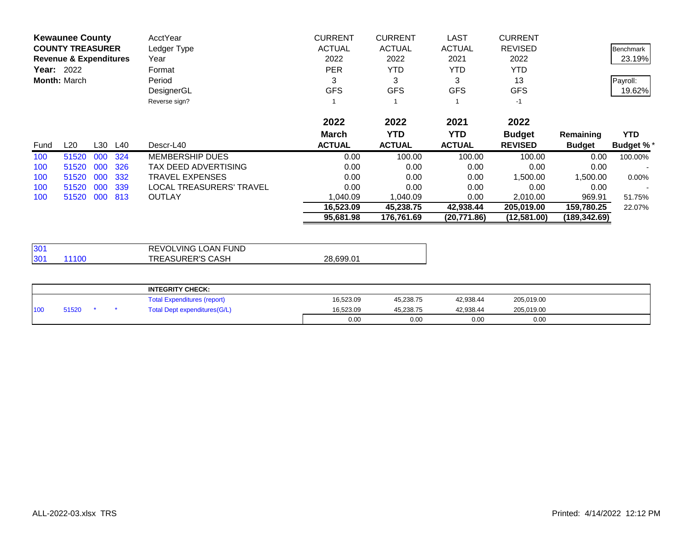|      | <b>Kewaunee County</b>            |     | AcctYear                    | <b>CURRENT</b> | <b>CURRENT</b> | <b>LAST</b>   | <b>CURRENT</b> |               |                  |
|------|-----------------------------------|-----|-----------------------------|----------------|----------------|---------------|----------------|---------------|------------------|
|      | <b>COUNTY TREASURER</b>           |     | Ledger Type                 | <b>ACTUAL</b>  | <b>ACTUAL</b>  | <b>ACTUAL</b> | <b>REVISED</b> |               | <b>Benchmark</b> |
|      | <b>Revenue &amp; Expenditures</b> |     | Year                        | 2022           | 2022           | 2021          | 2022           |               | 23.19%           |
|      | <b>Year: 2022</b>                 |     | Format                      | <b>PER</b>     | <b>YTD</b>     | <b>YTD</b>    | <b>YTD</b>     |               |                  |
|      | <b>Month: March</b>               |     | Period                      | 3              | 3              | 3             | 13             |               | Payroll:         |
|      |                                   |     | DesignerGL                  | <b>GFS</b>     | <b>GFS</b>     | <b>GFS</b>    | <b>GFS</b>     |               | 19.62%           |
|      |                                   |     | Reverse sign?               |                |                |               | $-1$           |               |                  |
|      |                                   |     |                             | 2022           | 2022           | 2021          | 2022           |               |                  |
|      |                                   |     |                             | <b>March</b>   | <b>YTD</b>     | <b>YTD</b>    | <b>Budget</b>  | Remaining     | <b>YTD</b>       |
| Fund | L30<br>L20                        | L40 | Descr-L40                   | <b>ACTUAL</b>  | <b>ACTUAL</b>  | <b>ACTUAL</b> | <b>REVISED</b> | <b>Budget</b> | <b>Budget %*</b> |
| 100  | 51520<br>000                      | 324 | <b>MEMBERSHIP DUES</b>      | 0.00           | 100.00         | 100.00        | 100.00         | 0.00          | 100.00%          |
| 100  | 000<br>51520                      | 326 | <b>TAX DEED ADVERTISING</b> | 0.00           | 0.00           | 0.00          | 0.00           | 0.00          |                  |
| 100  | 000<br>51520                      | 332 | <b>TRAVEL EXPENSES</b>      | 0.00           | 0.00           | 0.00          | 1.500.00       | 1,500.00      | $0.00\%$         |
| 100  | 000<br>51520                      | 339 | LOCAL TREASURERS' TRAVEL    | 0.00           | 0.00           | 0.00          | 0.00           | 0.00          |                  |
| 100  | 51520<br>000                      | 813 | OUTLAY                      | 1,040.09       | ,040.09        | 0.00          | 2,010.00       | 969.91        | 51.75%           |
|      |                                   |     |                             | 16,523.09      | 45,238.75      | 42,938.44     | 205,019.00     | 159,780.25    | 22.07%           |
|      |                                   |     |                             | 95,681.98      | 176,761.69     | (20,771.86)   | (12,581.00)    | (189.342.69)  |                  |

| 301          | REVOLVING LOAN FUND     |           |
|--------------|-------------------------|-----------|
| 301<br>11100 | <b>TREASURER'S CASH</b> | 28,699.01 |

|     |       |  | <b>INTEGRITY CHECK:</b>            |           |           |           |            |  |
|-----|-------|--|------------------------------------|-----------|-----------|-----------|------------|--|
|     |       |  | <b>Total Expenditures (report)</b> | 16.523.09 | 45,238.75 | 42.938.44 | 205,019.00 |  |
| 100 | 51520 |  | Total Dept expenditures(G/L)       | 16.523.09 | 45.238.75 | 42.938.44 | 205,019.00 |  |
|     |       |  |                                    | 0.00      | 0.00      | 0.00      | 0.00       |  |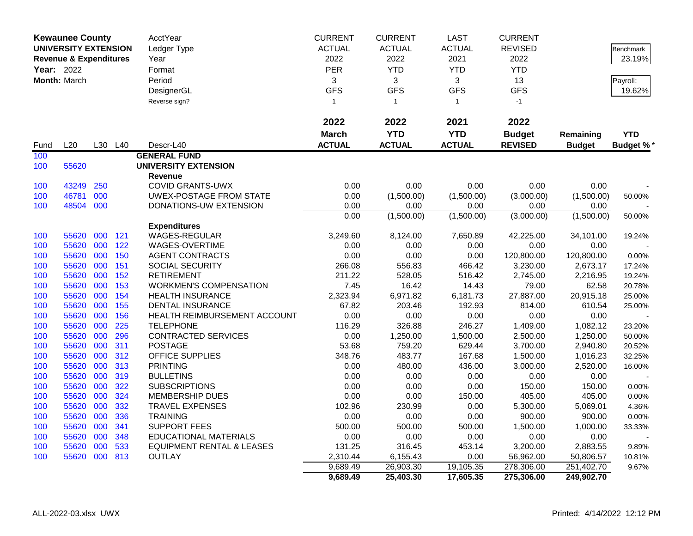|      | <b>Kewaunee County</b>            |     |                 | AcctYear                             | <b>CURRENT</b> | <b>CURRENT</b> | <b>LAST</b>   | <b>CURRENT</b> |               |                  |
|------|-----------------------------------|-----|-----------------|--------------------------------------|----------------|----------------|---------------|----------------|---------------|------------------|
|      | <b>UNIVERSITY EXTENSION</b>       |     |                 | Ledger Type                          | <b>ACTUAL</b>  | <b>ACTUAL</b>  | <b>ACTUAL</b> | <b>REVISED</b> |               | Benchmark        |
|      | <b>Revenue &amp; Expenditures</b> |     |                 | Year                                 | 2022           | 2022           | 2021          | 2022           |               | 23.19%           |
|      | <b>Year: 2022</b>                 |     |                 | Format                               | PER            | <b>YTD</b>     | <b>YTD</b>    | <b>YTD</b>     |               |                  |
|      | Month: March                      |     |                 | Period                               | 3              | 3              | 3             | 13             |               | Payroll:         |
|      |                                   |     |                 | DesignerGL                           | <b>GFS</b>     | <b>GFS</b>     | <b>GFS</b>    | <b>GFS</b>     |               | 19.62%           |
|      |                                   |     |                 | Reverse sign?                        | $\mathbf{1}$   | $\overline{1}$ | $\mathbf{1}$  | $-1$           |               |                  |
|      |                                   |     |                 |                                      |                |                |               |                |               |                  |
|      |                                   |     |                 |                                      | 2022           | 2022           | 2021          | 2022           |               |                  |
|      |                                   |     |                 |                                      | <b>March</b>   | <b>YTD</b>     | <b>YTD</b>    | <b>Budget</b>  | Remaining     | <b>YTD</b>       |
|      | L20                               | L30 | L <sub>40</sub> | Descr-L40                            | <b>ACTUAL</b>  | <b>ACTUAL</b>  | <b>ACTUAL</b> | <b>REVISED</b> |               |                  |
| Fund |                                   |     |                 | <b>GENERAL FUND</b>                  |                |                |               |                | <b>Budget</b> | <b>Budget %*</b> |
| 100  |                                   |     |                 | <b>UNIVERSITY EXTENSION</b>          |                |                |               |                |               |                  |
| 100  | 55620                             |     |                 | <b>Revenue</b>                       |                |                |               |                |               |                  |
| 100  | 43249                             | 250 |                 | <b>COVID GRANTS-UWX</b>              | 0.00           | 0.00           | 0.00          | 0.00           | 0.00          |                  |
| 100  | 46781                             | 000 |                 | UWEX-POSTAGE FROM STATE              | 0.00           | (1,500.00)     | (1,500.00)    | (3,000.00)     | (1,500.00)    | 50.00%           |
| 100  | 48504 000                         |     |                 | DONATIONS-UW EXTENSION               | 0.00           | 0.00           | 0.00          | 0.00           | 0.00          |                  |
|      |                                   |     |                 |                                      | 0.00           | (1,500.00)     | (1,500.00)    | (3,000.00)     | (1,500.00)    | 50.00%           |
|      |                                   |     |                 | <b>Expenditures</b>                  |                |                |               |                |               |                  |
| 100  | 55620                             | 000 | 121             | <b>WAGES-REGULAR</b>                 | 3,249.60       | 8,124.00       | 7,650.89      | 42,225.00      | 34,101.00     | 19.24%           |
| 100  | 55620                             | 000 | 122             | WAGES-OVERTIME                       | 0.00           | 0.00           | 0.00          | 0.00           | 0.00          |                  |
| 100  | 55620                             | 000 | 150             | <b>AGENT CONTRACTS</b>               | 0.00           | 0.00           | 0.00          | 120,800.00     | 120,800.00    | 0.00%            |
| 100  | 55620                             | 000 | 151             | <b>SOCIAL SECURITY</b>               | 266.08         | 556.83         | 466.42        | 3,230.00       | 2,673.17      | 17.24%           |
| 100  | 55620                             | 000 | 152             | <b>RETIREMENT</b>                    | 211.22         | 528.05         | 516.42        | 2,745.00       | 2,216.95      | 19.24%           |
| 100  | 55620                             | 000 | 153             | <b>WORKMEN'S COMPENSATION</b>        | 7.45           | 16.42          | 14.43         | 79.00          | 62.58         | 20.78%           |
| 100  | 55620                             | 000 | 154             | <b>HEALTH INSURANCE</b>              | 2,323.94       | 6,971.82       | 6,181.73      | 27,887.00      | 20,915.18     | 25.00%           |
| 100  | 55620                             | 000 | 155             | <b>DENTAL INSURANCE</b>              | 67.82          | 203.46         | 192.93        | 814.00         | 610.54        | 25.00%           |
| 100  | 55620                             | 000 | 156             | HEALTH REIMBURSEMENT ACCOUNT         | 0.00           | 0.00           | 0.00          | 0.00           | 0.00          |                  |
| 100  | 55620                             | 000 | 225             | <b>TELEPHONE</b>                     | 116.29         | 326.88         | 246.27        | 1,409.00       | 1,082.12      | 23.20%           |
| 100  | 55620                             | 000 | 296             | <b>CONTRACTED SERVICES</b>           | 0.00           | 1,250.00       | 1,500.00      | 2,500.00       | 1,250.00      | 50.00%           |
| 100  | 55620                             | 000 | 311             | <b>POSTAGE</b>                       | 53.68          | 759.20         | 629.44        | 3,700.00       | 2,940.80      | 20.52%           |
| 100  | 55620                             | 000 | 312             | <b>OFFICE SUPPLIES</b>               | 348.76         | 483.77         | 167.68        | 1,500.00       | 1,016.23      | 32.25%           |
| 100  | 55620                             | 000 | 313             | <b>PRINTING</b>                      | 0.00           | 480.00         | 436.00        | 3,000.00       | 2,520.00      | 16.00%           |
| 100  | 55620                             | 000 | 319             | <b>BULLETINS</b>                     | 0.00           | 0.00           | 0.00          | 0.00           | 0.00          |                  |
| 100  | 55620                             | 000 | 322             | <b>SUBSCRIPTIONS</b>                 | 0.00           | 0.00           | 0.00          | 150.00         | 150.00        | 0.00%            |
| 100  | 55620                             | 000 | 324             | <b>MEMBERSHIP DUES</b>               | 0.00           | 0.00           | 150.00        | 405.00         | 405.00        | 0.00%            |
| 100  | 55620                             | 000 | 332             | <b>TRAVEL EXPENSES</b>               | 102.96         | 230.99         | 0.00          | 5,300.00       | 5,069.01      | 4.36%            |
| 100  | 55620                             | 000 | 336             | <b>TRAINING</b>                      | 0.00           | 0.00           | 0.00          | 900.00         | 900.00        | 0.00%            |
| 100  | 55620                             | 000 | 341             | <b>SUPPORT FEES</b>                  | 500.00         | 500.00         | 500.00        | 1,500.00       | 1,000.00      | 33.33%           |
| 100  | 55620                             | 000 | 348             | <b>EDUCATIONAL MATERIALS</b>         | 0.00           | 0.00           | 0.00          | 0.00           | 0.00          |                  |
| 100  | 55620                             | 000 | 533             | <b>EQUIPMENT RENTAL &amp; LEASES</b> | 131.25         | 316.45         | 453.14        | 3,200.00       | 2,883.55      | 9.89%            |
| 100  | 55620                             | 000 | 813             | <b>OUTLAY</b>                        | 2,310.44       | 6,155.43       | 0.00          | 56,962.00      | 50,806.57     | 10.81%           |
|      |                                   |     |                 |                                      | 9,689.49       | 26,903.30      | 19,105.35     | 278,306.00     | 251,402.70    | 9.67%            |
|      |                                   |     |                 |                                      | 9,689.49       | 25,403.30      | 17,605.35     | 275,306.00     | 249,902.70    |                  |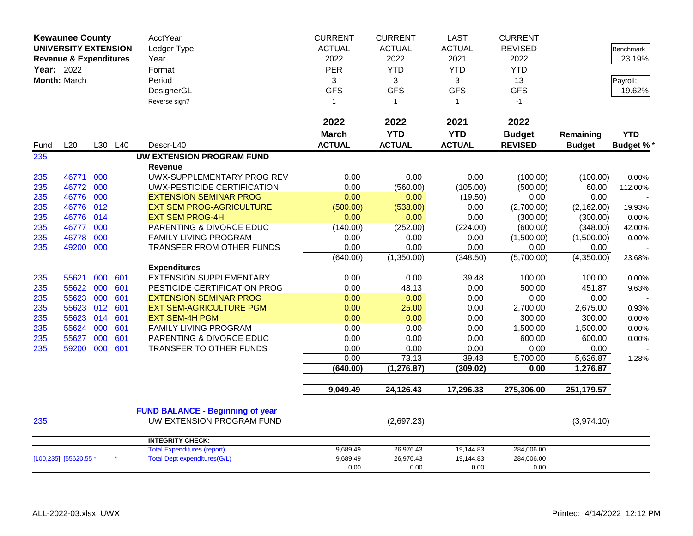| <b>Kewaunee County</b>            |           |     |         | AcctYear                                | <b>CURRENT</b> | <b>CURRENT</b> | <b>LAST</b>       | <b>CURRENT</b>   |                      |                  |
|-----------------------------------|-----------|-----|---------|-----------------------------------------|----------------|----------------|-------------------|------------------|----------------------|------------------|
| <b>UNIVERSITY EXTENSION</b>       |           |     |         | Ledger Type                             | <b>ACTUAL</b>  | <b>ACTUAL</b>  | <b>ACTUAL</b>     | <b>REVISED</b>   |                      | <b>Benchmark</b> |
| <b>Revenue &amp; Expenditures</b> |           |     |         | Year                                    | 2022           | 2022           | 2021              | 2022             |                      | 23.19%           |
| Year: 2022                        |           |     |         | Format                                  | PER            | <b>YTD</b>     | <b>YTD</b>        | <b>YTD</b>       |                      |                  |
| Month: March                      |           |     |         | Period                                  | 3              | 3              | 3                 | 13               |                      | Payroll:         |
|                                   |           |     |         | DesignerGL                              | <b>GFS</b>     | <b>GFS</b>     | <b>GFS</b>        | <b>GFS</b>       |                      | 19.62%           |
|                                   |           |     |         | Reverse sign?                           | $\mathbf{1}$   | $\mathbf{1}$   | $\mathbf{1}$      | $-1$             |                      |                  |
|                                   |           |     |         |                                         |                |                |                   |                  |                      |                  |
|                                   |           |     |         |                                         | 2022           | 2022           | 2021              | 2022             |                      |                  |
|                                   |           |     |         |                                         | <b>March</b>   | <b>YTD</b>     | <b>YTD</b>        | <b>Budget</b>    | Remaining            | <b>YTD</b>       |
| Fund                              | L20       |     | L30 L40 | Descr-L40                               | <b>ACTUAL</b>  | <b>ACTUAL</b>  | <b>ACTUAL</b>     | <b>REVISED</b>   | <b>Budget</b>        | <b>Budget %*</b> |
| 235                               |           |     |         | <b>UW EXTENSION PROGRAM FUND</b>        |                |                |                   |                  |                      |                  |
|                                   |           |     |         | <b>Revenue</b>                          |                |                |                   |                  |                      |                  |
| 235                               | 46771     | 000 |         | UWX-SUPPLEMENTARY PROG REV              | 0.00           | 0.00           | 0.00              | (100.00)         | (100.00)             | 0.00%            |
| 235                               | 46772     | 000 |         | UWX-PESTICIDE CERTIFICATION             | 0.00           | (560.00)       | (105.00)          | (500.00)         | 60.00                | 112.00%          |
| 235                               | 46776     | 000 |         | <b>EXTENSION SEMINAR PROG</b>           | 0.00           | 0.00           | (19.50)           | 0.00             | 0.00                 |                  |
| 235                               | 46776     | 012 |         | <b>EXT SEM PROG-AGRICULTURE</b>         | (500.00)       | (538.00)       | 0.00              | (2,700.00)       | (2, 162.00)          | 19.93%           |
| 235                               | 46776 014 |     |         | <b>EXT SEM PROG-4H</b>                  | 0.00           | 0.00           | 0.00              | (300.00)         | (300.00)             | 0.00%            |
| 235                               | 46777     | 000 |         | PARENTING & DIVORCE EDUC                | (140.00)       | (252.00)       | (224.00)          | (600.00)         | (348.00)             | 42.00%           |
| 235                               | 46778     | 000 |         | FAMILY LIVING PROGRAM                   | 0.00           | 0.00           | 0.00              | (1,500.00)       | (1,500.00)           | 0.00%            |
| 235                               | 49200     | 000 |         | TRANSFER FROM OTHER FUNDS               | 0.00           | 0.00           | 0.00              | 0.00             | 0.00                 |                  |
|                                   |           |     |         |                                         | (640.00)       | (1,350.00)     | (348.50)          | (5,700.00)       | (4,350.00)           | 23.68%           |
|                                   |           |     |         | <b>Expenditures</b>                     |                |                |                   |                  |                      |                  |
| 235                               | 55621     | 000 | 601     | <b>EXTENSION SUPPLEMENTARY</b>          | 0.00           | 0.00           | 39.48             | 100.00           | 100.00               | 0.00%            |
| 235                               | 55622     | 000 | 601     | PESTICIDE CERTIFICATION PROG            | 0.00           | 48.13          | 0.00              | 500.00           | 451.87               | 9.63%            |
| 235                               | 55623     | 000 | 601     | <b>EXTENSION SEMINAR PROG</b>           | 0.00           | 0.00           | 0.00              | 0.00             | 0.00                 |                  |
| 235                               | 55623     | 012 | 601     | <b>EXT SEM-AGRICULTURE PGM</b>          | 0.00           | 25.00          | 0.00              | 2,700.00         | 2,675.00             | 0.93%            |
| 235                               | 55623     | 014 | 601     | <b>EXT SEM-4H PGM</b>                   | 0.00           | 0.00           | 0.00              | 300.00           | 300.00               | 0.00%            |
| 235                               | 55624     | 000 | 601     | <b>FAMILY LIVING PROGRAM</b>            | 0.00           | 0.00           | 0.00              | 1,500.00         | 1,500.00             | 0.00%            |
| 235                               | 55627     | 000 | 601     | PARENTING & DIVORCE EDUC                | 0.00           | 0.00           | 0.00              | 600.00           | 600.00               | 0.00%            |
| 235                               | 59200     | 000 | 601     | TRANSFER TO OTHER FUNDS                 | 0.00<br>0.00   | 0.00<br>73.13  | 0.00              | 0.00             | 0.00                 |                  |
|                                   |           |     |         |                                         | (640.00)       | (1, 276.87)    | 39.48<br>(309.02) | 5,700.00<br>0.00 | 5,626.87<br>1,276.87 | 1.28%            |
|                                   |           |     |         |                                         |                |                |                   |                  |                      |                  |
|                                   |           |     |         |                                         | 9,049.49       | 24,126.43      | 17,296.33         | 275,306.00       | 251,179.57           |                  |
|                                   |           |     |         |                                         |                |                |                   |                  |                      |                  |
|                                   |           |     |         | <b>FUND BALANCE - Beginning of year</b> |                |                |                   |                  |                      |                  |
| 235                               |           |     |         | UW EXTENSION PROGRAM FUND               |                | (2,697.23)     |                   |                  | (3,974.10)           |                  |
|                                   |           |     |         | <b>INTEGRITY CHECK:</b>                 |                |                |                   |                  |                      |                  |
|                                   |           |     |         | <b>Total Expenditures (report)</b>      | 9,689.49       | 26,976.43      | 19,144.83         | 284,006.00       |                      |                  |
| [100,235] [55620.55 *             |           |     |         | <b>Total Dept expenditures(G/L)</b>     | 9,689.49       | 26,976.43      | 19,144.83         | 284,006.00       |                      |                  |
|                                   |           |     |         |                                         | 0.00           | 0.00           | 0.00              | 0.00             |                      |                  |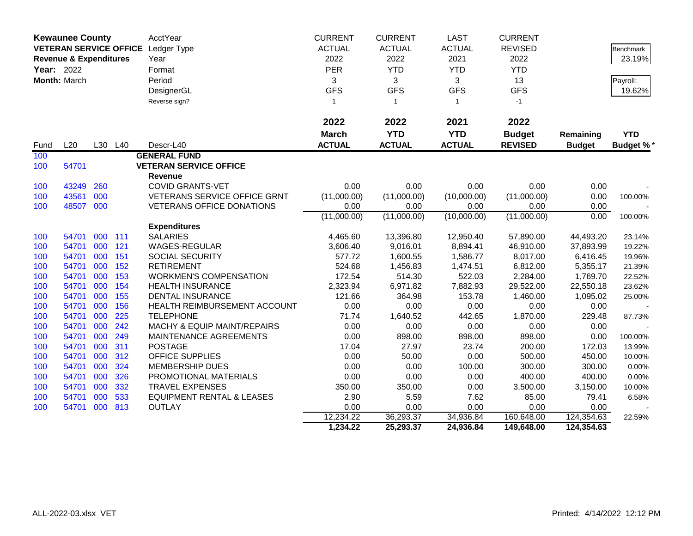|            | <b>Kewaunee County</b>            |            |            | AcctYear                                                       | <b>CURRENT</b>          | <b>CURRENT</b> | <b>LAST</b>   | <b>CURRENT</b>    |                   |                  |
|------------|-----------------------------------|------------|------------|----------------------------------------------------------------|-------------------------|----------------|---------------|-------------------|-------------------|------------------|
|            |                                   |            |            | VETERAN SERVICE OFFICE Ledger Type                             | <b>ACTUAL</b>           | <b>ACTUAL</b>  | <b>ACTUAL</b> | <b>REVISED</b>    |                   | Benchmark        |
|            | <b>Revenue &amp; Expenditures</b> |            |            | Year                                                           | 2022                    | 2022           | 2021          | 2022              |                   | 23.19%           |
| Year: 2022 |                                   |            |            | Format                                                         | PER                     | <b>YTD</b>     | <b>YTD</b>    | <b>YTD</b>        |                   |                  |
|            | Month: March                      |            |            | Period                                                         | 3                       | 3              | 3             | 13                |                   | Payroll:         |
|            |                                   |            |            | DesignerGL                                                     | <b>GFS</b>              | <b>GFS</b>     | <b>GFS</b>    | <b>GFS</b>        |                   | 19.62%           |
|            |                                   |            |            | Reverse sign?                                                  | $\overline{\mathbf{1}}$ | $\mathbf{1}$   | $\mathbf{1}$  | $-1$              |                   |                  |
|            |                                   |            |            |                                                                |                         |                |               |                   |                   |                  |
|            |                                   |            |            |                                                                | 2022                    | 2022           | 2021          | 2022              |                   |                  |
|            |                                   |            |            |                                                                | <b>March</b>            | <b>YTD</b>     | <b>YTD</b>    | <b>Budget</b>     | Remaining         | <b>YTD</b>       |
| Fund       | L20                               |            | L30 L40    | Descr-L40                                                      | <b>ACTUAL</b>           | <b>ACTUAL</b>  | <b>ACTUAL</b> | <b>REVISED</b>    | <b>Budget</b>     | <b>Budget %*</b> |
| 100        |                                   |            |            | <b>GENERAL FUND</b>                                            |                         |                |               |                   |                   |                  |
| 100        | 54701                             |            |            | <b>VETERAN SERVICE OFFICE</b>                                  |                         |                |               |                   |                   |                  |
|            |                                   |            |            | <b>Revenue</b>                                                 |                         |                |               |                   |                   |                  |
| 100        | 43249                             | 260        |            | <b>COVID GRANTS-VET</b>                                        | 0.00                    | 0.00           | 0.00          | 0.00              | 0.00              |                  |
| 100        | 43561                             | 000        |            | VETERANS SERVICE OFFICE GRNT                                   | (11,000.00)             | (11,000.00)    | (10,000.00)   | (11,000.00)       | 0.00              | 100.00%          |
| 100        | 48507                             | 000        |            | <b>VETERANS OFFICE DONATIONS</b>                               | 0.00                    | 0.00           | 0.00          | 0.00              | 0.00              |                  |
|            |                                   |            |            |                                                                | (11,000.00)             | (11,000.00)    | (10,000.00)   | (11,000.00)       | 0.00              | 100.00%          |
|            |                                   |            |            | <b>Expenditures</b>                                            |                         |                |               |                   |                   |                  |
| 100        | 54701                             | 000        | 111        | <b>SALARIES</b>                                                | 4,465.60                | 13,396.80      | 12,950.40     | 57,890.00         | 44,493.20         | 23.14%           |
| 100        | 54701                             | 000        | 121        | WAGES-REGULAR                                                  | 3,606.40                | 9,016.01       | 8,894.41      | 46,910.00         | 37,893.99         | 19.22%           |
| 100        | 54701                             | 000        | 151        | SOCIAL SECURITY                                                | 577.72                  | 1,600.55       | 1,586.77      | 8,017.00          | 6,416.45          | 19.96%           |
| 100        | 54701                             | 000        | 152        | <b>RETIREMENT</b>                                              | 524.68                  | 1,456.83       | 1,474.51      | 6,812.00          | 5,355.17          | 21.39%           |
| 100        | 54701                             | 000        | 153        | <b>WORKMEN'S COMPENSATION</b>                                  | 172.54                  | 514.30         | 522.03        | 2,284.00          | 1,769.70          | 22.52%           |
| 100        | 54701                             | 000        | 154        | <b>HEALTH INSURANCE</b>                                        | 2,323.94                | 6,971.82       | 7,882.93      | 29,522.00         | 22,550.18         | 23.62%           |
| 100        | 54701                             | 000        | 155        | <b>DENTAL INSURANCE</b>                                        | 121.66                  | 364.98         | 153.78        | 1,460.00          | 1,095.02          | 25.00%           |
| 100        | 54701                             | 000        | 156        | HEALTH REIMBURSEMENT ACCOUNT                                   | 0.00                    | 0.00           | 0.00          | 0.00              | 0.00              |                  |
| 100        | 54701                             | 000        | 225        | <b>TELEPHONE</b>                                               | 71.74                   | 1,640.52       | 442.65        | 1,870.00          | 229.48            | 87.73%           |
| 100        | 54701                             | 000        | 242        | <b>MACHY &amp; EQUIP MAINT/REPAIRS</b>                         | 0.00                    | 0.00           | 0.00          | 0.00              | 0.00              |                  |
| 100        | 54701                             | 000        | 249        | MAINTENANCE AGREEMENTS                                         | 0.00                    | 898.00         | 898.00        | 898.00            | 0.00              | 100.00%          |
| 100        | 54701                             | 000        | 311        | <b>POSTAGE</b>                                                 | 17.04                   | 27.97          | 23.74         | 200.00            | 172.03            | 13.99%           |
| 100        | 54701                             | 000        | 312        | OFFICE SUPPLIES                                                | 0.00                    | 50.00          | 0.00          | 500.00            | 450.00            | 10.00%           |
| 100        | 54701                             | 000        | 324        | <b>MEMBERSHIP DUES</b>                                         | 0.00                    | 0.00           | 100.00        | 300.00            | 300.00            | 0.00%            |
| 100        | 54701                             | 000        | 326        | PROMOTIONAL MATERIALS                                          | 0.00                    | 0.00           | 0.00          | 400.00            | 400.00            | 0.00%            |
| 100<br>100 | 54701<br>54701                    | 000<br>000 | 332<br>533 | <b>TRAVEL EXPENSES</b><br><b>EQUIPMENT RENTAL &amp; LEASES</b> | 350.00<br>2.90          | 350.00<br>5.59 | 0.00<br>7.62  | 3,500.00<br>85.00 | 3,150.00<br>79.41 | 10.00%<br>6.58%  |
| 100        | 54701                             | 000        | 813        | <b>OUTLAY</b>                                                  | 0.00                    | 0.00           | 0.00          | 0.00              | 0.00              |                  |
|            |                                   |            |            |                                                                | 12,234.22               | 36,293.37      | 34,936.84     | 160,648.00        | 124,354.63        | 22.59%           |
|            |                                   |            |            |                                                                | 1,234.22                | 25,293.37      | 24,936.84     | 149,648.00        | 124,354.63        |                  |
|            |                                   |            |            |                                                                |                         |                |               |                   |                   |                  |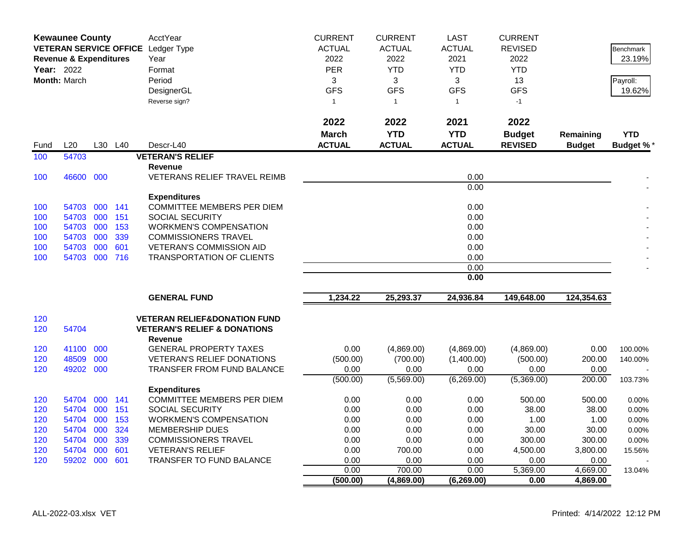|            | <b>Kewaunee County</b>            |         |                 | AcctYear                                                  | <b>CURRENT</b> | <b>CURRENT</b> | <b>LAST</b>   | <b>CURRENT</b> |               |                  |
|------------|-----------------------------------|---------|-----------------|-----------------------------------------------------------|----------------|----------------|---------------|----------------|---------------|------------------|
|            |                                   |         |                 | VETERAN SERVICE OFFICE Ledger Type                        | <b>ACTUAL</b>  | <b>ACTUAL</b>  | <b>ACTUAL</b> | <b>REVISED</b> |               | <b>Benchmark</b> |
|            | <b>Revenue &amp; Expenditures</b> |         |                 | Year                                                      | 2022           | 2022           | 2021          | 2022           |               | 23.19%           |
| Year: 2022 |                                   |         |                 | Format                                                    | <b>PER</b>     | <b>YTD</b>     | <b>YTD</b>    | <b>YTD</b>     |               |                  |
|            | Month: March                      |         |                 | Period                                                    | 3              | 3              | 3             | 13             |               | Payroll:         |
|            |                                   |         |                 | DesignerGL                                                | <b>GFS</b>     | <b>GFS</b>     | <b>GFS</b>    | <b>GFS</b>     |               | 19.62%           |
|            |                                   |         |                 | Reverse sign?                                             | $\mathbf{1}$   | $\overline{1}$ | $\mathbf{1}$  | $-1$           |               |                  |
|            |                                   |         |                 |                                                           | 2022           | 2022           | 2021          | 2022           |               |                  |
|            |                                   |         |                 |                                                           | <b>March</b>   | <b>YTD</b>     | <b>YTD</b>    | <b>Budget</b>  | Remaining     | <b>YTD</b>       |
| Fund       | L20                               | L30     | L <sub>40</sub> | Descr-L40                                                 | <b>ACTUAL</b>  | <b>ACTUAL</b>  | <b>ACTUAL</b> | <b>REVISED</b> | <b>Budget</b> | <b>Budget %</b>  |
|            | 54703                             |         |                 | <b>VETERAN'S RELIEF</b>                                   |                |                |               |                |               |                  |
| 100        |                                   |         |                 | <b>Revenue</b>                                            |                |                |               |                |               |                  |
| 100        | 46600 000                         |         |                 | <b>VETERANS RELIEF TRAVEL REIMB</b>                       |                |                | 0.00          |                |               |                  |
|            |                                   |         |                 |                                                           |                |                | 0.00          |                |               |                  |
|            |                                   |         |                 | <b>Expenditures</b>                                       |                |                |               |                |               |                  |
| 100        | 54703                             | 000 141 |                 | COMMITTEE MEMBERS PER DIEM                                |                |                | 0.00          |                |               |                  |
| 100        | 54703                             | 000     | 151             | <b>SOCIAL SECURITY</b>                                    |                |                | 0.00          |                |               |                  |
| 100        | 54703 000                         |         | 153             | <b>WORKMEN'S COMPENSATION</b>                             |                |                | 0.00          |                |               |                  |
| 100        | 54703 000                         |         | 339             | <b>COMMISSIONERS TRAVEL</b>                               |                |                | 0.00          |                |               |                  |
| 100        | 54703 000                         |         | 601             | <b>VETERAN'S COMMISSION AID</b>                           |                |                | 0.00          |                |               |                  |
| 100        | 54703 000 716                     |         |                 | <b>TRANSPORTATION OF CLIENTS</b>                          |                |                | 0.00          |                |               |                  |
|            |                                   |         |                 |                                                           |                |                | 0.00          |                |               |                  |
|            |                                   |         |                 |                                                           |                |                | 0.00          |                |               |                  |
|            |                                   |         |                 | <b>GENERAL FUND</b>                                       | 1,234.22       | 25,293.37      | 24,936.84     | 149,648.00     | 124,354.63    |                  |
| 120        |                                   |         |                 | <b>VETERAN RELIEF&amp;DONATION FUND</b>                   |                |                |               |                |               |                  |
| 120        | 54704                             |         |                 | <b>VETERAN'S RELIEF &amp; DONATIONS</b><br><b>Revenue</b> |                |                |               |                |               |                  |
| 120        | 41100                             | 000     |                 | <b>GENERAL PROPERTY TAXES</b>                             | 0.00           | (4,869.00)     | (4,869.00)    | (4,869.00)     | 0.00          | 100.00%          |
| 120        | 48509                             | 000     |                 | <b>VETERAN'S RELIEF DONATIONS</b>                         | (500.00)       | (700.00)       | (1,400.00)    | (500.00)       | 200.00        | 140.00%          |
| 120        | 49202 000                         |         |                 | TRANSFER FROM FUND BALANCE                                | 0.00           | 0.00           | 0.00          | 0.00           | 0.00          |                  |
|            |                                   |         |                 |                                                           | (500.00)       | (5,569.00)     | (6,269.00)    | (5,369.00)     | 200.00        | 103.73%          |
|            |                                   |         |                 | <b>Expenditures</b>                                       |                |                |               |                |               |                  |
| 120        | 54704                             | 000     | 141             | <b>COMMITTEE MEMBERS PER DIEM</b>                         | 0.00           | 0.00           | 0.00          | 500.00         | 500.00        | 0.00%            |
| 120        | 54704 000                         |         | 151             | <b>SOCIAL SECURITY</b>                                    | 0.00           | 0.00           | 0.00          | 38.00          | 38.00         | 0.00%            |
| 120        | 54704 000<br>54704                | 000     | 153<br>324      | <b>WORKMEN'S COMPENSATION</b><br><b>MEMBERSHIP DUES</b>   | 0.00<br>0.00   | 0.00<br>0.00   | 0.00<br>0.00  | 1.00<br>30.00  | 1.00<br>30.00 | 0.00%            |
| 120<br>120 | 54704                             | 000     | 339             | <b>COMMISSIONERS TRAVEL</b>                               | 0.00           | 0.00           | 0.00          | 300.00         | 300.00        | 0.00%<br>0.00%   |
| 120        | 54704 000                         |         | 601             | <b>VETERAN'S RELIEF</b>                                   | 0.00           | 700.00         | 0.00          | 4,500.00       | 3,800.00      | 15.56%           |
| 120        | 59202 000                         |         | 601             | TRANSFER TO FUND BALANCE                                  | 0.00           | 0.00           | 0.00          | 0.00           | 0.00          |                  |
|            |                                   |         |                 |                                                           | 0.00           | 700.00         | 0.00          | 5,369.00       | 4.669.00      | 13.04%           |
|            |                                   |         |                 |                                                           | (500.00)       | (4,869.00)     | (6,269.00)    | 0.00           | 4,869.00      |                  |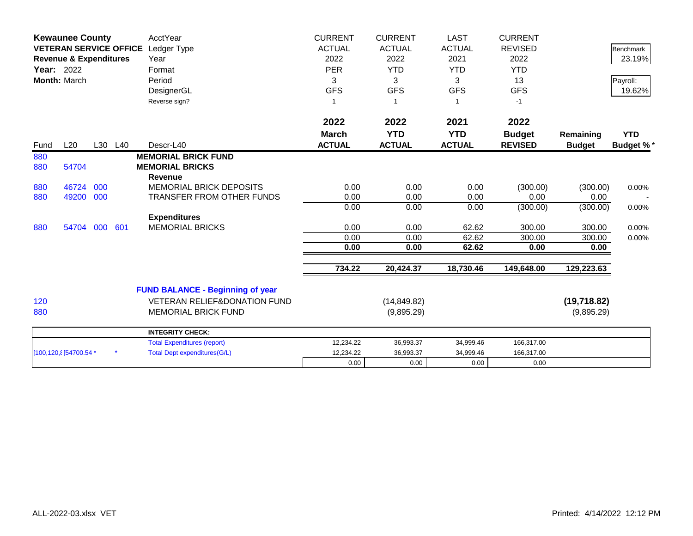| <b>Kewaunee County</b><br>VETERAN SERVICE OFFICE Ledger Type<br><b>Revenue &amp; Expenditures</b><br><b>Year: 2022</b><br>Month: March |                        |     |         | <b>AcctYear</b><br>Year<br>Format<br>Period<br>DesignerGL<br>Reverse sign? | <b>CURRENT</b><br><b>ACTUAL</b><br>2022<br><b>PER</b><br>3<br><b>GFS</b><br>$\mathbf{1}$ | <b>CURRENT</b><br><b>ACTUAL</b><br>2022<br><b>YTD</b><br>3<br><b>GFS</b> | <b>LAST</b><br><b>ACTUAL</b><br>2021<br><b>YTD</b><br>3<br><b>GFS</b> | <b>CURRENT</b><br><b>REVISED</b><br>2022<br><b>YTD</b><br>13<br><b>GFS</b><br>$-1$ |                            | <b>Benchmark</b><br>23.19%<br>Payroll:<br>19.62% |
|----------------------------------------------------------------------------------------------------------------------------------------|------------------------|-----|---------|----------------------------------------------------------------------------|------------------------------------------------------------------------------------------|--------------------------------------------------------------------------|-----------------------------------------------------------------------|------------------------------------------------------------------------------------|----------------------------|--------------------------------------------------|
|                                                                                                                                        |                        |     |         |                                                                            | 2022<br><b>March</b>                                                                     | 2022<br><b>YTD</b>                                                       | 2021<br><b>YTD</b>                                                    | 2022<br><b>Budget</b>                                                              | Remaining                  | <b>YTD</b>                                       |
| Fund                                                                                                                                   | L20                    |     | L30 L40 | Descr-L40                                                                  | <b>ACTUAL</b>                                                                            | <b>ACTUAL</b>                                                            | <b>ACTUAL</b>                                                         | <b>REVISED</b>                                                                     | <b>Budget</b>              | <b>Budget %*</b>                                 |
| 880<br>880                                                                                                                             | 54704                  |     |         | <b>MEMORIAL BRICK FUND</b><br><b>MEMORIAL BRICKS</b><br><b>Revenue</b>     |                                                                                          |                                                                          |                                                                       |                                                                                    |                            |                                                  |
| 880                                                                                                                                    | 46724                  | 000 |         | <b>MEMORIAL BRICK DEPOSITS</b>                                             | 0.00                                                                                     | 0.00                                                                     | 0.00                                                                  | (300.00)                                                                           | (300.00)                   | 0.00%                                            |
| 880                                                                                                                                    | 49200 000              |     |         | TRANSFER FROM OTHER FUNDS                                                  | 0.00                                                                                     | 0.00                                                                     | 0.00                                                                  | 0.00                                                                               | 0.00                       |                                                  |
|                                                                                                                                        |                        |     |         |                                                                            | 0.00                                                                                     | 0.00                                                                     | 0.00                                                                  | (300.00)                                                                           | (300.00)                   | 0.00%                                            |
|                                                                                                                                        |                        |     |         | <b>Expenditures</b>                                                        |                                                                                          |                                                                          |                                                                       |                                                                                    |                            |                                                  |
| 880                                                                                                                                    | 54704                  | 000 | 601     | <b>MEMORIAL BRICKS</b>                                                     | 0.00                                                                                     | 0.00                                                                     | 62.62                                                                 | 300.00                                                                             | 300.00                     | 0.00%                                            |
|                                                                                                                                        |                        |     |         |                                                                            | 0.00<br>0.00                                                                             | 0.00<br>0.00                                                             | 62.62<br>62.62                                                        | 300.00<br>0.00                                                                     | 300.00<br>0.00             | 0.00%                                            |
|                                                                                                                                        |                        |     |         |                                                                            | 734.22                                                                                   | 20,424.37                                                                | 18,730.46                                                             | 149,648.00                                                                         | 129,223.63                 |                                                  |
|                                                                                                                                        |                        |     |         | <b>FUND BALANCE - Beginning of year</b>                                    |                                                                                          |                                                                          |                                                                       |                                                                                    |                            |                                                  |
| 120<br>880                                                                                                                             |                        |     |         | <b>VETERAN RELIEF&amp;DONATION FUND</b><br><b>MEMORIAL BRICK FUND</b>      |                                                                                          | (14, 849.82)<br>(9,895.29)                                               |                                                                       |                                                                                    | (19, 718.82)<br>(9,895.29) |                                                  |
|                                                                                                                                        |                        |     |         | <b>INTEGRITY CHECK:</b>                                                    |                                                                                          |                                                                          |                                                                       |                                                                                    |                            |                                                  |
|                                                                                                                                        |                        |     |         | <b>Total Expenditures (report)</b>                                         | 12,234.22                                                                                | 36,993.37                                                                | 34,999.46                                                             | 166,317.00                                                                         |                            |                                                  |
|                                                                                                                                        | [100,120, 8[54700.54 * |     |         | <b>Total Dept expenditures(G/L)</b>                                        | 12,234.22                                                                                | 36,993.37                                                                | 34,999.46                                                             | 166,317.00                                                                         |                            |                                                  |
|                                                                                                                                        |                        |     |         |                                                                            | 0.00                                                                                     | 0.00                                                                     | 0.00                                                                  | 0.00                                                                               |                            |                                                  |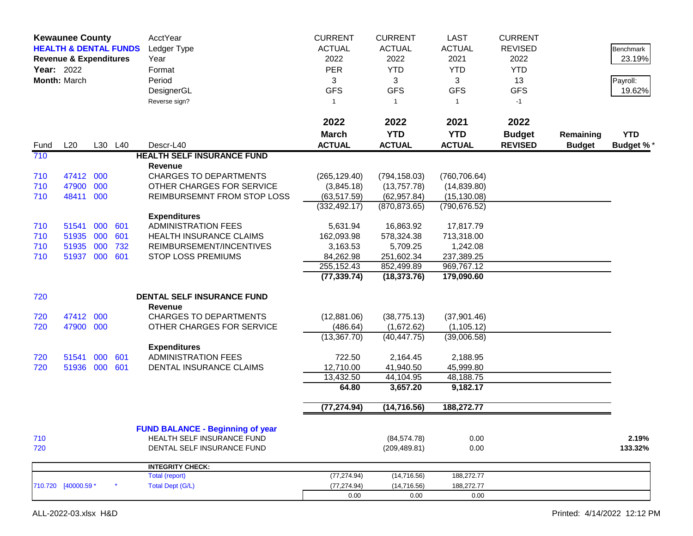|      | <b>Kewaunee County</b><br><b>HEALTH &amp; DENTAL FUNDS</b><br><b>Revenue &amp; Expenditures</b><br>Year: 2022<br>Month: March |     |         | AcctYear<br>Ledger Type<br>Year<br>Format<br>Period<br>DesignerGL<br>Reverse sign? | <b>CURRENT</b><br><b>CURRENT</b><br><b>ACTUAL</b><br><b>ACTUAL</b><br>2022<br>2022<br><b>PER</b><br><b>YTD</b><br>3<br>3<br><b>GFS</b><br><b>GFS</b><br>$\mathbf{1}$<br>-1 |                             |                             |                                 |                            | Benchmark<br>23.19%<br>Payroll:<br>19.62% |
|------|-------------------------------------------------------------------------------------------------------------------------------|-----|---------|------------------------------------------------------------------------------------|----------------------------------------------------------------------------------------------------------------------------------------------------------------------------|-----------------------------|-----------------------------|---------------------------------|----------------------------|-------------------------------------------|
|      |                                                                                                                               |     |         |                                                                                    | 2022                                                                                                                                                                       | 2022                        | 2021                        | 2022                            |                            |                                           |
| Fund | L20                                                                                                                           |     | L30 L40 | Descr-L40                                                                          | <b>March</b><br><b>ACTUAL</b>                                                                                                                                              | <b>YTD</b><br><b>ACTUAL</b> | <b>YTD</b><br><b>ACTUAL</b> | <b>Budget</b><br><b>REVISED</b> | Remaining<br><b>Budget</b> | <b>YTD</b><br><b>Budget %*</b>            |
| 710  |                                                                                                                               |     |         | <b>HEALTH SELF INSURANCE FUND</b>                                                  |                                                                                                                                                                            |                             |                             |                                 |                            |                                           |
|      |                                                                                                                               |     |         | Revenue                                                                            |                                                                                                                                                                            |                             |                             |                                 |                            |                                           |
| 710  | 47412 000                                                                                                                     |     |         | <b>CHARGES TO DEPARTMENTS</b>                                                      | (265, 129.40)                                                                                                                                                              | (794, 158.03)               | (760, 706.64)               |                                 |                            |                                           |
| 710  | 47900                                                                                                                         | 000 |         | OTHER CHARGES FOR SERVICE                                                          | (3,845.18)                                                                                                                                                                 | (13,757.78)                 | (14, 839.80)                |                                 |                            |                                           |
| 710  | 48411                                                                                                                         | 000 |         | REIMBURSEMNT FROM STOP LOSS                                                        | (63, 517.59)                                                                                                                                                               | (62, 957.84)                | (15, 130.08)                |                                 |                            |                                           |
|      |                                                                                                                               |     |         |                                                                                    | (332, 492.17)                                                                                                                                                              | (870, 873.65)               | (790, 676.52)               |                                 |                            |                                           |
|      |                                                                                                                               |     |         | <b>Expenditures</b>                                                                |                                                                                                                                                                            |                             |                             |                                 |                            |                                           |
| 710  | 51541                                                                                                                         | 000 | 601     | <b>ADMINISTRATION FEES</b>                                                         | 5,631.94                                                                                                                                                                   | 16,863.92                   | 17,817.79                   |                                 |                            |                                           |
| 710  | 51935                                                                                                                         | 000 | 601     | <b>HEALTH INSURANCE CLAIMS</b>                                                     | 162,093.98                                                                                                                                                                 | 578,324.38                  | 713,318.00                  |                                 |                            |                                           |
| 710  | 51935                                                                                                                         | 000 | 732     | REIMBURSEMENT/INCENTIVES                                                           | 3,163.53                                                                                                                                                                   | 5,709.25                    | 1,242.08                    |                                 |                            |                                           |
| 710  | 51937 000                                                                                                                     |     | 601     | <b>STOP LOSS PREMIUMS</b>                                                          | 84,262.98<br>255,152.43                                                                                                                                                    | 251,602.34<br>852,499.89    | 237,389.25<br>969,767.12    |                                 |                            |                                           |
|      |                                                                                                                               |     |         |                                                                                    | (77, 339.74)                                                                                                                                                               | (18, 373.76)                | 179,090.60                  |                                 |                            |                                           |
| 720  |                                                                                                                               |     |         | DENTAL SELF INSURANCE FUND                                                         |                                                                                                                                                                            |                             |                             |                                 |                            |                                           |
|      |                                                                                                                               |     |         | <b>Revenue</b>                                                                     |                                                                                                                                                                            |                             |                             |                                 |                            |                                           |
| 720  | 47412 000                                                                                                                     |     |         | <b>CHARGES TO DEPARTMENTS</b>                                                      | (12,881.06)                                                                                                                                                                | (38, 775.13)                | (37,901.46)                 |                                 |                            |                                           |
| 720  | 47900 000                                                                                                                     |     |         | OTHER CHARGES FOR SERVICE                                                          | (486.64)                                                                                                                                                                   | (1,672.62)                  | (1, 105.12)                 |                                 |                            |                                           |
|      |                                                                                                                               |     |         |                                                                                    | $(13,367.\overline{70})$                                                                                                                                                   | (40, 447.75)                | (39,006.58)                 |                                 |                            |                                           |
|      |                                                                                                                               |     |         | <b>Expenditures</b>                                                                |                                                                                                                                                                            |                             |                             |                                 |                            |                                           |
| 720  | 51541                                                                                                                         | 000 | 601     | <b>ADMINISTRATION FEES</b>                                                         | 722.50                                                                                                                                                                     | 2,164.45                    | 2,188.95                    |                                 |                            |                                           |
| 720  | 51936 000                                                                                                                     |     | 601     | DENTAL INSURANCE CLAIMS                                                            | 12,710.00                                                                                                                                                                  | 41,940.50                   | 45,999.80                   |                                 |                            |                                           |
|      |                                                                                                                               |     |         |                                                                                    | 13,432.50<br>64.80                                                                                                                                                         | 44,104.95<br>3,657.20       | 48,188.75<br>9,182.17       |                                 |                            |                                           |
|      |                                                                                                                               |     |         |                                                                                    |                                                                                                                                                                            |                             |                             |                                 |                            |                                           |
|      |                                                                                                                               |     |         |                                                                                    | (77, 274.94)                                                                                                                                                               | (14, 716.56)                | 188,272.77                  |                                 |                            |                                           |
|      |                                                                                                                               |     |         | <b>FUND BALANCE - Beginning of year</b>                                            |                                                                                                                                                                            |                             |                             |                                 |                            |                                           |
| 710  |                                                                                                                               |     |         | HEALTH SELF INSURANCE FUND                                                         |                                                                                                                                                                            | (84, 574.78)                | 0.00                        |                                 |                            | 2.19%                                     |
| 720  |                                                                                                                               |     |         | DENTAL SELF INSURANCE FUND                                                         |                                                                                                                                                                            | (209, 489.81)               | 0.00                        |                                 |                            | 133.32%                                   |
|      |                                                                                                                               |     |         | <b>INTEGRITY CHECK:</b>                                                            |                                                                                                                                                                            |                             |                             |                                 |                            |                                           |
|      |                                                                                                                               |     |         | Total (report)                                                                     | (77, 274.94)                                                                                                                                                               | (14, 716.56)                | 188,272.77                  |                                 |                            |                                           |
|      | 710.720 [40000.59 *                                                                                                           |     |         | <b>Total Dept (G/L)</b>                                                            | (77, 274.94)                                                                                                                                                               | (14, 716.56)                | 188,272.77                  |                                 |                            |                                           |
|      |                                                                                                                               |     |         |                                                                                    | 0.00                                                                                                                                                                       | 0.00                        | 0.00                        |                                 |                            |                                           |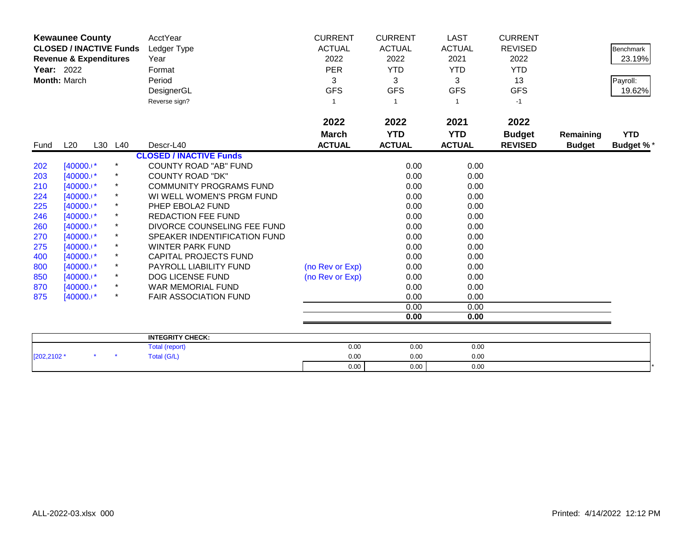| <b>Kewaunee County</b> |                                   |         | AcctYear   | <b>CURRENT</b>                 | <b>CURRENT</b>  | <b>LAST</b>   | <b>CURRENT</b> |                |               |                  |
|------------------------|-----------------------------------|---------|------------|--------------------------------|-----------------|---------------|----------------|----------------|---------------|------------------|
|                        | <b>CLOSED / INACTIVE Funds</b>    |         |            | Ledger Type                    | <b>ACTUAL</b>   | <b>ACTUAL</b> | <b>ACTUAL</b>  | <b>REVISED</b> |               | <b>Benchmark</b> |
|                        | <b>Revenue &amp; Expenditures</b> |         |            | Year                           | 2022            | 2022          | 2021           | 2022           |               | 23.19%           |
| <b>Year: 2022</b>      |                                   |         |            | Format                         | <b>PER</b>      | <b>YTD</b>    | YTD.           | <b>YTD</b>     |               |                  |
|                        | Month: March                      |         |            | Period                         | 3               | 3             | 3              | 13             |               | Payroll:         |
|                        |                                   |         |            | DesignerGL                     | <b>GFS</b>      | <b>GFS</b>    | <b>GFS</b>     | <b>GFS</b>     |               | 19.62%           |
|                        |                                   |         |            | Reverse sign?                  | 1               |               |                | $-1$           |               |                  |
|                        |                                   |         |            |                                | 2022            | 2022          | 2021           | 2022           |               |                  |
|                        |                                   |         |            |                                | <b>March</b>    | <b>YTD</b>    | <b>YTD</b>     | <b>Budget</b>  | Remaining     | <b>YTD</b>       |
| Fund                   | L20                               | L30 L40 |            | Descr-L40                      | <b>ACTUAL</b>   | <b>ACTUAL</b> | <b>ACTUAL</b>  | <b>REVISED</b> | <b>Budget</b> | <b>Budget %*</b> |
|                        |                                   |         |            | <b>CLOSED / INACTIVE Funds</b> |                 |               |                |                |               |                  |
| 202                    | $[40000.1*]$                      |         |            | <b>COUNTY ROAD "AB" FUND</b>   |                 | 0.00          | 0.00           |                |               |                  |
| 203                    | $[40000.1*$                       |         |            | <b>COUNTY ROAD "DK"</b>        |                 | 0.00          | 0.00           |                |               |                  |
| 210                    | $[40000.1*$                       |         | $\star$    | <b>COMMUNITY PROGRAMS FUND</b> |                 | 0.00          | 0.00           |                |               |                  |
| 224                    | $[40000.1*$                       |         |            | WI WELL WOMEN'S PRGM FUND      |                 | 0.00          | 0.00           |                |               |                  |
| 225                    | $[40000.1*$                       |         | $\star$    | PHEP EBOLA2 FUND               |                 | 0.00          | 0.00           |                |               |                  |
| 246                    | $[40000.1*]$                      |         |            | <b>REDACTION FEE FUND</b>      |                 | 0.00          | 0.00           |                |               |                  |
| 260                    | $[40000.1*]$                      |         | *          | DIVORCE COUNSELING FEE FUND    |                 | 0.00          | 0.00           |                |               |                  |
| 270                    | $[40000.1*$                       |         | $\star$    | SPEAKER INDENTIFICATION FUND   |                 | 0.00          | 0.00           |                |               |                  |
| 275                    | $[40000.1*$                       |         |            | <b>WINTER PARK FUND</b>        |                 | 0.00          | 0.00           |                |               |                  |
| 400                    | $[40000.1*]$                      |         | $^{\star}$ | <b>CAPITAL PROJECTS FUND</b>   |                 | 0.00          | 0.00           |                |               |                  |
| 800                    | $[40000.1*$                       |         | $\ast$     | PAYROLL LIABILITY FUND         | (no Rev or Exp) | 0.00          | 0.00           |                |               |                  |
| 850                    | $[40000.1*$                       |         | $^\star$   | <b>DOG LICENSE FUND</b>        | (no Rev or Exp) | 0.00          | 0.00           |                |               |                  |
| 870                    | $[40000.1*$                       |         | $^\star$   | <b>WAR MEMORIAL FUND</b>       |                 | 0.00          | 0.00           |                |               |                  |
| 875                    | $[40000.1*$                       |         |            | <b>FAIR ASSOCIATION FUND</b>   |                 | 0.00          | 0.00           |                |               |                  |
|                        |                                   |         |            |                                |                 | 0.00          | 0.00           |                |               |                  |
|                        |                                   |         |            |                                |                 | 0.00          | 0.00           |                |               |                  |
|                        |                                   |         |            | <b>INTEGRITY CHECK:</b>        |                 |               |                |                |               |                  |
|                        |                                   |         |            |                                |                 |               |                |                |               |                  |

|            |  | <b>INTEGRITY CHECK:</b> |      |      |      |  |
|------------|--|-------------------------|------|------|------|--|
|            |  | l (report<br>, otal     | 0.00 | 0.00 | 0.00 |  |
| [202,2102' |  | fotal (G/L)             | 0.00 | 0.00 | 0.00 |  |
|            |  |                         | 0.00 | 0.00 | 0.00 |  |